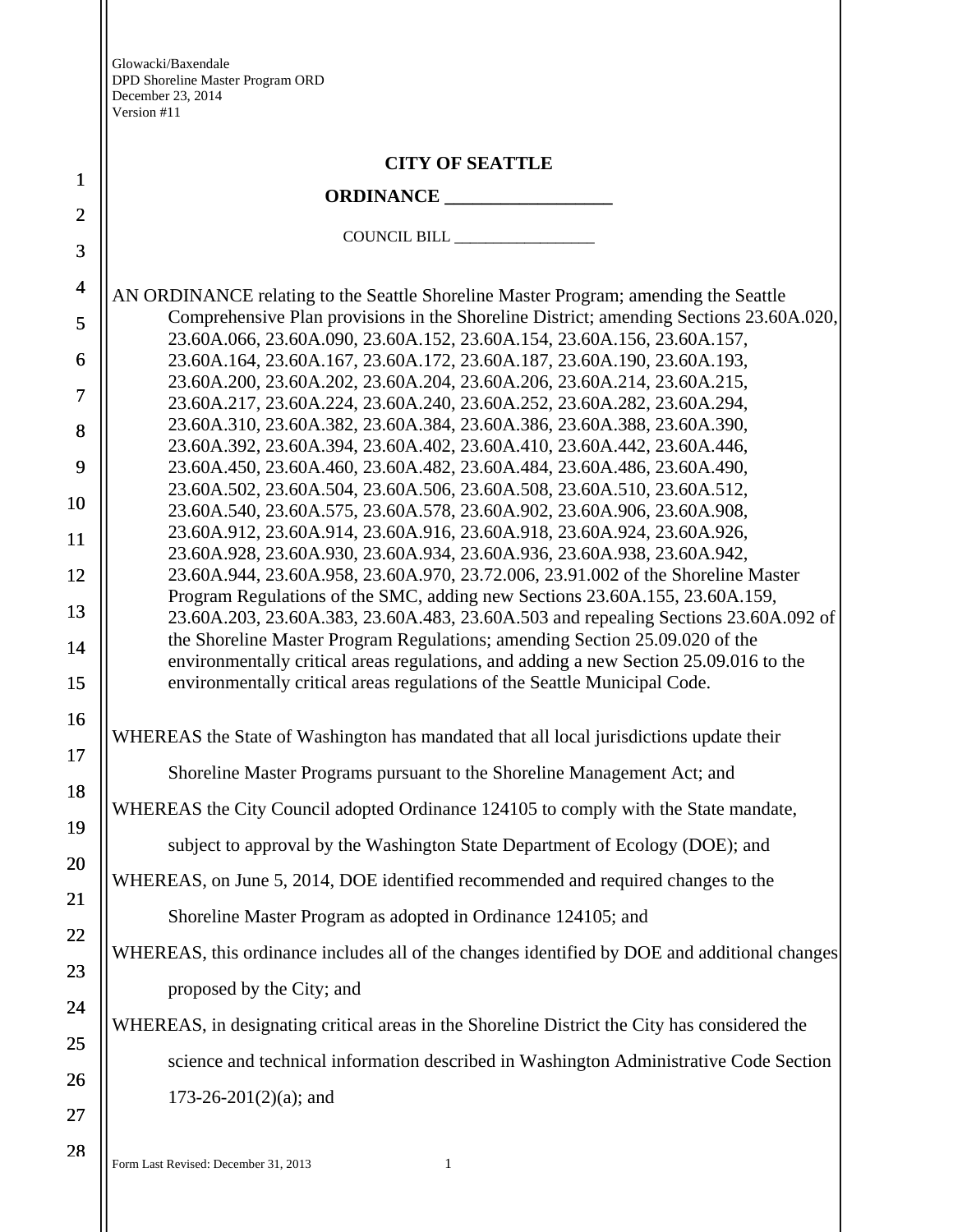|                | <b>CITY OF SEATTLE</b>                                                                                                                                             |
|----------------|--------------------------------------------------------------------------------------------------------------------------------------------------------------------|
| $\mathbf{1}$   |                                                                                                                                                                    |
| $\overline{2}$ |                                                                                                                                                                    |
| 3              |                                                                                                                                                                    |
| $\overline{4}$ | AN ORDINANCE relating to the Seattle Shoreline Master Program; amending the Seattle                                                                                |
| 5              | Comprehensive Plan provisions in the Shoreline District; amending Sections 23.60A.020,<br>23.60A.066, 23.60A.090, 23.60A.152, 23.60A.154, 23.60A.156, 23.60A.157,  |
| 6              | 23.60A.164, 23.60A.167, 23.60A.172, 23.60A.187, 23.60A.190, 23.60A.193,                                                                                            |
| $\tau$         | 23.60A.200, 23.60A.202, 23.60A.204, 23.60A.206, 23.60A.214, 23.60A.215,<br>23.60A.217, 23.60A.224, 23.60A.240, 23.60A.252, 23.60A.282, 23.60A.294,                 |
| 8              | 23.60A.310, 23.60A.382, 23.60A.384, 23.60A.386, 23.60A.388, 23.60A.390,                                                                                            |
| 9              | 23.60A.392, 23.60A.394, 23.60A.402, 23.60A.410, 23.60A.442, 23.60A.446,<br>23.60A.450, 23.60A.460, 23.60A.482, 23.60A.484, 23.60A.486, 23.60A.490,                 |
| 10             | 23.60A.502, 23.60A.504, 23.60A.506, 23.60A.508, 23.60A.510, 23.60A.512,<br>23.60A.540, 23.60A.575, 23.60A.578, 23.60A.902, 23.60A.906, 23.60A.908,                 |
| 11             | 23.60A.912, 23.60A.914, 23.60A.916, 23.60A.918, 23.60A.924, 23.60A.926,                                                                                            |
| 12             | 23.60A.928, 23.60A.930, 23.60A.934, 23.60A.936, 23.60A.938, 23.60A.942,<br>23.60A.944, 23.60A.958, 23.60A.970, 23.72.006, 23.91.002 of the Shoreline Master        |
| 13             | Program Regulations of the SMC, adding new Sections 23.60A.155, 23.60A.159,                                                                                        |
| 14             | 23.60A.203, 23.60A.383, 23.60A.483, 23.60A.503 and repealing Sections 23.60A.092 of<br>the Shoreline Master Program Regulations; amending Section 25.09.020 of the |
|                | environmentally critical areas regulations, and adding a new Section 25.09.016 to the                                                                              |
| 15             | environmentally critical areas regulations of the Seattle Municipal Code.                                                                                          |
| 16             | WHEREAS the State of Washington has mandated that all local jurisdictions update their                                                                             |
| 17             | Shoreline Master Programs pursuant to the Shoreline Management Act; and                                                                                            |
| 18             | WHEREAS the City Council adopted Ordinance 124105 to comply with the State mandate,                                                                                |
| 19             | subject to approval by the Washington State Department of Ecology (DOE); and                                                                                       |
| 20             | WHEREAS, on June 5, 2014, DOE identified recommended and required changes to the                                                                                   |
| 21             | Shoreline Master Program as adopted in Ordinance 124105; and                                                                                                       |
| 22             | WHEREAS, this ordinance includes all of the changes identified by DOE and additional changes                                                                       |
| 23             | proposed by the City; and                                                                                                                                          |
| 24             | WHEREAS, in designating critical areas in the Shoreline District the City has considered the                                                                       |
| 25             | science and technical information described in Washington Administrative Code Section                                                                              |
| 26             | $173-26-201(2)(a)$ ; and                                                                                                                                           |
| 27             |                                                                                                                                                                    |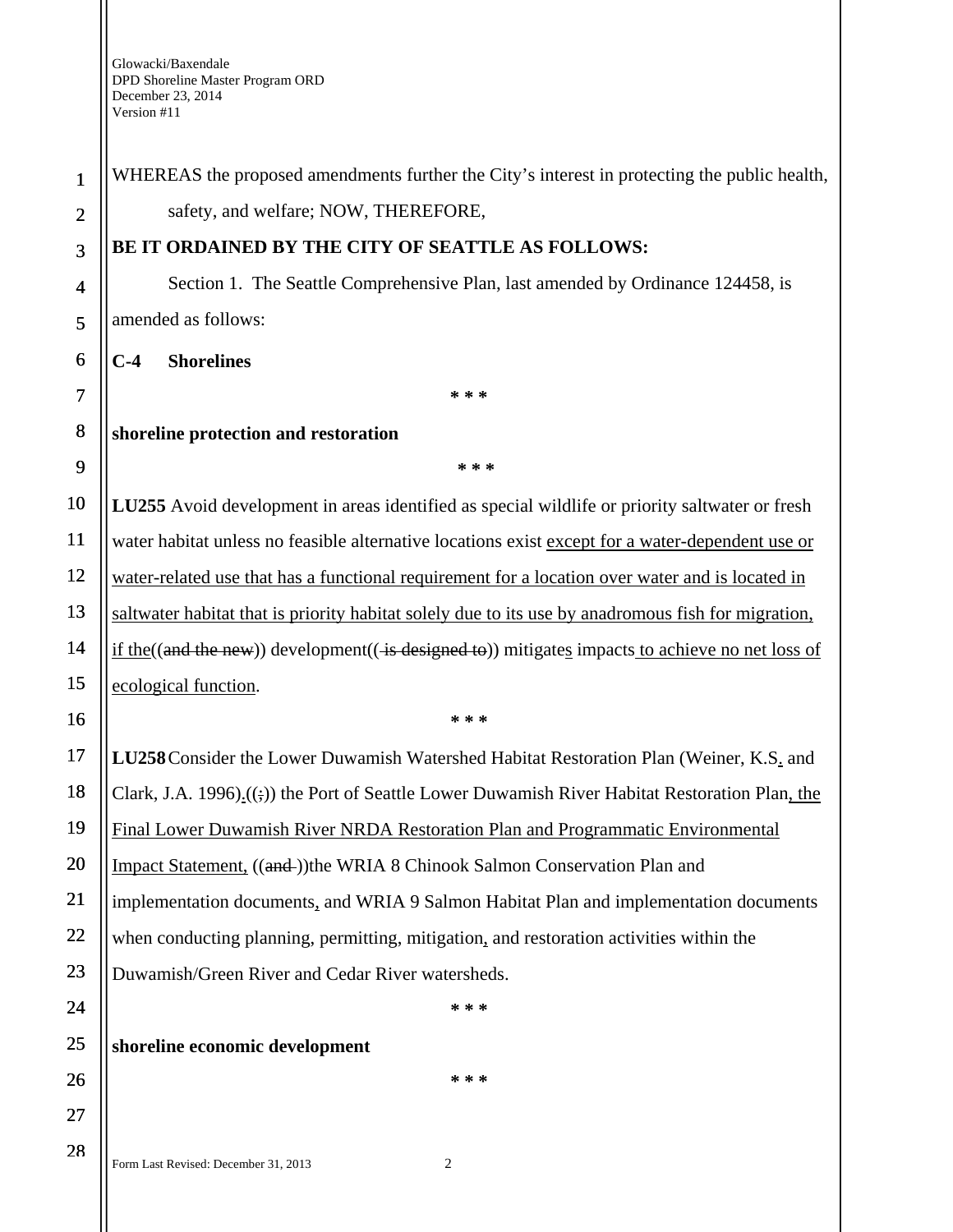| $\mathbf{1}$            | WHEREAS the proposed amendments further the City's interest in protecting the public health,                  |
|-------------------------|---------------------------------------------------------------------------------------------------------------|
| $\overline{c}$          | safety, and welfare; NOW, THEREFORE,                                                                          |
| 3                       | BE IT ORDAINED BY THE CITY OF SEATTLE AS FOLLOWS:                                                             |
| $\overline{\mathbf{4}}$ | Section 1. The Seattle Comprehensive Plan, last amended by Ordinance 124458, is                               |
| 5                       | amended as follows:                                                                                           |
| 6                       | <b>Shorelines</b><br>$C-4$                                                                                    |
| $\overline{7}$          | * * *                                                                                                         |
| 8                       | shoreline protection and restoration                                                                          |
| 9                       | * * *                                                                                                         |
| 10                      | LU255 Avoid development in areas identified as special wildlife or priority saltwater or fresh                |
| 11                      | water habitat unless no feasible alternative locations exist except for a water-dependent use or              |
| 12                      | water-related use that has a functional requirement for a location over water and is located in               |
| 13                      | saltwater habitat that is priority habitat solely due to its use by anadromous fish for migration,            |
| 14                      | if the $((and the new))$ development $((\text{ is designed to}))$ mitigates impacts to achieve no net loss of |
| 15                      | ecological function.                                                                                          |
| 16                      | * * *                                                                                                         |
| 17                      | LU258 Consider the Lower Duwamish Watershed Habitat Restoration Plan (Weiner, K.S. and                        |
| 18                      | Clark, J.A. 1996). $((\frac{1}{2}))$ the Port of Seattle Lower Duwamish River Habitat Restoration Plan, the   |
| 19                      | Final Lower Duwamish River NRDA Restoration Plan and Programmatic Environmental                               |
| 20                      | Impact Statement, ((and-))the WRIA 8 Chinook Salmon Conservation Plan and                                     |
| 21                      | implementation documents, and WRIA 9 Salmon Habitat Plan and implementation documents                         |
| 22                      | when conducting planning, permitting, mitigation, and restoration activities within the                       |
| 23                      | Duwamish/Green River and Cedar River watersheds.                                                              |
| 24                      | * * *                                                                                                         |
| 25                      | shoreline economic development                                                                                |
| 26                      | * * *                                                                                                         |
|                         |                                                                                                               |
| 27                      |                                                                                                               |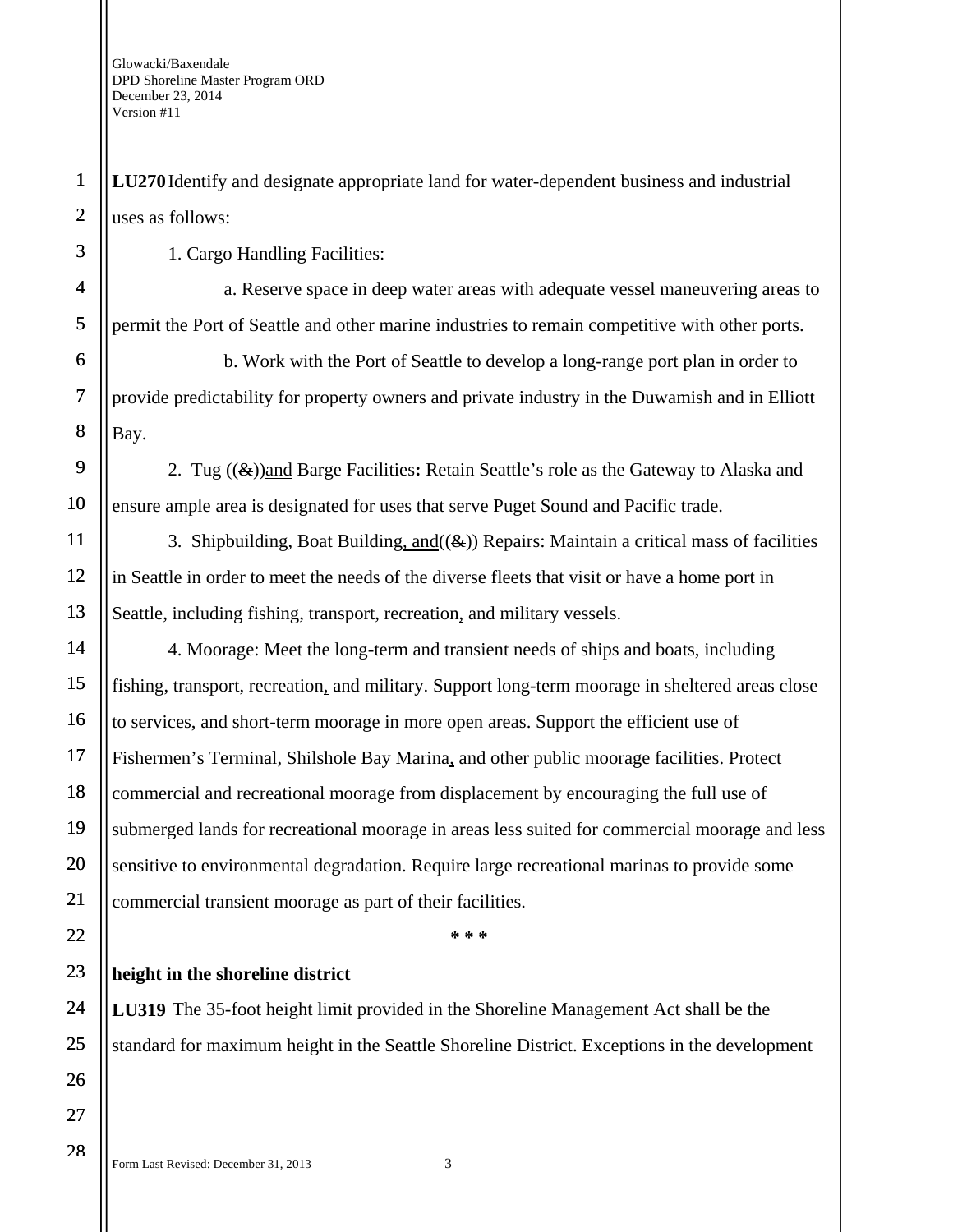**LU270** Identify and designate appropriate land for water-dependent business and industrial uses as follows:

1. Cargo Handling Facilities:

a. Reserve space in deep water areas with adequate vessel maneuvering areas to permit the Port of Seattle and other marine industries to remain competitive with other ports.

b. Work with the Port of Seattle to develop a long-range port plan in order to provide predictability for property owners and private industry in the Duwamish and in Elliott Bay.

2. Tug ((&))and Barge Facilities**:** Retain Seattle's role as the Gateway to Alaska and ensure ample area is designated for uses that serve Puget Sound and Pacific trade.

3. Shipbuilding, Boat Building, and  $(\mathcal{L})$  Repairs: Maintain a critical mass of facilities in Seattle in order to meet the needs of the diverse fleets that visit or have a home port in Seattle, including fishing, transport, recreation, and military vessels.

4. Moorage: Meet the long-term and transient needs of ships and boats, including fishing, transport, recreation, and military. Support long-term moorage in sheltered areas close to services, and short-term moorage in more open areas. Support the efficient use of Fishermen's Terminal, Shilshole Bay Marina, and other public moorage facilities. Protect commercial and recreational moorage from displacement by encouraging the full use of submerged lands for recreational moorage in areas less suited for commercial moorage and less sensitive to environmental degradation. Require large recreational marinas to provide some commercial transient moorage as part of their facilities.

**\* \* \*** 

## **height in the shoreline district**

**LU319** The 35-foot height limit provided in the Shoreline Management Act shall be the standard for maximum height in the Seattle Shoreline District. Exceptions in the development

1

2

3

4

5

6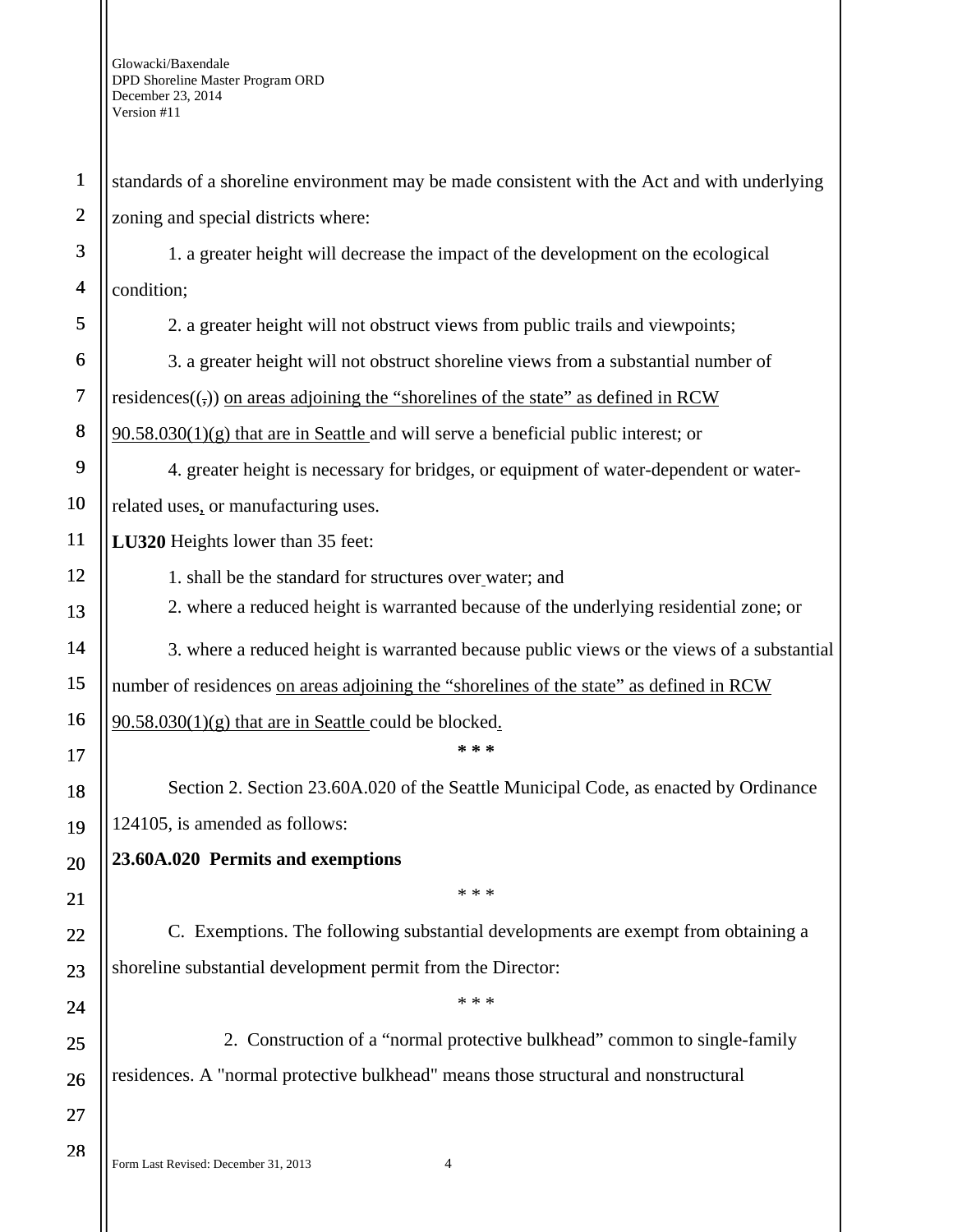Form Last Revised: December 31, 2013 4 1 2 3 4 5 6 7 8 9 10 11 12 13 14 15 16 17 18 19 20 21 22 23 24 25 26 27 28 standards of a shoreline environment may be made consistent with the Act and with underlying zoning and special districts where: 1. a greater height will decrease the impact of the development on the ecological condition; 2. a greater height will not obstruct views from public trails and viewpoints; 3. a greater height will not obstruct shoreline views from a substantial number of residences( $\epsilon$ ) on areas adjoining the "shorelines of the state" as defined in RCW  $90.58.030(1)(g)$  that are in Seattle and will serve a beneficial public interest; or 4. greater height is necessary for bridges, or equipment of water-dependent or waterrelated uses, or manufacturing uses. **LU320** Heights lower than 35 feet: 1. shall be the standard for structures over water; and 2. where a reduced height is warranted because of the underlying residential zone; or 3. where a reduced height is warranted because public views or the views of a substantial number of residences on areas adjoining the "shorelines of the state" as defined in RCW  $90.58.030(1)(g)$  that are in Seattle could be blocked. **\* \* \***  Section 2. Section 23.60A.020 of the Seattle Municipal Code, as enacted by Ordinance 124105, is amended as follows: **23.60A.020 Permits and exemptions**  \* \* \* C. Exemptions. The following substantial developments are exempt from obtaining a shoreline substantial development permit from the Director: \* \* \* 2. Construction of a "normal protective bulkhead" common to single-family residences. A "normal protective bulkhead" means those structural and nonstructural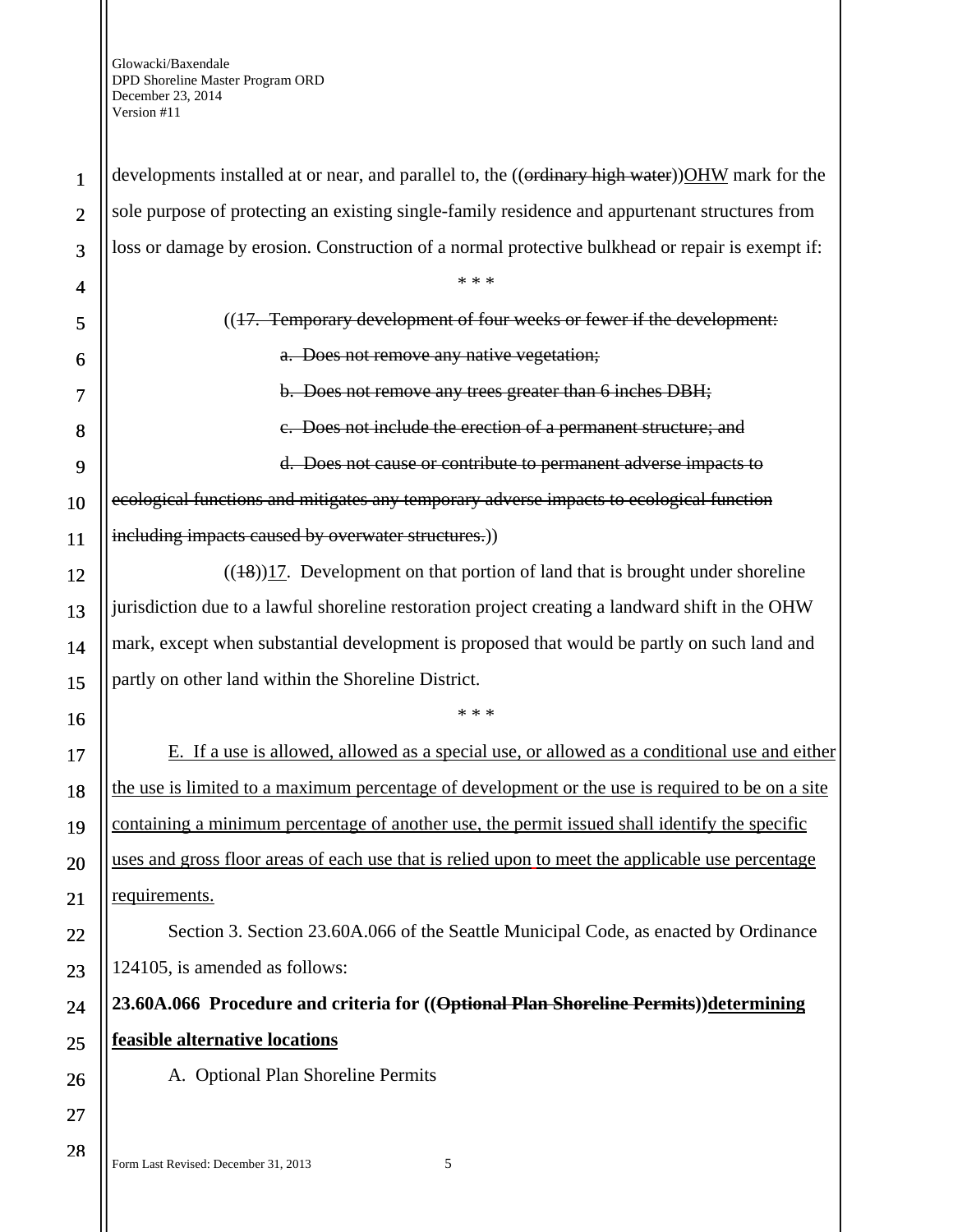1 2 3 4 5 6 7 8 9 10 11 12 13 14 15 16 17 18 19 20 21 22 23 24 25 26 27 28 developments installed at or near, and parallel to, the ((ordinary high water)) OHW mark for the sole purpose of protecting an existing single-family residence and appurtenant structures from loss or damage by erosion. Construction of a normal protective bulkhead or repair is exempt if: \* \* \* ((17. Temporary development of four weeks or fewer if the development: a. Does not remove any native vegetation; b. Does not remove any trees greater than 6 inches DBH; c. Does not include the erection of a permanent structure; and d. Does not cause or contribute to permanent adverse impacts to ecological functions and mitigates any temporary adverse impacts to ecological function including impacts caused by overwater structures.)  $((18))17$ . Development on that portion of land that is brought under shoreline jurisdiction due to a lawful shoreline restoration project creating a landward shift in the OHW mark, except when substantial development is proposed that would be partly on such land and partly on other land within the Shoreline District. \* \* \* E. If a use is allowed, allowed as a special use, or allowed as a conditional use and either the use is limited to a maximum percentage of development or the use is required to be on a site containing a minimum percentage of another use, the permit issued shall identify the specific uses and gross floor areas of each use that is relied upon to meet the applicable use percentage requirements. Section 3. Section 23.60A.066 of the Seattle Municipal Code, as enacted by Ordinance 124105, is amended as follows: **23.60A.066 Procedure and criteria for ((Optional Plan Shoreline Permits))determining feasible alternative locations**  A. Optional Plan Shoreline Permits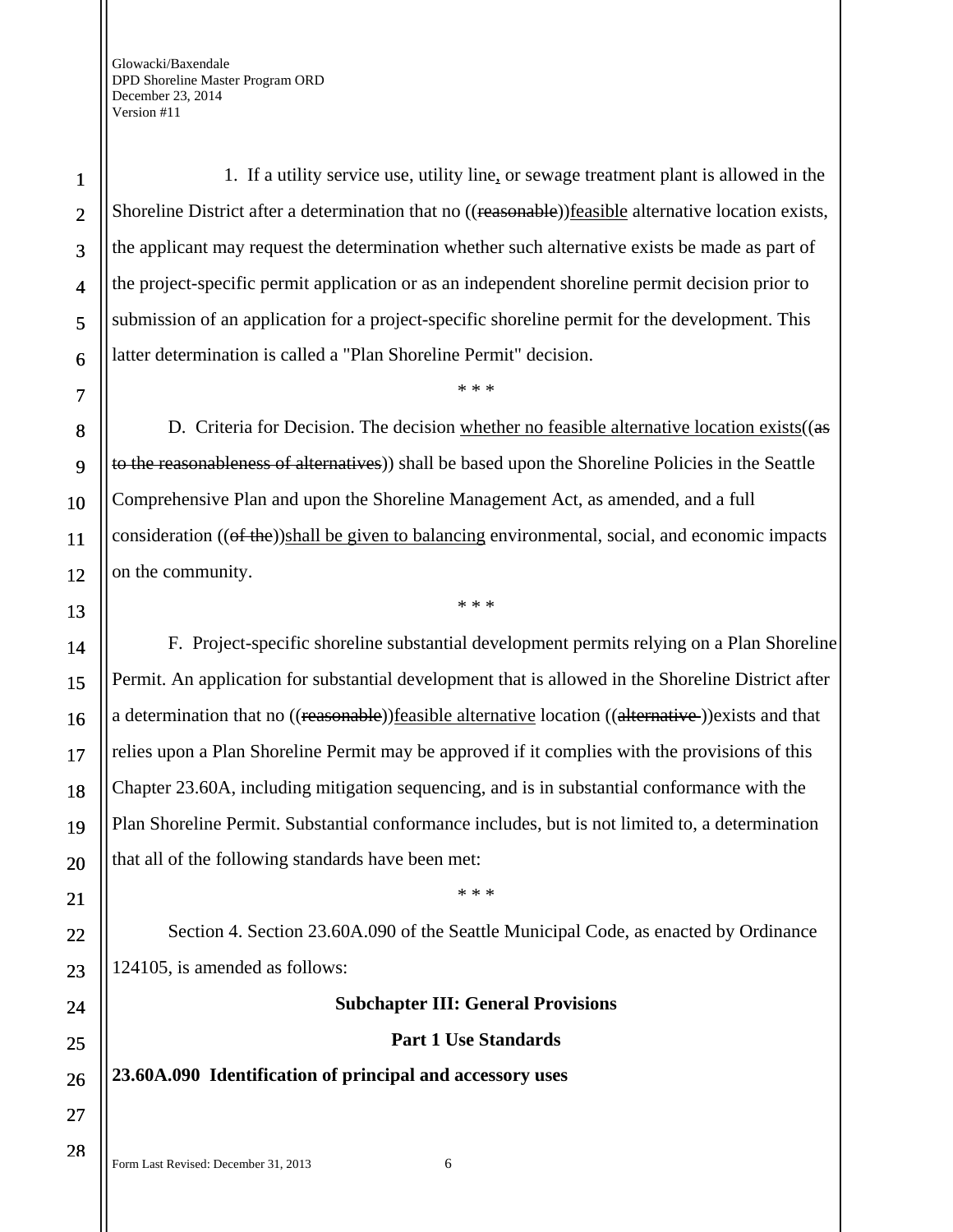1. If a utility service use, utility line, or sewage treatment plant is allowed in the Shoreline District after a determination that no ((reasonable))feasible alternative location exists, the applicant may request the determination whether such alternative exists be made as part of the project-specific permit application or as an independent shoreline permit decision prior to submission of an application for a project-specific shoreline permit for the development. This latter determination is called a "Plan Shoreline Permit" decision.

D. Criteria for Decision. The decision whether no feasible alternative location exists( $(a\mathbf{s})$ to the reasonableness of alternatives)) shall be based upon the Shoreline Policies in the Seattle Comprehensive Plan and upon the Shoreline Management Act, as amended, and a full consideration (( $\theta$ f the))shall be given to balancing environmental, social, and economic impacts on the community.

\* \* \*

\* \* \*

F. Project-specific shoreline substantial development permits relying on a Plan Shoreline Permit. An application for substantial development that is allowed in the Shoreline District after a determination that no ((reasonable))feasible alternative location ((alternative))exists and that relies upon a Plan Shoreline Permit may be approved if it complies with the provisions of this Chapter 23.60A, including mitigation sequencing, and is in substantial conformance with the Plan Shoreline Permit. Substantial conformance includes, but is not limited to, a determination that all of the following standards have been met:

Section 4. Section 23.60A.090 of the Seattle Municipal Code, as enacted by Ordinance 124105, is amended as follows:

\* \* \*

**Subchapter III: General Provisions**

#### **Part 1 Use Standards**

**23.60A.090 Identification of principal and accessory uses** 

1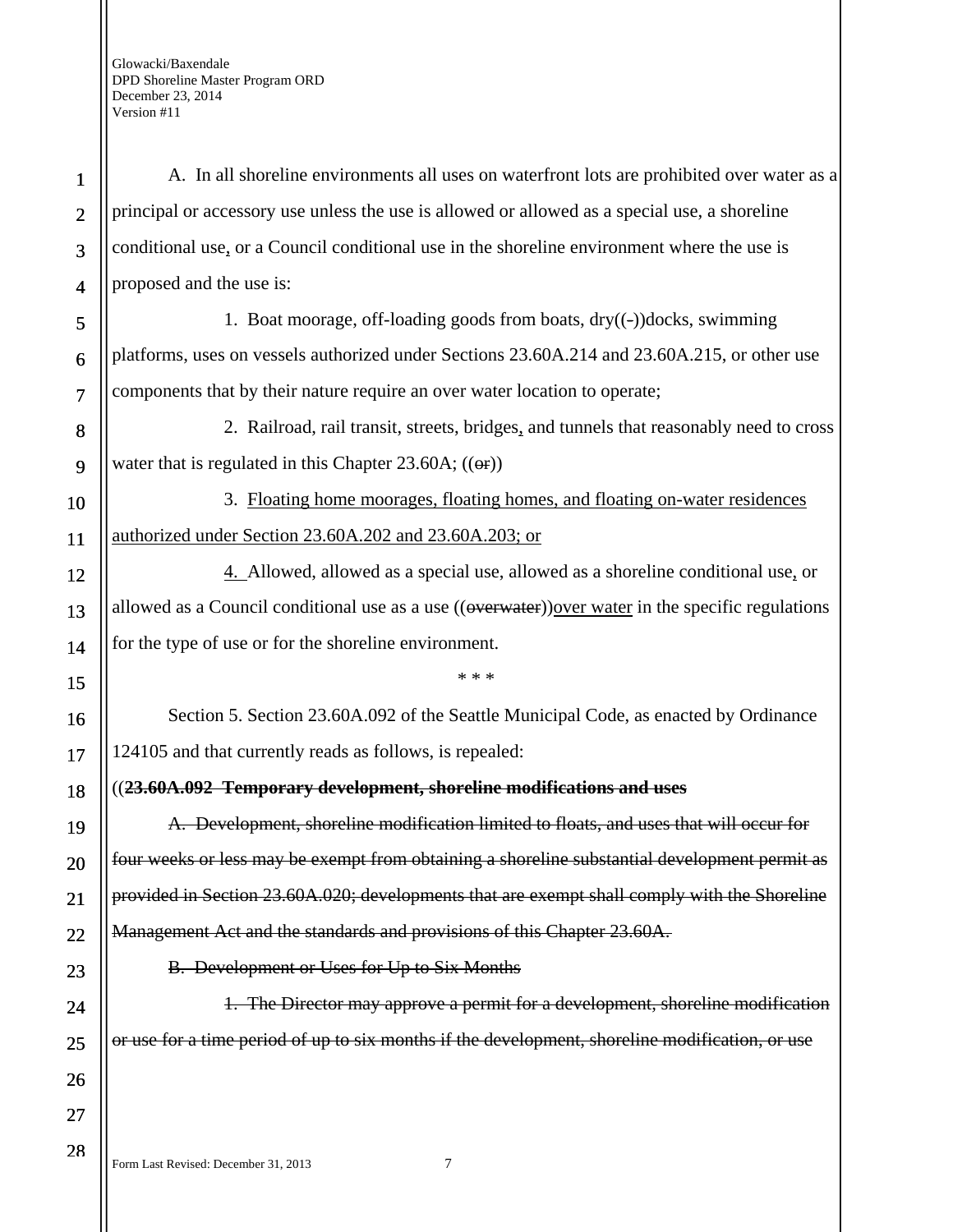1 2 3 4 5 6 7 8 9 10 11 12 13 14 15 16 17 18 19 20 21 22 23 24 25 26 27 28 A. In all shoreline environments all uses on waterfront lots are prohibited over water as a principal or accessory use unless the use is allowed or allowed as a special use, a shoreline conditional use, or a Council conditional use in the shoreline environment where the use is proposed and the use is: 1. Boat moorage, off-loading goods from boats, dry((-))docks, swimming platforms, uses on vessels authorized under Sections 23.60A.214 and 23.60A.215, or other use components that by their nature require an over water location to operate; 2. Railroad, rail transit, streets, bridges, and tunnels that reasonably need to cross water that is regulated in this Chapter 23.60A;  $((\Theta$ **r**)) 3. Floating home moorages, floating homes, and floating on-water residences authorized under Section 23.60A.202 and 23.60A.203; or 4. Allowed, allowed as a special use, allowed as a shoreline conditional use, or allowed as a Council conditional use as a use  $((\overline{\text{overwater}}))$  over water in the specific regulations for the type of use or for the shoreline environment. \* \* \* Section 5. Section 23.60A.092 of the Seattle Municipal Code, as enacted by Ordinance 124105 and that currently reads as follows, is repealed: ((**23.60A.092 Temporary development, shoreline modifications and uses**  A. Development, shoreline modification limited to floats, and uses that will occur for four weeks or less may be exempt from obtaining a shoreline substantial development permit as provided in Section 23.60A.020; developments that are exempt shall comply with the Shoreline Management Act and the standards and provisions of this Chapter 23.60A. B. Development or Uses for Up to Six Months 1. The Director may approve a permit for a development, shoreline modification or use for a time period of up to six months if the development, shoreline modification, or use

Form Last Revised: December 31, 2013 7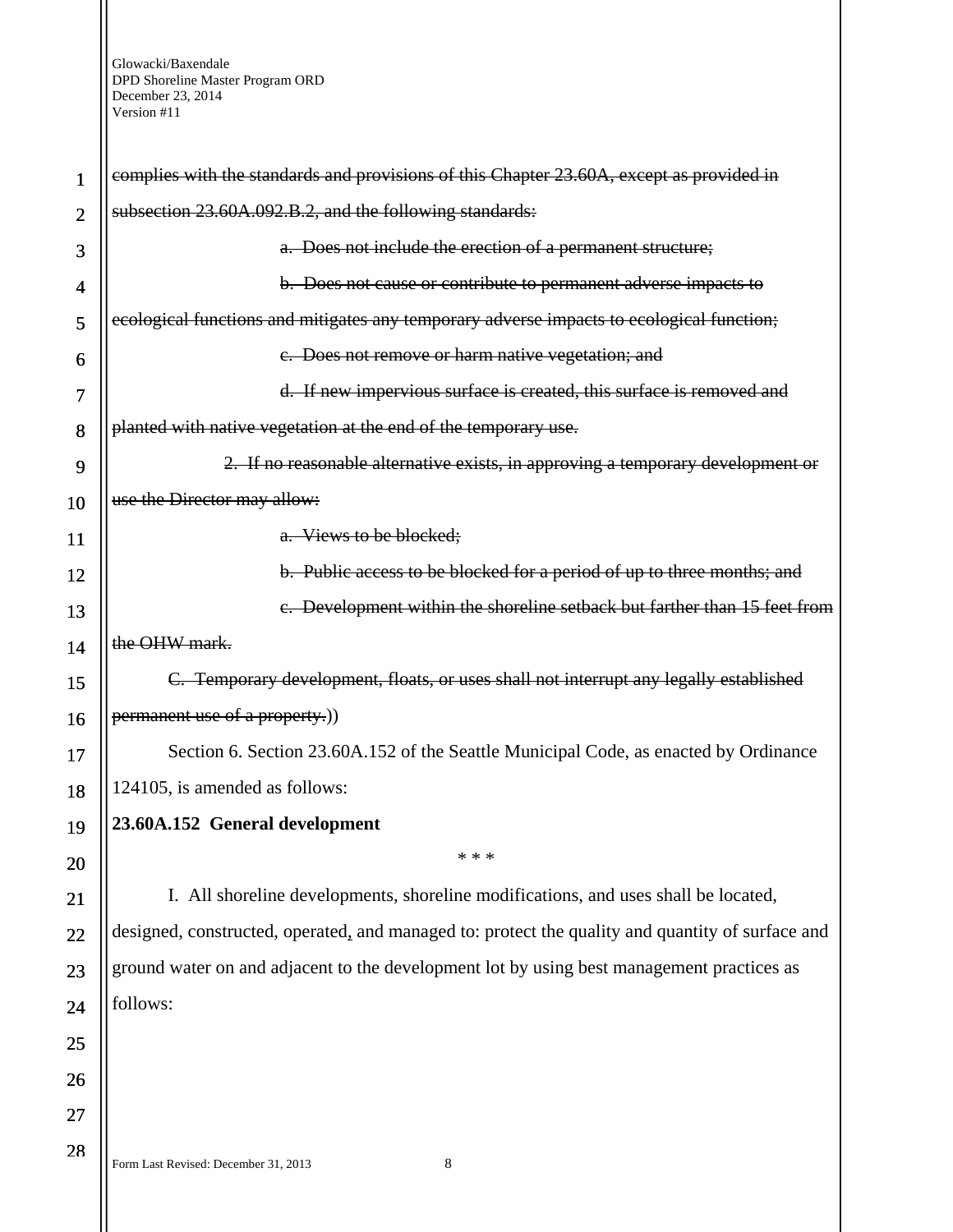| 1              | complies with the standards and provisions of this Chapter 23.60A, except as provided in         |
|----------------|--------------------------------------------------------------------------------------------------|
| $\overline{2}$ | subsection 23.60A.092.B.2, and the following standards:                                          |
| 3              | a. Does not include the erection of a permanent structure;                                       |
| 4              | b. Does not cause or contribute to permanent adverse impacts to                                  |
| 5              | ecological functions and mitigates any temporary adverse impacts to ecological function;         |
| 6              | e. Does not remove or harm native vegetation; and                                                |
| 7              | d. If new impervious surface is created, this surface is removed and                             |
| 8              | planted with native vegetation at the end of the temporary use.                                  |
| 9              | 2. If no reasonable alternative exists, in approving a temporary development or                  |
| 10             | use the Director may allow:                                                                      |
| 11             | a. Views to be blocked;                                                                          |
| 12             | b. Public access to be blocked for a period of up to three months; and                           |
| 13             | e. Development within the shoreline setback but farther than 15 feet from                        |
| 14             | the OHW mark.                                                                                    |
| 15             | C. Temporary development, floats, or uses shall not interrupt any legally established            |
| 16             | permanent use of a property.)                                                                    |
| 17             | Section 6. Section 23.60A.152 of the Seattle Municipal Code, as enacted by Ordinance             |
| 18             | 124105, is amended as follows:                                                                   |
| 19             | 23.60A.152 General development                                                                   |
| 20             | * * *                                                                                            |
| 21             | I. All shoreline developments, shoreline modifications, and uses shall be located,               |
| 22             | designed, constructed, operated, and managed to: protect the quality and quantity of surface and |
| 23             | ground water on and adjacent to the development lot by using best management practices as        |
| 24             | follows:                                                                                         |
| 25             |                                                                                                  |
| 26             |                                                                                                  |
| 27             |                                                                                                  |
| 28             | Form Last Revised: December 31, 2013<br>8                                                        |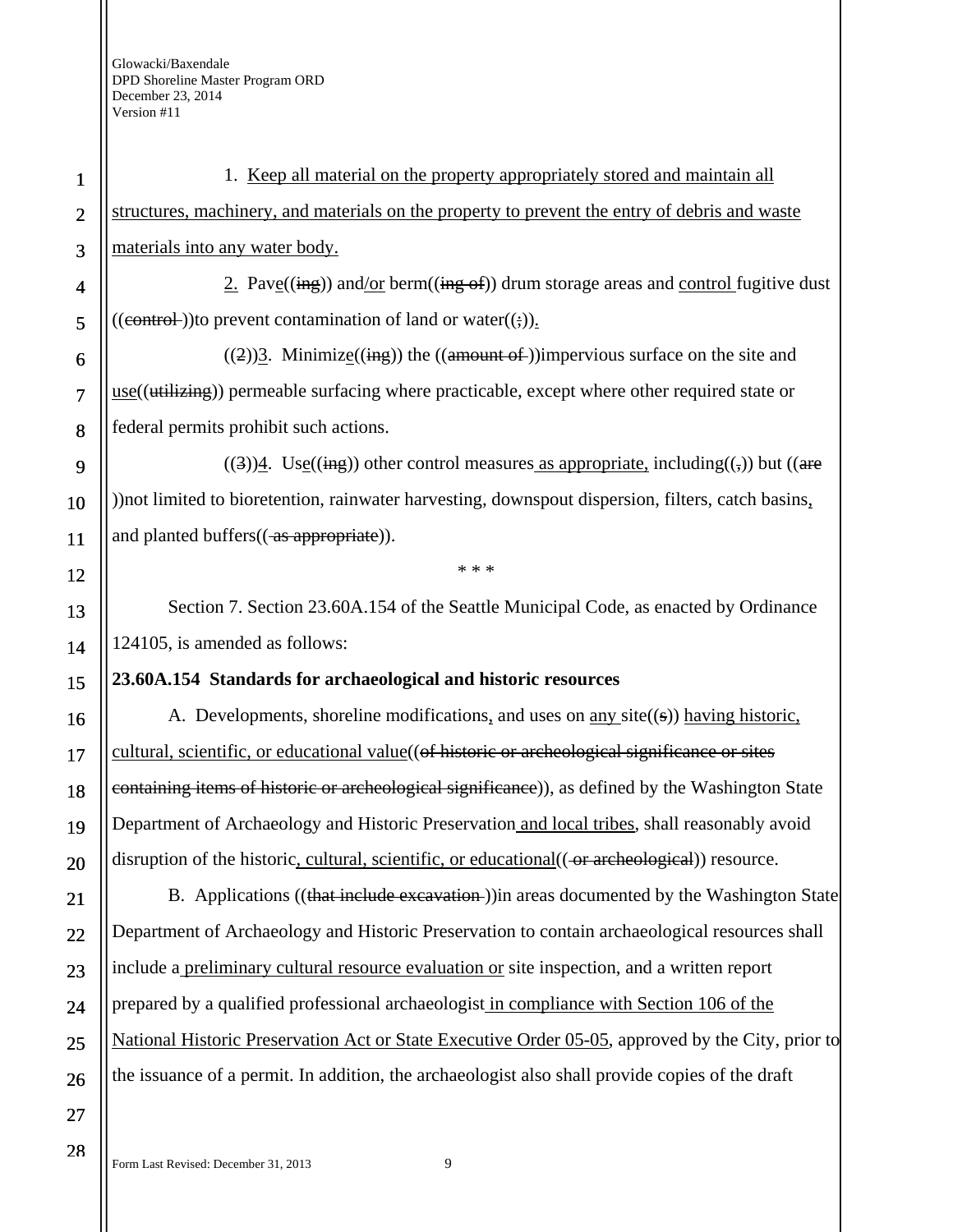| $\mathbf{1}$   | 1. Keep all material on the property appropriately stored and maintain all                            |
|----------------|-------------------------------------------------------------------------------------------------------|
| $\mathbf{2}$   | structures, machinery, and materials on the property to prevent the entry of debris and waste         |
| 3              | materials into any water body.                                                                        |
| 4              | 2. Pave $((\text{ing}))$ and/or berm $((\text{ing of}))$ drum storage areas and control fugitive dust |
| 5              | $((\text{control-}))$ to prevent contamination of land or water $((\cdot))_1$ .                       |
| 6              | $((2))$ <sup>2</sup> . Minimize((ing)) the ((amount of ))impervious surface on the site and           |
| $\overline{7}$ | $use((\text{utilizing}))$ permeable surfacing where practicable, except where other required state or |
| 8              | federal permits prohibit such actions.                                                                |
| 9              | $((3))$ <u>4</u> . Use((ing)) other control measures as appropriate, including((,)) but ((are         |
| 10             | )) not limited to bioretention, rainwater harvesting, downspout dispersion, filters, catch basins,    |
| 11             | and planted buffers((as appropriate)).                                                                |
| 12             | * * *                                                                                                 |
| 13             | Section 7. Section 23.60A.154 of the Seattle Municipal Code, as enacted by Ordinance                  |
| 14             | 124105, is amended as follows:                                                                        |
| 15             | 23.60A.154 Standards for archaeological and historic resources                                        |
| 16             | A. Developments, shoreline modifications, and uses on <u>any</u> site $((s))$ having historic,        |
| 17             | cultural, scientific, or educational value((of historic or archeological significance or sites        |
| 18             | containing items of historic or archeological significance)), as defined by the Washington State      |
| 19             | Department of Archaeology and Historic Preservation and local tribes, shall reasonably avoid          |
| 20             | disruption of the historic, cultural, scientific, or educational((-or archeological)) resource.       |
| 21             | B. Applications ((that include excavation-)) in areas documented by the Washington State              |
| 22             | Department of Archaeology and Historic Preservation to contain archaeological resources shall         |
| 23             | include a preliminary cultural resource evaluation or site inspection, and a written report           |
| 24             | prepared by a qualified professional archaeologist in compliance with Section 106 of the              |
| 25             | National Historic Preservation Act or State Executive Order 05-05, approved by the City, prior to     |
| 26             | the issuance of a permit. In addition, the archaeologist also shall provide copies of the draft       |
| 27             |                                                                                                       |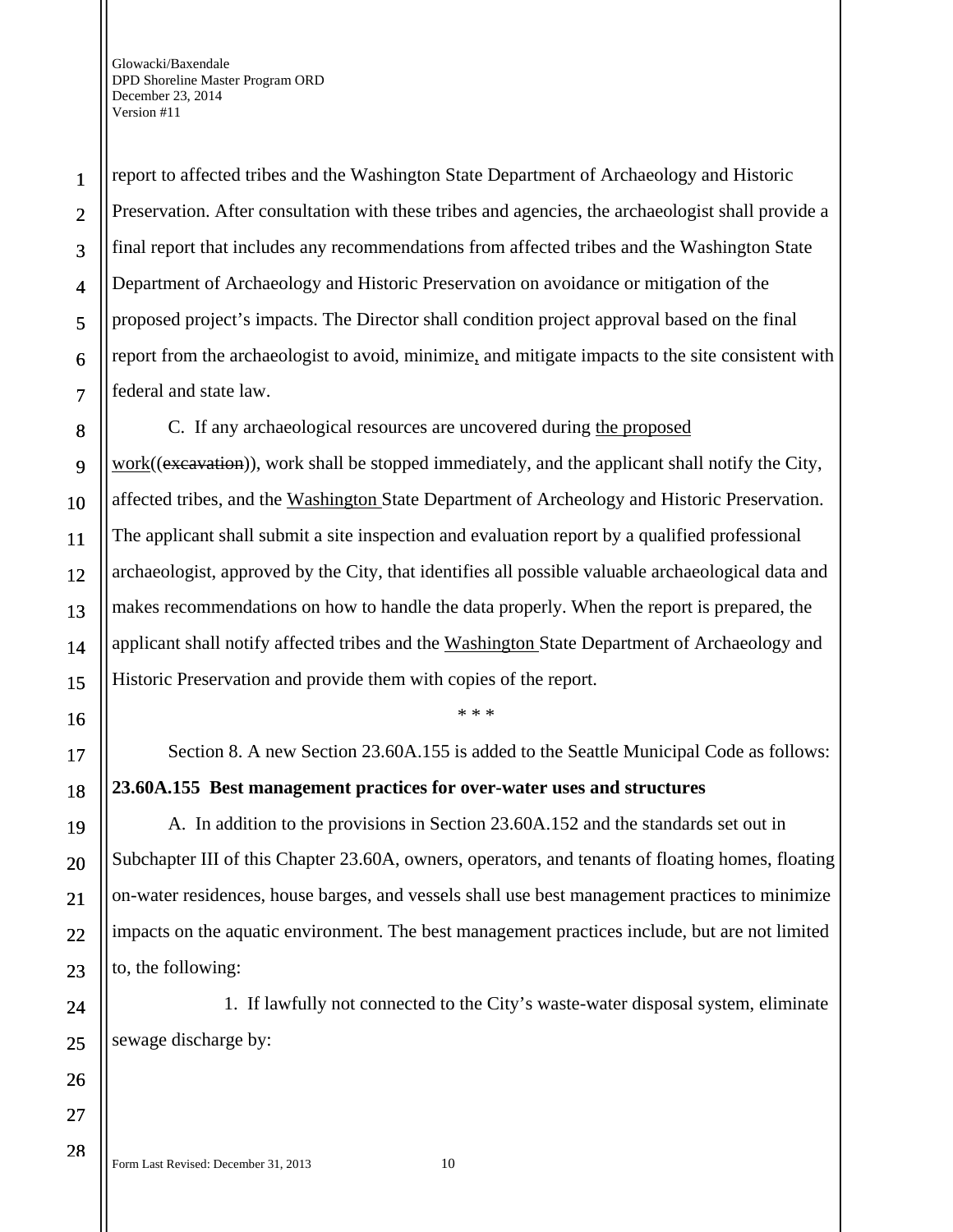report to affected tribes and the Washington State Department of Archaeology and Historic Preservation. After consultation with these tribes and agencies, the archaeologist shall provide a final report that includes any recommendations from affected tribes and the Washington State Department of Archaeology and Historic Preservation on avoidance or mitigation of the proposed project's impacts. The Director shall condition project approval based on the final report from the archaeologist to avoid, minimize, and mitigate impacts to the site consistent with federal and state law.

C. If any archaeological resources are uncovered during the proposed work((excavation)), work shall be stopped immediately, and the applicant shall notify the City, affected tribes, and the Washington State Department of Archeology and Historic Preservation. The applicant shall submit a site inspection and evaluation report by a qualified professional archaeologist, approved by the City, that identifies all possible valuable archaeological data and makes recommendations on how to handle the data properly. When the report is prepared, the applicant shall notify affected tribes and the Washington State Department of Archaeology and Historic Preservation and provide them with copies of the report.

\* \* \*

Section 8. A new Section 23.60A.155 is added to the Seattle Municipal Code as follows: **23.60A.155 Best management practices for over-water uses and structures** 

A. In addition to the provisions in Section 23.60A.152 and the standards set out in Subchapter III of this Chapter 23.60A, owners, operators, and tenants of floating homes, floating on-water residences, house barges, and vessels shall use best management practices to minimize impacts on the aquatic environment. The best management practices include, but are not limited to, the following:

1. If lawfully not connected to the City's waste-water disposal system, eliminate sewage discharge by:

Form Last Revised: December 31, 2013 10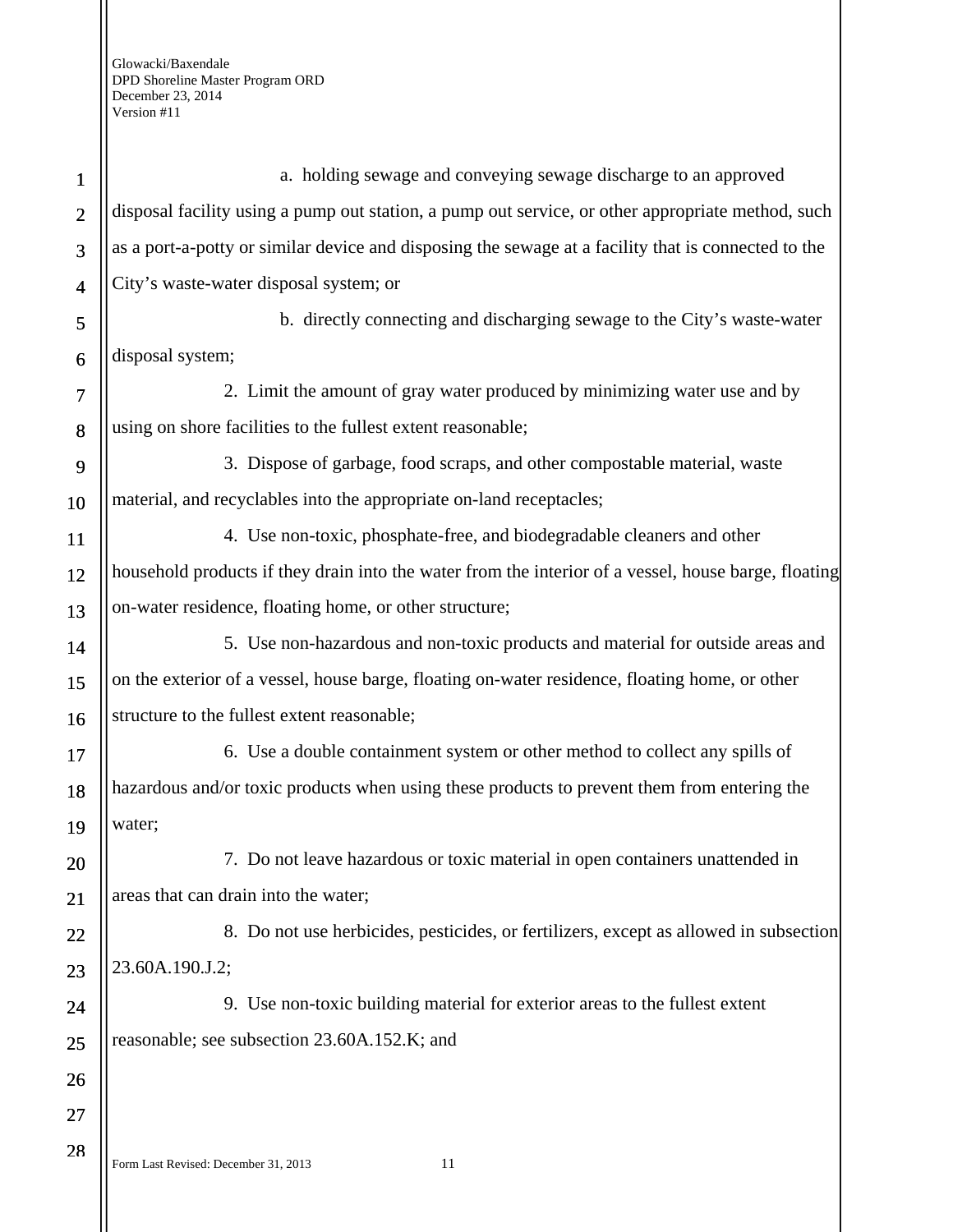| $\mathbf{1}$            | a. holding sewage and conveying sewage discharge to an approved                                      |
|-------------------------|------------------------------------------------------------------------------------------------------|
| $\overline{2}$          | disposal facility using a pump out station, a pump out service, or other appropriate method, such    |
| 3                       | as a port-a-potty or similar device and disposing the sewage at a facility that is connected to the  |
| $\overline{\mathbf{4}}$ | City's waste-water disposal system; or                                                               |
| 5                       | b. directly connecting and discharging sewage to the City's waste-water                              |
| 6                       | disposal system;                                                                                     |
| 7                       | 2. Limit the amount of gray water produced by minimizing water use and by                            |
| 8                       | using on shore facilities to the fullest extent reasonable;                                          |
| 9                       | 3. Dispose of garbage, food scraps, and other compostable material, waste                            |
| 10                      | material, and recyclables into the appropriate on-land receptacles;                                  |
| 11                      | 4. Use non-toxic, phosphate-free, and biodegradable cleaners and other                               |
| 12                      | household products if they drain into the water from the interior of a vessel, house barge, floating |
| 13                      | on-water residence, floating home, or other structure;                                               |
| 14                      | 5. Use non-hazardous and non-toxic products and material for outside areas and                       |
| 15                      | on the exterior of a vessel, house barge, floating on-water residence, floating home, or other       |
| 16                      | structure to the fullest extent reasonable;                                                          |
| 17                      | 6. Use a double containment system or other method to collect any spills of                          |
| 18                      | hazardous and/or toxic products when using these products to prevent them from entering the          |
| 19                      | water;                                                                                               |
| 20                      | 7. Do not leave hazardous or toxic material in open containers unattended in                         |
| 21                      | areas that can drain into the water;                                                                 |
| 22                      | 8. Do not use herbicides, pesticides, or fertilizers, except as allowed in subsection                |
| 23                      | 23.60A.190.J.2;                                                                                      |
| 24                      | 9. Use non-toxic building material for exterior areas to the fullest extent                          |
| 25                      | reasonable; see subsection 23.60A.152.K; and                                                         |
| 26                      |                                                                                                      |
| 27                      |                                                                                                      |
| 28                      | Form Last Revised: December 31, 2013<br>11                                                           |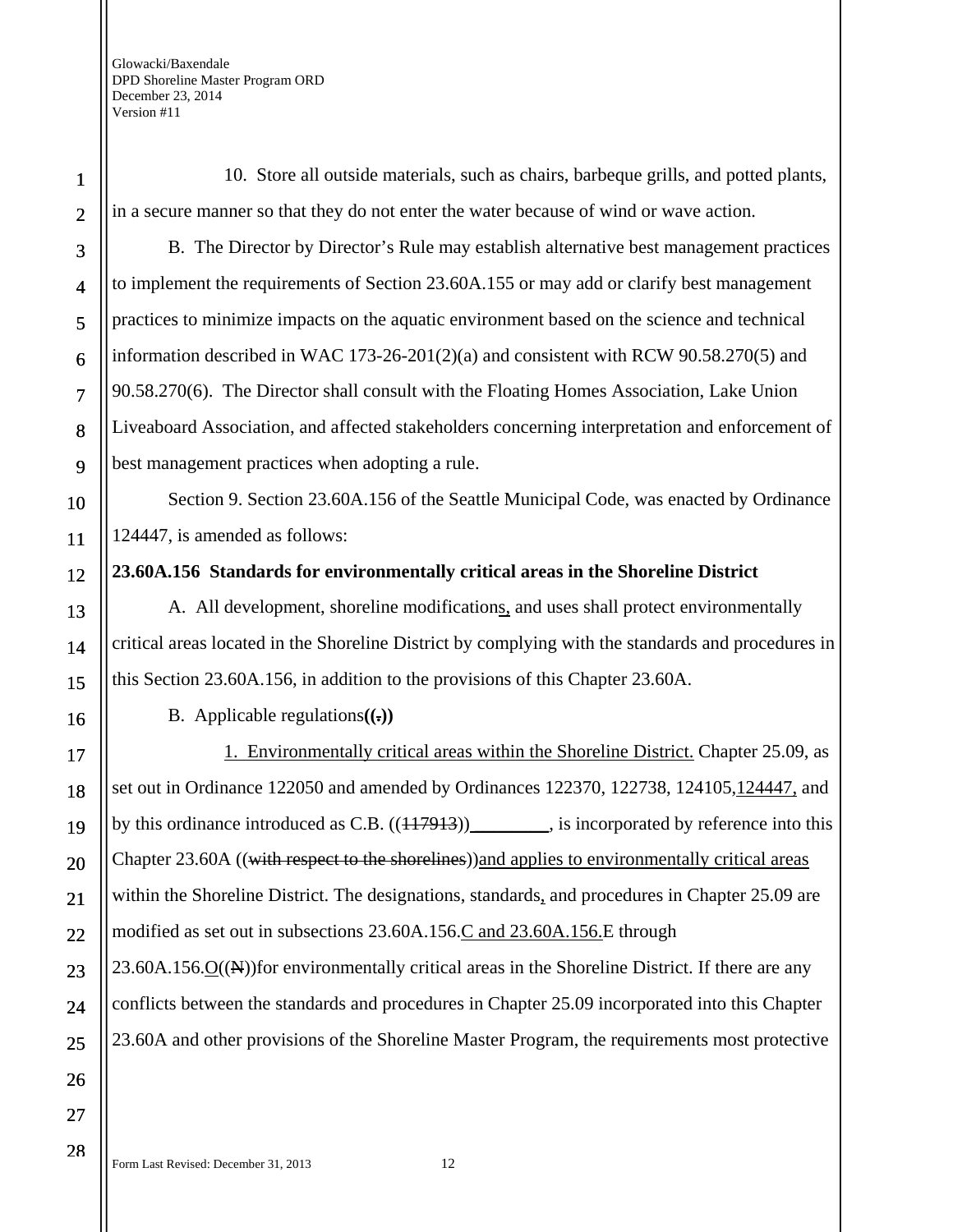10. Store all outside materials, such as chairs, barbeque grills, and potted plants, in a secure manner so that they do not enter the water because of wind or wave action.

B. The Director by Director's Rule may establish alternative best management practices to implement the requirements of Section 23.60A.155 or may add or clarify best management practices to minimize impacts on the aquatic environment based on the science and technical information described in WAC  $173-26-201(2)(a)$  and consistent with RCW 90.58.270(5) and 90.58.270(6). The Director shall consult with the Floating Homes Association, Lake Union Liveaboard Association, and affected stakeholders concerning interpretation and enforcement of best management practices when adopting a rule.

Section 9. Section 23.60A.156 of the Seattle Municipal Code, was enacted by Ordinance 124447, is amended as follows:

#### **23.60A.156 Standards for environmentally critical areas in the Shoreline District**

A. All development, shoreline modifications, and uses shall protect environmentally critical areas located in the Shoreline District by complying with the standards and procedures in this Section 23.60A.156, in addition to the provisions of this Chapter 23.60A.

B. Applicable regulations**((.))**

1. Environmentally critical areas within the Shoreline District. Chapter 25.09, as set out in Ordinance 122050 and amended by Ordinances 122370, 122738, 124105,124447, and by this ordinance introduced as C.B.  $((117913))$  is incorporated by reference into this Chapter 23.60A ((with respect to the shorelines)) and applies to environmentally critical areas within the Shoreline District. The designations, standards, and procedures in Chapter 25.09 are modified as set out in subsections 23.60A.156.C and 23.60A.156.E through 23.60A.156.O((N))for environmentally critical areas in the Shoreline District. If there are any conflicts between the standards and procedures in Chapter 25.09 incorporated into this Chapter 23.60A and other provisions of the Shoreline Master Program, the requirements most protective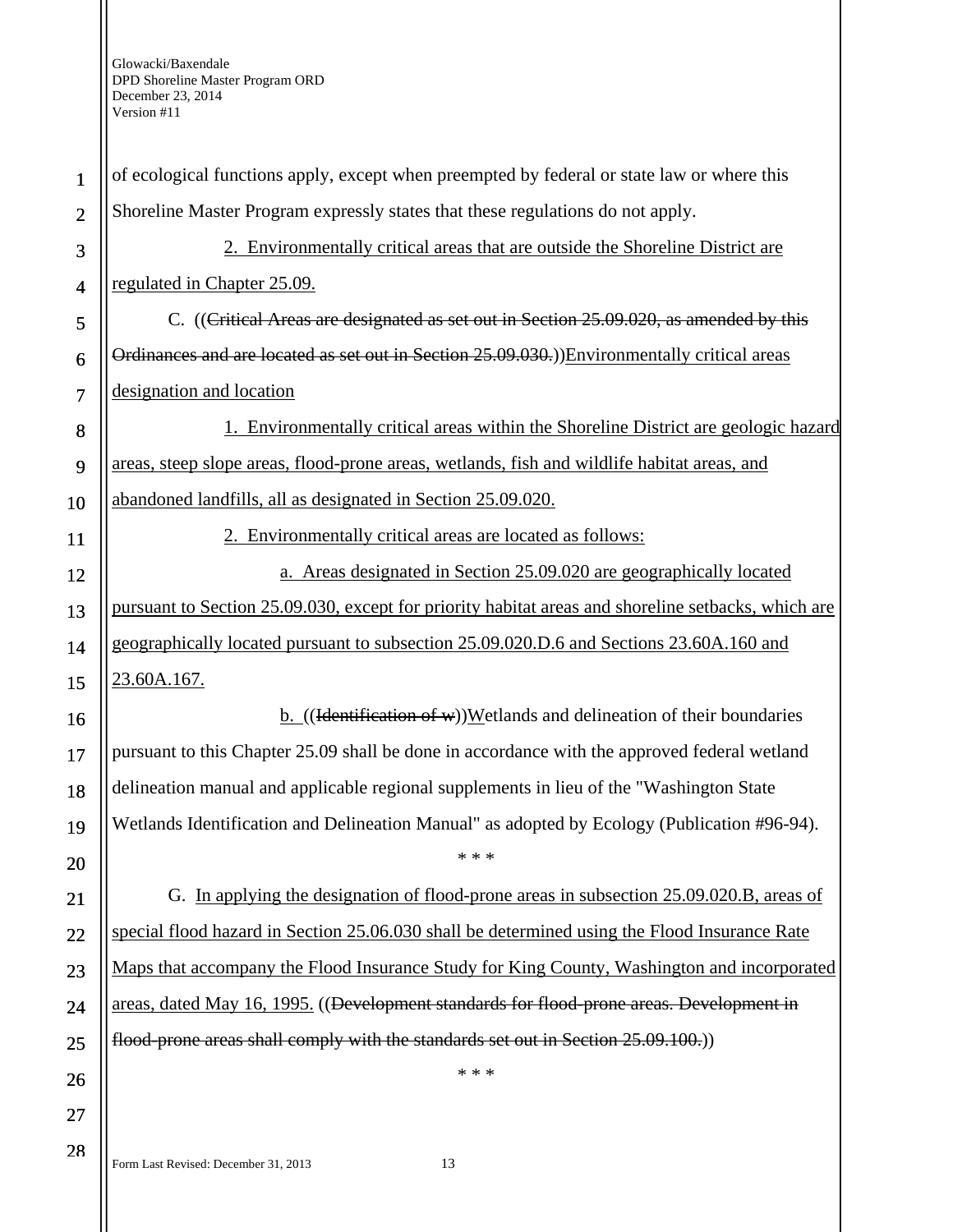| $\mathbf{1}$   | of ecological functions apply, except when preempted by federal or state law or where this         |
|----------------|----------------------------------------------------------------------------------------------------|
| $\overline{2}$ | Shoreline Master Program expressly states that these regulations do not apply.                     |
| 3              | 2. Environmentally critical areas that are outside the Shoreline District are                      |
| 4              | regulated in Chapter 25.09.                                                                        |
| 5              | C. ((Critical Areas are designated as set out in Section 25.09.020, as amended by this             |
| 6              | Ordinances and are located as set out in Section 25.09.030.)) Environmentally critical areas       |
| 7              | designation and location                                                                           |
| 8              | 1. Environmentally critical areas within the Shoreline District are geologic hazard                |
| 9              | areas, steep slope areas, flood-prone areas, wetlands, fish and wildlife habitat areas, and        |
| 10             | abandoned landfills, all as designated in Section 25.09.020.                                       |
| 11             | 2. Environmentally critical areas are located as follows:                                          |
| 12             | a. Areas designated in Section 25.09.020 are geographically located                                |
| 13             | pursuant to Section 25.09.030, except for priority habitat areas and shoreline setbacks, which are |
| 14             | geographically located pursuant to subsection 25.09.020.D.6 and Sections 23.60A.160 and            |
| 15             | 23.60A.167.                                                                                        |
| 16             | $\underline{b}$ . ((Hentification of w))Wetlands and delineation of their boundaries               |
| 17             | pursuant to this Chapter 25.09 shall be done in accordance with the approved federal wetland       |
| 18             | delineation manual and applicable regional supplements in lieu of the "Washington State            |
| 19             | Wetlands Identification and Delineation Manual" as adopted by Ecology (Publication #96-94).        |
| 20             | * * *                                                                                              |
| 21             | G. In applying the designation of flood-prone areas in subsection 25.09.020.B, areas of            |
| 22             | special flood hazard in Section 25.06.030 shall be determined using the Flood Insurance Rate       |
| 23             | Maps that accompany the Flood Insurance Study for King County, Washington and incorporated         |
| 24             | areas, dated May 16, 1995. ((Development standards for flood-prone areas. Development in           |
| 25             | flood-prone areas shall comply with the standards set out in Section 25.09.100.)                   |
| 26             | * * *                                                                                              |
| 27             |                                                                                                    |
| 28             | Form Last Revised: December 31, 2013<br>13                                                         |
|                |                                                                                                    |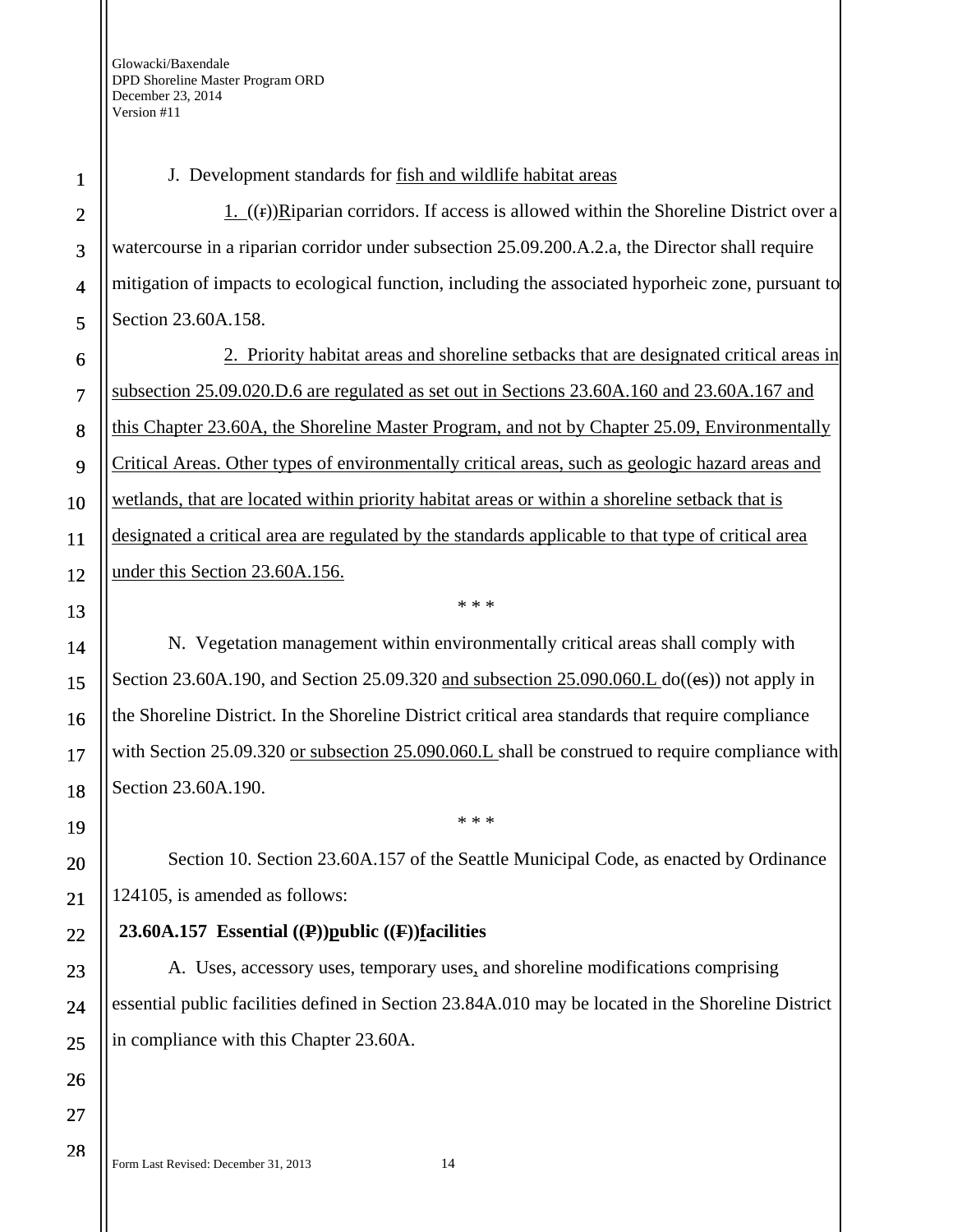J. Development standards for fish and wildlife habitat areas

1.  $((f))$ Riparian corridors. If access is allowed within the Shoreline District over a watercourse in a riparian corridor under subsection 25.09.200.A.2.a, the Director shall require mitigation of impacts to ecological function, including the associated hyporheic zone, pursuant to Section 23.60A.158.

2. Priority habitat areas and shoreline setbacks that are designated critical areas in subsection 25.09.020.D.6 are regulated as set out in Sections 23.60A.160 and 23.60A.167 and this Chapter 23.60A, the Shoreline Master Program, and not by Chapter 25.09, Environmentally Critical Areas. Other types of environmentally critical areas, such as geologic hazard areas and wetlands, that are located within priority habitat areas or within a shoreline setback that is designated a critical area are regulated by the standards applicable to that type of critical area under this Section 23.60A.156.

N. Vegetation management within environmentally critical areas shall comply with Section 23.60A.190, and Section 25.09.320 and subsection 25.090.060. L  $do((es))$  not apply in the Shoreline District. In the Shoreline District critical area standards that require compliance with Section 25.09.320 or subsection 25.090.060.L shall be construed to require compliance with Section 23.60A.190.

\* \* \*

Section 10. Section 23.60A.157 of the Seattle Municipal Code, as enacted by Ordinance 124105, is amended as follows:

\* \* \*

## **23.60A.157 Essential ((P))public ((F))facilities**

A. Uses, accessory uses, temporary uses, and shoreline modifications comprising essential public facilities defined in Section 23.84A.010 may be located in the Shoreline District in compliance with this Chapter 23.60A.

Form Last Revised: December 31, 2013 14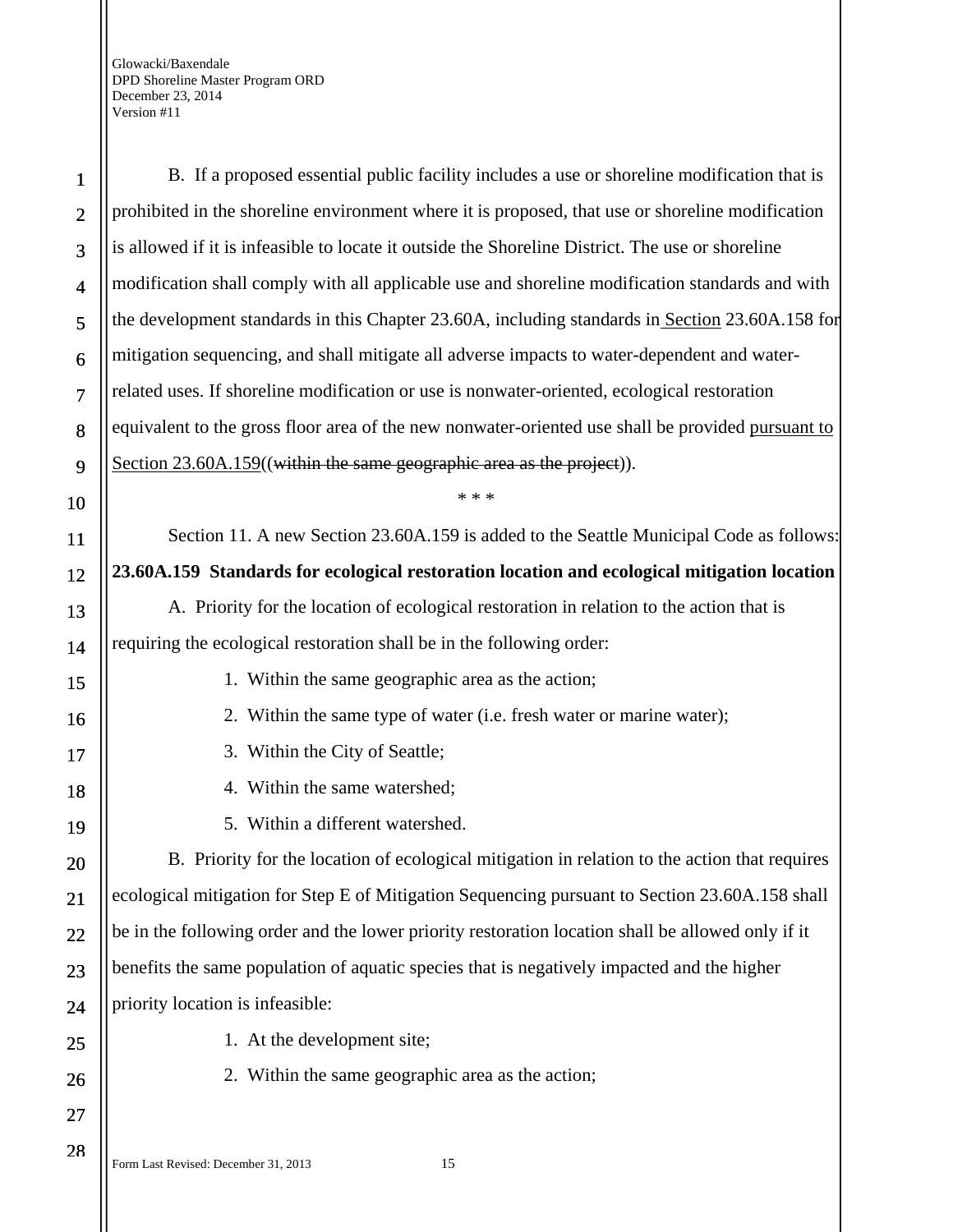| $\mathbf{1}$   | B. If a proposed essential public facility includes a use or shoreline modification that is       |
|----------------|---------------------------------------------------------------------------------------------------|
| $\overline{2}$ | prohibited in the shoreline environment where it is proposed, that use or shoreline modification  |
| 3              | is allowed if it is infeasible to locate it outside the Shoreline District. The use or shoreline  |
| 4              | modification shall comply with all applicable use and shoreline modification standards and with   |
| 5              | the development standards in this Chapter 23.60A, including standards in Section 23.60A.158 for   |
| 6              | mitigation sequencing, and shall mitigate all adverse impacts to water-dependent and water-       |
| $\overline{7}$ | related uses. If shoreline modification or use is nonwater-oriented, ecological restoration       |
| 8              | equivalent to the gross floor area of the new nonwater-oriented use shall be provided pursuant to |
| 9              | Section 23.60A.159((within the same geographic area as the project)).                             |
| 10             | * * *                                                                                             |
| <b>11</b>      | Section 11. A new Section 23.60A.159 is added to the Seattle Municipal Code as follows:           |
| 12             | 23.60A.159 Standards for ecological restoration location and ecological mitigation location       |
| 13             | A. Priority for the location of ecological restoration in relation to the action that is          |
| 14             | requiring the ecological restoration shall be in the following order:                             |
| 15             | 1. Within the same geographic area as the action;                                                 |
| 16             | 2. Within the same type of water (i.e. fresh water or marine water);                              |
| 17             | 3. Within the City of Seattle;                                                                    |
| 18             | 4. Within the same watershed;                                                                     |
| 19             | 5. Within a different watershed.                                                                  |
| 20             | B. Priority for the location of ecological mitigation in relation to the action that requires     |
| 21             | ecological mitigation for Step E of Mitigation Sequencing pursuant to Section 23.60A.158 shall    |
| 22             | be in the following order and the lower priority restoration location shall be allowed only if it |
| 23             | benefits the same population of aquatic species that is negatively impacted and the higher        |
| 24             | priority location is infeasible:                                                                  |
| 25             | 1. At the development site;                                                                       |
| 26             | 2. Within the same geographic area as the action;                                                 |
| 27             |                                                                                                   |
| 28             |                                                                                                   |

Form Last Revised: December 31, 2013 15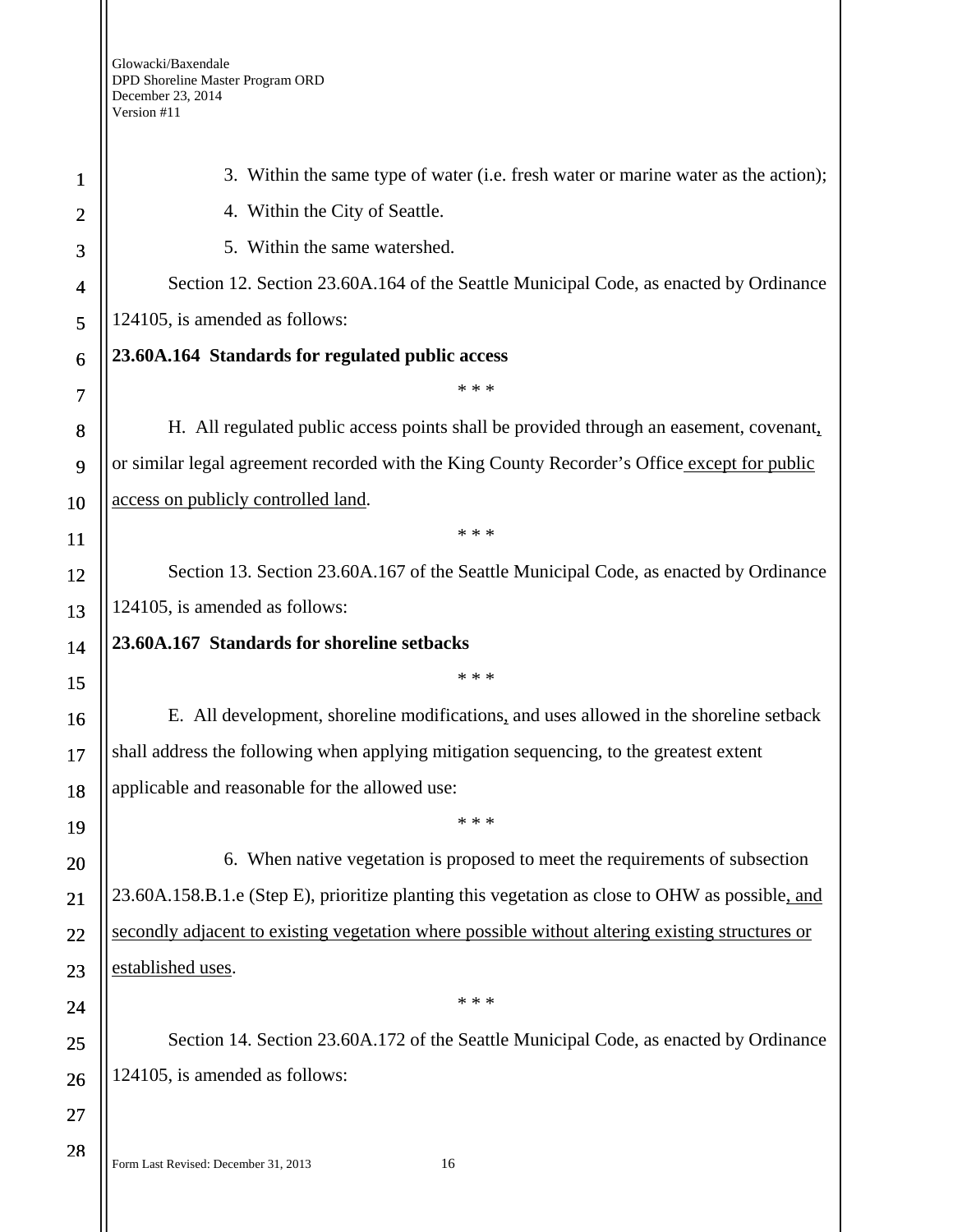| 1              | 3. Within the same type of water (i.e. fresh water or marine water as the action);              |
|----------------|-------------------------------------------------------------------------------------------------|
| $\overline{c}$ | 4. Within the City of Seattle.                                                                  |
| 3              | 5. Within the same watershed.                                                                   |
| 4              | Section 12. Section 23.60A.164 of the Seattle Municipal Code, as enacted by Ordinance           |
| 5              | 124105, is amended as follows:                                                                  |
| 6              | 23.60A.164 Standards for regulated public access                                                |
| 7              | * * *                                                                                           |
| 8              | H. All regulated public access points shall be provided through an easement, covenant,          |
| 9              | or similar legal agreement recorded with the King County Recorder's Office except for public    |
| 10             | access on publicly controlled land.                                                             |
| <b>11</b>      | * * *                                                                                           |
| 12             | Section 13. Section 23.60A.167 of the Seattle Municipal Code, as enacted by Ordinance           |
| 13             | 124105, is amended as follows:                                                                  |
| 14             | 23.60A.167 Standards for shoreline setbacks                                                     |
| 15             | * * *                                                                                           |
| 16             | E. All development, shoreline modifications, and uses allowed in the shoreline setback          |
| 17             | shall address the following when applying mitigation sequencing, to the greatest extent         |
| 18             | applicable and reasonable for the allowed use:                                                  |
| 19             | * * *                                                                                           |
| 20             | 6. When native vegetation is proposed to meet the requirements of subsection                    |
| 21             | 23.60A.158.B.1.e (Step E), prioritize planting this vegetation as close to OHW as possible, and |
| 22             | secondly adjacent to existing vegetation where possible without altering existing structures or |
| 23             | established uses.                                                                               |
| 24             | * * *                                                                                           |
| 25             | Section 14. Section 23.60A.172 of the Seattle Municipal Code, as enacted by Ordinance           |
| 26             | 124105, is amended as follows:                                                                  |
| 27             |                                                                                                 |
| 28             |                                                                                                 |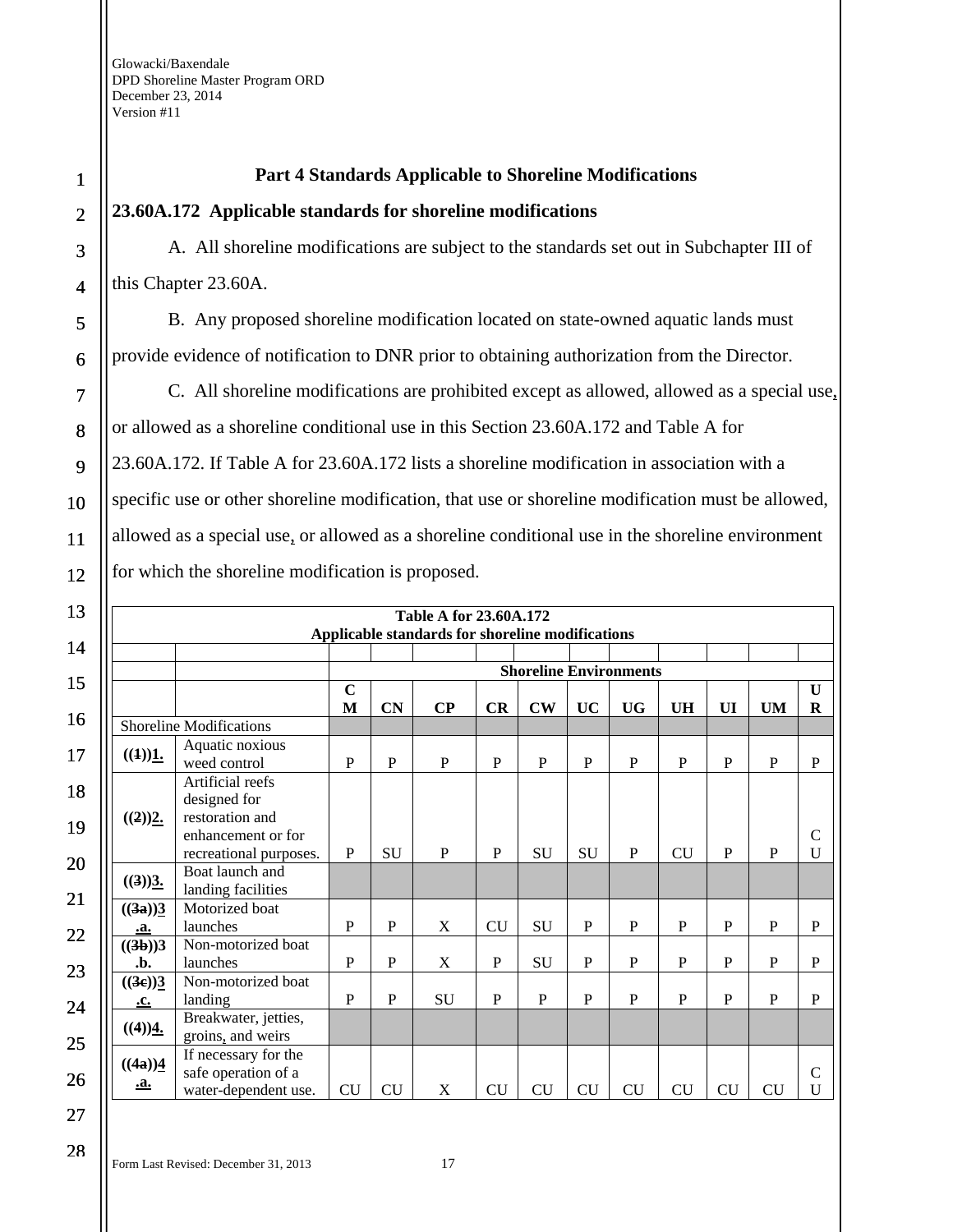### **Part 4 Standards Applicable to Shoreline Modifications**

#### **23.60A.172 Applicable standards for shoreline modifications**

A. All shoreline modifications are subject to the standards set out in Subchapter III of this Chapter 23.60A.

B. Any proposed shoreline modification located on state-owned aquatic lands must provide evidence of notification to DNR prior to obtaining authorization from the Director.

C. All shoreline modifications are prohibited except as allowed, allowed as a special use, or allowed as a shoreline conditional use in this Section 23.60A.172 and Table A for 23.60A.172. If Table A for 23.60A.172 lists a shoreline modification in association with a specific use or other shoreline modification, that use or shoreline modification must be allowed, allowed as a special use, or allowed as a shoreline conditional use in the shoreline environment for which the shoreline modification is proposed.

|                                     |                                                                                                     |                  |                | Table A for 23.60A.172<br>Applicable standards for shoreline modifications |              |               |              |                               |              |              |              |                    |
|-------------------------------------|-----------------------------------------------------------------------------------------------------|------------------|----------------|----------------------------------------------------------------------------|--------------|---------------|--------------|-------------------------------|--------------|--------------|--------------|--------------------|
|                                     |                                                                                                     |                  |                |                                                                            |              |               |              | <b>Shoreline Environments</b> |              |              |              |                    |
|                                     |                                                                                                     | $\mathbf C$<br>M | <b>CN</b>      | $\bf CP$                                                                   | CR           | $\mathbf{CW}$ | <b>UC</b>    | <b>UG</b>                     | <b>UH</b>    | UI           | <b>UM</b>    | U<br>$\mathbf R$   |
|                                     | <b>Shoreline Modifications</b>                                                                      |                  |                |                                                                            |              |               |              |                               |              |              |              |                    |
| ((1))1.                             | Aquatic noxious<br>weed control                                                                     | $\mathbf{P}$     | $\overline{P}$ | $\mathbf{P}$                                                               | P            | $\mathbf{P}$  | P            | $\mathbf{P}$                  | P            | P            | $\mathbf{P}$ | $\mathbf P$        |
| ((2))2.                             | Artificial reefs<br>designed for<br>restoration and<br>enhancement or for<br>recreational purposes. | P                | SU             | P                                                                          | $\mathbf{P}$ | SU            | SU           | $\mathbf{P}$                  | CU           | P            | P            | $\mathcal{C}$<br>U |
| $((3))\underline{3}$ .              | Boat launch and<br>landing facilities                                                               |                  |                |                                                                            |              |               |              |                               |              |              |              |                    |
| $((3a))\underline{3}$<br>.a.        | Motorized boat<br>launches                                                                          | $\mathbf{P}$     | $\mathbf P$    | X                                                                          | CU           | <b>SU</b>     | $\mathbf{P}$ | P                             | P            | P            | P            | P                  |
| ((3b))3<br>.b.                      | Non-motorized boat<br>launches                                                                      | $\mathbf{P}$     | $\mathbf{P}$   | X                                                                          | $\mathbf{P}$ | SU            | $\mathbf{P}$ | $\mathbf{P}$                  | $\mathbf{P}$ | $\mathbf{P}$ | $\mathbf{P}$ | $\mathbf{P}$       |
| $((3e))\underline{3}$<br>.c.        | Non-motorized boat<br>landing                                                                       | P                | P              | SU                                                                         | $\mathbf{P}$ | P             | P            | $\mathbf{P}$                  | P            | P            | P            | $\mathbf{P}$       |
| $((4))$ <sup>4</sup> .              | Breakwater, jetties,<br>groins, and weirs                                                           |                  |                |                                                                            |              |               |              |                               |              |              |              |                    |
| $((4a))\underline{4}$<br><u>.a.</u> | If necessary for the<br>safe operation of a<br>water-dependent use.                                 | <b>CU</b>        | <b>CU</b>      | X                                                                          | <b>CU</b>    | <b>CU</b>     | CU           | <b>CU</b>                     | <b>CU</b>    | CU           | <b>CU</b>    | $\mathsf{C}$<br>U  |

28

1

2

3

4

5

6

7

8

9

10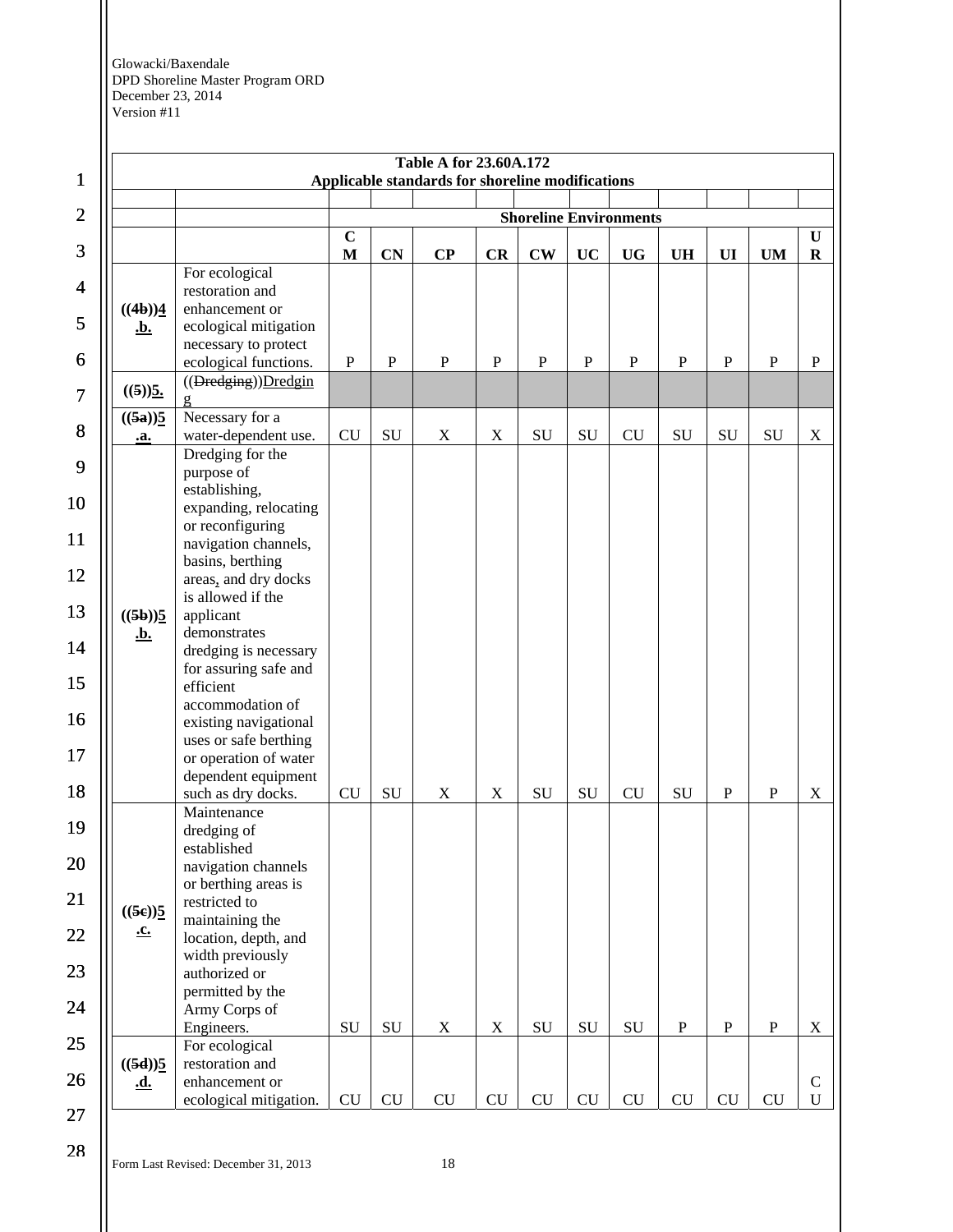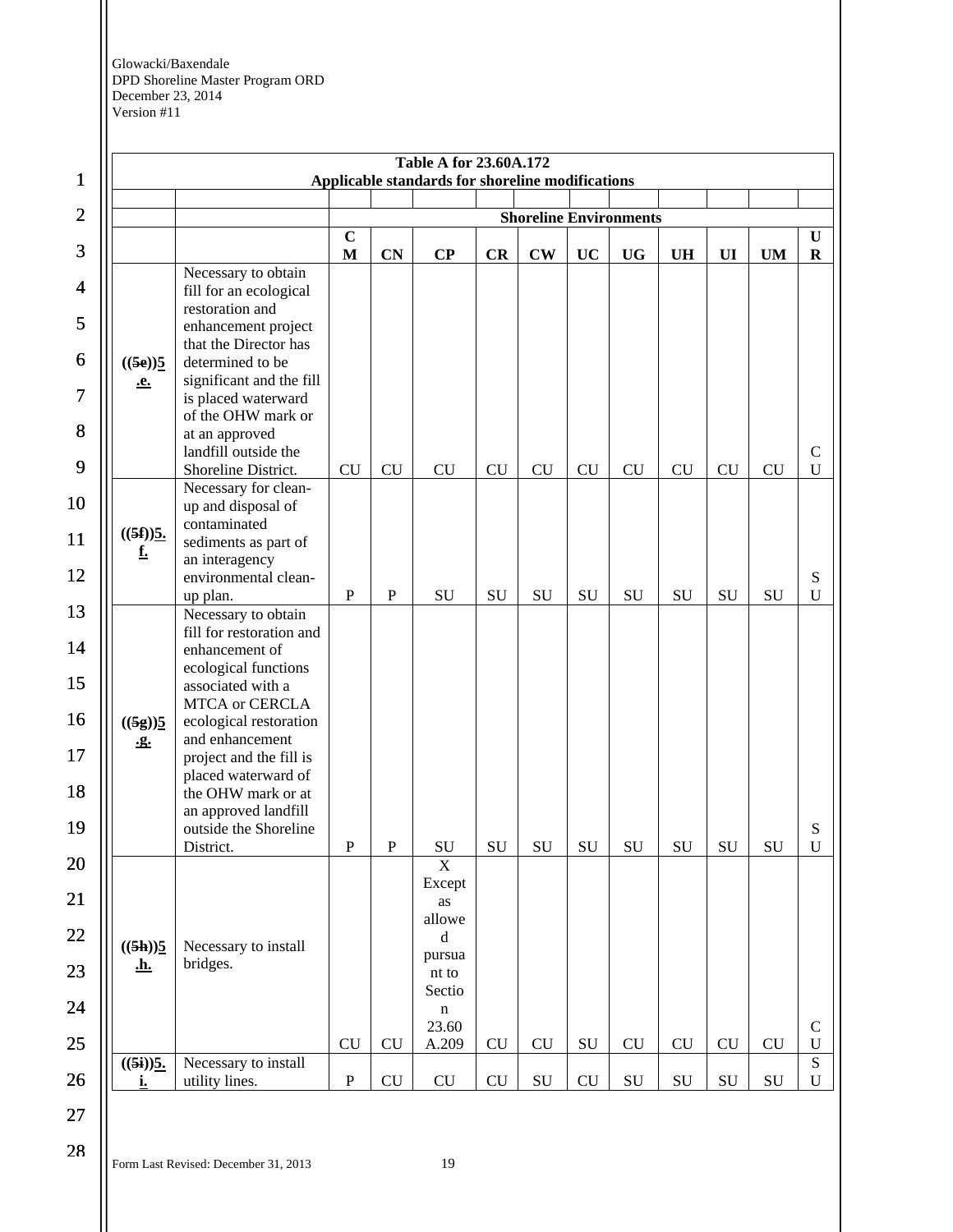

#### Form Last Revised: December 31, 2013 19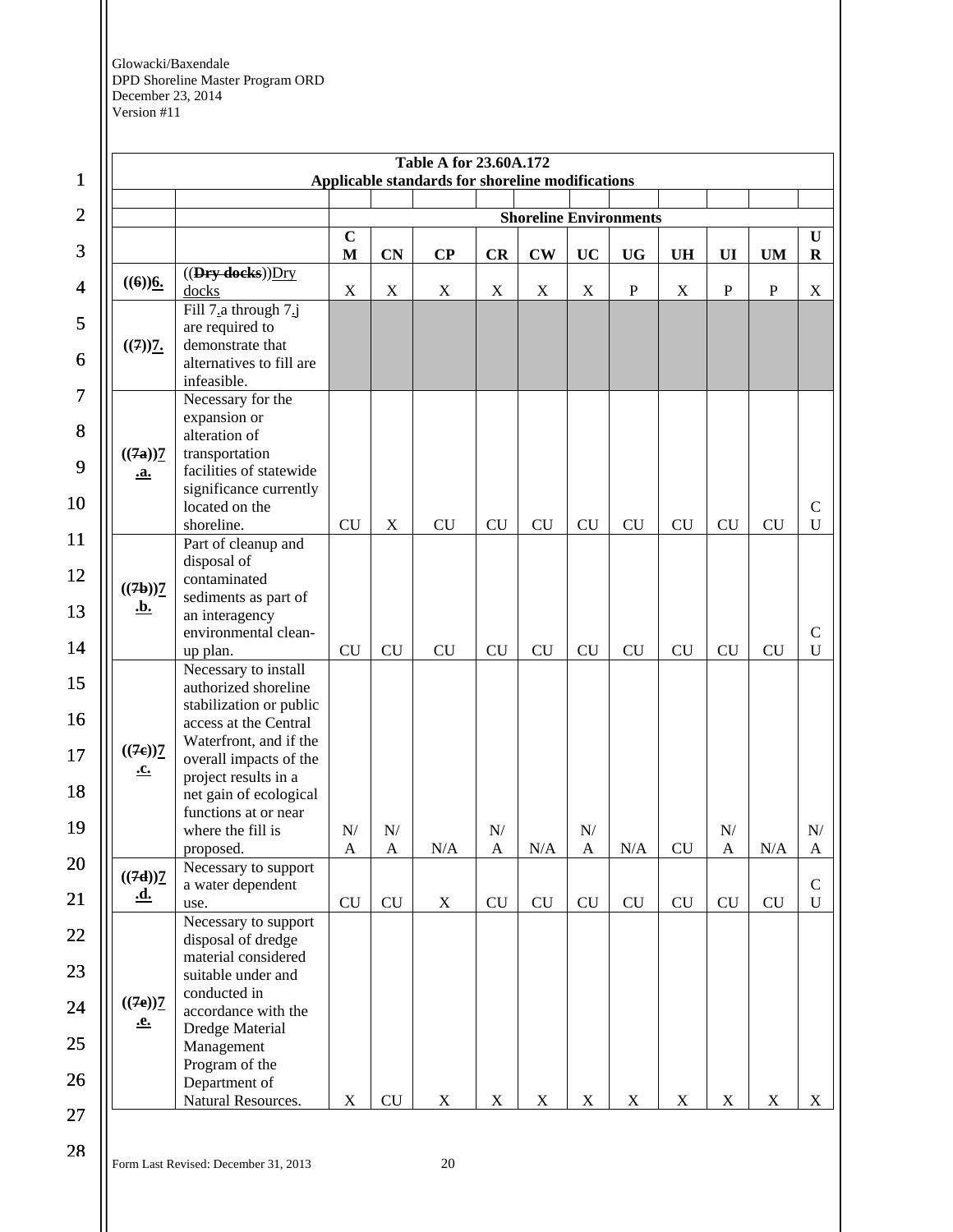| $\mathbf{1}$   |                                   |                                                                     |                             |                                          | <b>Table A for 23.60A.172</b><br>Applicable standards for shoreline modifications |                             |               |                           |                               |             |                             |             |                              |
|----------------|-----------------------------------|---------------------------------------------------------------------|-----------------------------|------------------------------------------|-----------------------------------------------------------------------------------|-----------------------------|---------------|---------------------------|-------------------------------|-------------|-----------------------------|-------------|------------------------------|
| $\mathbf{2}$   |                                   |                                                                     |                             |                                          |                                                                                   |                             |               |                           | <b>Shoreline Environments</b> |             |                             |             |                              |
| 3              |                                   |                                                                     | $\mathbf C$<br>M            | <b>CN</b>                                | $\bf CP$                                                                          | <b>CR</b>                   | $\mathbf{CW}$ | UC                        | <b>UG</b>                     | <b>UH</b>   | UI                          | <b>UM</b>   | U<br>$\bf{R}$                |
| $\overline{4}$ | $((6))$ <sup>6</sup> .            | $((Dry \cdot deeks))$ Dry<br>docks                                  | X                           | $\mathbf X$                              | X                                                                                 | $\mathbf X$                 | $\mathbf X$   | $\mathbf X$               | $\mathbf{P}$                  | X           | $\mathbf P$                 | $\mathbf P$ | $\mathbf X$                  |
| 5              |                                   | Fill 7.a through 7.j<br>are required to                             |                             |                                          |                                                                                   |                             |               |                           |                               |             |                             |             |                              |
| 6              | $((7))$ <sub>7</sub> .            | demonstrate that<br>alternatives to fill are<br>infeasible.         |                             |                                          |                                                                                   |                             |               |                           |                               |             |                             |             |                              |
| 7              |                                   | Necessary for the<br>expansion or                                   |                             |                                          |                                                                                   |                             |               |                           |                               |             |                             |             |                              |
| 8              | ((7a))                            | alteration of<br>transportation                                     |                             |                                          |                                                                                   |                             |               |                           |                               |             |                             |             |                              |
| 9<br>10        | <u>.a.</u>                        | facilities of statewide<br>significance currently<br>located on the |                             |                                          |                                                                                   |                             |               |                           |                               |             |                             |             | $\mathcal{C}$                |
| 11             |                                   | shoreline.<br>Part of cleanup and                                   | CU                          | X                                        | CU                                                                                | CU                          | CU            | <b>CU</b>                 | CU                            | <b>CU</b>   | CU                          | <b>CU</b>   | $\mathbf U$                  |
| 12             | $((7b))$ <sup>7</sup>             | disposal of<br>contaminated<br>sediments as part of                 |                             |                                          |                                                                                   |                             |               |                           |                               |             |                             |             |                              |
| 13<br>14       | <u>.b.</u>                        | an interagency<br>environmental clean-<br>up plan.                  | ${\rm CU}$                  | CU                                       | CU                                                                                | CU                          | <b>CU</b>     | CU                        | CU                            | <b>CU</b>   | <b>CU</b>                   | <b>CU</b>   | $\mathcal{C}$<br>$\mathbf U$ |
| 15             |                                   | Necessary to install<br>authorized shoreline                        |                             |                                          |                                                                                   |                             |               |                           |                               |             |                             |             |                              |
| 16             |                                   | stabilization or public<br>access at the Central                    |                             |                                          |                                                                                   |                             |               |                           |                               |             |                             |             |                              |
| 17             | $((7e))\frac{7}{2}$<br><u>.c.</u> | Waterfront, and if the<br>overall impacts of the                    |                             |                                          |                                                                                   |                             |               |                           |                               |             |                             |             |                              |
| 18             |                                   | project results in a<br>net gain of ecological                      |                             |                                          |                                                                                   |                             |               |                           |                               |             |                             |             |                              |
| 19             |                                   | functions at or near<br>where the fill is<br>proposed.              | ${\bf N} /$<br>$\mathbf{A}$ | ${\bf N} /$<br>$\boldsymbol{\mathsf{A}}$ | $\rm N/A$                                                                         | ${\bf N} /$<br>$\mathbf{A}$ | N/A           | ${\bf N}$<br>$\mathbf{A}$ | $\rm N/A$                     | ${\rm CU}$  | ${\rm N} /$<br>$\mathbf{A}$ | N/A         | ${\bf N} /$<br>A             |
| 20             | $((7d))$ <sup>7</sup>             | Necessary to support<br>a water dependent                           |                             |                                          |                                                                                   |                             |               |                           |                               |             |                             |             | ${\bf C}$                    |
| 21             | <u>.d.</u>                        | use.<br>Necessary to support                                        | ${\rm CU}$                  | CU                                       | $\mathbf X$                                                                       | ${\rm CU}$                  | CU            | CU                        | CU                            | CU          | ${\rm CU}$                  | CU          | $\mathbf U$                  |
| 22             |                                   | disposal of dredge<br>material considered                           |                             |                                          |                                                                                   |                             |               |                           |                               |             |                             |             |                              |
| 23             |                                   | suitable under and<br>conducted in                                  |                             |                                          |                                                                                   |                             |               |                           |                               |             |                             |             |                              |
| 24             | $((7e))\frac{7}{2}$<br><u>.e.</u> | accordance with the                                                 |                             |                                          |                                                                                   |                             |               |                           |                               |             |                             |             |                              |
| 25             |                                   | Dredge Material<br>Management                                       |                             |                                          |                                                                                   |                             |               |                           |                               |             |                             |             |                              |
| 26             |                                   | Program of the<br>Department of<br>Natural Resources.               | $\mathbf X$                 | CU                                       | $\mathbf X$                                                                       | $\mathbf X$                 | $\mathbf X$   | $\mathbf X$               | $\mathbf X$                   | $\mathbf X$ | $\mathbf X$                 | $\mathbf X$ | $\mathbf X$                  |
| 27             |                                   |                                                                     |                             |                                          |                                                                                   |                             |               |                           |                               |             |                             |             |                              |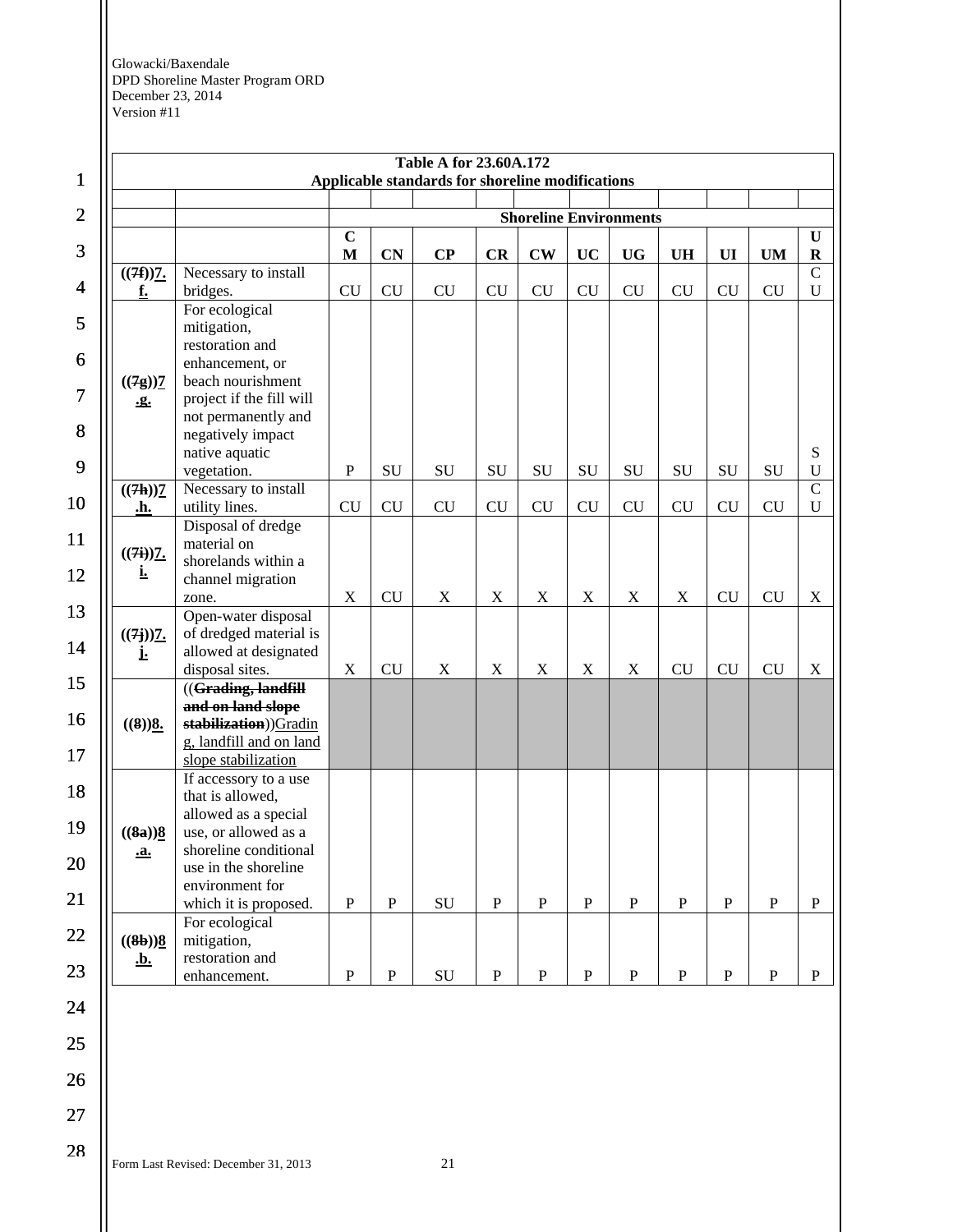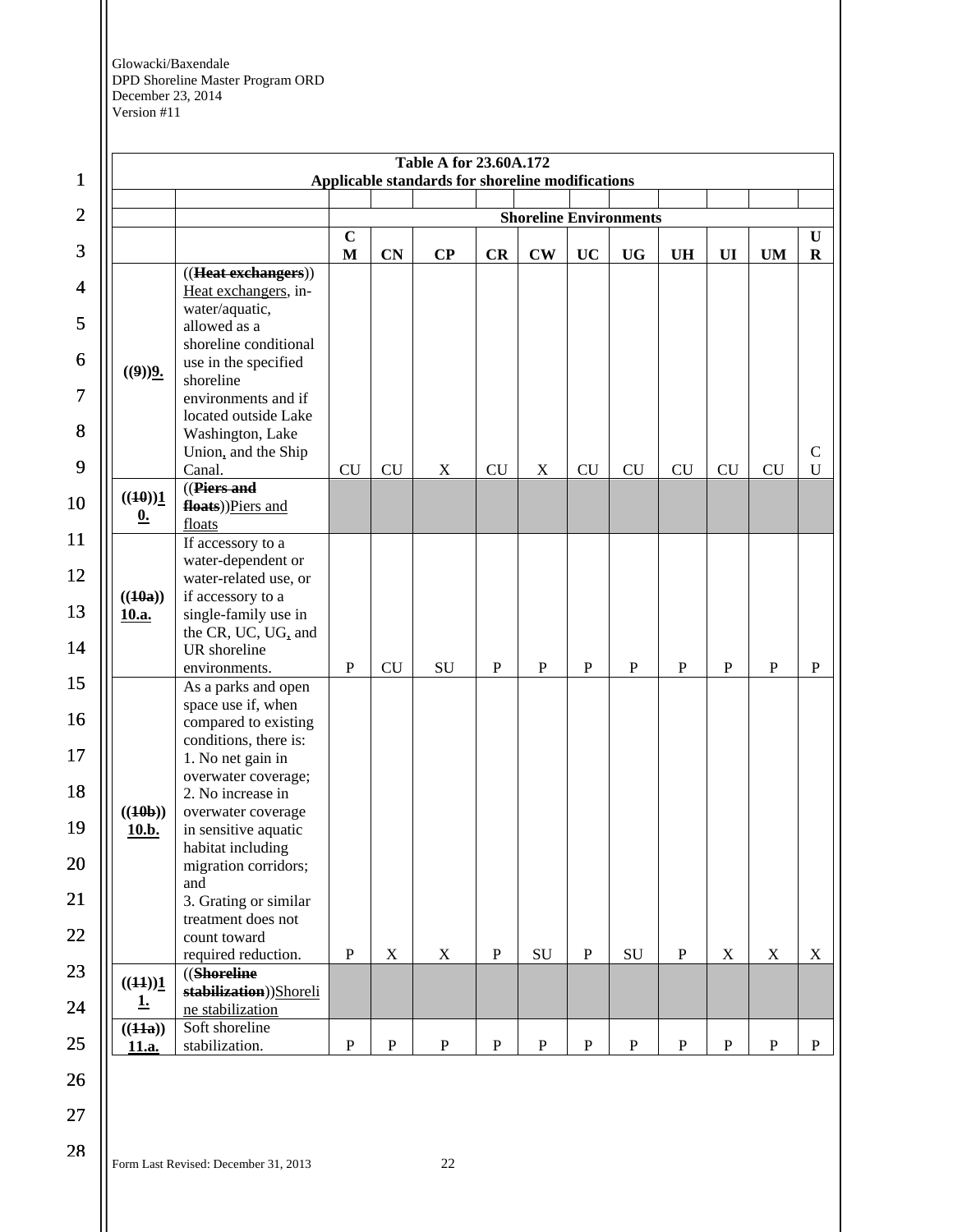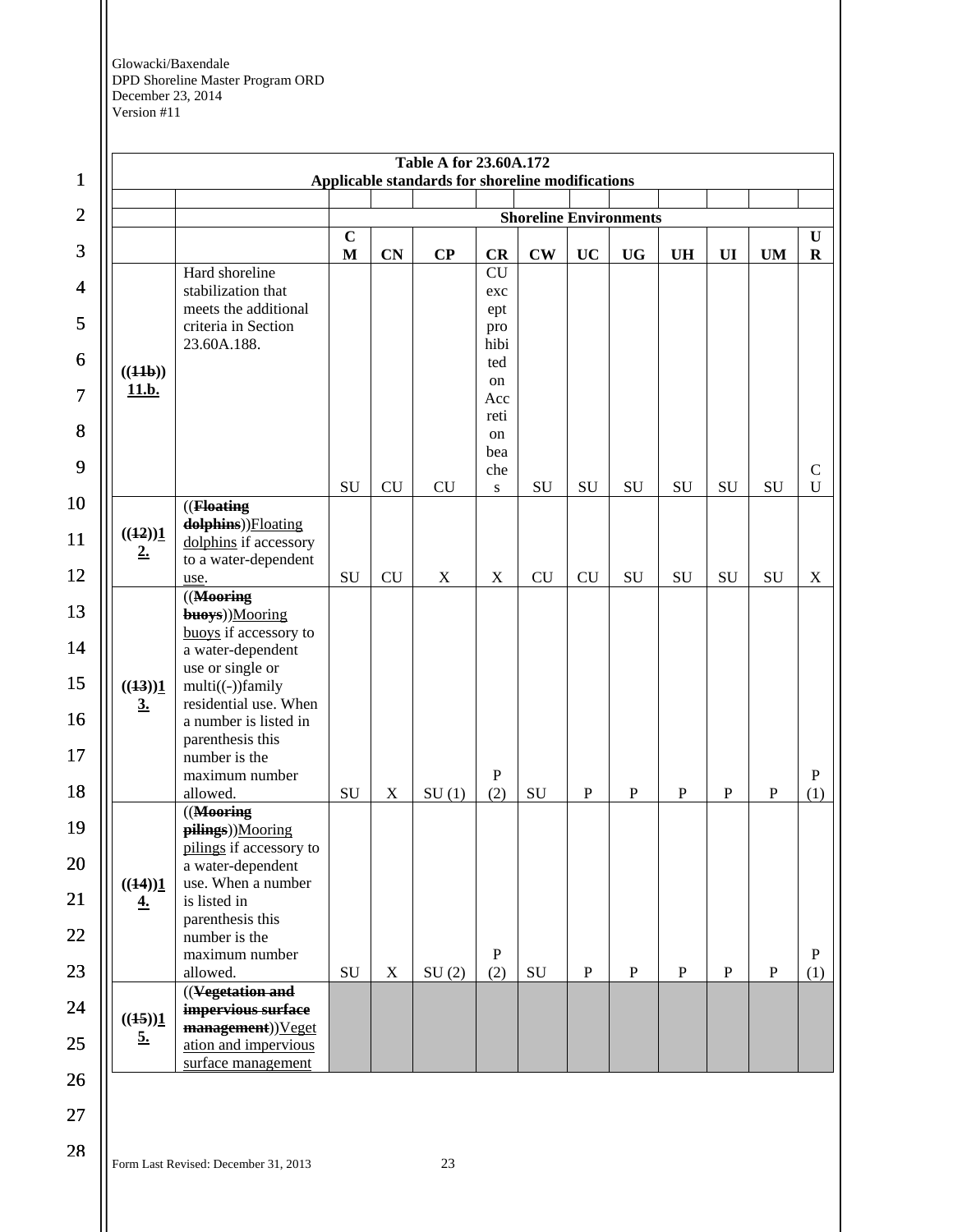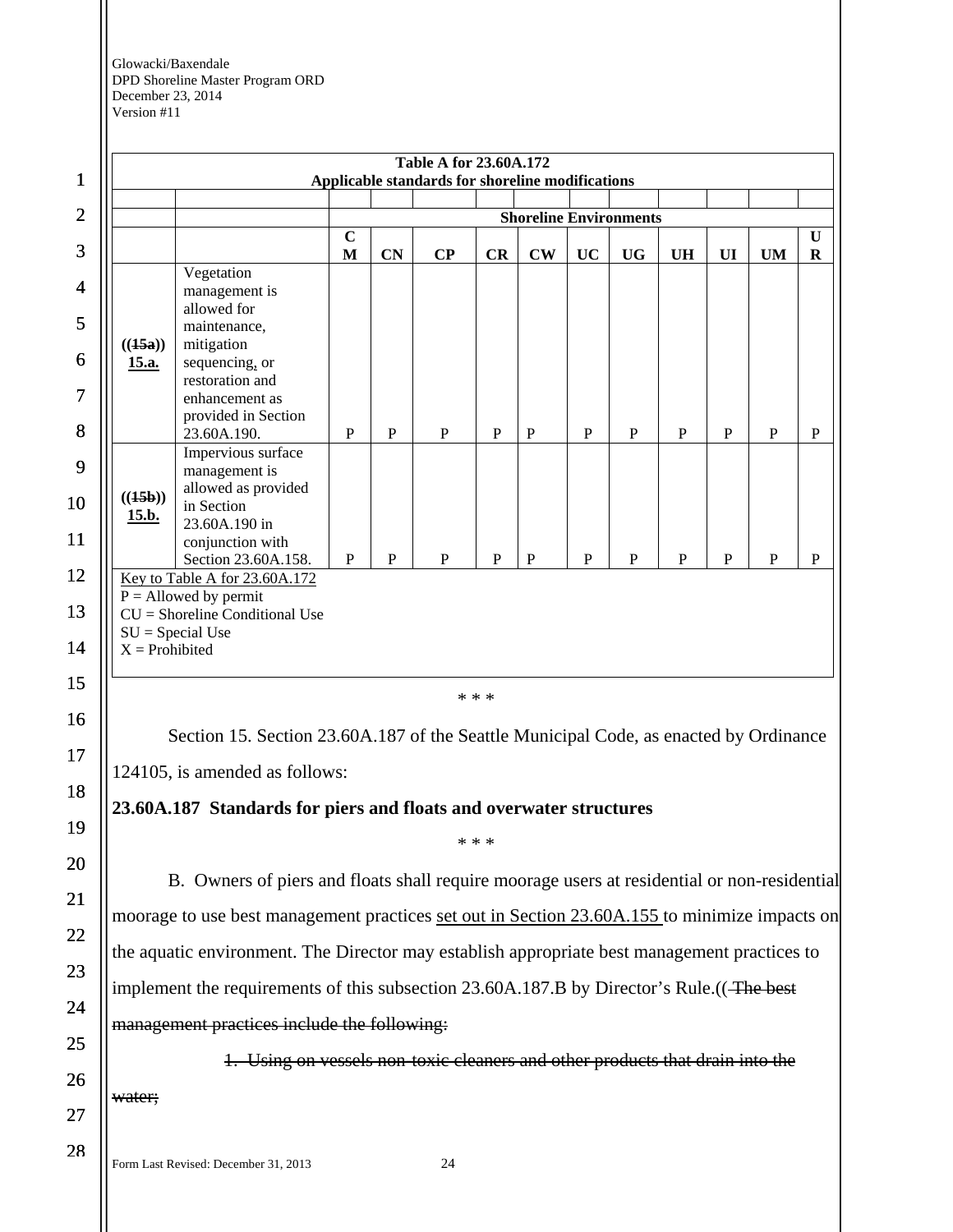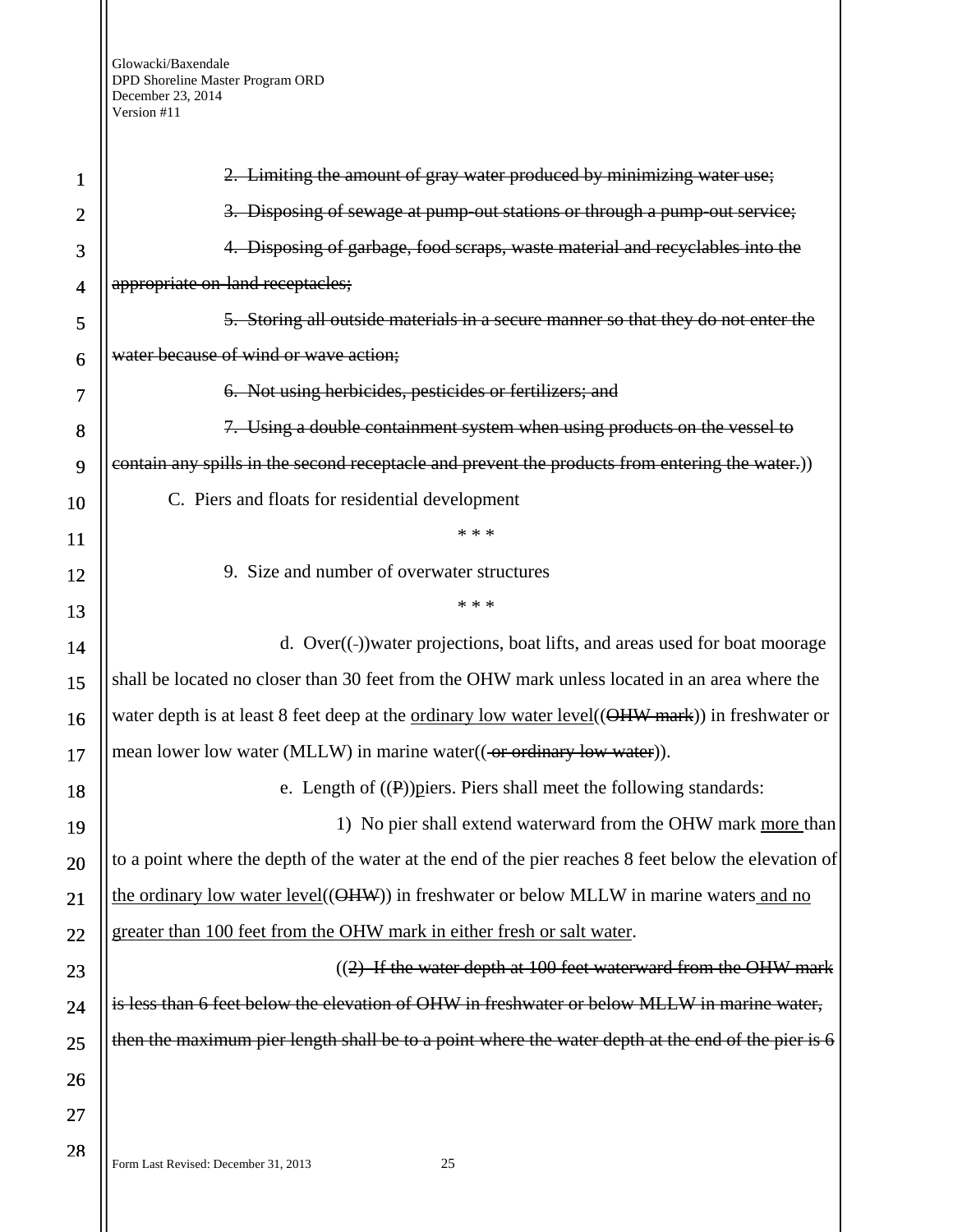| 1              | 2. Limiting the amount of gray water produced by minimizing water use;                               |
|----------------|------------------------------------------------------------------------------------------------------|
| $\overline{2}$ | 3. Disposing of sewage at pump-out stations or through a pump-out service;                           |
| 3              | 4. Disposing of garbage, food scraps, waste material and recyclables into the                        |
| 4              | appropriate on-land receptacles;                                                                     |
| 5              | 5. Storing all outside materials in a secure manner so that they do not enter the                    |
| 6              | water because of wind or wave action;                                                                |
| 7              | 6. Not using herbicides, pesticides or fertilizers; and                                              |
| 8              | 7. Using a double containment system when using products on the vessel to                            |
| 9              | contain any spills in the second receptacle and prevent the products from entering the water.)       |
| 10             | C. Piers and floats for residential development                                                      |
| 11             | * * *                                                                                                |
| 12             | 9. Size and number of overwater structures                                                           |
| 13             | * * *                                                                                                |
| 14             | d. Over((-))water projections, boat lifts, and areas used for boat moorage                           |
| 15             | shall be located no closer than 30 feet from the OHW mark unless located in an area where the        |
| 16             | water depth is at least 8 feet deep at the ordinary low water level((OHW mark)) in freshwater or     |
| 17             | mean lower low water (MLLW) in marine water ((-or ordinary low water)).                              |
| 18             | e. Length of $((P))$ piers. Piers shall meet the following standards:                                |
| 19             | 1) No pier shall extend waterward from the OHW mark more than                                        |
| 20             | to a point where the depth of the water at the end of the pier reaches 8 feet below the elevation of |
| 21             | the ordinary low water level((OHW)) in freshwater or below MLLW in marine waters and no              |
| 22             | greater than 100 feet from the OHW mark in either fresh or salt water.                               |
| 23             | $((2)$ If the water depth at 100 feet waterward from the OHW mark                                    |
| 24             | is less than 6 feet below the elevation of OHW in freshwater or below MLLW in marine water,          |
| 25             | then the maximum pier length shall be to a point where the water depth at the end of the pier is 6   |
| 26             |                                                                                                      |
| 27             |                                                                                                      |
| 28             | Form Last Revised: December 31, 2013<br>25                                                           |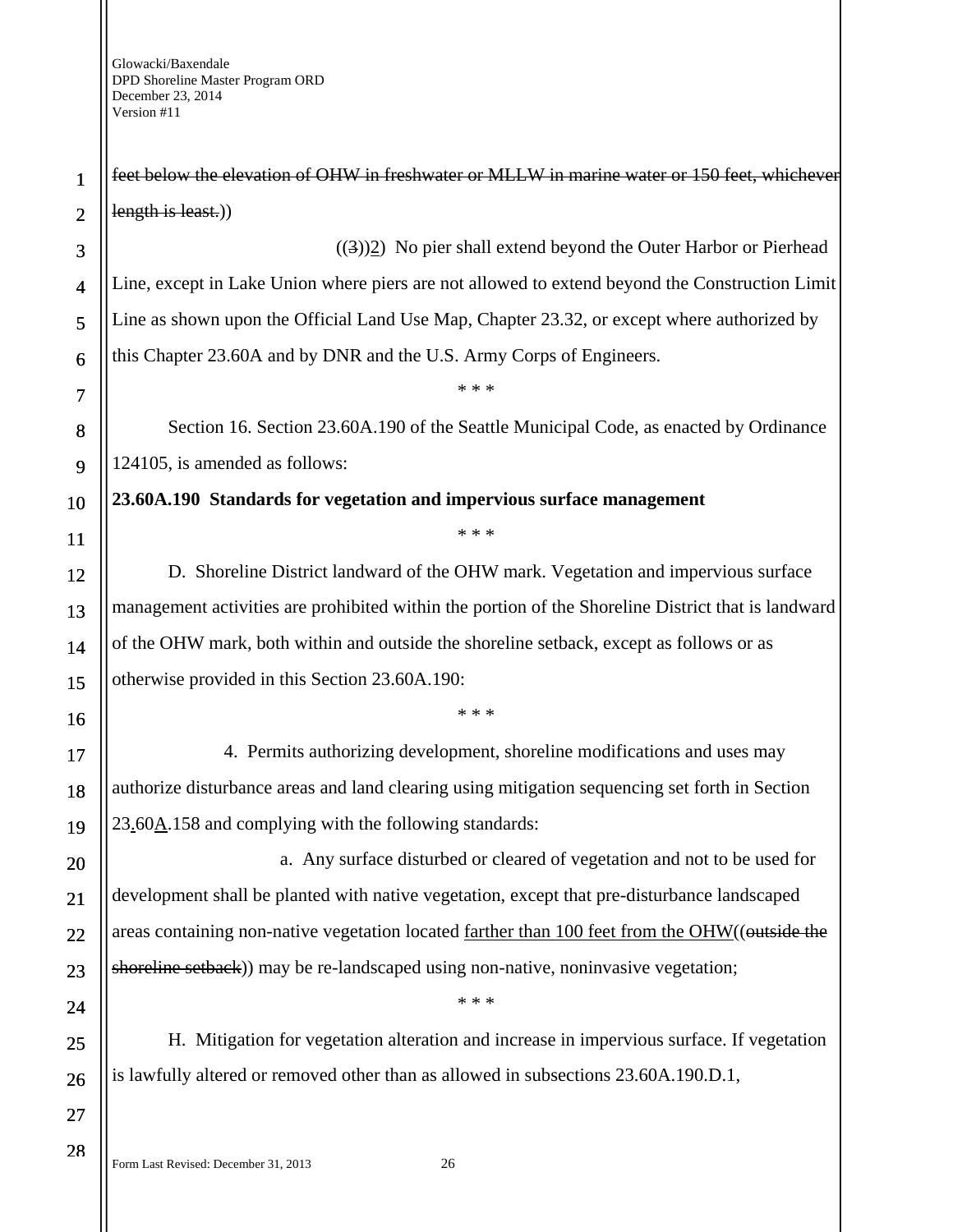28

feet below the elevation of OHW in freshwater or MLLW in marine water or 150 feet, whichever length is least.)

 $((3))2$ ) No pier shall extend beyond the Outer Harbor or Pierhead Line, except in Lake Union where piers are not allowed to extend beyond the Construction Limit Line as shown upon the Official Land Use Map, Chapter 23.32, or except where authorized by this Chapter 23.60A and by DNR and the U.S. Army Corps of Engineers.

Section 16. Section 23.60A.190 of the Seattle Municipal Code, as enacted by Ordinance 124105, is amended as follows:

\* \* \*

**23.60A.190 Standards for vegetation and impervious surface management** 

\* \* \*

D. Shoreline District landward of the OHW mark. Vegetation and impervious surface management activities are prohibited within the portion of the Shoreline District that is landward of the OHW mark, both within and outside the shoreline setback, except as follows or as otherwise provided in this Section 23.60A.190:

\* \* \*

4. Permits authorizing development, shoreline modifications and uses may authorize disturbance areas and land clearing using mitigation sequencing set forth in Section 23.60A.158 and complying with the following standards:

a. Any surface disturbed or cleared of vegetation and not to be used for development shall be planted with native vegetation, except that pre-disturbance landscaped areas containing non-native vegetation located farther than 100 feet from the OHW((outside the shoreline setback)) may be re-landscaped using non-native, noninvasive vegetation;

H. Mitigation for vegetation alteration and increase in impervious surface. If vegetation is lawfully altered or removed other than as allowed in subsections 23.60A.190.D.1,

\* \* \*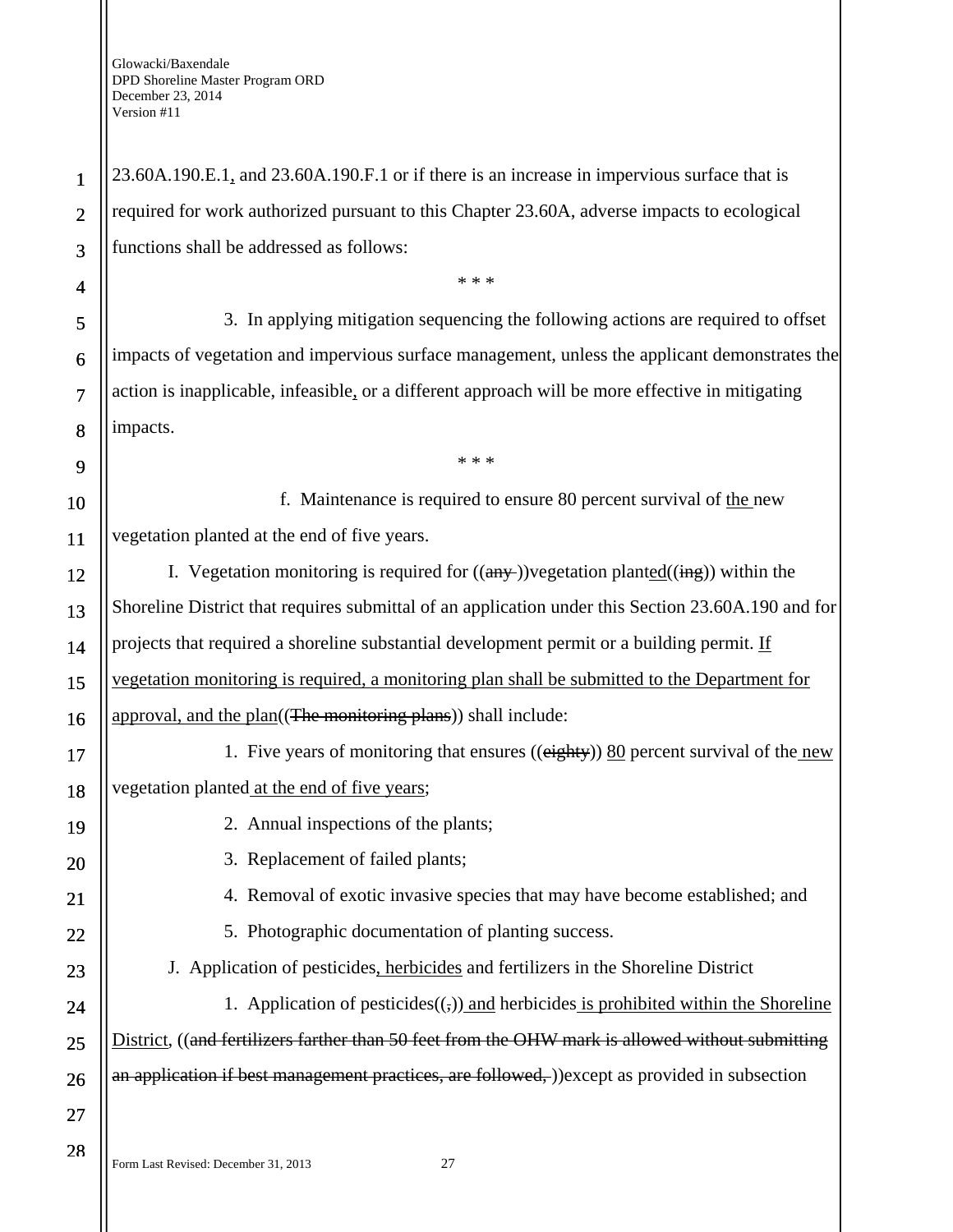23.60A.190.E.1, and 23.60A.190.F.1 or if there is an increase in impervious surface that is required for work authorized pursuant to this Chapter 23.60A, adverse impacts to ecological functions shall be addressed as follows:

3. In applying mitigation sequencing the following actions are required to offset impacts of vegetation and impervious surface management, unless the applicant demonstrates the action is inapplicable, infeasible, or a different approach will be more effective in mitigating impacts.

\* \* \*

\* \* \*

8 9

10

11

19

20

21

22

23

24

25

26

1

2

3

4

5

6

7

f. Maintenance is required to ensure 80 percent survival of the new vegetation planted at the end of five years.

12 13 14 15 16 I. Vegetation monitoring is required for  $((any-))$ vegetation planted $((\frac{ing}{})$  within the Shoreline District that requires submittal of an application under this Section 23.60A.190 and for projects that required a shoreline substantial development permit or a building permit. If vegetation monitoring is required, a monitoring plan shall be submitted to the Department for approval, and the plan((The monitoring plans)) shall include:

17 18 1. Five years of monitoring that ensures ((eighty)) 80 percent survival of the new vegetation planted at the end of five years;

- 2. Annual inspections of the plants;
- 3. Replacement of failed plants;
- 4. Removal of exotic invasive species that may have become established; and
	- 5. Photographic documentation of planting success.

J. Application of pesticides, herbicides and fertilizers in the Shoreline District 1. Application of pesticides $((,))$  and herbicides is prohibited within the Shoreline

District, ((and fertilizers farther than 50 feet from the OHW mark is allowed without submitting an application if best management practices, are followed, ))except as provided in subsection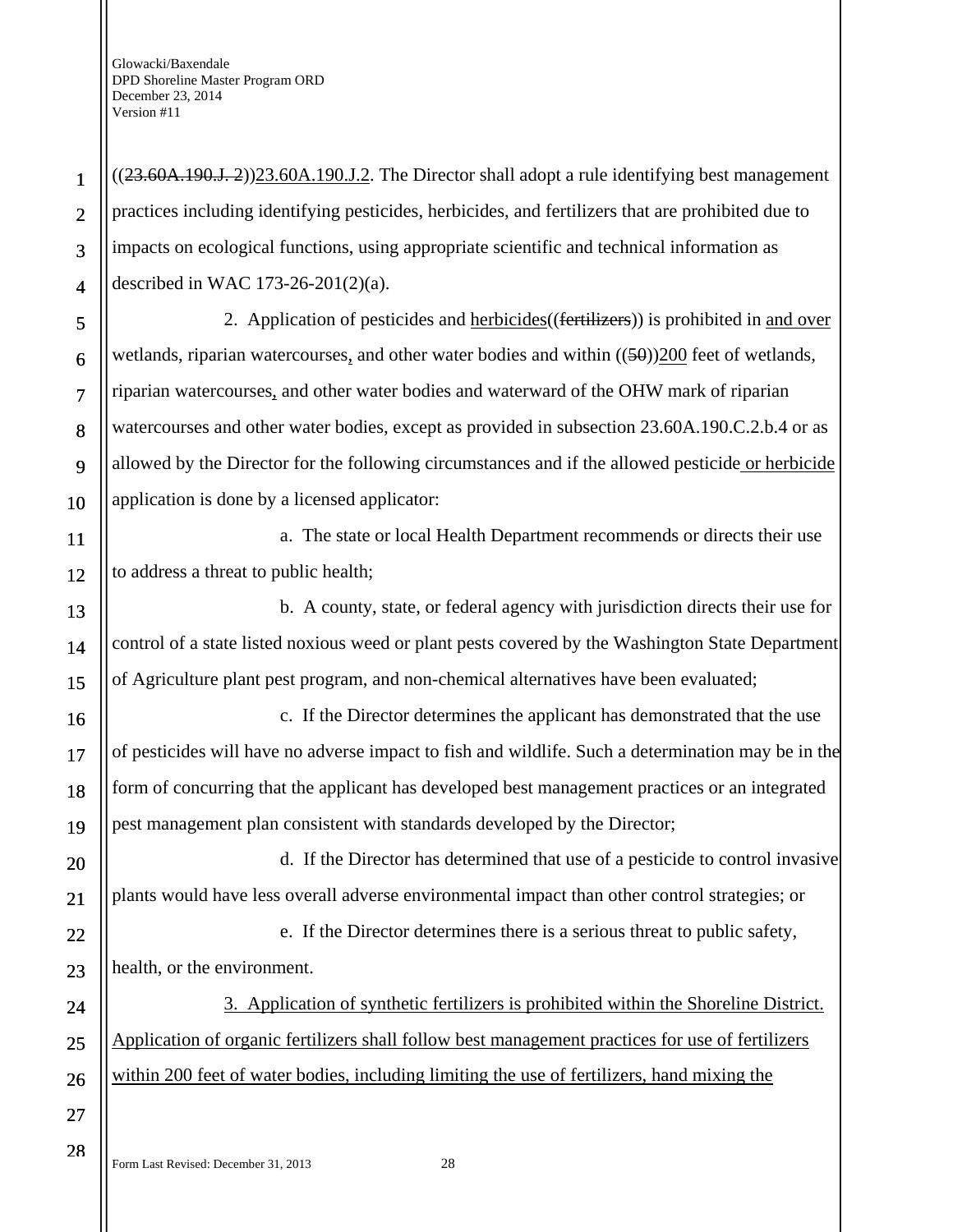$((23.60A.190.J. 2))$ 23.60A.190.J.2. The Director shall adopt a rule identifying best management practices including identifying pesticides, herbicides, and fertilizers that are prohibited due to impacts on ecological functions, using appropriate scientific and technical information as described in WAC 173-26-201(2)(a).

2. Application of pesticides and herbicides((fertilizers)) is prohibited in and over wetlands, riparian watercourses, and other water bodies and within  $((50))200$  feet of wetlands, riparian watercourses, and other water bodies and waterward of the OHW mark of riparian watercourses and other water bodies, except as provided in subsection 23.60A.190.C.2.b.4 or as allowed by the Director for the following circumstances and if the allowed pesticide or herbicide application is done by a licensed applicator:

a. The state or local Health Department recommends or directs their use to address a threat to public health;

b. A county, state, or federal agency with jurisdiction directs their use for control of a state listed noxious weed or plant pests covered by the Washington State Department of Agriculture plant pest program, and non-chemical alternatives have been evaluated;

c. If the Director determines the applicant has demonstrated that the use of pesticides will have no adverse impact to fish and wildlife. Such a determination may be in the form of concurring that the applicant has developed best management practices or an integrated pest management plan consistent with standards developed by the Director;

d. If the Director has determined that use of a pesticide to control invasive plants would have less overall adverse environmental impact than other control strategies; or

e. If the Director determines there is a serious threat to public safety, health, or the environment.

3. Application of synthetic fertilizers is prohibited within the Shoreline District. Application of organic fertilizers shall follow best management practices for use of fertilizers within 200 feet of water bodies, including limiting the use of fertilizers, hand mixing the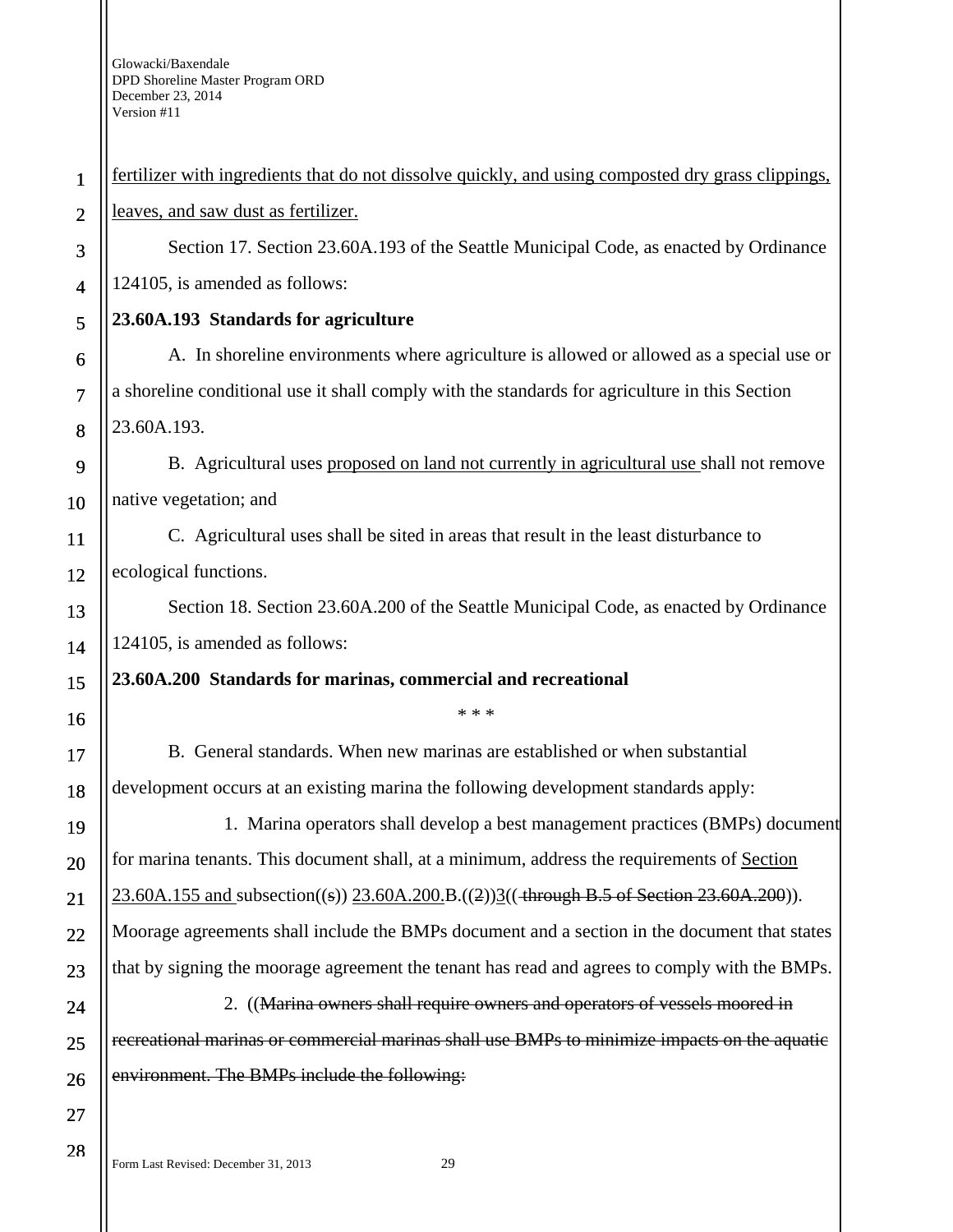| $\mathbf{1}$   | fertilizer with ingredients that do not dissolve quickly, and using composted dry grass clippings, |
|----------------|----------------------------------------------------------------------------------------------------|
| $\overline{2}$ | leaves, and saw dust as fertilizer.                                                                |
| 3              | Section 17. Section 23.60A.193 of the Seattle Municipal Code, as enacted by Ordinance              |
| $\overline{4}$ | 124105, is amended as follows:                                                                     |
| 5              | 23.60A.193 Standards for agriculture                                                               |
| 6              | A. In shoreline environments where agriculture is allowed or allowed as a special use or           |
| $\tau$         | a shoreline conditional use it shall comply with the standards for agriculture in this Section     |
| 8              | 23.60A.193.                                                                                        |
| 9              | B. Agricultural uses proposed on land not currently in agricultural use shall not remove           |
| 10             | native vegetation; and                                                                             |
| 11             | C. Agricultural uses shall be sited in areas that result in the least disturbance to               |
| 12             | ecological functions.                                                                              |
| 13             | Section 18. Section 23.60A.200 of the Seattle Municipal Code, as enacted by Ordinance              |
| 14             | 124105, is amended as follows:                                                                     |
|                |                                                                                                    |
| 15             | 23.60A.200 Standards for marinas, commercial and recreational                                      |
| 16             | * * *                                                                                              |
| 17             | B. General standards. When new marinas are established or when substantial                         |
| 18             | development occurs at an existing marina the following development standards apply:                |
| 19             | 1. Marina operators shall develop a best management practices (BMPs) document                      |
| 20             | for marina tenants. This document shall, at a minimum, address the requirements of Section         |
| 21             | $23.60A.155$ and subsection((s)) $23.60A.200B.$ ((2)) $3($ (+hrough B.5 of Section 23.60A.200)).   |
| 22             | Moorage agreements shall include the BMPs document and a section in the document that states       |
| 23             | that by signing the moorage agreement the tenant has read and agrees to comply with the BMPs.      |
| 24             | 2. ((Marina owners shall require owners and operators of vessels moored in                         |
| 25             | recreational marinas or commercial marinas shall use BMPs to minimize impacts on the aquatic       |
| 26             | environment. The BMPs include the following:                                                       |
| 27             |                                                                                                    |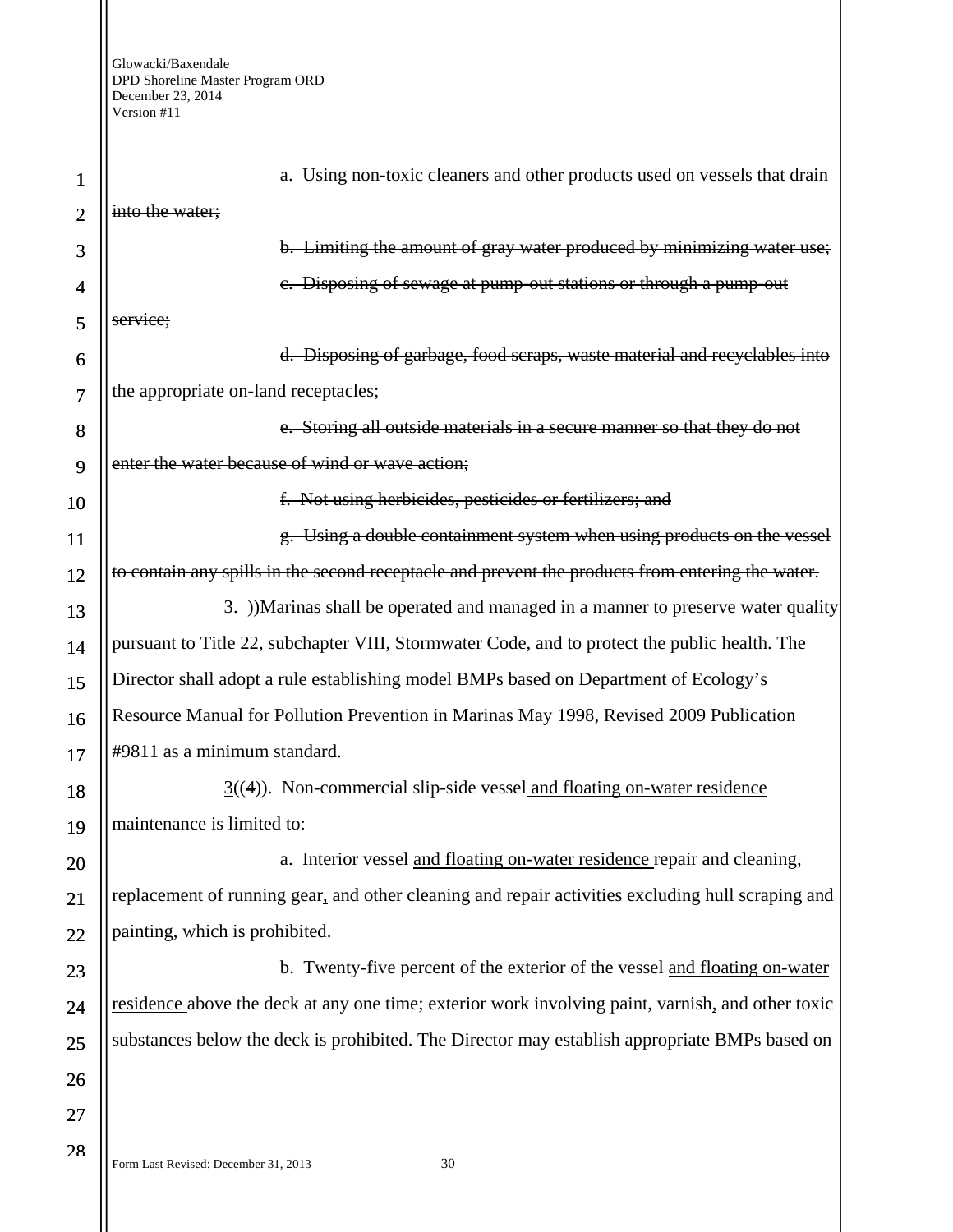1 2 3 4 5 6 7 8 9 10 11 12 13 14 15 16 17 18 19 20 21 22 23 24 25 26 27 28 a. Using non-toxic cleaners and other products used on vessels that drain into the water; b. Limiting the amount of gray water produced by minimizing water use; c. Disposing of sewage at pump-out stations or through a pump-out service; d. Disposing of garbage, food scraps, waste material and recyclables into the appropriate on-land receptacles; e. Storing all outside materials in a secure manner so that they do not enter the water because of wind or wave action; f. Not using herbicides, pesticides or fertilizers; and g. Using a double containment system when using products on the vessel to contain any spills in the second receptacle and prevent the products from entering the water. 3. (3.))Marinas shall be operated and managed in a manner to preserve water quality pursuant to Title 22, subchapter VIII, Stormwater Code, and to protect the public health. The Director shall adopt a rule establishing model BMPs based on Department of Ecology's Resource Manual for Pollution Prevention in Marinas May 1998, Revised 2009 Publication #9811 as a minimum standard. 3((4)). Non-commercial slip-side vessel and floating on-water residence maintenance is limited to: a. Interior vessel and floating on-water residence repair and cleaning, replacement of running gear, and other cleaning and repair activities excluding hull scraping and painting, which is prohibited. b. Twenty-five percent of the exterior of the vessel and floating on-water residence above the deck at any one time; exterior work involving paint, varnish, and other toxic substances below the deck is prohibited. The Director may establish appropriate BMPs based on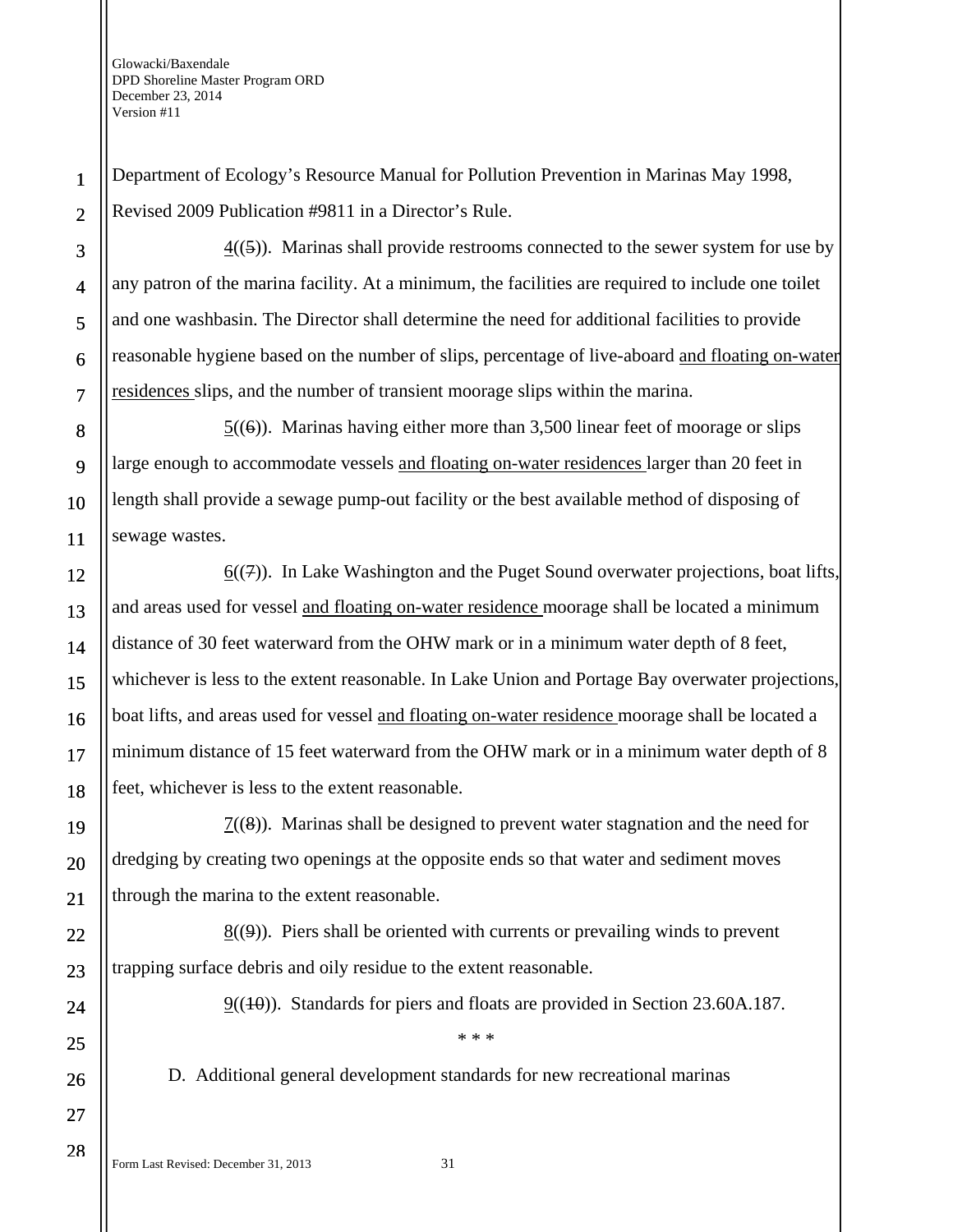Department of Ecology's Resource Manual for Pollution Prevention in Marinas May 1998, Revised 2009 Publication #9811 in a Director's Rule.

4((5)). Marinas shall provide restrooms connected to the sewer system for use by any patron of the marina facility. At a minimum, the facilities are required to include one toilet and one washbasin. The Director shall determine the need for additional facilities to provide reasonable hygiene based on the number of slips, percentage of live-aboard and floating on-water residences slips, and the number of transient moorage slips within the marina.

 $5(6)$ . Marinas having either more than 3,500 linear feet of moorage or slips large enough to accommodate vessels and floating on-water residences larger than 20 feet in length shall provide a sewage pump-out facility or the best available method of disposing of sewage wastes.

 $6(7)$ . In Lake Washington and the Puget Sound overwater projections, boat lifts, and areas used for vessel and floating on-water residence moorage shall be located a minimum distance of 30 feet waterward from the OHW mark or in a minimum water depth of 8 feet, whichever is less to the extent reasonable. In Lake Union and Portage Bay overwater projections, boat lifts, and areas used for vessel and floating on-water residence moorage shall be located a minimum distance of 15 feet waterward from the OHW mark or in a minimum water depth of 8 feet, whichever is less to the extent reasonable.

 $7((8))$ . Marinas shall be designed to prevent water stagnation and the need for dredging by creating two openings at the opposite ends so that water and sediment moves through the marina to the extent reasonable.

 $8(9)$ . Piers shall be oriented with currents or prevailing winds to prevent trapping surface debris and oily residue to the extent reasonable.

 $9((10))$ . Standards for piers and floats are provided in Section 23.60A.187.

D. Additional general development standards for new recreational marinas

\* \* \*

1

2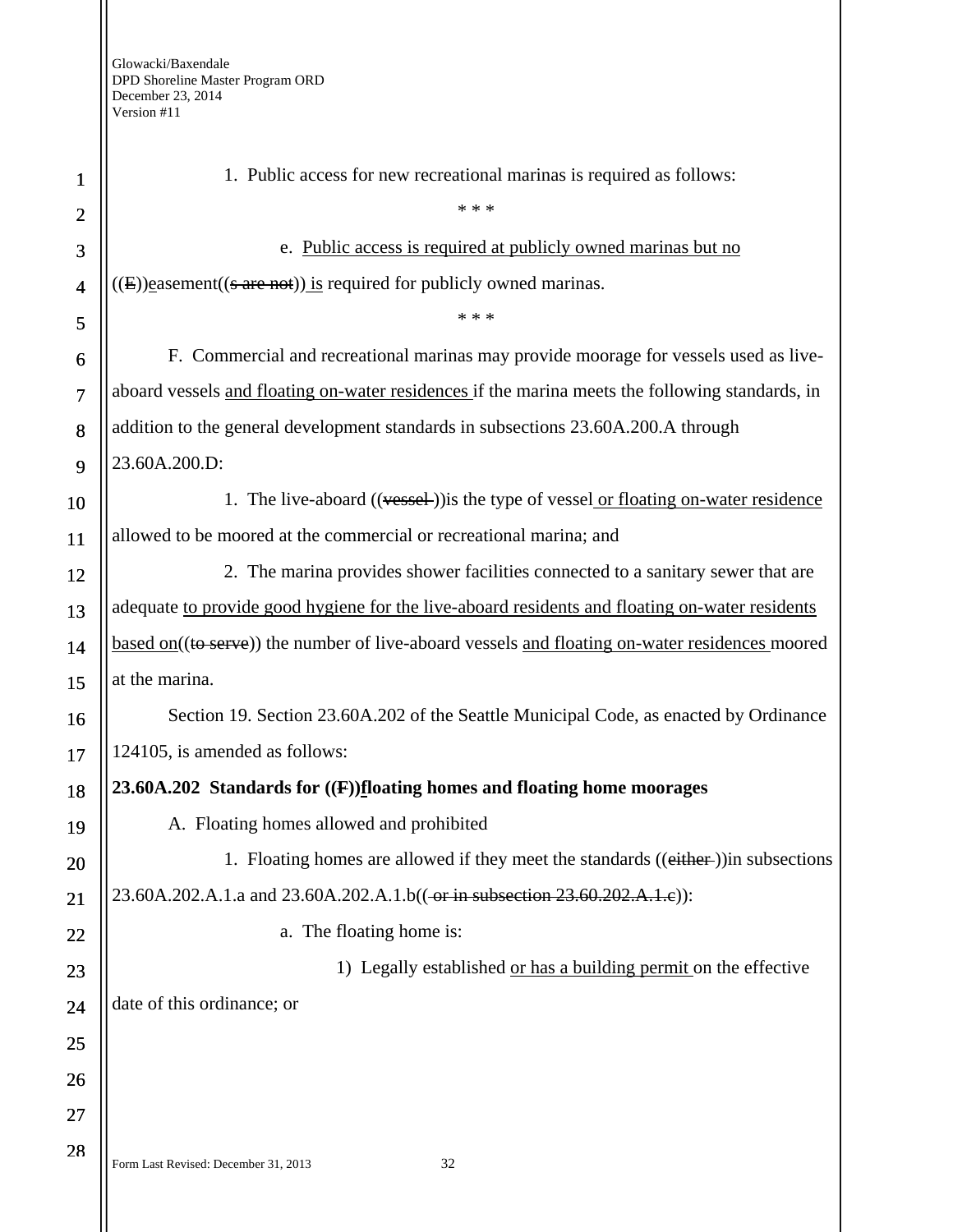| 1              | 1. Public access for new recreational marinas is required as follows:                           |
|----------------|-------------------------------------------------------------------------------------------------|
| $\overline{2}$ | * * *                                                                                           |
| 3              | e. Public access is required at publicly owned marinas but no                                   |
| $\overline{4}$ | $((E))$ easement $((s \text{ are not}))$ is required for publicly owned marinas.                |
| 5              | * * *                                                                                           |
| 6              | F. Commercial and recreational marinas may provide moorage for vessels used as live-            |
| $\overline{7}$ | aboard vessels and floating on-water residences if the marina meets the following standards, in |
| 8              | addition to the general development standards in subsections 23.60A.200.A through               |
| 9              | 23.60A.200.D:                                                                                   |
| 10             | 1. The live-aboard ((vessel)) is the type of vessel or floating on-water residence              |
| 11             | allowed to be moored at the commercial or recreational marina; and                              |
| 12             | 2. The marina provides shower facilities connected to a sanitary sewer that are                 |
| 13             | adequate to provide good hygiene for the live-aboard residents and floating on-water residents  |
| 14             | based on((to serve)) the number of live-aboard vessels and floating on-water residences moored  |
| 15             | at the marina.                                                                                  |
| 16             | Section 19. Section 23.60A.202 of the Seattle Municipal Code, as enacted by Ordinance           |
| 17             | 124105, is amended as follows:                                                                  |
| 18             | 23.60A.202 Standards for $((F))$ floating homes and floating home moorages                      |
| 19             | A. Floating homes allowed and prohibited                                                        |
| 20             | 1. Floating homes are allowed if they meet the standards ((either-)) in subsections             |
| 21             | 23.60A.202.A.1.a and 23.60A.202.A.1.b((-or in subsection 23.60.202.A.1.e)):                     |
| 22             | a. The floating home is:                                                                        |
| 23             | 1) Legally established or has a building permit on the effective                                |
| 24             | date of this ordinance; or                                                                      |
| 25             |                                                                                                 |
| 26             |                                                                                                 |
| 27             |                                                                                                 |
| 28             | 32<br>Form Last Revised: December 31, 2013                                                      |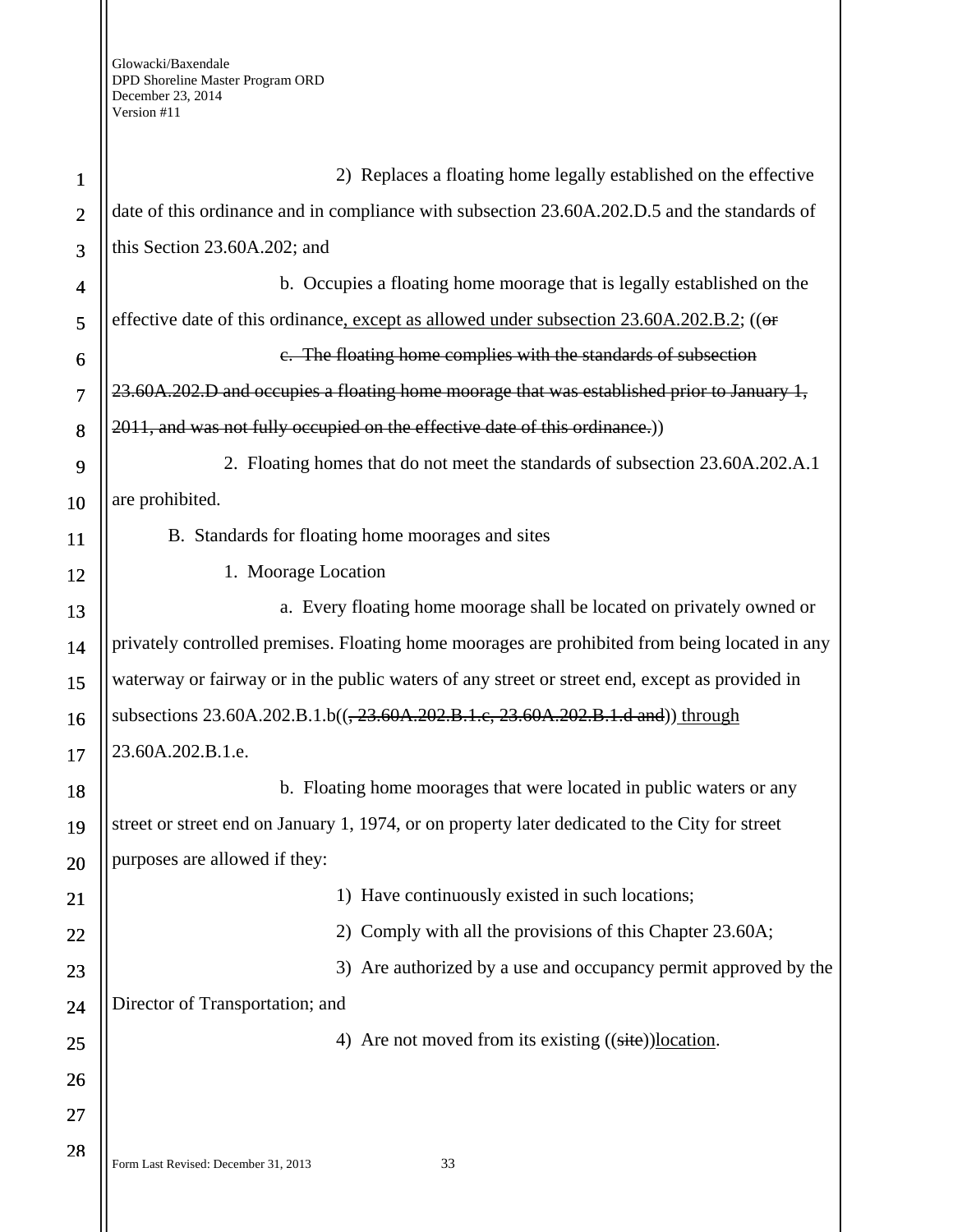| $\mathbf{1}$   | 2) Replaces a floating home legally established on the effective                               |
|----------------|------------------------------------------------------------------------------------------------|
| $\overline{2}$ | date of this ordinance and in compliance with subsection 23.60A.202.D.5 and the standards of   |
| 3              | this Section 23.60A.202; and                                                                   |
| 4              | b. Occupies a floating home moorage that is legally established on the                         |
| 5              | effective date of this ordinance, except as allowed under subsection 23.60A.202.B.2; ((or      |
| 6              | e. The floating home complies with the standards of subsection                                 |
| $\overline{7}$ | 23.60A.202.D and occupies a floating home moorage that was established prior to January 1,     |
| 8              | 2011, and was not fully occupied on the effective date of this ordinance.)                     |
| 9              | 2. Floating homes that do not meet the standards of subsection 23.60A.202.A.1                  |
| 10             | are prohibited.                                                                                |
| 11             | B. Standards for floating home moorages and sites                                              |
| 12             | 1. Moorage Location                                                                            |
| 13             | a. Every floating home moorage shall be located on privately owned or                          |
| 14             | privately controlled premises. Floating home moorages are prohibited from being located in any |
| 15             | waterway or fairway or in the public waters of any street or street end, except as provided in |
| 16             | subsections 23.60A.202.B.1.b((, 23.60A.202.B.1.c, 23.60A.202.B.1.d and)) through               |
| 17             | 23.60A.202.B.1.e.                                                                              |
| 18             | b. Floating home moorages that were located in public waters or any                            |
| 19             | street or street end on January 1, 1974, or on property later dedicated to the City for street |
| 20             | purposes are allowed if they:                                                                  |
| 21             | 1) Have continuously existed in such locations;                                                |
| 22             | 2) Comply with all the provisions of this Chapter 23.60A;                                      |
| 23             | 3) Are authorized by a use and occupancy permit approved by the                                |
| 24             | Director of Transportation; and                                                                |
| 25             | 4) Are not moved from its existing ((site))location.                                           |
| 26             |                                                                                                |
| 27             |                                                                                                |
| 28             | Form Last Revised: December 31, 2013<br>33                                                     |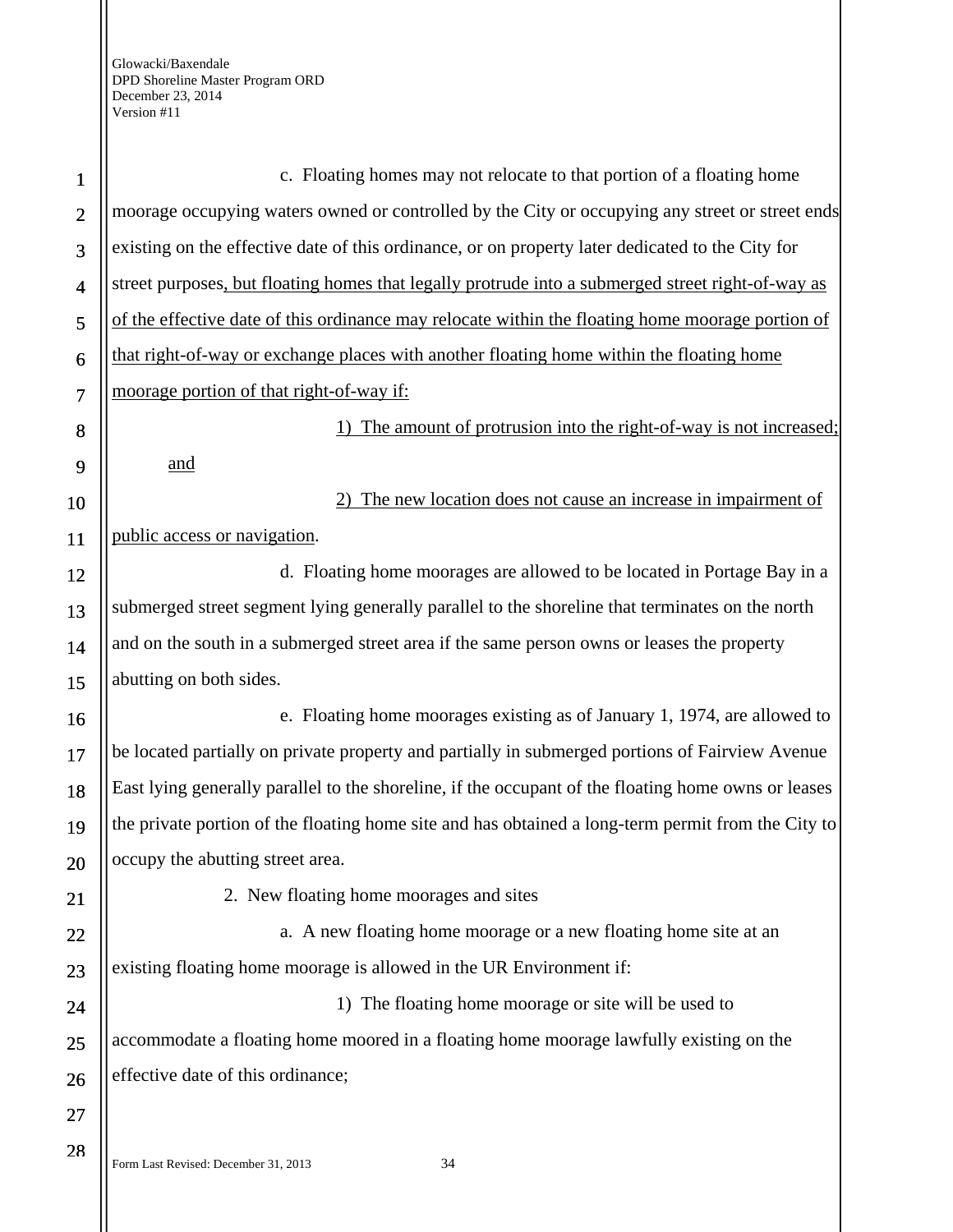| $\mathbf{1}$   | c. Floating homes may not relocate to that portion of a floating home                               |
|----------------|-----------------------------------------------------------------------------------------------------|
| $\overline{2}$ | moorage occupying waters owned or controlled by the City or occupying any street or street ends     |
| 3              | existing on the effective date of this ordinance, or on property later dedicated to the City for    |
| $\overline{4}$ | street purposes, but floating homes that legally protrude into a submerged street right-of-way as   |
| 5              | of the effective date of this ordinance may relocate within the floating home moorage portion of    |
| 6              | that right-of-way or exchange places with another floating home within the floating home            |
| $\overline{7}$ | moorage portion of that right-of-way if:                                                            |
| 8              | The amount of protrusion into the right-of-way is not increased;                                    |
| 9              | <u>and</u>                                                                                          |
| 10             | The new location does not cause an increase in impairment of                                        |
| 11             | public access or navigation.                                                                        |
| 12             | d. Floating home moorages are allowed to be located in Portage Bay in a                             |
| 13             | submerged street segment lying generally parallel to the shoreline that terminates on the north     |
| 14             | and on the south in a submerged street area if the same person owns or leases the property          |
| 15             | abutting on both sides.                                                                             |
| 16             | e. Floating home moorages existing as of January 1, 1974, are allowed to                            |
| 17             | be located partially on private property and partially in submerged portions of Fairview Avenue     |
| 18             | East lying generally parallel to the shoreline, if the occupant of the floating home owns or leases |
| 19             | the private portion of the floating home site and has obtained a long-term permit from the City to  |
| 20             | occupy the abutting street area.                                                                    |
| 21             | 2. New floating home moorages and sites                                                             |
| 22             | a. A new floating home moorage or a new floating home site at an                                    |
| 23             | existing floating home moorage is allowed in the UR Environment if:                                 |
| 24             | 1) The floating home moorage or site will be used to                                                |
| 25             | accommodate a floating home moored in a floating home moorage lawfully existing on the              |
| 26             | effective date of this ordinance;                                                                   |
| 27             |                                                                                                     |
| 28             | Form Last Revised: December 31, 2013<br>34                                                          |
|                |                                                                                                     |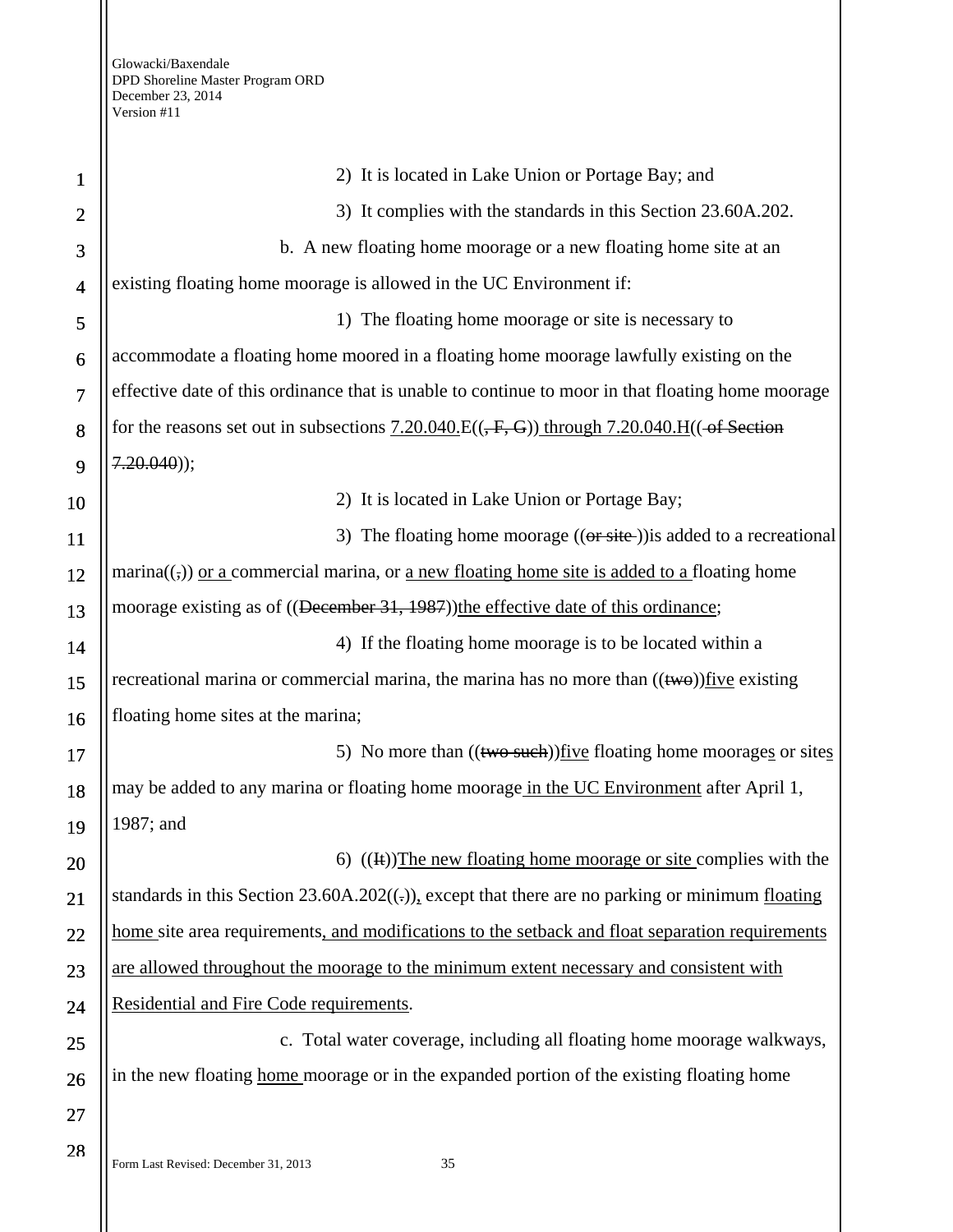| $\mathbf 1$    | 2) It is located in Lake Union or Portage Bay; and                                                        |
|----------------|-----------------------------------------------------------------------------------------------------------|
| $\overline{2}$ | 3) It complies with the standards in this Section 23.60A.202.                                             |
| 3              | b. A new floating home moorage or a new floating home site at an                                          |
| $\overline{4}$ | existing floating home moorage is allowed in the UC Environment if:                                       |
| 5              | 1) The floating home moorage or site is necessary to                                                      |
| 6              | accommodate a floating home moored in a floating home moorage lawfully existing on the                    |
| $\overline{7}$ | effective date of this ordinance that is unable to continue to moor in that floating home moorage         |
| 8              | for the reasons set out in subsections $7.20.040$ . $E((, F, G))$ through $7.20.040$ . H(( $-$ of Section |
| 9              | $7.20.040$ );                                                                                             |
| 10             | 2) It is located in Lake Union or Portage Bay;                                                            |
| 11             | 3) The floating home moorage ((or site)) is added to a recreational                                       |
| 12             | $\text{marina}((,))$ or a commercial marina, or a new floating home site is added to a floating home      |
| 13             | moorage existing as of ((December 31, 1987))the effective date of this ordinance;                         |
| 14             | 4) If the floating home moorage is to be located within a                                                 |
| 15             | recreational marina or commercial marina, the marina has no more than $((\text{two}))$ five existing      |
| 16             | floating home sites at the marina;                                                                        |
| 17             | 5) No more than $((two such))$ five floating home moorages or sites                                       |
| 18             | may be added to any marina or floating home moorage in the UC Environment after April 1,                  |
| 19             | 1987; and                                                                                                 |
| 20             | 6) $((\text{H}))$ The new floating home moorage or site complies with the                                 |
| 21             | standards in this Section $23.60A.202((.))$ , except that there are no parking or minimum floating        |
| 22             | home site area requirements, and modifications to the setback and float separation requirements           |
| 23             | are allowed throughout the moorage to the minimum extent necessary and consistent with                    |
| 24             | Residential and Fire Code requirements.                                                                   |
| 25             | c. Total water coverage, including all floating home moorage walkways,                                    |
| 26             | in the new floating home moorage or in the expanded portion of the existing floating home                 |
| 27             |                                                                                                           |
| 28             |                                                                                                           |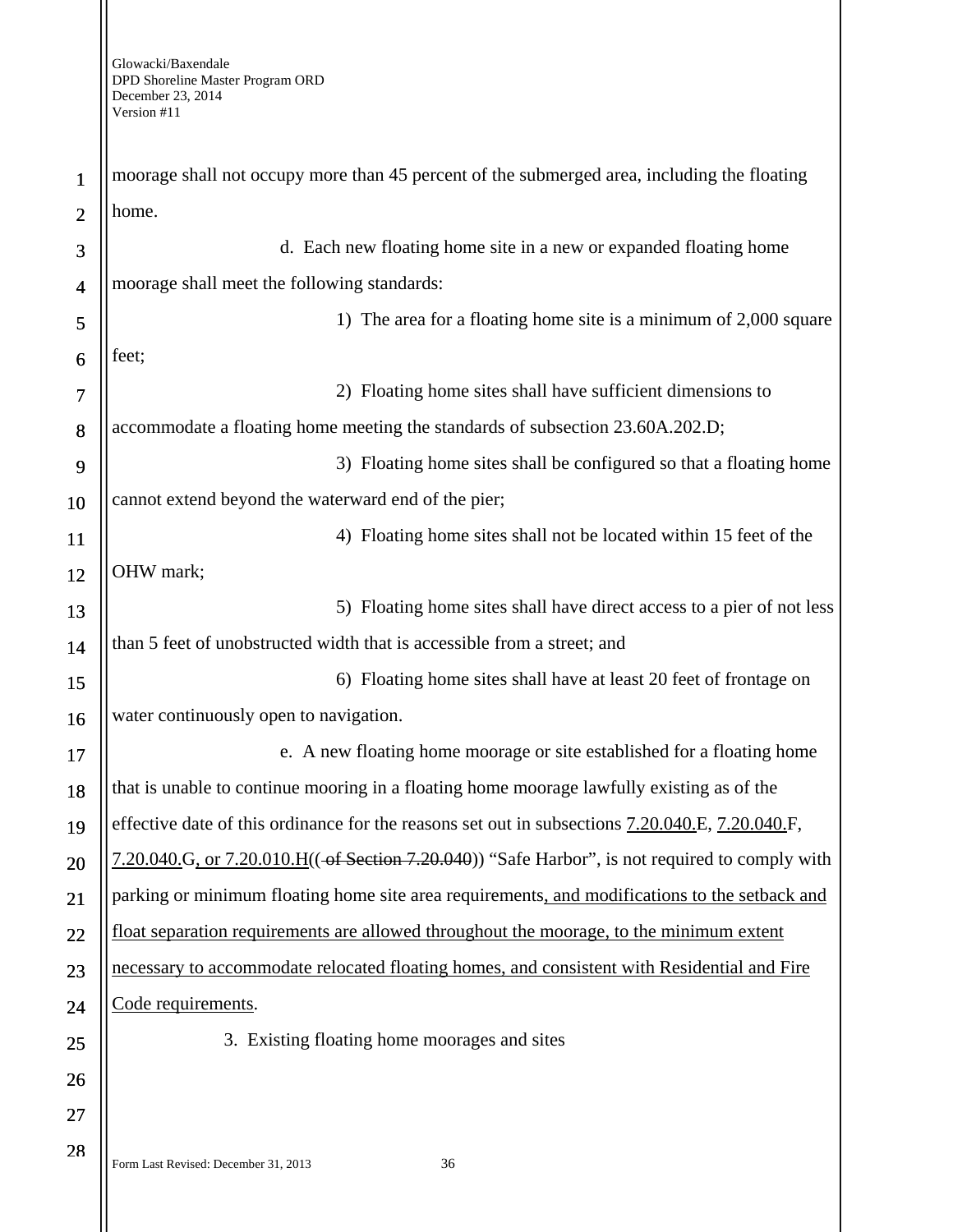| $\mathbf{1}$             | moorage shall not occupy more than 45 percent of the submerged area, including the floating     |
|--------------------------|-------------------------------------------------------------------------------------------------|
| $\overline{2}$           | home.                                                                                           |
| 3                        | d. Each new floating home site in a new or expanded floating home                               |
| $\overline{\mathcal{A}}$ | moorage shall meet the following standards:                                                     |
| 5                        | 1) The area for a floating home site is a minimum of 2,000 square                               |
| 6                        | feet;                                                                                           |
| 7                        | 2) Floating home sites shall have sufficient dimensions to                                      |
| 8                        | accommodate a floating home meeting the standards of subsection 23.60A.202.D;                   |
| 9                        | 3) Floating home sites shall be configured so that a floating home                              |
| 10                       | cannot extend beyond the waterward end of the pier;                                             |
| <b>11</b>                | 4) Floating home sites shall not be located within 15 feet of the                               |
| 12                       | OHW mark;                                                                                       |
| 13                       | 5) Floating home sites shall have direct access to a pier of not less                           |
| 14                       | than 5 feet of unobstructed width that is accessible from a street; and                         |
| 15                       | 6) Floating home sites shall have at least 20 feet of frontage on                               |
| 16                       | water continuously open to navigation.                                                          |
| 17                       | e. A new floating home moorage or site established for a floating home                          |
| 18                       | that is unable to continue mooring in a floating home moorage lawfully existing as of the       |
| 19                       | effective date of this ordinance for the reasons set out in subsections 7.20.040.E, 7.20.040.F, |
| 20                       | 7.20.040.G, or 7.20.010.H((-of Section 7.20.040)) "Safe Harbor", is not required to comply with |
| 21                       | parking or minimum floating home site area requirements, and modifications to the setback and   |
| 22                       | float separation requirements are allowed throughout the moorage, to the minimum extent         |
| 23                       | necessary to accommodate relocated floating homes, and consistent with Residential and Fire     |
| 24                       | Code requirements.                                                                              |
| 25                       | 3. Existing floating home moorages and sites                                                    |
| 26                       |                                                                                                 |
| 27                       |                                                                                                 |
| 28                       | Form Last Revised: December 31, 2013<br>36                                                      |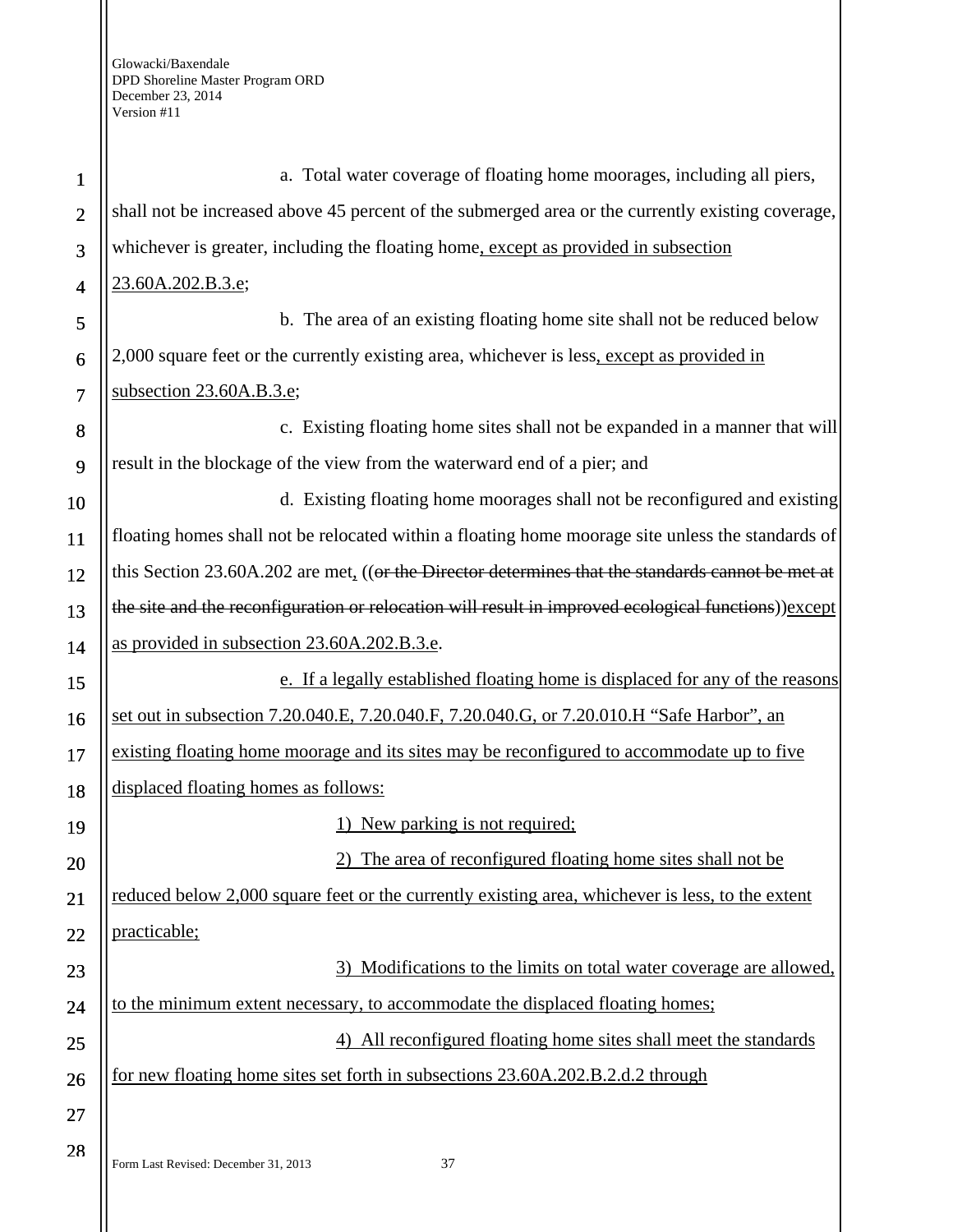Form Last Revised: December 31, 2013 37 1 2 3 4 5 6 7 8 9 10 11 12 13 14 15 16 17 18 19 20 21 22 23 24 25 26 27 28 a. Total water coverage of floating home moorages, including all piers, shall not be increased above 45 percent of the submerged area or the currently existing coverage, whichever is greater, including the floating home, except as provided in subsection 23.60A.202.B.3.e; b. The area of an existing floating home site shall not be reduced below 2,000 square feet or the currently existing area, whichever is less, except as provided in subsection 23.60A.B.3.e; c. Existing floating home sites shall not be expanded in a manner that will result in the blockage of the view from the waterward end of a pier; and d. Existing floating home moorages shall not be reconfigured and existing floating homes shall not be relocated within a floating home moorage site unless the standards of this Section 23.60A.202 are met,  $((or the$  Director determines that the standards cannot be met at the site and the reconfiguration or relocation will result in improved ecological functions))except as provided in subsection 23.60A.202.B.3.e. e. If a legally established floating home is displaced for any of the reasons set out in subsection 7.20.040.E, 7.20.040.F, 7.20.040.G, or 7.20.010.H "Safe Harbor", an existing floating home moorage and its sites may be reconfigured to accommodate up to five displaced floating homes as follows: 1) New parking is not required; 2) The area of reconfigured floating home sites shall not be reduced below 2,000 square feet or the currently existing area, whichever is less, to the extent practicable; 3) Modifications to the limits on total water coverage are allowed, to the minimum extent necessary, to accommodate the displaced floating homes; 4) All reconfigured floating home sites shall meet the standards for new floating home sites set forth in subsections 23.60A.202.B.2.d.2 through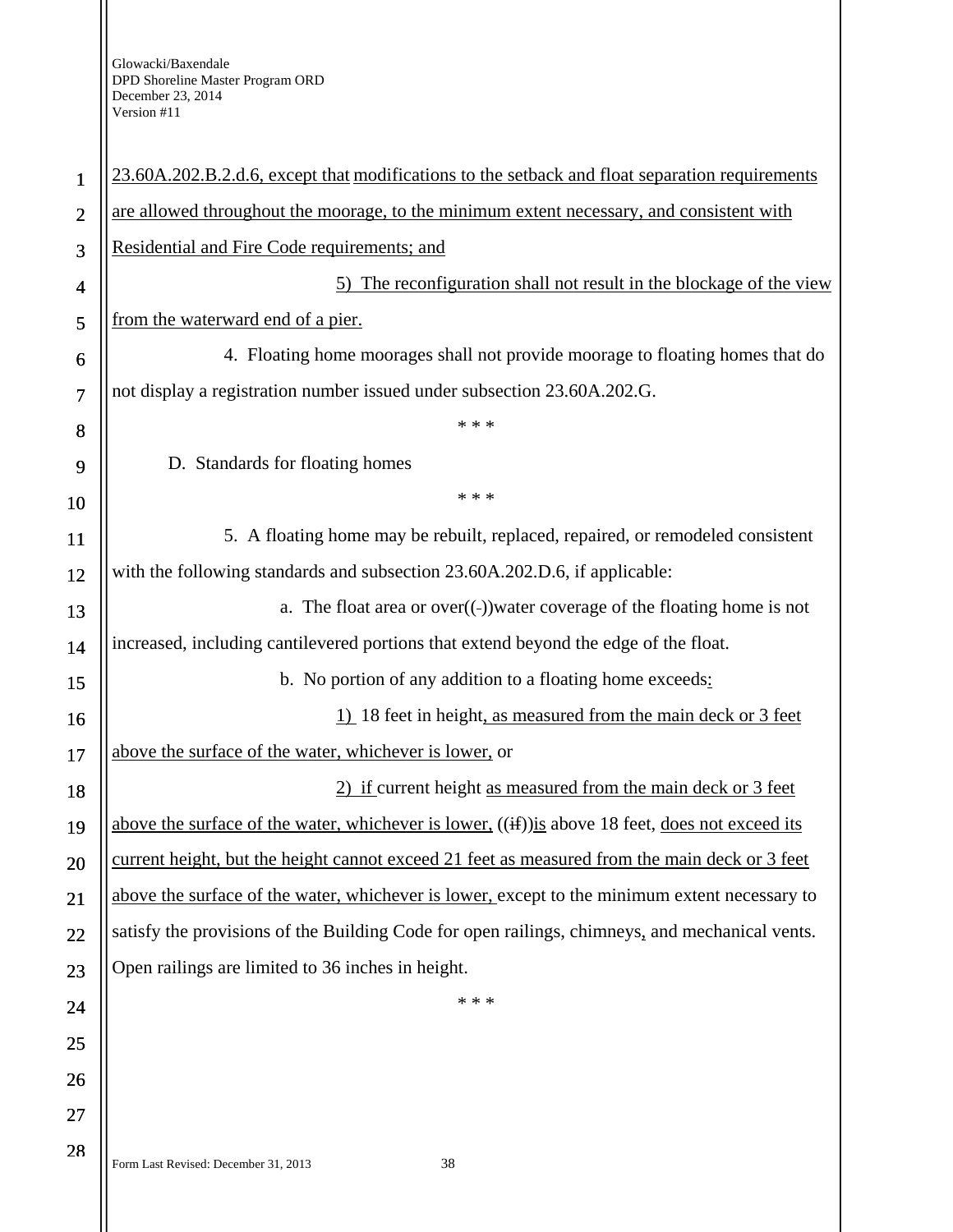Ш

| $\mathbf{1}$   | 23.60A.202.B.2.d.6, except that modifications to the setback and float separation requirements   |
|----------------|--------------------------------------------------------------------------------------------------|
| $\overline{2}$ | are allowed throughout the moorage, to the minimum extent necessary, and consistent with         |
| 3              | Residential and Fire Code requirements; and                                                      |
| 4              | 5) The reconfiguration shall not result in the blockage of the view                              |
| 5              | from the waterward end of a pier.                                                                |
| 6              | 4. Floating home moorages shall not provide moorage to floating homes that do                    |
| 7              | not display a registration number issued under subsection 23.60A.202.G.                          |
| 8              | * * *                                                                                            |
| 9              | D. Standards for floating homes                                                                  |
| 10             | * * *                                                                                            |
| 11             | 5. A floating home may be rebuilt, replaced, repaired, or remodeled consistent                   |
| 12             | with the following standards and subsection 23.60A.202.D.6, if applicable:                       |
| 13             | a. The float area or $over((-))$ water coverage of the floating home is not                      |
| 14             | increased, including cantilevered portions that extend beyond the edge of the float.             |
| 15             | b. No portion of any addition to a floating home exceeds:                                        |
| 16             | 1) 18 feet in height, as measured from the main deck or 3 feet                                   |
| 17             | above the surface of the water, whichever is lower, or                                           |
| 18             | 2) if current height as measured from the main deck or 3 feet                                    |
| 19             | above the surface of the water, whichever is lower, ((if)) is above 18 feet, does not exceed its |
| 20             | current height, but the height cannot exceed 21 feet as measured from the main deck or 3 feet    |
| 21             | above the surface of the water, whichever is lower, except to the minimum extent necessary to    |
| 22             | satisfy the provisions of the Building Code for open railings, chimneys, and mechanical vents.   |
| 23             | Open railings are limited to 36 inches in height.                                                |
| 24             | * * *                                                                                            |
| 25             |                                                                                                  |
| 26             |                                                                                                  |
| 27             |                                                                                                  |
| 28             |                                                                                                  |
|                | 38<br>Form Last Revised: December 31, 2013                                                       |
|                |                                                                                                  |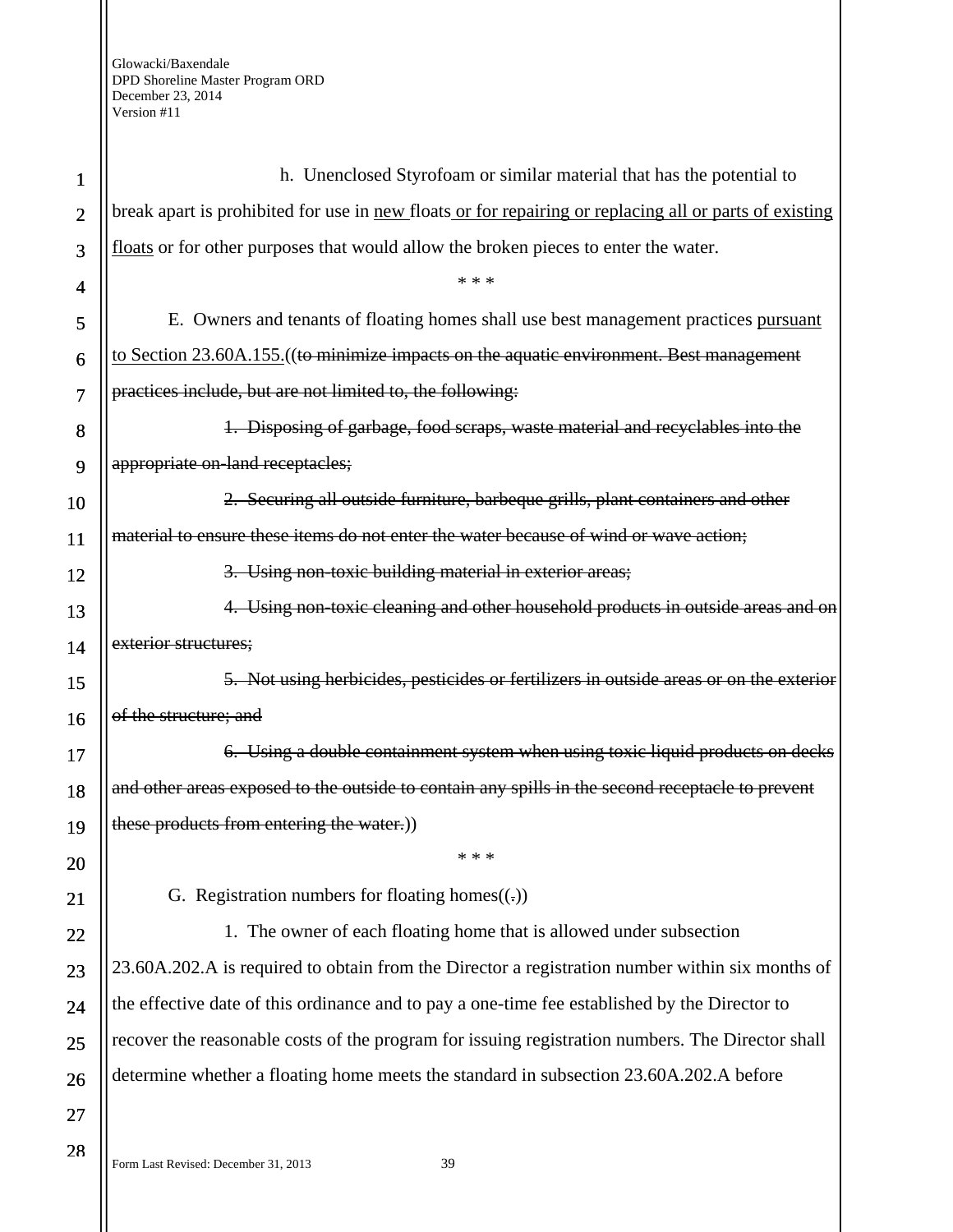| $\mathbf{1}$   | h. Unenclosed Styrofoam or similar material that has the potential to                                  |
|----------------|--------------------------------------------------------------------------------------------------------|
| $\overline{2}$ | break apart is prohibited for use in new floats or for repairing or replacing all or parts of existing |
| 3              | floats or for other purposes that would allow the broken pieces to enter the water.                    |
| 4              | * * *                                                                                                  |
| 5              | E. Owners and tenants of floating homes shall use best management practices pursuant                   |
| 6              | to Section 23.60A.155. ((to minimize impacts on the aquatic environment. Best management               |
| $\overline{7}$ | practices include, but are not limited to, the following:                                              |
| 8              | 1. Disposing of garbage, food scraps, waste material and recyclables into the                          |
| 9              | appropriate on-land receptacles;                                                                       |
| 10             | 2. Securing all outside furniture, barbeque grills, plant containers and other                         |
| 11             | material to ensure these items do not enter the water because of wind or wave action;                  |
| 12             | 3. Using non-toxic building material in exterior areas;                                                |
| 13             | 4. Using non-toxic cleaning and other household products in outside areas and on                       |
| 14             | exterior structures;                                                                                   |
| 15             | 5. Not using herbicides, pesticides or fertilizers in outside areas or on the exterior                 |
| 16             | of the structure; and                                                                                  |
| 17             | 6. Using a double containment system when using toxic liquid products on decks                         |
| 18             | and other areas exposed to the outside to contain any spills in the second receptacle to prevent       |
| 19             | these products from entering the water.))                                                              |
| 20             | * * *                                                                                                  |
| 21             | G. Registration numbers for floating homes $((.)$                                                      |
| 22             | 1. The owner of each floating home that is allowed under subsection                                    |
| 23             | 23.60A.202.A is required to obtain from the Director a registration number within six months of        |
| 24             | the effective date of this ordinance and to pay a one-time fee established by the Director to          |
| 25             | recover the reasonable costs of the program for issuing registration numbers. The Director shall       |
| 26             | determine whether a floating home meets the standard in subsection 23.60A.202.A before                 |
| 27             |                                                                                                        |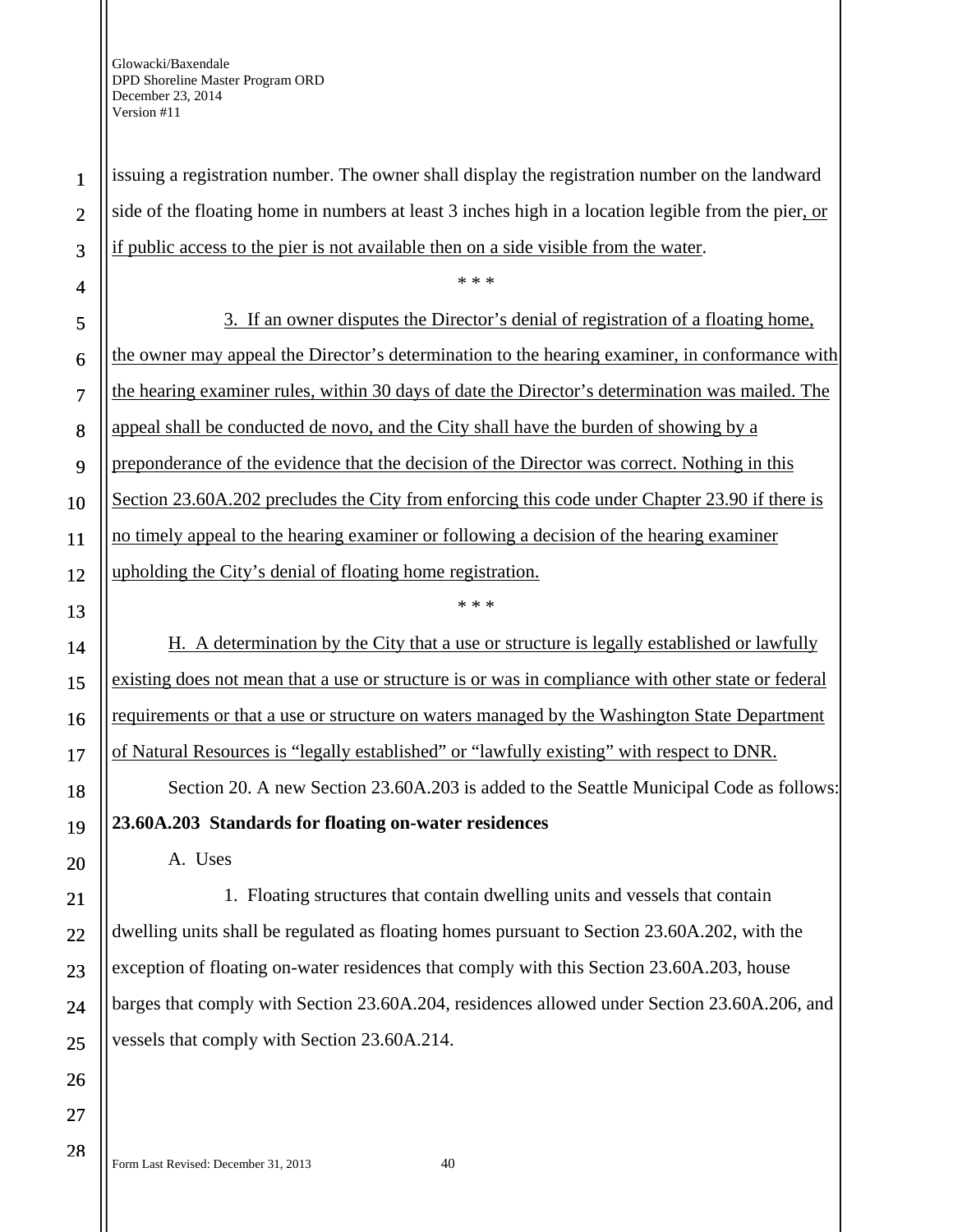issuing a registration number. The owner shall display the registration number on the landward side of the floating home in numbers at least 3 inches high in a location legible from the pier, or if public access to the pier is not available then on a side visible from the water.

\* \* \*

3. If an owner disputes the Director's denial of registration of a floating home, the owner may appeal the Director's determination to the hearing examiner, in conformance with the hearing examiner rules, within 30 days of date the Director's determination was mailed. The appeal shall be conducted de novo, and the City shall have the burden of showing by a preponderance of the evidence that the decision of the Director was correct. Nothing in this Section 23.60A.202 precludes the City from enforcing this code under Chapter 23.90 if there is no timely appeal to the hearing examiner or following a decision of the hearing examiner upholding the City's denial of floating home registration.

1

2

3

4

5

6

7

8

9

10

11

16

17

18

19

20

21

22

23

24

25

26

27

28

H. A determination by the City that a use or structure is legally established or lawfully existing does not mean that a use or structure is or was in compliance with other state or federal requirements or that a use or structure on waters managed by the Washington State Department of Natural Resources is "legally established" or "lawfully existing" with respect to DNR.

\* \* \*

Section 20. A new Section 23.60A.203 is added to the Seattle Municipal Code as follows:

**23.60A.203 Standards for floating on-water residences** 

A. Uses

1. Floating structures that contain dwelling units and vessels that contain dwelling units shall be regulated as floating homes pursuant to Section 23.60A.202, with the exception of floating on-water residences that comply with this Section 23.60A.203, house barges that comply with Section 23.60A.204, residences allowed under Section 23.60A.206, and vessels that comply with Section 23.60A.214.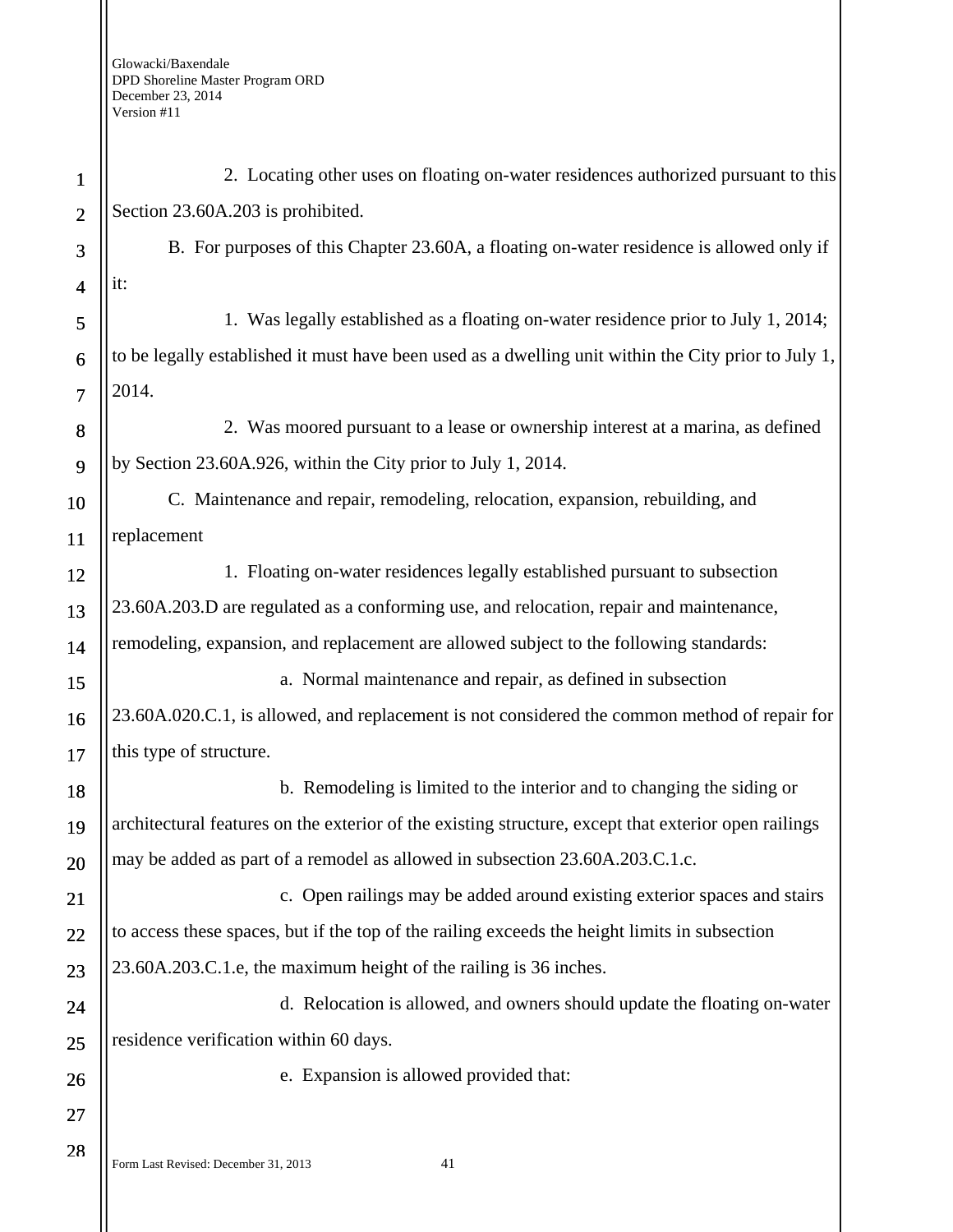| $\mathbf{1}$   | 2. Locating other uses on floating on-water residences authorized pursuant to this                   |
|----------------|------------------------------------------------------------------------------------------------------|
| $\mathbf{2}$   | Section 23.60A.203 is prohibited.                                                                    |
| 3              | B. For purposes of this Chapter 23.60A, a floating on-water residence is allowed only if             |
| $\overline{4}$ | it:                                                                                                  |
| 5              | 1. Was legally established as a floating on-water residence prior to July 1, 2014;                   |
| 6              | to be legally established it must have been used as a dwelling unit within the City prior to July 1, |
| $\overline{7}$ | 2014.                                                                                                |
| 8              | 2. Was moored pursuant to a lease or ownership interest at a marina, as defined                      |
| 9              | by Section 23.60A.926, within the City prior to July 1, 2014.                                        |
| 10             | C. Maintenance and repair, remodeling, relocation, expansion, rebuilding, and                        |
| 11             | replacement                                                                                          |
| 12             | 1. Floating on-water residences legally established pursuant to subsection                           |
| 13             | 23.60A.203.D are regulated as a conforming use, and relocation, repair and maintenance,              |
| 14             | remodeling, expansion, and replacement are allowed subject to the following standards:               |
| 15             | a. Normal maintenance and repair, as defined in subsection                                           |
| 16             | 23.60A.020.C.1, is allowed, and replacement is not considered the common method of repair for        |
| 17             | this type of structure.                                                                              |
| 18             | b. Remodeling is limited to the interior and to changing the siding or                               |
| 19             | architectural features on the exterior of the existing structure, except that exterior open railings |
| 20             | may be added as part of a remodel as allowed in subsection 23.60A.203.C.1.c.                         |
| 21             | c. Open railings may be added around existing exterior spaces and stairs                             |
| 22             | to access these spaces, but if the top of the railing exceeds the height limits in subsection        |
| 23             | 23.60A.203.C.1.e, the maximum height of the railing is 36 inches.                                    |
| 24             | d. Relocation is allowed, and owners should update the floating on-water                             |
| 25             | residence verification within 60 days.                                                               |
| 26             | e. Expansion is allowed provided that:                                                               |
| 27             |                                                                                                      |
| 28             |                                                                                                      |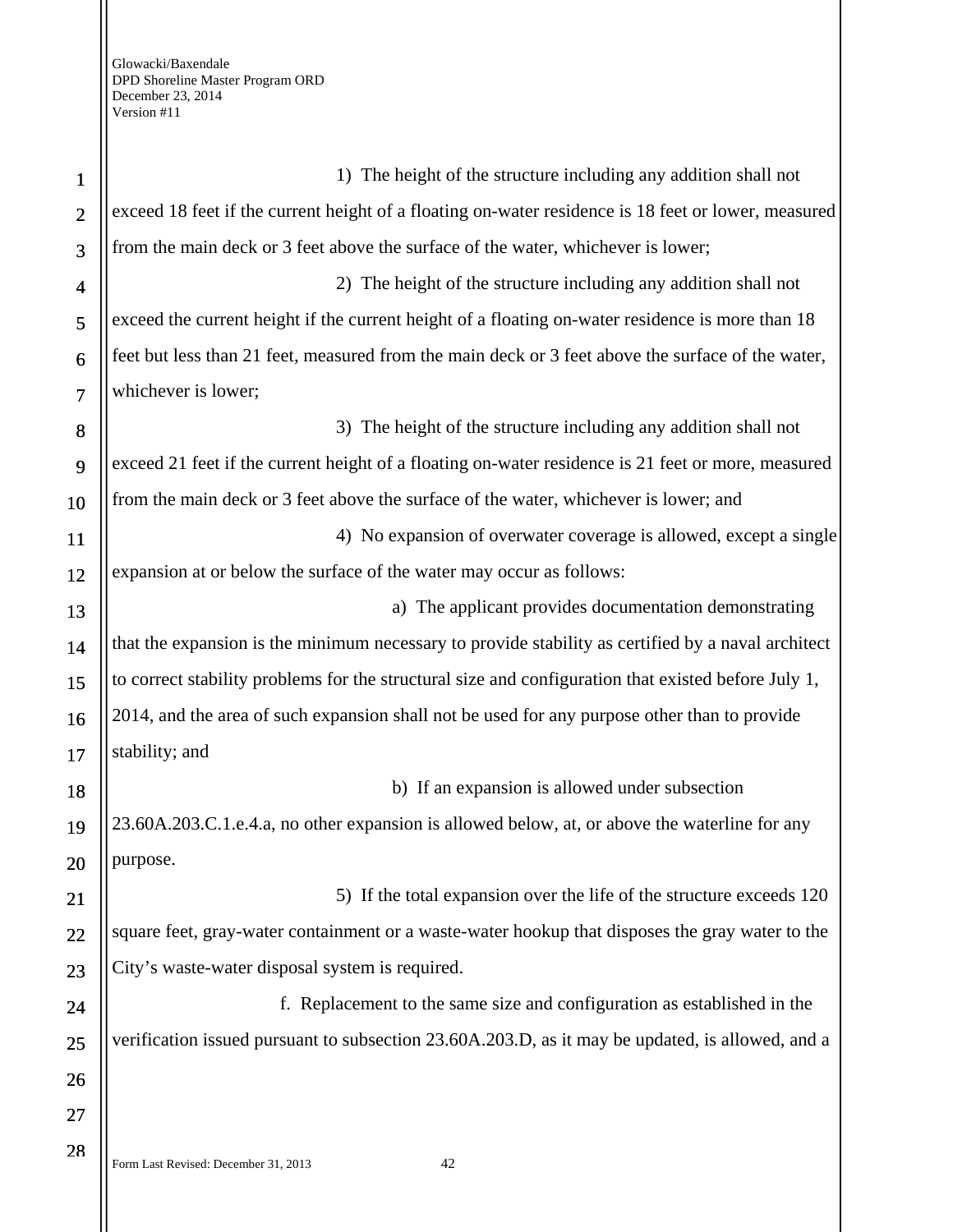Ш

| $\mathbf{1}$             | 1) The height of the structure including any addition shall not                                     |
|--------------------------|-----------------------------------------------------------------------------------------------------|
| $\overline{2}$           | exceed 18 feet if the current height of a floating on-water residence is 18 feet or lower, measured |
| 3                        | from the main deck or 3 feet above the surface of the water, whichever is lower;                    |
| $\overline{\mathcal{A}}$ | 2) The height of the structure including any addition shall not                                     |
| 5                        | exceed the current height if the current height of a floating on-water residence is more than 18    |
| 6                        | feet but less than 21 feet, measured from the main deck or 3 feet above the surface of the water,   |
| $\overline{7}$           | whichever is lower;                                                                                 |
| 8                        | 3) The height of the structure including any addition shall not                                     |
| 9                        | exceed 21 feet if the current height of a floating on-water residence is 21 feet or more, measured  |
| 10                       | from the main deck or 3 feet above the surface of the water, whichever is lower; and                |
| 11                       | 4) No expansion of overwater coverage is allowed, except a single                                   |
| 12                       | expansion at or below the surface of the water may occur as follows:                                |
| 13                       | a) The applicant provides documentation demonstrating                                               |
| 14                       | that the expansion is the minimum necessary to provide stability as certified by a naval architect  |
| 15                       | to correct stability problems for the structural size and configuration that existed before July 1, |
| 16                       | 2014, and the area of such expansion shall not be used for any purpose other than to provide        |
| 17                       | stability; and                                                                                      |
| 18                       | b) If an expansion is allowed under subsection                                                      |
| 19                       | 23.60A.203.C.1.e.4.a, no other expansion is allowed below, at, or above the waterline for any       |
| 20                       | purpose.                                                                                            |
| 21                       | 5) If the total expansion over the life of the structure exceeds 120                                |
| 22                       | square feet, gray-water containment or a waste-water hookup that disposes the gray water to the     |
| 23                       | City's waste-water disposal system is required.                                                     |
| 24                       | f. Replacement to the same size and configuration as established in the                             |
| 25                       | verification issued pursuant to subsection 23.60A.203.D, as it may be updated, is allowed, and a    |
| 26                       |                                                                                                     |
| 27                       |                                                                                                     |
| 28                       |                                                                                                     |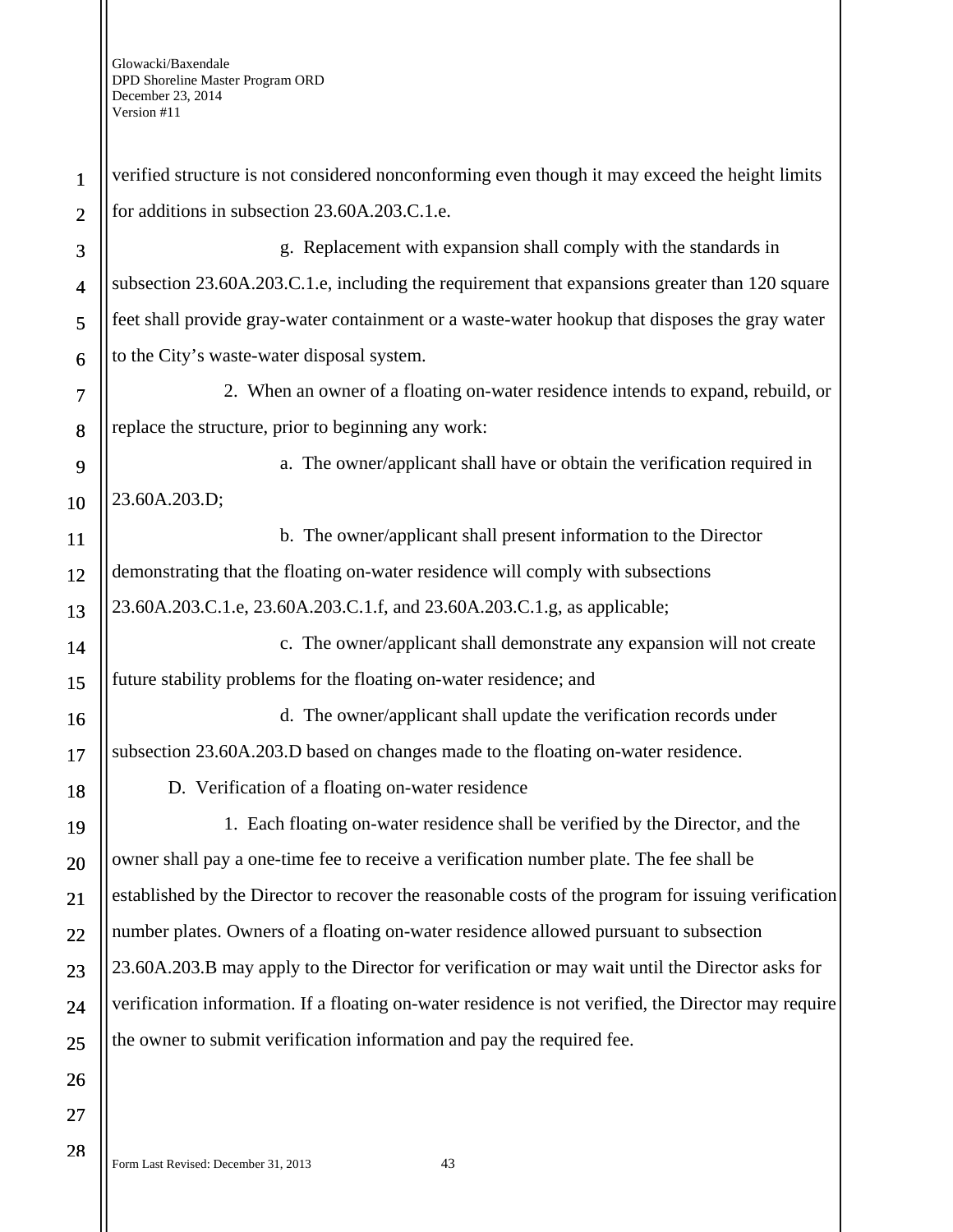| 1              | verified structure is not considered nonconforming even though it may exceed the height limits       |
|----------------|------------------------------------------------------------------------------------------------------|
| $\overline{2}$ | for additions in subsection 23.60A.203.C.1.e.                                                        |
| 3              | g. Replacement with expansion shall comply with the standards in                                     |
| $\overline{4}$ | subsection 23.60A.203.C.1.e, including the requirement that expansions greater than 120 square       |
| 5              | feet shall provide gray-water containment or a waste-water hookup that disposes the gray water       |
| 6              | to the City's waste-water disposal system.                                                           |
| $\tau$         | 2. When an owner of a floating on-water residence intends to expand, rebuild, or                     |
| 8              | replace the structure, prior to beginning any work:                                                  |
| 9              | a. The owner/applicant shall have or obtain the verification required in                             |
| 10             | 23.60A.203.D;                                                                                        |
| 11             | b. The owner/applicant shall present information to the Director                                     |
| 12             | demonstrating that the floating on-water residence will comply with subsections                      |
| 13             | 23.60A.203.C.1.e, 23.60A.203.C.1.f, and 23.60A.203.C.1.g, as applicable;                             |
| 14             | c. The owner/applicant shall demonstrate any expansion will not create                               |
| 15             | future stability problems for the floating on-water residence; and                                   |
| 16             | d. The owner/applicant shall update the verification records under                                   |
| 17             | subsection 23.60A.203.D based on changes made to the floating on-water residence.                    |
| 18             | D. Verification of a floating on-water residence                                                     |
| 19             | 1. Each floating on-water residence shall be verified by the Director, and the                       |
| 20             | owner shall pay a one-time fee to receive a verification number plate. The fee shall be              |
| 21             | established by the Director to recover the reasonable costs of the program for issuing verification  |
| 22             | number plates. Owners of a floating on-water residence allowed pursuant to subsection                |
| 23             | 23.60A.203.B may apply to the Director for verification or may wait until the Director asks for      |
| 24             | verification information. If a floating on-water residence is not verified, the Director may require |
| 25             | the owner to submit verification information and pay the required fee.                               |
| 26             |                                                                                                      |
| 27             |                                                                                                      |
|                |                                                                                                      |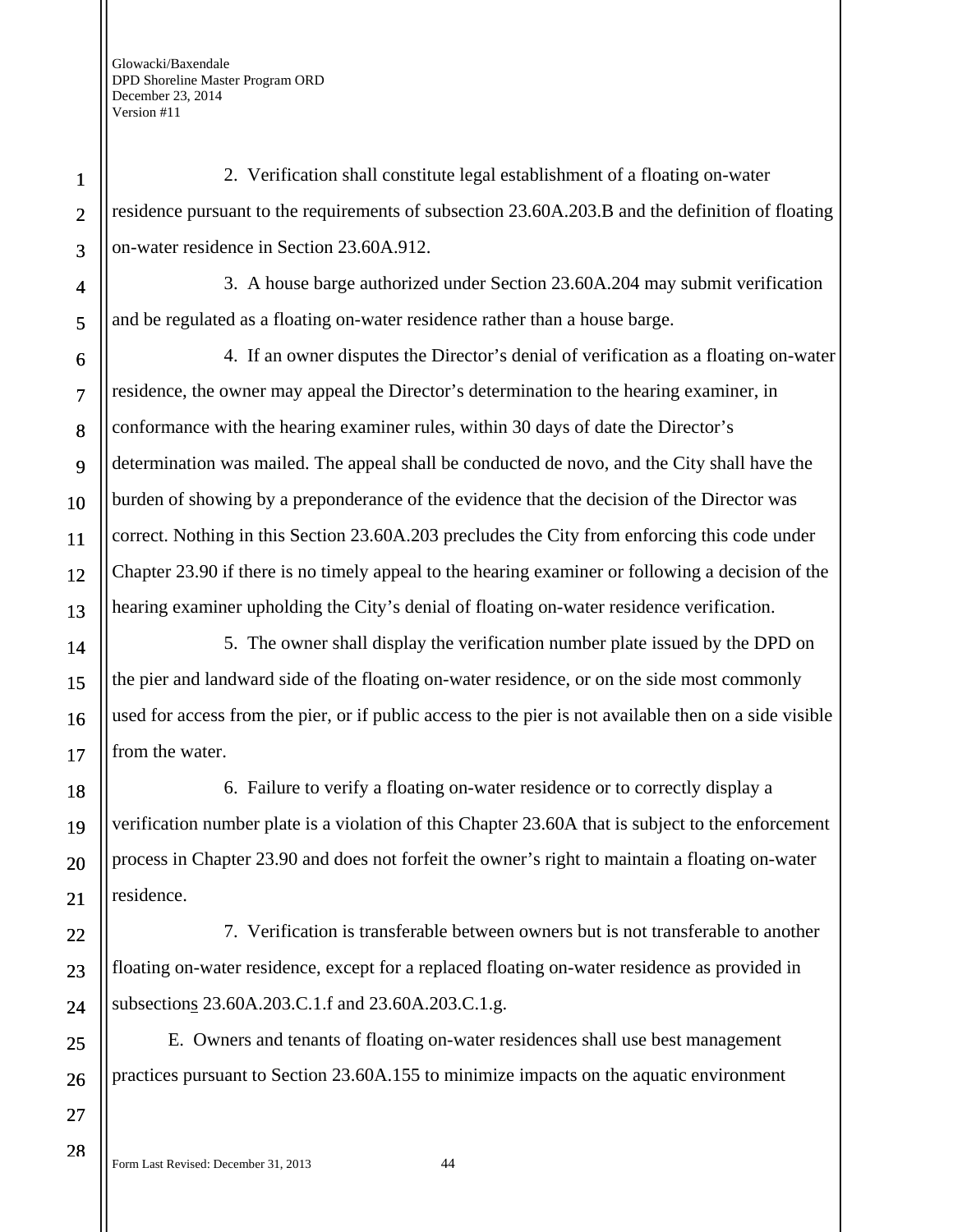1

2

3

4

5

6

7

8

9

10

11

12

13

14

15

16

17

18

19

20

21

22

23

24

25

26

2. Verification shall constitute legal establishment of a floating on-water residence pursuant to the requirements of subsection 23.60A.203.B and the definition of floating on-water residence in Section 23.60A.912.

3. A house barge authorized under Section 23.60A.204 may submit verification and be regulated as a floating on-water residence rather than a house barge.

4. If an owner disputes the Director's denial of verification as a floating on-water residence, the owner may appeal the Director's determination to the hearing examiner, in conformance with the hearing examiner rules, within 30 days of date the Director's determination was mailed. The appeal shall be conducted de novo, and the City shall have the burden of showing by a preponderance of the evidence that the decision of the Director was correct. Nothing in this Section 23.60A.203 precludes the City from enforcing this code under Chapter 23.90 if there is no timely appeal to the hearing examiner or following a decision of the hearing examiner upholding the City's denial of floating on-water residence verification.

5. The owner shall display the verification number plate issued by the DPD on the pier and landward side of the floating on-water residence, or on the side most commonly used for access from the pier, or if public access to the pier is not available then on a side visible from the water.

6. Failure to verify a floating on-water residence or to correctly display a verification number plate is a violation of this Chapter 23.60A that is subject to the enforcement process in Chapter 23.90 and does not forfeit the owner's right to maintain a floating on-water residence.

7. Verification is transferable between owners but is not transferable to another floating on-water residence, except for a replaced floating on-water residence as provided in subsections 23.60A.203.C.1.f and 23.60A.203.C.1.g.

E. Owners and tenants of floating on-water residences shall use best management practices pursuant to Section 23.60A.155 to minimize impacts on the aquatic environment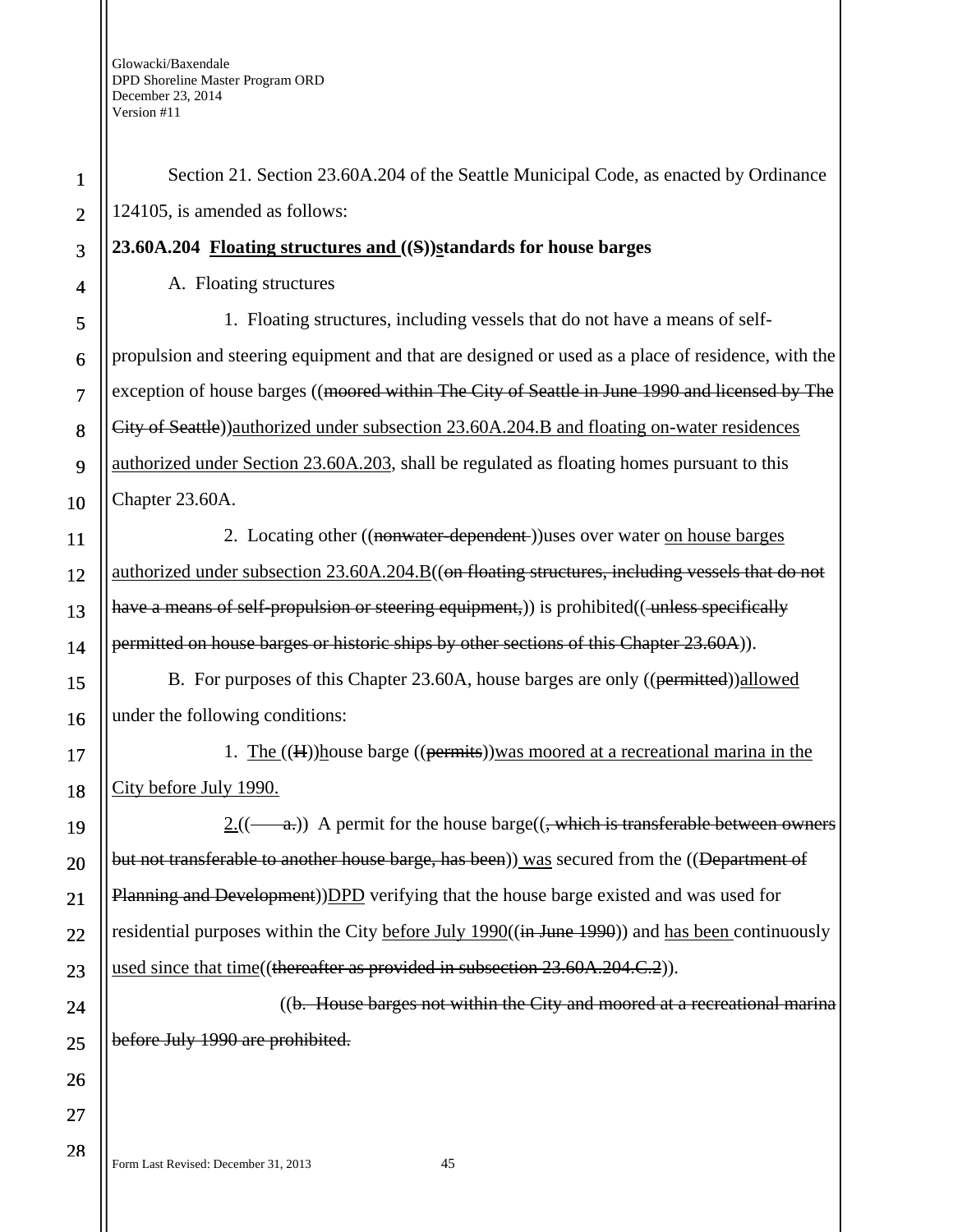| $\mathbf 1$    | Section 21. Section 23.60A.204 of the Seattle Municipal Code, as enacted by Ordinance             |
|----------------|---------------------------------------------------------------------------------------------------|
| $\overline{2}$ | 124105, is amended as follows:                                                                    |
| 3              | 23.60A.204 Floating structures and ((S))standards for house barges                                |
| 4              | A. Floating structures                                                                            |
| 5              | 1. Floating structures, including vessels that do not have a means of self-                       |
| 6              | propulsion and steering equipment and that are designed or used as a place of residence, with the |
| $\overline{7}$ | exception of house barges ((moored within The City of Seattle in June 1990 and licensed by The    |
| 8              | City of Seattle))authorized under subsection 23.60A.204.B and floating on-water residences        |
| 9              | authorized under Section 23.60A.203, shall be regulated as floating homes pursuant to this        |
| 10             | Chapter 23.60A.                                                                                   |
| 11             | 2. Locating other ((nonwater-dependent-))uses over water on house barges                          |
| 12             | authorized under subsection 23.60A.204.B((on floating structures, including vessels that do not   |
| 13             | have a means of self-propulsion or steering equipment,)) is prohibited((unless specifically       |
| 14             | permitted on house barges or historic ships by other sections of this Chapter 23.60A)).           |
| 15             | B. For purposes of this Chapter 23.60A, house barges are only ((permitted)) allowed               |
| 16             | under the following conditions:                                                                   |
| 17             | 1. The $((H))$ house barge $((\overline{permits}))$ was moored at a recreational marina in the    |
| 18             | City before July 1990.                                                                            |
| 19             | $2.(($ —a.) A permit for the house barge $((,$ which is transferable between owners               |
| 20             | but not transferable to another house barge, has been)) was secured from the ((Department of      |
| 21             | Planning and Development))DPD verifying that the house barge existed and was used for             |
| 22             | residential purposes within the City before July 1990((in June 1990)) and has been continuously   |
| 23             | used since that time((thereafter as provided in subsection 23.60A.204.C.2)).                      |
| 24             | ((b. House barges not within the City and moored at a recreational marina                         |
| 25             | before July 1990 are prohibited.                                                                  |
| 26             |                                                                                                   |
| 27             |                                                                                                   |
| 28             |                                                                                                   |

Form Last Revised: December 31, 2013 45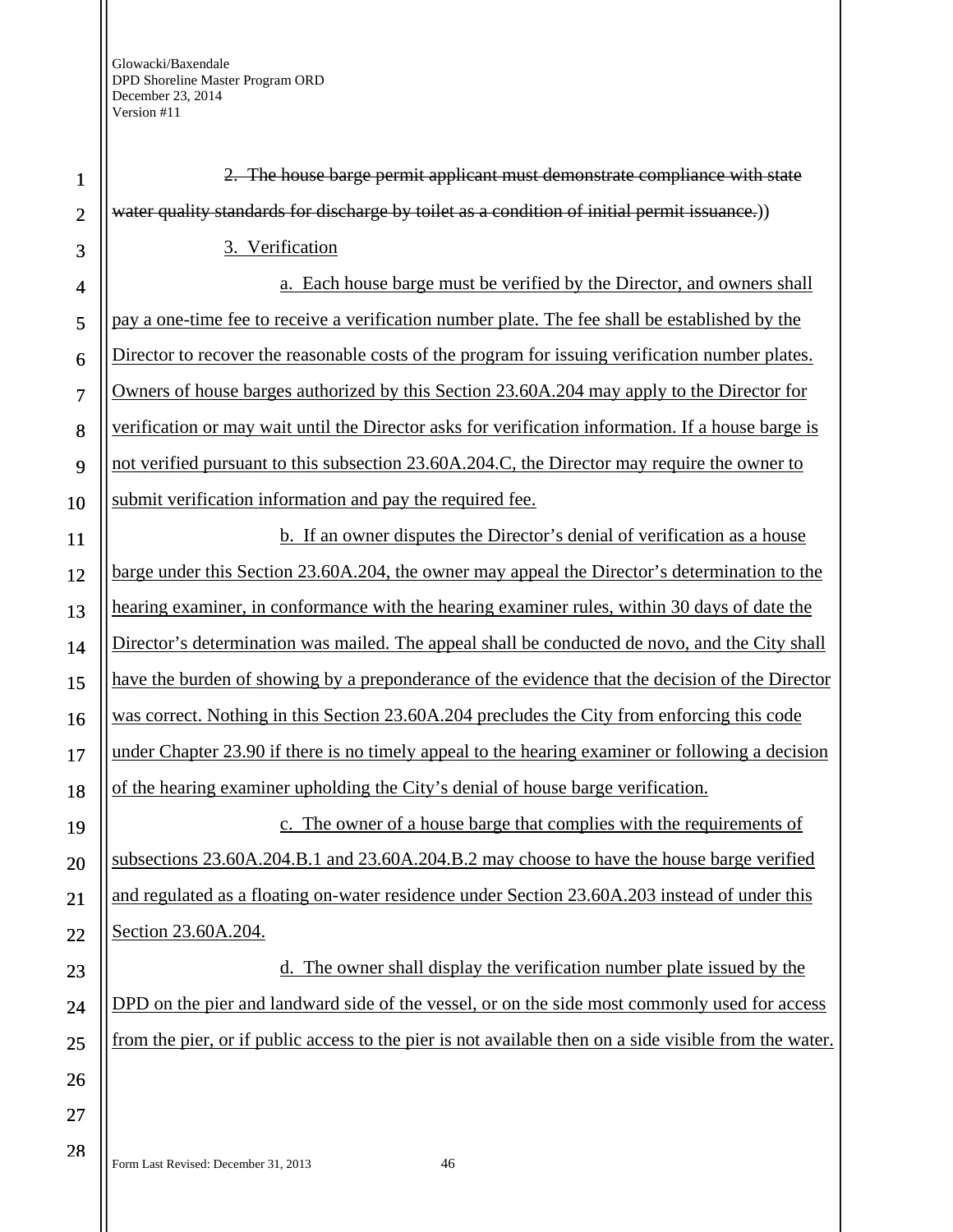| $\mathbf{1}$   | 2. The house barge permit applicant must demonstrate compliance with state                             |
|----------------|--------------------------------------------------------------------------------------------------------|
| $\overline{2}$ | water quality standards for discharge by toilet as a condition of initial permit issuance.))           |
| 3              | 3. Verification                                                                                        |
| $\overline{4}$ | a. Each house barge must be verified by the Director, and owners shall                                 |
| 5              | pay a one-time fee to receive a verification number plate. The fee shall be established by the         |
| 6              | Director to recover the reasonable costs of the program for issuing verification number plates.        |
| 7              | Owners of house barges authorized by this Section 23.60A.204 may apply to the Director for             |
| 8              | verification or may wait until the Director asks for verification information. If a house barge is     |
| 9              | not verified pursuant to this subsection 23.60A.204.C, the Director may require the owner to           |
| 10             | submit verification information and pay the required fee.                                              |
| 11             | <b>b.</b> If an owner disputes the Director's denial of verification as a house                        |
| 12             | barge under this Section 23.60A.204, the owner may appeal the Director's determination to the          |
| 13             | hearing examiner, in conformance with the hearing examiner rules, within 30 days of date the           |
| 14             | Director's determination was mailed. The appeal shall be conducted de novo, and the City shall         |
| 15             | have the burden of showing by a preponderance of the evidence that the decision of the Director        |
| 16             | was correct. Nothing in this Section 23.60A.204 precludes the City from enforcing this code            |
| 17             | under Chapter 23.90 if there is no timely appeal to the hearing examiner or following a decision       |
| 18             | of the hearing examiner upholding the City's denial of house barge verification.                       |
| 19             | The owner of a house barge that complies with the requirements of                                      |
| 20             | subsections 23.60A.204.B.1 and 23.60A.204.B.2 may choose to have the house barge verified              |
| 21             | and regulated as a floating on-water residence under Section 23.60A.203 instead of under this          |
| 22             | Section 23.60A.204.                                                                                    |
| 23             | The owner shall display the verification number plate issued by the                                    |
| 24             | DPD on the pier and landward side of the vessel, or on the side most commonly used for access          |
| 25             | from the pier, or if public access to the pier is not available then on a side visible from the water. |
| 26             |                                                                                                        |
| 27             |                                                                                                        |
| 28             | Form Last Revised: December 31, 2013<br>46                                                             |
|                |                                                                                                        |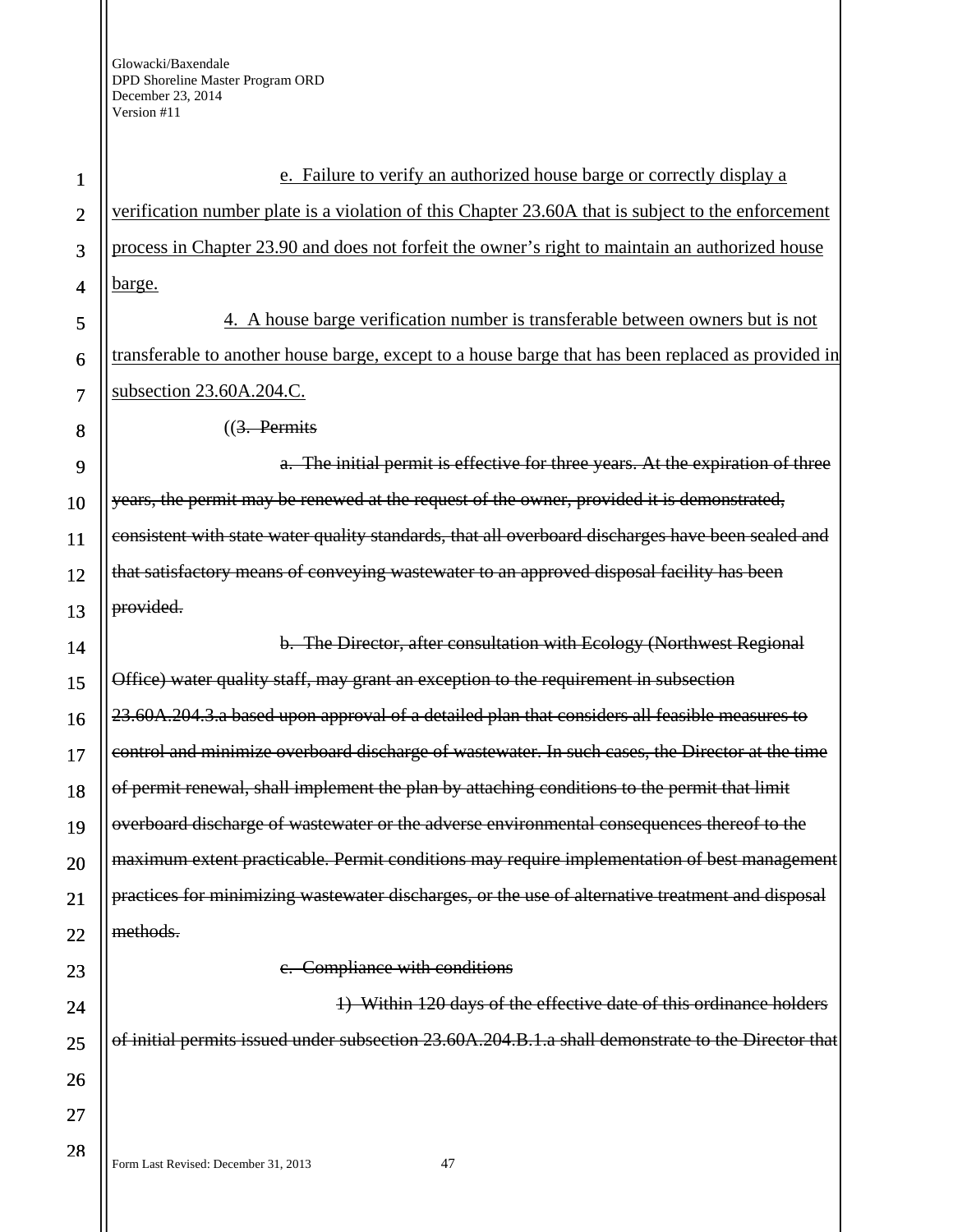Form Last Revised: December 31, 2013 47 1 2 3 4 5 6 7 8 9 10 11 12 13 14 15 16 17 18 19 20 21 22 23 24 25 26 27 28 e. Failure to verify an authorized house barge or correctly display a verification number plate is a violation of this Chapter 23.60A that is subject to the enforcement process in Chapter 23.90 and does not forfeit the owner's right to maintain an authorized house barge. 4. A house barge verification number is transferable between owners but is not transferable to another house barge, except to a house barge that has been replaced as provided in subsection 23.60A.204.C. ((3. Permits a. The initial permit is effective for three years. At the expiration of three years, the permit may be renewed at the request of the owner, provided it is demonstrated, consistent with state water quality standards, that all overboard discharges have been sealed and that satisfactory means of conveying wastewater to an approved disposal facility has been provided. b. The Director, after consultation with Ecology (Northwest Regional Office) water quality staff, may grant an exception to the requirement in subsection 23.60A.204.3.a based upon approval of a detailed plan that considers all feasible measures to control and minimize overboard discharge of wastewater. In such cases, the Director at the time of permit renewal, shall implement the plan by attaching conditions to the permit that limit overboard discharge of wastewater or the adverse environmental consequences thereof to the maximum extent practicable. Permit conditions may require implementation of best management practices for minimizing wastewater discharges, or the use of alternative treatment and disposal methods. c. Compliance with conditions 1) Within 120 days of the effective date of this ordinance holders of initial permits issued under subsection 23.60A.204.B.1.a shall demonstrate to the Director that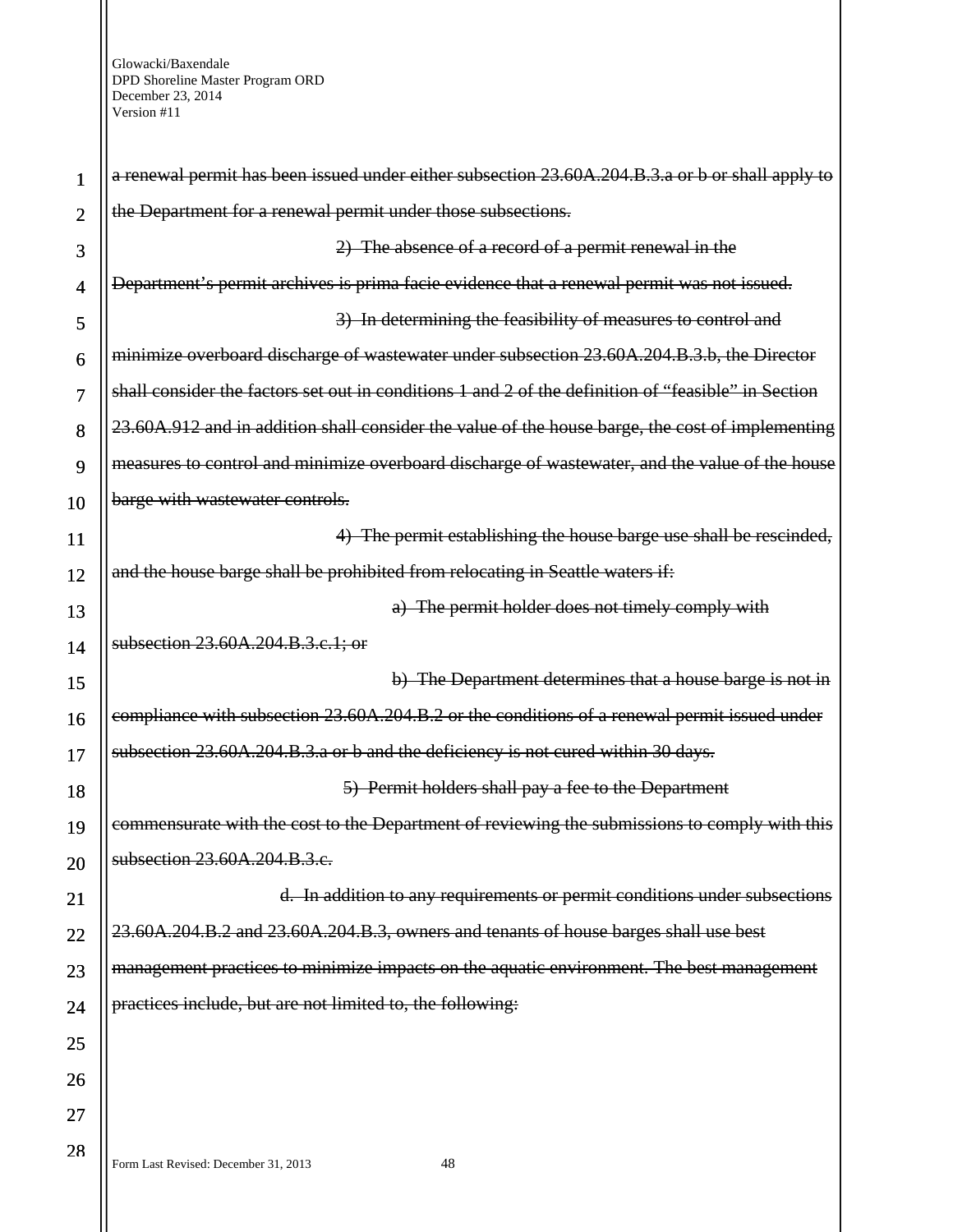a renewal permit has been issued under either subsection 23.60A.204.B.3.a or b or shall apply to the Department for a renewal permit under those subsections. 2) The absence of a record of a permit renewal in the Department's permit archives is prima facie evidence that a renewal permit was not issued. 3) In determining the feasibility of measures to control and minimize overboard discharge of wastewater under subsection 23.60A.204.B.3.b, the Director shall consider the factors set out in conditions 1 and 2 of the definition of "feasible" in Section 23.60A.912 and in addition shall consider the value of the house barge, the cost of implementing measures to control and minimize overboard discharge of wastewater, and the value of the house barge with wastewater controls. 4) The permit establishing the house barge use shall be rescinded, and the house barge shall be prohibited from relocating in Seattle waters if: a) The permit holder does not timely comply with subsection 23.60A.204.B.3.c.1; or b) The Department determines that a house barge is not in compliance with subsection 23.60A.204.B.2 or the conditions of a renewal permit issued under subsection 23.60A.204.B.3.a or b and the deficiency is not cured within 30 days. 5) Permit holders shall pay a fee to the Department commensurate with the cost to the Department of reviewing the submissions to comply with this subsection 23.60A.204.B.3.e. d. In addition to any requirements or permit conditions under subsections 23.60A.204.B.2 and 23.60A.204.B.3, owners and tenants of house barges shall use best management practices to minimize impacts on the aquatic environment. The best management practices include, but are not limited to, the following:

Form Last Revised: December 31, 2013 48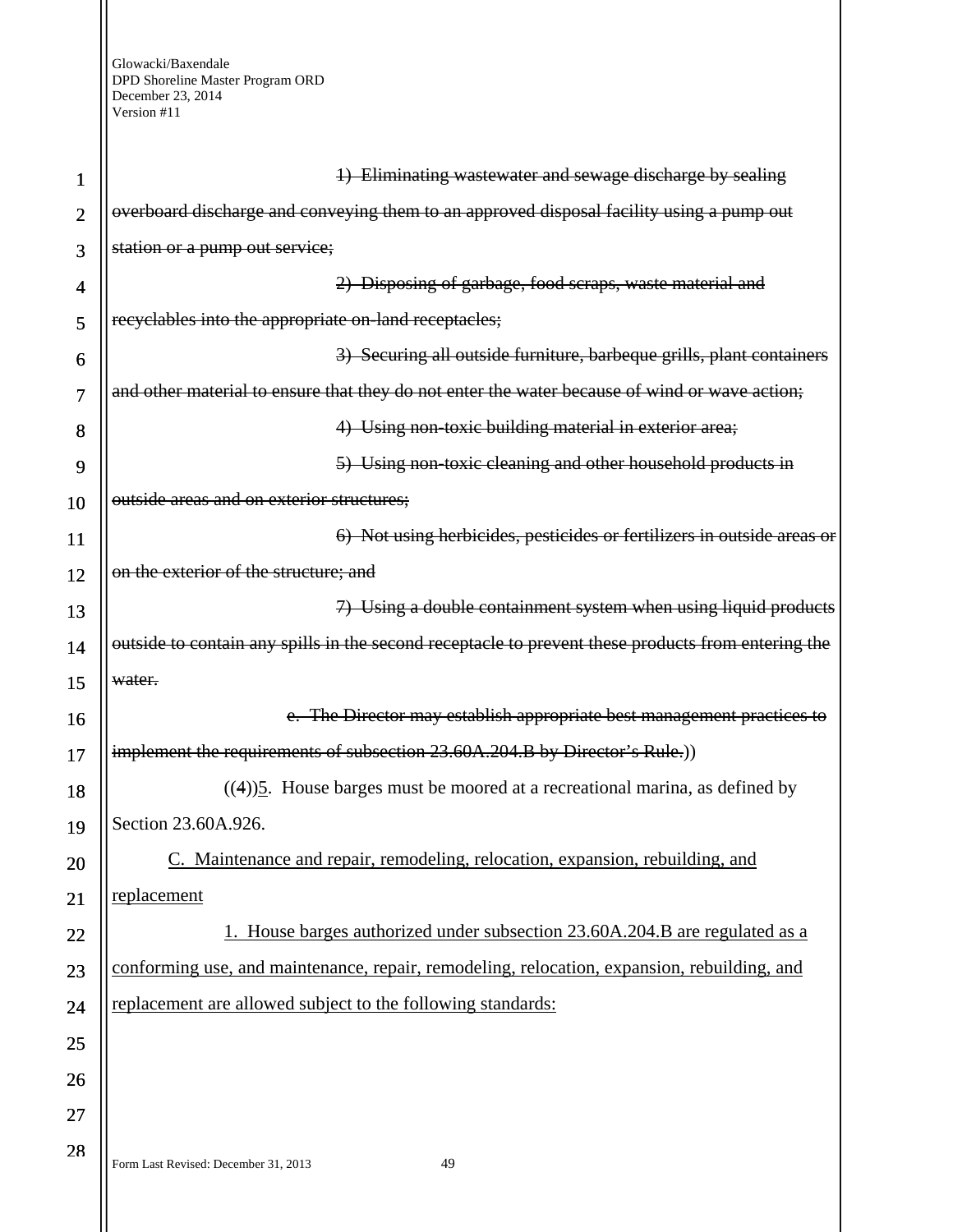| 1              | 1) Eliminating wastewater and sewage discharge by sealing                                          |
|----------------|----------------------------------------------------------------------------------------------------|
| $\overline{2}$ | overboard discharge and conveying them to an approved disposal facility using a pump out           |
| 3              | station or a pump out service;                                                                     |
| 4              | 2) Disposing of garbage, food scraps, waste material and                                           |
| 5              | recyclables into the appropriate on-land receptacles;                                              |
| 6              | 3) Securing all outside furniture, barbeque grills, plant containers                               |
| 7              | and other material to ensure that they do not enter the water because of wind or wave action;      |
| 8              | 4) Using non-toxic building material in exterior area;                                             |
| 9              | 5) Using non-toxic cleaning and other household products in                                        |
| 10             | outside areas and on exterior structures;                                                          |
| 11             | 6) Not using herbicides, pesticides or fertilizers in outside areas or                             |
| 12             | on the exterior of the structure; and                                                              |
| 13             | 7) Using a double containment system when using liquid products                                    |
| 14             | outside to contain any spills in the second receptacle to prevent these products from entering the |
| 15             | water.                                                                                             |
| 16             | e. The Director may establish appropriate best management practices to                             |
| 17             | implement the requirements of subsection 23.60A.204.B by Director's Rule.))                        |
| 18             | $((4))$ <sup>5</sup> . House barges must be moored at a recreational marina, as defined by         |
| 19             | Section 23.60A.926.                                                                                |
| 20             | C. Maintenance and repair, remodeling, relocation, expansion, rebuilding, and                      |
| 21             | replacement                                                                                        |
| 22             | 1. House barges authorized under subsection 23.60A.204.B are regulated as a                        |
| 23             | conforming use, and maintenance, repair, remodeling, relocation, expansion, rebuilding, and        |
| 24             | replacement are allowed subject to the following standards:                                        |
| 25             |                                                                                                    |
| 26             |                                                                                                    |
| 27             |                                                                                                    |
| 28             |                                                                                                    |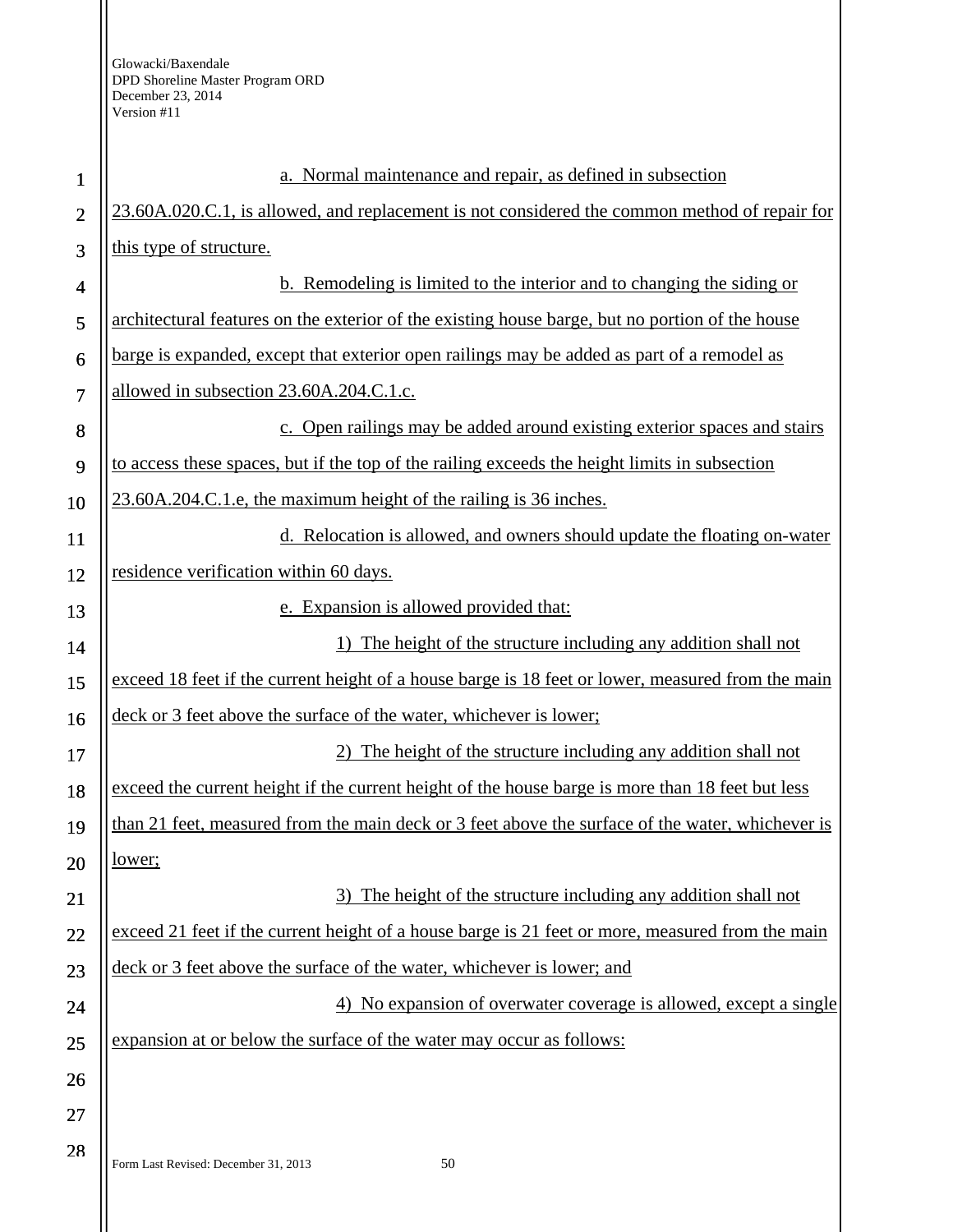| $\mathbf{1}$   | a. Normal maintenance and repair, as defined in subsection                                        |
|----------------|---------------------------------------------------------------------------------------------------|
| $\overline{2}$ | 23.60A.020.C.1, is allowed, and replacement is not considered the common method of repair for     |
| 3              | this type of structure.                                                                           |
| $\overline{4}$ | <b>b.</b> Remodeling is limited to the interior and to changing the siding or                     |
| 5              | architectural features on the exterior of the existing house barge, but no portion of the house   |
| 6              | barge is expanded, except that exterior open railings may be added as part of a remodel as        |
| $\overline{7}$ | allowed in subsection 23.60A.204.C.1.c.                                                           |
| 8              | c. Open railings may be added around existing exterior spaces and stairs                          |
| 9              | to access these spaces, but if the top of the railing exceeds the height limits in subsection     |
| 10             | 23.60A.204.C.1.e, the maximum height of the railing is 36 inches.                                 |
| 11             | d. Relocation is allowed, and owners should update the floating on-water                          |
| 12             | residence verification within 60 days.                                                            |
| 13             | e. Expansion is allowed provided that:                                                            |
| 14             | The height of the structure including any addition shall not                                      |
| 15             | exceed 18 feet if the current height of a house barge is 18 feet or lower, measured from the main |
| 16             | deck or 3 feet above the surface of the water, whichever is lower;                                |
| 17             | The height of the structure including any addition shall not                                      |
| 18             | exceed the current height if the current height of the house barge is more than 18 feet but less  |
| 19             | than 21 feet, measured from the main deck or 3 feet above the surface of the water, whichever is  |
| 20             | <u>lower;</u>                                                                                     |
| 21             | 3) The height of the structure including any addition shall not                                   |
| 22             | exceed 21 feet if the current height of a house barge is 21 feet or more, measured from the main  |
| 23             | deck or 3 feet above the surface of the water, whichever is lower; and                            |
| 24             | 4) No expansion of overwater coverage is allowed, except a single                                 |
| 25             | expansion at or below the surface of the water may occur as follows:                              |
| 26             |                                                                                                   |
| 27             |                                                                                                   |
| 28             | 50<br>Form Last Revised: December 31, 2013                                                        |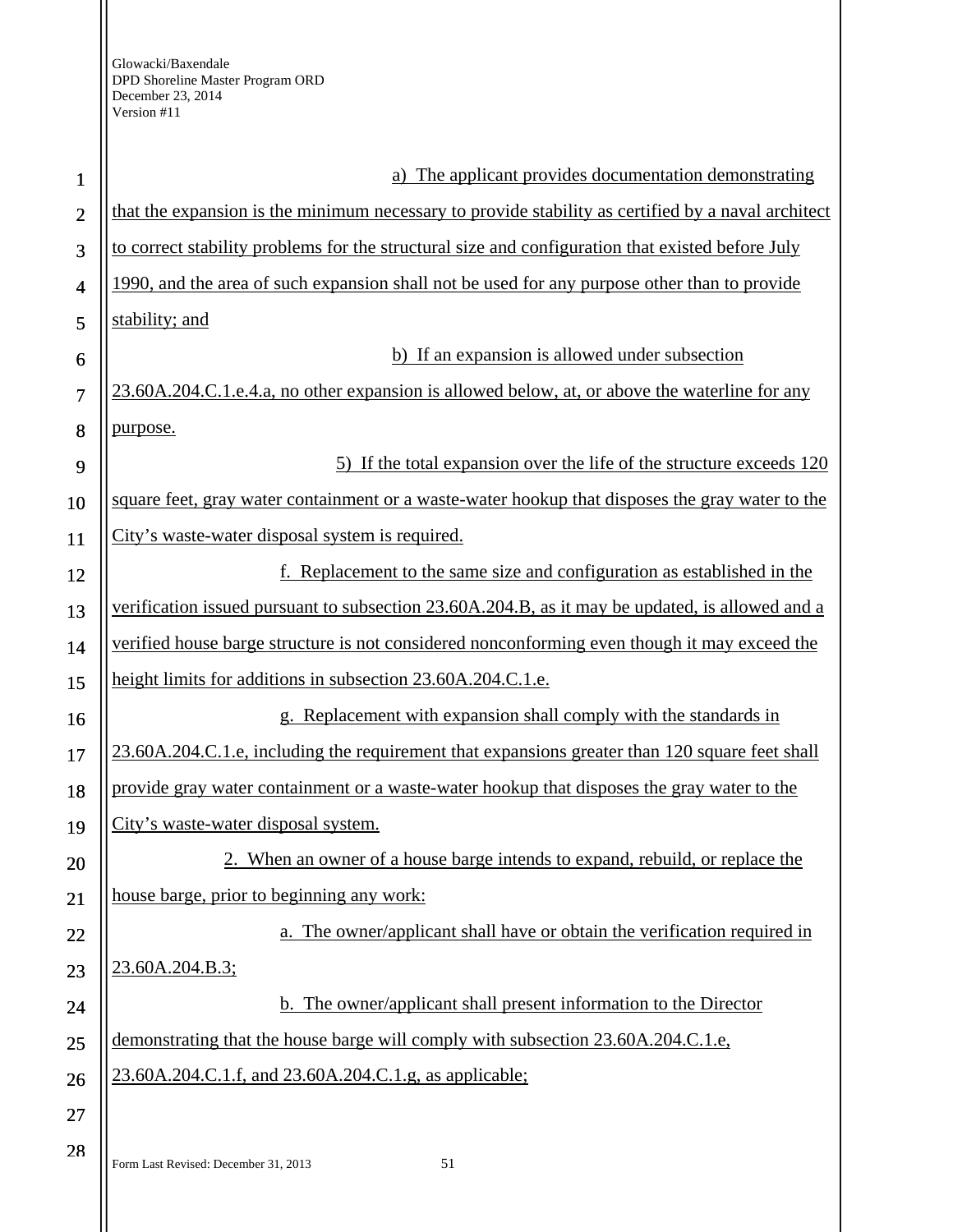| $\mathbf{1}$   | The applicant provides documentation demonstrating                                                 |
|----------------|----------------------------------------------------------------------------------------------------|
| $\overline{2}$ | that the expansion is the minimum necessary to provide stability as certified by a naval architect |
| 3              | to correct stability problems for the structural size and configuration that existed before July   |
| 4              | 1990, and the area of such expansion shall not be used for any purpose other than to provide       |
| 5              | stability; and                                                                                     |
| 6              | b) If an expansion is allowed under subsection                                                     |
| $\tau$         | 23.60A.204.C.1.e.4.a, no other expansion is allowed below, at, or above the waterline for any      |
| 8              | purpose.                                                                                           |
| 9              | 5) If the total expansion over the life of the structure exceeds 120                               |
| 10             | square feet, gray water containment or a waste-water hookup that disposes the gray water to the    |
| 11             | City's waste-water disposal system is required.                                                    |
| 12             | f. Replacement to the same size and configuration as established in the                            |
| 13             | verification issued pursuant to subsection 23.60A.204.B, as it may be updated, is allowed and a    |
| 14             | verified house barge structure is not considered nonconforming even though it may exceed the       |
| 15             | height limits for additions in subsection 23.60A.204.C.1.e.                                        |
| 16             | g. Replacement with expansion shall comply with the standards in                                   |
| 17             | 23.60A.204.C.1.e, including the requirement that expansions greater than 120 square feet shall     |
| 18             | provide gray water containment or a waste-water hookup that disposes the gray water to the         |
| 19             | City's waste-water disposal system.                                                                |
| 20             | 2. When an owner of a house barge intends to expand, rebuild, or replace the                       |
| 21             | house barge, prior to beginning any work:                                                          |
| 22             | a. The owner/applicant shall have or obtain the verification required in                           |
| 23             | 23.60A.204.B.3;                                                                                    |
| 24             | <b>b.</b> The owner/applicant shall present information to the Director                            |
| 25             | demonstrating that the house barge will comply with subsection 23.60A.204.C.1.e,                   |
| 26             | 23.60A.204.C.1.f, and 23.60A.204.C.1.g, as applicable;                                             |
| 27             |                                                                                                    |
| 28             | Form Last Revised: December 31, 2013<br>51                                                         |
|                |                                                                                                    |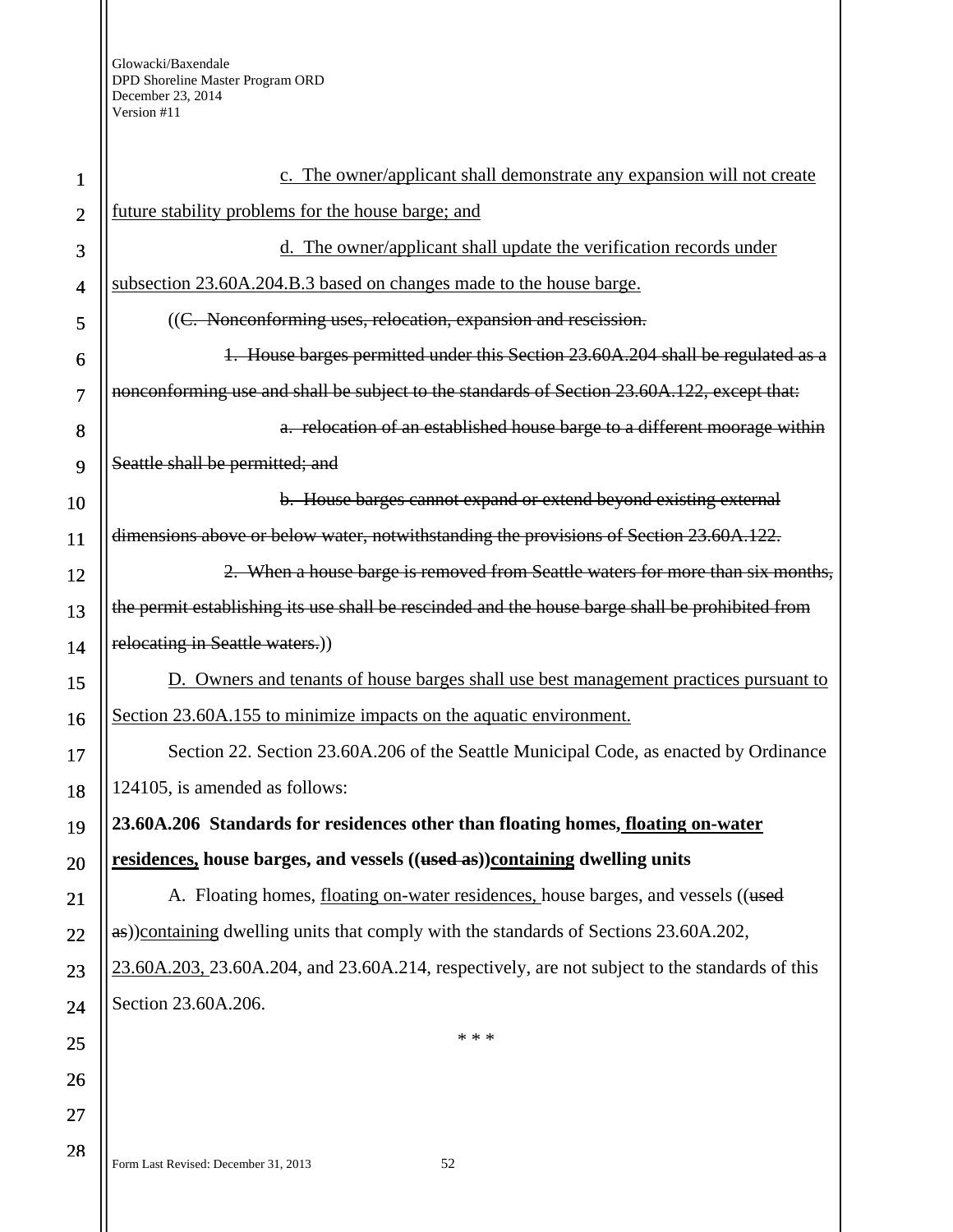| 1              | c. The owner/applicant shall demonstrate any expansion will not create                                  |
|----------------|---------------------------------------------------------------------------------------------------------|
| $\overline{2}$ | future stability problems for the house barge; and                                                      |
| 3              | d. The owner/applicant shall update the verification records under                                      |
| $\overline{4}$ | subsection 23.60A.204.B.3 based on changes made to the house barge.                                     |
| 5              | ((C. Nonconforming uses, relocation, expansion and rescission.                                          |
| 6              | 1. House barges permitted under this Section 23.60A.204 shall be regulated as a                         |
| $\overline{7}$ | nonconforming use and shall be subject to the standards of Section 23.60A.122, except that:             |
| 8              | a. relocation of an established house barge to a different moorage within                               |
| 9              | Seattle shall be permitted; and                                                                         |
| 10             | b. House barges cannot expand or extend beyond existing external                                        |
| 11             | dimensions above or below water, notwithstanding the provisions of Section 23.60A.122.                  |
| 12             | 2. When a house barge is removed from Seattle waters for more than six months,                          |
| 13             | the permit establishing its use shall be rescinded and the house barge shall be prohibited from         |
| 14             | relocating in Seattle waters.)                                                                          |
| 15             | D. Owners and tenants of house barges shall use best management practices pursuant to                   |
| 16             | Section 23.60A.155 to minimize impacts on the aquatic environment.                                      |
| 17             | Section 22. Section 23.60A.206 of the Seattle Municipal Code, as enacted by Ordinance                   |
| 18             | 124105, is amended as follows:                                                                          |
| 19             | 23.60A.206 Standards for residences other than floating homes, floating on-water                        |
| 20             | residences, house barges, and vessels ((used as))containing dwelling units                              |
| 21             | A. Floating homes, floating on-water residences, house barges, and vessels ((used                       |
| 22             | as))containing dwelling units that comply with the standards of Sections 23.60A.202,                    |
| 23             | $23.60A.203$ , $23.60A.204$ , and $23.60A.214$ , respectively, are not subject to the standards of this |
| 24             | Section 23.60A.206.                                                                                     |
| 25             | * * *                                                                                                   |
| 26             |                                                                                                         |
| 27             |                                                                                                         |
| 28             | 52<br>Form Last Revised: December 31, 2013                                                              |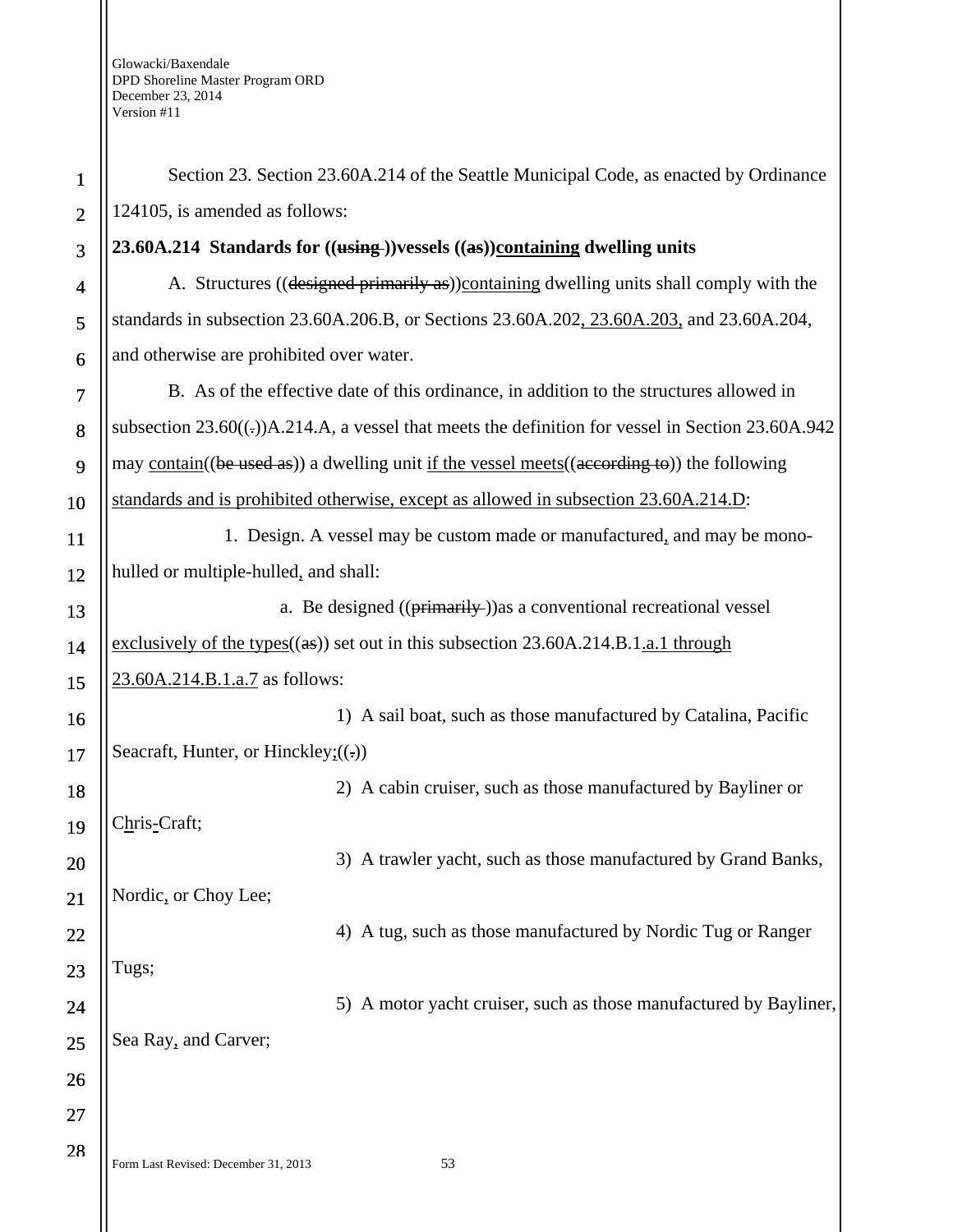| $\mathbf{1}$   | Section 23. Section 23.60A.214 of the Seattle Municipal Code, as enacted by Ordinance                               |
|----------------|---------------------------------------------------------------------------------------------------------------------|
| $\overline{2}$ | 124105, is amended as follows:                                                                                      |
| 3              | 23.60A.214 Standards for $((\overline{\text{using}}))$ vessels $((\overline{\text{as}}))$ containing dwelling units |
| 4              | A. Structures ((designed primarily as))containing dwelling units shall comply with the                              |
| 5              | standards in subsection 23.60A.206.B, or Sections 23.60A.202, 23.60A.203, and 23.60A.204,                           |
| 6              | and otherwise are prohibited over water.                                                                            |
| 7              | B. As of the effective date of this ordinance, in addition to the structures allowed in                             |
| 8              | subsection $23.60((-))A.214.A$ , a vessel that meets the definition for vessel in Section $23.60A.942$              |
| 9              | may contain( $(be$ used as)) a dwelling unit if the vessel meets( $(aecording to)$ ) the following                  |
| 10             | standards and is prohibited otherwise, except as allowed in subsection 23.60A.214.D:                                |
| 11             | 1. Design. A vessel may be custom made or manufactured, and may be mono-                                            |
| 12             | hulled or multiple-hulled, and shall:                                                                               |
| 13             | a. Be designed ((primarily-)) as a conventional recreational vessel                                                 |
| 14             | exclusively of the types $((as))$ set out in this subsection 23.60A.214.B.1.a.1 through                             |
| 15             | 23.60A.214.B.1.a.7 as follows:                                                                                      |
| 16             | 1) A sail boat, such as those manufactured by Catalina, Pacific                                                     |
| 17             | Seacraft, Hunter, or Hinckley: $((.)$                                                                               |
| 18             | 2) A cabin cruiser, such as those manufactured by Bayliner or                                                       |
| 19             | Chris-Craft;                                                                                                        |
| 20             | 3) A trawler yacht, such as those manufactured by Grand Banks,                                                      |
| 21             | Nordic, or Choy Lee;                                                                                                |
| 22             | 4) A tug, such as those manufactured by Nordic Tug or Ranger                                                        |
| 23             | Tugs;                                                                                                               |
| 24             | 5) A motor yacht cruiser, such as those manufactured by Bayliner,                                                   |
| 25             | Sea Ray, and Carver;                                                                                                |
| 26             |                                                                                                                     |
| 27             |                                                                                                                     |
| 28             | Form Last Revised: December 31, 2013<br>53                                                                          |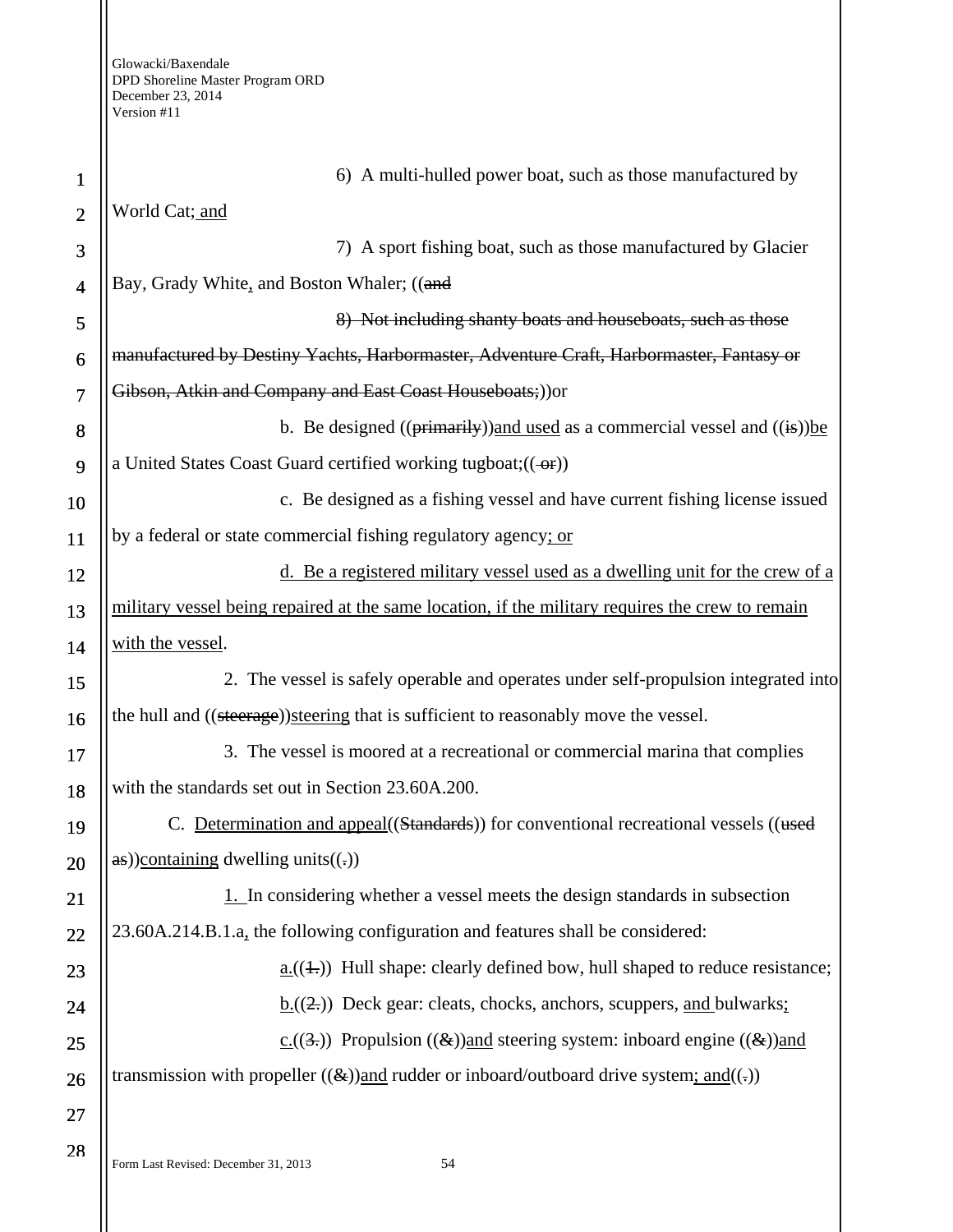| $\mathbf{1}$   | 6) A multi-hulled power boat, such as those manufactured by                                         |  |  |
|----------------|-----------------------------------------------------------------------------------------------------|--|--|
| $\overline{2}$ | World Cat; and                                                                                      |  |  |
| 3              | 7) A sport fishing boat, such as those manufactured by Glacier                                      |  |  |
| $\overline{4}$ | Bay, Grady White, and Boston Whaler; ((and                                                          |  |  |
| 5              | 8) Not including shanty boats and houseboats, such as those                                         |  |  |
| 6              | manufactured by Destiny Yachts, Harbormaster, Adventure Craft, Harbormaster, Fantasy or             |  |  |
| $\overline{7}$ | Gibson, Atkin and Company and East Coast Houseboats;)) or                                           |  |  |
| 8              | b. Be designed $((\text{primarily}))$ and used as a commercial vessel and $((\text{is}))$ be        |  |  |
| 9              | a United States Coast Guard certified working tugboat; $((-eF))$                                    |  |  |
| 10             | c. Be designed as a fishing vessel and have current fishing license issued                          |  |  |
| 11             | by a federal or state commercial fishing regulatory agency; or                                      |  |  |
| 12             | d. Be a registered military vessel used as a dwelling unit for the crew of a                        |  |  |
| 13             | military vessel being repaired at the same location, if the military requires the crew to remain    |  |  |
| 14             | with the vessel.                                                                                    |  |  |
| 15             | 2. The vessel is safely operable and operates under self-propulsion integrated into                 |  |  |
| 16             | the hull and ((steerage)) steering that is sufficient to reasonably move the vessel.                |  |  |
| 17             | 3. The vessel is moored at a recreational or commercial marina that complies                        |  |  |
| 18             | with the standards set out in Section 23.60A.200.                                                   |  |  |
| 19             | C. Determination and appeal((Standards)) for conventional recreational vessels ((used               |  |  |
| 20             | $\frac{1}{2}$ as))containing dwelling units((.))                                                    |  |  |
| 21             | 1. In considering whether a vessel meets the design standards in subsection                         |  |  |
| 22             | 23.60A.214.B.1.a, the following configuration and features shall be considered:                     |  |  |
| 23             | $\underline{a.}((\pm))$ Hull shape: clearly defined bow, hull shaped to reduce resistance;          |  |  |
| 24             | $\underline{b}$ . ((2,)) Deck gear: cleats, chocks, anchors, scuppers, and bulwarks;                |  |  |
| 25             | $\underline{c.}(\overline{3})$ Propulsion $((\&))$ and steering system: inboard engine $((\&))$ and |  |  |
| 26             | transmission with propeller $((\&))$ and rudder or inboard/outboard drive system; and $((.)$        |  |  |
| 27             |                                                                                                     |  |  |
| 28             | Form Last Revised: December 31, 2013<br>54                                                          |  |  |
|                |                                                                                                     |  |  |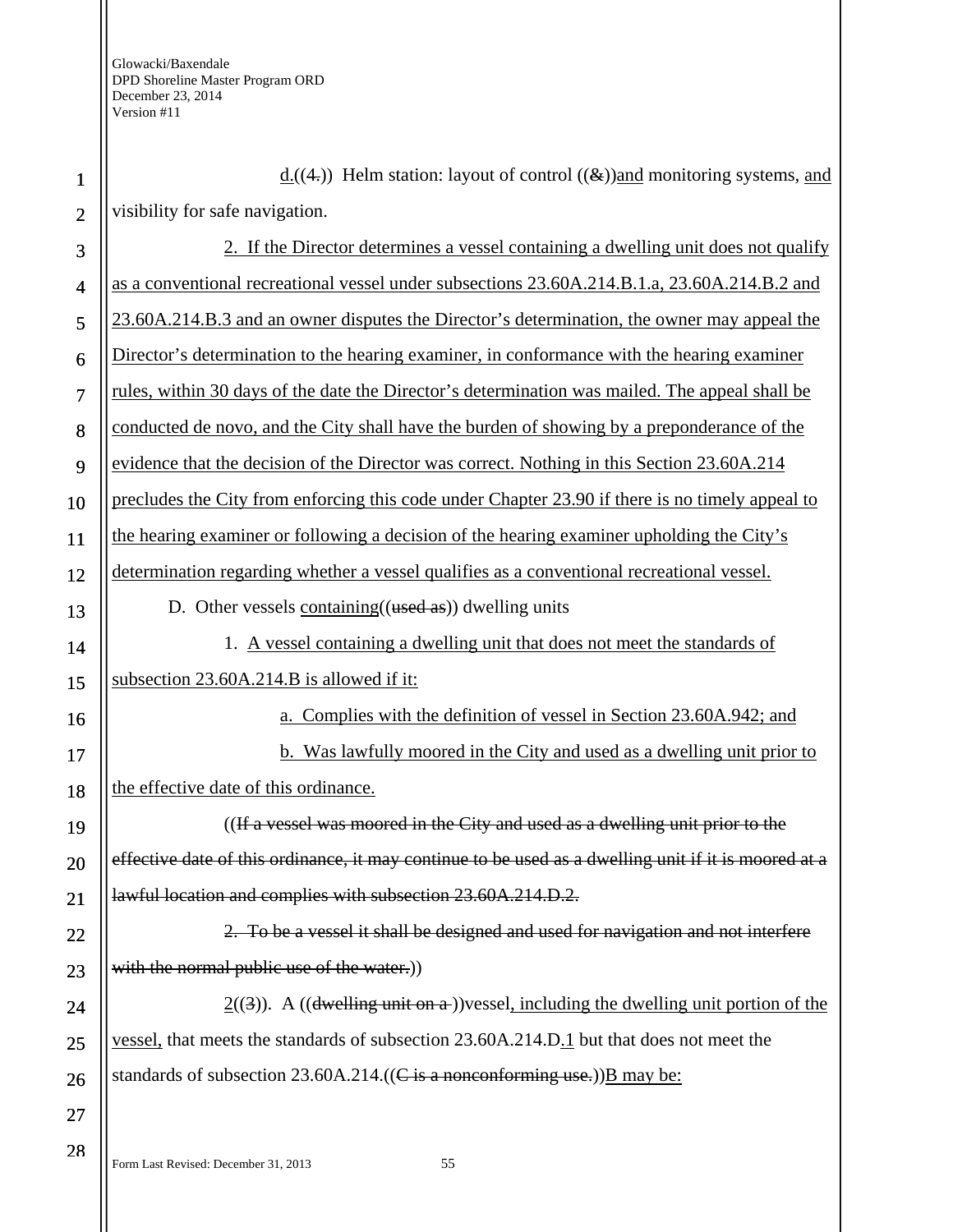| $\mathbf{1}$   | $\underline{d}_{(4)}$ . Helm station: layout of control $((\&))$ and monitoring systems, and         |
|----------------|------------------------------------------------------------------------------------------------------|
| $\overline{2}$ | visibility for safe navigation.                                                                      |
| 3              | 2. If the Director determines a vessel containing a dwelling unit does not qualify                   |
| $\overline{4}$ | as a conventional recreational vessel under subsections 23.60A.214.B.1.a, 23.60A.214.B.2 and         |
| 5              | 23.60A.214.B.3 and an owner disputes the Director's determination, the owner may appeal the          |
| 6              | Director's determination to the hearing examiner, in conformance with the hearing examiner           |
| $\overline{7}$ | rules, within 30 days of the date the Director's determination was mailed. The appeal shall be       |
| 8              | conducted de novo, and the City shall have the burden of showing by a preponderance of the           |
| 9              | evidence that the decision of the Director was correct. Nothing in this Section 23.60A.214           |
| 10             | precludes the City from enforcing this code under Chapter 23.90 if there is no timely appeal to      |
| 11             | the hearing examiner or following a decision of the hearing examiner upholding the City's            |
| 12             | determination regarding whether a vessel qualifies as a conventional recreational vessel.            |
| 13             | D. Other vessels containing $((used as))$ dwelling units                                             |
| 14             | 1. A vessel containing a dwelling unit that does not meet the standards of                           |
| 15             | subsection 23.60A.214.B is allowed if it:                                                            |
| 16             | a. Complies with the definition of vessel in Section 23.60A.942; and                                 |
| 17             | <b>b.</b> Was lawfully moored in the City and used as a dwelling unit prior to                       |
| 18             | the effective date of this ordinance.                                                                |
| 19             | ((If a vessel was moored in the City and used as a dwelling unit prior to the                        |
| 20             | effective date of this ordinance, it may continue to be used as a dwelling unit if it is moored at a |
| 21             | lawful location and complies with subsection 23.60A.214.D.2.                                         |
| 22             | 2. To be a vessel it shall be designed and used for navigation and not interfere                     |
| 23             | with the normal public use of the water.))                                                           |
| 24             | $2(3)$ ). A ((dwelling unit on a))vessel, including the dwelling unit portion of the                 |
| 25             | <u>vessel</u> , that meets the standards of subsection 23.60A.214.D.1 but that does not meet the     |
| 26             | standards of subsection $23.60A.214.((C \text{ is a nonconforming use.}))B$ may be:                  |
| 27             |                                                                                                      |
| 28             |                                                                                                      |

Form Last Revised: December 31, 2013 55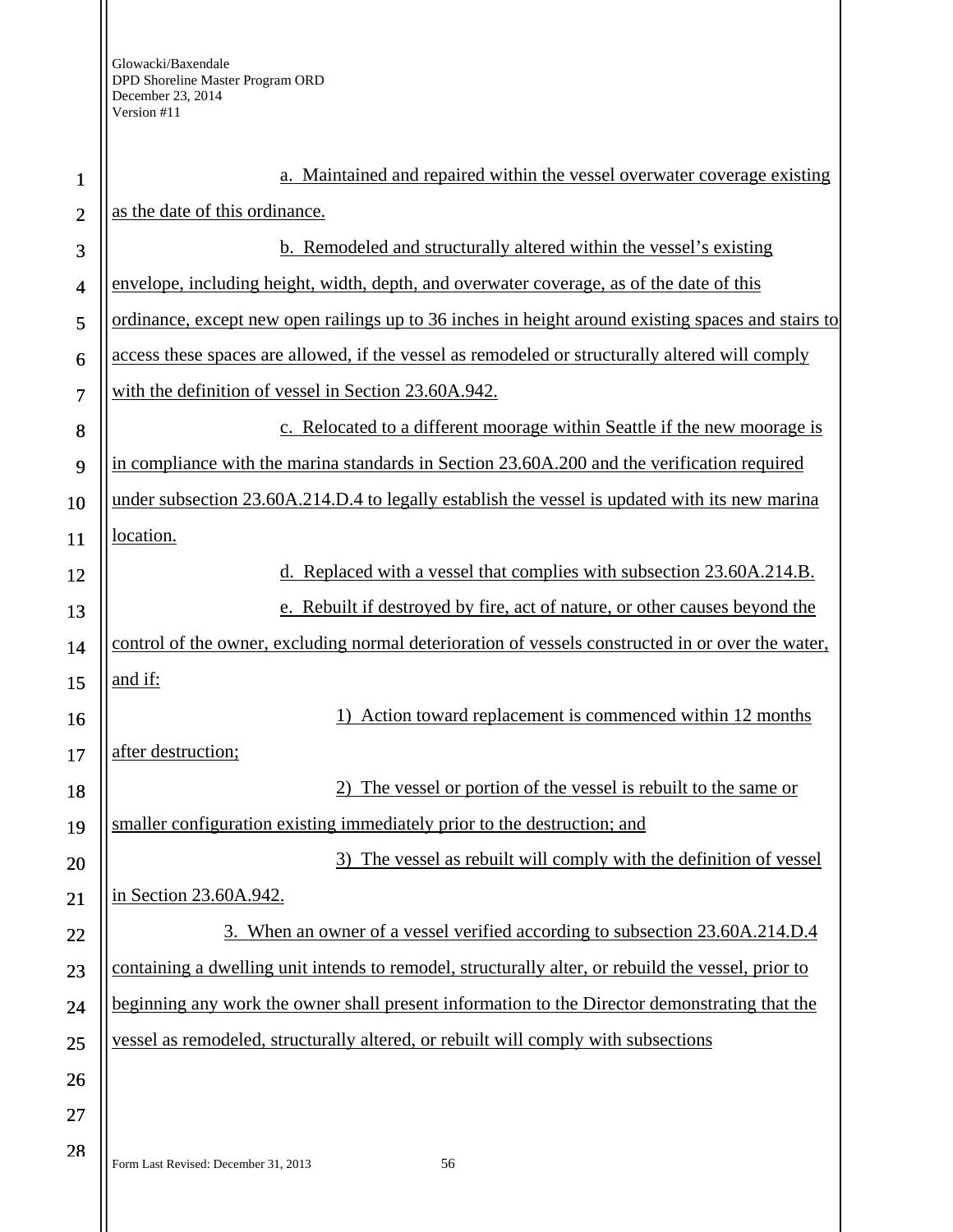H

| $\mathbf{1}$   | a. Maintained and repaired within the vessel overwater coverage existing                           |  |  |
|----------------|----------------------------------------------------------------------------------------------------|--|--|
| $\overline{2}$ | as the date of this ordinance.                                                                     |  |  |
| 3              | b. Remodeled and structurally altered within the vessel's existing                                 |  |  |
| $\overline{4}$ | envelope, including height, width, depth, and overwater coverage, as of the date of this           |  |  |
| 5              | ordinance, except new open railings up to 36 inches in height around existing spaces and stairs to |  |  |
| 6              | access these spaces are allowed, if the vessel as remodeled or structurally altered will comply    |  |  |
| 7              | with the definition of vessel in Section 23.60A.942.                                               |  |  |
| 8              | c. Relocated to a different moorage within Seattle if the new moorage is                           |  |  |
| 9              | in compliance with the marina standards in Section 23.60A.200 and the verification required        |  |  |
| 10             | under subsection 23.60A.214.D.4 to legally establish the vessel is updated with its new marina     |  |  |
| 11             | location.                                                                                          |  |  |
| 12             | d. Replaced with a vessel that complies with subsection 23.60A.214.B.                              |  |  |
| 13             | e. Rebuilt if destroyed by fire, act of nature, or other causes beyond the                         |  |  |
| 14             | control of the owner, excluding normal deterioration of vessels constructed in or over the water,  |  |  |
| 15             | and if:                                                                                            |  |  |
| 16             | Action toward replacement is commenced within 12 months                                            |  |  |
| 17             | after destruction;                                                                                 |  |  |
| 18             | The vessel or portion of the vessel is rebuilt to the same or                                      |  |  |
| 19             | smaller configuration existing immediately prior to the destruction; and                           |  |  |
| 20             | The vessel as rebuilt will comply with the definition of vessel                                    |  |  |
| 21             | in Section 23.60A.942.                                                                             |  |  |
| 22             | 3. When an owner of a vessel verified according to subsection 23.60A.214.D.4                       |  |  |
| 23             | containing a dwelling unit intends to remodel, structurally alter, or rebuild the vessel, prior to |  |  |
| 24             | beginning any work the owner shall present information to the Director demonstrating that the      |  |  |
| 25             | vessel as remodeled, structurally altered, or rebuilt will comply with subsections                 |  |  |
| 26             |                                                                                                    |  |  |
| 27             |                                                                                                    |  |  |
| 28             | Form Last Revised: December 31, 2013<br>56                                                         |  |  |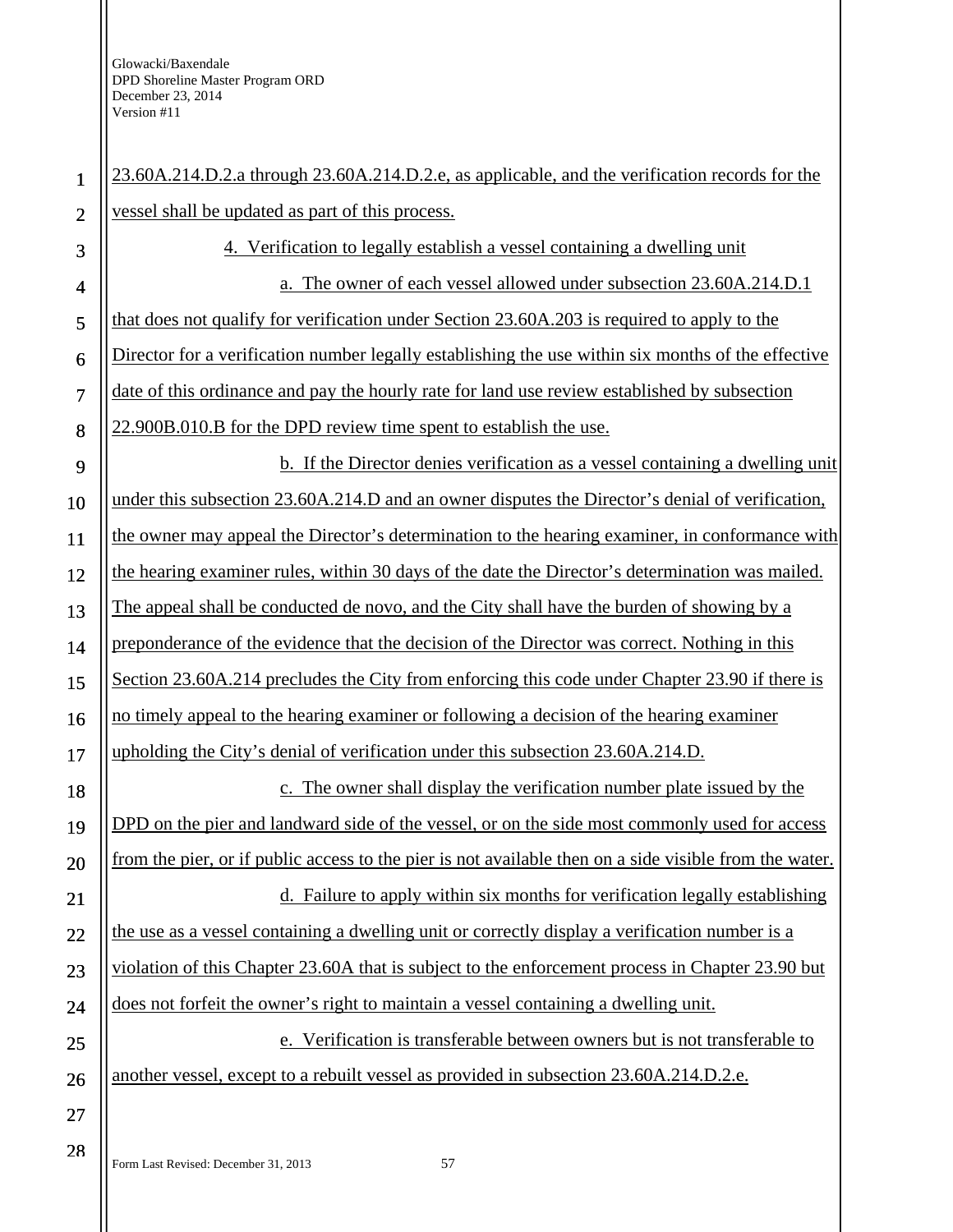| $\mathbf{1}$             | 23.60A.214.D.2.a through 23.60A.214.D.2.e, as applicable, and the verification records for the         |
|--------------------------|--------------------------------------------------------------------------------------------------------|
| $\overline{2}$           | vessel shall be updated as part of this process.                                                       |
| 3                        | 4. Verification to legally establish a vessel containing a dwelling unit                               |
| $\overline{\mathcal{A}}$ | a. The owner of each vessel allowed under subsection 23.60A.214.D.1                                    |
| 5                        | that does not qualify for verification under Section 23.60A.203 is required to apply to the            |
| 6                        | Director for a verification number legally establishing the use within six months of the effective     |
| $\overline{7}$           | date of this ordinance and pay the hourly rate for land use review established by subsection           |
| 8                        | 22.900B.010.B for the DPD review time spent to establish the use.                                      |
| 9                        | b. If the Director denies verification as a vessel containing a dwelling unit                          |
| 10                       | under this subsection 23.60A.214.D and an owner disputes the Director's denial of verification,        |
| 11                       | the owner may appeal the Director's determination to the hearing examiner, in conformance with         |
| 12                       | the hearing examiner rules, within 30 days of the date the Director's determination was mailed.        |
| 13                       | The appeal shall be conducted de novo, and the City shall have the burden of showing by a              |
| 14                       | preponderance of the evidence that the decision of the Director was correct. Nothing in this           |
| 15                       | Section 23.60A.214 precludes the City from enforcing this code under Chapter 23.90 if there is         |
| 16                       | no timely appeal to the hearing examiner or following a decision of the hearing examiner               |
| 17                       | upholding the City's denial of verification under this subsection 23.60A.214.D.                        |
| 18                       | c. The owner shall display the verification number plate issued by the                                 |
| 19                       | DPD on the pier and landward side of the vessel, or on the side most commonly used for access          |
| 20                       | from the pier, or if public access to the pier is not available then on a side visible from the water. |
| 21                       | d. Failure to apply within six months for verification legally establishing                            |
| 22                       | the use as a vessel containing a dwelling unit or correctly display a verification number is a         |
| 23                       | violation of this Chapter 23.60A that is subject to the enforcement process in Chapter 23.90 but       |
| 24                       | does not forfeit the owner's right to maintain a vessel containing a dwelling unit.                    |
| 25                       | e. Verification is transferable between owners but is not transferable to                              |
| 26                       | another vessel, except to a rebuilt vessel as provided in subsection 23.60A.214.D.2.e.                 |
| 27                       |                                                                                                        |
| 28                       |                                                                                                        |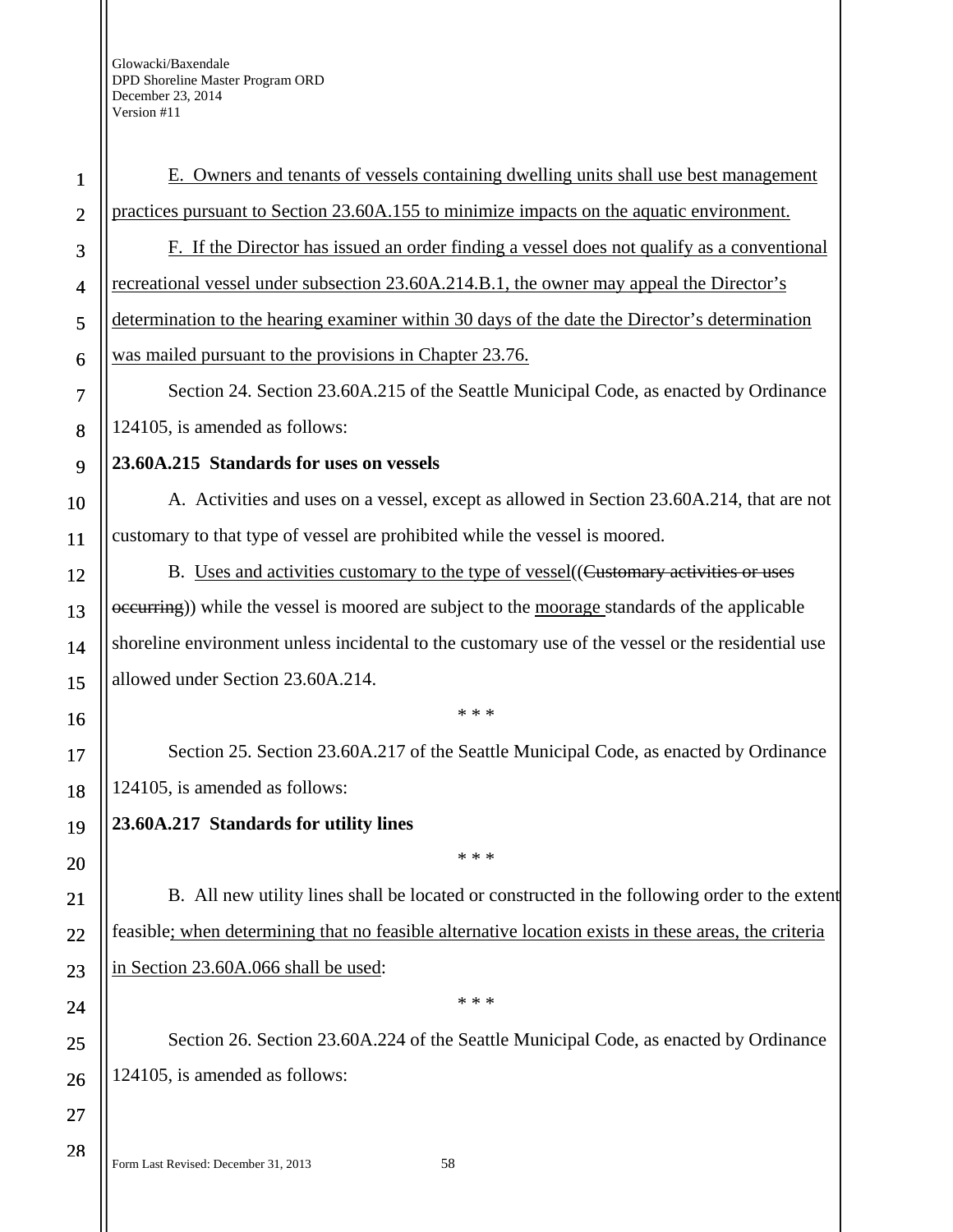| $\mathbf{1}$   | E. Owners and tenants of vessels containing dwelling units shall use best management                 |
|----------------|------------------------------------------------------------------------------------------------------|
| $\overline{2}$ | practices pursuant to Section 23.60A.155 to minimize impacts on the aquatic environment.             |
| 3              | F. If the Director has issued an order finding a vessel does not qualify as a conventional           |
| $\overline{4}$ | recreational vessel under subsection 23.60A.214.B.1, the owner may appeal the Director's             |
| 5              | determination to the hearing examiner within 30 days of the date the Director's determination        |
| 6              | was mailed pursuant to the provisions in Chapter 23.76.                                              |
| 7              | Section 24. Section 23.60A.215 of the Seattle Municipal Code, as enacted by Ordinance                |
| 8              | 124105, is amended as follows:                                                                       |
| 9              | 23.60A.215 Standards for uses on vessels                                                             |
| 10             | A. Activities and uses on a vessel, except as allowed in Section 23.60A.214, that are not            |
| 11             | customary to that type of vessel are prohibited while the vessel is moored.                          |
| 12             | B. Uses and activities customary to the type of vessel ((Customary activities or uses                |
| 13             | occurring)) while the vessel is moored are subject to the moorage standards of the applicable        |
| 14             | shoreline environment unless incidental to the customary use of the vessel or the residential use    |
| 15             | allowed under Section 23.60A.214.                                                                    |
| 16             | * * *                                                                                                |
| 17             | Section 25. Section 23.60A.217 of the Seattle Municipal Code, as enacted by Ordinance                |
| 18             | 124105, is amended as follows:                                                                       |
| 19             | 23.60A.217 Standards for utility lines                                                               |
| 20             | * * *                                                                                                |
| 21             | B. All new utility lines shall be located or constructed in the following order to the extent        |
| 22             | feasible; when determining that no feasible alternative location exists in these areas, the criteria |
| 23             | in Section 23.60A.066 shall be used:                                                                 |
| 24             | * * *                                                                                                |
| 25             | Section 26. Section 23.60A.224 of the Seattle Municipal Code, as enacted by Ordinance                |
| 26             | 124105, is amended as follows:                                                                       |
| 27             |                                                                                                      |
|                |                                                                                                      |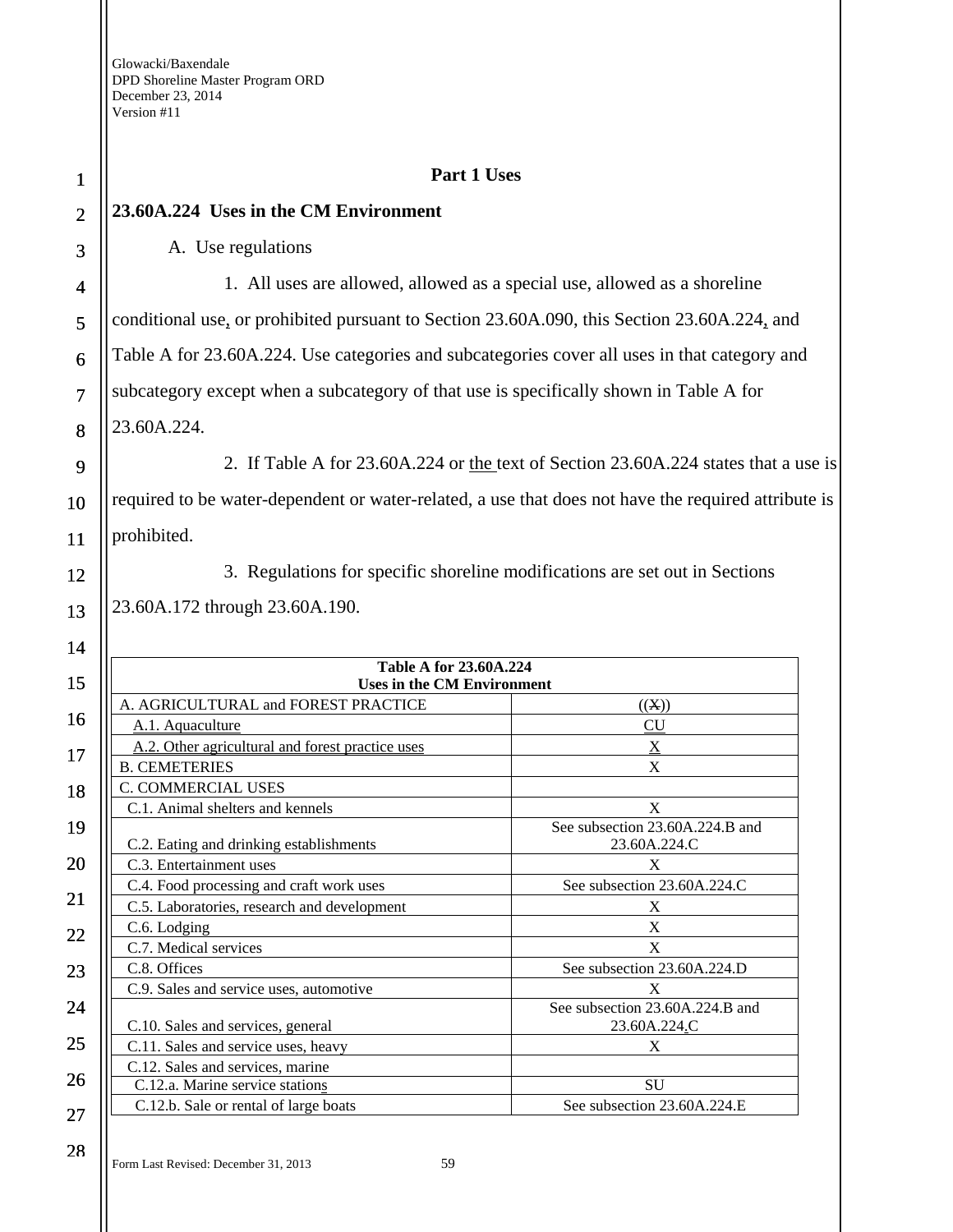Ш

| $\mathbf{1}$   | Part 1 Uses                                                                                         |                                 |
|----------------|-----------------------------------------------------------------------------------------------------|---------------------------------|
| $\overline{2}$ | 23.60A.224 Uses in the CM Environment                                                               |                                 |
| 3              | A. Use regulations                                                                                  |                                 |
| 4              | 1. All uses are allowed, allowed as a special use, allowed as a shoreline                           |                                 |
| 5              | conditional use, or prohibited pursuant to Section 23.60A.090, this Section 23.60A.224, and         |                                 |
| 6              | Table A for 23.60A.224. Use categories and subcategories cover all uses in that category and        |                                 |
| $\overline{7}$ | subcategory except when a subcategory of that use is specifically shown in Table A for              |                                 |
| 8              | 23.60A.224.                                                                                         |                                 |
| 9              | 2. If Table A for 23.60A.224 or the text of Section 23.60A.224 states that a use is                 |                                 |
| 10             | required to be water-dependent or water-related, a use that does not have the required attribute is |                                 |
| 11             | prohibited.                                                                                         |                                 |
| 12             | 3. Regulations for specific shoreline modifications are set out in Sections                         |                                 |
| 13             | 23.60A.172 through 23.60A.190.                                                                      |                                 |
| 14             |                                                                                                     |                                 |
|                | <b>Table A for 23.60A.224</b>                                                                       |                                 |
| 15             | <b>Uses in the CM Environment</b>                                                                   |                                 |
| 16             | A. AGRICULTURAL and FOREST PRACTICE                                                                 | ((X))                           |
|                | A.1. Aquaculture                                                                                    | <b>CU</b>                       |
| 17             | A.2. Other agricultural and forest practice uses<br><b>B. CEMETERIES</b>                            | $\underline{X}$<br>$\mathbf X$  |
|                | C. COMMERCIAL USES                                                                                  |                                 |
| 18             | C.1. Animal shelters and kennels                                                                    | X                               |
| 19             |                                                                                                     | See subsection 23.60A.224.B and |
|                | C.2. Eating and drinking establishments                                                             | 23.60A.224.C                    |
| 20             | C.3. Entertainment uses                                                                             | X                               |
|                | C.4. Food processing and craft work uses                                                            | See subsection 23.60A.224.C     |
| 21             | C.5. Laboratories, research and development                                                         | X                               |
|                | C.6. Lodging                                                                                        | X                               |
| 22             | C.7. Medical services                                                                               | X                               |
| 23             | C.8. Offices                                                                                        | See subsection 23.60A.224.D     |
|                | C.9. Sales and service uses, automotive                                                             | X                               |
| 24             |                                                                                                     | See subsection 23.60A.224.B and |
|                | C.10. Sales and services, general                                                                   | 23.60A.224.C                    |
| 25             | C.11. Sales and service uses, heavy                                                                 | X                               |
|                | C.12. Sales and services, marine                                                                    |                                 |
| 26             | C.12.a. Marine service stations                                                                     | SU                              |
| 27             | C.12.b. Sale or rental of large boats                                                               | See subsection 23.60A.224.E     |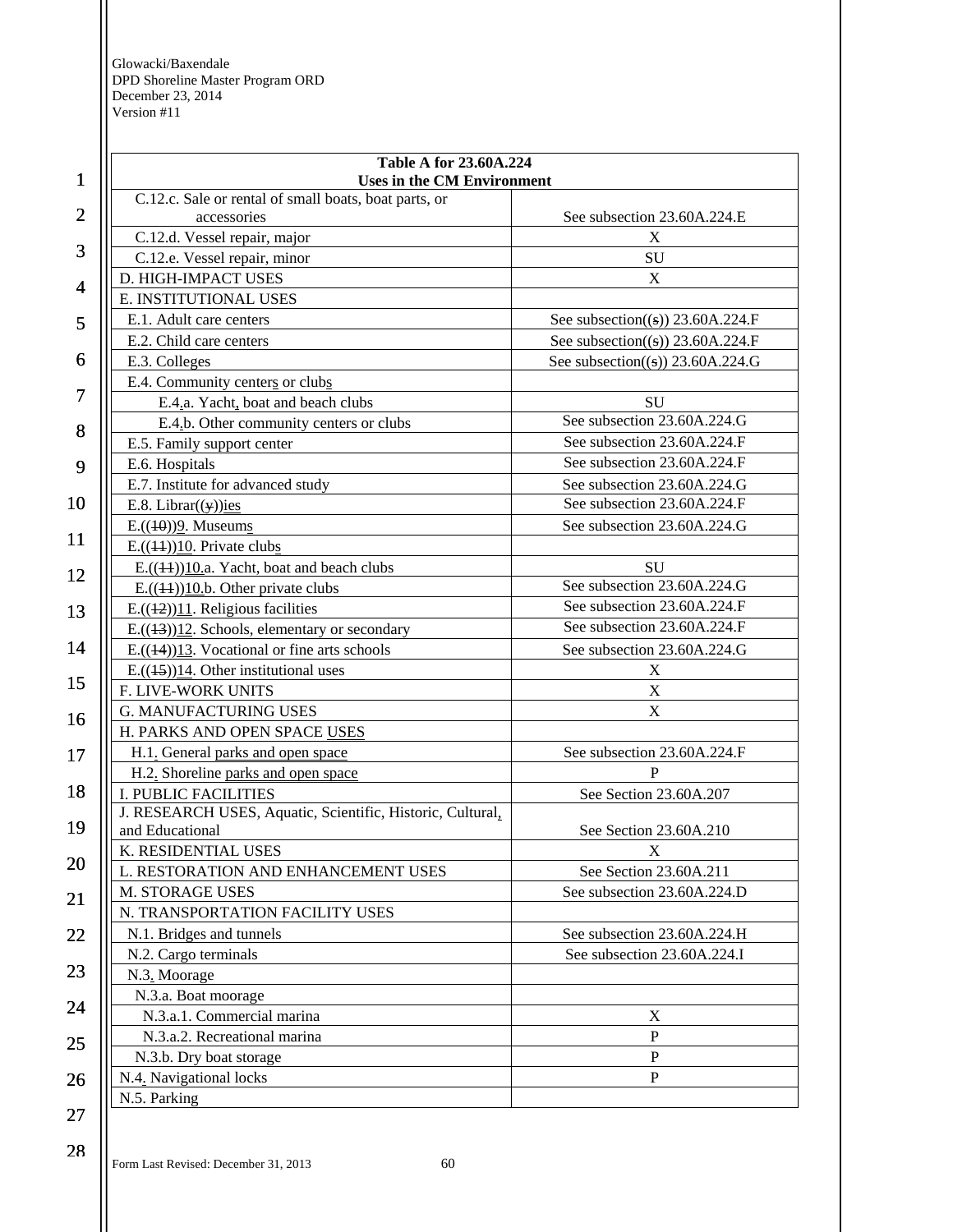| $\mathbf{1}$   | <b>Table A for 23.60A.224</b><br><b>Uses in the CM Environment</b> |                                               |
|----------------|--------------------------------------------------------------------|-----------------------------------------------|
|                | C.12.c. Sale or rental of small boats, boat parts, or              |                                               |
| $\overline{2}$ | accessories                                                        | See subsection 23.60A.224.E                   |
|                | C.12.d. Vessel repair, major                                       | X                                             |
| 3              | C.12.e. Vessel repair, minor                                       | SU                                            |
| 4              | D. HIGH-IMPACT USES                                                | X                                             |
|                | E. INSTITUTIONAL USES                                              |                                               |
| 5              | E.1. Adult care centers                                            | See subsection((s)) $23.60A.224.F$            |
|                | E.2. Child care centers                                            | See subsection((s)) $23.60A.224.F$            |
| 6              | E.3. Colleges                                                      | See subsection( $(\textbf{s})$ ) 23.60A.224.G |
| 7              | E.4. Community centers or clubs                                    |                                               |
|                | E.4.a. Yacht, boat and beach clubs                                 | SU                                            |
| 8              | E.4.b. Other community centers or clubs                            | See subsection 23.60A.224.G                   |
|                | E.5. Family support center                                         | See subsection 23.60A.224.F                   |
| 9              | E.6. Hospitals                                                     | See subsection 23.60A.224.F                   |
|                | E.7. Institute for advanced study                                  | See subsection 23.60A.224.G                   |
| 10             | E.8. Librar( $(y)$ )ies                                            | See subsection 23.60A.224.F                   |
|                | $E.((10))9$ . Museums                                              | See subsection 23.60A.224.G                   |
| 11             | $E.((44))10$ . Private clubs                                       |                                               |
| 12             | $E.((44))10.a.$ Yacht, boat and beach clubs                        | SU                                            |
|                | $E.((44))10.b$ . Other private clubs                               | See subsection 23.60A.224.G                   |
| 13             | $E.((42))11$ . Religious facilities                                | See subsection 23.60A.224.F                   |
|                | $E.((13))12$ . Schools, elementary or secondary                    | See subsection 23.60A.224.F                   |
| 14             | E. $((14))13$ . Vocational or fine arts schools                    | See subsection 23.60A.224.G                   |
|                | $E.((45))14$ . Other institutional uses                            | X                                             |
| 15             | F. LIVE-WORK UNITS                                                 | $\mathbf X$                                   |
| 16             | <b>G. MANUFACTURING USES</b>                                       | $\mathbf X$                                   |
|                | H. PARKS AND OPEN SPACE USES                                       |                                               |
| 17             | H.1. General parks and open space                                  | See subsection 23.60A.224.F                   |
|                | H.2. Shoreline parks and open space                                | P                                             |
| 18             | <b>I. PUBLIC FACILITIES</b>                                        | See Section 23.60A.207                        |
|                | J. RESEARCH USES, Aquatic, Scientific, Historic, Cultural,         |                                               |
| 19             | and Educational                                                    | See Section 23.60A.210                        |
| 20             | K. RESIDENTIAL USES                                                | $\mathbf X$                                   |
|                | L. RESTORATION AND ENHANCEMENT USES                                | See Section 23.60A.211                        |
| 21             | M. STORAGE USES                                                    | See subsection 23.60A.224.D                   |
|                | N. TRANSPORTATION FACILITY USES                                    |                                               |
| 22             | N.1. Bridges and tunnels                                           | See subsection 23.60A.224.H                   |
|                | N.2. Cargo terminals                                               | See subsection 23.60A.224.I                   |
| 23             | N.3. Moorage                                                       |                                               |
| 24             | N.3.a. Boat moorage                                                |                                               |
|                | N.3.a.1. Commercial marina                                         | X                                             |
| 25             | N.3.a.2. Recreational marina                                       | ${\bf P}$                                     |
|                | N.3.b. Dry boat storage                                            | ${\bf P}$                                     |
| 26             | N.4. Navigational locks                                            | ${\bf P}$                                     |
|                | N.5. Parking                                                       |                                               |
| 27             |                                                                    |                                               |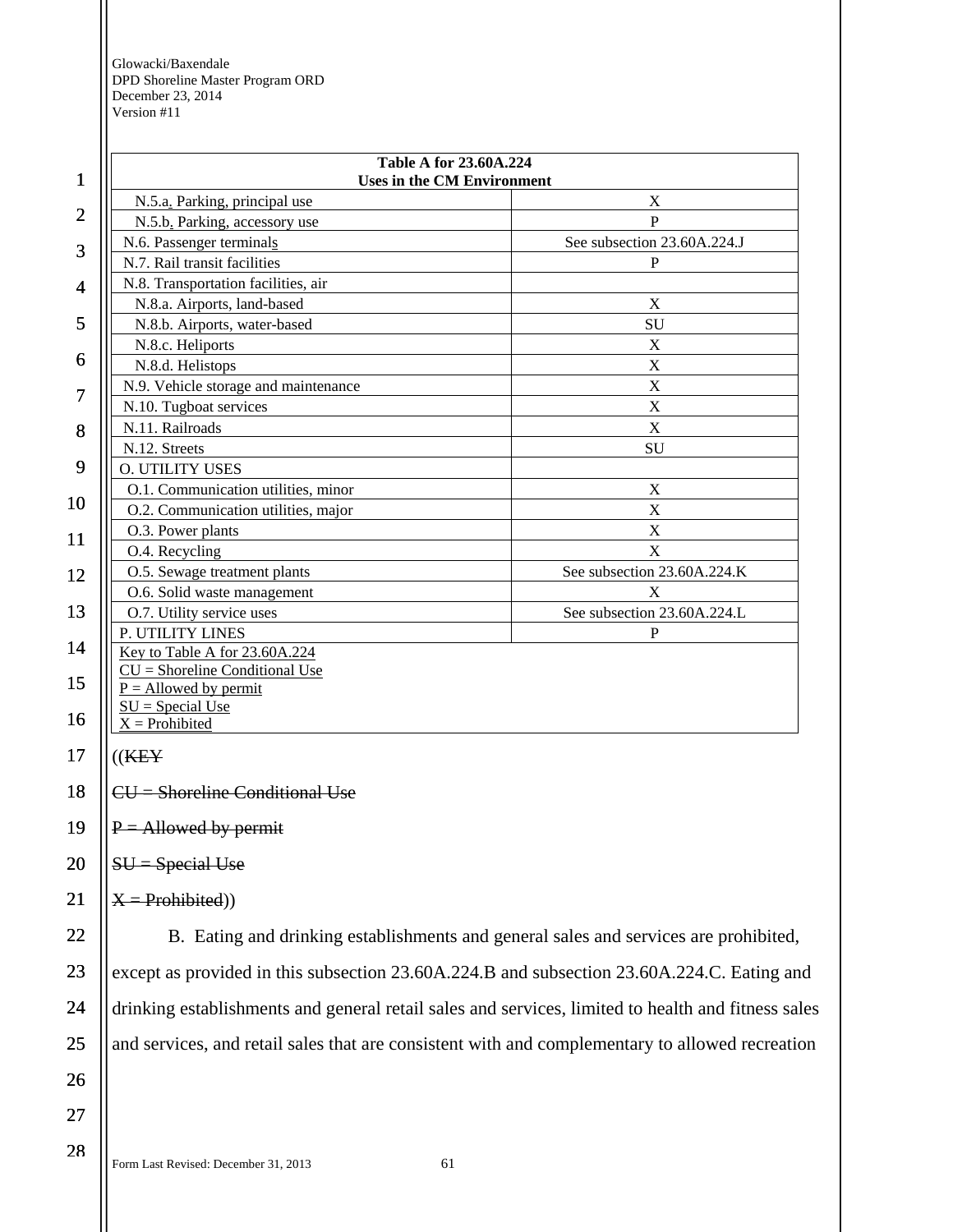| 1              | <b>Table A for 23.60A.224</b><br><b>Uses in the CM Environment</b>                   |                                                                                                    |  |
|----------------|--------------------------------------------------------------------------------------|----------------------------------------------------------------------------------------------------|--|
|                | N.5.a. Parking, principal use                                                        | X                                                                                                  |  |
| $\overline{c}$ | N.5.b. Parking, accessory use                                                        | P                                                                                                  |  |
| 3              | N.6. Passenger terminals                                                             | See subsection 23.60A.224.J                                                                        |  |
|                | N.7. Rail transit facilities                                                         | P                                                                                                  |  |
| 4              | N.8. Transportation facilities, air                                                  |                                                                                                    |  |
|                | N.8.a. Airports, land-based                                                          | X                                                                                                  |  |
| 5              | N.8.b. Airports, water-based                                                         | SU                                                                                                 |  |
| 6              | N.8.c. Heliports                                                                     | X                                                                                                  |  |
|                | N.8.d. Helistops                                                                     | $\mathbf X$                                                                                        |  |
| 7              | N.9. Vehicle storage and maintenance                                                 | $\mathbf X$                                                                                        |  |
|                | N.10. Tugboat services                                                               | X                                                                                                  |  |
| 8              | N.11. Railroads                                                                      | $\mathbf X$                                                                                        |  |
| 9              | N.12. Streets                                                                        | SU                                                                                                 |  |
|                | <b>O. UTILITY USES</b>                                                               |                                                                                                    |  |
| 10             | O.1. Communication utilities, minor                                                  | X                                                                                                  |  |
|                | O.2. Communication utilities, major                                                  | $\mathbf X$                                                                                        |  |
| 11             | O.3. Power plants<br>O.4. Recycling                                                  | X<br>X                                                                                             |  |
|                | O.5. Sewage treatment plants                                                         | See subsection 23.60A.224.K                                                                        |  |
| 12             | O.6. Solid waste management                                                          | X                                                                                                  |  |
| 13             | O.7. Utility service uses                                                            | See subsection 23.60A.224.L                                                                        |  |
|                | P. UTILITY LINES                                                                     | P                                                                                                  |  |
| 14             | Key to Table A for 23.60A.224                                                        |                                                                                                    |  |
|                | $CU =$ Shoreline Conditional Use                                                     |                                                                                                    |  |
| 15             | $P =$ Allowed by permit                                                              |                                                                                                    |  |
| 16             | $SU = Special Use$                                                                   |                                                                                                    |  |
|                | $X =$ Prohibited                                                                     |                                                                                                    |  |
| 17             | ((K E Y))                                                                            |                                                                                                    |  |
| 18             | $CU =$ Shoreline Conditional Use                                                     |                                                                                                    |  |
| 19             | $P =$ Allowed by permit                                                              |                                                                                                    |  |
| 20             | $SU = Special Use$                                                                   |                                                                                                    |  |
| 21             | $X = Problem(b)$                                                                     |                                                                                                    |  |
| 22             | B. Eating and drinking establishments and general sales and services are prohibited, |                                                                                                    |  |
| 23             |                                                                                      | except as provided in this subsection 23.60A.224.B and subsection 23.60A.224.C. Eating and         |  |
| 24             |                                                                                      | drinking establishments and general retail sales and services, limited to health and fitness sales |  |
| 25             |                                                                                      | and services, and retail sales that are consistent with and complementary to allowed recreation    |  |
| 26             |                                                                                      |                                                                                                    |  |
| 27             |                                                                                      |                                                                                                    |  |
| 28             |                                                                                      |                                                                                                    |  |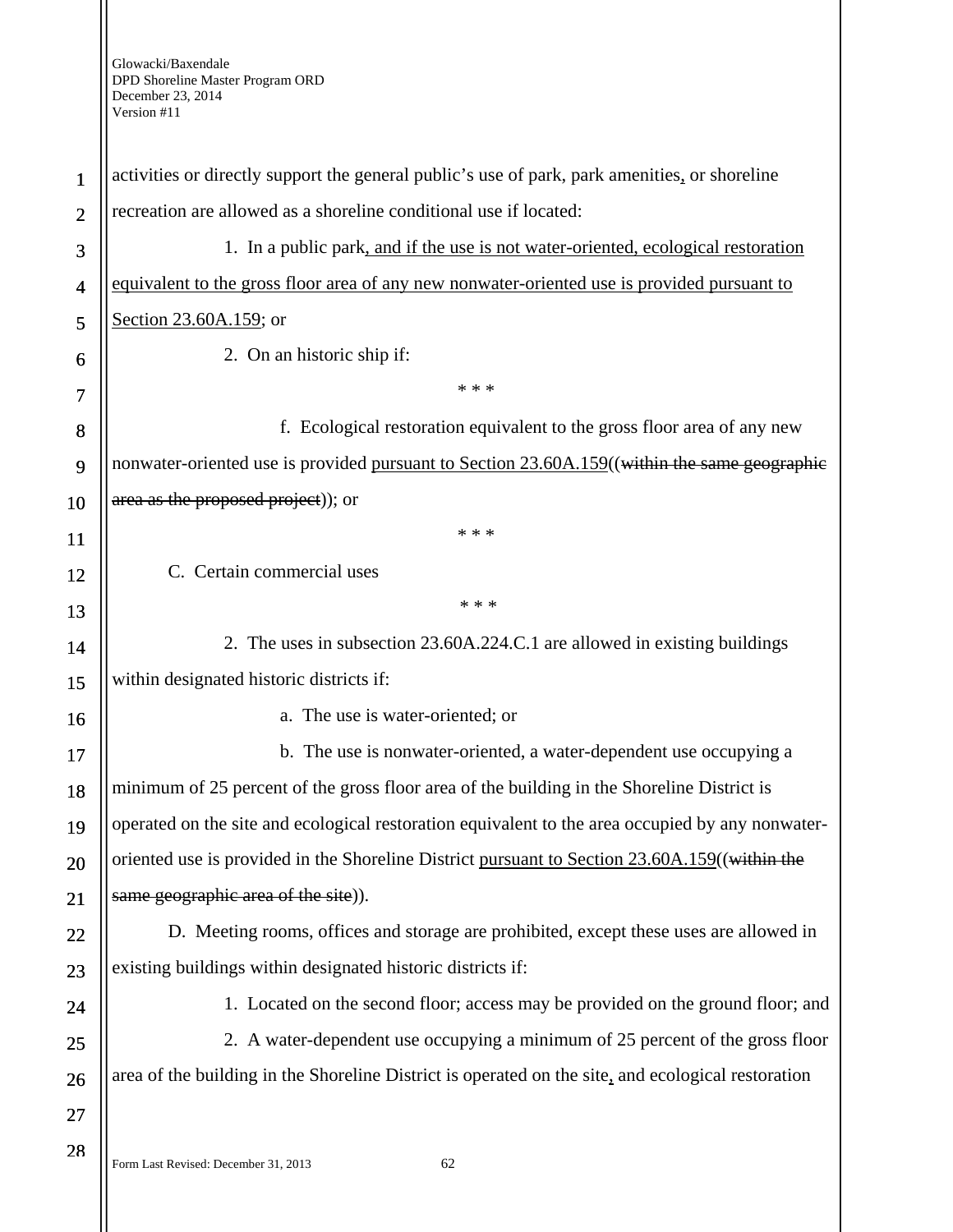| $\mathbf{1}$   | activities or directly support the general public's use of park, park amenities, or shoreline      |  |  |
|----------------|----------------------------------------------------------------------------------------------------|--|--|
| $\mathbf{2}$   | recreation are allowed as a shoreline conditional use if located:                                  |  |  |
| 3              | 1. In a public park, and if the use is not water-oriented, ecological restoration                  |  |  |
| $\overline{4}$ | equivalent to the gross floor area of any new nonwater-oriented use is provided pursuant to        |  |  |
| 5              | Section 23.60A.159; or                                                                             |  |  |
| 6              | 2. On an historic ship if:                                                                         |  |  |
| 7              | * * *                                                                                              |  |  |
| 8              | f. Ecological restoration equivalent to the gross floor area of any new                            |  |  |
| 9              | nonwater-oriented use is provided pursuant to Section 23.60A.159((within the same geographic       |  |  |
| 10             | area as the proposed project)); or                                                                 |  |  |
| <sup>11</sup>  | * * *                                                                                              |  |  |
| 12             | C. Certain commercial uses                                                                         |  |  |
| 13             | * * *                                                                                              |  |  |
| 14             | 2. The uses in subsection 23.60A.224.C.1 are allowed in existing buildings                         |  |  |
| 15             | within designated historic districts if:                                                           |  |  |
| 16             | a. The use is water-oriented; or                                                                   |  |  |
| 17             | b. The use is nonwater-oriented, a water-dependent use occupying a                                 |  |  |
| 18             | minimum of 25 percent of the gross floor area of the building in the Shoreline District is         |  |  |
| 19             | operated on the site and ecological restoration equivalent to the area occupied by any nonwater-   |  |  |
| 20             | oriented use is provided in the Shoreline District pursuant to Section 23.60A.159((within the      |  |  |
| 21             | same geographic area of the site)).                                                                |  |  |
| 22             | D. Meeting rooms, offices and storage are prohibited, except these uses are allowed in             |  |  |
| 23             | existing buildings within designated historic districts if:                                        |  |  |
| 24             | 1. Located on the second floor; access may be provided on the ground floor; and                    |  |  |
| 25             | 2. A water-dependent use occupying a minimum of 25 percent of the gross floor                      |  |  |
| 26             | area of the building in the Shoreline District is operated on the site, and ecological restoration |  |  |
| 27             |                                                                                                    |  |  |
| 28             | 62<br>Form Last Revised: December 31, 2013                                                         |  |  |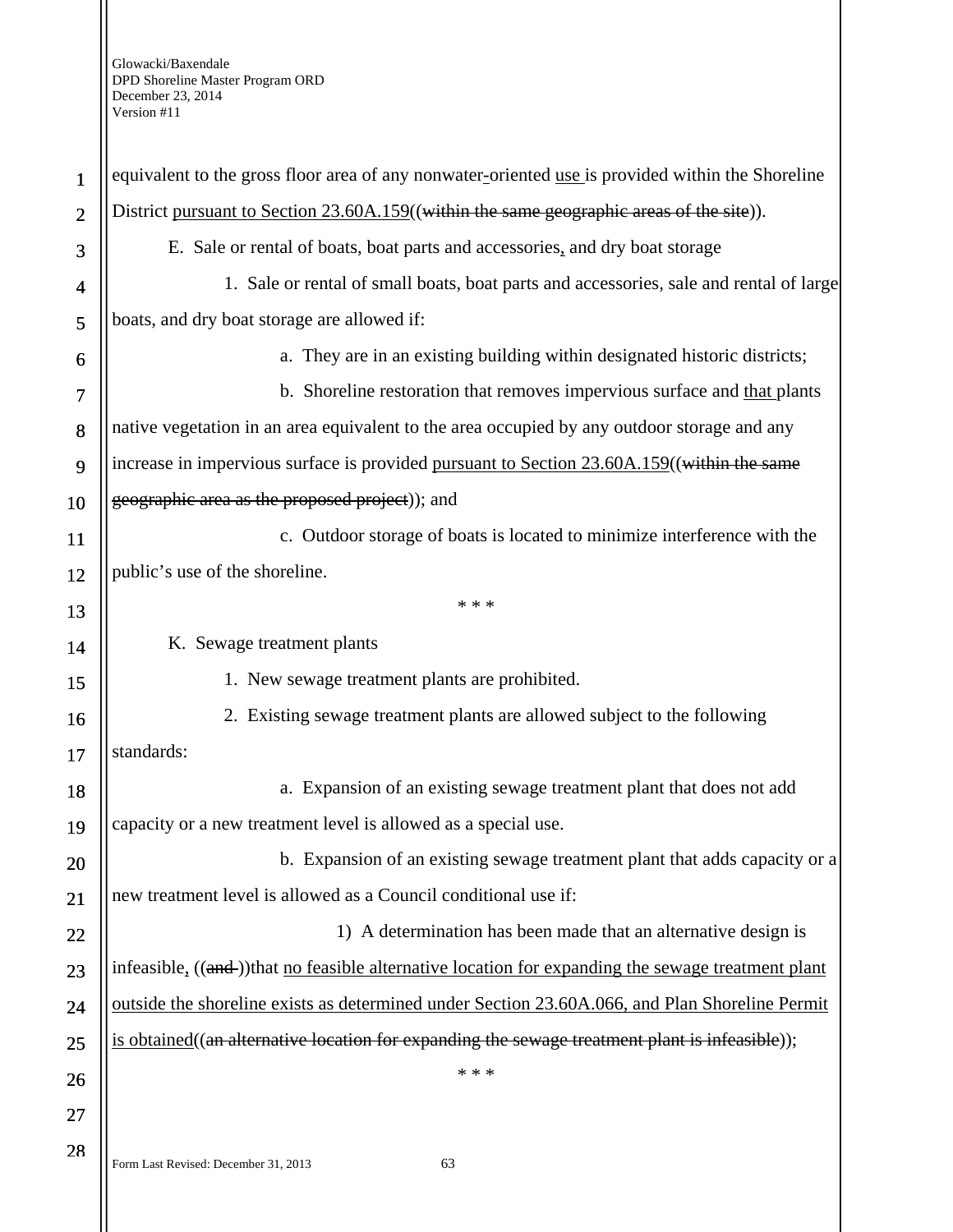| $\mathbf{1}$             | equivalent to the gross floor area of any nonwater-oriented use is provided within the Shoreline   |  |
|--------------------------|----------------------------------------------------------------------------------------------------|--|
| $\mathbf{2}$             | District pursuant to Section 23.60A.159((within the same geographic areas of the site)).           |  |
| 3                        | E. Sale or rental of boats, boat parts and accessories, and dry boat storage                       |  |
| $\overline{\mathcal{A}}$ | 1. Sale or rental of small boats, boat parts and accessories, sale and rental of large             |  |
| 5                        | boats, and dry boat storage are allowed if:                                                        |  |
| 6                        | a. They are in an existing building within designated historic districts;                          |  |
| 7                        | b. Shoreline restoration that removes impervious surface and that plants                           |  |
| 8                        | native vegetation in an area equivalent to the area occupied by any outdoor storage and any        |  |
| 9                        | increase in impervious surface is provided pursuant to Section 23.60A.159((within the same         |  |
| 10                       | geographic area as the proposed project)); and                                                     |  |
| 11                       | c. Outdoor storage of boats is located to minimize interference with the                           |  |
| 12                       | public's use of the shoreline.                                                                     |  |
| 13                       | * * *                                                                                              |  |
| 14                       | K. Sewage treatment plants                                                                         |  |
| 15                       | 1. New sewage treatment plants are prohibited.                                                     |  |
| 16                       | 2. Existing sewage treatment plants are allowed subject to the following                           |  |
| 17                       | standards:                                                                                         |  |
| 18                       | a. Expansion of an existing sewage treatment plant that does not add                               |  |
| 19                       | capacity or a new treatment level is allowed as a special use.                                     |  |
| 20                       | b. Expansion of an existing sewage treatment plant that adds capacity or a                         |  |
| 21                       | new treatment level is allowed as a Council conditional use if:                                    |  |
| 22                       | 1) A determination has been made that an alternative design is                                     |  |
| 23                       | infeasible, ((and-))that no feasible alternative location for expanding the sewage treatment plant |  |
| 24                       | outside the shoreline exists as determined under Section 23.60A.066, and Plan Shoreline Permit     |  |
| 25                       | is obtained((an alternative location for expanding the sewage treatment plant is infeasible));     |  |
| 26                       | * * *                                                                                              |  |
| 27                       |                                                                                                    |  |
| 28                       | 63<br>Form Last Revised: December 31, 2013                                                         |  |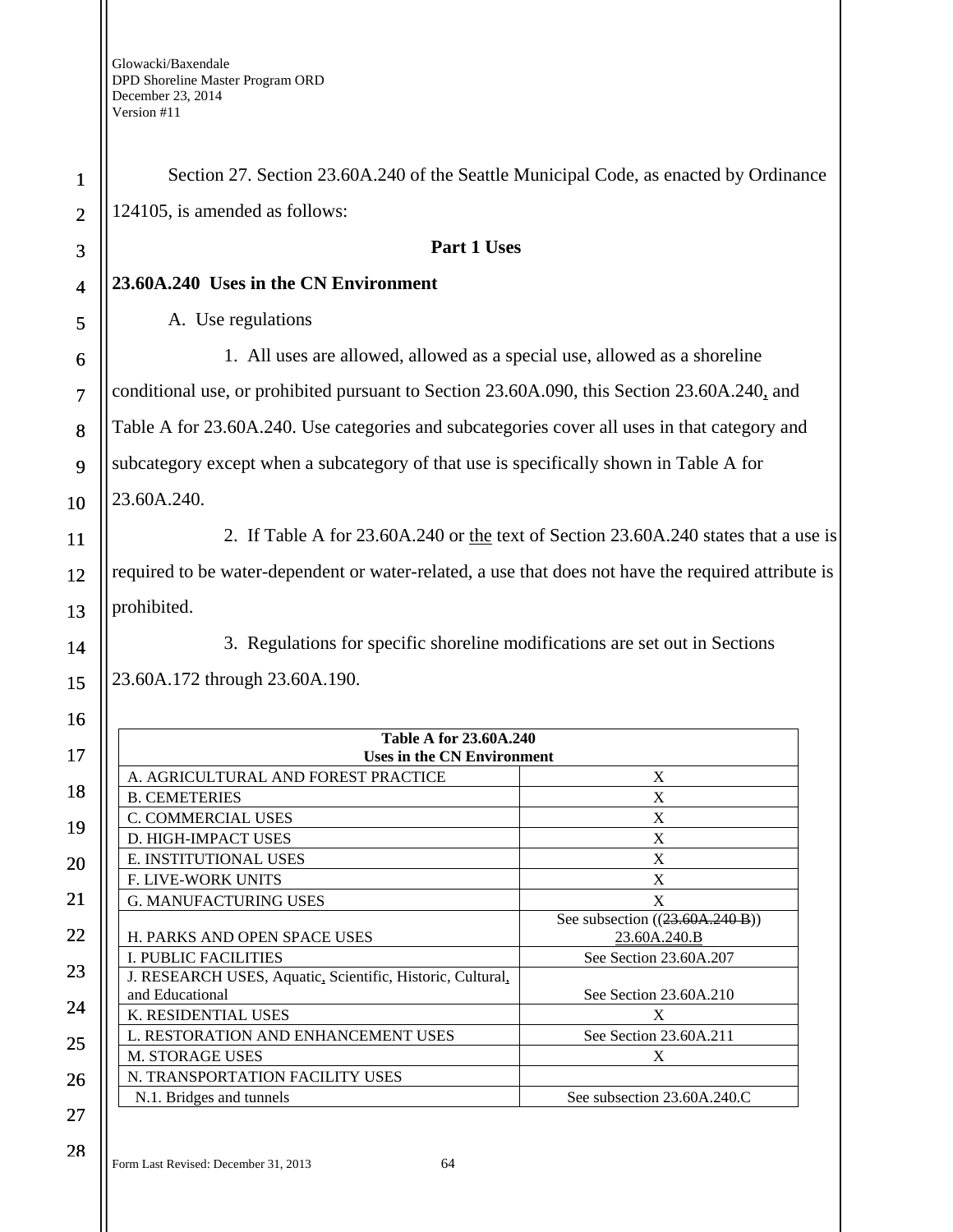| $\mathbf{1}$   | Section 27. Section 23.60A.240 of the Seattle Municipal Code, as enacted by Ordinance               |                                 |
|----------------|-----------------------------------------------------------------------------------------------------|---------------------------------|
| $\overline{2}$ | 124105, is amended as follows:                                                                      |                                 |
| 3              | Part 1 Uses                                                                                         |                                 |
| $\overline{4}$ | 23.60A.240 Uses in the CN Environment                                                               |                                 |
| 5              | A. Use regulations                                                                                  |                                 |
| 6              | 1. All uses are allowed, allowed as a special use, allowed as a shoreline                           |                                 |
| $\overline{7}$ | conditional use, or prohibited pursuant to Section 23.60A.090, this Section 23.60A.240, and         |                                 |
| 8              | Table A for 23.60A.240. Use categories and subcategories cover all uses in that category and        |                                 |
| 9              | subcategory except when a subcategory of that use is specifically shown in Table A for              |                                 |
| 10             | 23.60A.240.                                                                                         |                                 |
| 11             | 2. If Table A for 23.60A.240 or the text of Section 23.60A.240 states that a use is                 |                                 |
| 12             | required to be water-dependent or water-related, a use that does not have the required attribute is |                                 |
| 13             | prohibited.                                                                                         |                                 |
| 14             | 3. Regulations for specific shoreline modifications are set out in Sections                         |                                 |
| 15             | 23.60A.172 through 23.60A.190.                                                                      |                                 |
| 16             |                                                                                                     |                                 |
| 17             | <b>Table A for 23.60A.240</b><br><b>Uses in the CN Environment</b>                                  |                                 |
|                | A. AGRICULTURAL AND FOREST PRACTICE                                                                 | X                               |
| 18             | <b>B. CEMETERIES</b>                                                                                | $\mathbf X$                     |
|                | C. COMMERCIAL USES                                                                                  | X                               |
| 19             | D. HIGH-IMPACT USES                                                                                 | X                               |
| 20             | E. INSTITUTIONAL USES                                                                               | X                               |
|                | F. LIVE-WORK UNITS                                                                                  | $\mathbf X$                     |
| 21             | <b>G. MANUFACTURING USES</b>                                                                        | $\mathbf X$                     |
|                |                                                                                                     | See subsection ((23.60A.240 B)) |
| 22             | H. PARKS AND OPEN SPACE USES                                                                        | 23.60A.240.B                    |
| 23             | <b>I. PUBLIC FACILITIES</b>                                                                         | See Section 23.60A.207          |
|                | J. RESEARCH USES, Aquatic, Scientific, Historic, Cultural,<br>and Educational                       | See Section 23.60A.210          |
| 24             | K. RESIDENTIAL USES                                                                                 | X                               |
|                | L. RESTORATION AND ENHANCEMENT USES                                                                 | See Section 23.60A.211          |
| 25             | M. STORAGE USES                                                                                     | X                               |
|                | N. TRANSPORTATION FACILITY USES                                                                     |                                 |
| 26             | N.1. Bridges and tunnels                                                                            | See subsection 23.60A.240.C     |
| 27             |                                                                                                     |                                 |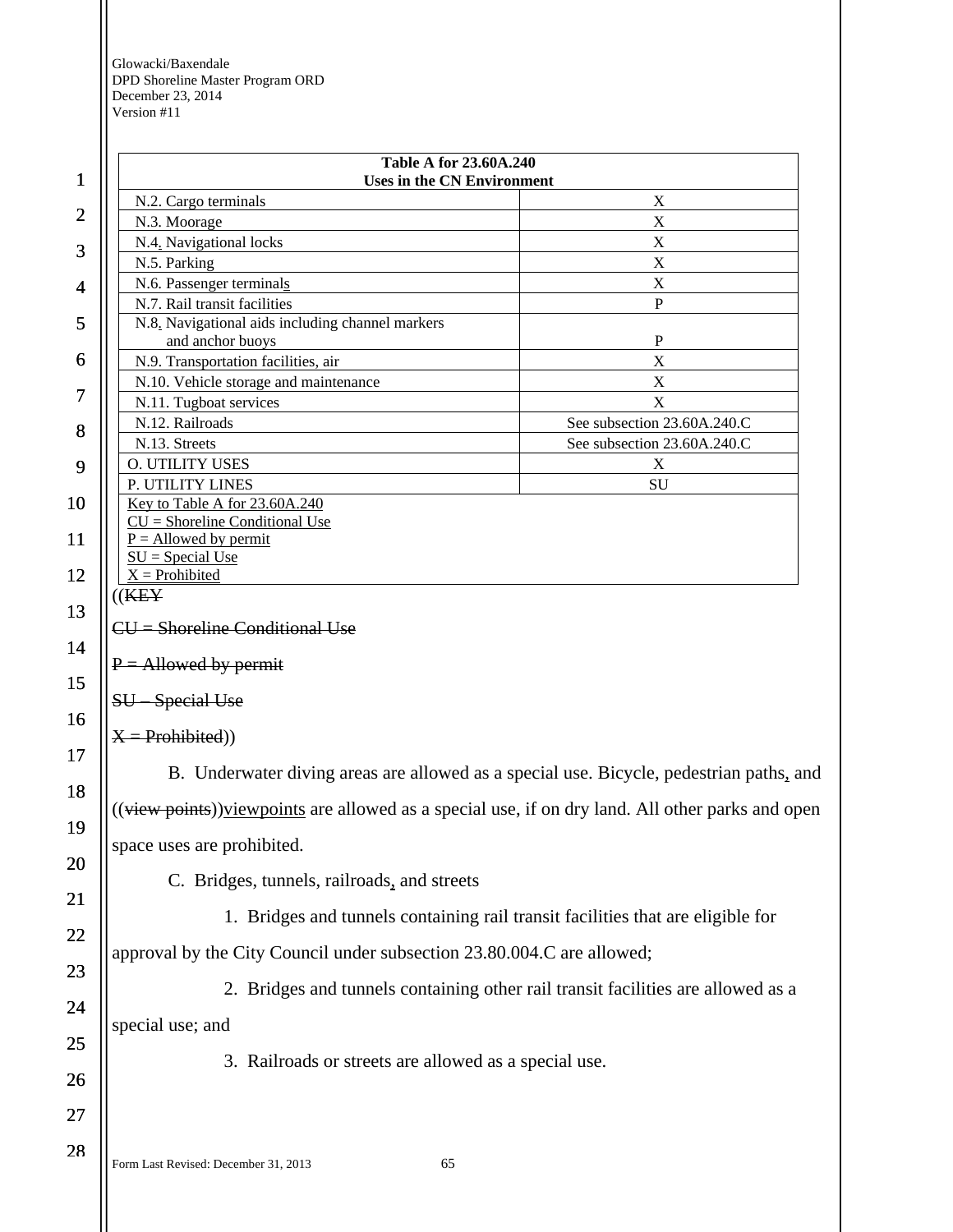| $\mathbf 1$    | <b>Table A for 23.60A.240</b><br><b>Uses in the CN Environment</b>                                |                             |  |
|----------------|---------------------------------------------------------------------------------------------------|-----------------------------|--|
|                | N.2. Cargo terminals                                                                              | X                           |  |
| $\overline{2}$ | N.3. Moorage                                                                                      | X                           |  |
| 3              | N.4. Navigational locks                                                                           | X                           |  |
|                | N.5. Parking                                                                                      | X                           |  |
| 4              | N.6. Passenger terminals                                                                          | X                           |  |
|                | N.7. Rail transit facilities                                                                      | P                           |  |
| 5              | N.8. Navigational aids including channel markers                                                  | $\mathbf P$                 |  |
| 6              | and anchor buoys<br>N.9. Transportation facilities, air                                           | $\boldsymbol{\mathrm{X}}$   |  |
|                | N.10. Vehicle storage and maintenance                                                             | $\mathbf X$                 |  |
| 7              | N.11. Tugboat services                                                                            | $\mathbf X$                 |  |
|                | N.12. Railroads                                                                                   | See subsection 23.60A.240.C |  |
| 8              | N.13. Streets                                                                                     | See subsection 23.60A.240.C |  |
| 9              | O. UTILITY USES                                                                                   | X                           |  |
|                | P. UTILITY LINES                                                                                  | SU                          |  |
| 10             | Key to Table A for 23.60A.240                                                                     |                             |  |
| 11             | $CU =$ Shoreline Conditional Use<br>$P =$ Allowed by permit                                       |                             |  |
|                | $SU = Special Use$                                                                                |                             |  |
| 12             | $X =$ Prohibited                                                                                  |                             |  |
|                | $((\text{KEY})$                                                                                   |                             |  |
| 13             | CU = Shoreline Conditional Use                                                                    |                             |  |
| 14             |                                                                                                   |                             |  |
|                | $P =$ Allowed by permit                                                                           |                             |  |
| 15             | SU-Special Use                                                                                    |                             |  |
| 16             |                                                                                                   |                             |  |
|                | $X = Probability()$                                                                               |                             |  |
| 17             |                                                                                                   |                             |  |
| 18             | B. Underwater diving areas are allowed as a special use. Bicycle, pedestrian paths, and           |                             |  |
|                | ((view points)) viewpoints are allowed as a special use, if on dry land. All other parks and open |                             |  |
| 19             |                                                                                                   |                             |  |
|                | space uses are prohibited.                                                                        |                             |  |
| 20             | C. Bridges, tunnels, railroads, and streets                                                       |                             |  |
| 21             |                                                                                                   |                             |  |
|                | 1. Bridges and tunnels containing rail transit facilities that are eligible for                   |                             |  |
| 22             |                                                                                                   |                             |  |
|                | approval by the City Council under subsection 23.80.004.C are allowed;                            |                             |  |
| 23             |                                                                                                   |                             |  |
| 24             | 2. Bridges and tunnels containing other rail transit facilities are allowed as a                  |                             |  |
|                | special use; and                                                                                  |                             |  |
| 25             |                                                                                                   |                             |  |
| 26             | 3. Railroads or streets are allowed as a special use.                                             |                             |  |
|                |                                                                                                   |                             |  |
| 27             |                                                                                                   |                             |  |
| 28             |                                                                                                   |                             |  |
|                | Form Last Revised: December 31, 2013<br>65                                                        |                             |  |

Ш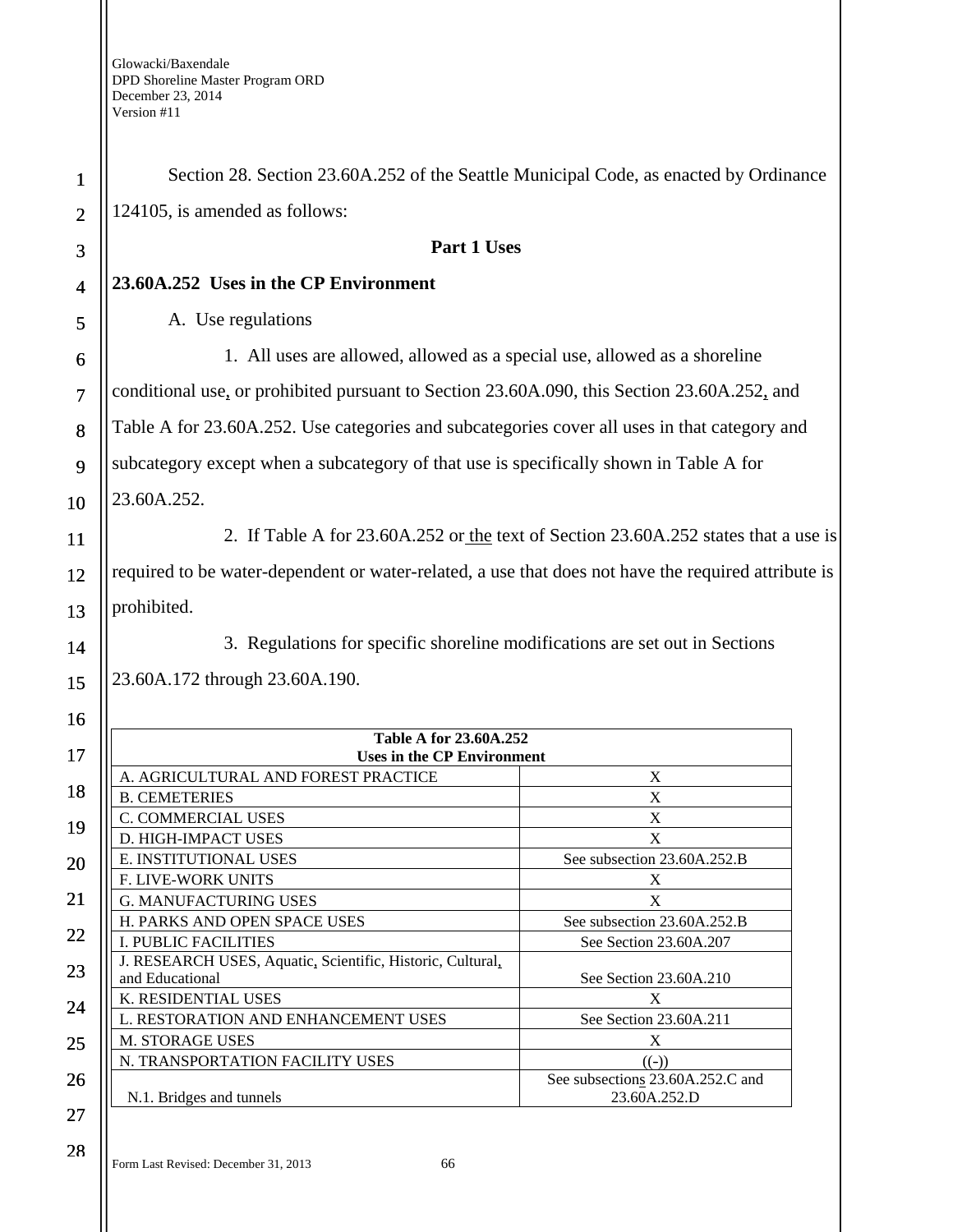| $\mathbf 1$    | Section 28. Section 23.60A.252 of the Seattle Municipal Code, as enacted by Ordinance               |                                                  |
|----------------|-----------------------------------------------------------------------------------------------------|--------------------------------------------------|
| $\overline{2}$ | 124105, is amended as follows:                                                                      |                                                  |
| 3              | Part 1 Uses                                                                                         |                                                  |
| $\overline{4}$ | 23.60A.252 Uses in the CP Environment                                                               |                                                  |
| 5              | A. Use regulations                                                                                  |                                                  |
| 6              | 1. All uses are allowed, allowed as a special use, allowed as a shoreline                           |                                                  |
| $\overline{7}$ | conditional use, or prohibited pursuant to Section 23.60A.090, this Section 23.60A.252, and         |                                                  |
|                |                                                                                                     |                                                  |
| 8              | Table A for 23.60A.252. Use categories and subcategories cover all uses in that category and        |                                                  |
| 9              | subcategory except when a subcategory of that use is specifically shown in Table A for              |                                                  |
| 10             | 23.60A.252.                                                                                         |                                                  |
| 11             | 2. If Table A for 23.60A.252 or the text of Section 23.60A.252 states that a use is                 |                                                  |
| 12             | required to be water-dependent or water-related, a use that does not have the required attribute is |                                                  |
| 13             | prohibited.                                                                                         |                                                  |
| 14             | 3. Regulations for specific shoreline modifications are set out in Sections                         |                                                  |
| 15             | 23.60A.172 through 23.60A.190.                                                                      |                                                  |
|                |                                                                                                     |                                                  |
| 16             | Table A for 23.60A.252                                                                              |                                                  |
| 17             | <b>Uses in the CP Environment</b><br>A. AGRICULTURAL AND FOREST PRACTICE                            | X                                                |
| 18             | <b>B. CEMETERIES</b>                                                                                | $\mathbf X$                                      |
|                | C. COMMERCIAL USES                                                                                  | $\mathbf X$                                      |
| 19             | D. HIGH-IMPACT USES                                                                                 | X                                                |
| 20             | E. INSTITUTIONAL USES                                                                               | See subsection 23.60A.252.B                      |
|                | F. LIVE-WORK UNITS                                                                                  | X                                                |
| 21             | <b>G. MANUFACTURING USES</b>                                                                        | $\mathbf X$                                      |
|                | H. PARKS AND OPEN SPACE USES                                                                        | See subsection 23.60A.252.B                      |
| 22             | <b>I. PUBLIC FACILITIES</b>                                                                         | See Section 23.60A.207                           |
| 23             | J. RESEARCH USES, Aquatic, Scientific, Historic, Cultural,<br>and Educational                       | See Section 23.60A.210                           |
| 24             | K. RESIDENTIAL USES                                                                                 | X                                                |
|                | L. RESTORATION AND ENHANCEMENT USES                                                                 | See Section 23.60A.211                           |
| 25             | M. STORAGE USES                                                                                     | X                                                |
|                | N. TRANSPORTATION FACILITY USES                                                                     | $(\text{(-)})$                                   |
| 26             | N.1. Bridges and tunnels                                                                            | See subsections 23.60A.252.C and<br>23.60A.252.D |
| 27             |                                                                                                     |                                                  |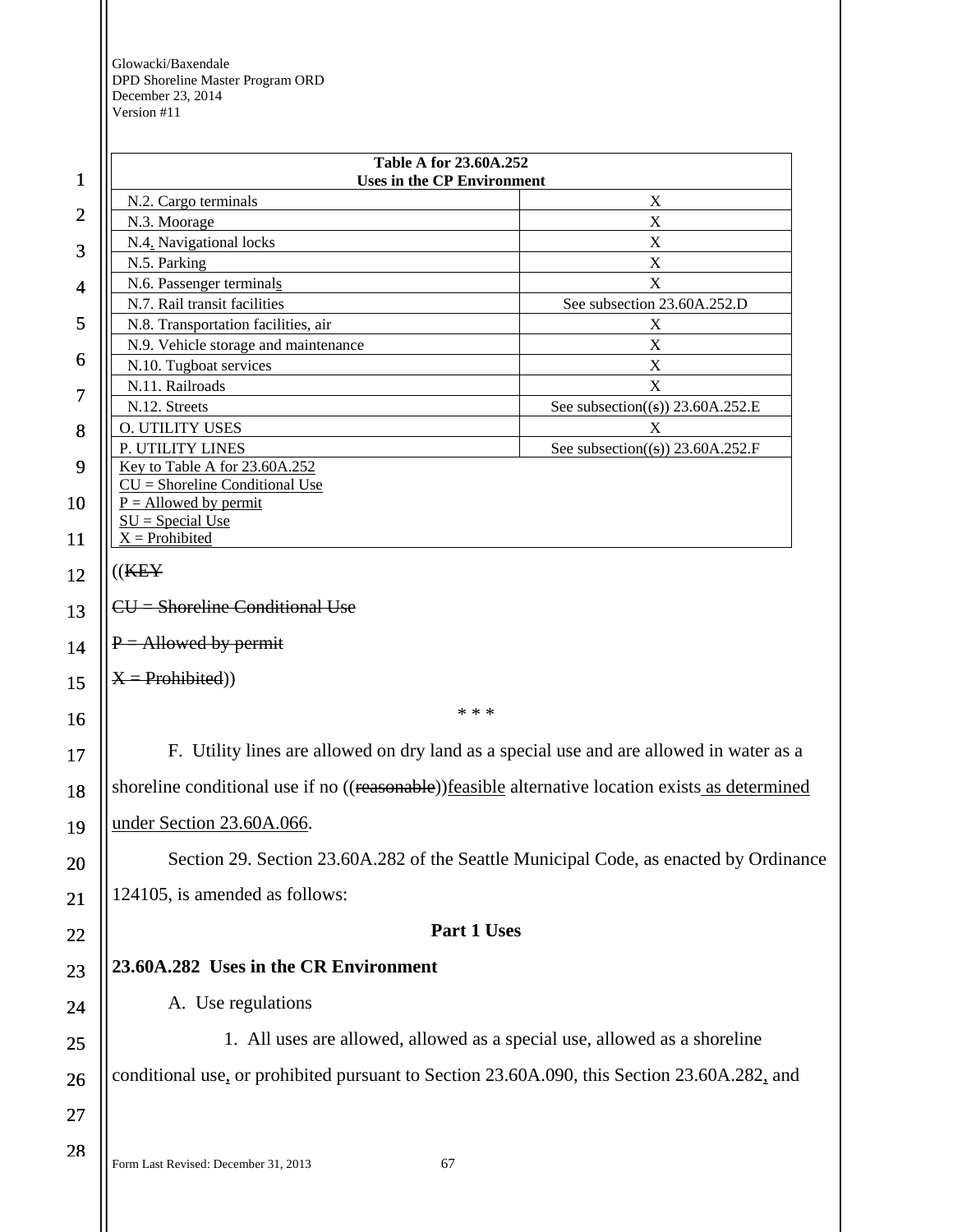| $\mathbf 1$    | Table A for 23.60A.252<br><b>Uses in the CP Environment</b>                                       |                                         |  |
|----------------|---------------------------------------------------------------------------------------------------|-----------------------------------------|--|
|                | N.2. Cargo terminals                                                                              | X                                       |  |
| $\overline{c}$ | N.3. Moorage                                                                                      | X                                       |  |
| 3              | N.4. Navigational locks                                                                           | X                                       |  |
|                | N.5. Parking                                                                                      | X                                       |  |
| $\overline{4}$ | N.6. Passenger terminals<br>N.7. Rail transit facilities                                          | X<br>See subsection 23.60A.252.D        |  |
| 5              | N.8. Transportation facilities, air                                                               | X                                       |  |
|                | N.9. Vehicle storage and maintenance                                                              | X                                       |  |
| 6              | N.10. Tugboat services                                                                            | $\boldsymbol{\mathrm{X}}$               |  |
| 7              | N.11. Railroads                                                                                   | X                                       |  |
|                | N.12. Streets<br><b>O. UTILITY USES</b>                                                           | See subsection((s)) $23.60A.252.E$<br>X |  |
| 8              | P. UTILITY LINES                                                                                  | See subsection((s)) $23.60A.252.F$      |  |
| 9              | Key to Table A for 23.60A.252                                                                     |                                         |  |
|                | $CU =$ Shoreline Conditional Use                                                                  |                                         |  |
| 10             | $P =$ Allowed by permit<br>$SU = Special Use$                                                     |                                         |  |
| <sup>11</sup>  | $X =$ Prohibited                                                                                  |                                         |  |
| 12             | (( <b>KEY</b> )                                                                                   |                                         |  |
| 13             | $CU =$ Shoreline Conditional Use                                                                  |                                         |  |
| 14             | $P =$ Allowed by permit                                                                           |                                         |  |
| 15             | $X = Problem$                                                                                     |                                         |  |
| 16             | * * *                                                                                             |                                         |  |
| 17             | F. Utility lines are allowed on dry land as a special use and are allowed in water as a           |                                         |  |
| 18             | shoreline conditional use if no ((reasonable)) feasible alternative location exists as determined |                                         |  |
| 19             | under Section 23.60A.066.                                                                         |                                         |  |
| 20             | Section 29. Section 23.60A.282 of the Seattle Municipal Code, as enacted by Ordinance             |                                         |  |
| 21             | 124105, is amended as follows:                                                                    |                                         |  |
| 22             | Part 1 Uses                                                                                       |                                         |  |
| 23             | 23.60A.282 Uses in the CR Environment                                                             |                                         |  |
| 24             | A. Use regulations                                                                                |                                         |  |
| 25             | 1. All uses are allowed, allowed as a special use, allowed as a shoreline                         |                                         |  |
| 26             | conditional use, or prohibited pursuant to Section 23.60A.090, this Section 23.60A.282, and       |                                         |  |
| 27             |                                                                                                   |                                         |  |
| 28             | Form Last Revised: December 31, 2013<br>67                                                        |                                         |  |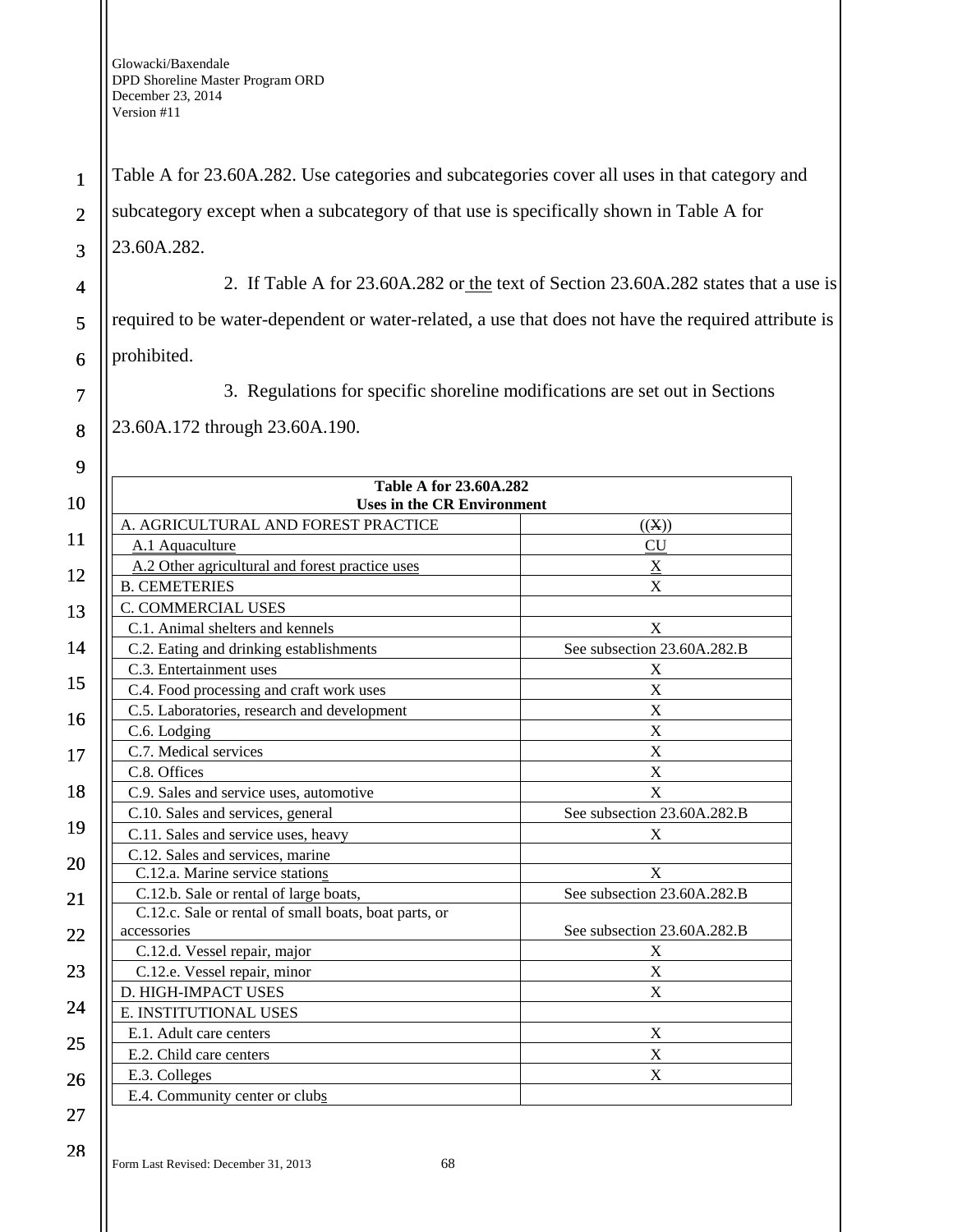Table A for 23.60A.282. Use categories and subcategories cover all uses in that category and

subcategory except when a subcategory of that use is specifically shown in Table A for

23.60A.282.

2. If Table A for 23.60A.282 or the text of Section 23.60A.282 states that a use is

required to be water-dependent or water-related, a use that does not have the required attribute is prohibited.

3. Regulations for specific shoreline modifications are set out in Sections

23.60A.172 through 23.60A.190.

9

1

2

3

4

5

6

7

8

| 10 | Table A for 23.60A.282<br><b>Uses in the CR Environment</b> |                             |
|----|-------------------------------------------------------------|-----------------------------|
|    | A. AGRICULTURAL AND FOREST PRACTICE                         | ((X))                       |
| 11 | A.1 Aquaculture                                             | <b>CU</b>                   |
| 12 | A.2 Other agricultural and forest practice uses             | $\underline{X}$             |
|    | <b>B. CEMETERIES</b>                                        | X                           |
| 13 | <b>C. COMMERCIAL USES</b>                                   |                             |
|    | C.1. Animal shelters and kennels                            | X                           |
| 14 | C.2. Eating and drinking establishments                     | See subsection 23.60A.282.B |
|    | C.3. Entertainment uses                                     | X                           |
| 15 | C.4. Food processing and craft work uses                    | $\mathbf X$                 |
| 16 | C.5. Laboratories, research and development                 | X                           |
|    | C.6. Lodging                                                | $\mathbf X$                 |
| 17 | C.7. Medical services                                       | X                           |
|    | C.8. Offices                                                | $\mathbf X$                 |
| 18 | C.9. Sales and service uses, automotive                     | X                           |
|    | C.10. Sales and services, general                           | See subsection 23.60A.282.B |
| 19 | C.11. Sales and service uses, heavy                         | X                           |
| 20 | C.12. Sales and services, marine                            |                             |
|    | C.12.a. Marine service stations                             | X                           |
| 21 | C.12.b. Sale or rental of large boats,                      | See subsection 23.60A.282.B |
|    | C.12.c. Sale or rental of small boats, boat parts, or       |                             |
| 22 | accessories                                                 | See subsection 23.60A.282.B |
|    | C.12.d. Vessel repair, major                                | X                           |
| 23 | C.12.e. Vessel repair, minor                                | $\mathbf X$                 |
| 24 | D. HIGH-IMPACT USES                                         | $\mathbf X$                 |
|    | E. INSTITUTIONAL USES                                       |                             |
| 25 | E.1. Adult care centers                                     | $\mathbf X$                 |
|    | E.2. Child care centers                                     | $\mathbf X$                 |
| 26 | E.3. Colleges                                               | $\boldsymbol{X}$            |
|    | E.4. Community center or clubs                              |                             |
| 27 |                                                             |                             |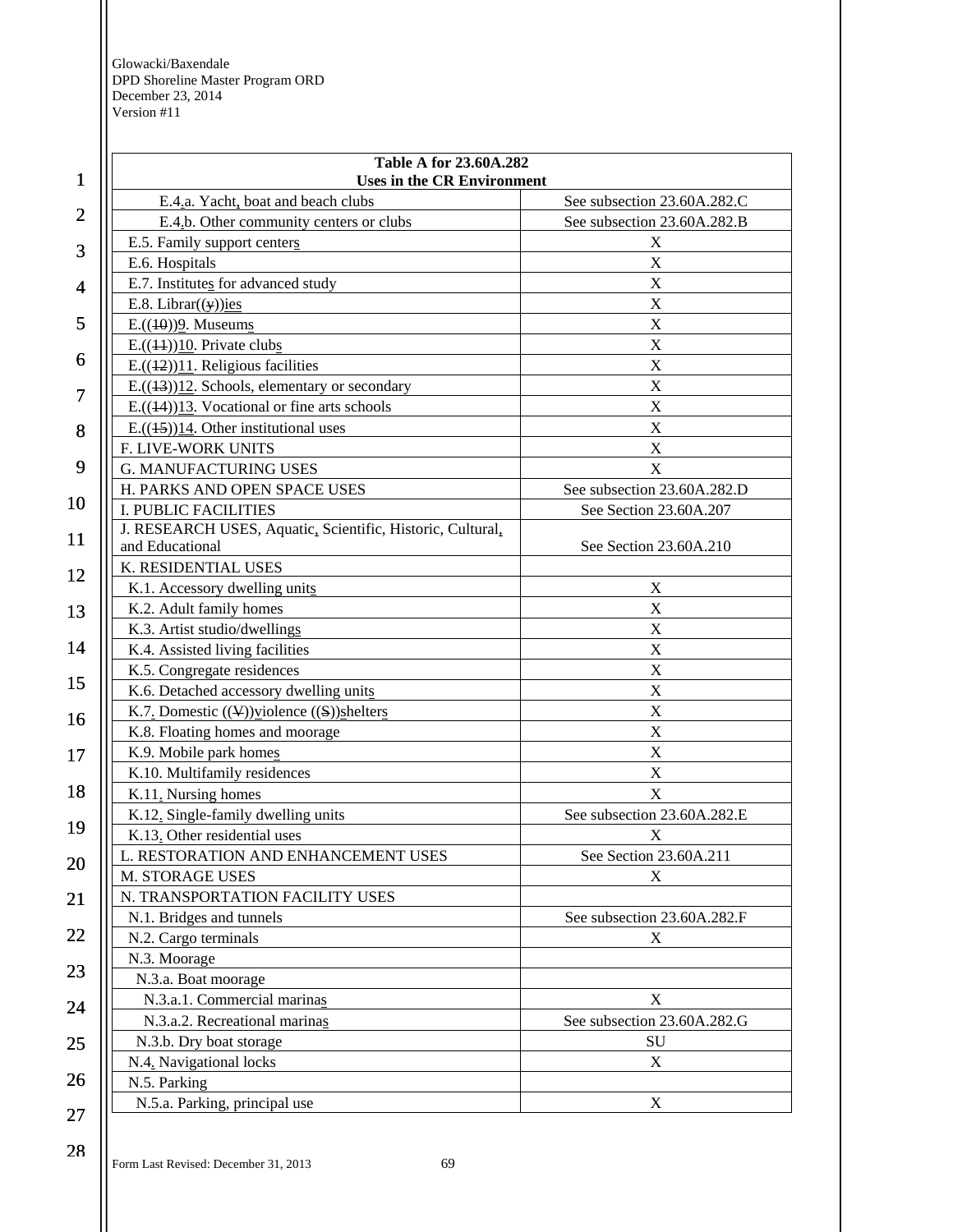|                | Table A for 23.60A.282                                     |                             |  |
|----------------|------------------------------------------------------------|-----------------------------|--|
| $\mathbf{1}$   | <b>Uses in the CR Environment</b>                          |                             |  |
| $\overline{2}$ | E.4.a. Yacht, boat and beach clubs                         | See subsection 23.60A.282.C |  |
|                | E.4.b. Other community centers or clubs                    | See subsection 23.60A.282.B |  |
| 3              | E.5. Family support centers                                | X                           |  |
|                | E.6. Hospitals                                             | X                           |  |
| 4              | E.7. Institutes for advanced study                         | X                           |  |
|                | E.8. Librar( $(y)$ )ies                                    | X                           |  |
| 5              | $E.((10))2.$ Museums                                       | $\mathbf X$                 |  |
|                | $E.((44))10$ . Private clubs                               | $\mathbf X$                 |  |
| 6              | $E.((12))11$ . Religious facilities                        | X                           |  |
| 7              | $E.((13))12$ . Schools, elementary or secondary            | X                           |  |
|                | $E.((14))13$ . Vocational or fine arts schools             | $\boldsymbol{\mathrm{X}}$   |  |
| 8              | $E.((45))14$ . Other institutional uses                    | $\mathbf X$                 |  |
|                | F. LIVE-WORK UNITS                                         | X                           |  |
| 9              | <b>G. MANUFACTURING USES</b>                               | $\mathbf X$                 |  |
|                | H. PARKS AND OPEN SPACE USES                               | See subsection 23.60A.282.D |  |
| 10             | <b>I. PUBLIC FACILITIES</b>                                | See Section 23.60A.207      |  |
| 11             | J. RESEARCH USES, Aquatic, Scientific, Historic, Cultural, |                             |  |
|                | and Educational                                            | See Section 23.60A.210      |  |
| 12             | K. RESIDENTIAL USES                                        |                             |  |
|                | K.1. Accessory dwelling units                              | X                           |  |
| 13             | K.2. Adult family homes                                    | $\boldsymbol{\mathrm{X}}$   |  |
|                | K.3. Artist studio/dwellings                               | X                           |  |
| 14             | K.4. Assisted living facilities                            | $\mathbf X$                 |  |
|                | K.5. Congregate residences                                 | $\mathbf X$                 |  |
| 15             | K.6. Detached accessory dwelling units                     | X                           |  |
| 16             | K.7. Domestic $((\vee))$ violence $((S))$ shelters         | $\mathbf X$                 |  |
|                | K.8. Floating homes and moorage                            | $\mathbf X$                 |  |
| 17             | K.9. Mobile park homes                                     | $\mathbf X$                 |  |
|                | K.10. Multifamily residences                               | $\mathbf X$                 |  |
| 18             | K.11. Nursing homes                                        | X                           |  |
|                | K.12. Single-family dwelling units                         | See subsection 23.60A.282.E |  |
| 19             | K.13. Other residential uses                               | X                           |  |
| 20             | L. RESTORATION AND ENHANCEMENT USES                        | See Section 23.60A.211      |  |
|                | M. STORAGE USES                                            | X                           |  |
| 21             | N. TRANSPORTATION FACILITY USES                            |                             |  |
|                | N.1. Bridges and tunnels                                   | See subsection 23.60A.282.F |  |
| 22             | N.2. Cargo terminals                                       | X                           |  |
|                | N.3. Moorage                                               |                             |  |
| 23             | N.3.a. Boat moorage                                        |                             |  |
|                | N.3.a.1. Commercial marinas                                | X                           |  |
| 24             | N.3.a.2. Recreational marinas                              | See subsection 23.60A.282.G |  |
| 25             | N.3.b. Dry boat storage                                    | SU                          |  |
|                | N.4. Navigational locks                                    | X                           |  |
| 26             | N.5. Parking                                               |                             |  |
|                | N.5.a. Parking, principal use                              | X                           |  |
| 27             |                                                            |                             |  |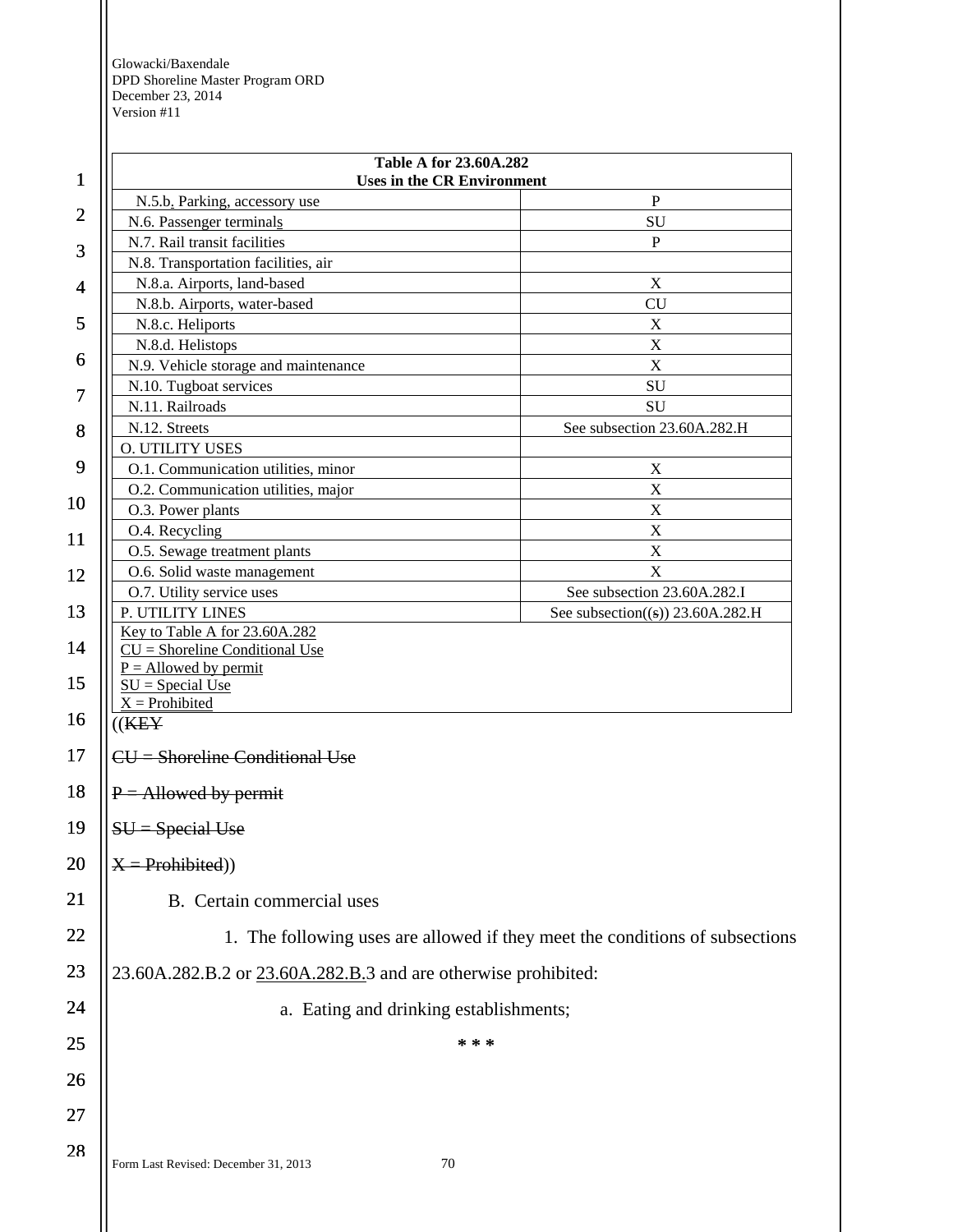| $\mathbf{1}$   | Table A for 23.60A.282<br><b>Uses in the CR Environment</b>                  |                                      |
|----------------|------------------------------------------------------------------------------|--------------------------------------|
|                | N.5.b. Parking, accessory use                                                | $\mathbf{P}$                         |
| $\overline{2}$ | N.6. Passenger terminals                                                     | SU                                   |
|                | N.7. Rail transit facilities                                                 | P                                    |
| 3              | N.8. Transportation facilities, air                                          |                                      |
| 4              | N.8.a. Airports, land-based                                                  | $\boldsymbol{X}$                     |
|                | N.8.b. Airports, water-based                                                 | <b>CU</b>                            |
| 5              | N.8.c. Heliports                                                             | $\mathbf X$                          |
| 6              | N.8.d. Helistops                                                             | $\mathbf X$                          |
|                | N.9. Vehicle storage and maintenance                                         | X                                    |
| 7              | N.10. Tugboat services                                                       | SU                                   |
|                | N.11. Railroads<br>N.12. Streets                                             | SU<br>See subsection 23.60A.282.H    |
| 8              | <b>O. UTILITY USES</b>                                                       |                                      |
| 9              | O.1. Communication utilities, minor                                          | X                                    |
|                | O.2. Communication utilities, major                                          | $\mathbf X$                          |
| 10             | O.3. Power plants                                                            | $\mathbf X$                          |
| 11             | O.4. Recycling                                                               | $\boldsymbol{\mathrm{X}}$            |
|                | O.5. Sewage treatment plants                                                 | $\boldsymbol{\mathrm{X}}$            |
| 12             | O.6. Solid waste management                                                  | X                                    |
|                | O.7. Utility service uses                                                    | See subsection 23.60A.282.I          |
| 13             | P. UTILITY LINES                                                             | See subsection( $(s)$ ) 23.60A.282.H |
| 14             | Key to Table A for 23.60A.282<br>$CU = Shortline Conditional Use$            |                                      |
|                | $P =$ Allowed by permit                                                      |                                      |
| 15             | $SU = Special Use$                                                           |                                      |
| 16             | $X =$ Prohibited<br>((K E Y))                                                |                                      |
| 17             | $CU =$ Shoreline Conditional Use                                             |                                      |
|                |                                                                              |                                      |
| 18             | $P =$ Allowed by permit<br>SU = Special Use                                  |                                      |
| 19             |                                                                              |                                      |
| 20             | $X = Problemibited)$                                                         |                                      |
| 21             | B. Certain commercial uses                                                   |                                      |
| 22             | 1. The following uses are allowed if they meet the conditions of subsections |                                      |
| 23             | 23.60A.282.B.2 or 23.60A.282.B.3 and are otherwise prohibited:               |                                      |
| 24             | a. Eating and drinking establishments;                                       |                                      |
| 25             | * * *                                                                        |                                      |
| 26             |                                                                              |                                      |
|                |                                                                              |                                      |
| 27             |                                                                              |                                      |
| 28             |                                                                              |                                      |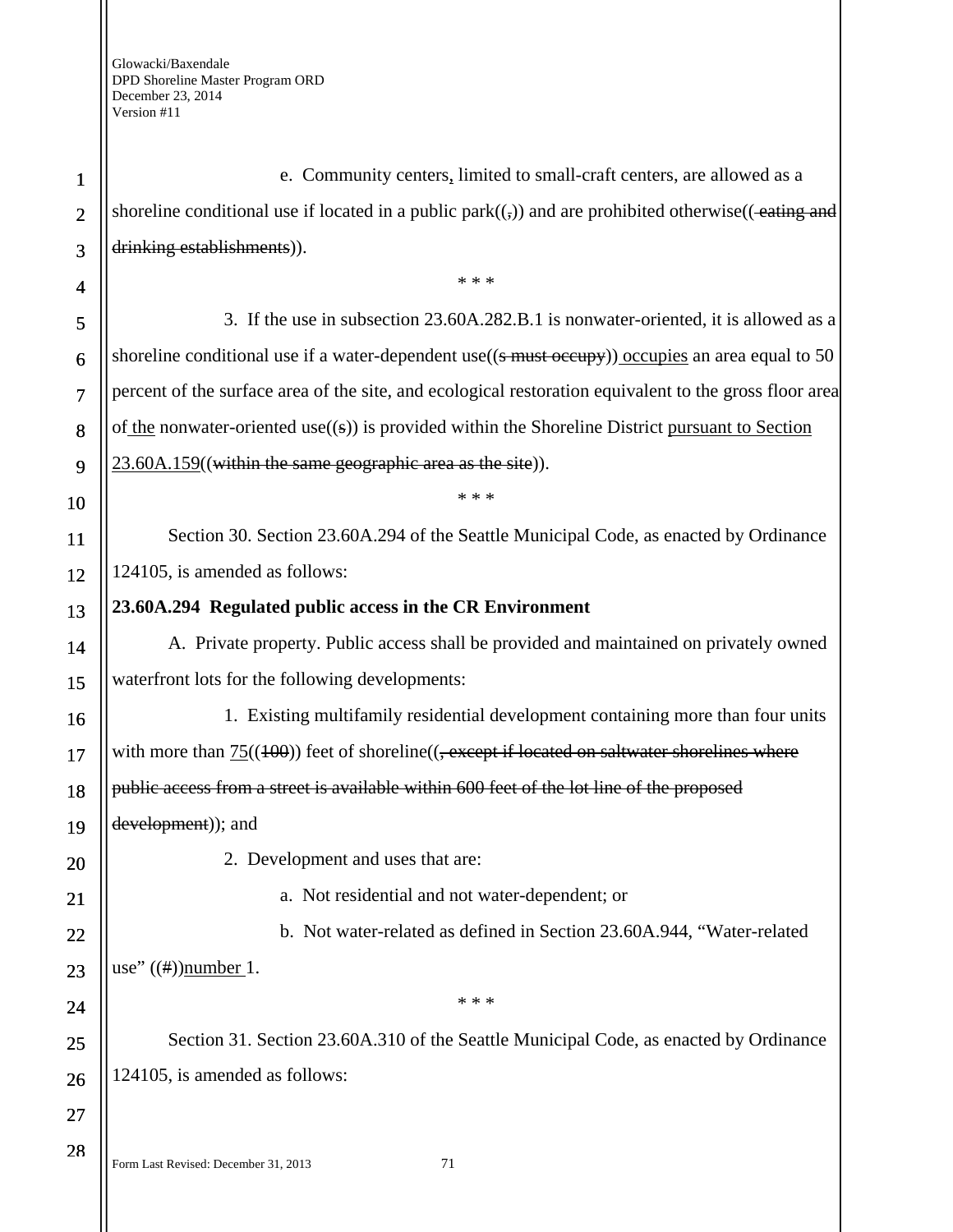Form Last Revised: December 31, 2013 71 1 2 3 4 5 6 7 8 9 10 11 12 13 14 15 16 17 18 19 20 21 22 23 24 25 26 27 28 e. Community centers, limited to small-craft centers, are allowed as a shoreline conditional use if located in a public park $((,)$ ) and are prohibited otherwise $((-$ eating and drinking establishments)). \* \* \* 3. If the use in subsection 23.60A.282.B.1 is nonwater-oriented, it is allowed as a shoreline conditional use if a water-dependent use( $(\frac{1}{2}$  must occupy)) occupies an area equal to 50 percent of the surface area of the site, and ecological restoration equivalent to the gross floor area of the nonwater-oriented use $((s))$  is provided within the Shoreline District pursuant to Section 23.60A.159((within the same geographic area as the site)). \* \* \* Section 30. Section 23.60A.294 of the Seattle Municipal Code, as enacted by Ordinance 124105, is amended as follows: **23.60A.294 Regulated public access in the CR Environment**  A. Private property. Public access shall be provided and maintained on privately owned waterfront lots for the following developments: 1. Existing multifamily residential development containing more than four units with more than  $75((100))$  feet of shoreline( $($ , except if located on saltwater shorelines where public access from a street is available within 600 feet of the lot line of the proposed development)); and 2. Development and uses that are: a. Not residential and not water-dependent; or b. Not water-related as defined in Section 23.60A.944, "Water-related use"  $((\#))$ number 1. \* \* \* Section 31. Section 23.60A.310 of the Seattle Municipal Code, as enacted by Ordinance 124105, is amended as follows: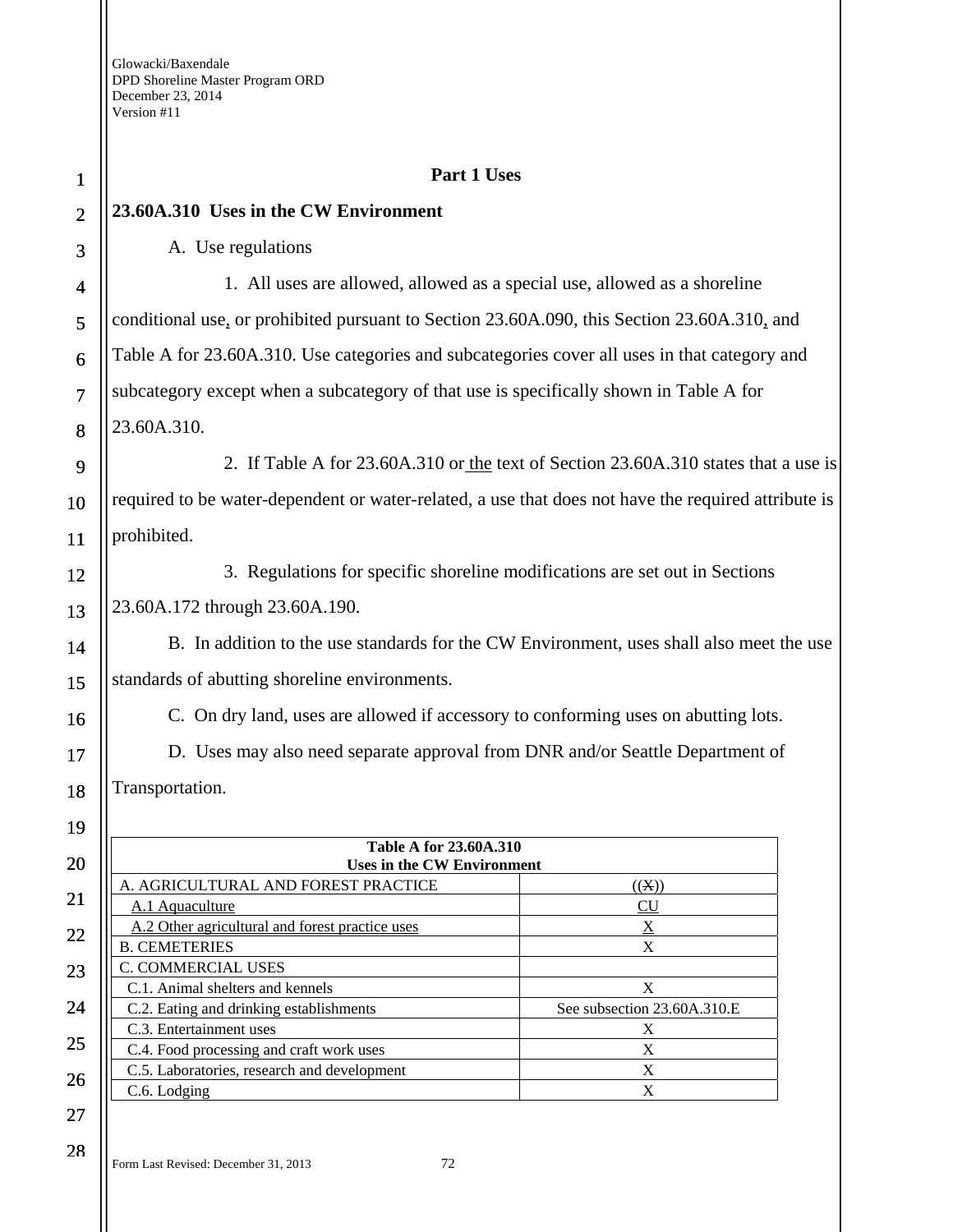| $\mathbf{1}$            | Part 1 Uses                                                                                         |                                                                                     |  |
|-------------------------|-----------------------------------------------------------------------------------------------------|-------------------------------------------------------------------------------------|--|
| $\overline{2}$          | 23.60A.310 Uses in the CW Environment                                                               |                                                                                     |  |
| 3                       | A. Use regulations                                                                                  |                                                                                     |  |
| $\overline{\mathbf{4}}$ | 1. All uses are allowed, allowed as a special use, allowed as a shoreline                           |                                                                                     |  |
| 5                       | conditional use, or prohibited pursuant to Section 23.60A.090, this Section 23.60A.310, and         |                                                                                     |  |
| 6                       | Table A for 23.60A.310. Use categories and subcategories cover all uses in that category and        |                                                                                     |  |
| $\overline{7}$          | subcategory except when a subcategory of that use is specifically shown in Table A for              |                                                                                     |  |
| 8                       | 23.60A.310.                                                                                         |                                                                                     |  |
| 9                       |                                                                                                     | 2. If Table A for 23.60A.310 or the text of Section 23.60A.310 states that a use is |  |
| 10                      | required to be water-dependent or water-related, a use that does not have the required attribute is |                                                                                     |  |
| 11                      | prohibited.                                                                                         |                                                                                     |  |
| 12                      | 3. Regulations for specific shoreline modifications are set out in Sections                         |                                                                                     |  |
| 13                      | 23.60A.172 through 23.60A.190.                                                                      |                                                                                     |  |
| 14                      | B. In addition to the use standards for the CW Environment, uses shall also meet the use            |                                                                                     |  |
| 15                      | standards of abutting shoreline environments.                                                       |                                                                                     |  |
| 16                      | C. On dry land, uses are allowed if accessory to conforming uses on abutting lots.                  |                                                                                     |  |
| 17                      | D. Uses may also need separate approval from DNR and/or Seattle Department of                       |                                                                                     |  |
| 18                      | Transportation.                                                                                     |                                                                                     |  |
| 19                      |                                                                                                     |                                                                                     |  |
| 20                      | Table A for 23.60A.310<br><b>Uses in the CW Environment</b>                                         |                                                                                     |  |
|                         | A. AGRICULTURAL AND FOREST PRACTICE                                                                 | ((X))                                                                               |  |
| 21                      | A.1 Aquaculture                                                                                     | CU                                                                                  |  |
| 22                      | A.2 Other agricultural and forest practice uses                                                     | $\underline{X}$<br>X                                                                |  |
|                         | <b>B. CEMETERIES</b><br>C. COMMERCIAL USES                                                          |                                                                                     |  |
| 23                      | C.1. Animal shelters and kennels                                                                    | $\mathbf X$                                                                         |  |
| 24                      | C.2. Eating and drinking establishments                                                             | See subsection 23.60A.310.E                                                         |  |
|                         | C.3. Entertainment uses                                                                             | X                                                                                   |  |
| 25                      | C.4. Food processing and craft work uses                                                            | $\mathbf X$                                                                         |  |
|                         | C.5. Laboratories, research and development                                                         | X                                                                                   |  |
| 26                      | C.6. Lodging                                                                                        | X                                                                                   |  |
| 27                      |                                                                                                     |                                                                                     |  |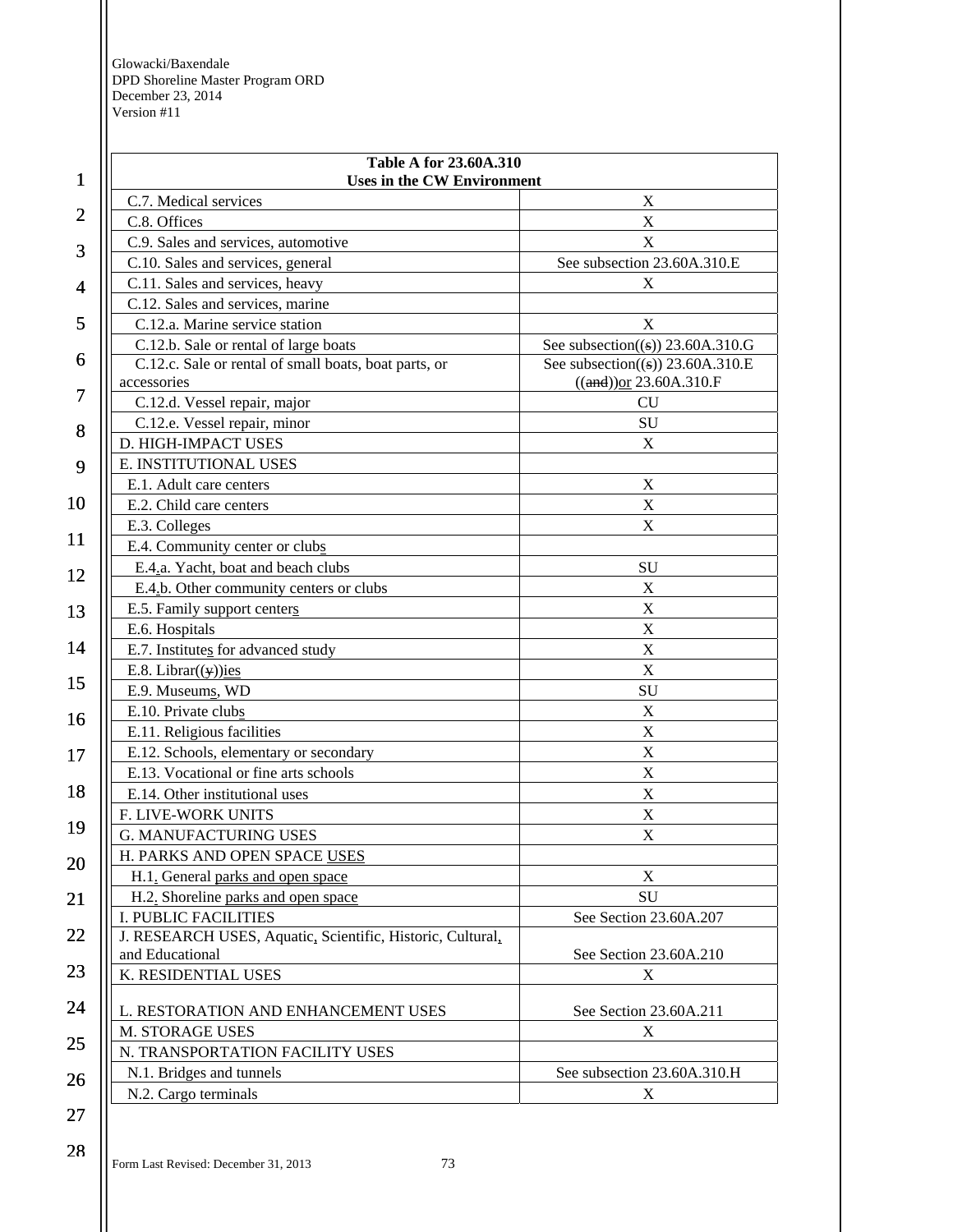| 1              | <b>Table A for 23.60A.310</b><br><b>Uses in the CW Environment</b> |                                               |
|----------------|--------------------------------------------------------------------|-----------------------------------------------|
|                | C.7. Medical services                                              | Χ                                             |
| $\overline{2}$ | C.8. Offices                                                       | $\mathbf X$                                   |
|                | C.9. Sales and services, automotive                                | X                                             |
| 3              | C.10. Sales and services, general                                  | See subsection 23.60A.310.E                   |
| 4              | C.11. Sales and services, heavy                                    | X                                             |
|                | C.12. Sales and services, marine                                   |                                               |
| 5              | C.12.a. Marine service station                                     | X                                             |
|                | C.12.b. Sale or rental of large boats                              | See subsection( $(\textbf{s})$ ) 23.60A.310.G |
| 6              | C.12.c. Sale or rental of small boats, boat parts, or              | See subsection( $(\textbf{s})$ ) 23.60A.310.E |
| 7              | accessories                                                        | $((and))$ or 23.60A.310.F                     |
|                | C.12.d. Vessel repair, major                                       | CU                                            |
| 8              | C.12.e. Vessel repair, minor                                       | SU                                            |
|                | D. HIGH-IMPACT USES                                                | X                                             |
| 9              | E. INSTITUTIONAL USES                                              |                                               |
|                | E.1. Adult care centers                                            | X                                             |
| 10             | E.2. Child care centers                                            | $\mathbf X$                                   |
| 11             | E.3. Colleges                                                      | $\mathbf X$                                   |
|                | E.4. Community center or clubs                                     |                                               |
| 12             | E.4.a. Yacht, boat and beach clubs                                 | SU                                            |
|                | E.4.b. Other community centers or clubs                            | X                                             |
| 13             | E.5. Family support centers                                        | X                                             |
|                | E.6. Hospitals                                                     | $\mathbf X$                                   |
| 14             | E.7. Institutes for advanced study                                 | $\mathbf X$                                   |
| 15             | E.8. Librar( $(y)$ )ies                                            | $\mathbf X$                                   |
|                | E.9. Museums, WD                                                   | SU                                            |
| 16             | E.10. Private clubs                                                | $\mathbf X$                                   |
|                | E.11. Religious facilities                                         | $\mathbf X$                                   |
| 17             | E.12. Schools, elementary or secondary                             | $\mathbf X$                                   |
|                | E.13. Vocational or fine arts schools                              | $\mathbf X$                                   |
| 18             | E.14. Other institutional uses                                     | $\mathbf X$                                   |
| 19             | F. LIVE-WORK UNITS                                                 | X                                             |
|                | G. MANUFACTURING USES                                              | X                                             |
| 20             | H. PARKS AND OPEN SPACE USES                                       |                                               |
|                | H.1. General parks and open space                                  | X                                             |
| 21             | H.2. Shoreline parks and open space                                | SU                                            |
|                | <b>I. PUBLIC FACILITIES</b>                                        | See Section 23.60A.207                        |
| 22             | J. RESEARCH USES, Aquatic, Scientific, Historic, Cultural,         |                                               |
| 23             | and Educational                                                    | See Section 23.60A.210                        |
|                | K. RESIDENTIAL USES                                                | X                                             |
| 24             | L. RESTORATION AND ENHANCEMENT USES                                | See Section 23.60A.211                        |
|                | M. STORAGE USES                                                    | X                                             |
| 25             | N. TRANSPORTATION FACILITY USES                                    |                                               |
|                | N.1. Bridges and tunnels                                           | See subsection 23.60A.310.H                   |
| 26             | N.2. Cargo terminals                                               | X                                             |
| 27             |                                                                    |                                               |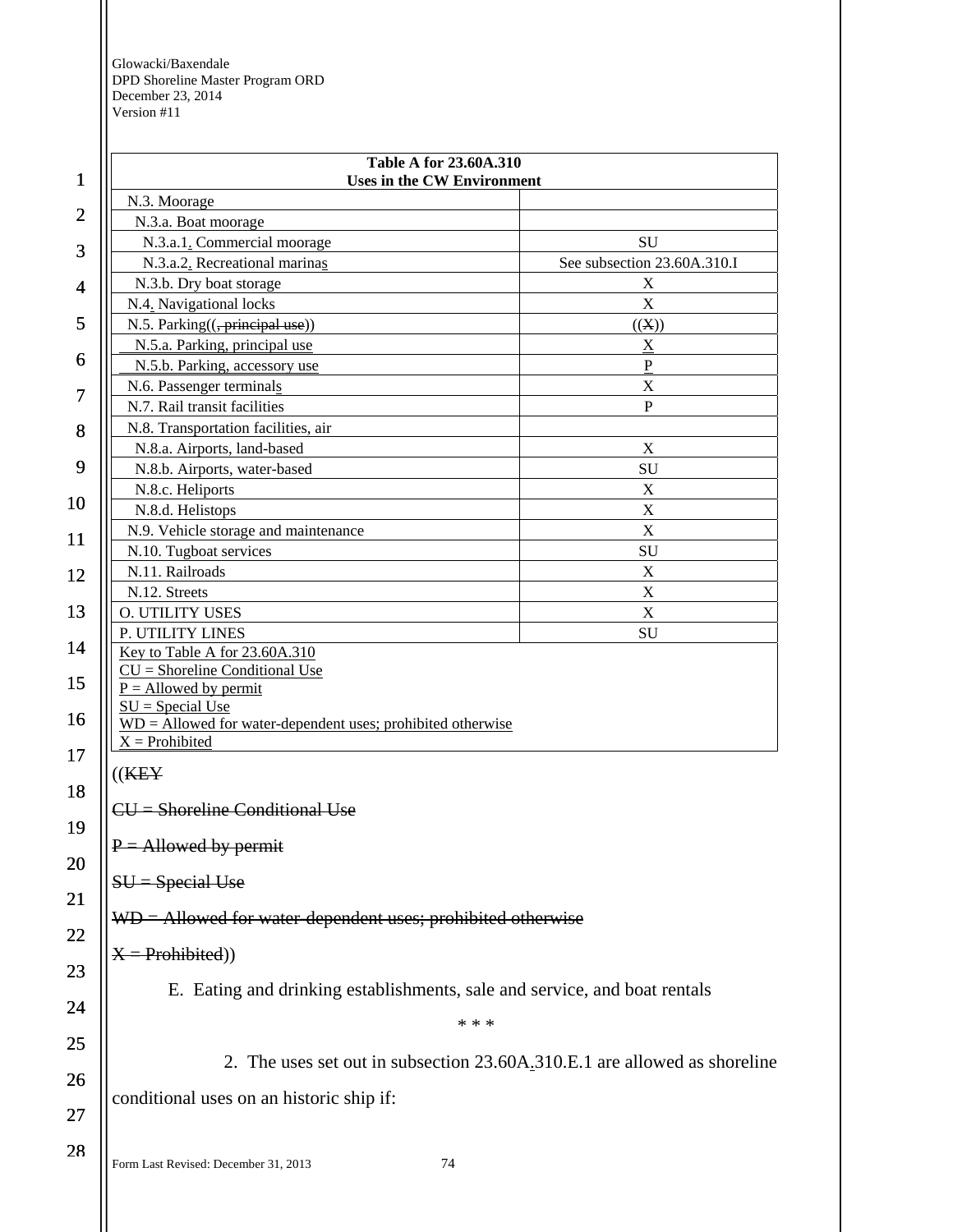| $\mathbf{1}$   | <b>Table A for 23.60A.310</b><br><b>Uses in the CW Environment</b>                |                                                                           |
|----------------|-----------------------------------------------------------------------------------|---------------------------------------------------------------------------|
|                |                                                                                   |                                                                           |
| $\overline{2}$ | N.3. Moorage                                                                      |                                                                           |
|                | N.3.a. Boat moorage<br>N.3.a.1. Commercial moorage                                | SU                                                                        |
| 3              | N.3.a.2. Recreational marinas                                                     | See subsection 23.60A.310.I                                               |
|                |                                                                                   | $\boldsymbol{X}$                                                          |
| 4              | N.3.b. Dry boat storage                                                           | $\mathbf X$                                                               |
| 5              | N.4. Navigational locks                                                           |                                                                           |
|                | N.5. Parking(( <del>, principal use</del> ))                                      | ((X))                                                                     |
| 6              | N.5.a. Parking, principal use                                                     | $\mathbf X$                                                               |
|                | N.5.b. Parking, accessory use                                                     | $\, {\bf P}$<br>$\mathbf X$                                               |
| 7              | N.6. Passenger terminals<br>N.7. Rail transit facilities                          | $\mathbf{P}$                                                              |
|                |                                                                                   |                                                                           |
| 8              | N.8. Transportation facilities, air<br>N.8.a. Airports, land-based                | X                                                                         |
| 9              |                                                                                   | SU                                                                        |
|                | N.8.b. Airports, water-based                                                      |                                                                           |
| 10             | N.8.c. Heliports<br>N.8.d. Helistops                                              | $\mathbf X$<br>$\mathbf X$                                                |
|                | N.9. Vehicle storage and maintenance                                              | $\mathbf X$                                                               |
| 11             | N.10. Tugboat services                                                            | ${\rm SU}$                                                                |
|                | N.11. Railroads                                                                   | X                                                                         |
| 12             | N.12. Streets                                                                     | $\mathbf X$                                                               |
| 13             | O. UTILITY USES                                                                   | $\mathbf X$                                                               |
|                | P. UTILITY LINES                                                                  | SU                                                                        |
| 14             | Key to Table A for 23.60A.310                                                     |                                                                           |
|                | $CU =$ Shoreline Conditional Use                                                  |                                                                           |
| 15             | $P =$ Allowed by permit                                                           |                                                                           |
| 16             | $SU = Special Use$                                                                |                                                                           |
|                | $WD =$ Allowed for water-dependent uses; prohibited otherwise<br>$X =$ Prohibited |                                                                           |
| 17             |                                                                                   |                                                                           |
|                | ((K E Y                                                                           |                                                                           |
| 18             | CU = Shoreline Conditional Use                                                    |                                                                           |
| 19             |                                                                                   |                                                                           |
|                | $P =$ Allowed by permit                                                           |                                                                           |
| 20             |                                                                                   |                                                                           |
|                | $SU = Special Use$                                                                |                                                                           |
| 21             | $WD =$ Allowed for water-dependent uses; prohibited otherwise                     |                                                                           |
| 22             |                                                                                   |                                                                           |
|                | $X =$ Prohibited))                                                                |                                                                           |
| 23             |                                                                                   |                                                                           |
| 24             |                                                                                   | E. Eating and drinking establishments, sale and service, and boat rentals |
|                |                                                                                   | * * *                                                                     |
| 25             |                                                                                   |                                                                           |
|                |                                                                                   | 2. The uses set out in subsection 23.60A.310.E.1 are allowed as shoreline |
| 26             |                                                                                   |                                                                           |
|                | conditional uses on an historic ship if:                                          |                                                                           |
| 27             |                                                                                   |                                                                           |
| 28             |                                                                                   |                                                                           |
|                | Form Last Revised: December 31, 2013                                              | 74                                                                        |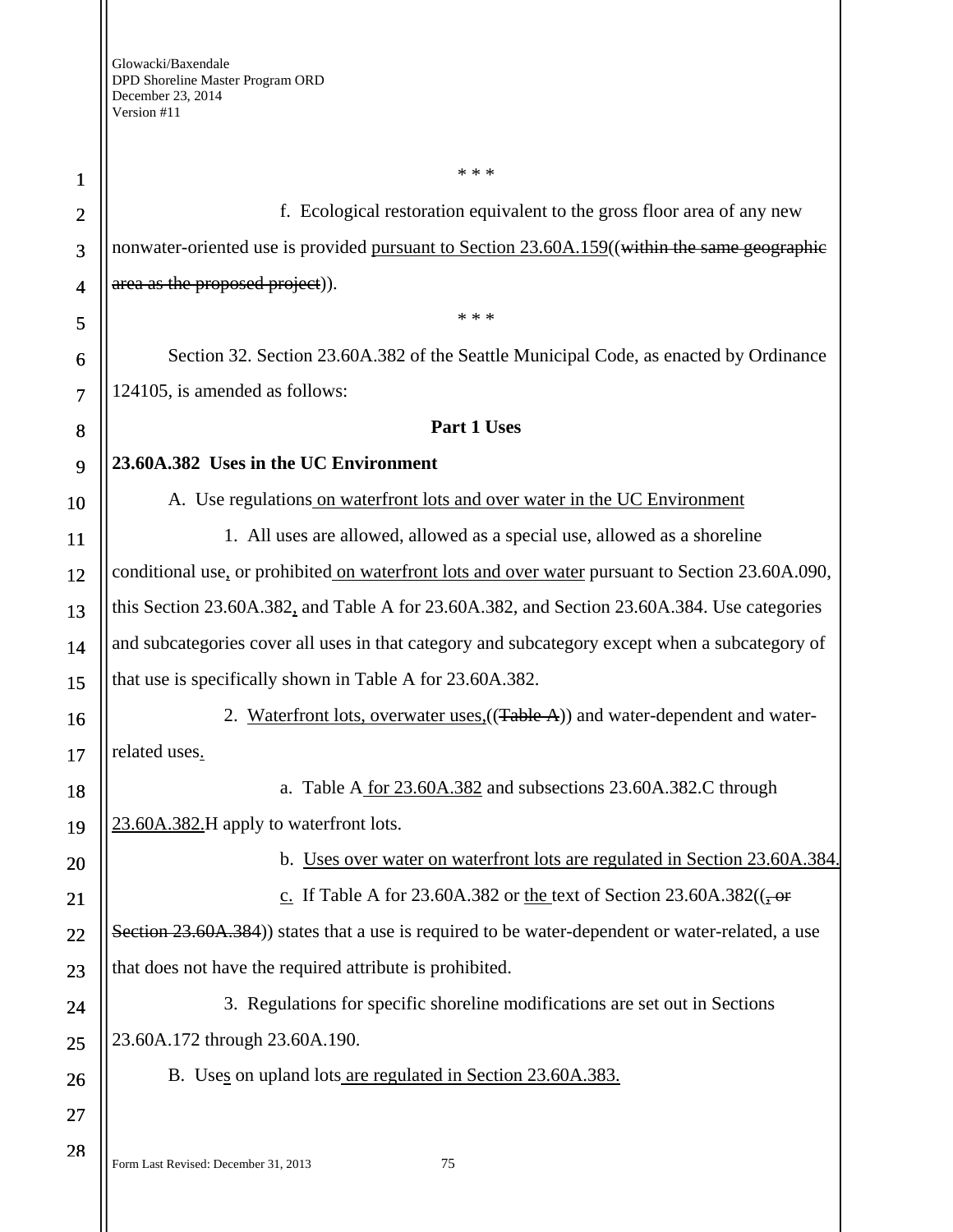| $\mathbf{1}$   | * * *                                                                                            |
|----------------|--------------------------------------------------------------------------------------------------|
| $\overline{2}$ | f. Ecological restoration equivalent to the gross floor area of any new                          |
| 3              | nonwater-oriented use is provided pursuant to Section 23.60A.159((within the same geographic     |
| $\overline{4}$ | area as the proposed project)).                                                                  |
| 5              | * * *                                                                                            |
| 6              | Section 32. Section 23.60A.382 of the Seattle Municipal Code, as enacted by Ordinance            |
| $\overline{7}$ | 124105, is amended as follows:                                                                   |
| 8              | Part 1 Uses                                                                                      |
| 9              | 23.60A.382 Uses in the UC Environment                                                            |
| 10             | A. Use regulations on waterfront lots and over water in the UC Environment                       |
| <b>11</b>      | 1. All uses are allowed, allowed as a special use, allowed as a shoreline                        |
| 12             | conditional use, or prohibited on waterfront lots and over water pursuant to Section 23.60A.090, |
| 13             | this Section 23.60A.382, and Table A for 23.60A.382, and Section 23.60A.384. Use categories      |
| 14             | and subcategories cover all uses in that category and subcategory except when a subcategory of   |
| 15             | that use is specifically shown in Table A for 23.60A.382.                                        |
| 16             | 2. Waterfront lots, overwater uses, ((Table A)) and water-dependent and water-                   |
| 17             | related uses.                                                                                    |
| 18             | a. Table A for 23.60A.382 and subsections 23.60A.382.C through                                   |
| 19             | 23.60A.382.H apply to waterfront lots.                                                           |
| 20             | b. Uses over water on waterfront lots are regulated in Section 23.60A.384.                       |
| 21             | c. If Table A for 23.60A.382 or the text of Section 23.60A.382( $\left(\frac{1}{2} \right)$      |
| 22             | Section 23.60A.384) states that a use is required to be water-dependent or water-related, a use  |
| 23             | that does not have the required attribute is prohibited.                                         |
| 24             | 3. Regulations for specific shoreline modifications are set out in Sections                      |
| 25             | 23.60A.172 through 23.60A.190.                                                                   |
| 26             | B. Uses on upland lots are regulated in Section 23.60A.383.                                      |
| 27             |                                                                                                  |
| 28             | Form Last Revised: December 31, 2013<br>75                                                       |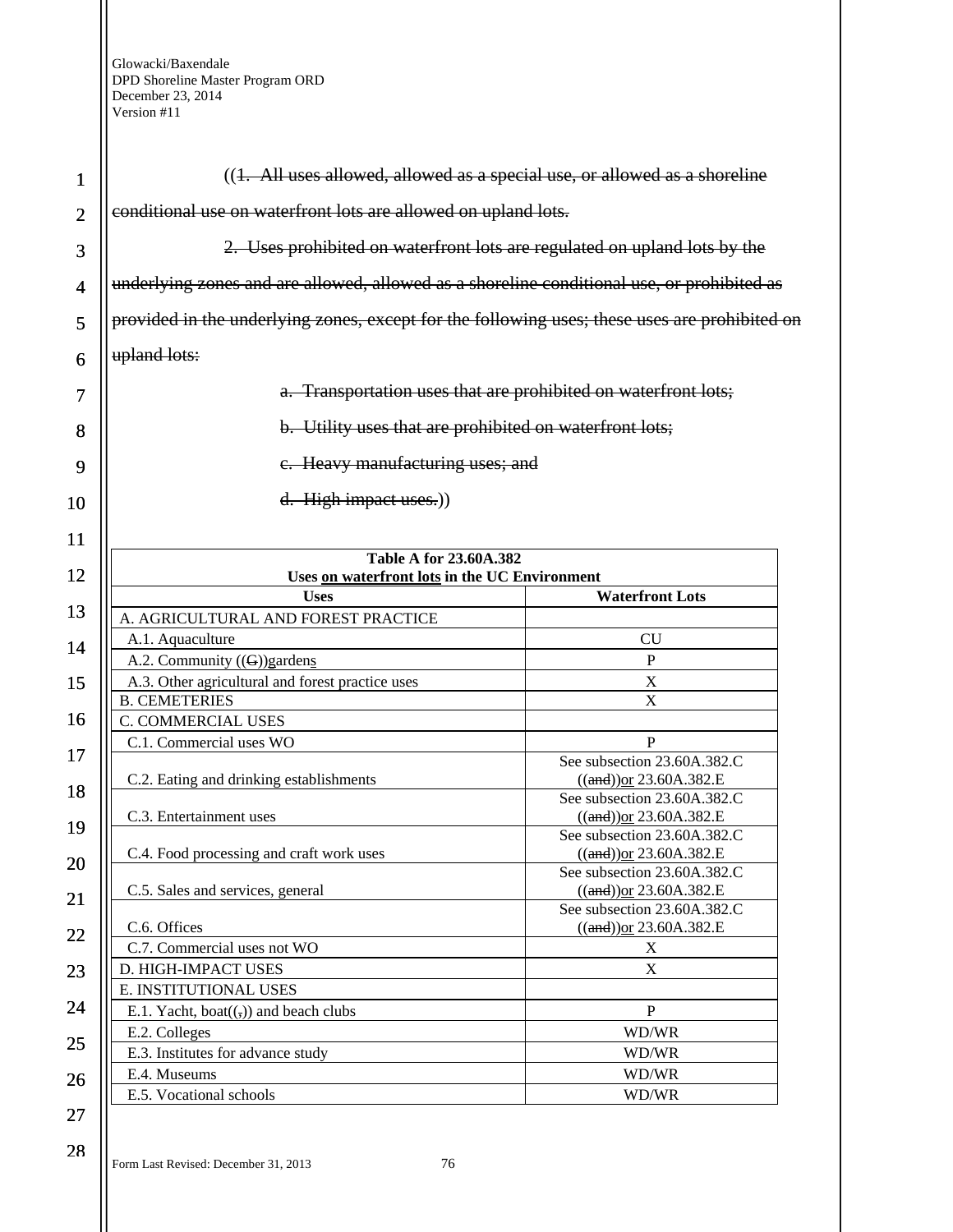| 1              | $((1. All uses allowed, allowed as a special use, or allowed as a short line)$                |                                                                |
|----------------|-----------------------------------------------------------------------------------------------|----------------------------------------------------------------|
| $\overline{2}$ | conditional use on waterfront lots are allowed on upland lots.                                |                                                                |
| 3              | 2. Uses prohibited on waterfront lots are regulated on upland lots by the                     |                                                                |
| $\overline{4}$ | underlying zones and are allowed, allowed as a shoreline conditional use, or prohibited as    |                                                                |
| 5              | provided in the underlying zones, except for the following uses; these uses are prohibited on |                                                                |
| 6              | upland lots:                                                                                  |                                                                |
| 7              |                                                                                               | a. Transportation uses that are prohibited on waterfront lots; |
| 8              | b. Utility uses that are prohibited on waterfront lots;                                       |                                                                |
| 9              | e. Heavy manufacturing uses; and                                                              |                                                                |
| 10             | d. High impact uses.)                                                                         |                                                                |
| 11             |                                                                                               |                                                                |
| 12             | <b>Table A for 23.60A.382</b><br>Uses on waterfront lots in the UC Environment                |                                                                |
|                | <b>Uses</b>                                                                                   | <b>Waterfront Lots</b>                                         |
| 13             | A. AGRICULTURAL AND FOREST PRACTICE                                                           |                                                                |
| 14             | A.1. Aquaculture                                                                              | CU                                                             |
|                | A.2. Community $((G))$ gardens                                                                | P                                                              |
| 15             | A.3. Other agricultural and forest practice uses                                              | $\boldsymbol{\mathrm{X}}$                                      |
|                | <b>B. CEMETERIES</b>                                                                          | X                                                              |
| 16             | C. COMMERCIAL USES                                                                            |                                                                |
|                | C.1. Commercial uses WO                                                                       | P                                                              |
| 17             |                                                                                               | See subsection 23.60A.382.C                                    |
|                | C.2. Eating and drinking establishments                                                       | $((and))$ or 23.60A.382.E                                      |
| 18             |                                                                                               | See subsection 23.60A.382.C                                    |
|                | C.3. Entertainment uses                                                                       | $((and))$ or 23.60A.382.E                                      |
| 19             |                                                                                               | See subsection 23.60A.382.C                                    |
|                | C.4. Food processing and craft work uses                                                      | $((and))$ or 23.60A.382.E                                      |
| 20             |                                                                                               | See subsection 23.60A.382.C                                    |
| 21             | C.5. Sales and services, general                                                              | $((and))$ or 23.60A.382.E                                      |
|                |                                                                                               | See subsection 23.60A.382.C                                    |
| 22             | C.6. Offices                                                                                  | $((and))$ or 23.60A.382.E                                      |
|                | C.7. Commercial uses not WO                                                                   | X                                                              |
| 23             | D. HIGH-IMPACT USES                                                                           | X                                                              |
|                | E. INSTITUTIONAL USES                                                                         |                                                                |
| 24             | E.1. Yacht, boat $((,))$ and beach clubs                                                      | P                                                              |
|                | E.2. Colleges                                                                                 | WD/WR                                                          |
| 25             | E.3. Institutes for advance study                                                             | WD/WR                                                          |
|                | E.4. Museums                                                                                  | WD/WR                                                          |
| 26             | E.5. Vocational schools                                                                       |                                                                |
|                |                                                                                               | WD/WR                                                          |

28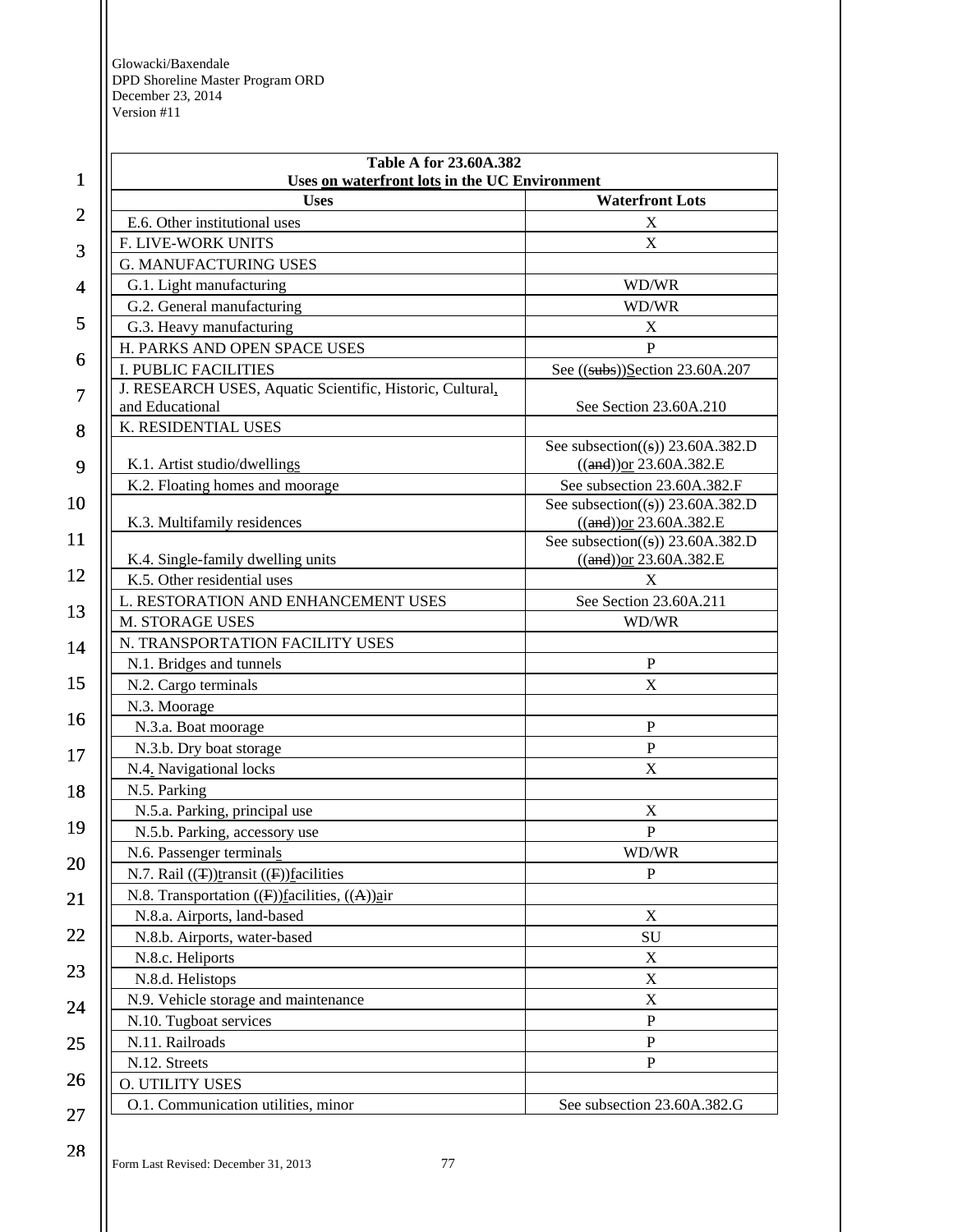| 1              | Table A for 23.60A.382<br>Uses on waterfront lots in the UC Environment |                                                                            |
|----------------|-------------------------------------------------------------------------|----------------------------------------------------------------------------|
|                | <b>Uses</b>                                                             | <b>Waterfront Lots</b>                                                     |
| $\overline{2}$ | E.6. Other institutional uses                                           | X                                                                          |
|                | F. LIVE-WORK UNITS                                                      | X                                                                          |
| 3              | <b>G. MANUFACTURING USES</b>                                            |                                                                            |
| 4              | G.1. Light manufacturing                                                | WD/WR                                                                      |
|                | G.2. General manufacturing                                              | WD/WR                                                                      |
| 5              | G.3. Heavy manufacturing                                                | X                                                                          |
|                | H. PARKS AND OPEN SPACE USES                                            | $\mathbf{P}$                                                               |
| 6              | <b>I. PUBLIC FACILITIES</b>                                             | See $((subs))$ Section 23.60A.207                                          |
| 7              | J. RESEARCH USES, Aquatic Scientific, Historic, Cultural,               |                                                                            |
|                | and Educational                                                         | See Section 23.60A.210                                                     |
| 8              | K. RESIDENTIAL USES                                                     |                                                                            |
|                |                                                                         | See subsection( $(\textbf{s})$ ) 23.60A.382.D                              |
| 9              | K.1. Artist studio/dwellings                                            | $((and))$ or 23.60A.382.E                                                  |
|                | K.2. Floating homes and moorage                                         | See subsection 23.60A.382.F                                                |
| 10             | K.3. Multifamily residences                                             | See subsection( $(\textbf{s})$ ) 23.60A.382.D<br>$((and))$ or 23.60A.382.E |
| 11             |                                                                         | See subsection( $(\circ)$ ) 23.60A.382.D                                   |
|                | K.4. Single-family dwelling units                                       | $((and))$ or 23.60A.382.E                                                  |
| 12             | K.5. Other residential uses                                             | X                                                                          |
|                | L. RESTORATION AND ENHANCEMENT USES                                     | See Section 23.60A.211                                                     |
| 13             | M. STORAGE USES                                                         | WD/WR                                                                      |
| 14             | N. TRANSPORTATION FACILITY USES                                         |                                                                            |
|                | N.1. Bridges and tunnels                                                | $\mathbf{P}$                                                               |
| 15             | N.2. Cargo terminals                                                    | $\boldsymbol{\mathrm{X}}$                                                  |
|                | N.3. Moorage                                                            |                                                                            |
| 16             | N.3.a. Boat moorage                                                     | $\, {\bf P}$                                                               |
| 17             | N.3.b. Dry boat storage                                                 | $\mathbf{P}$                                                               |
|                | N.4. Navigational locks                                                 | $\boldsymbol{\mathrm{X}}$                                                  |
| 18             | N.5. Parking                                                            |                                                                            |
|                | N.5.a. Parking, principal use                                           | $\mathbf X$                                                                |
| 19             | N.5.b. Parking, accessory use                                           | ${\bf P}$                                                                  |
|                | N.6. Passenger terminals                                                | WD/WR                                                                      |
| 20             | N.7. Rail $((\text{F}))$ transit $((\text{F}))$ facilities              | $\mathbf{P}$                                                               |
| 21             | N.8. Transportation ((F))facilities, ((A))air                           |                                                                            |
|                | N.8.a. Airports, land-based                                             | $\mathbf X$                                                                |
| 22             | N.8.b. Airports, water-based                                            | SU                                                                         |
|                | N.8.c. Heliports                                                        | X                                                                          |
| 23             | N.8.d. Helistops                                                        | $\mathbf X$                                                                |
| 24<br>25       | N.9. Vehicle storage and maintenance                                    | X                                                                          |
|                | N.10. Tugboat services                                                  | ${\bf P}$                                                                  |
|                | N.11. Railroads                                                         | ${\bf P}$                                                                  |
|                | N.12. Streets                                                           | $\mathbf{P}$                                                               |
| 26             | O. UTILITY USES                                                         |                                                                            |
|                | O.1. Communication utilities, minor                                     | See subsection 23.60A.382.G                                                |
| 27             |                                                                         |                                                                            |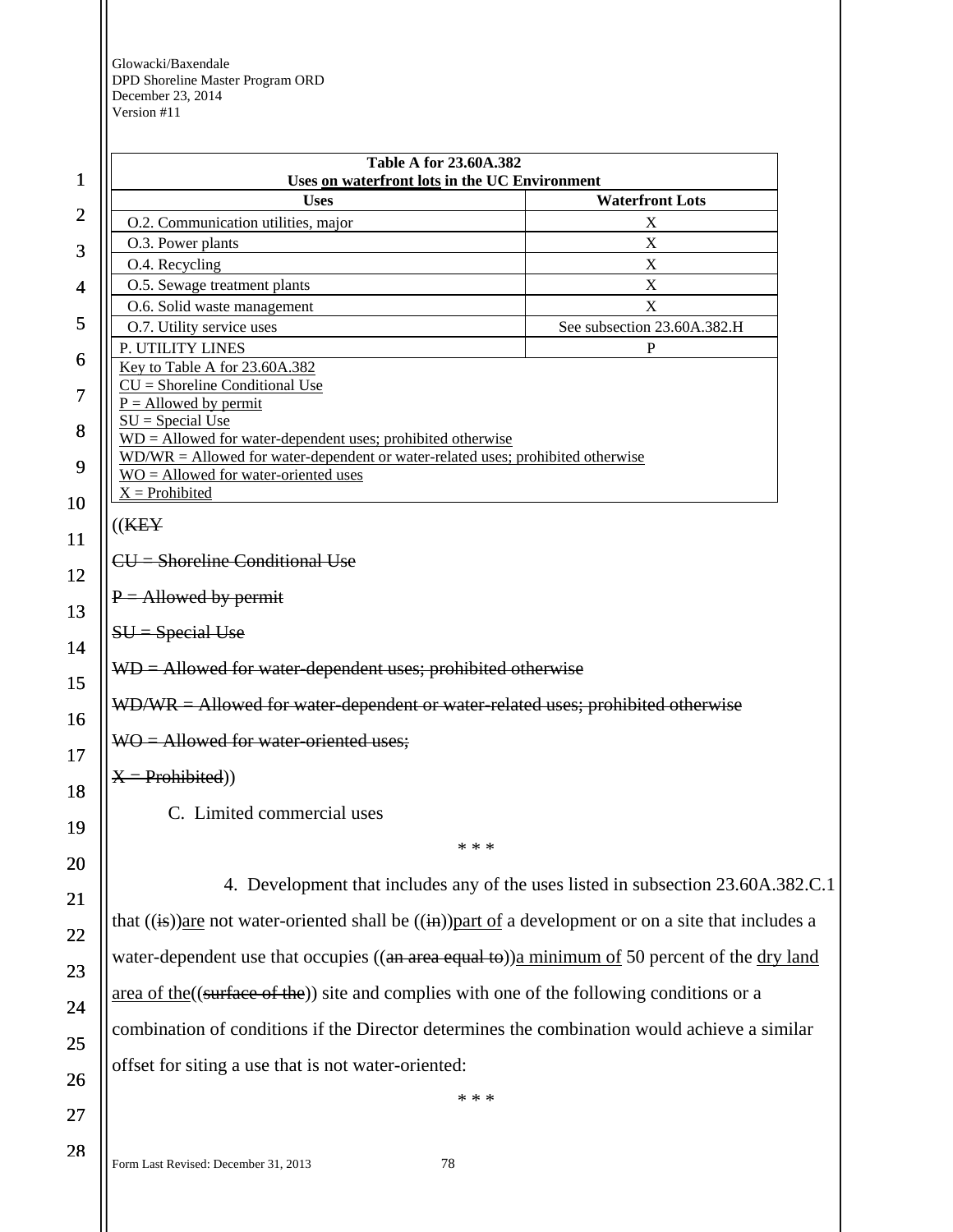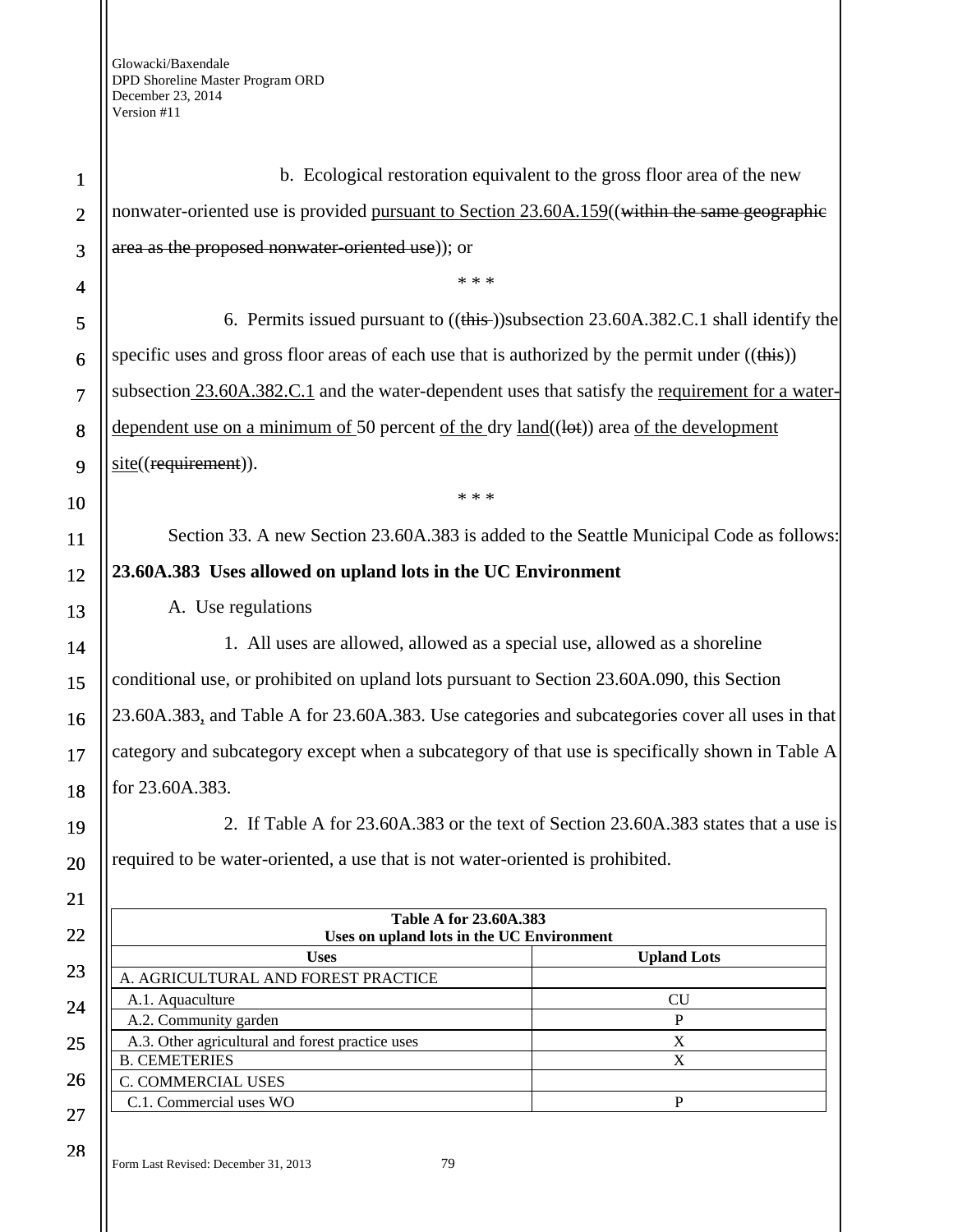| $\mathbf{1}$   | b. Ecological restoration equivalent to the gross floor area of the new                                  |                    |
|----------------|----------------------------------------------------------------------------------------------------------|--------------------|
| $\overline{2}$ | nonwater-oriented use is provided pursuant to Section 23.60A.159((within the same geographic             |                    |
| 3              | area as the proposed nonwater-oriented use)); or                                                         |                    |
| 4              | * * *                                                                                                    |                    |
| 5              | 6. Permits issued pursuant to $((\frac{this}{})\substack{)}subsection 23.60A.382.C.1 shall identify the$ |                    |
| 6              | specific uses and gross floor areas of each use that is authorized by the permit under $((this))$        |                    |
| $\overline{7}$ | subsection 23.60A.382.C.1 and the water-dependent uses that satisfy the requirement for a water-         |                    |
| 8              | dependent use on a minimum of 50 percent of the dry $land((let))$ area of the development                |                    |
| 9              | site((requirement)).                                                                                     |                    |
| 10             | * * *                                                                                                    |                    |
| 11             | Section 33. A new Section 23.60A.383 is added to the Seattle Municipal Code as follows:                  |                    |
|                | 23.60A.383 Uses allowed on upland lots in the UC Environment                                             |                    |
| 12             |                                                                                                          |                    |
| 13             | A. Use regulations                                                                                       |                    |
| 14             | 1. All uses are allowed, allowed as a special use, allowed as a shoreline                                |                    |
| 15             | conditional use, or prohibited on upland lots pursuant to Section 23.60A.090, this Section               |                    |
| 16             | 23.60A.383, and Table A for 23.60A.383. Use categories and subcategories cover all uses in that          |                    |
| 17             | category and subcategory except when a subcategory of that use is specifically shown in Table A          |                    |
| 18             | for 23.60A.383.                                                                                          |                    |
| 19             | 2. If Table A for 23.60A.383 or the text of Section 23.60A.383 states that a use is                      |                    |
| 20             | required to be water-oriented, a use that is not water-oriented is prohibited.                           |                    |
| 21             |                                                                                                          |                    |
|                | Table A for 23.60A.383                                                                                   |                    |
| 22             | Uses on upland lots in the UC Environment<br><b>Uses</b>                                                 | <b>Upland Lots</b> |
| 23             | A. AGRICULTURAL AND FOREST PRACTICE                                                                      |                    |
|                | A.1. Aquaculture                                                                                         | CU                 |
| 24             | A.2. Community garden                                                                                    | $\, {\bf P}$       |
| 25             | A.3. Other agricultural and forest practice uses                                                         | $\mathbf X$        |
|                | <b>B. CEMETERIES</b>                                                                                     | $\mathbf X$        |
| 26             | C. COMMERCIAL USES                                                                                       |                    |
| 27             | C.1. Commercial uses WO                                                                                  | $\mathbf{P}$       |
|                |                                                                                                          |                    |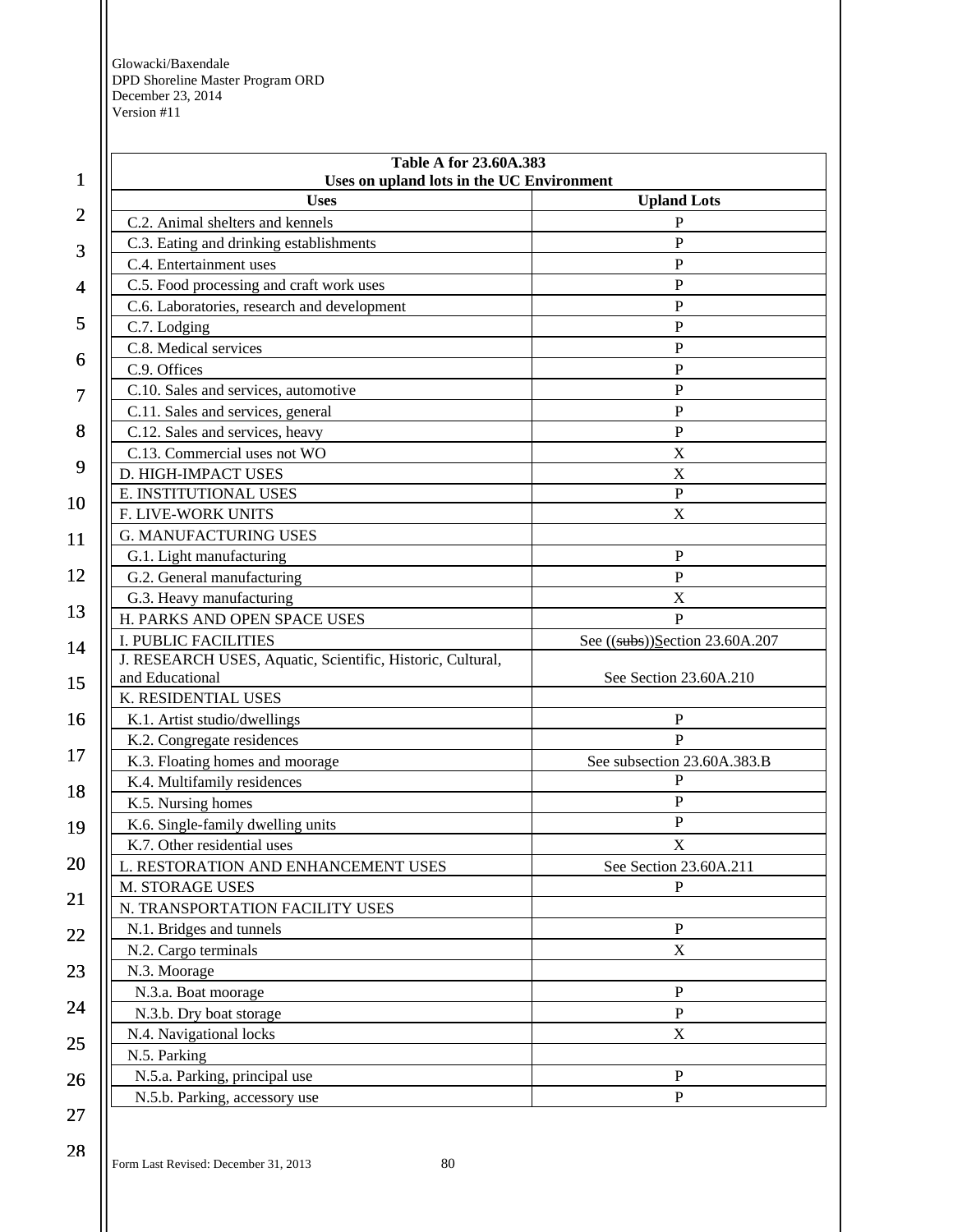| 1              | Table A for 23.60A.383<br>Uses on upland lots in the UC Environment |                                   |
|----------------|---------------------------------------------------------------------|-----------------------------------|
|                | <b>Uses</b>                                                         | <b>Upland Lots</b>                |
| $\overline{2}$ | C.2. Animal shelters and kennels                                    | P                                 |
| 3              | C.3. Eating and drinking establishments                             | $\mathbf{P}$                      |
|                | C.4. Entertainment uses                                             | $\mathbf{P}$                      |
| 4              | C.5. Food processing and craft work uses                            | $\mathbf{P}$                      |
|                | C.6. Laboratories, research and development                         | $\mathbf P$                       |
| 5              | C.7. Lodging                                                        | $\mathbf{P}$                      |
|                | C.8. Medical services                                               | $\mathbf{P}$                      |
| 6              | C.9. Offices                                                        | $\mathbf{P}$                      |
| 7              | C.10. Sales and services, automotive                                | ${\bf P}$                         |
|                | C.11. Sales and services, general                                   | ${\bf P}$                         |
| 8              | C.12. Sales and services, heavy                                     | $\mathbf{P}$                      |
|                | C.13. Commercial uses not WO                                        | X                                 |
| 9              | D. HIGH-IMPACT USES                                                 | X                                 |
| 10             | E. INSTITUTIONAL USES                                               | ${\bf P}$                         |
|                | F. LIVE-WORK UNITS                                                  | X                                 |
| 11             | <b>G. MANUFACTURING USES</b>                                        |                                   |
|                | G.1. Light manufacturing                                            | ${\bf P}$                         |
| 12             | G.2. General manufacturing                                          | ${\bf P}$                         |
|                | G.3. Heavy manufacturing                                            | $\mathbf X$                       |
| 13             | H. PARKS AND OPEN SPACE USES                                        | $\mathbf{P}$                      |
| 14             | <b>I. PUBLIC FACILITIES</b>                                         | See $((subs))$ Section 23.60A.207 |
|                | J. RESEARCH USES, Aquatic, Scientific, Historic, Cultural,          |                                   |
| 15             | and Educational                                                     | See Section 23.60A.210            |
|                | K. RESIDENTIAL USES                                                 |                                   |
| 16             | K.1. Artist studio/dwellings                                        | P                                 |
| 17             | K.2. Congregate residences                                          | $\mathbf{P}$                      |
|                | K.3. Floating homes and moorage                                     | See subsection 23.60A.383.B       |
| 18             | K.4. Multifamily residences                                         | P                                 |
|                | K.5. Nursing homes                                                  | P                                 |
| 19             | K.6. Single-family dwelling units                                   | P                                 |
| 20             | K.7. Other residential uses                                         | $\mathbf X$                       |
|                | L. RESTORATION AND ENHANCEMENT USES                                 | See Section 23.60A.211            |
| 21             | M. STORAGE USES                                                     | P                                 |
|                | N. TRANSPORTATION FACILITY USES                                     |                                   |
| 22             | N.1. Bridges and tunnels                                            | ${\bf P}$                         |
|                | N.2. Cargo terminals                                                | X                                 |
| 23             | N.3. Moorage                                                        |                                   |
| 24             | N.3.a. Boat moorage                                                 | ${\bf P}$                         |
|                | N.3.b. Dry boat storage                                             | ${\bf P}$                         |
| 25             | N.4. Navigational locks                                             | X                                 |
|                | N.5. Parking                                                        |                                   |
| 26             | N.5.a. Parking, principal use                                       | $\mathbf{P}$                      |
| 27             | N.5.b. Parking, accessory use                                       | ${\bf P}$                         |
|                |                                                                     |                                   |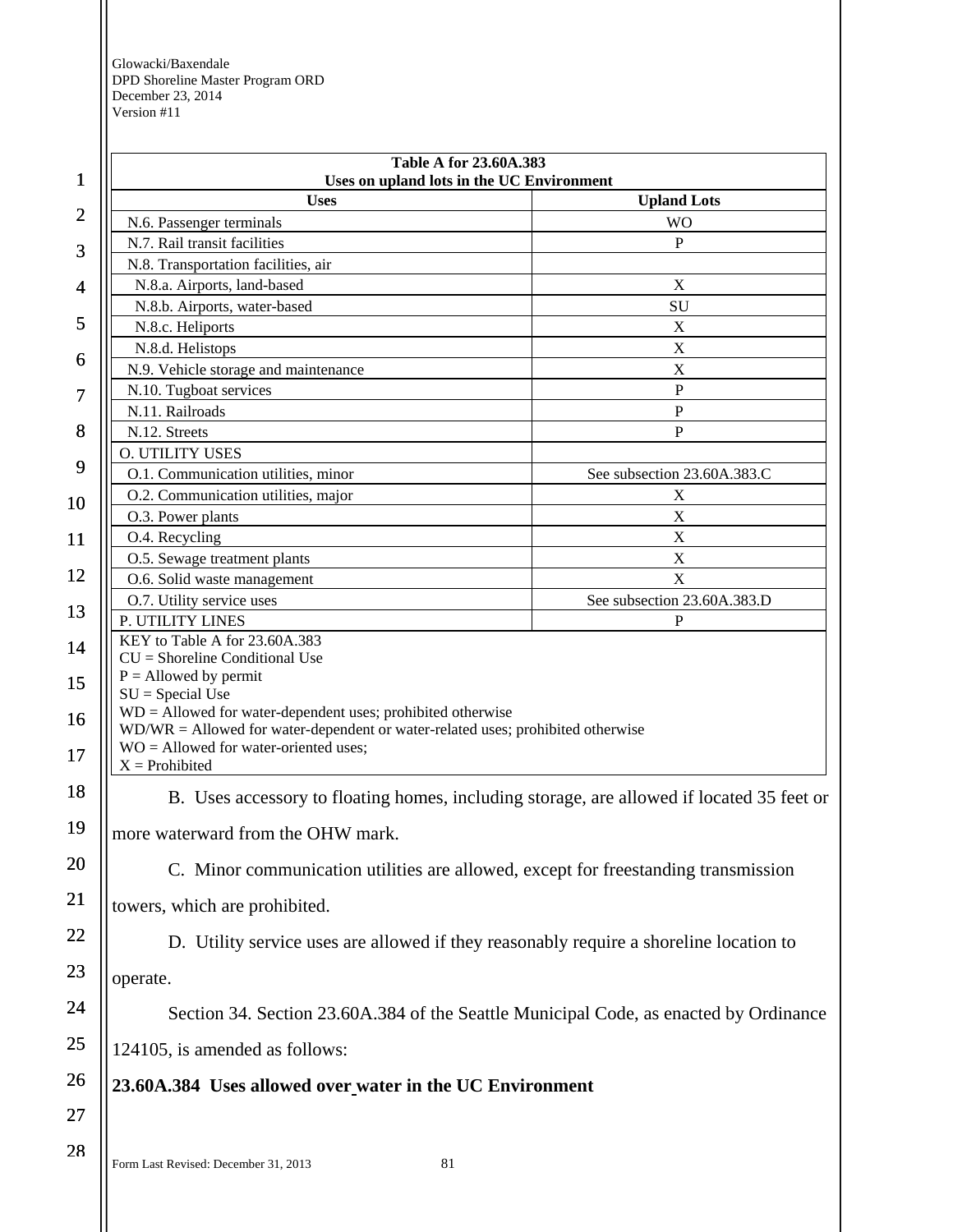| $\mathbf 1$    | Table A for 23.60A.383<br>Uses on upland lots in the UC Environment                                                                              |                                                                                           |
|----------------|--------------------------------------------------------------------------------------------------------------------------------------------------|-------------------------------------------------------------------------------------------|
|                | <b>Uses</b>                                                                                                                                      | <b>Upland Lots</b>                                                                        |
| $\overline{c}$ | N.6. Passenger terminals                                                                                                                         | <b>WO</b>                                                                                 |
|                | N.7. Rail transit facilities                                                                                                                     | P                                                                                         |
| 3              | N.8. Transportation facilities, air                                                                                                              |                                                                                           |
| 4              | N.8.a. Airports, land-based                                                                                                                      | $\boldsymbol{\mathrm{X}}$                                                                 |
|                | N.8.b. Airports, water-based                                                                                                                     | SU                                                                                        |
| 5              | N.8.c. Heliports                                                                                                                                 | X                                                                                         |
| 6              | N.8.d. Helistops                                                                                                                                 | $\mathbf X$                                                                               |
|                | N.9. Vehicle storage and maintenance                                                                                                             | X                                                                                         |
| 7              | N.10. Tugboat services                                                                                                                           | ${\bf P}$                                                                                 |
|                | N.11. Railroads                                                                                                                                  | ${\bf P}$                                                                                 |
| 8              | N.12. Streets                                                                                                                                    | $\mathbf{P}$                                                                              |
| 9              | <b>O. UTILITY USES</b>                                                                                                                           |                                                                                           |
|                | O.1. Communication utilities, minor                                                                                                              | See subsection 23.60A.383.C                                                               |
| 10             | O.2. Communication utilities, major                                                                                                              | X                                                                                         |
|                | O.3. Power plants                                                                                                                                | $\boldsymbol{\mathrm{X}}$                                                                 |
| 11             | O.4. Recycling<br>O.5. Sewage treatment plants                                                                                                   | X<br>$\mathbf X$                                                                          |
| 12             | O.6. Solid waste management                                                                                                                      | $\mathbf X$                                                                               |
|                | O.7. Utility service uses                                                                                                                        | See subsection 23.60A.383.D                                                               |
| 13             | P. UTILITY LINES                                                                                                                                 | P                                                                                         |
|                | KEY to Table A for 23.60A.383                                                                                                                    |                                                                                           |
| 14             | $CU =$ Shoreline Conditional Use                                                                                                                 |                                                                                           |
| 15             | $P =$ Allowed by permit                                                                                                                          |                                                                                           |
|                | $SU = Special Use$                                                                                                                               |                                                                                           |
| 16             | $WD =$ Allowed for water-dependent uses; prohibited otherwise<br>WD/WR = Allowed for water-dependent or water-related uses; prohibited otherwise |                                                                                           |
|                | $WO =$ Allowed for water-oriented uses;                                                                                                          |                                                                                           |
| 17             | $X =$ Prohibited                                                                                                                                 |                                                                                           |
| 18             |                                                                                                                                                  | B. Uses accessory to floating homes, including storage, are allowed if located 35 feet or |
| 19             | more waterward from the OHW mark.                                                                                                                |                                                                                           |
| 20             | C. Minor communication utilities are allowed, except for freestanding transmission                                                               |                                                                                           |
| 21             | towers, which are prohibited.                                                                                                                    |                                                                                           |
| 22             | D. Utility service uses are allowed if they reasonably require a shoreline location to                                                           |                                                                                           |
| 23             | operate.                                                                                                                                         |                                                                                           |
| 24             |                                                                                                                                                  | Section 34. Section 23.60A.384 of the Seattle Municipal Code, as enacted by Ordinance     |
| 25             | 124105, is amended as follows:                                                                                                                   |                                                                                           |
| 26             | 23.60A.384 Uses allowed over water in the UC Environment                                                                                         |                                                                                           |
| 27             |                                                                                                                                                  |                                                                                           |
| 28             |                                                                                                                                                  |                                                                                           |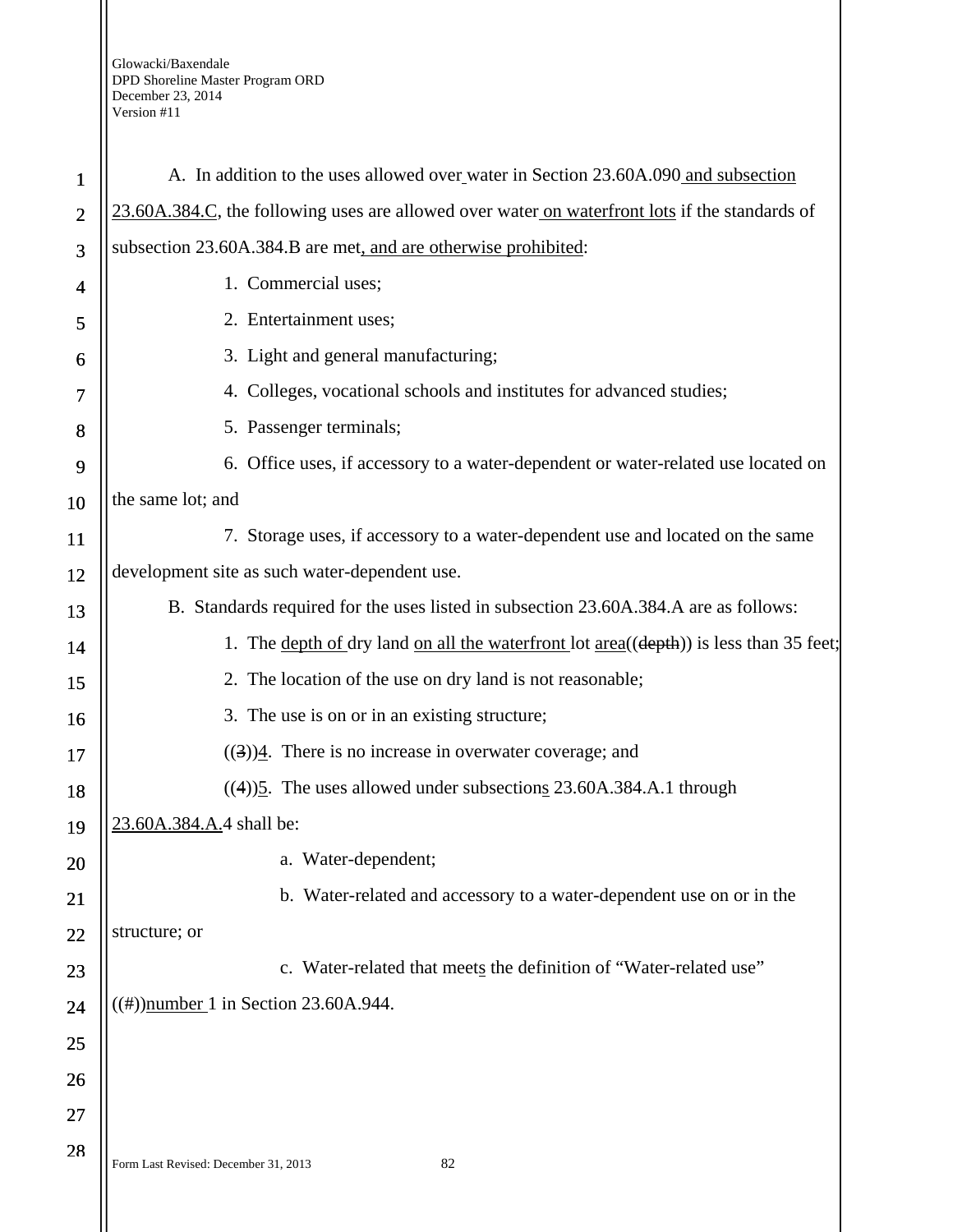| $\mathbf{1}$   | A. In addition to the uses allowed over water in Section 23.60A.090 and subsection             |
|----------------|------------------------------------------------------------------------------------------------|
| $\overline{2}$ | 23.60A.384.C, the following uses are allowed over water on waterfront lots if the standards of |
| 3              | subsection 23.60A.384.B are met, and are otherwise prohibited:                                 |
| 4              | 1. Commercial uses;                                                                            |
| 5              | 2. Entertainment uses;                                                                         |
| 6              | 3. Light and general manufacturing;                                                            |
| 7              | 4. Colleges, vocational schools and institutes for advanced studies;                           |
| 8              | 5. Passenger terminals;                                                                        |
| 9              | 6. Office uses, if accessory to a water-dependent or water-related use located on              |
| 10             | the same lot; and                                                                              |
| 11             | 7. Storage uses, if accessory to a water-dependent use and located on the same                 |
| 12             | development site as such water-dependent use.                                                  |
| 13             | B. Standards required for the uses listed in subsection 23.60A.384.A are as follows:           |
| 14             | 1. The depth of dry land on all the waterfront lot area((depth)) is less than 35 feet;         |
| 15             | 2. The location of the use on dry land is not reasonable;                                      |
| 16             | 3. The use is on or in an existing structure;                                                  |
| 17             | $((3))$ <sup>4</sup> . There is no increase in overwater coverage; and                         |
| 18             | $((4))$ <sup>5</sup> . The uses allowed under subsections 23.60A.384.A.1 through               |
| 19             | 23.60A.384.A.4 shall be:                                                                       |
| 20             | a. Water-dependent;                                                                            |
| 21             | b. Water-related and accessory to a water-dependent use on or in the                           |
| 22             | structure; or                                                                                  |
| 23             | c. Water-related that meets the definition of "Water-related use"                              |
| 24             | $((#))$ number 1 in Section 23.60A.944.                                                        |
| 25             |                                                                                                |
| 26             |                                                                                                |
| 27             |                                                                                                |
| 28             | 82<br>Form Last Revised: December 31, 2013                                                     |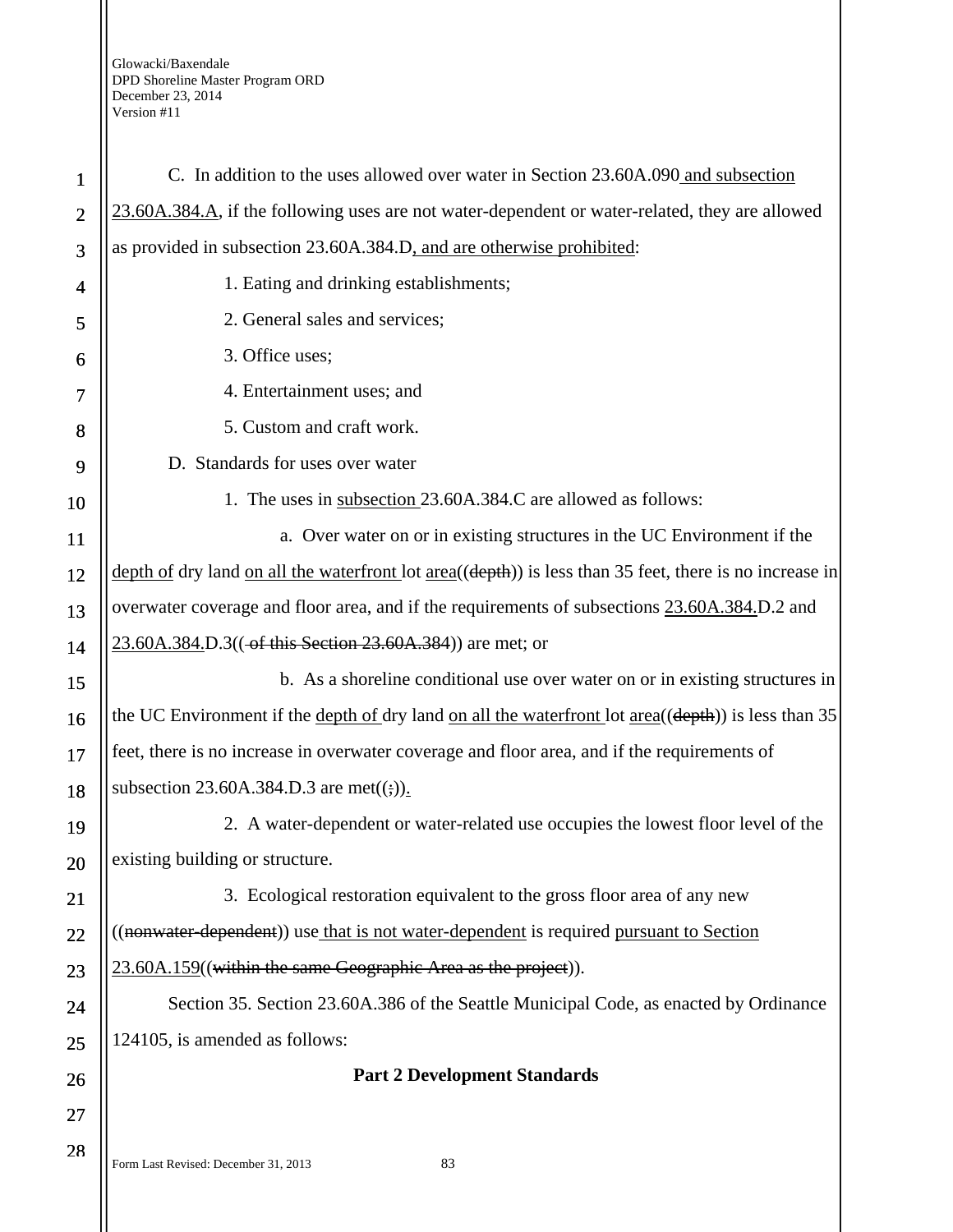| $\mathbf{1}$   | C. In addition to the uses allowed over water in Section 23.60A.090 and subsection                           |
|----------------|--------------------------------------------------------------------------------------------------------------|
| $\overline{2}$ | 23.60A.384.A, if the following uses are not water-dependent or water-related, they are allowed               |
| 3              | as provided in subsection 23.60A.384.D, and are otherwise prohibited:                                        |
| 4              | 1. Eating and drinking establishments;                                                                       |
| 5              | 2. General sales and services;                                                                               |
| 6              | 3. Office uses;                                                                                              |
| 7              | 4. Entertainment uses; and                                                                                   |
| 8              | 5. Custom and craft work.                                                                                    |
| 9              | D. Standards for uses over water                                                                             |
| 10             | 1. The uses in subsection 23.60A.384.C are allowed as follows:                                               |
| <b>11</b>      | a. Over water on or in existing structures in the UC Environment if the                                      |
| 12             | depth of dry land on all the waterfront lot $area((depth))$ is less than 35 feet, there is no increase in    |
| 13             | overwater coverage and floor area, and if the requirements of subsections 23.60A.384.D.2 and                 |
| 14             | 23.60A.384.D.3((-of this Section 23.60A.384)) are met; or                                                    |
| 15             | b. As a shoreline conditional use over water on or in existing structures in                                 |
| 16             | the UC Environment if the <u>depth of dry</u> land on all the waterfront lot $area((depth))$ is less than 35 |
| 17             | feet, there is no increase in overwater coverage and floor area, and if the requirements of                  |
| 18             | subsection 23.60A.384.D.3 are met( $(\frac{1}{2})$ ).                                                        |
| 19             | 2. A water-dependent or water-related use occupies the lowest floor level of the                             |
| 20             | existing building or structure.                                                                              |
| 21             | 3. Ecological restoration equivalent to the gross floor area of any new                                      |
| 22             | ((nonwater dependent)) use that is not water-dependent is required pursuant to Section                       |
| 23             | 23.60A.159((within the same Geographic Area as the project)).                                                |
| 24             | Section 35. Section 23.60A.386 of the Seattle Municipal Code, as enacted by Ordinance                        |
| 25             | 124105, is amended as follows:                                                                               |
| 26             | <b>Part 2 Development Standards</b>                                                                          |
| 27             |                                                                                                              |
| 28             | 83<br>Form Last Revised: December 31, 2013                                                                   |
|                |                                                                                                              |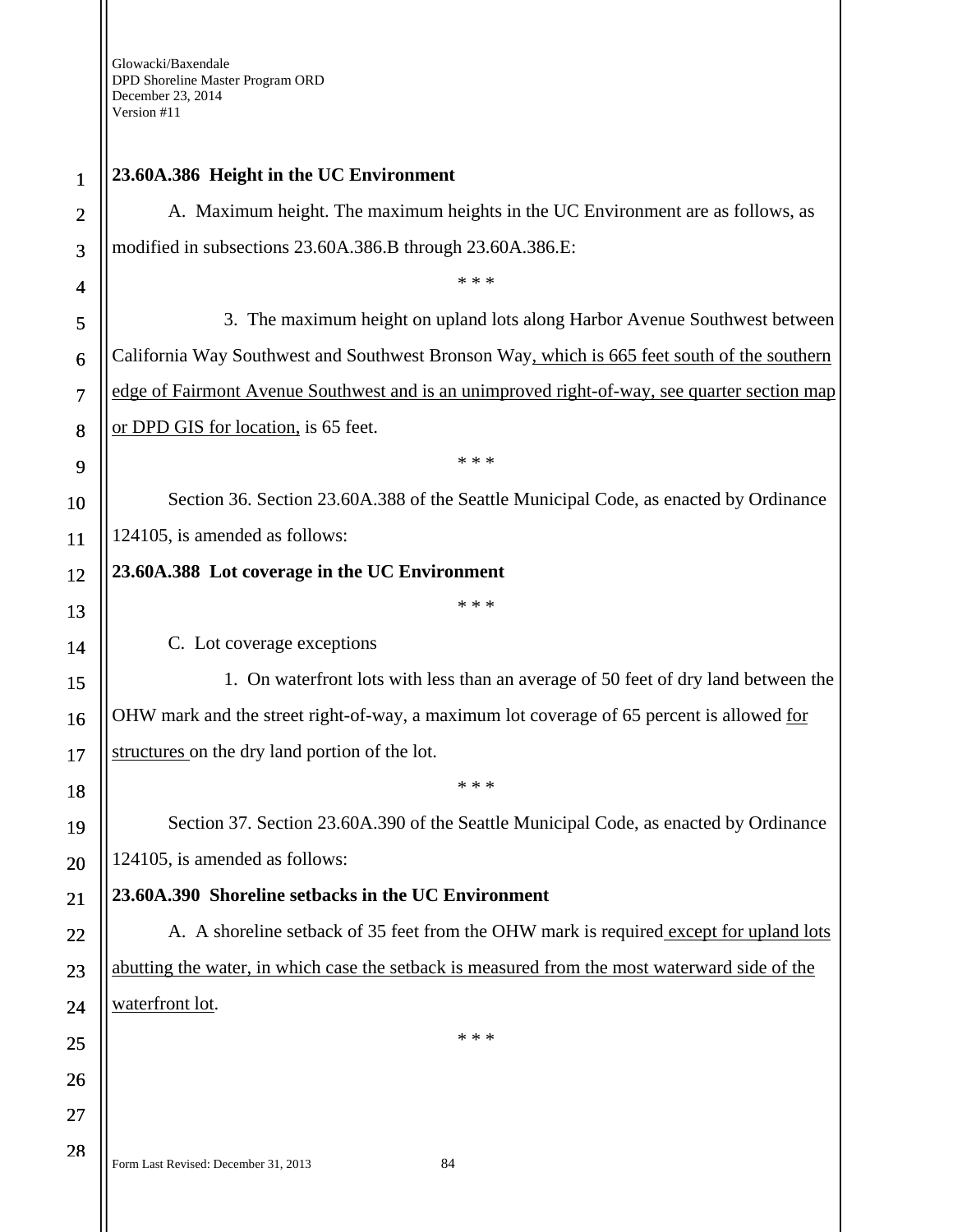Ш

| 1              | 23.60A.386 Height in the UC Environment                                                       |
|----------------|-----------------------------------------------------------------------------------------------|
| $\overline{2}$ | A. Maximum height. The maximum heights in the UC Environment are as follows, as               |
| 3              | modified in subsections 23.60A.386.B through 23.60A.386.E:                                    |
| 4              | * * *                                                                                         |
| 5              | 3. The maximum height on upland lots along Harbor Avenue Southwest between                    |
| 6              | California Way Southwest and Southwest Bronson Way, which is 665 feet south of the southern   |
| $\overline{7}$ | edge of Fairmont Avenue Southwest and is an unimproved right-of-way, see quarter section map  |
| 8              | or DPD GIS for location, is 65 feet.                                                          |
| 9              | * * *                                                                                         |
| 10             | Section 36. Section 23.60A.388 of the Seattle Municipal Code, as enacted by Ordinance         |
| 11             | 124105, is amended as follows:                                                                |
| 12             | 23.60A.388 Lot coverage in the UC Environment                                                 |
| 13             | * * *                                                                                         |
| 14             | C. Lot coverage exceptions                                                                    |
| 15             | 1. On waterfront lots with less than an average of 50 feet of dry land between the            |
| 16             | OHW mark and the street right-of-way, a maximum lot coverage of 65 percent is allowed for     |
| 17             | structures on the dry land portion of the lot.                                                |
| 18             | * * *                                                                                         |
| 19             | Section 37. Section 23.60A.390 of the Seattle Municipal Code, as enacted by Ordinance         |
| 20             | 124105, is amended as follows:                                                                |
| 21             | 23.60A.390 Shoreline setbacks in the UC Environment                                           |
| 22             | A. A shoreline setback of 35 feet from the OHW mark is required except for upland lots        |
| 23             | abutting the water, in which case the setback is measured from the most waterward side of the |
| 24             | waterfront lot.                                                                               |
| 25             | * * *                                                                                         |
| 26             |                                                                                               |
| 27             |                                                                                               |
| 28             | Form Last Revised: December 31, 2013<br>84                                                    |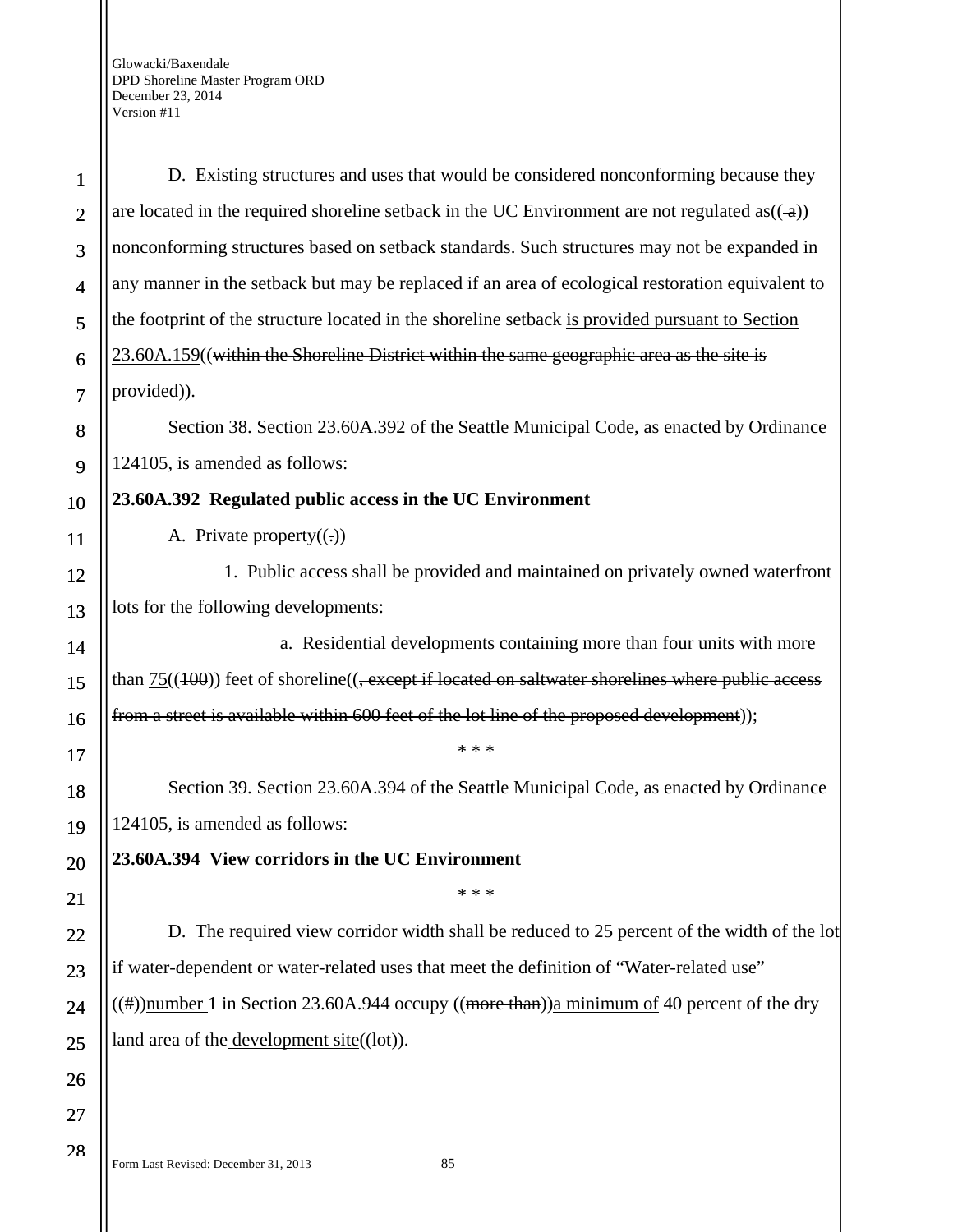| $\mathbf{1}$             | D. Existing structures and uses that would be considered nonconforming because they                         |
|--------------------------|-------------------------------------------------------------------------------------------------------------|
| $\overline{2}$           | are located in the required shoreline setback in the UC Environment are not regulated as( $(\rightarrow)$ ) |
| 3                        | nonconforming structures based on setback standards. Such structures may not be expanded in                 |
| $\overline{\mathcal{A}}$ | any manner in the setback but may be replaced if an area of ecological restoration equivalent to            |
| 5                        | the footprint of the structure located in the shoreline setback is provided pursuant to Section             |
| 6                        | 23.60A.159((within the Shoreline District within the same geographic area as the site is                    |
| 7                        | provided)).                                                                                                 |
| $\bf 8$                  | Section 38. Section 23.60A.392 of the Seattle Municipal Code, as enacted by Ordinance                       |
| 9                        | 124105, is amended as follows:                                                                              |
| 10                       | 23.60A.392 Regulated public access in the UC Environment                                                    |
| 11                       | A. Private property $((.)$                                                                                  |
| 12                       | 1. Public access shall be provided and maintained on privately owned waterfront                             |
| 13                       | lots for the following developments:                                                                        |
| 14                       | a. Residential developments containing more than four units with more                                       |
| 15                       | than $75((100))$ feet of shoreline( $($ , except if located on saltwater shorelines where public access     |
| 16                       | from a street is available within 600 feet of the lot line of the proposed development));                   |
| 17                       | * * *                                                                                                       |
| 18                       | Section 39. Section 23.60A.394 of the Seattle Municipal Code, as enacted by Ordinance                       |
| 19                       | 124105, is amended as follows:                                                                              |
| 20                       | 23.60A.394 View corridors in the UC Environment                                                             |
| 21                       | * * *                                                                                                       |
| 22                       | D. The required view corridor width shall be reduced to 25 percent of the width of the lot                  |
| 23                       | if water-dependent or water-related uses that meet the definition of "Water-related use"                    |
| 24                       | $((#))$ number 1 in Section 23.60A.944 occupy $((\text{more than}))$ a minimum of 40 percent of the dry     |
| 25                       | land area of the <u>development site</u> ( $(lot)$ ).                                                       |
| 26                       |                                                                                                             |
| 27                       |                                                                                                             |
| 28                       |                                                                                                             |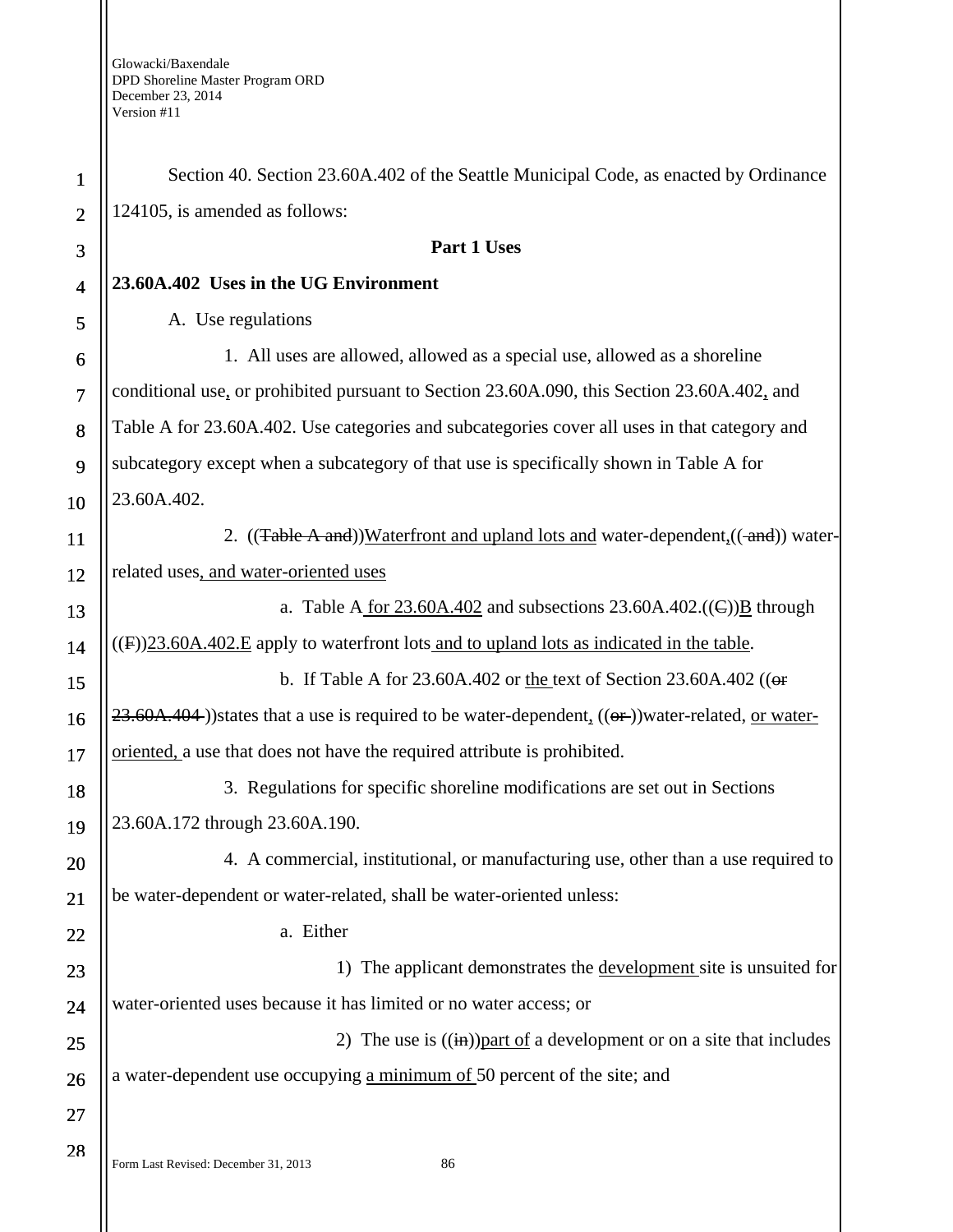| $\mathbf{1}$   | Section 40. Section 23.60A.402 of the Seattle Municipal Code, as enacted by Ordinance                  |
|----------------|--------------------------------------------------------------------------------------------------------|
| $\overline{2}$ | 124105, is amended as follows:                                                                         |
| 3              | Part 1 Uses                                                                                            |
| $\overline{4}$ | 23.60A.402 Uses in the UG Environment                                                                  |
| 5              | A. Use regulations                                                                                     |
| 6              | 1. All uses are allowed, allowed as a special use, allowed as a shoreline                              |
| $\overline{7}$ | conditional use, or prohibited pursuant to Section 23.60A.090, this Section 23.60A.402, and            |
| 8              | Table A for 23.60A.402. Use categories and subcategories cover all uses in that category and           |
| 9              | subcategory except when a subcategory of that use is specifically shown in Table A for                 |
| 10             | 23.60A.402.                                                                                            |
| 11             | 2. ((Table A and))Waterfront and upland lots and water-dependent <sub>1</sub> ((-and)) water-          |
| 12             | related uses, and water-oriented uses                                                                  |
| 13             | a. Table A for $23.60A.402$ and subsections $23.60A.402$ .((E)) <b>B</b> through                       |
| 14             | $((F))23.60A.402.E$ apply to waterfront lots and to upland lots as indicated in the table.             |
| 15             | b. If Table A for 23.60A.402 or the text of Section 23.60A.402 (( $\Theta$ f)                          |
| 16             | $23.60A.404$ )) states that a use is required to be water-dependent, $((or))$ water-related, or water- |
| 17             | oriented, a use that does not have the required attribute is prohibited.                               |
| 18             | 3. Regulations for specific shoreline modifications are set out in Sections                            |
| 19             | 23.60A.172 through 23.60A.190.                                                                         |
| <b>20</b>      | 4. A commercial, institutional, or manufacturing use, other than a use required to                     |
| 21             | be water-dependent or water-related, shall be water-oriented unless:                                   |
| 22             | a. Either                                                                                              |
| 23             | 1) The applicant demonstrates the development site is unsuited for                                     |
| 24             | water-oriented uses because it has limited or no water access; or                                      |
| 25             | 2) The use is $((\text{in}))$ part of a development or on a site that includes                         |
| 26             | a water-dependent use occupying a minimum of 50 percent of the site; and                               |
| 27             |                                                                                                        |
| 28             | Form Last Revised: December 31, 2013<br>86                                                             |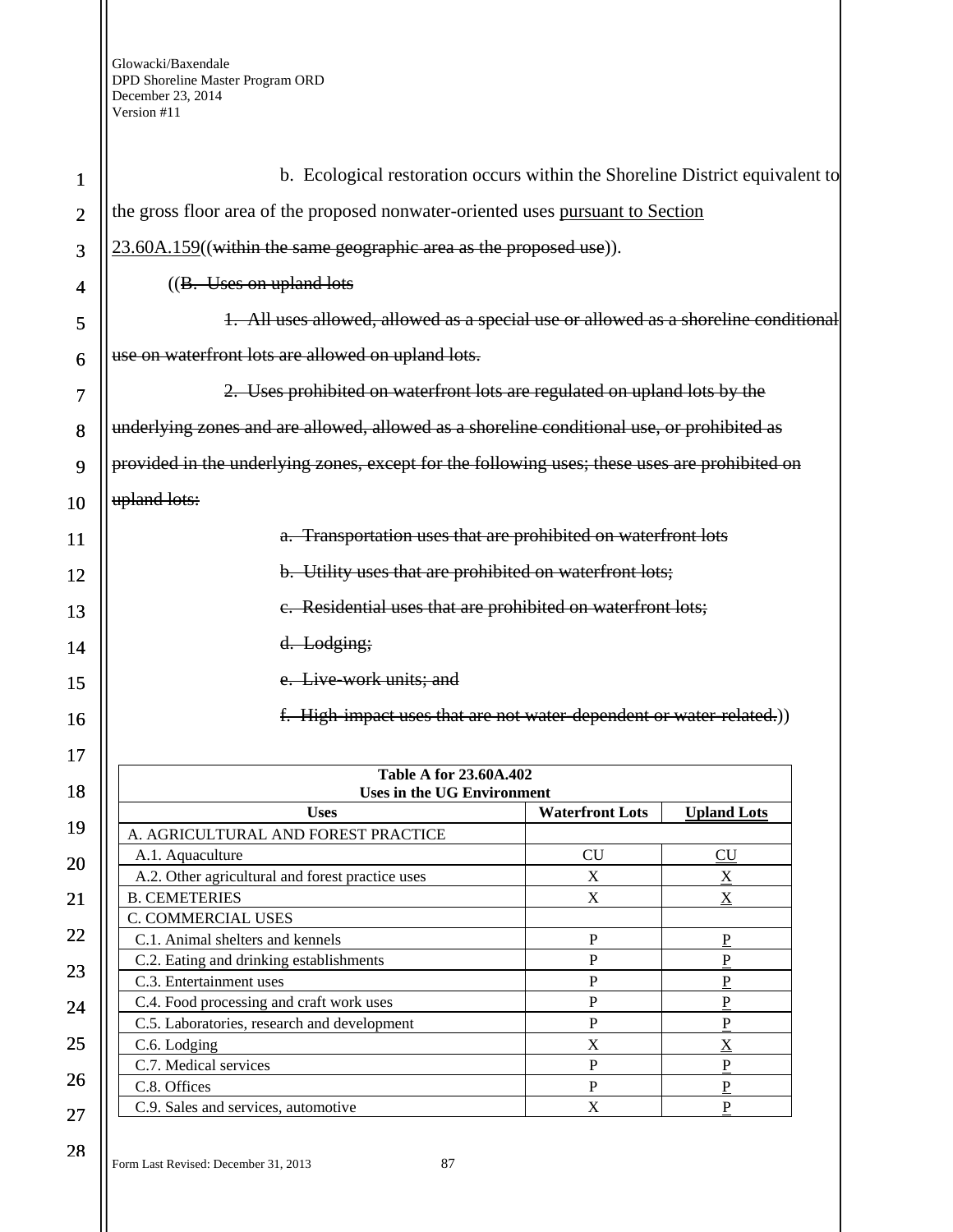| 1              | b. Ecological restoration occurs within the Shoreline District equivalent to                  |                           |                    |
|----------------|-----------------------------------------------------------------------------------------------|---------------------------|--------------------|
| $\overline{2}$ | the gross floor area of the proposed nonwater-oriented uses pursuant to Section               |                           |                    |
| 3              | 23.60A.159((within the same geographic area as the proposed use)).                            |                           |                    |
| 4              | $((B.$ Uses on upland lots                                                                    |                           |                    |
|                | 1. All uses allowed, allowed as a special use or allowed as a shoreline conditional           |                           |                    |
| 5              |                                                                                               |                           |                    |
| 6              | use on waterfront lots are allowed on upland lots.                                            |                           |                    |
| 7              | 2. Uses prohibited on waterfront lots are regulated on upland lots by the                     |                           |                    |
| 8              | underlying zones and are allowed, allowed as a shoreline conditional use, or prohibited as    |                           |                    |
| 9              | provided in the underlying zones, except for the following uses; these uses are prohibited on |                           |                    |
| 10             | upland lots:                                                                                  |                           |                    |
| 11             | a. Transportation uses that are prohibited on waterfront lots                                 |                           |                    |
| 12             | b. Utility uses that are prohibited on waterfront lots;                                       |                           |                    |
|                | e. Residential uses that are prohibited on waterfront lots;                                   |                           |                    |
| 13             |                                                                                               |                           |                    |
| 14             | d. Lodging;                                                                                   |                           |                    |
| 15             | e. Live-work units; and                                                                       |                           |                    |
| 16             | f. High-impact uses that are not water-dependent or water-related.)                           |                           |                    |
| 17             |                                                                                               |                           |                    |
|                | <b>Table A for 23.60A.402</b>                                                                 |                           |                    |
| 18             | <b>Uses in the UG Environment</b>                                                             |                           |                    |
| 19             | <b>Uses</b>                                                                                   | <b>Waterfront Lots</b>    | <b>Upland Lots</b> |
|                | A. AGRICULTURAL AND FOREST PRACTICE                                                           | <b>CU</b>                 |                    |
| 20             | A.1. Aquaculture<br>A.2. Other agricultural and forest practice uses                          | $\boldsymbol{\mathrm{X}}$ | CU<br>X            |
| 21             | <b>B. CEMETERIES</b>                                                                          | X                         | $\underline{X}$    |
|                | C. COMMERCIAL USES                                                                            |                           |                    |
| 22             | C.1. Animal shelters and kennels                                                              | $\mathbf P$               | P                  |
|                | C.2. Eating and drinking establishments                                                       | $\, {\bf P}$              | $\overline{P}$     |
| 23             | C.3. Entertainment uses                                                                       | $\mathbf{P}$              | ${\bf P}$          |
| 24             | C.4. Food processing and craft work uses                                                      | ${\bf P}$                 | $\mathbf P$        |
|                | C.5. Laboratories, research and development                                                   | $\mathbf{P}$              | $\overline{P}$     |
| 25             | C.6. Lodging                                                                                  | $\boldsymbol{\mathrm{X}}$ | $\overline{X}$     |
|                | C.7. Medical services                                                                         | $\mathbf{P}$              | ${\bf P}$          |
| 26             | C.8. Offices                                                                                  | $\, {\bf P}$              | $\mathbf{P}$       |
| 27             | C.9. Sales and services, automotive                                                           | X                         | $\overline{P}$     |
|                |                                                                                               |                           |                    |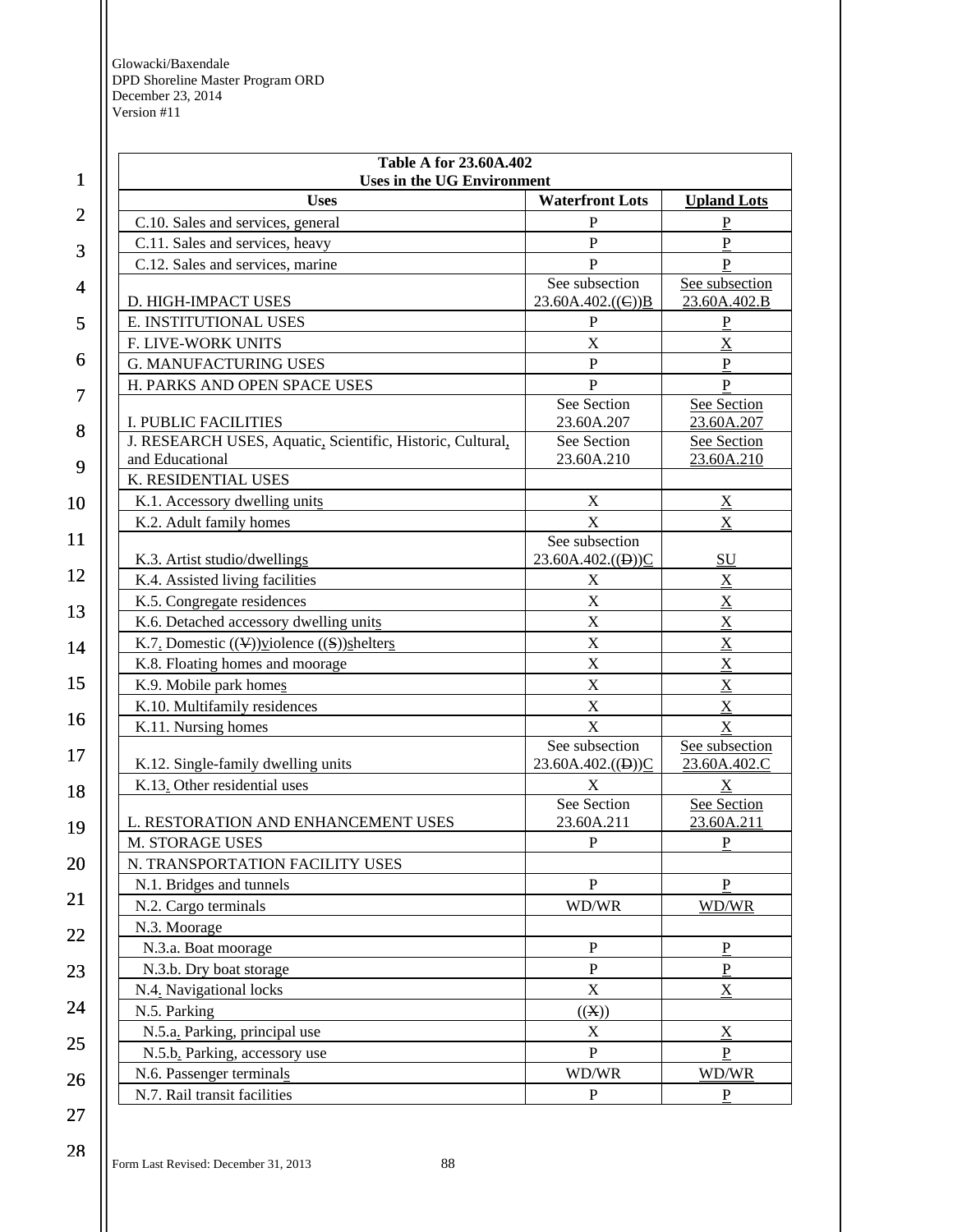| $\mathbf{1}$   | <b>Table A for 23.60A.402</b><br><b>Uses in the UG Environment</b> |                                                    |                                |
|----------------|--------------------------------------------------------------------|----------------------------------------------------|--------------------------------|
|                | <b>Uses</b>                                                        | <b>Waterfront Lots</b>                             | <b>Upland Lots</b>             |
| $\overline{2}$ | C.10. Sales and services, general                                  | P                                                  | $\underline{P}$                |
| 3              | C.11. Sales and services, heavy                                    | $\mathbf{P}$                                       | $\underline{P}$                |
|                | C.12. Sales and services, marine                                   | $\mathbf{P}$                                       | $\mathbf{P}$                   |
| 4              | D. HIGH-IMPACT USES                                                | See subsection<br>23.60A.402.((C)) $\underline{B}$ | See subsection<br>23.60A.402.B |
| 5              | E. INSTITUTIONAL USES                                              | ${\bf P}$                                          | ${\bf P}$                      |
|                | F. LIVE-WORK UNITS                                                 | $\mathbf X$                                        | $\mathbf X$                    |
| 6              | <b>G. MANUFACTURING USES</b>                                       | $\, {\bf P}$                                       | ${\bf P}$                      |
|                | H. PARKS AND OPEN SPACE USES                                       | $\overline{P}$                                     | ${\bf P}$                      |
| 7              |                                                                    | See Section                                        | See Section                    |
| 8              | I. PUBLIC FACILITIES                                               | 23.60A.207                                         | 23.60A.207                     |
|                | J. RESEARCH USES, Aquatic, Scientific, Historic, Cultural,         | See Section                                        | See Section                    |
| 9              | and Educational                                                    | 23.60A.210                                         | 23.60A.210                     |
|                | K. RESIDENTIAL USES                                                |                                                    |                                |
| 10             | K.1. Accessory dwelling units                                      | X                                                  | $\underline{X}$                |
|                | K.2. Adult family homes                                            | $\mathbf X$                                        | $\underline{\mathbf{X}}$       |
| 11             | K.3. Artist studio/dwellings                                       | See subsection<br>23.60A.402.((D))C                | <b>SU</b>                      |
| 12             | K.4. Assisted living facilities                                    | $\boldsymbol{\mathrm{X}}$                          | $\underline{X}$                |
|                | K.5. Congregate residences                                         | $\mathbf X$                                        | $\overline{\mathbf{X}}$        |
| 13             | K.6. Detached accessory dwelling units                             | $\mathbf X$                                        | $\underline{X}$                |
| 14             | K.7. Domestic $((\nabla))$ violence $((S))$ shelters               | $\mathbf X$                                        | $\overline{\mathbf{X}}$        |
|                | K.8. Floating homes and moorage                                    | $\mathbf X$                                        | $\underline{X}$                |
| 15             | K.9. Mobile park homes                                             | X                                                  | $\overline{X}$                 |
|                | K.10. Multifamily residences                                       | $\mathbf X$                                        | $\underline{X}$                |
| 16             | K.11. Nursing homes                                                | $\mathbf X$                                        | $\mathbf X$                    |
| 17             | K.12. Single-family dwelling units                                 | See subsection<br>23.60A.402. $((D))C$             | See subsection<br>23.60A.402.C |
| 18             | K.13. Other residential uses                                       | $\mathbf X$                                        | $\underline{X}$                |
|                |                                                                    | See Section                                        | See Section                    |
| 19             | L. RESTORATION AND ENHANCEMENT USES                                | 23.60A.211                                         | 23.60A.211                     |
|                | M. STORAGE USES                                                    | P                                                  | $\underline{P}$                |
| 20             | N. TRANSPORTATION FACILITY USES                                    |                                                    |                                |
|                | N.1. Bridges and tunnels                                           | $\mathbf P$                                        | P                              |
| 21             | N.2. Cargo terminals                                               | WD/WR                                              | WD/WR                          |
| 22             | N.3. Moorage                                                       |                                                    |                                |
|                | N.3.a. Boat moorage                                                | ${\bf P}$                                          | $\underline{P}$                |
| 23             | N.3.b. Dry boat storage                                            | P                                                  | $\underline{P}$                |
|                | N.4. Navigational locks                                            | $\mathbf X$                                        | $\underline{X}$                |
| 24             | N.5. Parking                                                       | ((X))                                              |                                |
|                | N.5.a. Parking, principal use                                      | $\mathbf X$                                        | $\underline{X}$                |
| 25             | N.5.b. Parking, accessory use                                      | $\mathbf{P}$                                       | ${\bf P}$                      |
| 26             | N.6. Passenger terminals                                           | WD/WR                                              | WD/WR                          |
|                | N.7. Rail transit facilities                                       | P                                                  | P                              |
| 27             |                                                                    |                                                    |                                |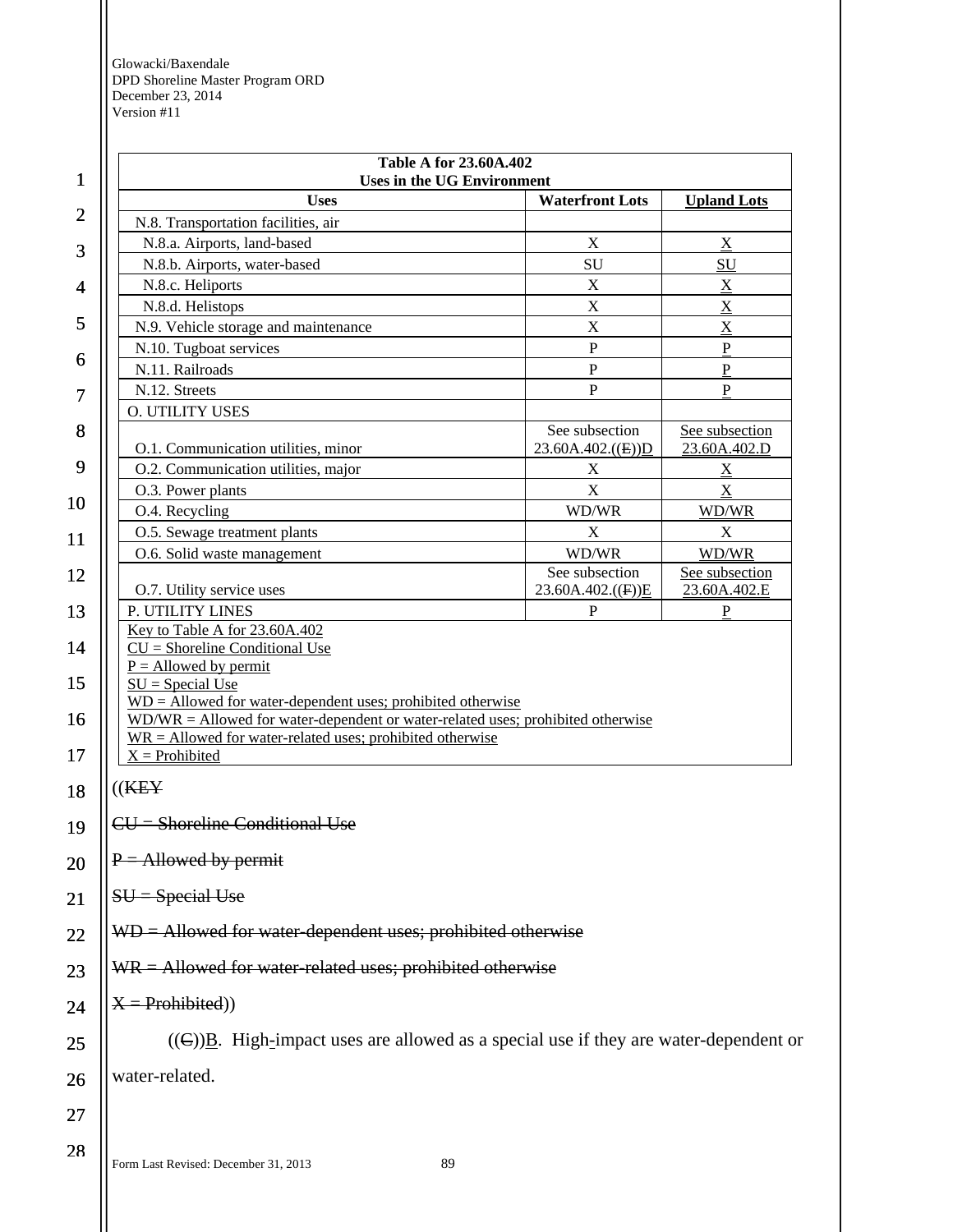| <b>Uses in the UG Environment</b><br><b>Uses</b><br><b>Waterfront Lots</b><br><b>Upland Lots</b>                                                                                                                                        |                                        |                                |
|-----------------------------------------------------------------------------------------------------------------------------------------------------------------------------------------------------------------------------------------|----------------------------------------|--------------------------------|
| N.8. Transportation facilities, air                                                                                                                                                                                                     |                                        |                                |
| N.8.a. Airports, land-based                                                                                                                                                                                                             | X                                      | X                              |
| N.8.b. Airports, water-based                                                                                                                                                                                                            | SU                                     | SU                             |
| N.8.c. Heliports                                                                                                                                                                                                                        | $\mathbf X$                            | $\underline{X}$                |
| N.8.d. Helistops                                                                                                                                                                                                                        | X                                      | $\mathbf X$                    |
| N.9. Vehicle storage and maintenance                                                                                                                                                                                                    | X                                      | X                              |
| N.10. Tugboat services                                                                                                                                                                                                                  | $\mathbf P$                            | $\mathbf P$                    |
| N.11. Railroads                                                                                                                                                                                                                         | $\mathbf P$                            | $\mathbf P$                    |
| N.12. Streets                                                                                                                                                                                                                           | P                                      | P                              |
| <b>O. UTILITY USES</b>                                                                                                                                                                                                                  |                                        |                                |
| O.1. Communication utilities, minor                                                                                                                                                                                                     | See subsection<br>$23.60A.402.$ (E))D  | See subsection<br>23.60A.402.D |
| O.2. Communication utilities, major                                                                                                                                                                                                     | X                                      | $\underline{X}$                |
| O.3. Power plants                                                                                                                                                                                                                       | $\mathbf X$                            | $\underline{\mathbf{X}}$       |
| O.4. Recycling                                                                                                                                                                                                                          | WD/WR                                  | WD/WR                          |
| O.5. Sewage treatment plants                                                                                                                                                                                                            | X                                      | X                              |
| O.6. Solid waste management                                                                                                                                                                                                             | WD/WR                                  | WD/WR                          |
| O.7. Utility service uses                                                                                                                                                                                                               | See subsection<br>23.60A.402. $((F))E$ | See subsection<br>23.60A.402.E |
| P. UTILITY LINES                                                                                                                                                                                                                        | $\mathbf P$                            | P                              |
| Key to Table A for 23.60A.402<br>$CU =$ Shoreline Conditional Use<br>$P =$ Allowed by permit                                                                                                                                            |                                        |                                |
| $SU = Special Use$<br>$WD =$ Allowed for water-dependent uses; prohibited otherwise<br>$WD/WR =$ Allowed for water-dependent or water-related uses; prohibited otherwise<br>$WR =$ Allowed for water-related uses; prohibited otherwise |                                        |                                |
| $X =$ Prohibited<br>((K E Y                                                                                                                                                                                                             |                                        |                                |
| $CU =$ Shoreline Conditional Use                                                                                                                                                                                                        |                                        |                                |
| $P =$ Allowed by permit                                                                                                                                                                                                                 |                                        |                                |
| $SU = Special Use$                                                                                                                                                                                                                      |                                        |                                |
| $WD =$ Allowed for water-dependent uses; prohibited otherwise                                                                                                                                                                           |                                        |                                |
| $WR =$ Allowed for water-related uses; prohibited otherwise                                                                                                                                                                             |                                        |                                |
| $X = Problemibited)$                                                                                                                                                                                                                    |                                        |                                |
| $((\infty)B$ . High-impact uses are allowed as a special use if they are water-dependent or                                                                                                                                             |                                        |                                |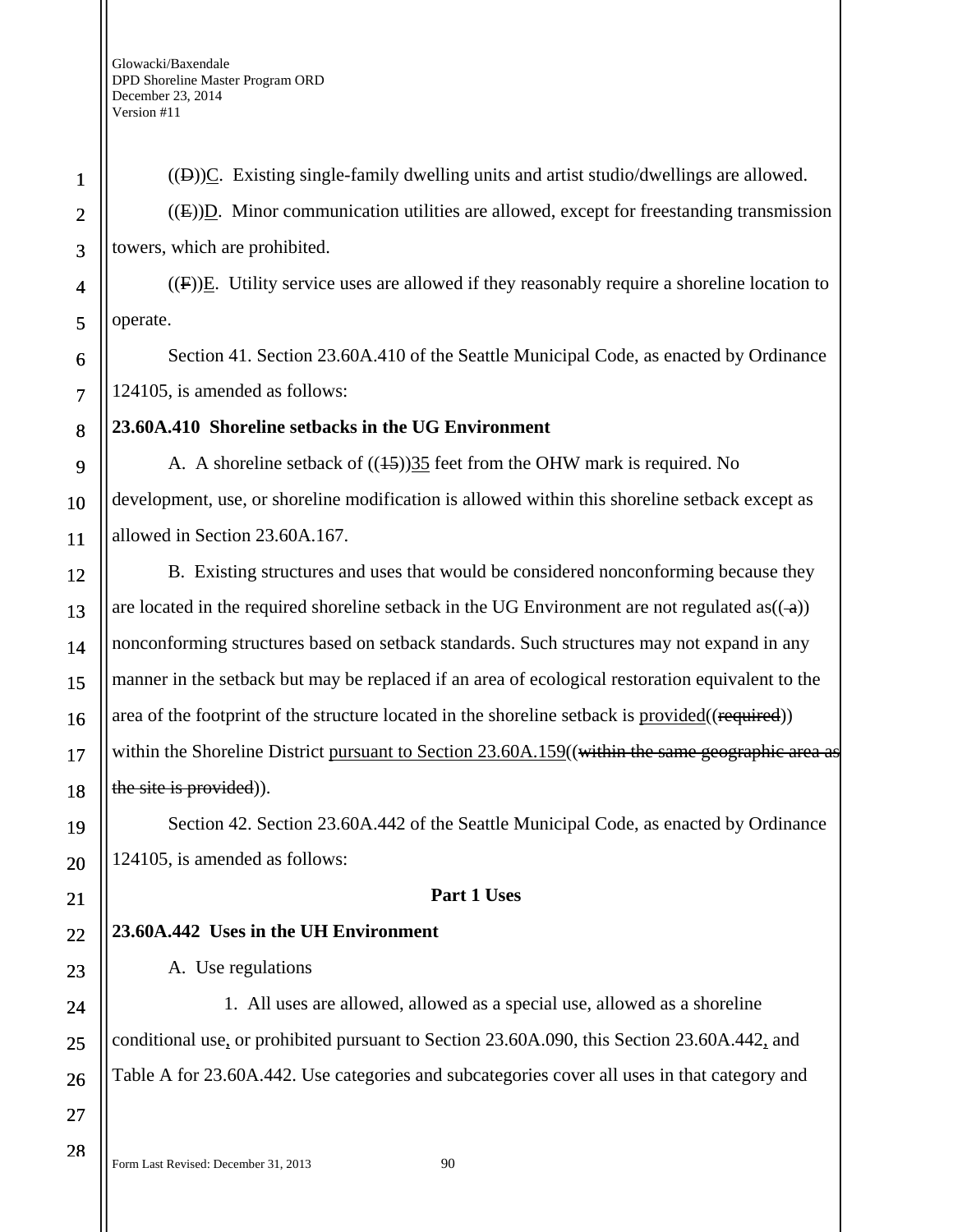$((\theta))$ C. Existing single-family dwelling units and artist studio/dwellings are allowed.  $((E))D$ . Minor communication utilities are allowed, except for freestanding transmission towers, which are prohibited.

 $((F))E$ . Utility service uses are allowed if they reasonably require a shoreline location to operate.

Section 41. Section 23.60A.410 of the Seattle Municipal Code, as enacted by Ordinance 124105, is amended as follows:

## **23.60A.410 Shoreline setbacks in the UG Environment**

A. A shoreline setback of  $((15))35$  feet from the OHW mark is required. No development, use, or shoreline modification is allowed within this shoreline setback except as allowed in Section 23.60A.167.

B. Existing structures and uses that would be considered nonconforming because they are located in the required shoreline setback in the UG Environment are not regulated as $((-a))$ nonconforming structures based on setback standards. Such structures may not expand in any manner in the setback but may be replaced if an area of ecological restoration equivalent to the area of the footprint of the structure located in the shoreline setback is provided((required)) within the Shoreline District pursuant to Section 23.60A.159((within the same geographic area as the site is provided)).

Section 42. Section 23.60A.442 of the Seattle Municipal Code, as enacted by Ordinance 124105, is amended as follows:

## **Part 1 Uses**

## **23.60A.442 Uses in the UH Environment**

A. Use regulations

1. All uses are allowed, allowed as a special use, allowed as a shoreline conditional use, or prohibited pursuant to Section 23.60A.090, this Section 23.60A.442, and Table A for 23.60A.442. Use categories and subcategories cover all uses in that category and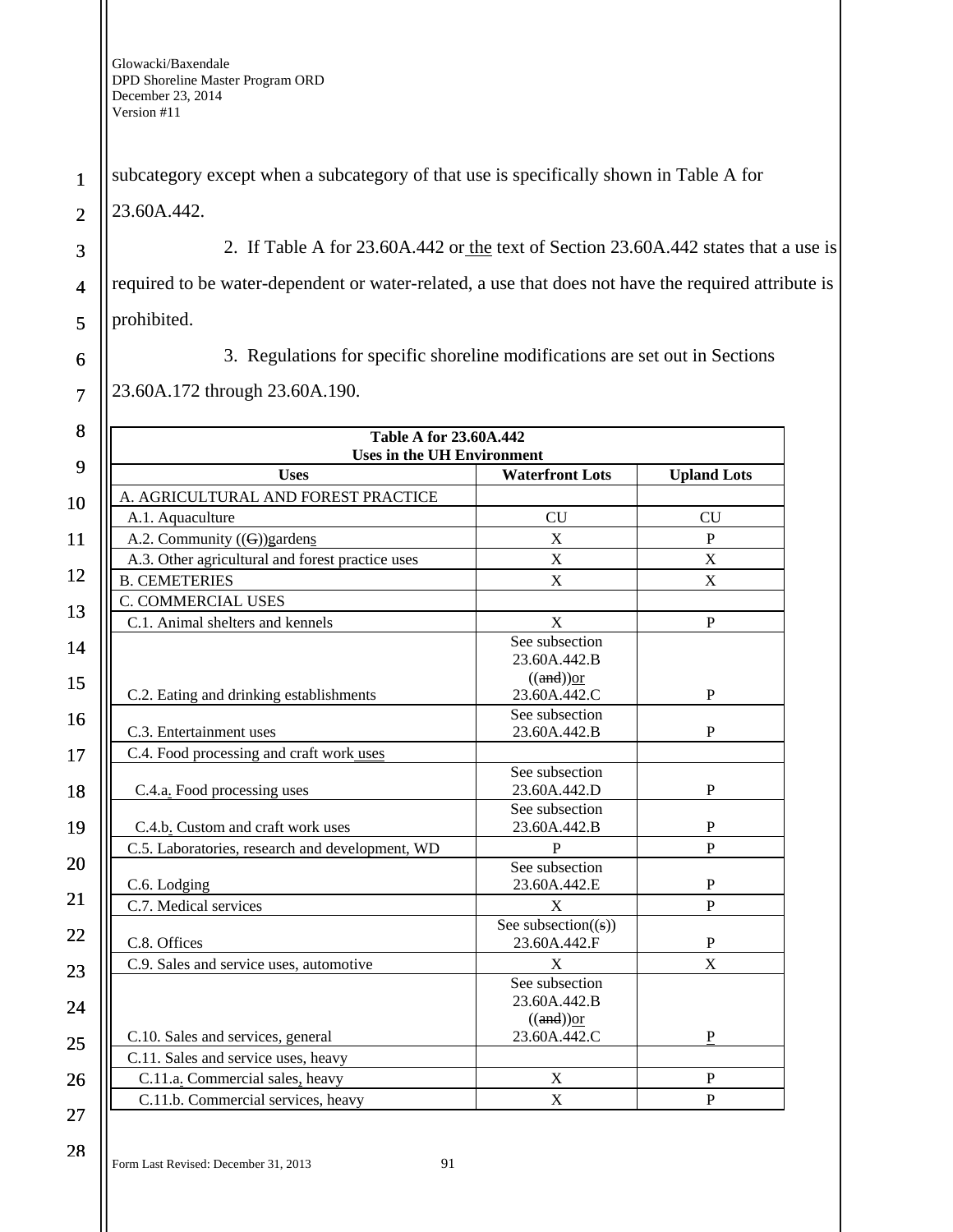1 2 subcategory except when a subcategory of that use is specifically shown in Table A for 23.60A.442.

2. If Table A for 23.60A.442 or the text of Section 23.60A.442 states that a use is required to be water-dependent or water-related, a use that does not have the required attribute is prohibited.

3

4

5

6

7

3. Regulations for specific shoreline modifications are set out in Sections

23.60A.172 through 23.60A.190.

| <b>Table A for 23.60A.442</b><br><b>Uses in the UH Environment</b> |                        |                    |
|--------------------------------------------------------------------|------------------------|--------------------|
| <b>Uses</b>                                                        | <b>Waterfront Lots</b> | <b>Upland Lots</b> |
| A. AGRICULTURAL AND FOREST PRACTICE                                |                        |                    |
| A.1. Aquaculture                                                   | CU                     | CU                 |
| A.2. Community $((G))$ gardens                                     | $\mathbf X$            | $\mathbf{P}$       |
| A.3. Other agricultural and forest practice uses                   | $\bar{X}$              | $\mathbf X$        |
| <b>B. CEMETERIES</b>                                               | $\mathbf X$            | $\mathbf X$        |
| C. COMMERCIAL USES                                                 |                        |                    |
| C.1. Animal shelters and kennels                                   | X                      | $\mathbf{P}$       |
|                                                                    | See subsection         |                    |
|                                                                    | 23.60A.442.B           |                    |
|                                                                    | $((and))$ or           |                    |
| C.2. Eating and drinking establishments                            | 23.60A.442.C           | $\mathbf{P}$       |
| C.3. Entertainment uses                                            | See subsection         | $\mathbf{P}$       |
|                                                                    | 23.60A.442.B           |                    |
| C.4. Food processing and craft work uses                           | See subsection         |                    |
| C.4.a. Food processing uses                                        | 23.60A.442.D           | $\mathbf P$        |
|                                                                    | See subsection         |                    |
| C.4.b. Custom and craft work uses                                  | 23.60A.442.B           | ${\bf P}$          |
| C.5. Laboratories, research and development, WD                    | P                      | $\overline{P}$     |
|                                                                    | See subsection         |                    |
| C.6. Lodging                                                       | 23.60A.442.E           | $\mathbf P$        |
| C.7. Medical services                                              | $\mathbf X$            | $\mathbf{P}$       |
|                                                                    | See subsection $((s))$ |                    |
| C.8. Offices                                                       | 23.60A.442.F           | $\mathbf P$        |
| C.9. Sales and service uses, automotive                            | X                      | X                  |
|                                                                    | See subsection         |                    |
|                                                                    | 23.60A.442.B           |                    |
|                                                                    | $((and))$ or           | ${\bf P}$          |
| C.10. Sales and services, general                                  | 23.60A.442.C           |                    |
| C.11. Sales and service uses, heavy                                |                        |                    |
| C.11.a. Commercial sales, heavy                                    | $\mathbf X$            | $\mathbf P$        |
| C.11.b. Commercial services, heavy                                 | $\mathbf X$            | $\mathbf P$        |

27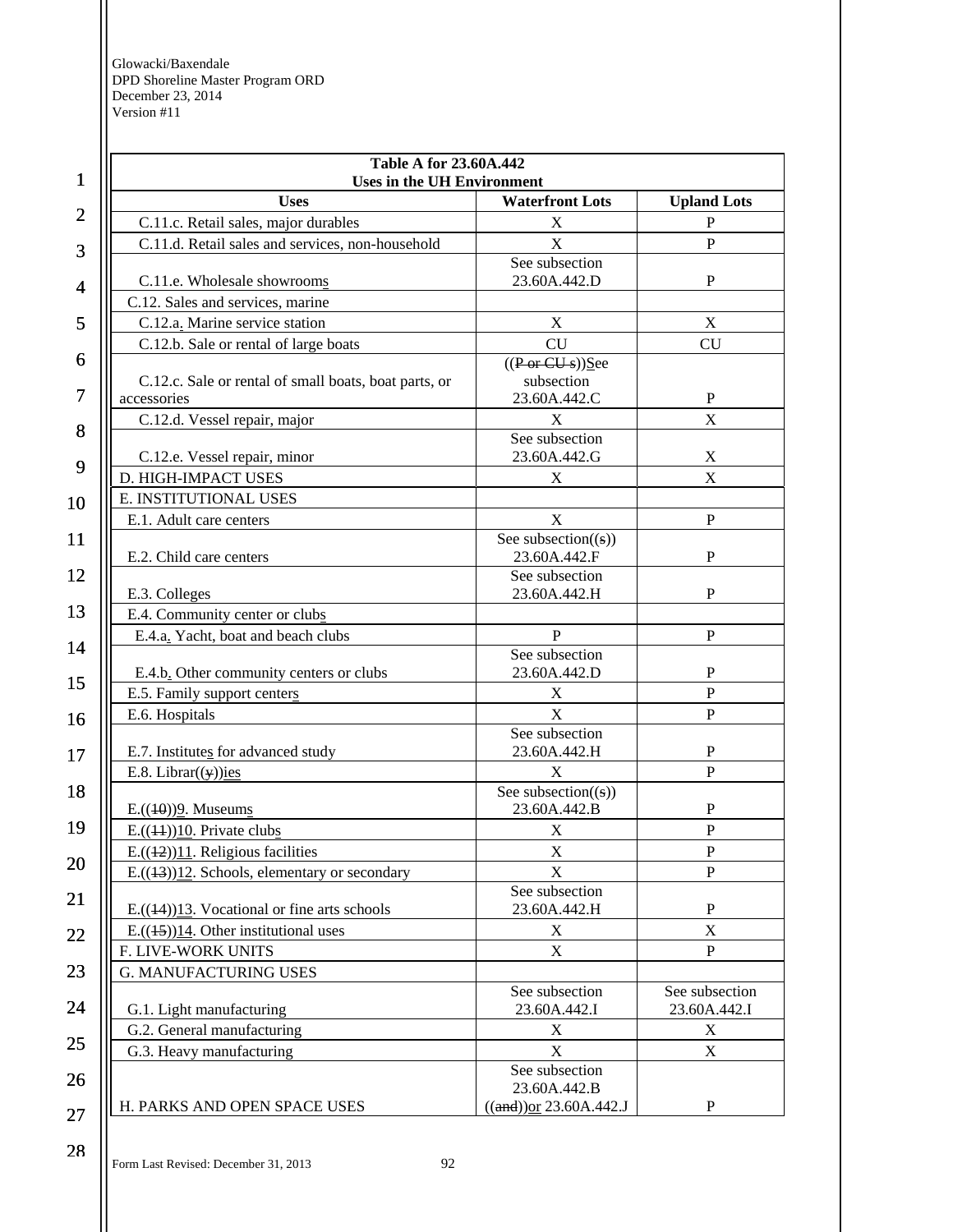| $\mathbf{1}$             |
|--------------------------|
| $\overline{c}$           |
| 3                        |
| $\overline{\mathcal{A}}$ |
| 5                        |
| 6                        |
| 7                        |
| 8                        |
| 9                        |
| 10                       |
| 11                       |
| 12                       |
| 13                       |
| 14                       |
| 15                       |
| 16                       |
| 17                       |
| 18                       |
| 19                       |
| $\overline{20}$          |
| $\overline{21}$          |
|                          |
| 2                        |
| 4                        |
| 25                       |
| 26                       |
| $\frac{27}{1}$           |

| <b>Table A for 23.60A.442</b><br><b>Uses in the UH Environment</b> |                                         |                           |
|--------------------------------------------------------------------|-----------------------------------------|---------------------------|
| <b>Uses</b>                                                        | <b>Waterfront Lots</b>                  | <b>Upland Lots</b>        |
| C.11.c. Retail sales, major durables                               | $\mathbf X$                             | $\, {\bf P}$              |
| C.11.d. Retail sales and services, non-household                   | X                                       | P                         |
|                                                                    | See subsection                          |                           |
| C.11.e. Wholesale showrooms                                        | 23.60A.442.D                            | $\mathbf{P}$              |
| C.12. Sales and services, marine                                   |                                         |                           |
| C.12.a. Marine service station                                     | X                                       | X                         |
| C.12.b. Sale or rental of large boats                              | <b>CU</b>                               | <b>CU</b>                 |
|                                                                    | ((Por CUs))See                          |                           |
| C.12.c. Sale or rental of small boats, boat parts, or              | subsection                              |                           |
| accessories                                                        | 23.60A.442.C                            | P                         |
| C.12.d. Vessel repair, major                                       | X<br>See subsection                     | X                         |
| C.12.e. Vessel repair, minor                                       | 23.60A.442.G                            | X                         |
| D. HIGH-IMPACT USES                                                | X                                       | X                         |
| E. INSTITUTIONAL USES                                              |                                         |                           |
|                                                                    |                                         |                           |
| E.1. Adult care centers                                            | X                                       | $\mathbf{P}$              |
| E.2. Child care centers                                            | See subsection( $(s)$ )<br>23.60A.442.F | $\mathbf P$               |
|                                                                    | See subsection                          |                           |
| E.3. Colleges                                                      | 23.60A.442.H                            | P                         |
| E.4. Community center or clubs                                     |                                         |                           |
| E.4.a. Yacht, boat and beach clubs                                 | $\mathbf{P}$                            | P                         |
|                                                                    | See subsection                          |                           |
| E.4.b. Other community centers or clubs                            | 23.60A.442.D                            | P                         |
| E.5. Family support centers                                        | X                                       | $\overline{P}$            |
| E.6. Hospitals                                                     | X                                       | $\mathbf P$               |
|                                                                    | See subsection                          |                           |
| E.7. Institutes for advanced study                                 | 23.60A.442.H                            | $\mathbf{P}$              |
| E.8. Librar( $(y)$ )ies                                            | X                                       | P                         |
|                                                                    | See subsection( $(s)$ )                 |                           |
| $E.((10))2.$ Museums                                               | 23.60A.442.B                            | P                         |
| $E.((44))10$ . Private clubs                                       | X                                       | ${\bf P}$                 |
| E. $((12))$ <sup>11</sup> . Religious facilities                   | $\mathbf X$                             | ${\bf P}$                 |
| $E.((1-3))12$ . Schools, elementary or secondary                   | X                                       | P                         |
|                                                                    | See subsection                          |                           |
| E. $((14))13$ . Vocational or fine arts schools                    | 23.60A.442.H                            | ${\bf P}$                 |
| $E.((45))14$ . Other institutional uses                            | X                                       | $\boldsymbol{\mathrm{X}}$ |
| F. LIVE-WORK UNITS                                                 | X                                       | $\mathbf{P}$              |
| <b>G. MANUFACTURING USES</b>                                       |                                         |                           |
|                                                                    | See subsection                          | See subsection            |
| G.1. Light manufacturing                                           | 23.60A.442.I                            | 23.60A.442.I              |
| G.2. General manufacturing                                         | X                                       | X                         |
| G.3. Heavy manufacturing                                           | X                                       | $\boldsymbol{\mathrm{X}}$ |
|                                                                    | See subsection<br>23.60A.442.B          |                           |
| H. PARKS AND OPEN SPACE USES                                       | $((and))$ or 23.60A.442.J               | P                         |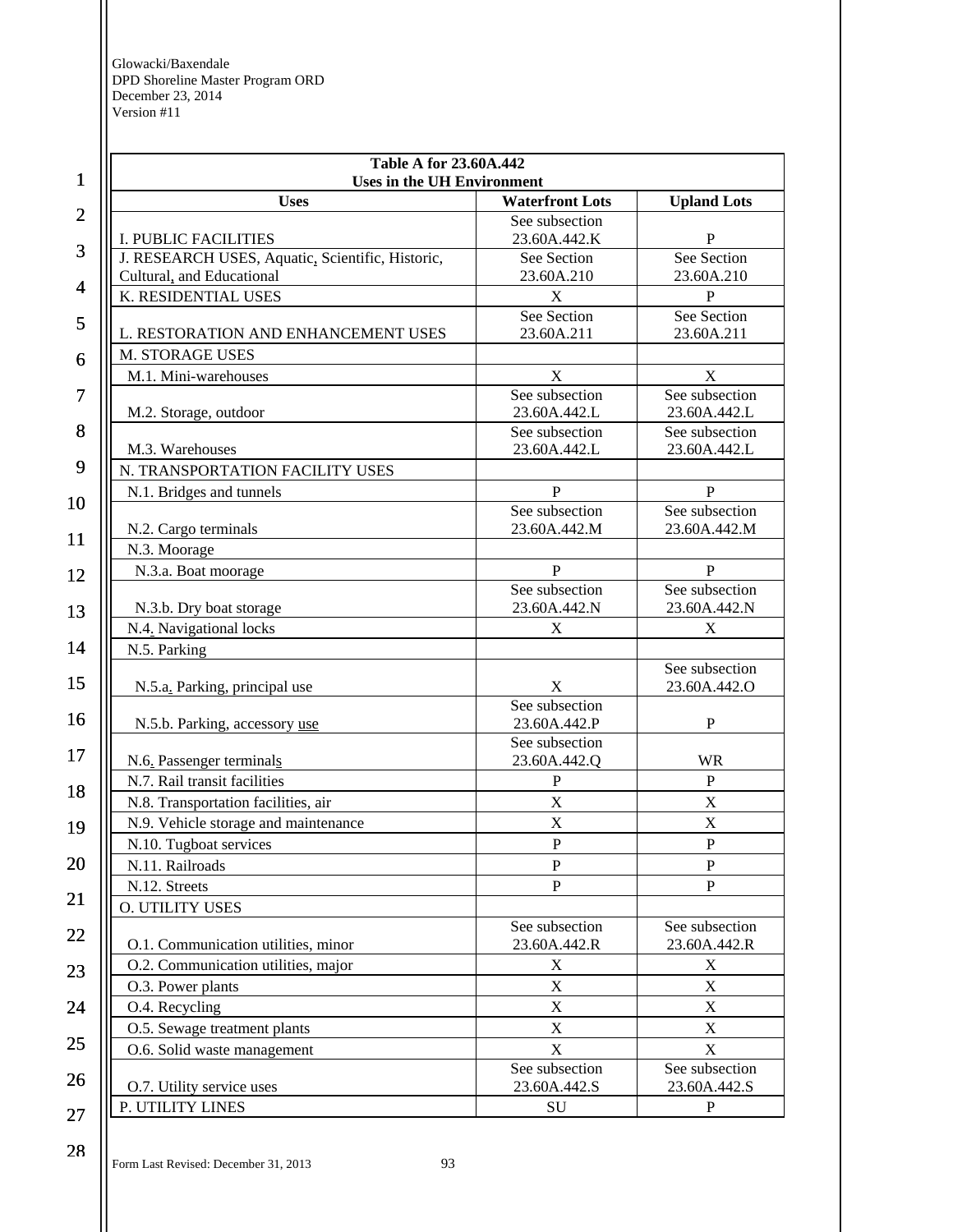| $\mathbf{1}$   | <b>Table A for 23.60A.442</b><br><b>Uses in the UH Environment</b> |                                |                                |
|----------------|--------------------------------------------------------------------|--------------------------------|--------------------------------|
|                | <b>Uses</b>                                                        | <b>Waterfront Lots</b>         | <b>Upland Lots</b>             |
| $\overline{2}$ |                                                                    | See subsection                 |                                |
| 3              | I. PUBLIC FACILITIES                                               | 23.60A.442.K                   | P                              |
|                | J. RESEARCH USES, Aquatic, Scientific, Historic,                   | See Section                    | See Section                    |
| $\overline{4}$ | Cultural, and Educational                                          | 23.60A.210                     | 23.60A.210                     |
|                | K. RESIDENTIAL USES                                                | X<br>See Section               | $\mathbf P$<br>See Section     |
| 5              | L. RESTORATION AND ENHANCEMENT USES                                | 23.60A.211                     | 23.60A.211                     |
|                | M. STORAGE USES                                                    |                                |                                |
| 6              | M.1. Mini-warehouses                                               | X                              | $\mathbf X$                    |
| $\overline{7}$ |                                                                    | See subsection                 | See subsection                 |
|                | M.2. Storage, outdoor                                              | 23.60A.442.L                   | 23.60A.442.L                   |
| 8              |                                                                    | See subsection                 | See subsection                 |
|                | M.3. Warehouses                                                    | 23.60A.442.L                   | 23.60A.442.L                   |
| 9              | N. TRANSPORTATION FACILITY USES                                    |                                |                                |
| 10             | N.1. Bridges and tunnels                                           | $\mathbf{P}$                   | $\mathbf{P}$                   |
|                |                                                                    | See subsection                 | See subsection                 |
| 11             | N.2. Cargo terminals                                               | 23.60A.442.M                   | 23.60A.442.M                   |
|                | N.3. Moorage                                                       |                                |                                |
| 12             | N.3.a. Boat moorage                                                | $\mathbf{P}$                   | $\, {\bf P}$                   |
|                |                                                                    | See subsection<br>23.60A.442.N | See subsection<br>23.60A.442.N |
| 13             | N.3.b. Dry boat storage<br>N.4. Navigational locks                 | X                              | $\mathbf X$                    |
| 14             | N.5. Parking                                                       |                                |                                |
|                |                                                                    |                                | See subsection                 |
| 15             | N.5.a. Parking, principal use                                      | X                              | 23.60A.442.O                   |
|                |                                                                    | See subsection                 |                                |
| 16             | N.5.b. Parking, accessory use                                      | 23.60A.442.P                   | $\mathbf{P}$                   |
| 17             |                                                                    | See subsection                 |                                |
|                | N.6. Passenger terminals                                           | 23.60A.442.Q                   | <b>WR</b>                      |
| 18             | N.7. Rail transit facilities                                       | ${\bf P}$                      | $\mathbf P$                    |
|                | N.8. Transportation facilities, air                                | $\mathbf X$                    | $\mathbf X$                    |
| 19             | N.9. Vehicle storage and maintenance                               | $\mathbf X$                    | X                              |
|                | N.10. Tugboat services                                             | $\mathbf{P}$                   | $\overline{P}$                 |
| 20             | N.11. Railroads                                                    | ${\bf P}$                      | ${\bf P}$                      |
| 21             | N.12. Streets                                                      | ${\bf P}$                      | $\mathbf{P}$                   |
|                | <b>O. UTILITY USES</b>                                             |                                |                                |
| 22             | O.1. Communication utilities, minor                                | See subsection<br>23.60A.442.R | See subsection<br>23.60A.442.R |
|                | O.2. Communication utilities, major                                |                                |                                |
| 23             | O.3. Power plants                                                  | X<br>$\mathbf X$               | X<br>X                         |
|                |                                                                    | $\mathbf X$                    | X                              |
| 24             | O.4. Recycling                                                     | $\mathbf X$                    | X                              |
| 25             | O.5. Sewage treatment plants                                       |                                |                                |
|                | O.6. Solid waste management                                        | $\mathbf X$<br>See subsection  | X<br>See subsection            |
| 26             | O.7. Utility service uses                                          | 23.60A.442.S                   | 23.60A.442.S                   |
|                | P. UTILITY LINES                                                   | SU                             | P                              |
| 27             |                                                                    |                                |                                |

Form Last Revised: December 31, 2013 93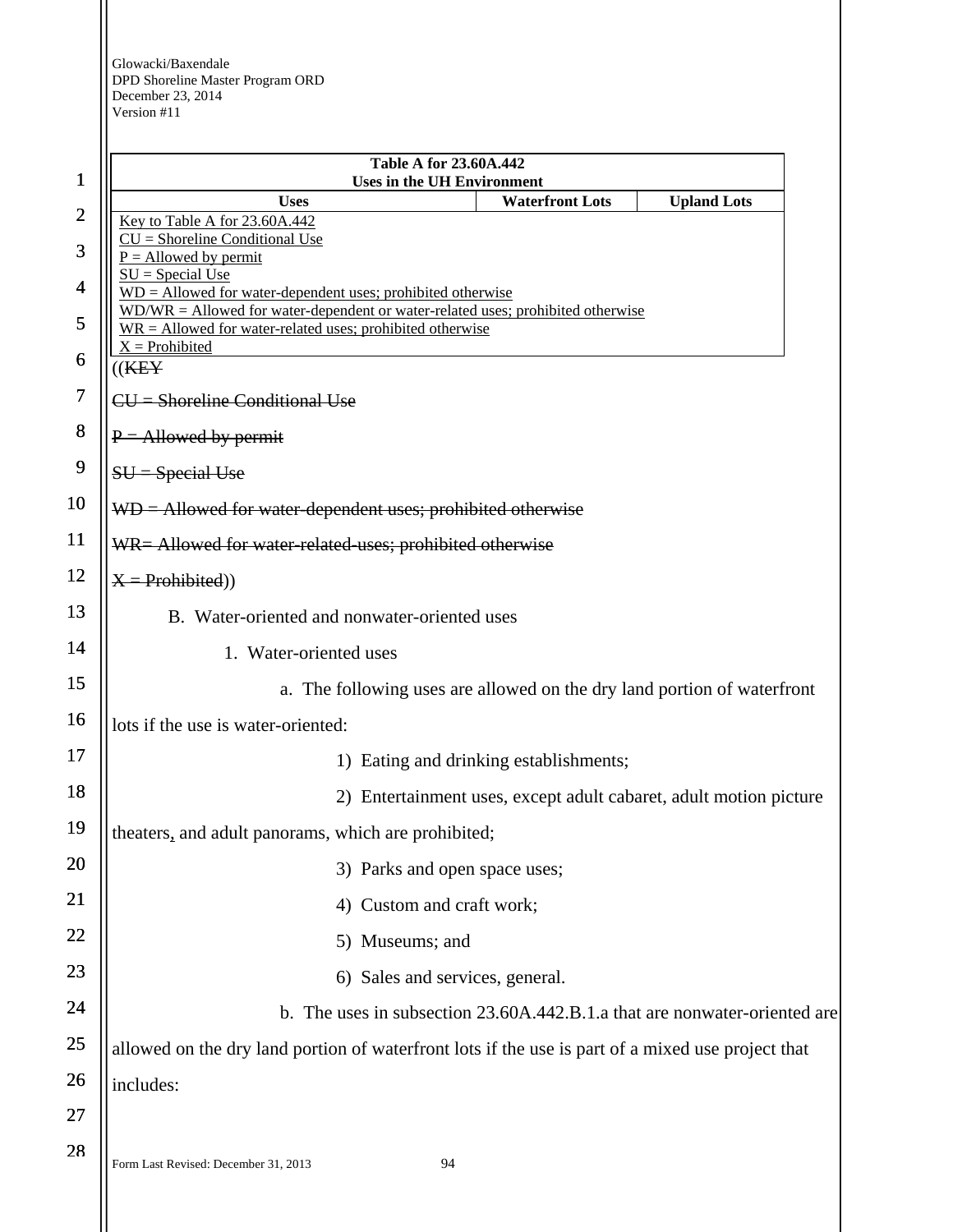|                | <b>Table A for 23.60A.442</b>                                                                                                                    |
|----------------|--------------------------------------------------------------------------------------------------------------------------------------------------|
| 1              | <b>Uses in the UH Environment</b><br><b>Waterfront Lots</b><br><b>Uses</b><br><b>Upland Lots</b>                                                 |
| $\overline{c}$ | Key to Table A for 23.60A.442                                                                                                                    |
| 3              | $CU =$ Shoreline Conditional Use<br>$P =$ Allowed by permit                                                                                      |
| 4              | $SU = Special Use$<br>$WD =$ Allowed for water-dependent uses; prohibited otherwise                                                              |
| 5              | $WD/WR =$ Allowed for water-dependent or water-related uses; prohibited otherwise<br>$WR =$ Allowed for water-related uses; prohibited otherwise |
| 6              | $X =$ Prohibited                                                                                                                                 |
| 7              | ((K E Y<br>$CU =$ Shoreline Conditional Use                                                                                                      |
| 8              |                                                                                                                                                  |
| 9              | $P =$ Allowed by permit                                                                                                                          |
|                | $SU = Special Use$                                                                                                                               |
| 10             | $WD =$ Allowed for water-dependent uses; prohibited otherwise                                                                                    |
| <b>11</b>      | WR= Allowed for water-related-uses; prohibited otherwise                                                                                         |
| 12             | $X = Problem(bited))$                                                                                                                            |
| 13             | B. Water-oriented and nonwater-oriented uses                                                                                                     |
| 14             | 1. Water-oriented uses                                                                                                                           |
| 15             | a. The following uses are allowed on the dry land portion of waterfront                                                                          |
| 16             | lots if the use is water-oriented:                                                                                                               |
| 17             | 1) Eating and drinking establishments;                                                                                                           |
| 18             | 2) Entertainment uses, except adult cabaret, adult motion picture                                                                                |
| 19             | theaters, and adult panorams, which are prohibited;                                                                                              |
| 20             | 3) Parks and open space uses;                                                                                                                    |
| 21             | Custom and craft work;<br>4)                                                                                                                     |
| 22             | Museums; and<br>5)                                                                                                                               |
| 23             | 6) Sales and services, general.                                                                                                                  |
| 24             | b. The uses in subsection 23.60A.442.B.1.a that are nonwater-oriented are                                                                        |
| 25             | allowed on the dry land portion of waterfront lots if the use is part of a mixed use project that                                                |
| 26             | includes:                                                                                                                                        |
| 27             |                                                                                                                                                  |
| 28             | 94<br>Form Last Revised: December 31, 2013                                                                                                       |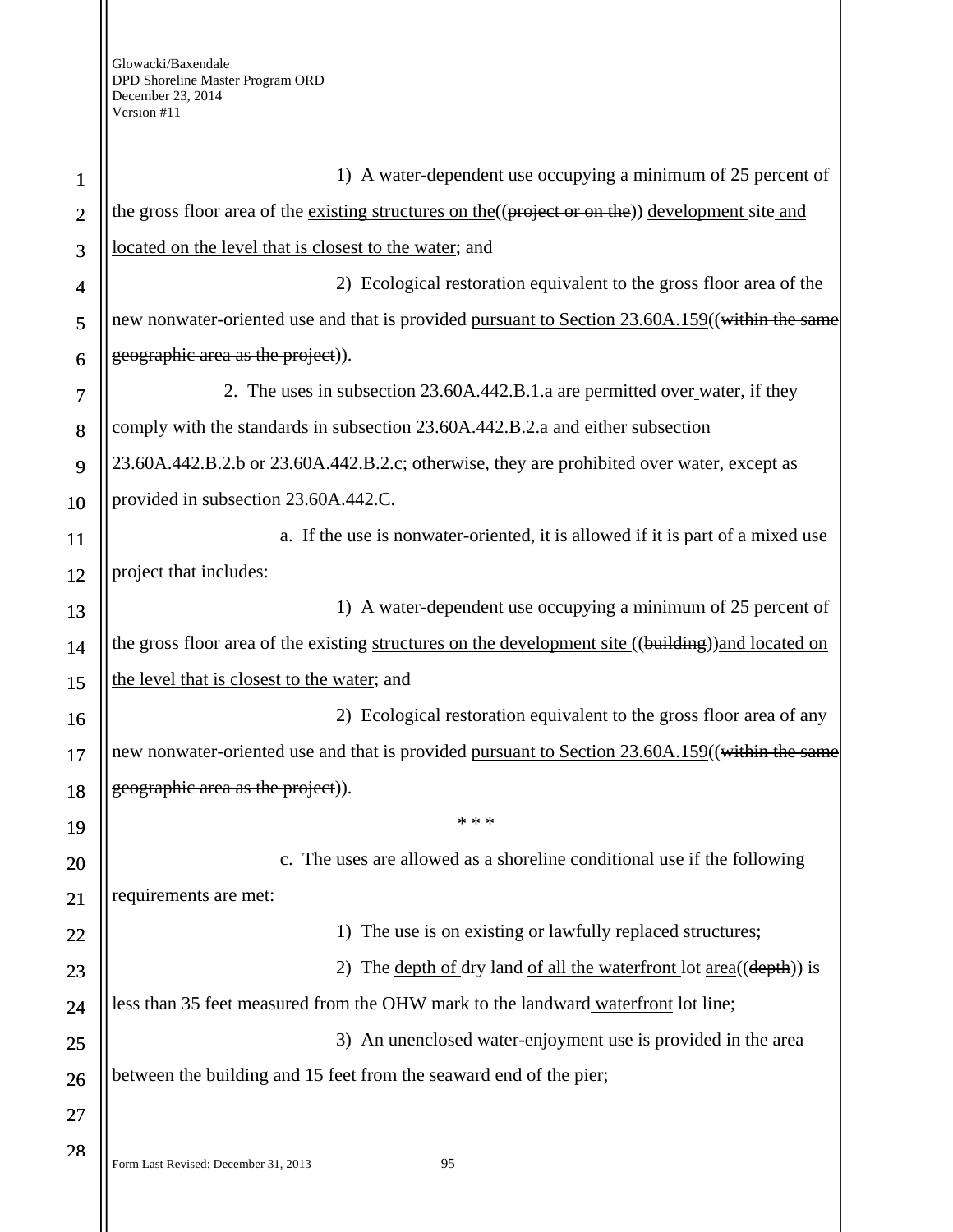| $\mathbf{1}$   | 1) A water-dependent use occupying a minimum of 25 percent of                                      |
|----------------|----------------------------------------------------------------------------------------------------|
| $\overline{2}$ | the gross floor area of the existing structures on the ((project or on the)) development site and  |
| 3              | located on the level that is closest to the water; and                                             |
| 4              | 2) Ecological restoration equivalent to the gross floor area of the                                |
| 5              | new nonwater-oriented use and that is provided pursuant to Section 23.60A.159((within the same     |
| 6              | geographic area as the project).                                                                   |
| 7              | 2. The uses in subsection 23.60A.442.B.1.a are permitted over water, if they                       |
| 8              | comply with the standards in subsection 23.60A.442.B.2.a and either subsection                     |
| 9              | 23.60A.442.B.2.b or 23.60A.442.B.2.c; otherwise, they are prohibited over water, except as         |
| 10             | provided in subsection 23.60A.442.C.                                                               |
| <b>11</b>      | a. If the use is nonwater-oriented, it is allowed if it is part of a mixed use                     |
| 12             | project that includes:                                                                             |
| 13             | 1) A water-dependent use occupying a minimum of 25 percent of                                      |
| 14             | the gross floor area of the existing structures on the development site ((building))and located on |
| 15             | the level that is closest to the water; and                                                        |
| 16             | 2) Ecological restoration equivalent to the gross floor area of any                                |
| 17             | new nonwater-oriented use and that is provided pursuant to Section 23.60A.159((within the same     |
| 18             | geographic area as the project)).                                                                  |
| 19             | * * *                                                                                              |
| 20             | c. The uses are allowed as a shoreline conditional use if the following                            |
| 21             | requirements are met:                                                                              |
| 22             | The use is on existing or lawfully replaced structures;<br>$\left( \right)$                        |
| 23             | The <u>depth of dry</u> land <u>of all the waterfront lot area</u> ((depth)) is<br>2)              |
| 24             | less than 35 feet measured from the OHW mark to the landward waterfront lot line;                  |
| 25             | 3) An unenclosed water-enjoyment use is provided in the area                                       |
| 26             | between the building and 15 feet from the seaward end of the pier;                                 |
| 27             |                                                                                                    |
| 28             | Form Last Revised: December 31, 2013<br>95                                                         |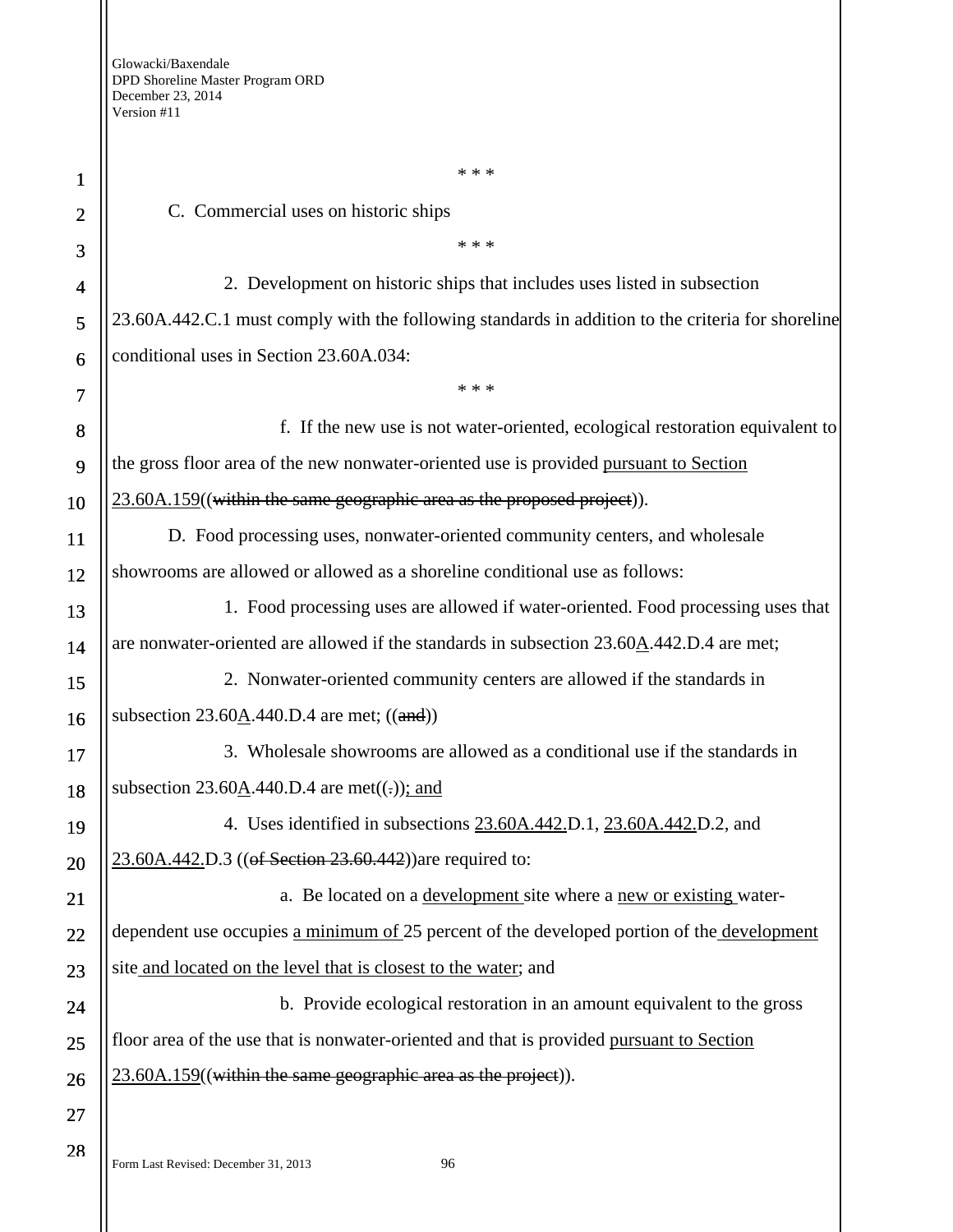1 2 3 4 5 6 7 8 9 10 11 12 13 14 15 16 17 18 19 20 21 22 23 24 25 26 27 28 \* \* \* C. Commercial uses on historic ships \* \* \* 2. Development on historic ships that includes uses listed in subsection 23.60A.442.C.1 must comply with the following standards in addition to the criteria for shoreline conditional uses in Section 23.60A.034: \* \* \* f. If the new use is not water-oriented, ecological restoration equivalent to the gross floor area of the new nonwater-oriented use is provided pursuant to Section 23.60A.159((within the same geographic area as the proposed project)). D. Food processing uses, nonwater-oriented community centers, and wholesale showrooms are allowed or allowed as a shoreline conditional use as follows: 1. Food processing uses are allowed if water-oriented. Food processing uses that are nonwater-oriented are allowed if the standards in subsection 23.60A.442.D.4 are met; 2. Nonwater-oriented community centers are allowed if the standards in subsection  $23.60A.440.D.4$  are met;  $((and))$ 3. Wholesale showrooms are allowed as a conditional use if the standards in subsection 23.60A.440.D.4 are met $((.)$ ; and 4. Uses identified in subsections 23.60A.442.D.1, 23.60A.442.D.2, and 23.60A.442.D.3 ((of Section 23.60.442)) are required to: a. Be located on a development site where a new or existing waterdependent use occupies a minimum of 25 percent of the developed portion of the development site and located on the level that is closest to the water; and b. Provide ecological restoration in an amount equivalent to the gross floor area of the use that is nonwater-oriented and that is provided pursuant to Section 23.60A.159((within the same geographic area as the project)).

Form Last Revised: December 31, 2013 96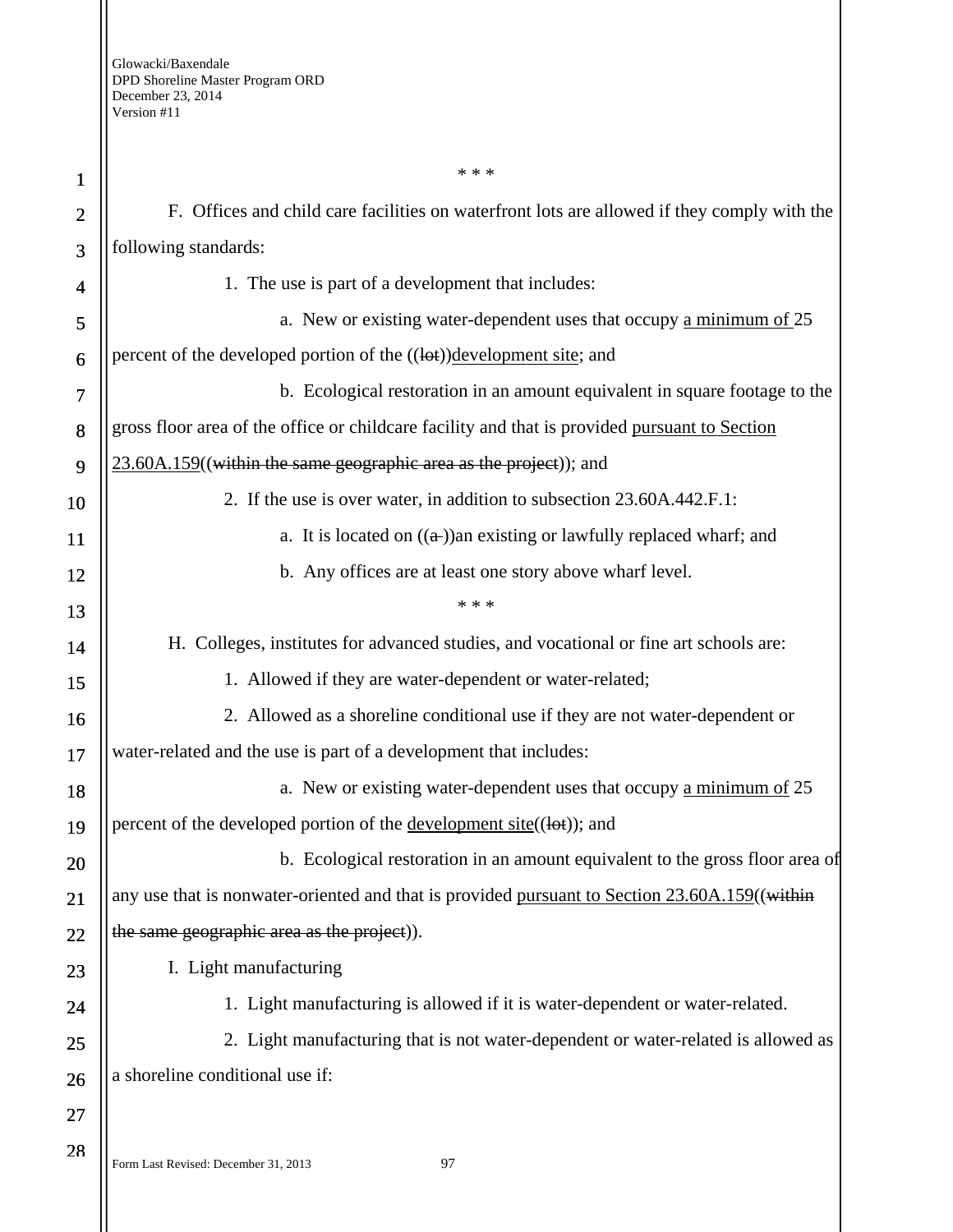| 1              | * * *                                                                                         |
|----------------|-----------------------------------------------------------------------------------------------|
| $\overline{2}$ | F. Offices and child care facilities on waterfront lots are allowed if they comply with the   |
| 3              | following standards:                                                                          |
| 4              | 1. The use is part of a development that includes:                                            |
| 5              | a. New or existing water-dependent uses that occupy a minimum of 25                           |
| 6              | percent of the developed portion of the ((lot))development site; and                          |
| 7              | b. Ecological restoration in an amount equivalent in square footage to the                    |
| 8              | gross floor area of the office or childcare facility and that is provided pursuant to Section |
| 9              | 23.60A.159((within the same geographic area as the project)); and                             |
| 10             | 2. If the use is over water, in addition to subsection 23.60A.442.F.1:                        |
| <b>11</b>      | a. It is located on $((a))$ an existing or lawfully replaced wharf; and                       |
| 12             | b. Any offices are at least one story above wharf level.                                      |
| 13             | * * *                                                                                         |
| 14             | H. Colleges, institutes for advanced studies, and vocational or fine art schools are:         |
| 15             | 1. Allowed if they are water-dependent or water-related;                                      |
| 16             | 2. Allowed as a shoreline conditional use if they are not water-dependent or                  |
| 17             | water-related and the use is part of a development that includes:                             |
| 18             | a. New or existing water-dependent uses that occupy a minimum of 25                           |
| 19             | percent of the developed portion of the <u>development site</u> ((lot)); and                  |
| 20             | b. Ecological restoration in an amount equivalent to the gross floor area of                  |
| 21             | any use that is nonwater-oriented and that is provided pursuant to Section 23.60A.159((within |
| 22             | the same geographic area as the project).                                                     |
| 23             | I. Light manufacturing                                                                        |
| 24             | 1. Light manufacturing is allowed if it is water-dependent or water-related.                  |
| 25             | 2. Light manufacturing that is not water-dependent or water-related is allowed as             |
| 26             | a shoreline conditional use if:                                                               |
| 27             |                                                                                               |
| 28             |                                                                                               |

Form Last Revised: December 31, 2013 97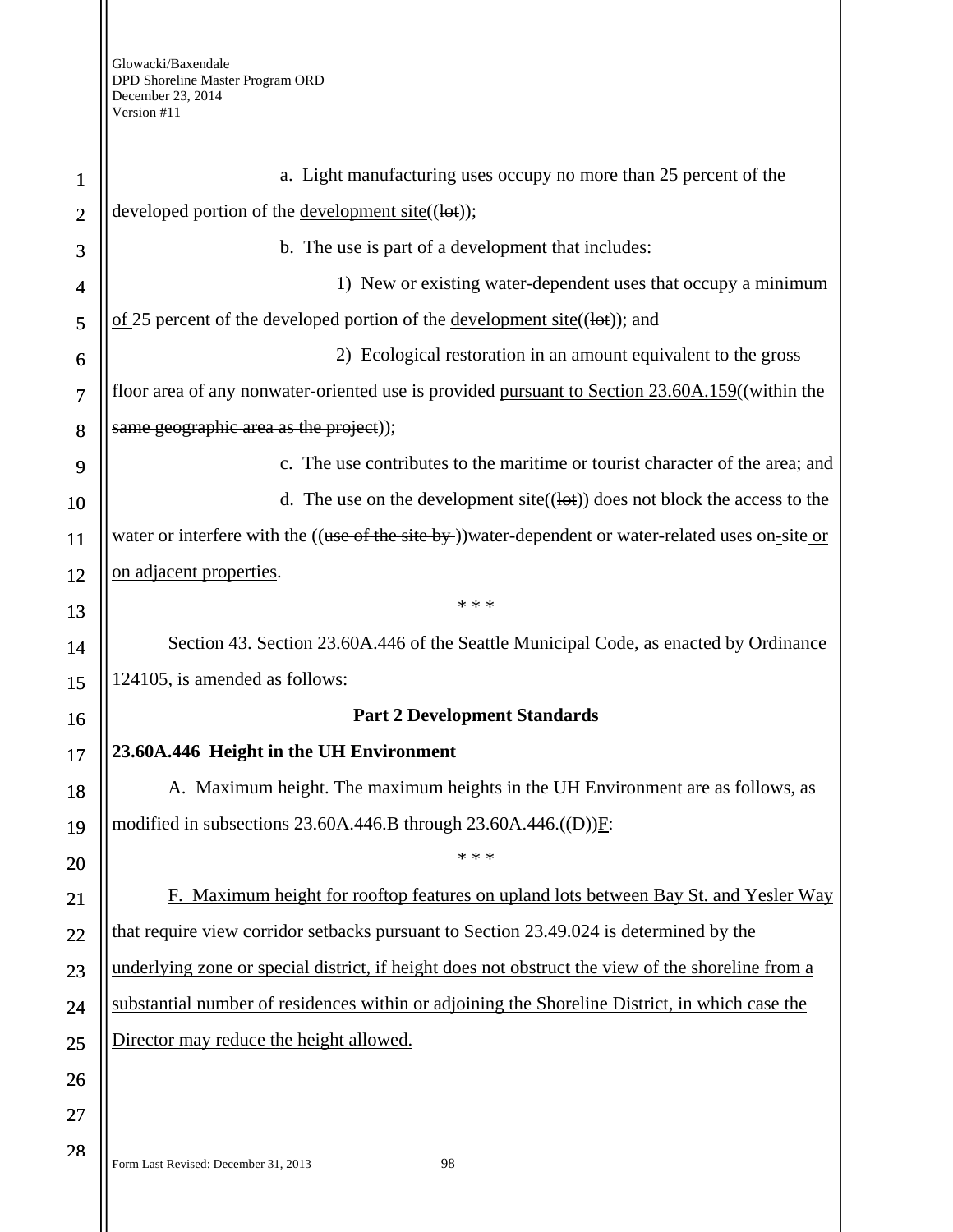| $\mathbf{1}$               | a. Light manufacturing uses occupy no more than 25 percent of the                                       |
|----------------------------|---------------------------------------------------------------------------------------------------------|
| $\overline{2}$             | developed portion of the <u>development site</u> $((let))$ ;                                            |
| 3                          | b. The use is part of a development that includes:                                                      |
| 4                          | 1) New or existing water-dependent uses that occupy a minimum                                           |
| 5                          | $\underline{\text{of}}$ 25 percent of the developed portion of the <u>development site</u> ((lot)); and |
| 6                          | 2) Ecological restoration in an amount equivalent to the gross                                          |
| $\overline{7}$             | floor area of any nonwater-oriented use is provided pursuant to Section 23.60A.159((within the          |
| 8                          | same geographic area as the project));                                                                  |
| 9                          | c. The use contributes to the maritime or tourist character of the area; and                            |
| 10                         | d. The use on the <u>development site</u> ( $(\text{let})$ ) does not block the access to the           |
| 11                         | water or interfere with the ((use of the site by-))water-dependent or water-related uses on-site or     |
| 12                         | on adjacent properties.                                                                                 |
| 13                         | * * *                                                                                                   |
| 14                         | Section 43. Section 23.60A.446 of the Seattle Municipal Code, as enacted by Ordinance                   |
| 15                         | 124105, is amended as follows:                                                                          |
| 16                         | <b>Part 2 Development Standards</b>                                                                     |
|                            |                                                                                                         |
| 17                         | 23.60A.446 Height in the UH Environment                                                                 |
| 18                         | A. Maximum height. The maximum heights in the UH Environment are as follows, as                         |
|                            | modified in subsections 23.60A.446.B through $23.60A.446$ .((D))F:                                      |
|                            | * * *                                                                                                   |
|                            | F. Maximum height for rooftop features on upland lots between Bay St. and Yesler Way                    |
|                            | that require view corridor setbacks pursuant to Section 23.49.024 is determined by the                  |
| 19<br>20<br>21<br>22<br>23 | underlying zone or special district, if height does not obstruct the view of the shoreline from a       |
|                            | substantial number of residences within or adjoining the Shoreline District, in which case the          |
| 24<br>25                   | Director may reduce the height allowed.                                                                 |
| 26                         |                                                                                                         |
| 27                         |                                                                                                         |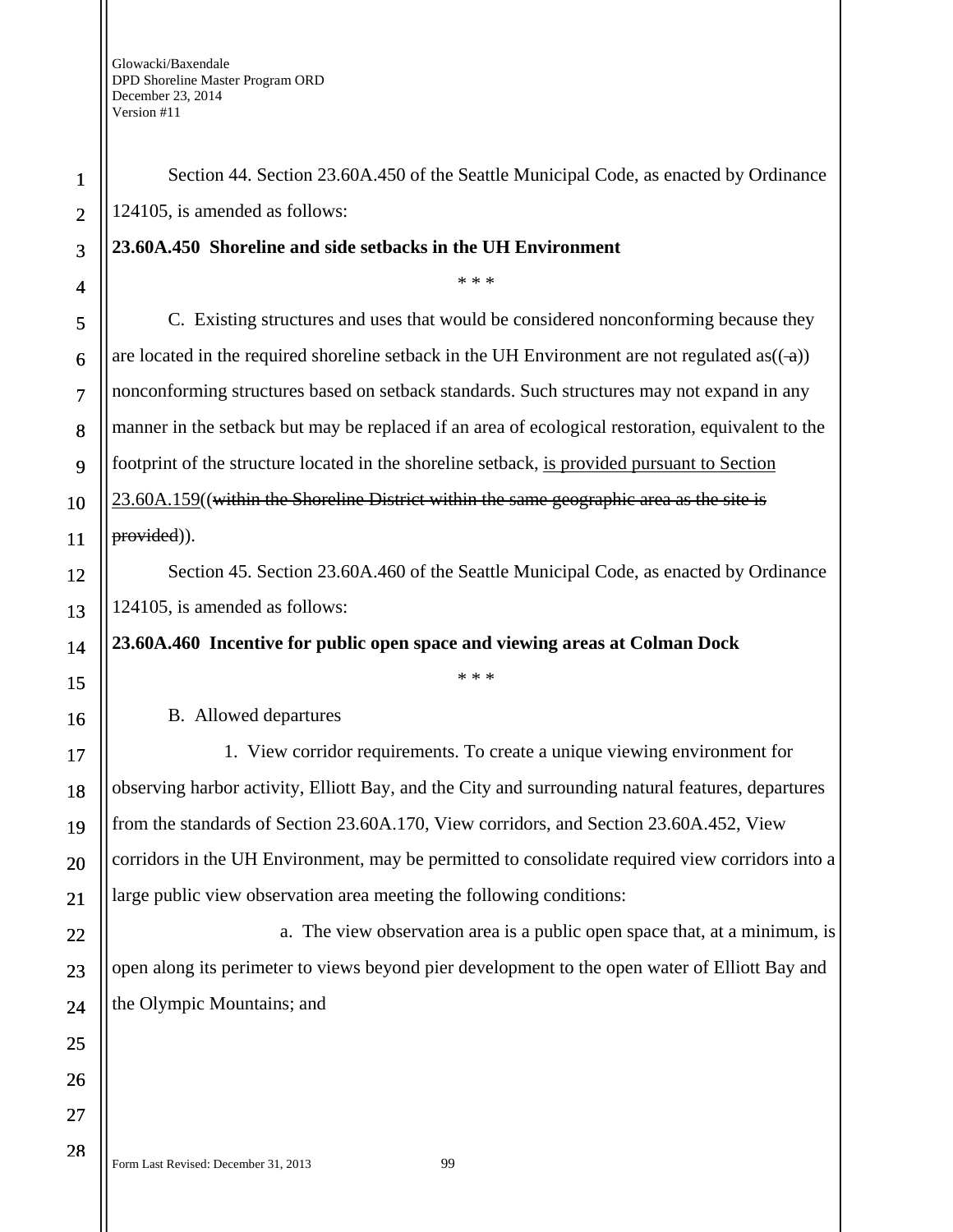Form Last Revised: December 31, 2013 99 1 2 3 4 5 6 7 8 9 10 11 12 13 14 15 16 17 18 19 20 21 22 23 24 25 26 27 Section 44. Section 23.60A.450 of the Seattle Municipal Code, as enacted by Ordinance 124105, is amended as follows: **23.60A.450 Shoreline and side setbacks in the UH Environment**  \* \* \* C. Existing structures and uses that would be considered nonconforming because they are located in the required shoreline setback in the UH Environment are not regulated as $((-a))$ nonconforming structures based on setback standards. Such structures may not expand in any manner in the setback but may be replaced if an area of ecological restoration, equivalent to the footprint of the structure located in the shoreline setback, is provided pursuant to Section 23.60A.159((within the Shoreline District within the same geographic area as the site is provided)). Section 45. Section 23.60A.460 of the Seattle Municipal Code, as enacted by Ordinance 124105, is amended as follows: **23.60A.460 Incentive for public open space and viewing areas at Colman Dock**  \* \* \* B. Allowed departures 1. View corridor requirements. To create a unique viewing environment for observing harbor activity, Elliott Bay, and the City and surrounding natural features, departures from the standards of Section 23.60A.170, View corridors, and Section 23.60A.452, View corridors in the UH Environment, may be permitted to consolidate required view corridors into a large public view observation area meeting the following conditions: a. The view observation area is a public open space that, at a minimum, is open along its perimeter to views beyond pier development to the open water of Elliott Bay and the Olympic Mountains; and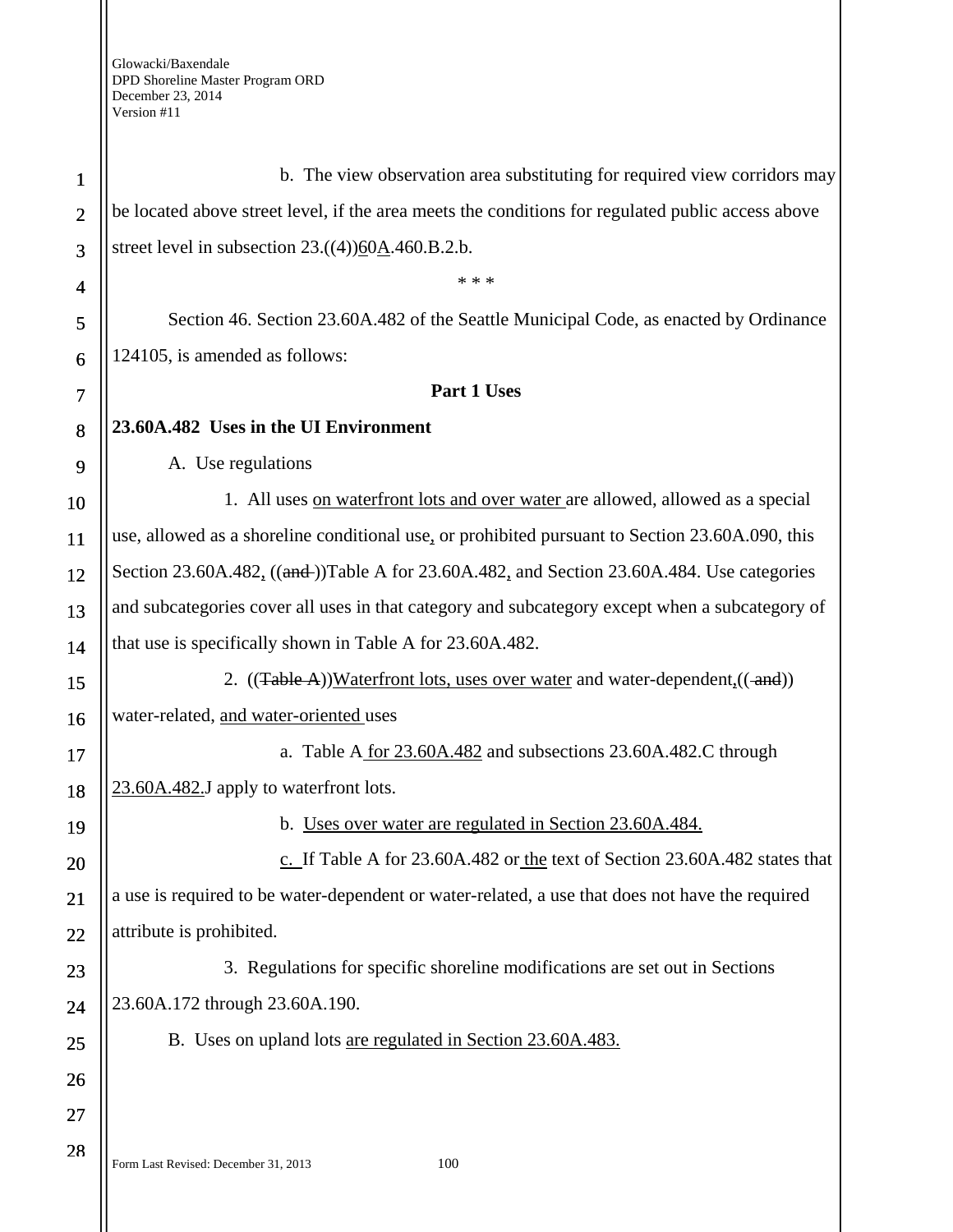Form Last Revised: December 31, 2013 100 1 2 3 4 5 6 7 8 9 10 11 12 13 14 15 16 17 18 19 20 21 22 23 24 25 26 27 28 b. The view observation area substituting for required view corridors may be located above street level, if the area meets the conditions for regulated public access above street level in subsection 23.((4))60A.460.B.2.b. \* \* \* Section 46. Section 23.60A.482 of the Seattle Municipal Code, as enacted by Ordinance 124105, is amended as follows: **Part 1 Uses 23.60A.482 Uses in the UI Environment**  A. Use regulations 1. All uses on waterfront lots and over water are allowed, allowed as a special use, allowed as a shoreline conditional use, or prohibited pursuant to Section 23.60A.090, this Section 23.60A.482<sub>1</sub> ((and ))Table A for 23.60A.482, and Section 23.60A.484. Use categories and subcategories cover all uses in that category and subcategory except when a subcategory of that use is specifically shown in Table A for 23.60A.482. 2.  $((\text{Table A}))\text{Waterfront lots, uses over water and water-dependent}, ((\text{and}))$ water-related, and water-oriented uses a. Table A for 23.60A.482 and subsections 23.60A.482.C through 23.60A.482.J apply to waterfront lots. b. Uses over water are regulated in Section 23.60A.484. c. If Table A for 23.60A.482 or the text of Section 23.60A.482 states that a use is required to be water-dependent or water-related, a use that does not have the required attribute is prohibited. 3. Regulations for specific shoreline modifications are set out in Sections 23.60A.172 through 23.60A.190. B. Uses on upland lots are regulated in Section 23.60A.483.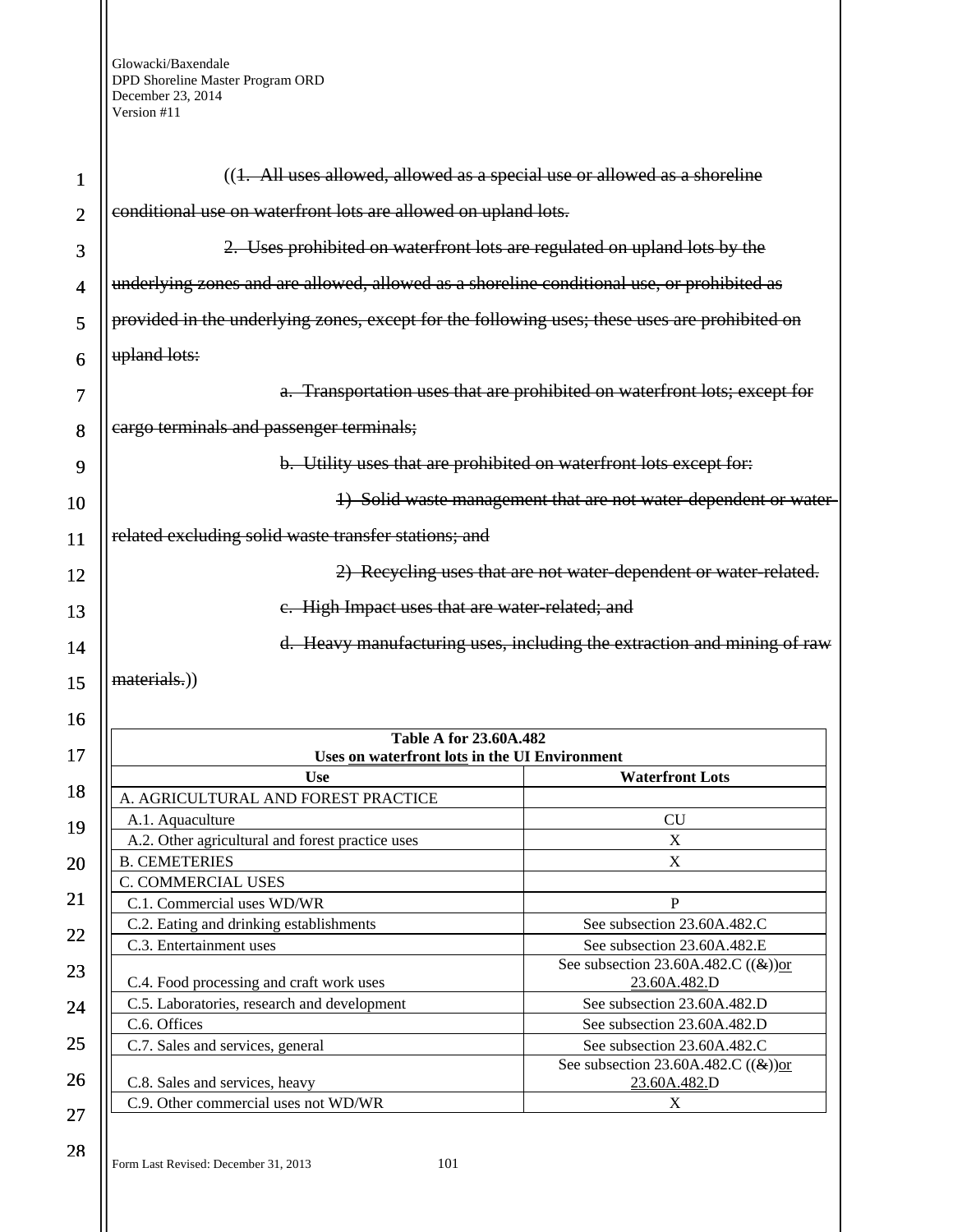| 1                        | $((1. All uses allowed, allowed as a special use or allowed as a short line)$                 |                                                         |
|--------------------------|-----------------------------------------------------------------------------------------------|---------------------------------------------------------|
| $\overline{2}$           | conditional use on waterfront lots are allowed on upland lots.                                |                                                         |
| 3                        | 2. Uses prohibited on waterfront lots are regulated on upland lots by the                     |                                                         |
| $\overline{\mathcal{A}}$ | underlying zones and are allowed, allowed as a shoreline conditional use, or prohibited as    |                                                         |
| 5                        | provided in the underlying zones, except for the following uses; these uses are prohibited on |                                                         |
| 6                        | upland lots:                                                                                  |                                                         |
| 7                        | a. Transportation uses that are prohibited on waterfront lots; except for                     |                                                         |
| 8                        | cargo terminals and passenger terminals;                                                      |                                                         |
| 9                        | b. Utility uses that are prohibited on waterfront lots except for:                            |                                                         |
| 10                       | 1) Solid waste management that are not water dependent or water-                              |                                                         |
| 11                       | related excluding solid waste transfer stations; and                                          |                                                         |
| 12                       | 2) Recycling uses that are not water-dependent or water-related.                              |                                                         |
| 13                       | e. High Impact uses that are water-related; and                                               |                                                         |
| 14                       | d. Heavy manufacturing uses, including the extraction and mining of raw                       |                                                         |
| 15                       | materials.))                                                                                  |                                                         |
| 16                       |                                                                                               |                                                         |
| 17                       | <b>Table A for 23.60A.482</b><br>Uses on waterfront lots in the UI Environment                |                                                         |
|                          | <b>Use</b>                                                                                    | <b>Waterfront Lots</b>                                  |
| 18                       | A. AGRICULTURAL AND FOREST PRACTICE                                                           |                                                         |
| 19                       | A.1. Aquaculture                                                                              | <b>CU</b>                                               |
|                          | A.2. Other agricultural and forest practice uses                                              | $\mathbf X$                                             |
| 20                       | <b>B. CEMETERIES</b>                                                                          | $\boldsymbol{\mathrm{X}}$                               |
|                          | C. COMMERCIAL USES                                                                            |                                                         |
| 21                       | C.1. Commercial uses WD/WR                                                                    | $\mathbf{P}$                                            |
|                          | C.2. Eating and drinking establishments                                                       | See subsection 23.60A.482.C                             |
| 22                       | C.3. Entertainment uses                                                                       | See subsection 23.60A.482.E                             |
| 23                       | C.4. Food processing and craft work uses                                                      | See subsection 23.60A.482.C $((\&))$ or<br>23.60A.482.D |
| 24                       | C.5. Laboratories, research and development                                                   | See subsection 23.60A.482.D                             |
|                          | C.6. Offices                                                                                  | See subsection 23.60A.482.D                             |
| 25                       | C.7. Sales and services, general                                                              | See subsection 23.60A.482.C                             |
| 26                       | C.8. Sales and services, heavy                                                                | See subsection 23.60A.482.C $((\&))$ or<br>23.60A.482.D |
|                          |                                                                                               |                                                         |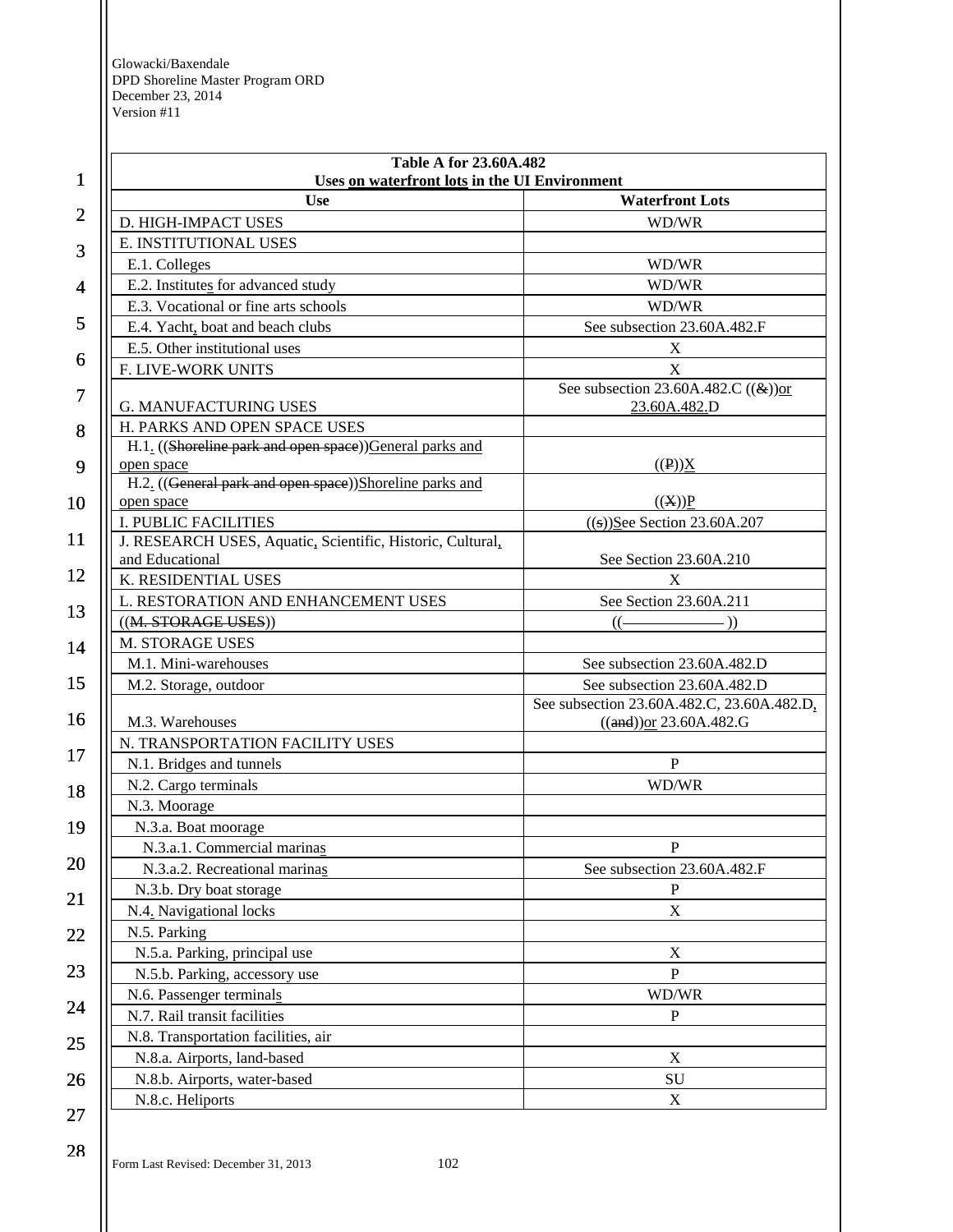| 1              | <b>Table A for 23.60A.482</b><br>Uses on waterfront lots in the UI Environment |                                                                           |
|----------------|--------------------------------------------------------------------------------|---------------------------------------------------------------------------|
|                | <b>Use</b>                                                                     | <b>Waterfront Lots</b>                                                    |
| $\overline{2}$ | D. HIGH-IMPACT USES                                                            | WD/WR                                                                     |
|                | E. INSTITUTIONAL USES                                                          |                                                                           |
| 3              | E.1. Colleges                                                                  | WD/WR                                                                     |
| $\overline{4}$ | E.2. Institutes for advanced study                                             | WD/WR                                                                     |
|                | E.3. Vocational or fine arts schools                                           | WD/WR                                                                     |
| 5              | E.4. Yacht, boat and beach clubs                                               | See subsection 23.60A.482.F                                               |
| 6              | E.5. Other institutional uses                                                  | $\mathbf X$                                                               |
|                | F. LIVE-WORK UNITS                                                             | X                                                                         |
|                |                                                                                | See subsection 23.60A.482.C $((\&))$ or                                   |
| 7              | <b>G. MANUFACTURING USES</b>                                                   | 23.60A.482.D                                                              |
| 8              | H. PARKS AND OPEN SPACE USES                                                   |                                                                           |
|                | H.1. ((Shoreline park and open space))General parks and                        |                                                                           |
| 9              | open space                                                                     | $((P))\underline{X}$                                                      |
|                | H.2. ((General park and open space))Shoreline parks and                        |                                                                           |
| 10             | open space                                                                     | ((X))P                                                                    |
| 11             | <b>I. PUBLIC FACILITIES</b>                                                    | $((s))$ See Section 23.60A.207                                            |
|                | J. RESEARCH USES, Aquatic, Scientific, Historic, Cultural,<br>and Educational  | See Section 23.60A.210                                                    |
| 12             | K. RESIDENTIAL USES                                                            | X                                                                         |
|                | L. RESTORATION AND ENHANCEMENT USES                                            | See Section 23.60A.211                                                    |
| 13             | ((M. STORAGE USES))                                                            | $(($ $\longrightarrow$                                                    |
|                | M. STORAGE USES                                                                |                                                                           |
| 14             | M.1. Mini-warehouses                                                           | See subsection 23.60A.482.D                                               |
| 15             |                                                                                |                                                                           |
|                | M.2. Storage, outdoor                                                          | See subsection 23.60A.482.D<br>See subsection 23.60A.482.C, 23.60A.482.D, |
| 16             | M.3. Warehouses                                                                | $((and))$ or 23.60A.482.G                                                 |
|                | N. TRANSPORTATION FACILITY USES                                                |                                                                           |
| 17             | N.1. Bridges and tunnels                                                       | $\, {\bf P}$                                                              |
|                | N.2. Cargo terminals                                                           | WD/WR                                                                     |
| 18             | N.3. Moorage                                                                   |                                                                           |
| 19             | N.3.a. Boat moorage                                                            |                                                                           |
|                | N.3.a.1. Commercial marinas                                                    | ${\bf P}$                                                                 |
| 20             | N.3.a.2. Recreational marinas                                                  | See subsection 23.60A.482.F                                               |
|                | N.3.b. Dry boat storage                                                        | $\mathbf P$                                                               |
| 21             | N.4. Navigational locks                                                        | $\boldsymbol{\mathrm{X}}$                                                 |
|                | N.5. Parking                                                                   |                                                                           |
| 22             | N.5.a. Parking, principal use                                                  | X                                                                         |
| 23             | N.5.b. Parking, accessory use                                                  | ${\bf P}$                                                                 |
|                | N.6. Passenger terminals                                                       | WD/WR                                                                     |
| 24             | N.7. Rail transit facilities                                                   | $\mathbf{P}$                                                              |
| 25             | N.8. Transportation facilities, air                                            |                                                                           |
|                | N.8.a. Airports, land-based                                                    | $\mathbf X$                                                               |
|                | N.8.b. Airports, water-based                                                   | SU                                                                        |
| 26             | N.8.c. Heliports                                                               |                                                                           |
| 27             |                                                                                | $\mathbf X$                                                               |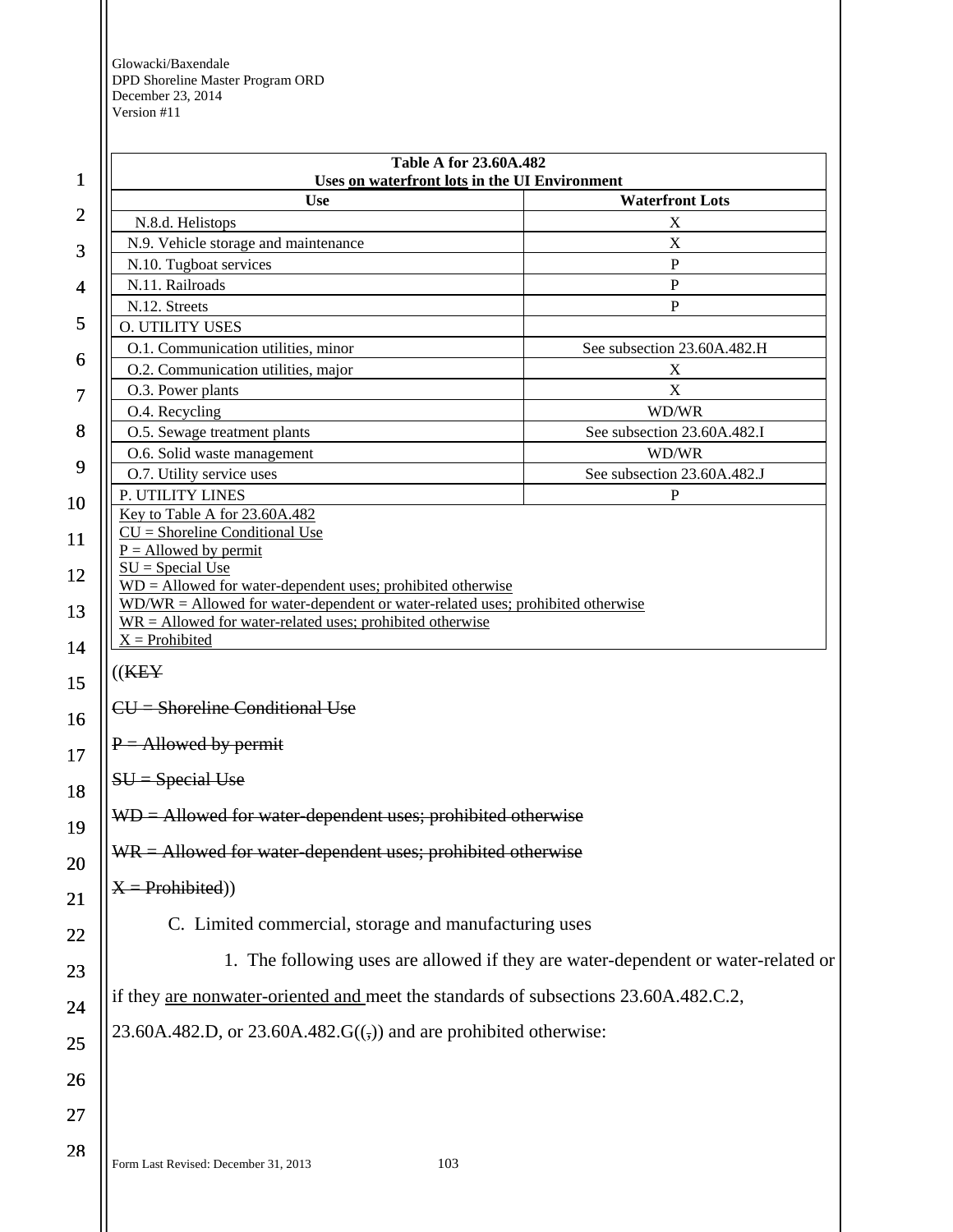Form Last Revised: December 31, 2013 103 1 2 3 4 5 6 7 8 9 10 11 12 13 14 15 16 17 18 19 20 21 22 23 24 25 26 27 28 **Table A for 23.60A.482 Uses on waterfront lots in the UI Environment Use Waterfront Lots**  N.8.d. Helistops X N.9. Vehicle storage and maintenance X N.10. Tugboat services P N.11. Railroads P N.12. Streets P O. UTILITY USES O.1. Communication utilities, minor See subsection 23.60A.482.H O.2. Communication utilities, major X O.3. Power plants X O.4. Recycling WD/WR O.5. Sewage treatment plants See subsection 23.60A.482.I O.6. Solid waste management WD/WR O.7. Utility service uses See subsection 23.60A.482.J P. UTILITY LINES P Key to Table A for 23.60A.482  $CU =$  Shoreline Conditional Use  $P =$  Allowed by permit  $SU = Special Use$ WD = Allowed for water-dependent uses; prohibited otherwise WD/WR = Allowed for water-dependent or water-related uses; prohibited otherwise  $WR =$  Allowed for water-related uses; prohibited otherwise  $X =$  Prohibited  $((KEY)$ CU = Shoreline Conditional Use  $P =$  Allowed by permit SU = Special Use WD = Allowed for water-dependent uses; prohibited otherwise  $WR =$  Allowed for water-dependent uses; prohibited otherwise  $X =$ Prohibited) C. Limited commercial, storage and manufacturing uses 1. The following uses are allowed if they are water-dependent or water-related or if they are nonwater-oriented and meet the standards of subsections 23.60A.482.C.2, 23.60A.482.D, or 23.60A.482. $G((\tau))$  and are prohibited otherwise: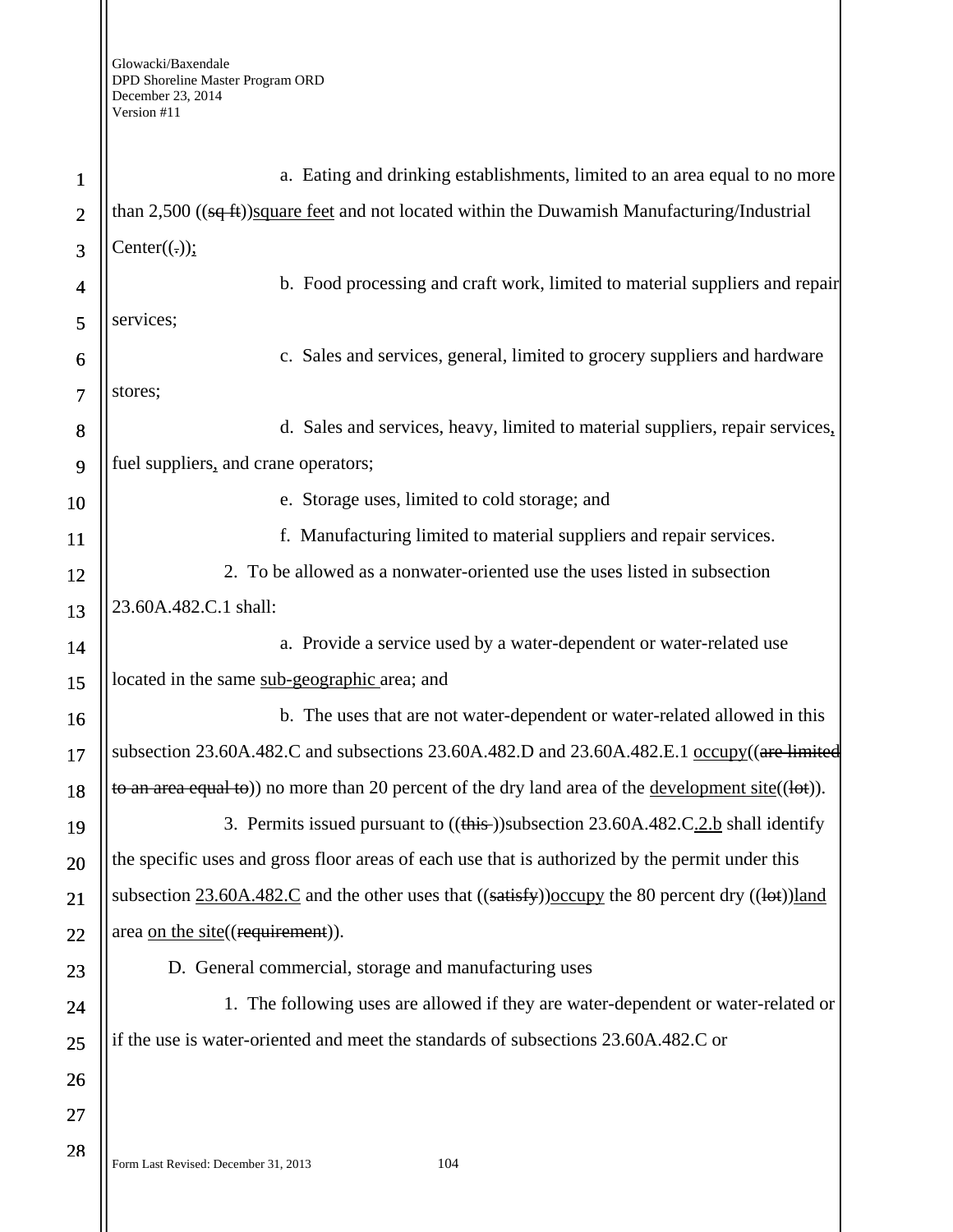| $\mathbf{1}$   | a. Eating and drinking establishments, limited to an area equal to no more                               |  |
|----------------|----------------------------------------------------------------------------------------------------------|--|
| $\overline{2}$ | than $2,500$ ((sq ft))square feet and not located within the Duwamish Manufacturing/Industrial           |  |
| 3              | Center(.));                                                                                              |  |
| $\overline{4}$ | b. Food processing and craft work, limited to material suppliers and repair                              |  |
| 5              | services;                                                                                                |  |
| 6              | c. Sales and services, general, limited to grocery suppliers and hardware                                |  |
| $\overline{7}$ | stores;                                                                                                  |  |
| 8              | d. Sales and services, heavy, limited to material suppliers, repair services,                            |  |
| 9              | fuel suppliers, and crane operators;                                                                     |  |
| 10             | e. Storage uses, limited to cold storage; and                                                            |  |
| 11             | f. Manufacturing limited to material suppliers and repair services.                                      |  |
| 12             | 2. To be allowed as a nonwater-oriented use the uses listed in subsection                                |  |
| 13             | 23.60A.482.C.1 shall:                                                                                    |  |
| 14             | a. Provide a service used by a water-dependent or water-related use                                      |  |
| 15             | located in the same sub-geographic area; and                                                             |  |
| 16             | b. The uses that are not water-dependent or water-related allowed in this                                |  |
| 17             | subsection 23.60A.482.C and subsections 23.60A.482.D and 23.60A.482.E.1 occupy ((are limited             |  |
| 18             | to an area equal to)) no more than 20 percent of the dry land area of the development site( $(lot)$ ).   |  |
| 19             | 3. Permits issued pursuant to ((this-))subsection 23.60A.482.C.2.b shall identify                        |  |
| 20             | the specific uses and gross floor areas of each use that is authorized by the permit under this          |  |
| 21             | subsection $23.60A.482.C$ and the other uses that $((satisfy))$ occupy the 80 percent dry $((let))$ land |  |
| 22             | area on the site((requirement)).                                                                         |  |
| 23             | D. General commercial, storage and manufacturing uses                                                    |  |
| 24             | 1. The following uses are allowed if they are water-dependent or water-related or                        |  |
| 25             | if the use is water-oriented and meet the standards of subsections 23.60A.482.C or                       |  |
| 26             |                                                                                                          |  |
| 27             |                                                                                                          |  |
| 28             | 104<br>Form Last Revised: December 31, 2013                                                              |  |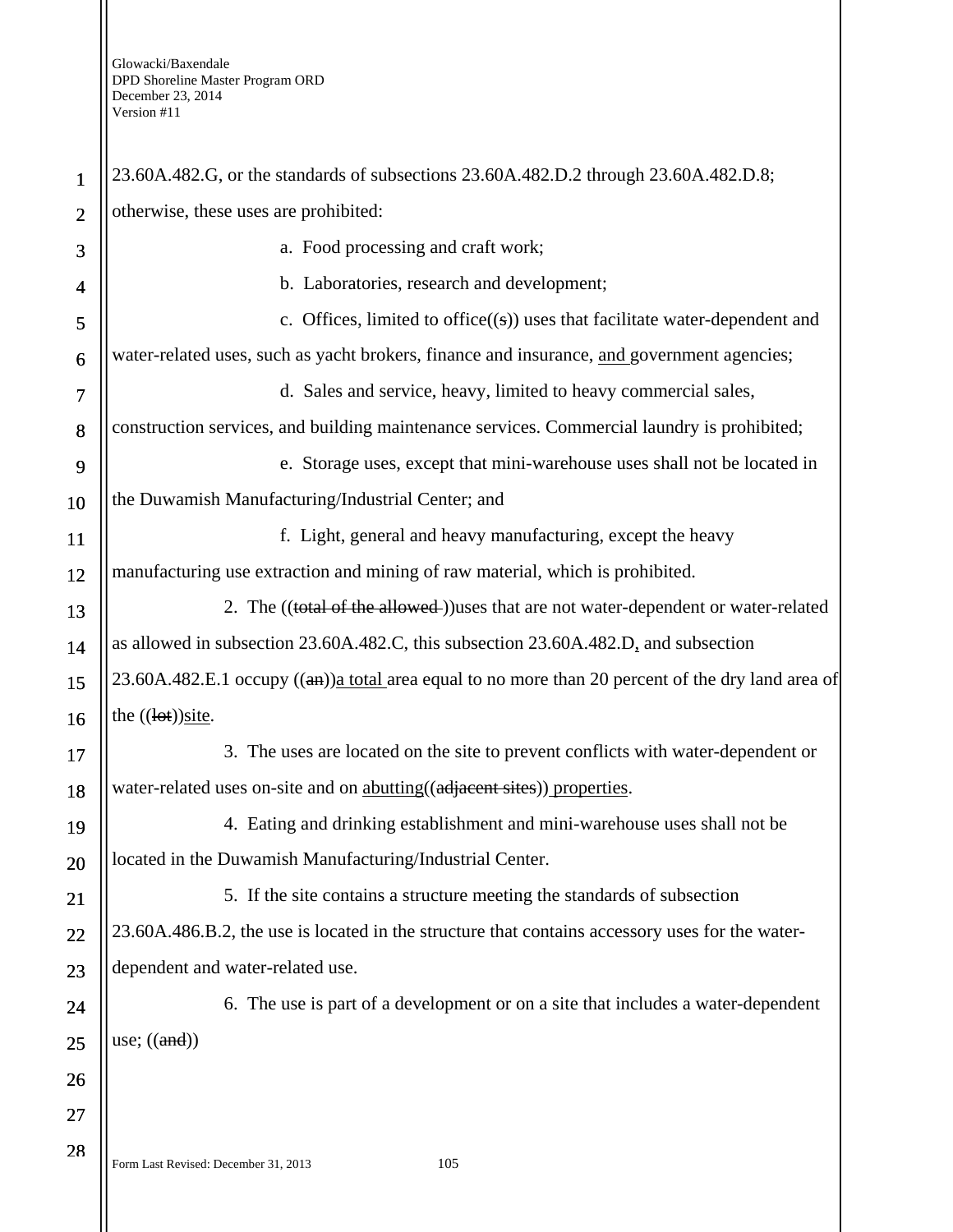| $\mathbf{1}$   | 23.60A.482.G, or the standards of subsections 23.60A.482.D.2 through 23.60A.482.D.8;              |  |
|----------------|---------------------------------------------------------------------------------------------------|--|
| $\overline{2}$ | otherwise, these uses are prohibited:                                                             |  |
| 3              | a. Food processing and craft work;                                                                |  |
| 4              | b. Laboratories, research and development;                                                        |  |
| 5              | c. Offices, limited to office $((s))$ uses that facilitate water-dependent and                    |  |
| 6              | water-related uses, such as yacht brokers, finance and insurance, and government agencies;        |  |
| $\tau$         | d. Sales and service, heavy, limited to heavy commercial sales,                                   |  |
| 8              | construction services, and building maintenance services. Commercial laundry is prohibited;       |  |
| 9              | e. Storage uses, except that mini-warehouse uses shall not be located in                          |  |
| 10             | the Duwamish Manufacturing/Industrial Center; and                                                 |  |
| 11             | f. Light, general and heavy manufacturing, except the heavy                                       |  |
| 12             | manufacturing use extraction and mining of raw material, which is prohibited.                     |  |
| 13             | 2. The ((total of the allowed-))uses that are not water-dependent or water-related                |  |
| 14             | as allowed in subsection 23.60A.482.C, this subsection 23.60A.482.D, and subsection               |  |
| 15             | 23.60A.482.E.1 occupy ((an))a total area equal to no more than 20 percent of the dry land area of |  |
| 16             | the $((let))$ site.                                                                               |  |
| 17             | 3. The uses are located on the site to prevent conflicts with water-dependent or                  |  |
| 18             | water-related uses on-site and on abutting((adjacent sites)) properties.                          |  |
| 19             | 4. Eating and drinking establishment and mini-warehouse uses shall not be                         |  |
| 20             | located in the Duwamish Manufacturing/Industrial Center.                                          |  |
| 21             | 5. If the site contains a structure meeting the standards of subsection                           |  |
| 22             | 23.60A.486.B.2, the use is located in the structure that contains accessory uses for the water-   |  |
| 23             | dependent and water-related use.                                                                  |  |
| 24             | 6. The use is part of a development or on a site that includes a water-dependent                  |  |
| 25             | use; $((and))$                                                                                    |  |
| 26             |                                                                                                   |  |
| 27             |                                                                                                   |  |
| 28             | 105<br>Form Last Revised: December 31, 2013                                                       |  |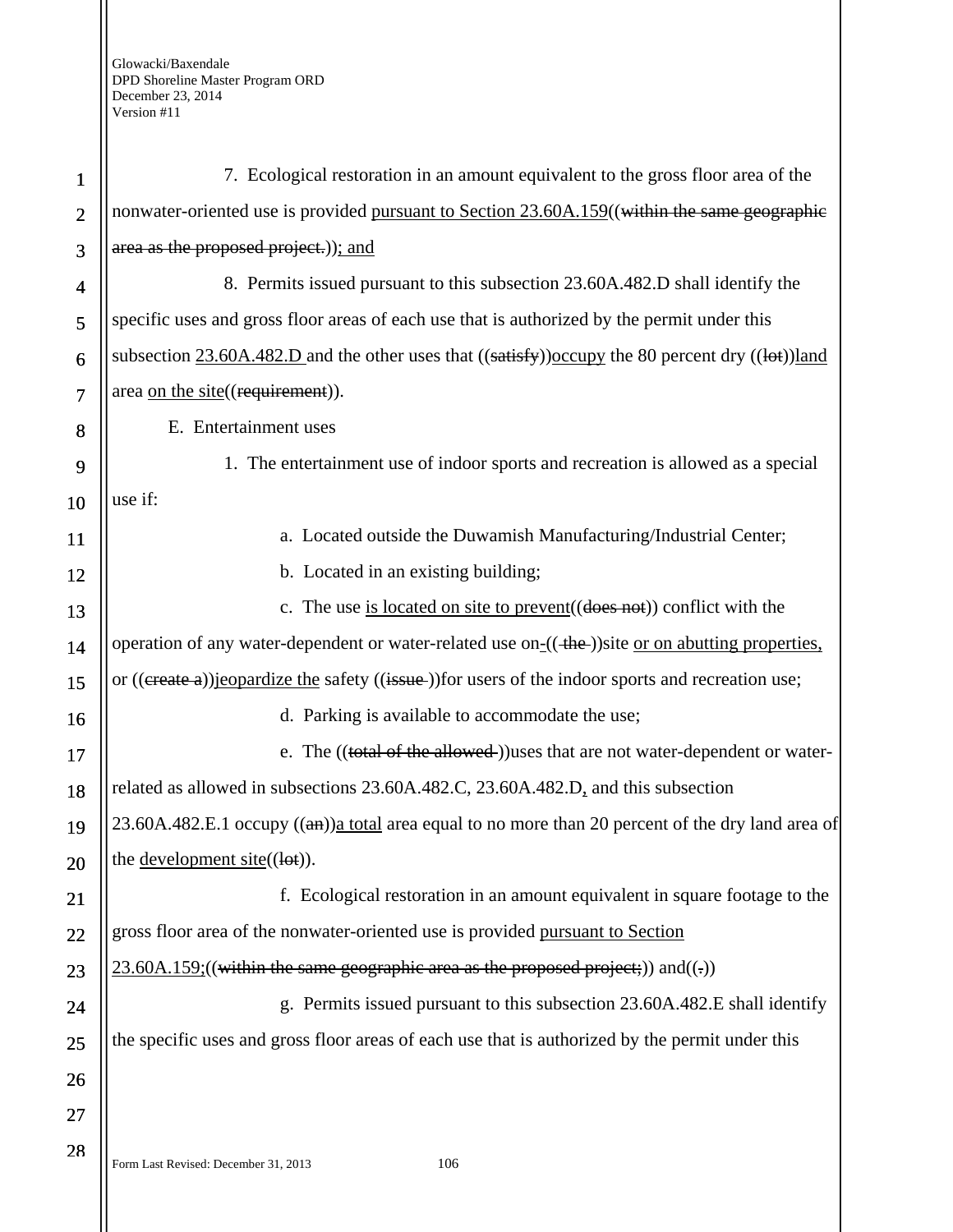| $\mathbf{1}$   | 7. Ecological restoration in an amount equivalent to the gross floor area of the                         |  |
|----------------|----------------------------------------------------------------------------------------------------------|--|
| $\overline{2}$ | nonwater-oriented use is provided pursuant to Section 23.60A.159((within the same geographic             |  |
| 3              | area as the proposed project.)); and                                                                     |  |
| 4              | 8. Permits issued pursuant to this subsection 23.60A.482.D shall identify the                            |  |
| 5              | specific uses and gross floor areas of each use that is authorized by the permit under this              |  |
| 6              | subsection $23.60A.482.D$ and the other uses that $((satisfy))$ occupy the 80 percent dry $((let))$ land |  |
| 7              | area on the site((requirement)).                                                                         |  |
| 8              | E. Entertainment uses                                                                                    |  |
| 9              | 1. The entertainment use of indoor sports and recreation is allowed as a special                         |  |
| 10             | use if:                                                                                                  |  |
| 11             | a. Located outside the Duwamish Manufacturing/Industrial Center;                                         |  |
| 12             | b. Located in an existing building;                                                                      |  |
| 13             | c. The use is located on site to prevent $((\text{does not}))$ conflict with the                         |  |
| 14             | operation of any water-dependent or water-related use on- $((+he))$ site or on abutting properties,      |  |
| 15             | or ((ereate a)) jeopardize the safety ((issue-)) for users of the indoor sports and recreation use;      |  |
| 16             | d. Parking is available to accommodate the use;                                                          |  |
| 17             | e. The ((total of the allowed)) uses that are not water-dependent or water-                              |  |
| 18             | related as allowed in subsections 23.60A.482.C, 23.60A.482.D, and this subsection                        |  |
| 19             | 23.60A.482.E.1 occupy $((a)$ a total area equal to no more than 20 percent of the dry land area of       |  |
| 20             | the <u>development</u> site( $(\text{let})$ ).                                                           |  |
| 21             | f. Ecological restoration in an amount equivalent in square footage to the                               |  |
| 22             | gross floor area of the nonwater-oriented use is provided pursuant to Section                            |  |
| 23             | $23.60A.159$ ;((within the same geographic area as the proposed project;)) and((-))                      |  |
| 24             | g. Permits issued pursuant to this subsection 23.60A.482.E shall identify                                |  |
| 25             | the specific uses and gross floor areas of each use that is authorized by the permit under this          |  |
| 26             |                                                                                                          |  |
| 27             |                                                                                                          |  |
| 28             | Form Last Revised: December 31, 2013<br>106                                                              |  |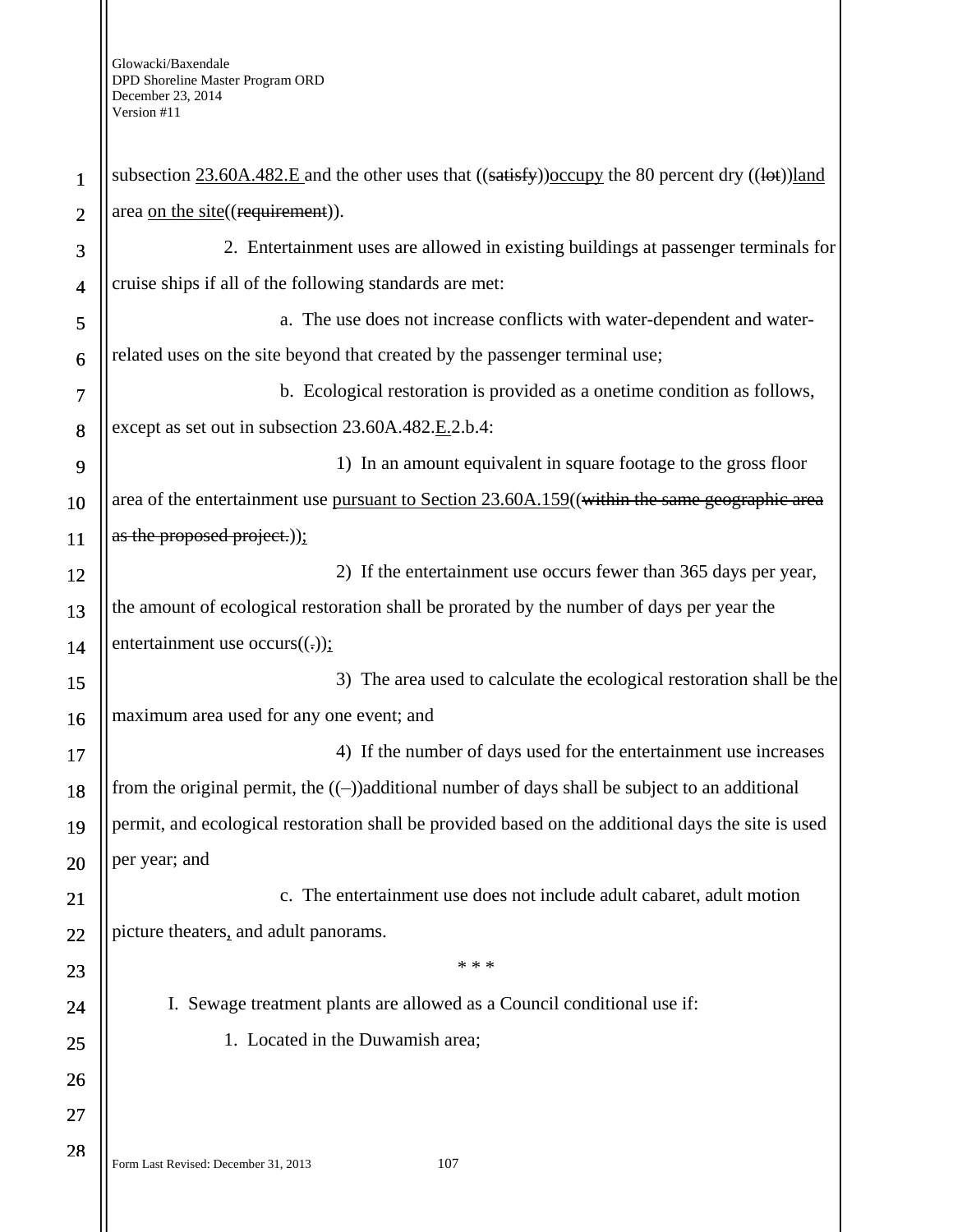| $\mathbf{1}$   | subsection $23.60A.482.E$ and the other uses that $((satisfy))$ occupy the 80 percent dry $((let))$ land |  |
|----------------|----------------------------------------------------------------------------------------------------------|--|
| $\overline{2}$ | area on the site((requirement)).                                                                         |  |
| 3              | 2. Entertainment uses are allowed in existing buildings at passenger terminals for                       |  |
| $\overline{4}$ | cruise ships if all of the following standards are met:                                                  |  |
| 5              | a. The use does not increase conflicts with water-dependent and water-                                   |  |
| 6              | related uses on the site beyond that created by the passenger terminal use;                              |  |
| 7              | b. Ecological restoration is provided as a onetime condition as follows,                                 |  |
| 8              | except as set out in subsection 23.60A.482.E.2.b.4:                                                      |  |
| 9              | 1) In an amount equivalent in square footage to the gross floor                                          |  |
| 10             | area of the entertainment use pursuant to Section 23.60A.159((within the same geographic area            |  |
| <b>11</b>      | as the proposed project.));                                                                              |  |
| 12             | 2) If the entertainment use occurs fewer than 365 days per year,                                         |  |
| 13             | the amount of ecological restoration shall be prorated by the number of days per year the                |  |
| 14             | entertainment use occurs( $(.))$ ;                                                                       |  |
| 15             | 3) The area used to calculate the ecological restoration shall be the                                    |  |
| 16             | maximum area used for any one event; and                                                                 |  |
| 17             | 4) If the number of days used for the entertainment use increases                                        |  |
| 18             | from the original permit, the $((-))$ additional number of days shall be subject to an additional        |  |
| 19             | permit, and ecological restoration shall be provided based on the additional days the site is used       |  |
| 20             | per year; and                                                                                            |  |
| 21             | c. The entertainment use does not include adult cabaret, adult motion                                    |  |
| 22             | picture theaters, and adult panorams.                                                                    |  |
| 23             | * * *                                                                                                    |  |
| 24             | I. Sewage treatment plants are allowed as a Council conditional use if:                                  |  |
| 25             | 1. Located in the Duwamish area;                                                                         |  |
| 26             |                                                                                                          |  |
| 27             |                                                                                                          |  |
| 28             | 107<br>Form Last Revised: December 31, 2013                                                              |  |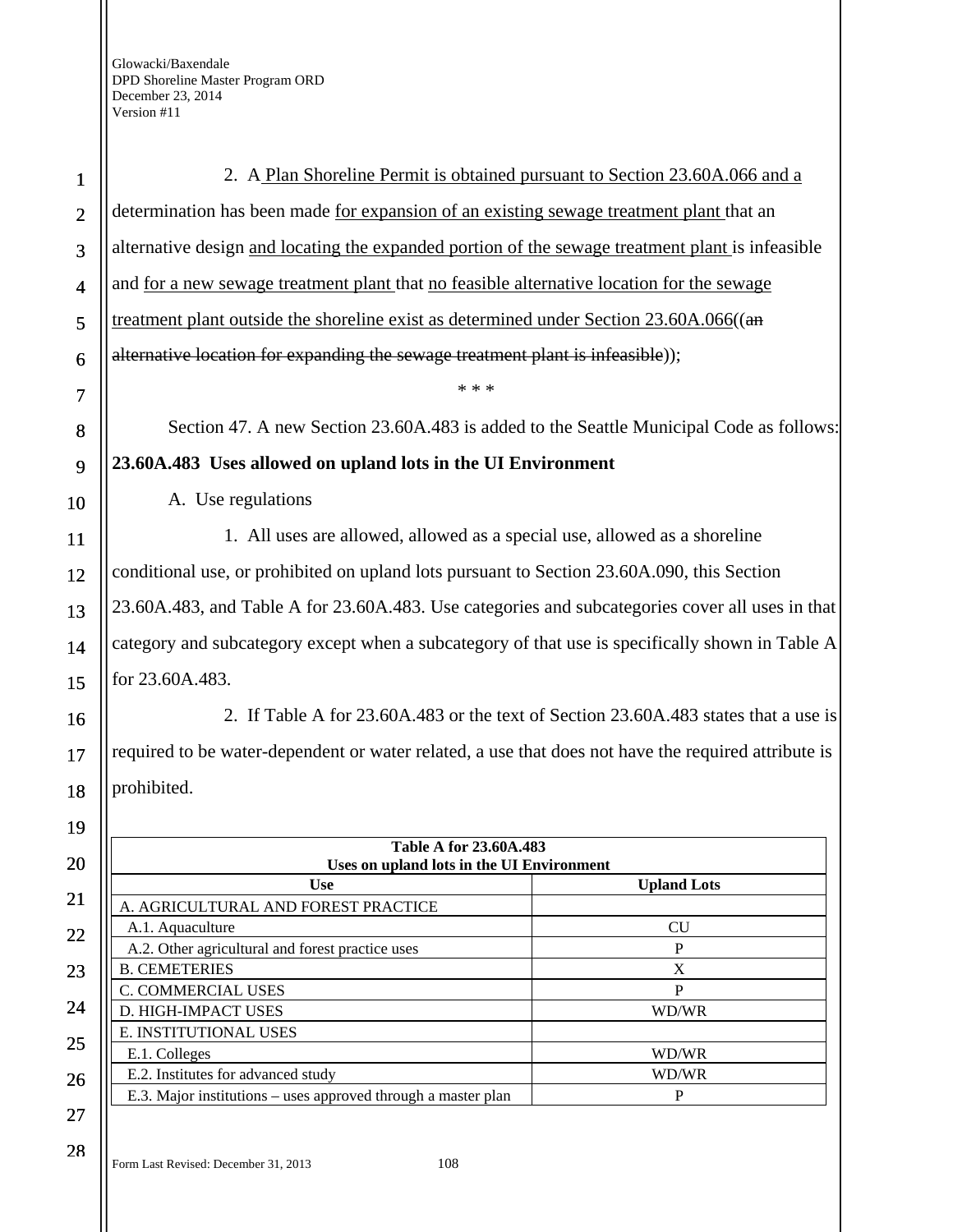| $\mathbf 1$             | 2. A Plan Shoreline Permit is obtained pursuant to Section 23.60A.066 and a                             |                    |
|-------------------------|---------------------------------------------------------------------------------------------------------|--------------------|
| $\overline{2}$          | determination has been made <u>for expansion of an existing sewage treatment plant</u> that an          |                    |
| 3                       | alternative design and locating the expanded portion of the sewage treatment plant is infeasible        |                    |
| $\overline{\mathbf{4}}$ | and <u>for a new sewage treatment plant</u> that <u>no feasible alternative location</u> for the sewage |                    |
| 5                       | treatment plant outside the shoreline exist as determined under Section 23.60A.066((an                  |                    |
| 6                       | alternative location for expanding the sewage treatment plant is infeasible));                          |                    |
| 7                       | * * *                                                                                                   |                    |
| 8                       | Section 47. A new Section 23.60A.483 is added to the Seattle Municipal Code as follows:                 |                    |
| 9                       | 23.60A.483 Uses allowed on upland lots in the UI Environment                                            |                    |
| 10                      | A. Use regulations                                                                                      |                    |
| 11                      | 1. All uses are allowed, allowed as a special use, allowed as a shoreline                               |                    |
| 12                      | conditional use, or prohibited on upland lots pursuant to Section 23.60A.090, this Section              |                    |
| 13                      | 23.60A.483, and Table A for 23.60A.483. Use categories and subcategories cover all uses in that         |                    |
| 14                      | category and subcategory except when a subcategory of that use is specifically shown in Table A         |                    |
| 15                      | for 23.60A.483.                                                                                         |                    |
|                         |                                                                                                         |                    |
| 16                      | 2. If Table A for 23.60A.483 or the text of Section 23.60A.483 states that a use is                     |                    |
| 17                      | required to be water-dependent or water related, a use that does not have the required attribute is     |                    |
| 18                      | prohibited.                                                                                             |                    |
| 19                      |                                                                                                         |                    |
| 20                      | Table A for 23.60A.483<br>Uses on upland lots in the UI Environment                                     |                    |
| 21                      | <b>Use</b>                                                                                              | <b>Upland Lots</b> |
|                         | A. AGRICULTURAL AND FOREST PRACTICE<br>A.1. Aquaculture                                                 | CU                 |
| 22                      | A.2. Other agricultural and forest practice uses                                                        | ${\bf P}$          |
| 23                      | <b>B. CEMETERIES</b>                                                                                    | $\mathbf X$        |
|                         | C. COMMERCIAL USES                                                                                      | $\mathbf P$        |
| 24                      | D. HIGH-IMPACT USES                                                                                     | WD/WR              |
| 25                      | E. INSTITUTIONAL USES<br>E.1. Colleges                                                                  | WD/WR              |
|                         | E.2. Institutes for advanced study                                                                      | WD/WR              |
| 26                      | E.3. Major institutions – uses approved through a master plan                                           | $\mathbf{P}$       |
| 27                      |                                                                                                         |                    |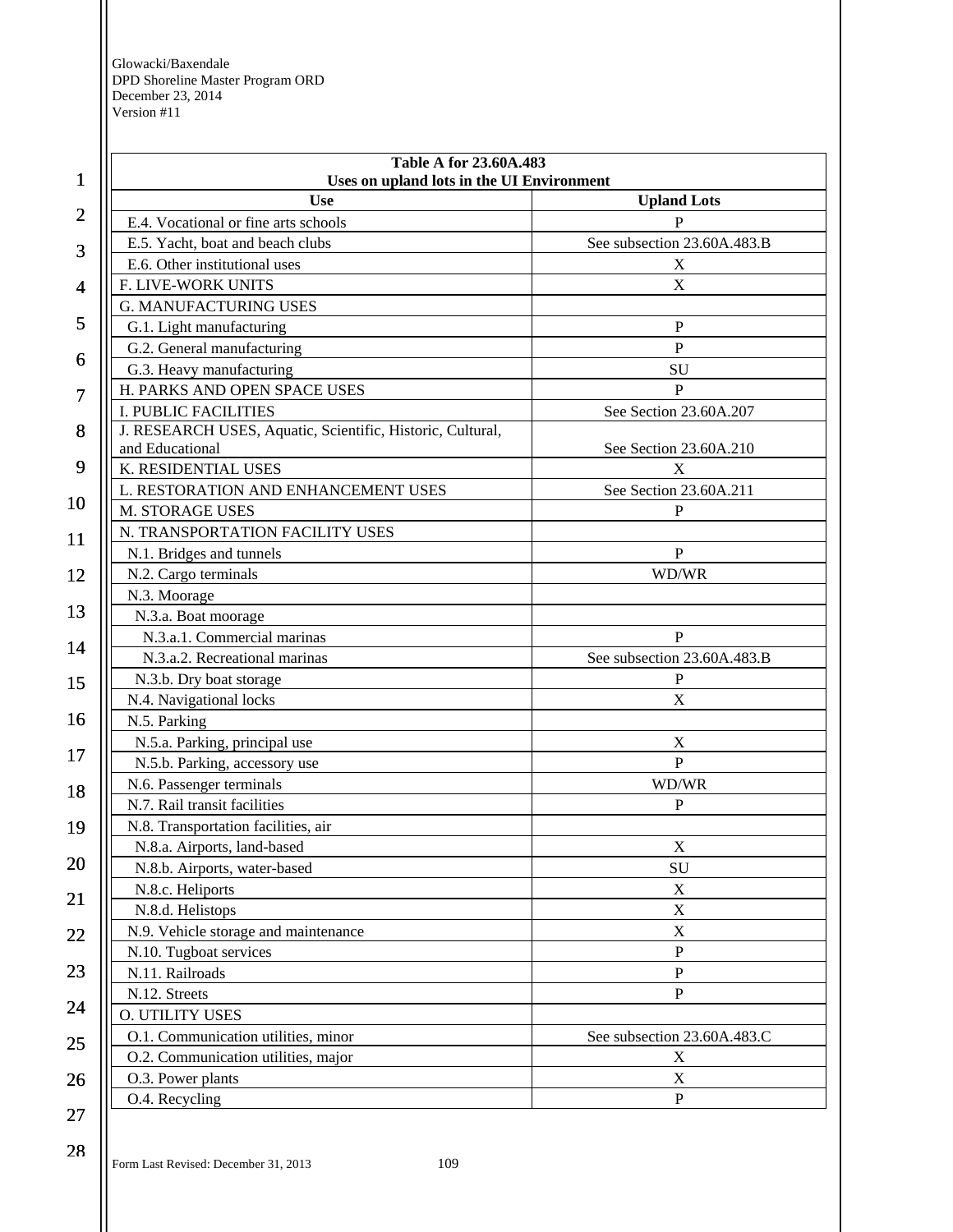| 1  | Table A for 23.60A.483<br>Uses on upland lots in the UI Environment           |                             |
|----|-------------------------------------------------------------------------------|-----------------------------|
|    | <b>Use</b>                                                                    | <b>Upland Lots</b>          |
| 2  | E.4. Vocational or fine arts schools                                          | P                           |
|    | E.5. Yacht, boat and beach clubs                                              | See subsection 23.60A.483.B |
| 3  | E.6. Other institutional uses                                                 | X                           |
| 4  | F. LIVE-WORK UNITS                                                            | $\mathbf X$                 |
|    | <b>G. MANUFACTURING USES</b>                                                  |                             |
| 5  | G.1. Light manufacturing                                                      | $\mathbf P$                 |
|    | G.2. General manufacturing                                                    | $\mathbf{P}$                |
| 6  | G.3. Heavy manufacturing                                                      | SU                          |
| 7  | H. PARKS AND OPEN SPACE USES                                                  | $\mathbf{P}$                |
|    | <b>I. PUBLIC FACILITIES</b>                                                   | See Section 23.60A.207      |
| 8  | J. RESEARCH USES, Aquatic, Scientific, Historic, Cultural,<br>and Educational | See Section 23.60A.210      |
| 9  | K. RESIDENTIAL USES                                                           | X                           |
|    | L. RESTORATION AND ENHANCEMENT USES                                           | See Section 23.60A.211      |
| 10 | M. STORAGE USES                                                               | P                           |
| 11 | N. TRANSPORTATION FACILITY USES                                               |                             |
|    | N.1. Bridges and tunnels                                                      | $\, {\bf P}$                |
| 12 | N.2. Cargo terminals                                                          | WD/WR                       |
|    | N.3. Moorage                                                                  |                             |
| 13 | N.3.a. Boat moorage                                                           |                             |
| 14 | N.3.a.1. Commercial marinas                                                   | $\mathbf{P}$                |
|    | N.3.a.2. Recreational marinas                                                 | See subsection 23.60A.483.B |
| 15 | N.3.b. Dry boat storage                                                       | P                           |
|    | N.4. Navigational locks                                                       | $\mathbf X$                 |
| 16 | N.5. Parking                                                                  |                             |
|    | N.5.a. Parking, principal use                                                 | $\boldsymbol{X}$            |
| 17 | N.5.b. Parking, accessory use                                                 | $\mathbf{P}$                |
| 18 | N.6. Passenger terminals                                                      | WD/WR                       |
|    | N.7. Rail transit facilities                                                  | $\mathbf{P}$                |
| 19 | N.8. Transportation facilities, air                                           |                             |
|    | N.8.a. Airports, land-based                                                   | $\mathbf X$                 |
| 20 | N.8.b. Airports, water-based                                                  | SU                          |
|    | N.8.c. Heliports                                                              | $\mathbf X$                 |
| 21 | N.8.d. Helistops                                                              | $\mathbf X$                 |
| 22 | N.9. Vehicle storage and maintenance                                          | $\mathbf X$                 |
|    | N.10. Tugboat services                                                        | P                           |
| 23 | N.11. Railroads                                                               | ${\bf P}$                   |
|    | N.12. Streets                                                                 | P                           |
| 24 | <b>O. UTILITY USES</b>                                                        |                             |
|    | O.1. Communication utilities, minor                                           | See subsection 23.60A.483.C |
| 25 | O.2. Communication utilities, major                                           | X                           |
| 26 | O.3. Power plants                                                             | $\mathbf X$                 |
|    | O.4. Recycling                                                                | $\mathbf{P}$                |
| 27 |                                                                               |                             |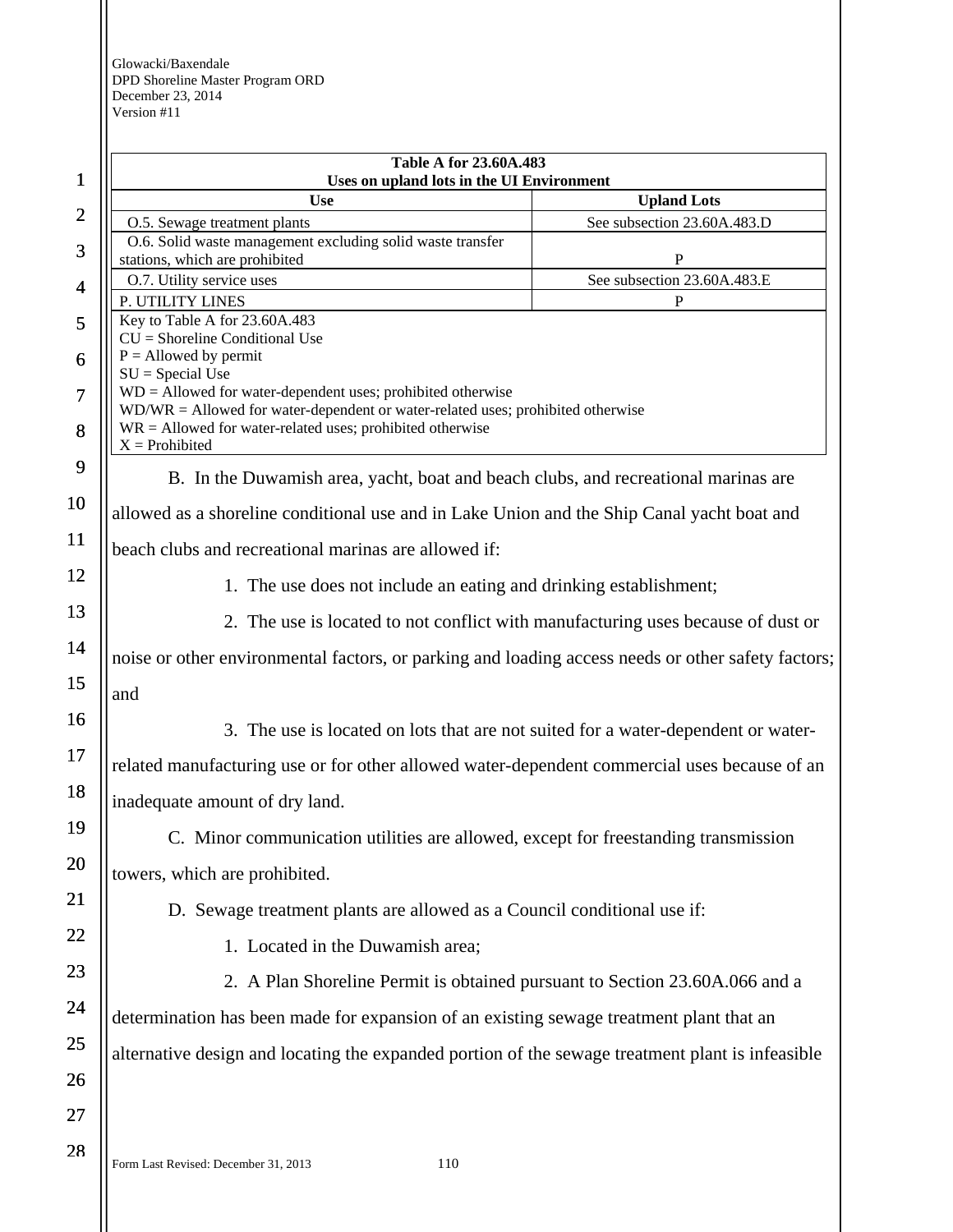| $\mathbf{1}$   | <b>Table A for 23.60A.483</b><br>Uses on upland lots in the UI Environment                         |                             |
|----------------|----------------------------------------------------------------------------------------------------|-----------------------------|
|                | <b>Use</b>                                                                                         | <b>Upland Lots</b>          |
| $\overline{2}$ | O.5. Sewage treatment plants                                                                       | See subsection 23.60A.483.D |
| 3              | O.6. Solid waste management excluding solid waste transfer<br>stations, which are prohibited       | $\mathbf P$                 |
| $\overline{4}$ | O.7. Utility service uses                                                                          | See subsection 23.60A.483.E |
|                | P. UTILITY LINES                                                                                   | P                           |
| 5              | Key to Table A for 23.60A.483<br>$CU =$ Shoreline Conditional Use                                  |                             |
| 6              | $P =$ Allowed by permit                                                                            |                             |
|                | $SU = Special Use$<br>$WD =$ Allowed for water-dependent uses; prohibited otherwise                |                             |
| $\overline{7}$ | $WD/WR =$ Allowed for water-dependent or water-related uses; prohibited otherwise                  |                             |
| 8              | $WR =$ Allowed for water-related uses; prohibited otherwise<br>$X =$ Prohibited                    |                             |
| 9              |                                                                                                    |                             |
|                | B. In the Duwamish area, yacht, boat and beach clubs, and recreational marinas are                 |                             |
| 10             | allowed as a shoreline conditional use and in Lake Union and the Ship Canal yacht boat and         |                             |
| 11             | beach clubs and recreational marinas are allowed if:                                               |                             |
| 12             | 1. The use does not include an eating and drinking establishment;                                  |                             |
| 13             | 2. The use is located to not conflict with manufacturing uses because of dust or                   |                             |
| 14             | noise or other environmental factors, or parking and loading access needs or other safety factors; |                             |
| 15             | and                                                                                                |                             |
| 16             | 3. The use is located on lots that are not suited for a water-dependent or water-                  |                             |
| 17             | related manufacturing use or for other allowed water-dependent commercial uses because of an       |                             |
| 18             | inadequate amount of dry land.                                                                     |                             |
| 19             | C. Minor communication utilities are allowed, except for freestanding transmission                 |                             |
| 20             | towers, which are prohibited.                                                                      |                             |
| 21             | D. Sewage treatment plants are allowed as a Council conditional use if:                            |                             |
| 22             | 1. Located in the Duwamish area;                                                                   |                             |
| 23             | 2. A Plan Shoreline Permit is obtained pursuant to Section 23.60A.066 and a                        |                             |
| 24             | determination has been made for expansion of an existing sewage treatment plant that an            |                             |
| 25             |                                                                                                    |                             |
|                | alternative design and locating the expanded portion of the sewage treatment plant is infeasible   |                             |
| 26             |                                                                                                    |                             |
| 27             |                                                                                                    |                             |
| 28             | 110<br>Form Last Revised: December 31, 2013                                                        |                             |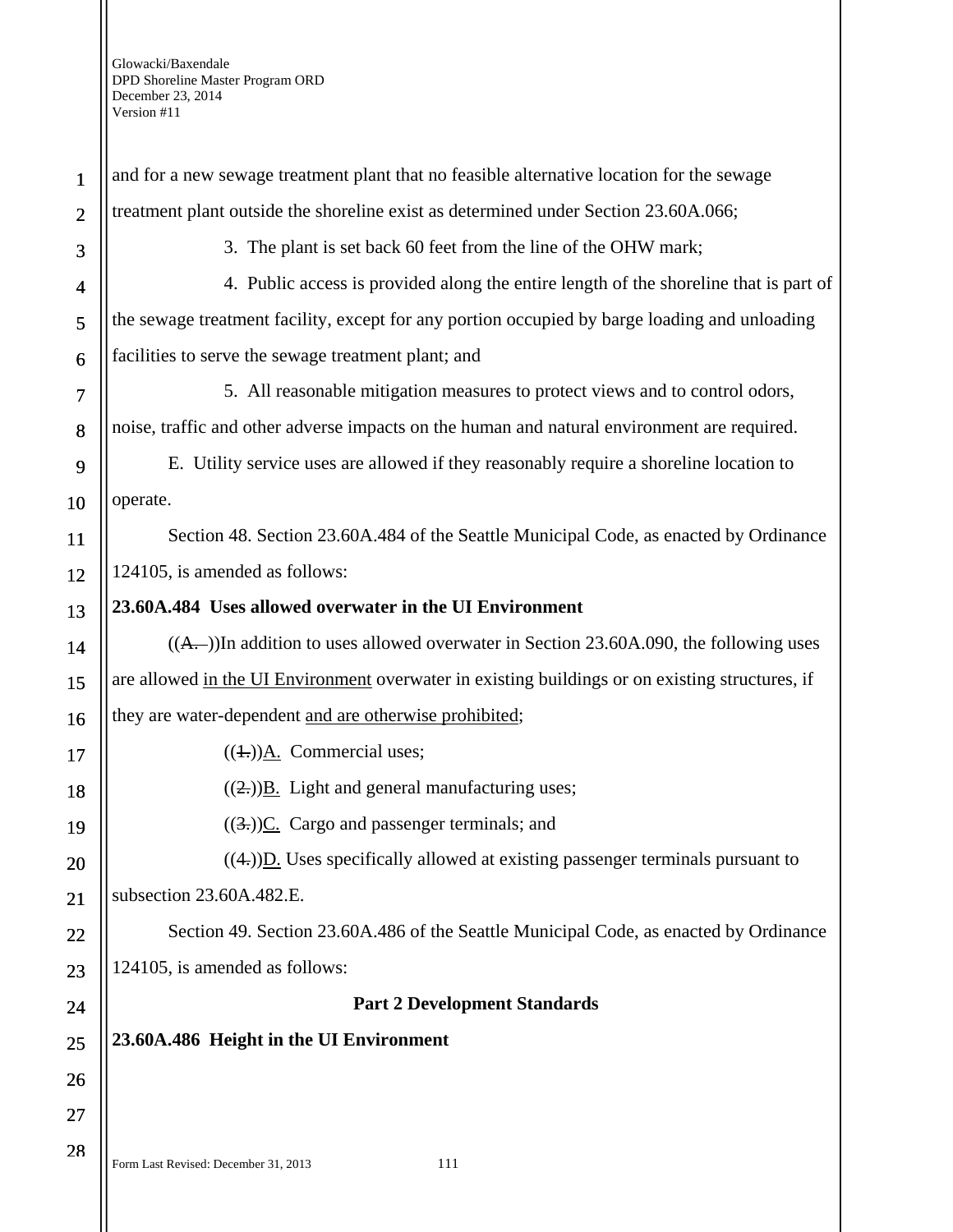1 2 3 4 5 6 7 8 9 10 11 12 13 14 15 16 17 18 19 20 21 22 23 24 25 26 27 28 and for a new sewage treatment plant that no feasible alternative location for the sewage treatment plant outside the shoreline exist as determined under Section 23.60A.066; 3. The plant is set back 60 feet from the line of the OHW mark; 4. Public access is provided along the entire length of the shoreline that is part of the sewage treatment facility, except for any portion occupied by barge loading and unloading facilities to serve the sewage treatment plant; and 5. All reasonable mitigation measures to protect views and to control odors, noise, traffic and other adverse impacts on the human and natural environment are required. E. Utility service uses are allowed if they reasonably require a shoreline location to operate. Section 48. Section 23.60A.484 of the Seattle Municipal Code, as enacted by Ordinance 124105, is amended as follows: **23.60A.484 Uses allowed overwater in the UI Environment**   $((A, -))$ In addition to uses allowed overwater in Section 23.60A.090, the following uses are allowed in the UI Environment overwater in existing buildings or on existing structures, if they are water-dependent and are otherwise prohibited;  $((\text{+}))$ A. Commercial uses;  $((2))$ B. Light and general manufacturing uses;  $((3))$ C. Cargo and passenger terminals; and  $((4))$ D. Uses specifically allowed at existing passenger terminals pursuant to subsection 23.60A.482.E. Section 49. Section 23.60A.486 of the Seattle Municipal Code, as enacted by Ordinance 124105, is amended as follows: **Part 2 Development Standards 23.60A.486 Height in the UI Environment** 

Form Last Revised: December 31, 2013 111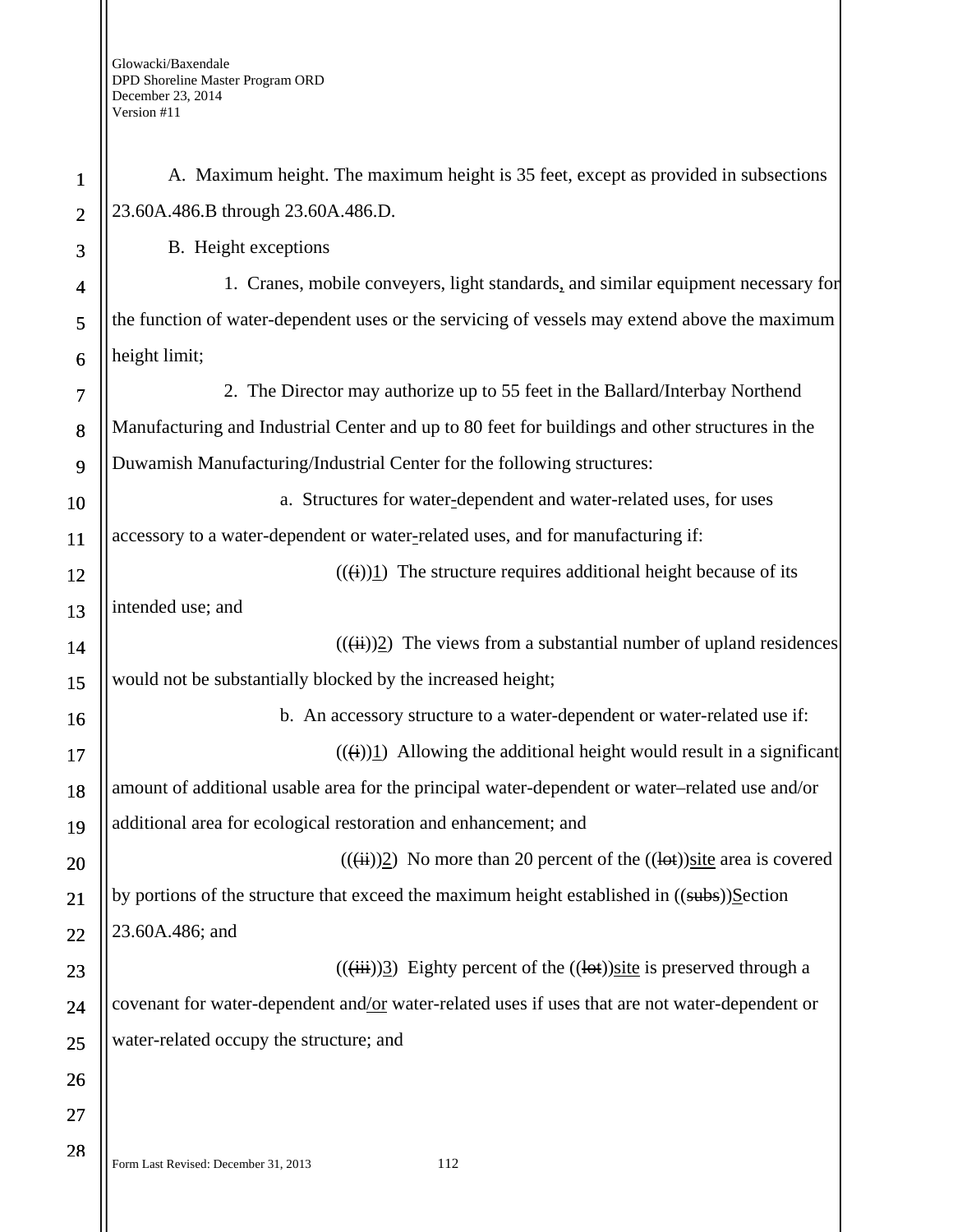| $\mathbf{1}$   | A. Maximum height. The maximum height is 35 feet, except as provided in subsections                                    |
|----------------|------------------------------------------------------------------------------------------------------------------------|
| $\overline{2}$ | 23.60A.486.B through 23.60A.486.D.                                                                                     |
| 3              | B. Height exceptions                                                                                                   |
| 4              | 1. Cranes, mobile conveyers, light standards, and similar equipment necessary for                                      |
| 5              | the function of water-dependent uses or the servicing of vessels may extend above the maximum                          |
| 6              | height limit;                                                                                                          |
| 7              | 2. The Director may authorize up to 55 feet in the Ballard/Interbay Northend                                           |
| 8              | Manufacturing and Industrial Center and up to 80 feet for buildings and other structures in the                        |
| 9              | Duwamish Manufacturing/Industrial Center for the following structures:                                                 |
| 10             | a. Structures for water-dependent and water-related uses, for uses                                                     |
| 11             | accessory to a water-dependent or water-related uses, and for manufacturing if:                                        |
| 12             | $((\text{ii})1)$ The structure requires additional height because of its                                               |
| 13             | intended use; and                                                                                                      |
| 14             | $((\ddot{\mathbf{u}}))\underline{2}$ ) The views from a substantial number of upland residences                        |
| 15             | would not be substantially blocked by the increased height;                                                            |
| 16             | b. An accessory structure to a water-dependent or water-related use if:                                                |
| 17             | $((\text{H})\text{H})$ Allowing the additional height would result in a significant                                    |
| 18             | amount of additional usable area for the principal water-dependent or water-related use and/or                         |
| 19             | additional area for ecological restoration and enhancement; and                                                        |
| 20             | $((\overrightarrow{ii}))\overline{2}$ ) No more than 20 percent of the $((\overrightarrow{tot}))$ site area is covered |
| 21             | by portions of the structure that exceed the maximum height established in ((subs))Section                             |
| 22             | 23.60A.486; and                                                                                                        |
| 23             | $((\ddot{iii}))\ddot{3})$ Eighty percent of the $((\dot{b}t))$ site is preserved through a                             |
| 24             | covenant for water-dependent and/or water-related uses if uses that are not water-dependent or                         |
| 25             | water-related occupy the structure; and                                                                                |
| 26             |                                                                                                                        |
| 27             |                                                                                                                        |
| 28             |                                                                                                                        |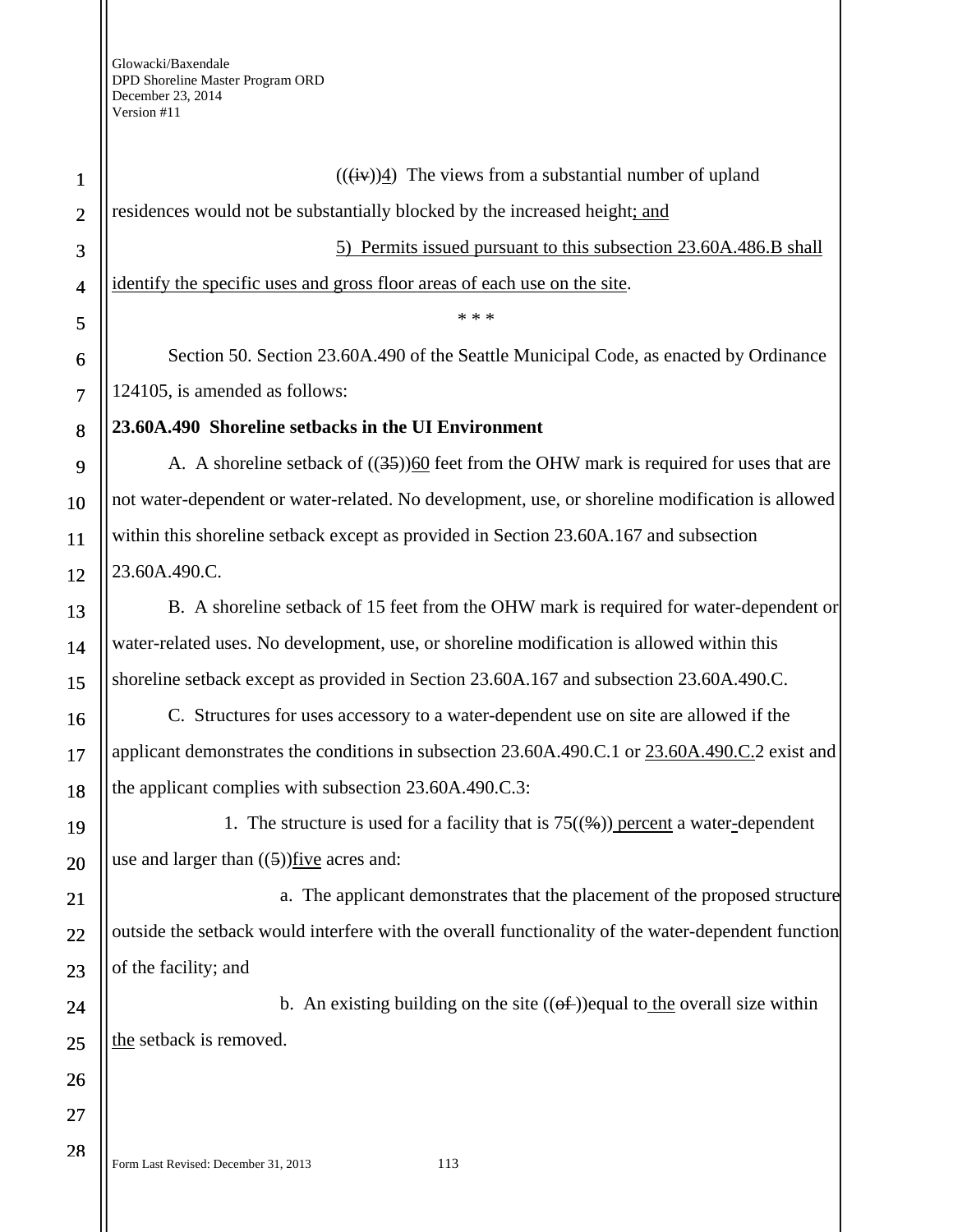Form Last Revised: December 31, 2013 113 1 2 3 4 5 6 7 8 9 10 11 12 13 14 15 16 17 18 19 20 21 22 23 24 25 26 27 28  $((\overleftrightarrow{iv}))$ 4) The views from a substantial number of upland residences would not be substantially blocked by the increased height; and 5) Permits issued pursuant to this subsection 23.60A.486.B shall identify the specific uses and gross floor areas of each use on the site. \* \* \* Section 50. Section 23.60A.490 of the Seattle Municipal Code, as enacted by Ordinance 124105, is amended as follows: **23.60A.490 Shoreline setbacks in the UI Environment**  A. A shoreline setback of  $((35))$ 60 feet from the OHW mark is required for uses that are not water-dependent or water-related. No development, use, or shoreline modification is allowed within this shoreline setback except as provided in Section 23.60A.167 and subsection 23.60A.490.C. B. A shoreline setback of 15 feet from the OHW mark is required for water-dependent or water-related uses. No development, use, or shoreline modification is allowed within this shoreline setback except as provided in Section 23.60A.167 and subsection 23.60A.490.C. C. Structures for uses accessory to a water-dependent use on site are allowed if the applicant demonstrates the conditions in subsection 23.60A.490.C.1 or 23.60A.490.C.2 exist and the applicant complies with subsection 23.60A.490.C.3: 1. The structure is used for a facility that is  $75(\frac{4}{2})$  percent a water-dependent use and larger than  $((5))$  five acres and: a. The applicant demonstrates that the placement of the proposed structure outside the setback would interfere with the overall functionality of the water-dependent function of the facility; and b. An existing building on the site  $((\theta \hat{f}))$  equal to the overall size within the setback is removed.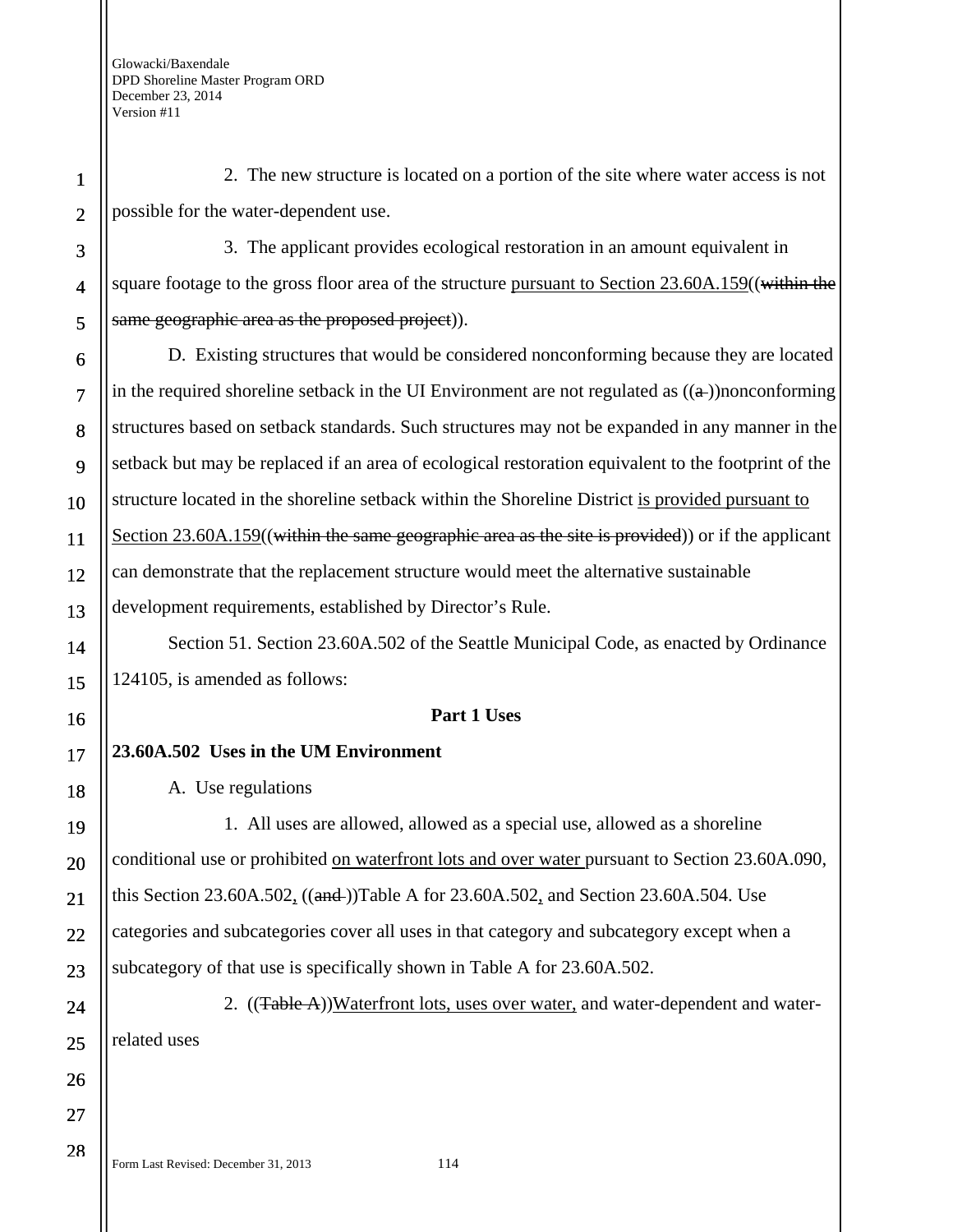1

2

3

4

5

6

7

8

9

10

11

12

13

14

15

16

17

18

19

20

21

22

23

24

25

26

27

28

2. The new structure is located on a portion of the site where water access is not possible for the water-dependent use.

3. The applicant provides ecological restoration in an amount equivalent in square footage to the gross floor area of the structure pursuant to Section 23.60A.159((within the same geographic area as the proposed project).

D. Existing structures that would be considered nonconforming because they are located in the required shoreline setback in the UI Environment are not regulated as  $((a))$ nonconforming structures based on setback standards. Such structures may not be expanded in any manner in the setback but may be replaced if an area of ecological restoration equivalent to the footprint of the structure located in the shoreline setback within the Shoreline District is provided pursuant to Section 23.60A.159((within the same geographic area as the site is provided)) or if the applicant can demonstrate that the replacement structure would meet the alternative sustainable development requirements, established by Director's Rule.

Section 51. Section 23.60A.502 of the Seattle Municipal Code, as enacted by Ordinance 124105, is amended as follows:

### **Part 1 Uses**

### **23.60A.502 Uses in the UM Environment**

A. Use regulations

1. All uses are allowed, allowed as a special use, allowed as a shoreline conditional use or prohibited on waterfront lots and over water pursuant to Section 23.60A.090, this Section 23.60A.502,  $((\text{and}$ )Table A for 23.60A.502, and Section 23.60A.504. Use categories and subcategories cover all uses in that category and subcategory except when a subcategory of that use is specifically shown in Table A for 23.60A.502.

2. ((Table A))Waterfront lots, uses over water, and water-dependent and waterrelated uses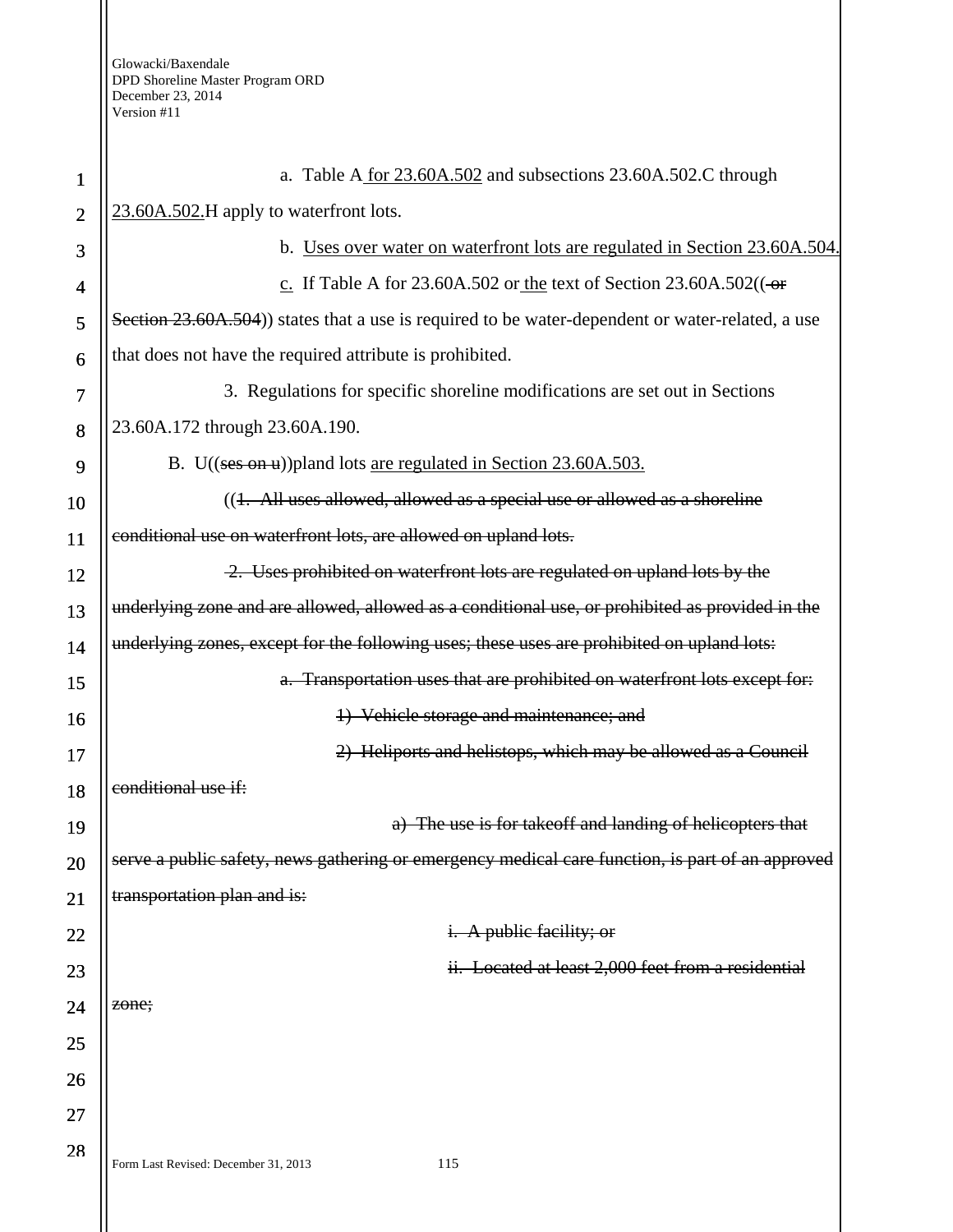| $\mathbf{1}$   | a. Table A for 23.60A.502 and subsections 23.60A.502.C through                                   |  |
|----------------|--------------------------------------------------------------------------------------------------|--|
| $\overline{2}$ | 23.60A.502.H apply to waterfront lots.                                                           |  |
| 3              | b. Uses over water on waterfront lots are regulated in Section 23.60A.504.                       |  |
| 4              | c. If Table A for 23.60A.502 or the text of Section 23.60A.502( $\left(-\right)$                 |  |
| 5              | Section 23.60A.504) states that a use is required to be water-dependent or water-related, a use  |  |
| 6              | that does not have the required attribute is prohibited.                                         |  |
| 7              | 3. Regulations for specific shoreline modifications are set out in Sections                      |  |
| 8              | 23.60A.172 through 23.60A.190.                                                                   |  |
| 9              | B. U((ses on u)) pland lots are regulated in Section 23.60A.503.                                 |  |
| 10             | ((1. All uses allowed, allowed as a special use or allowed as a shoreline                        |  |
| 11             | conditional use on waterfront lots, are allowed on upland lots.                                  |  |
| 12             | 2. Uses prohibited on waterfront lots are regulated on upland lots by the                        |  |
| 13             | underlying zone and are allowed, allowed as a conditional use, or prohibited as provided in the  |  |
| 14             | underlying zones, except for the following uses; these uses are prohibited on upland lots:       |  |
| 15             | a. Transportation uses that are prohibited on waterfront lots except for:                        |  |
| 16             | 1) Vehicle storage and maintenance; and                                                          |  |
| 17             | 2) Heliports and helistops, which may be allowed as a Council                                    |  |
| 18             | conditional use if:                                                                              |  |
| 19             | a) The use is for takeoff and landing of helicopters that                                        |  |
| 20             | serve a public safety, news gathering or emergency medical care function, is part of an approved |  |
| 21             | transportation plan and is:                                                                      |  |
| 22             | <i>i.</i> A public facility; or                                                                  |  |
| 23             | ii. Located at least 2,000 feet from a residential                                               |  |
| 24             | zone;                                                                                            |  |
| 25             |                                                                                                  |  |
| 26             |                                                                                                  |  |
| 27             |                                                                                                  |  |
| 28             | 115<br>Form Last Revised: December 31, 2013                                                      |  |
|                |                                                                                                  |  |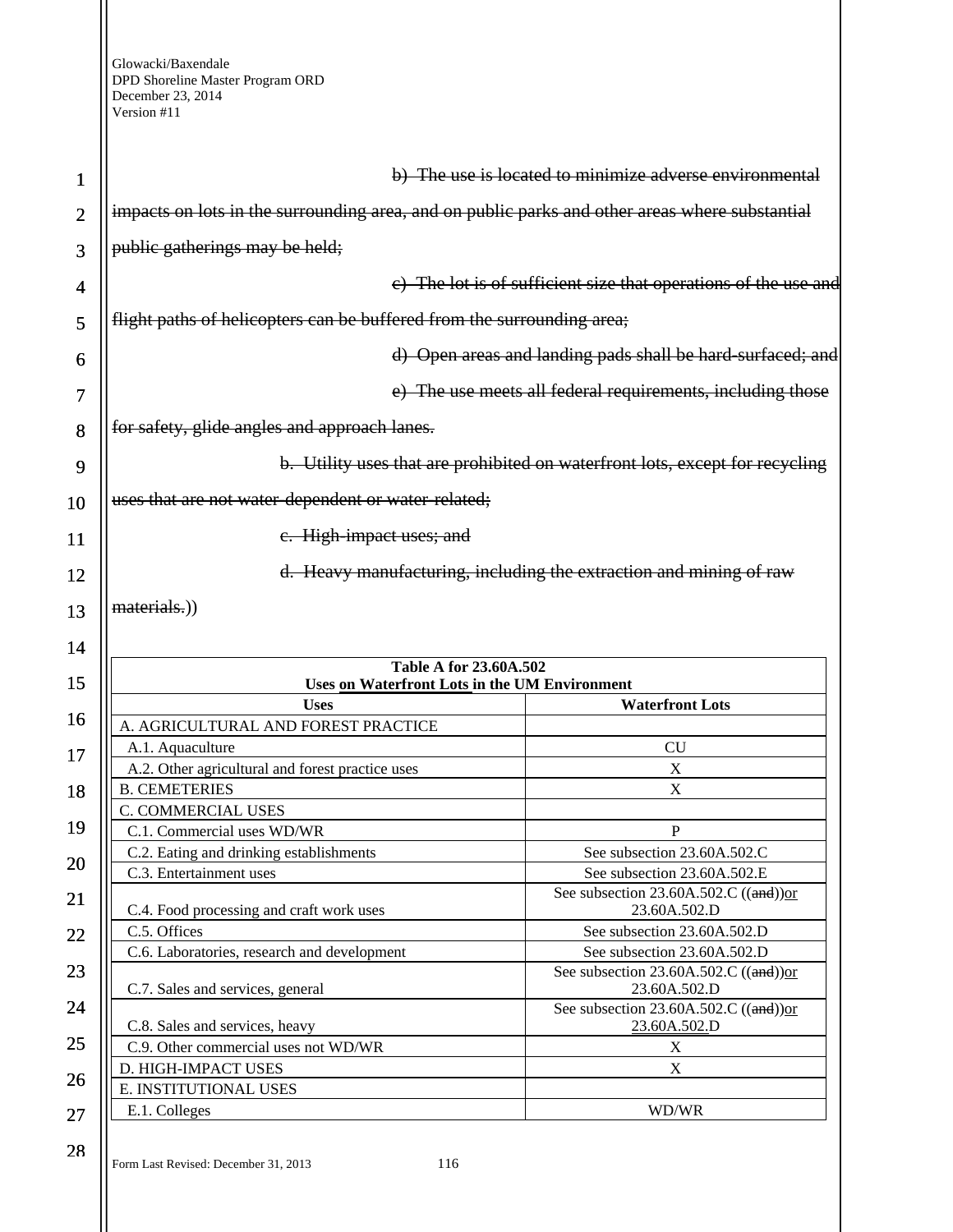| 1              |                                                                                                | b) The use is located to minimize adverse environmental                      |
|----------------|------------------------------------------------------------------------------------------------|------------------------------------------------------------------------------|
|                | impacts on lots in the surrounding area, and on public parks and other areas where substantial |                                                                              |
| $\overline{2}$ |                                                                                                |                                                                              |
| 3              | public gatherings may be held;                                                                 |                                                                              |
| 4              |                                                                                                | e) The lot is of sufficient size that operations of the use and              |
| 5              | flight paths of helicopters can be buffered from the surrounding area;                         |                                                                              |
| 6              |                                                                                                | d) Open areas and landing pads shall be hard-surfaced; and                   |
| 7              |                                                                                                | e) The use meets all federal requirements, including those                   |
| 8              | for safety, glide angles and approach lanes.                                                   |                                                                              |
| 9              |                                                                                                | b. Utility uses that are prohibited on waterfront lots, except for recycling |
| 10             | uses that are not water dependent or water-related;                                            |                                                                              |
| 11             | e. High impact uses; and                                                                       |                                                                              |
| 12             |                                                                                                | d. Heavy manufacturing, including the extraction and mining of raw           |
| 13             | materials.)                                                                                    |                                                                              |
| 14             |                                                                                                |                                                                              |
|                | Table A for 23.60A.502                                                                         |                                                                              |
| 15             | Uses on Waterfront Lots in the UM Environment<br><b>Uses</b>                                   | <b>Waterfront Lots</b>                                                       |
| 16             | A. AGRICULTURAL AND FOREST PRACTICE                                                            |                                                                              |
|                | A.1. Aquaculture                                                                               | <b>CU</b>                                                                    |
| 17             | A.2. Other agricultural and forest practice uses                                               | $\boldsymbol{\mathrm{X}}$                                                    |
| 18             | <b>B. CEMETERIES</b>                                                                           | X                                                                            |
|                | C. COMMERCIAL USES                                                                             |                                                                              |
| 19             | C.1. Commercial uses WD/WR                                                                     |                                                                              |
| 20             |                                                                                                | $\mathbf P$                                                                  |
|                | C.2. Eating and drinking establishments                                                        | See subsection 23.60A.502.C                                                  |
|                | C.3. Entertainment uses                                                                        | See subsection 23.60A.502.E                                                  |
| 21             | C.4. Food processing and craft work uses                                                       | See subsection $23.60A.502.C$ ((and)) or<br>23.60A.502.D                     |
|                | C.5. Offices                                                                                   | See subsection 23.60A.502.D                                                  |
| 22             | C.6. Laboratories, research and development                                                    | See subsection 23.60A.502.D                                                  |
| 23             |                                                                                                | See subsection 23.60A.502.C ((and))or                                        |
| 24             | C.7. Sales and services, general                                                               | 23.60A.502.D<br>See subsection 23.60A.502.C ((and))or                        |
|                | C.8. Sales and services, heavy                                                                 | 23.60A.502.D                                                                 |
| 25             | C.9. Other commercial uses not WD/WR                                                           | $\mathbf X$                                                                  |
| 26             | D. HIGH-IMPACT USES                                                                            | $\mathbf X$                                                                  |
| 27             | E. INSTITUTIONAL USES<br>E.1. Colleges                                                         | WD/WR                                                                        |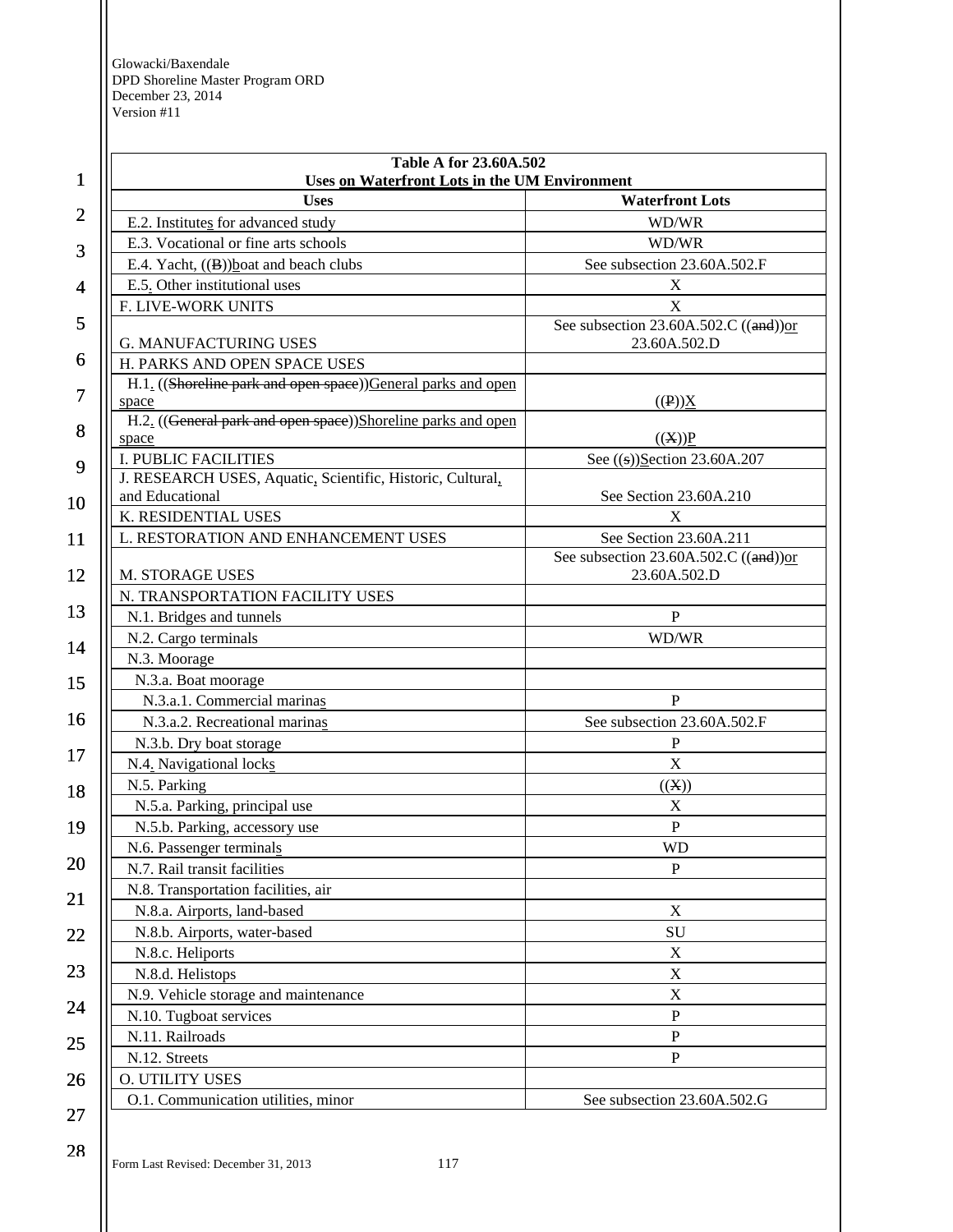| 1              | Table A for 23.60A.502<br>Uses on Waterfront Lots in the UM Environment |                                                         |
|----------------|-------------------------------------------------------------------------|---------------------------------------------------------|
|                | <b>Uses</b>                                                             | <b>Waterfront Lots</b>                                  |
| $\overline{2}$ | E.2. Institutes for advanced study                                      | WD/WR                                                   |
|                | E.3. Vocational or fine arts schools                                    | WD/WR                                                   |
| 3              | E.4. Yacht, $((B))$ boat and beach clubs                                | See subsection 23.60A.502.F                             |
| $\overline{4}$ | E.5. Other institutional uses                                           | X                                                       |
|                | F. LIVE-WORK UNITS                                                      | X                                                       |
| 5              | <b>G. MANUFACTURING USES</b>                                            | See subsection $23.60A.502.C$ ((and))or<br>23.60A.502.D |
| 6              | H. PARKS AND OPEN SPACE USES                                            |                                                         |
|                | H.1. ((Shoreline park and open space)) General parks and open           |                                                         |
| 7              | space                                                                   | $((P))\underline{X}$                                    |
| 8              | H.2. ((General park and open space))Shoreline parks and open            |                                                         |
|                | space                                                                   | ((X))P                                                  |
| 9              | <b>I. PUBLIC FACILITIES</b>                                             | See ((s))Section 23.60A.207                             |
|                | J. RESEARCH USES, Aquatic, Scientific, Historic, Cultural,              |                                                         |
| 10             | and Educational                                                         | See Section 23.60A.210                                  |
|                | K. RESIDENTIAL USES                                                     | X                                                       |
| 11             | L. RESTORATION AND ENHANCEMENT USES                                     | See Section 23.60A.211                                  |
|                |                                                                         | See subsection 23.60A.502.C ((and))or                   |
| 12             | M. STORAGE USES                                                         | 23.60A.502.D                                            |
| 13             | N. TRANSPORTATION FACILITY USES                                         |                                                         |
|                | N.1. Bridges and tunnels                                                | $\mathbf P$                                             |
| 14             | N.2. Cargo terminals                                                    | WD/WR                                                   |
|                | N.3. Moorage                                                            |                                                         |
| 15             | N.3.a. Boat moorage                                                     |                                                         |
|                | N.3.a.1. Commercial marinas                                             | $\mathbf{P}$                                            |
| 16             | N.3.a.2. Recreational marinas                                           | See subsection 23.60A.502.F                             |
|                | N.3.b. Dry boat storage                                                 | ${\bf P}$                                               |
| 17             | N.4. Navigational locks                                                 | $\mathbf X$                                             |
| 18             | N.5. Parking                                                            | ((X))                                                   |
|                | N.5.a. Parking, principal use                                           | $\mathbf X$                                             |
| 19             | N.5.b. Parking, accessory use                                           | ${\bf P}$                                               |
|                | N.6. Passenger terminals                                                | WD                                                      |
| 20             | N.7. Rail transit facilities                                            | $\mathbf{P}$                                            |
|                | N.8. Transportation facilities, air                                     |                                                         |
| 21             | N.8.a. Airports, land-based                                             | $\mathbf X$                                             |
| 22             | N.8.b. Airports, water-based                                            | SU                                                      |
|                | N.8.c. Heliports                                                        | $\mathbf X$                                             |
| 23             | N.8.d. Helistops                                                        | $\mathbf X$                                             |
|                | N.9. Vehicle storage and maintenance                                    | $\mathbf X$                                             |
| 24             | N.10. Tugboat services                                                  | $\mathbf P$                                             |
|                | N.11. Railroads                                                         | ${\bf P}$                                               |
| 25             | N.12. Streets                                                           | ${\bf P}$                                               |
| 26             | O. UTILITY USES                                                         |                                                         |
|                | O.1. Communication utilities, minor                                     | See subsection 23.60A.502.G                             |
| 27             |                                                                         |                                                         |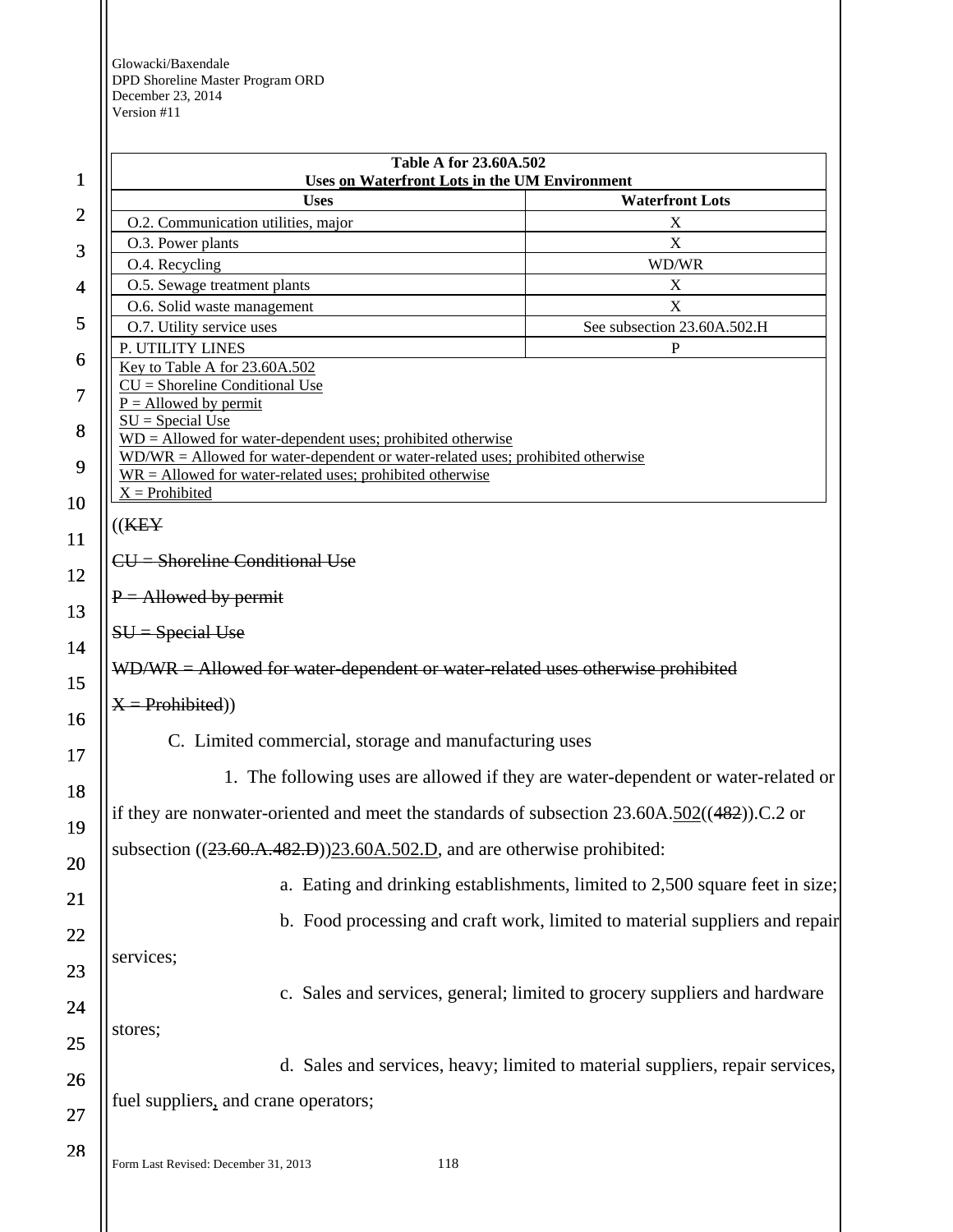Form Last Revised: December 31, 2013 118 1 2 3 4 5 6 7 8 9 10 11 12 13 14 15 16 17 18 19 20 21 22 23 24 25 26 27 28 **Table A for 23.60A.502 Uses on Waterfront Lots in the UM Environment Uses Waterfront Lots**  O.2. Communication utilities, major X O.3. Power plants X O.4. Recycling WD/WR O.5. Sewage treatment plants X O.6. Solid waste management X O.7. Utility service uses See subsection 23.60A.502.H P. UTILITY LINES P Key to Table A for 23.60A.502  $\overline{\text{CU}}$  = Shoreline Conditional Use  $P =$  Allowed by permit  $SU = Special Use$ WD = Allowed for water-dependent uses; prohibited otherwise WD/WR = Allowed for water-dependent or water-related uses; prohibited otherwise  $\overline{WR}$  = Allowed for water-related uses; prohibited otherwise  $X =$  Prohibited ((KEY  $CU =$  Shoreline Conditional Use  $P =$  Allowed by permit  $SU = Special Use$ WD/WR = Allowed for water-dependent or water-related uses otherwise prohibited  $X =$ Prohibited) C. Limited commercial, storage and manufacturing uses 1. The following uses are allowed if they are water-dependent or water-related or if they are nonwater-oriented and meet the standards of subsection  $23.60A.502((482))$ .C.2 or subsection  $((23.60.A.482.B))23.60A.502.D$ , and are otherwise prohibited: a. Eating and drinking establishments, limited to 2,500 square feet in size; b. Food processing and craft work, limited to material suppliers and repair services; c. Sales and services, general; limited to grocery suppliers and hardware stores; d. Sales and services, heavy; limited to material suppliers, repair services, fuel suppliers, and crane operators;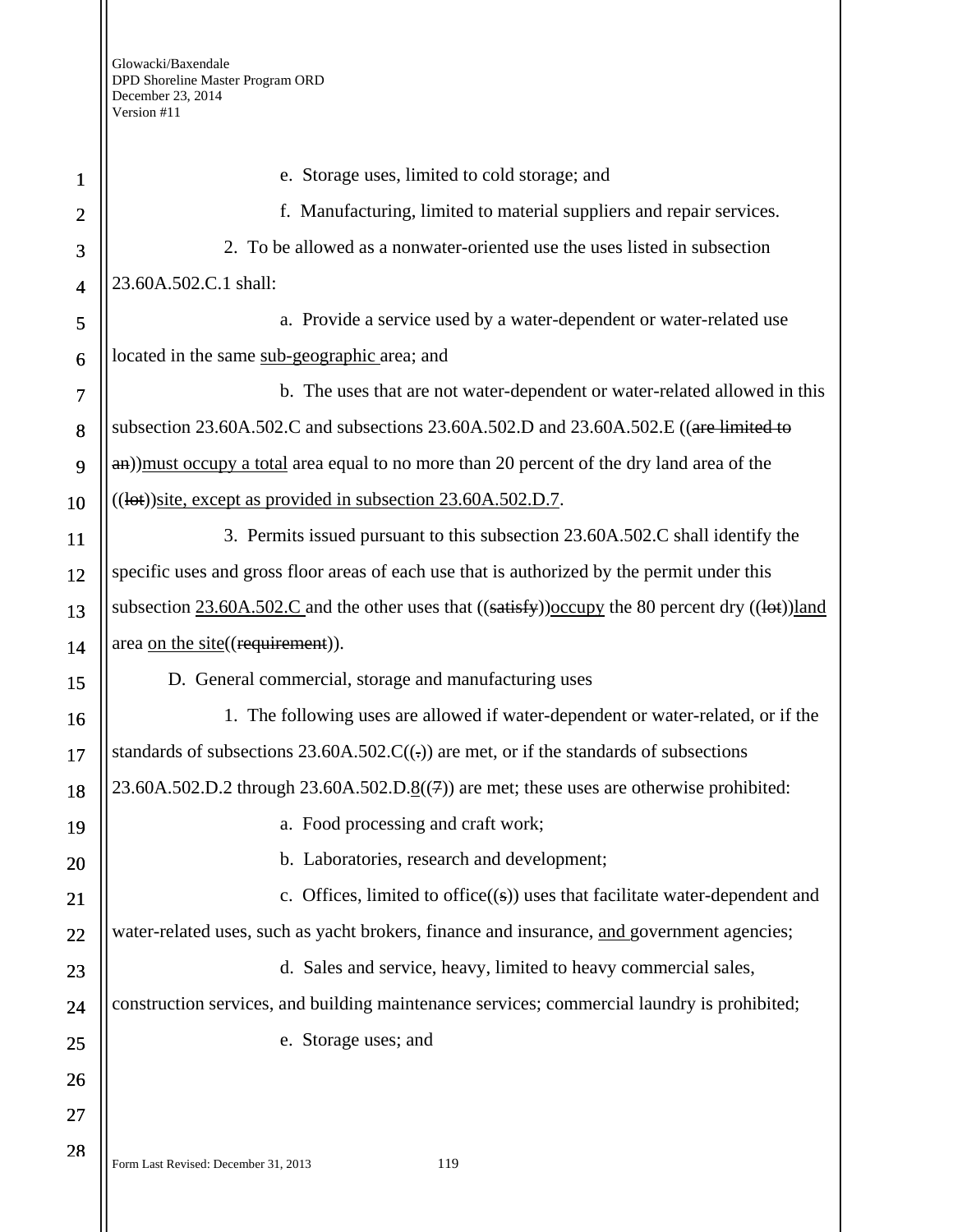| 1              | e. Storage uses, limited to cold storage; and                                                            |
|----------------|----------------------------------------------------------------------------------------------------------|
| $\overline{2}$ | f. Manufacturing, limited to material suppliers and repair services.                                     |
| 3              | 2. To be allowed as a nonwater-oriented use the uses listed in subsection                                |
| $\overline{4}$ | 23.60A.502.C.1 shall:                                                                                    |
| 5              | a. Provide a service used by a water-dependent or water-related use                                      |
| 6              | located in the same sub-geographic area; and                                                             |
| 7              | b. The uses that are not water-dependent or water-related allowed in this                                |
| 8              | subsection 23.60A.502.C and subsections 23.60A.502.D and 23.60A.502.E ((are limited to                   |
| 9              | an)) must occupy a total area equal to no more than 20 percent of the dry land area of the               |
| 10             | ((lot))site, except as provided in subsection 23.60A.502.D.7.                                            |
| 11             | 3. Permits issued pursuant to this subsection 23.60A.502.C shall identify the                            |
| 12             | specific uses and gross floor areas of each use that is authorized by the permit under this              |
| 13             | subsection $23.60A.502.C$ and the other uses that $((satisfy))$ occupy the 80 percent dry $((let))$ land |
| 14             | area on the site((requirement)).                                                                         |
| 15             | D. General commercial, storage and manufacturing uses                                                    |
| 16             | 1. The following uses are allowed if water-dependent or water-related, or if the                         |
| 17             | standards of subsections 23.60A.502.C((.)) are met, or if the standards of subsections                   |
| 18             | $23.60A.502.D.2$ through $23.60A.502.D.8((7))$ are met; these uses are otherwise prohibited:             |
| 19             | a. Food processing and craft work;                                                                       |
| 20             | b. Laboratories, research and development;                                                               |
| 21             | c. Offices, limited to office $((s))$ uses that facilitate water-dependent and                           |
| 22             | water-related uses, such as yacht brokers, finance and insurance, and government agencies;               |
| 23             | d. Sales and service, heavy, limited to heavy commercial sales,                                          |
| 24             | construction services, and building maintenance services; commercial laundry is prohibited;              |
| 25             | e. Storage uses; and                                                                                     |
| 26             |                                                                                                          |
| 27             |                                                                                                          |
| 28             | Form Last Revised: December 31, 2013<br>119                                                              |
|                |                                                                                                          |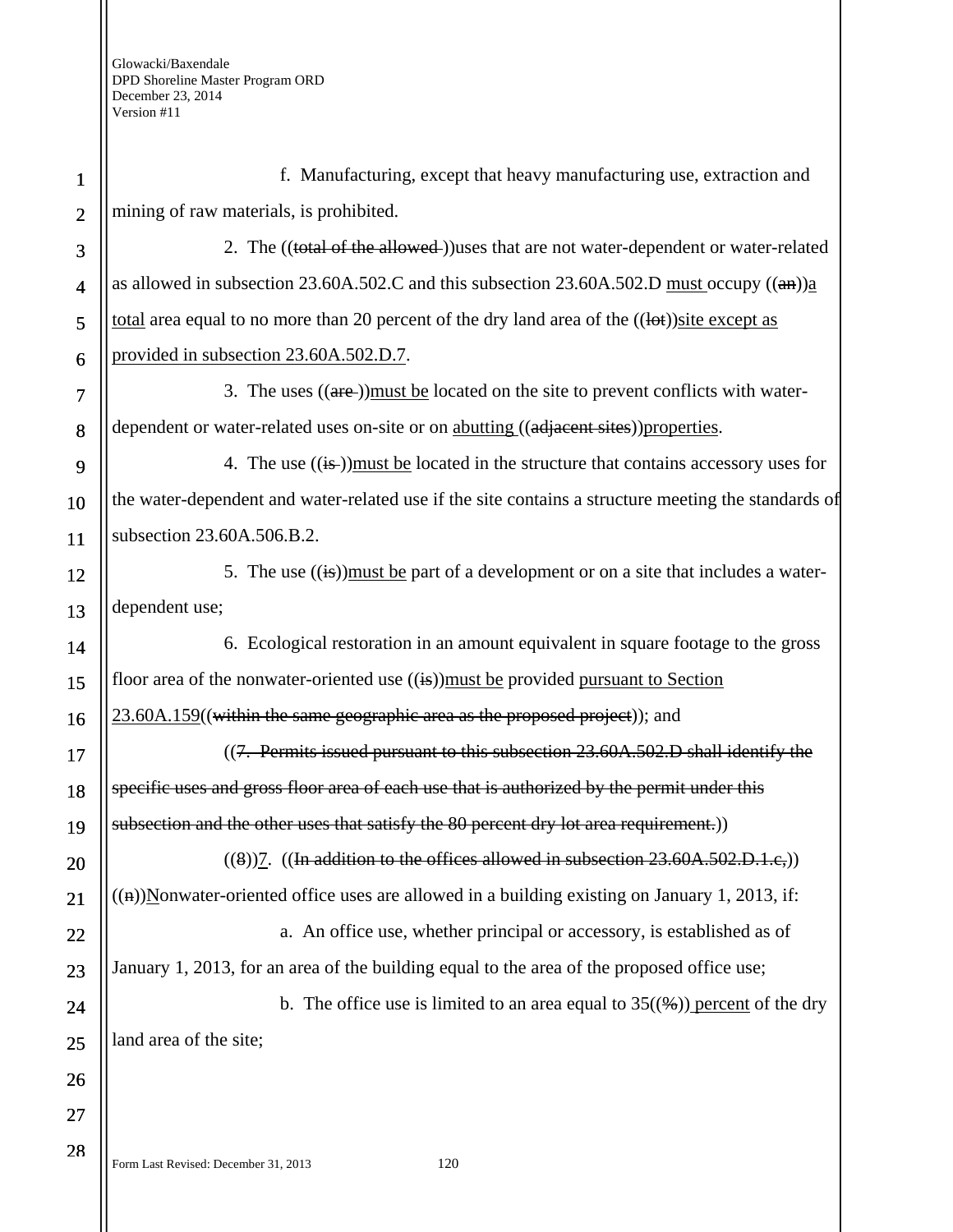1 2 3 4 5 6 7 8 9 10 11 12 13 14 15 16 17 18 19 20 21 22 23 24 25 26 27 28 f. Manufacturing, except that heavy manufacturing use, extraction and mining of raw materials, is prohibited. 2. The ((total of the allowed))uses that are not water-dependent or water-related as allowed in subsection 23.60A.502.C and this subsection 23.60A.502.D must occupy  $((a\theta))$ a total area equal to no more than 20 percent of the dry land area of the  $((let))$ site except as provided in subsection 23.60A.502.D.7. 3. The uses  $((\text{are-}))$  must be located on the site to prevent conflicts with waterdependent or water-related uses on-site or on abutting ((adjacent sites)) properties. 4. The use  $((i\overline{s}))$  must be located in the structure that contains accessory uses for the water-dependent and water-related use if the site contains a structure meeting the standards of subsection 23.60A.506.B.2. 5. The use  $((\mathbf{is})$  must be part of a development or on a site that includes a waterdependent use; 6. Ecological restoration in an amount equivalent in square footage to the gross floor area of the nonwater-oriented use  $((\mathbf{a})$ )must be provided pursuant to Section 23.60A.159((within the same geographic area as the proposed project)); and  $(7.$  Permits issued pursuant to this subsection  $23.60A.502.D$  shall identify the specific uses and gross floor area of each use that is authorized by the permit under this subsection and the other uses that satisfy the 80 percent dry lot area requirement.))  $((8))7.$  ((In addition to the offices allowed in subsection  $23.60A.502.D.1.c.)$ )  $((n))$ Nonwater-oriented office uses are allowed in a building existing on January 1, 2013, if: a. An office use, whether principal or accessory, is established as of January 1, 2013, for an area of the building equal to the area of the proposed office use; b. The office use is limited to an area equal to  $35(\frac{96}{9})$  percent of the dry land area of the site;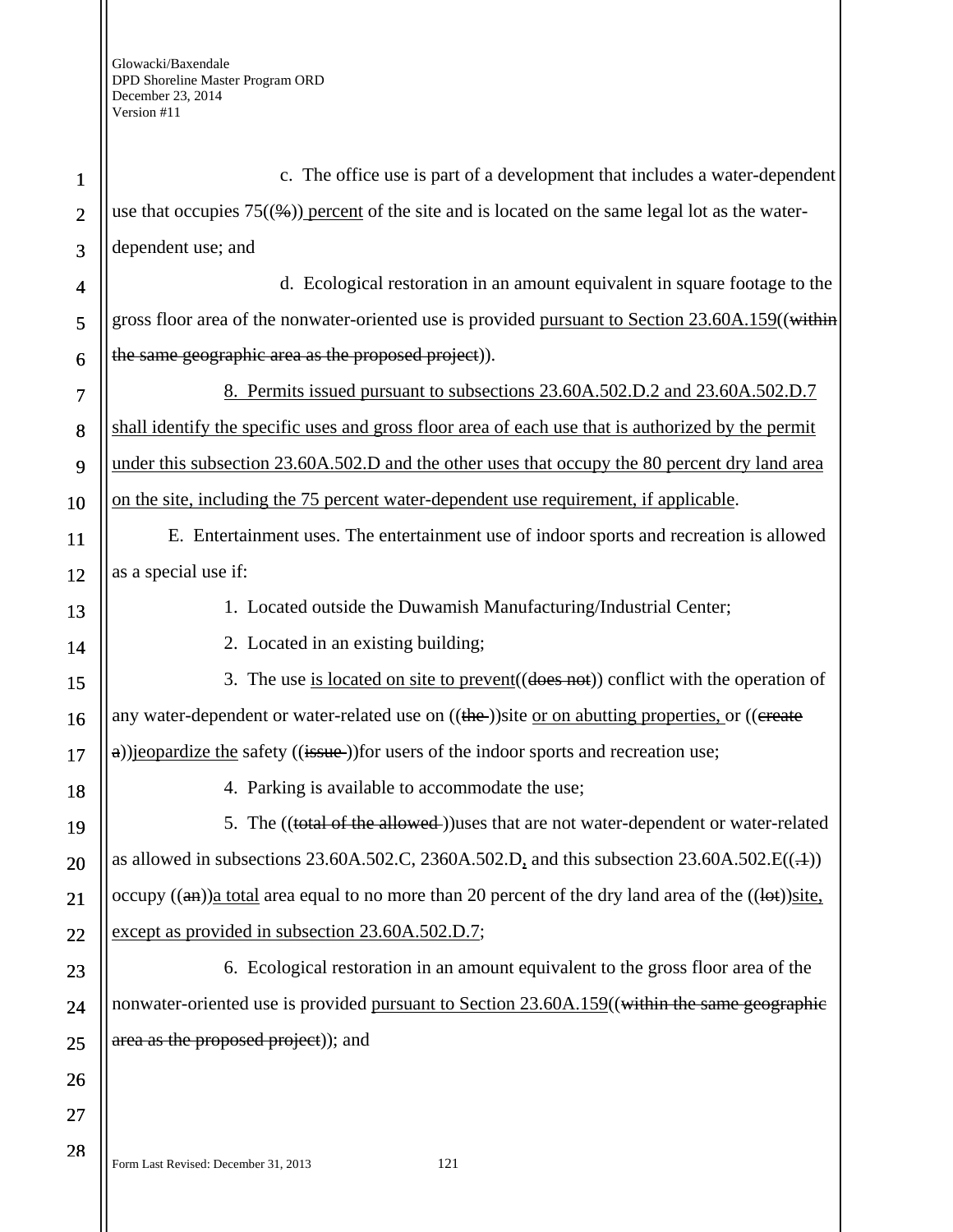| $\mathbf{1}$   | c. The office use is part of a development that includes a water-dependent                                             |
|----------------|------------------------------------------------------------------------------------------------------------------------|
| $\overline{2}$ | use that occupies $75(\frac{6}{6})$ percent of the site and is located on the same legal lot as the water-             |
| 3              | dependent use; and                                                                                                     |
| 4              | d. Ecological restoration in an amount equivalent in square footage to the                                             |
| 5              | gross floor area of the nonwater-oriented use is provided pursuant to Section 23.60A.159((within                       |
| 6              | the same geographic area as the proposed project)).                                                                    |
| 7              | 8. Permits issued pursuant to subsections 23.60A.502.D.2 and 23.60A.502.D.7                                            |
| 8              | shall identify the specific uses and gross floor area of each use that is authorized by the permit                     |
| 9              | under this subsection 23.60A.502.D and the other uses that occupy the 80 percent dry land area                         |
| 10             | on the site, including the 75 percent water-dependent use requirement, if applicable.                                  |
| 11             | E. Entertainment uses. The entertainment use of indoor sports and recreation is allowed                                |
| 12             | as a special use if:                                                                                                   |
| 13             | 1. Located outside the Duwamish Manufacturing/Industrial Center;                                                       |
| 14             | 2. Located in an existing building;                                                                                    |
| 15             | 3. The use is located on site to prevent ((does not)) conflict with the operation of                                   |
| 16             | any water-dependent or water-related use on ((the-))site or on abutting properties, or ((ereate                        |
| 17             | a))jeopardize the safety ((issue-))for users of the indoor sports and recreation use;                                  |
| 18             | 4. Parking is available to accommodate the use;                                                                        |
| 19             | 5. The ((total of the allowed-))uses that are not water-dependent or water-related                                     |
| 20             | as allowed in subsections 23.60A.502.C, 2360A.502.D, and this subsection $23.60A.502.E((.+) )$                         |
| 21             | occupy $((a\text{m}))$ a total area equal to no more than 20 percent of the dry land area of the $((a\text{m}))$ site. |
| 22             | except as provided in subsection 23.60A.502.D.7;                                                                       |
| 23             | 6. Ecological restoration in an amount equivalent to the gross floor area of the                                       |
| 24             | nonwater-oriented use is provided pursuant to Section 23.60A.159((within the same geographic                           |
| 25             | area as the proposed project)); and                                                                                    |
| 26             |                                                                                                                        |
| 27             |                                                                                                                        |
| 28             | Form Last Revised: December 31, 2013<br>121                                                                            |

sed: December 31, 2013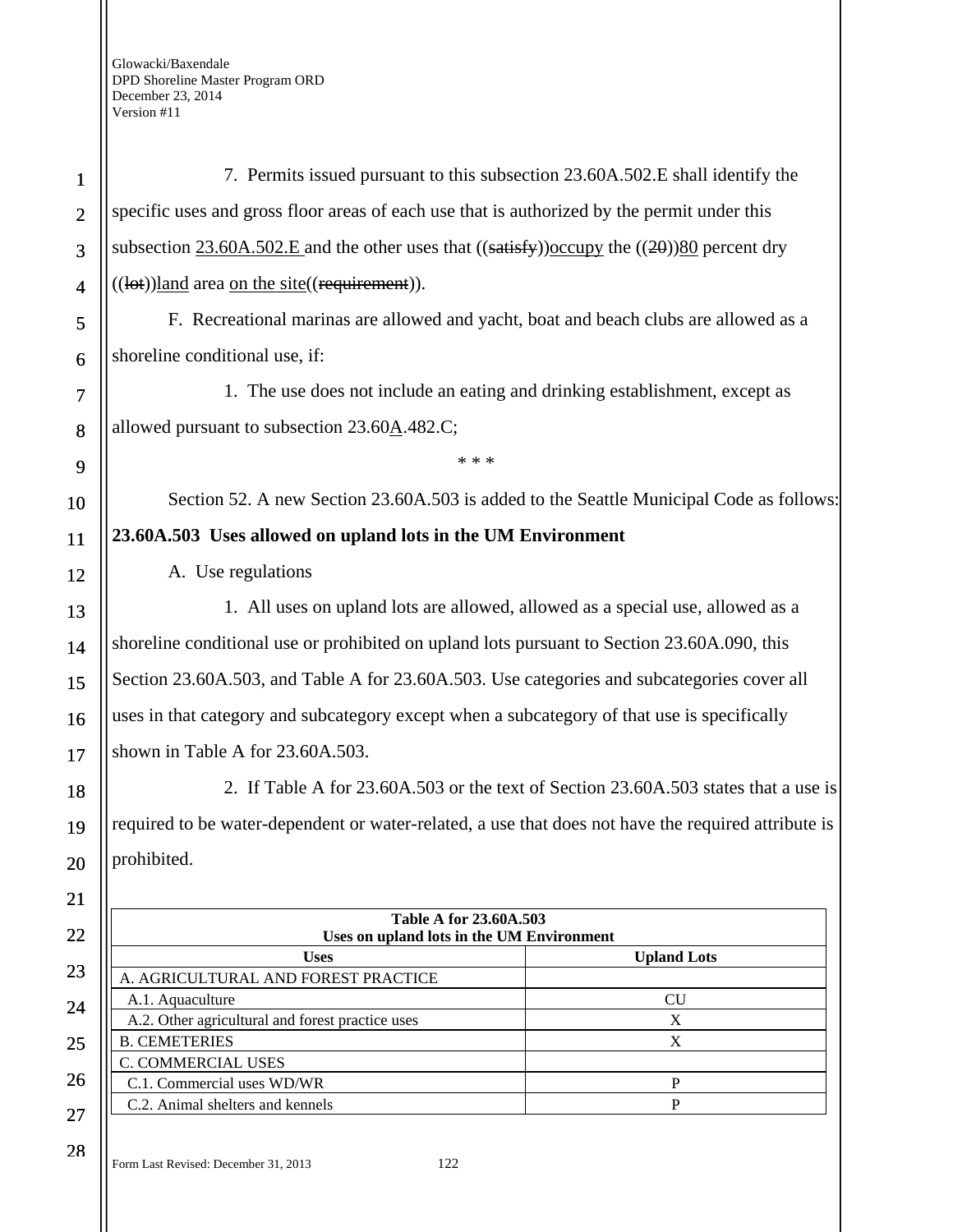| $\mathbf{1}$   | 7. Permits issued pursuant to this subsection 23.60A.502.E shall identify the                        |                                                                                     |
|----------------|------------------------------------------------------------------------------------------------------|-------------------------------------------------------------------------------------|
| $\overline{2}$ | specific uses and gross floor areas of each use that is authorized by the permit under this          |                                                                                     |
| 3              | subsection 23.60A.502.E and the other uses that $((satisfy))$ occupy the $((2\theta))80$ percent dry |                                                                                     |
| $\overline{4}$ | ((lot))land area on the site((requirement)).                                                         |                                                                                     |
| 5              | F. Recreational marinas are allowed and yacht, boat and beach clubs are allowed as a                 |                                                                                     |
| 6              | shoreline conditional use, if:                                                                       |                                                                                     |
| 7              | 1. The use does not include an eating and drinking establishment, except as                          |                                                                                     |
| 8              | allowed pursuant to subsection 23.60A.482.C;                                                         |                                                                                     |
| 9              | * * *                                                                                                |                                                                                     |
| 10             | Section 52. A new Section 23.60A.503 is added to the Seattle Municipal Code as follows:              |                                                                                     |
| 11             | 23.60A.503 Uses allowed on upland lots in the UM Environment                                         |                                                                                     |
| 12             | A. Use regulations                                                                                   |                                                                                     |
| 13             | 1. All uses on upland lots are allowed, allowed as a special use, allowed as a                       |                                                                                     |
| 14             | shoreline conditional use or prohibited on upland lots pursuant to Section 23.60A.090, this          |                                                                                     |
|                | Section 23.60A.503, and Table A for 23.60A.503. Use categories and subcategories cover all           |                                                                                     |
| 15             |                                                                                                      |                                                                                     |
| 16             | uses in that category and subcategory except when a subcategory of that use is specifically          |                                                                                     |
| 17             | shown in Table A for 23.60A.503.                                                                     |                                                                                     |
| 18             |                                                                                                      | 2. If Table A for 23.60A.503 or the text of Section 23.60A.503 states that a use is |
| 19             | required to be water-dependent or water-related, a use that does not have the required attribute is  |                                                                                     |
| 20             | prohibited.                                                                                          |                                                                                     |
| 21             |                                                                                                      |                                                                                     |
| 22             | Table A for 23.60A.503<br>Uses on upland lots in the UM Environment                                  |                                                                                     |
|                | <b>Uses</b>                                                                                          | <b>Upland Lots</b>                                                                  |
| 23             | A. AGRICULTURAL AND FOREST PRACTICE                                                                  |                                                                                     |
| 24             | A.1. Aquaculture                                                                                     | CU                                                                                  |
|                | A.2. Other agricultural and forest practice uses                                                     | $\mathbf X$                                                                         |
| 25             | <b>B. CEMETERIES</b>                                                                                 | $\boldsymbol{\mathrm{X}}$                                                           |
| 26             | C. COMMERCIAL USES                                                                                   |                                                                                     |
|                | C.1. Commercial uses WD/WR                                                                           | $\mathbf{P}$                                                                        |
| 27             | C.2. Animal shelters and kennels                                                                     | P                                                                                   |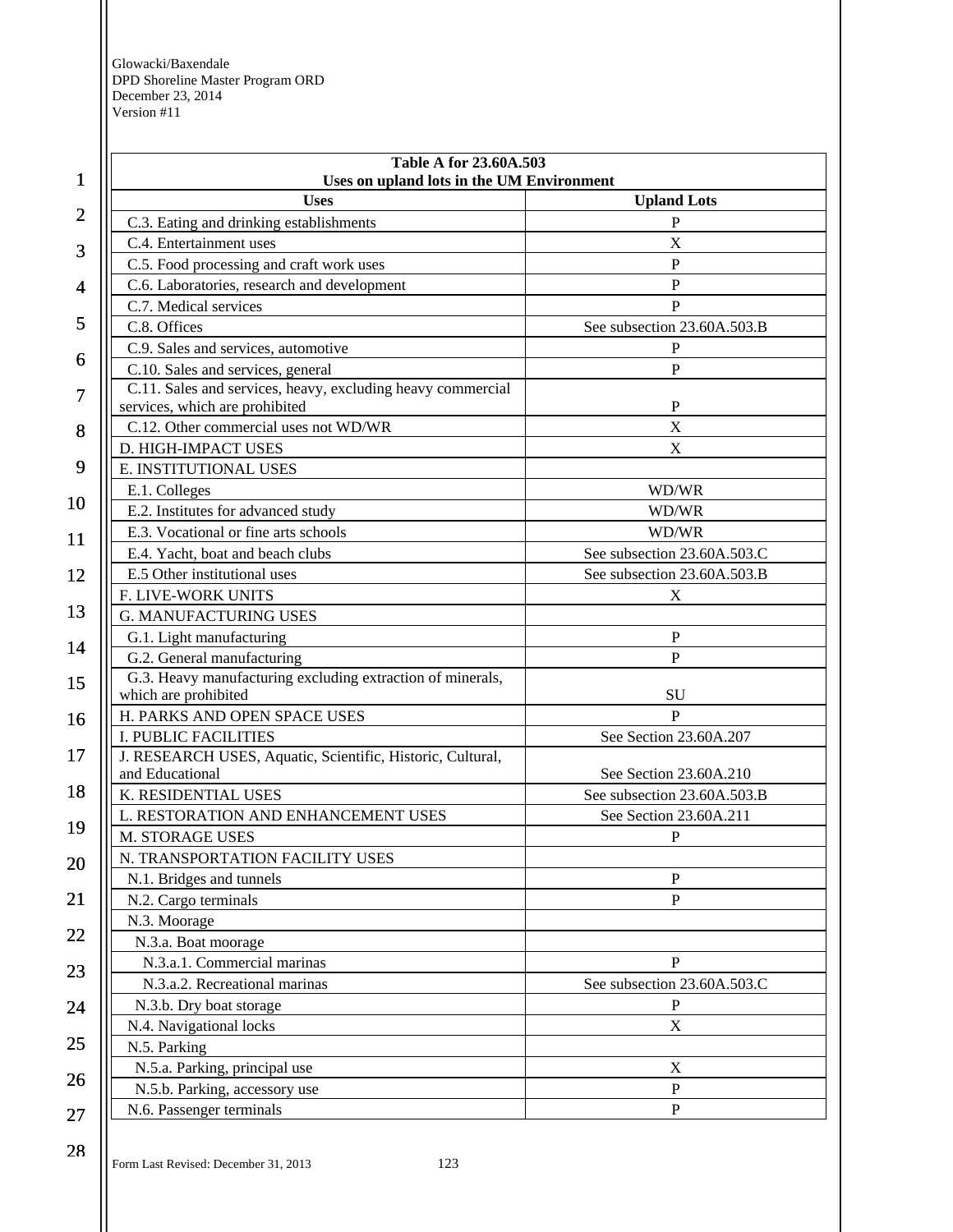|                | Table A for 23.60A.503                                                             |                             |
|----------------|------------------------------------------------------------------------------------|-----------------------------|
| 1              | Uses on upland lots in the UM Environment<br><b>Uses</b>                           | <b>Upland Lots</b>          |
| $\overline{c}$ | C.3. Eating and drinking establishments                                            | P                           |
|                | C.4. Entertainment uses                                                            | X                           |
| 3              | C.5. Food processing and craft work uses                                           | $\mathbf{P}$                |
| 4              | C.6. Laboratories, research and development                                        | $\mathbf P$                 |
|                | C.7. Medical services                                                              | $\mathbf{P}$                |
| 5              | C.8. Offices                                                                       | See subsection 23.60A.503.B |
|                | C.9. Sales and services, automotive                                                | $\mathbf{P}$                |
| 6              | C.10. Sales and services, general                                                  | $\mathbf{P}$                |
| 7              | C.11. Sales and services, heavy, excluding heavy commercial                        |                             |
|                | services, which are prohibited                                                     | $\mathbf{P}$<br>$\mathbf X$ |
| 8              | C.12. Other commercial uses not WD/WR<br>D. HIGH-IMPACT USES                       | X                           |
| 9              | E. INSTITUTIONAL USES                                                              |                             |
|                | E.1. Colleges                                                                      | WD/WR                       |
| 10             | E.2. Institutes for advanced study                                                 | WD/WR                       |
|                | E.3. Vocational or fine arts schools                                               | WD/WR                       |
| 11             | E.4. Yacht, boat and beach clubs                                                   | See subsection 23.60A.503.C |
| 12             | E.5 Other institutional uses                                                       | See subsection 23.60A.503.B |
|                | F. LIVE-WORK UNITS                                                                 | X                           |
| 13             | <b>G. MANUFACTURING USES</b>                                                       |                             |
|                | G.1. Light manufacturing                                                           | P                           |
| 14             | G.2. General manufacturing                                                         | $\overline{P}$              |
| 15             | G.3. Heavy manufacturing excluding extraction of minerals,                         |                             |
|                | which are prohibited                                                               | SU                          |
| 16             | H. PARKS AND OPEN SPACE USES                                                       | $\overline{P}$              |
| 17             | I. PUBLIC FACILITIES<br>J. RESEARCH USES, Aquatic, Scientific, Historic, Cultural, | See Section 23.60A.207      |
|                | and Educational                                                                    | See Section 23.60A.210      |
| 18             | K. RESIDENTIAL USES                                                                | See subsection 23.60A.503.B |
|                | L. RESTORATION AND ENHANCEMENT USES                                                | See Section 23.60A.211      |
| 19             | <b>M. STORAGE USES</b>                                                             | P                           |
| 20             | N. TRANSPORTATION FACILITY USES                                                    |                             |
|                | N.1. Bridges and tunnels                                                           | ${\bf P}$                   |
| 21             | N.2. Cargo terminals                                                               | $\mathbf{P}$                |
|                | N.3. Moorage                                                                       |                             |
| 22             | N.3.a. Boat moorage                                                                |                             |
| 23             | N.3.a.1. Commercial marinas                                                        | $\mathbf P$                 |
|                | N.3.a.2. Recreational marinas                                                      | See subsection 23.60A.503.C |
| 24             | N.3.b. Dry boat storage                                                            | P                           |
|                | N.4. Navigational locks                                                            | $\mathbf X$                 |
| 25             | N.5. Parking                                                                       |                             |
| 26             | N.5.a. Parking, principal use                                                      | $\mathbf X$                 |
|                | N.5.b. Parking, accessory use                                                      | ${\bf P}$                   |
| 27             | N.6. Passenger terminals                                                           | ${\bf P}$                   |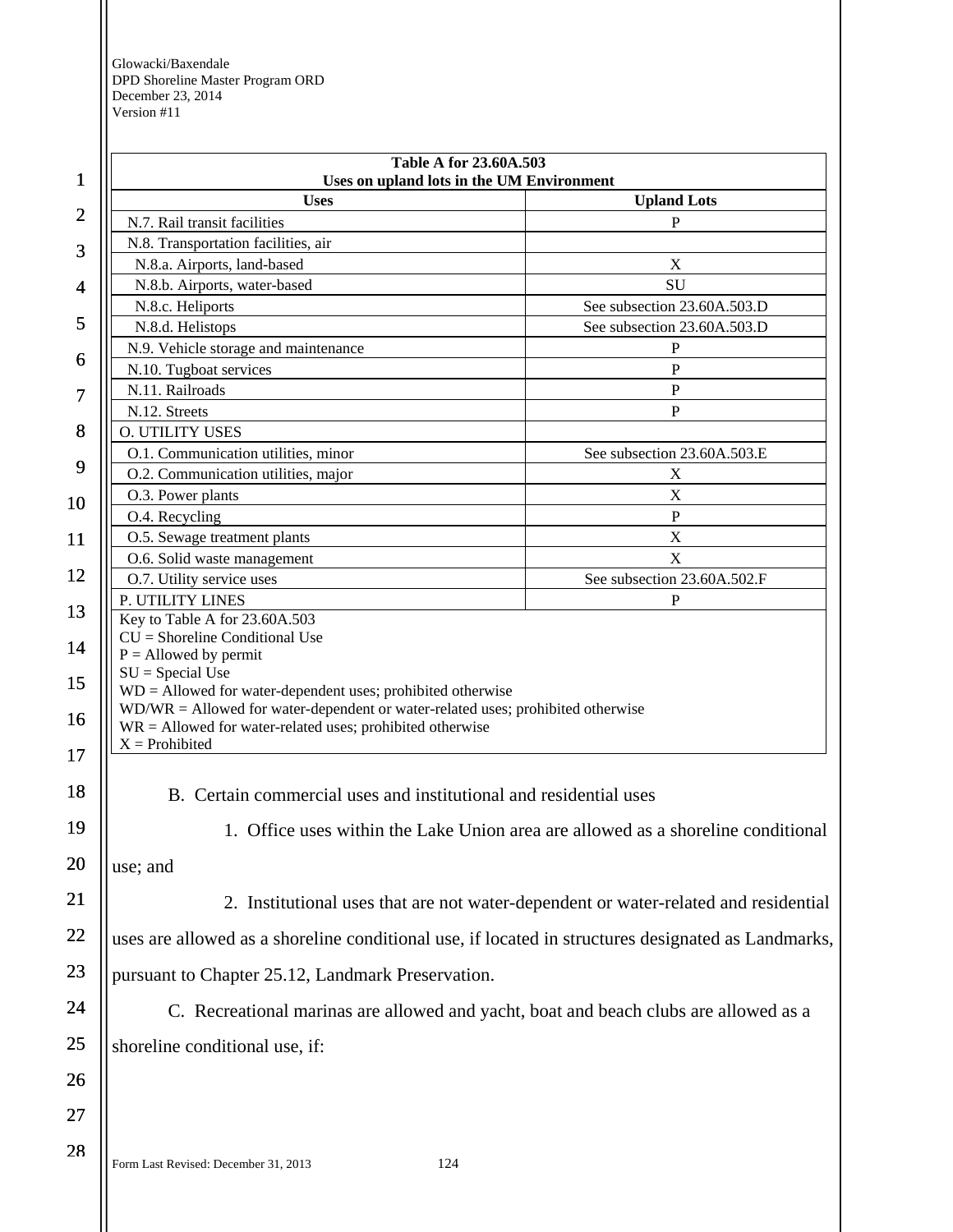|                                                                                                                                                                                                                                       | Uses on upland lots in the UM Environment                                            |
|---------------------------------------------------------------------------------------------------------------------------------------------------------------------------------------------------------------------------------------|--------------------------------------------------------------------------------------|
| <b>Uses</b>                                                                                                                                                                                                                           | <b>Upland Lots</b>                                                                   |
| N.7. Rail transit facilities                                                                                                                                                                                                          | $\mathbf{P}$                                                                         |
| N.8. Transportation facilities, air                                                                                                                                                                                                   |                                                                                      |
| N.8.a. Airports, land-based                                                                                                                                                                                                           | $\mathbf X$                                                                          |
| N.8.b. Airports, water-based                                                                                                                                                                                                          | SU                                                                                   |
| N.8.c. Heliports                                                                                                                                                                                                                      | See subsection 23.60A.503.D                                                          |
| N.8.d. Helistops                                                                                                                                                                                                                      | See subsection 23.60A.503.D                                                          |
| N.9. Vehicle storage and maintenance                                                                                                                                                                                                  | $\mathbf P$<br>P                                                                     |
| N.10. Tugboat services<br>N.11. Railroads                                                                                                                                                                                             |                                                                                      |
| N.12. Streets                                                                                                                                                                                                                         | $\mathbf{P}$<br>$\mathbf P$                                                          |
| <b>O. UTILITY USES</b>                                                                                                                                                                                                                |                                                                                      |
| O.1. Communication utilities, minor                                                                                                                                                                                                   | See subsection 23.60A.503.E                                                          |
| O.2. Communication utilities, major                                                                                                                                                                                                   | X                                                                                    |
| O.3. Power plants                                                                                                                                                                                                                     | $\mathbf X$                                                                          |
| O.4. Recycling                                                                                                                                                                                                                        | $\mathbf{P}$                                                                         |
| O.5. Sewage treatment plants                                                                                                                                                                                                          | X                                                                                    |
| O.6. Solid waste management                                                                                                                                                                                                           | $\boldsymbol{\mathrm{X}}$                                                            |
| O.7. Utility service uses                                                                                                                                                                                                             | See subsection 23.60A.502.F                                                          |
| P. UTILITY LINES                                                                                                                                                                                                                      | P                                                                                    |
| $WD =$ Allowed for water-dependent uses; prohibited otherwise<br>$WD/WR =$ Allowed for water-dependent or water-related uses; prohibited otherwise<br>$WR =$ Allowed for water-related uses; prohibited otherwise<br>$X =$ Prohibited |                                                                                      |
| B. Certain commercial uses and institutional and residential uses<br>use; and                                                                                                                                                         | 1. Office uses within the Lake Union area are allowed as a shoreline conditional     |
|                                                                                                                                                                                                                                       | 2. Institutional uses that are not water-dependent or water-related and residential  |
| uses are allowed as a shoreline conditional use, if located in structures designated as Landmarks,                                                                                                                                    |                                                                                      |
| pursuant to Chapter 25.12, Landmark Preservation.                                                                                                                                                                                     |                                                                                      |
|                                                                                                                                                                                                                                       | C. Recreational marinas are allowed and yacht, boat and beach clubs are allowed as a |
|                                                                                                                                                                                                                                       |                                                                                      |
| shoreline conditional use, if:                                                                                                                                                                                                        |                                                                                      |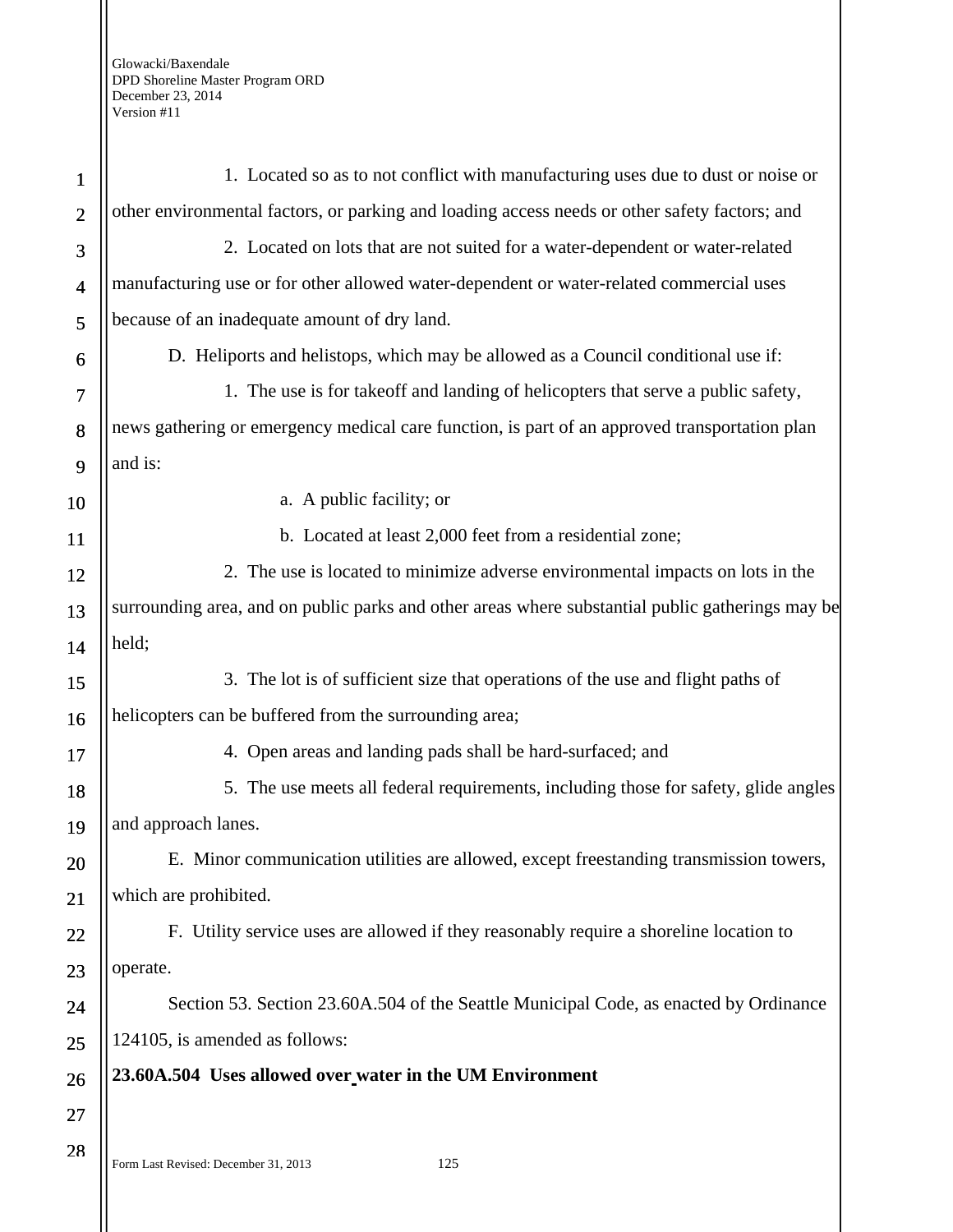| $\mathbf{1}$   | 1. Located so as to not conflict with manufacturing uses due to dust or noise or                 |
|----------------|--------------------------------------------------------------------------------------------------|
| $\overline{2}$ | other environmental factors, or parking and loading access needs or other safety factors; and    |
| 3              | 2. Located on lots that are not suited for a water-dependent or water-related                    |
| $\overline{4}$ | manufacturing use or for other allowed water-dependent or water-related commercial uses          |
| 5              | because of an inadequate amount of dry land.                                                     |
| 6              | D. Heliports and helistops, which may be allowed as a Council conditional use if:                |
| 7              | 1. The use is for takeoff and landing of helicopters that serve a public safety,                 |
| 8              | news gathering or emergency medical care function, is part of an approved transportation plan    |
| 9              | and is:                                                                                          |
| 10             | a. A public facility; or                                                                         |
| 11             | b. Located at least 2,000 feet from a residential zone;                                          |
| 12             | 2. The use is located to minimize adverse environmental impacts on lots in the                   |
| 13             | surrounding area, and on public parks and other areas where substantial public gatherings may be |
| 14             | held;                                                                                            |
| 15             | 3. The lot is of sufficient size that operations of the use and flight paths of                  |
| 16             | helicopters can be buffered from the surrounding area;                                           |
| 17             | 4. Open areas and landing pads shall be hard-surfaced; and                                       |
| 18             | 5. The use meets all federal requirements, including those for safety, glide angles              |
| 19             | and approach lanes.                                                                              |
| 20             | E. Minor communication utilities are allowed, except freestanding transmission towers,           |
| 21             | which are prohibited.                                                                            |
| 22             | F. Utility service uses are allowed if they reasonably require a shoreline location to           |
| 23             | operate.                                                                                         |
| 24             | Section 53. Section 23.60A.504 of the Seattle Municipal Code, as enacted by Ordinance            |
| 25             | 124105, is amended as follows:                                                                   |
| 26             | 23.60A.504 Uses allowed over water in the UM Environment                                         |
| 27             |                                                                                                  |
| 28             | Form Last Revised: December 31, 2013<br>125                                                      |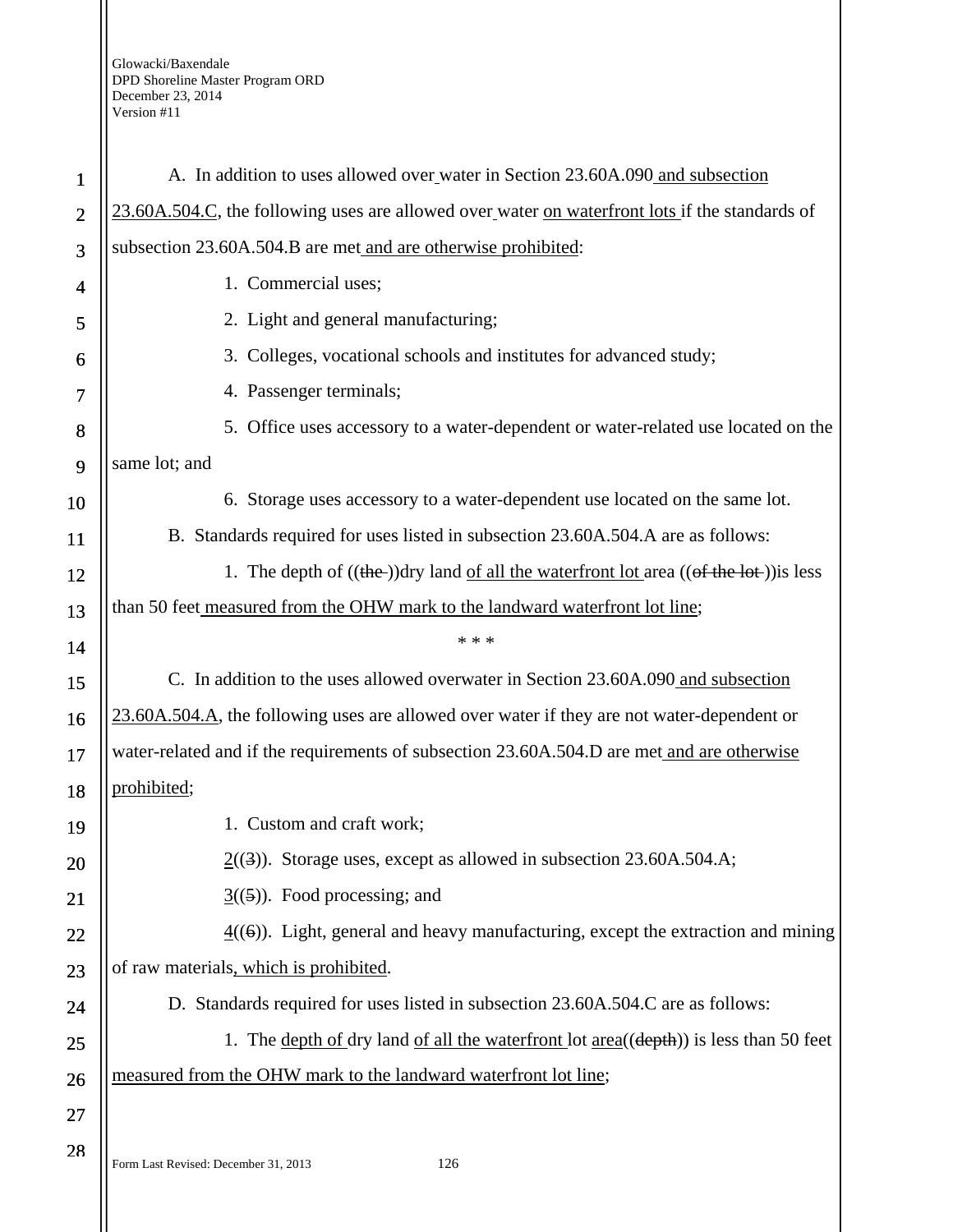| $\mathbf{1}$   | A. In addition to uses allowed over water in Section 23.60A.090 and subsection                    |
|----------------|---------------------------------------------------------------------------------------------------|
| $\overline{2}$ | 23.60A.504.C, the following uses are allowed over water on waterfront lots if the standards of    |
| 3              | subsection 23.60A.504.B are met and are otherwise prohibited:                                     |
| 4              | 1. Commercial uses;                                                                               |
| 5              | 2. Light and general manufacturing;                                                               |
| 6              | 3. Colleges, vocational schools and institutes for advanced study;                                |
| 7              | 4. Passenger terminals;                                                                           |
| 8              | 5. Office uses accessory to a water-dependent or water-related use located on the                 |
| 9              | same lot; and                                                                                     |
| 10             | 6. Storage uses accessory to a water-dependent use located on the same lot.                       |
| 11             | B. Standards required for uses listed in subsection 23.60A.504.A are as follows:                  |
| 12             | 1. The depth of $((the$ ) dry land <u>of all the waterfront lot</u> area $((of the lot))$ is less |
| 13             | than 50 feet measured from the OHW mark to the landward waterfront lot line;                      |
| 14             | * * *                                                                                             |
| 15             | C. In addition to the uses allowed overwater in Section 23.60A.090 and subsection                 |
| 16             | 23.60A.504.A, the following uses are allowed over water if they are not water-dependent or        |
| 17             | water-related and if the requirements of subsection 23.60A.504.D are met and are otherwise        |
| 18             | prohibited;                                                                                       |
| 19             | 1. Custom and craft work;                                                                         |
| 20             | $2(3)$ ). Storage uses, except as allowed in subsection 23.60A.504.A;                             |
| 21             | $\underline{3}((5))$ . Food processing; and                                                       |
| 22             | $\frac{4}{5}$ (6)). Light, general and heavy manufacturing, except the extraction and mining      |
| 23             | of raw materials, which is prohibited.                                                            |
| 24             | D. Standards required for uses listed in subsection 23.60A.504.C are as follows:                  |
| 25             | 1. The depth of dry land of all the waterfront lot $area((depth))$ is less than 50 feet           |
| 26             | measured from the OHW mark to the landward waterfront lot line;                                   |
| 27             |                                                                                                   |
| 28             | 126<br>Form Last Revised: December 31, 2013                                                       |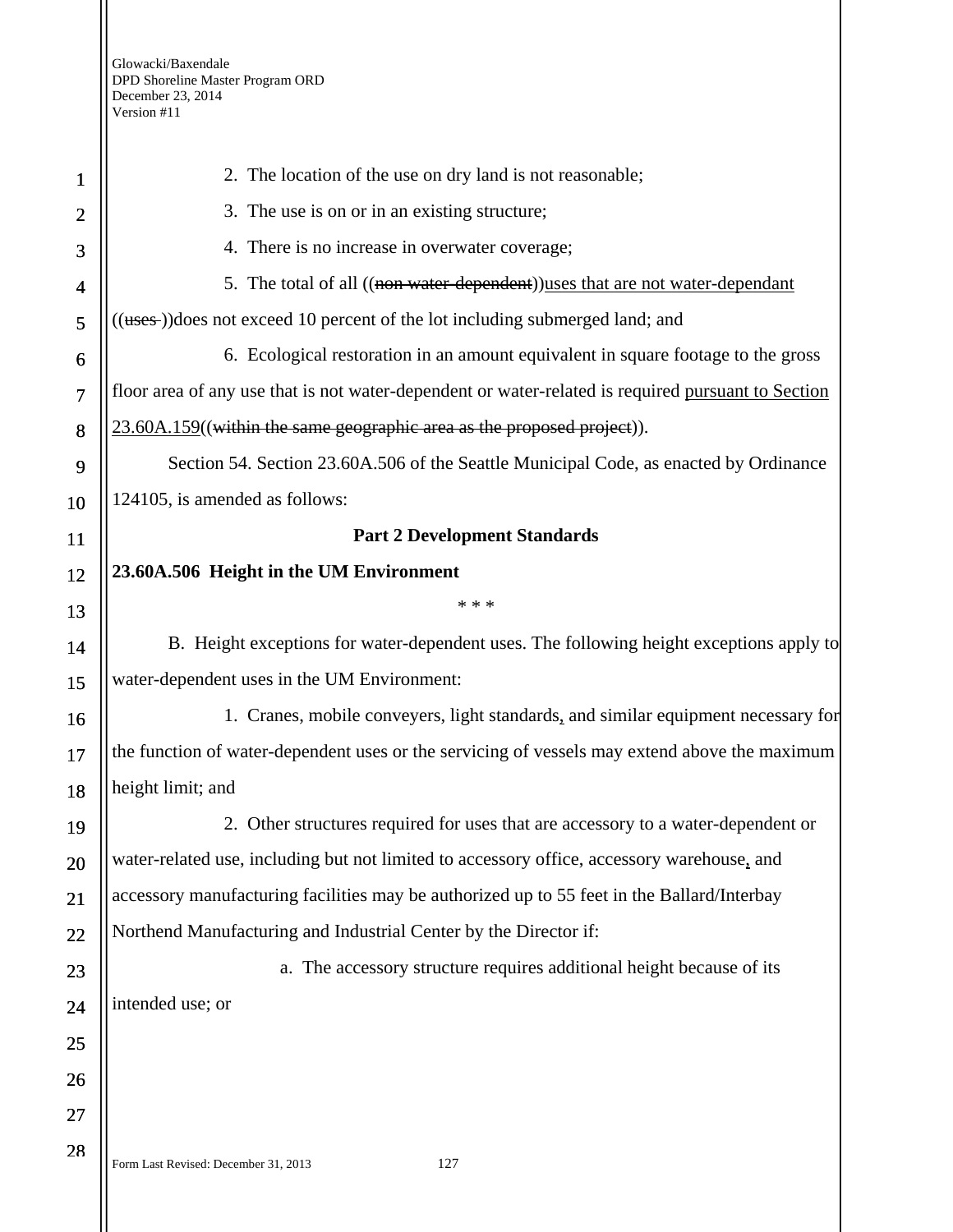| $\mathbf 1$    | 2. The location of the use on dry land is not reasonable;                                          |
|----------------|----------------------------------------------------------------------------------------------------|
| $\overline{2}$ | 3. The use is on or in an existing structure;                                                      |
| 3              | 4. There is no increase in overwater coverage;                                                     |
| 4              | 5. The total of all ((non water-dependent)) uses that are not water-dependant                      |
| 5              | ((uses-))does not exceed 10 percent of the lot including submerged land; and                       |
| 6              | 6. Ecological restoration in an amount equivalent in square footage to the gross                   |
| $\overline{7}$ | floor area of any use that is not water-dependent or water-related is required pursuant to Section |
| 8              | $23.60A.159$ ((within the same geographic area as the proposed project)).                          |
| 9              | Section 54. Section 23.60A.506 of the Seattle Municipal Code, as enacted by Ordinance              |
| 10             | 124105, is amended as follows:                                                                     |
| 11             | <b>Part 2 Development Standards</b>                                                                |
| 12             | 23.60A.506 Height in the UM Environment                                                            |
| 13             | * * *                                                                                              |
| 14             | B. Height exceptions for water-dependent uses. The following height exceptions apply to            |
| 15             | water-dependent uses in the UM Environment:                                                        |
| 16             | 1. Cranes, mobile conveyers, light standards, and similar equipment necessary for                  |
| 17             | the function of water-dependent uses or the servicing of vessels may extend above the maximum      |
| 18             | height limit; and                                                                                  |
| 19             | 2. Other structures required for uses that are accessory to a water-dependent or                   |
| 20             | water-related use, including but not limited to accessory office, accessory warehouse, and         |
| 21             | accessory manufacturing facilities may be authorized up to 55 feet in the Ballard/Interbay         |
| 22             | Northend Manufacturing and Industrial Center by the Director if:                                   |
| 23             | a. The accessory structure requires additional height because of its                               |
| 24             | intended use; or                                                                                   |
| 25             |                                                                                                    |
| 26             |                                                                                                    |
| 27             |                                                                                                    |
| 28             | 127<br>Form Last Revised: December 31, 2013                                                        |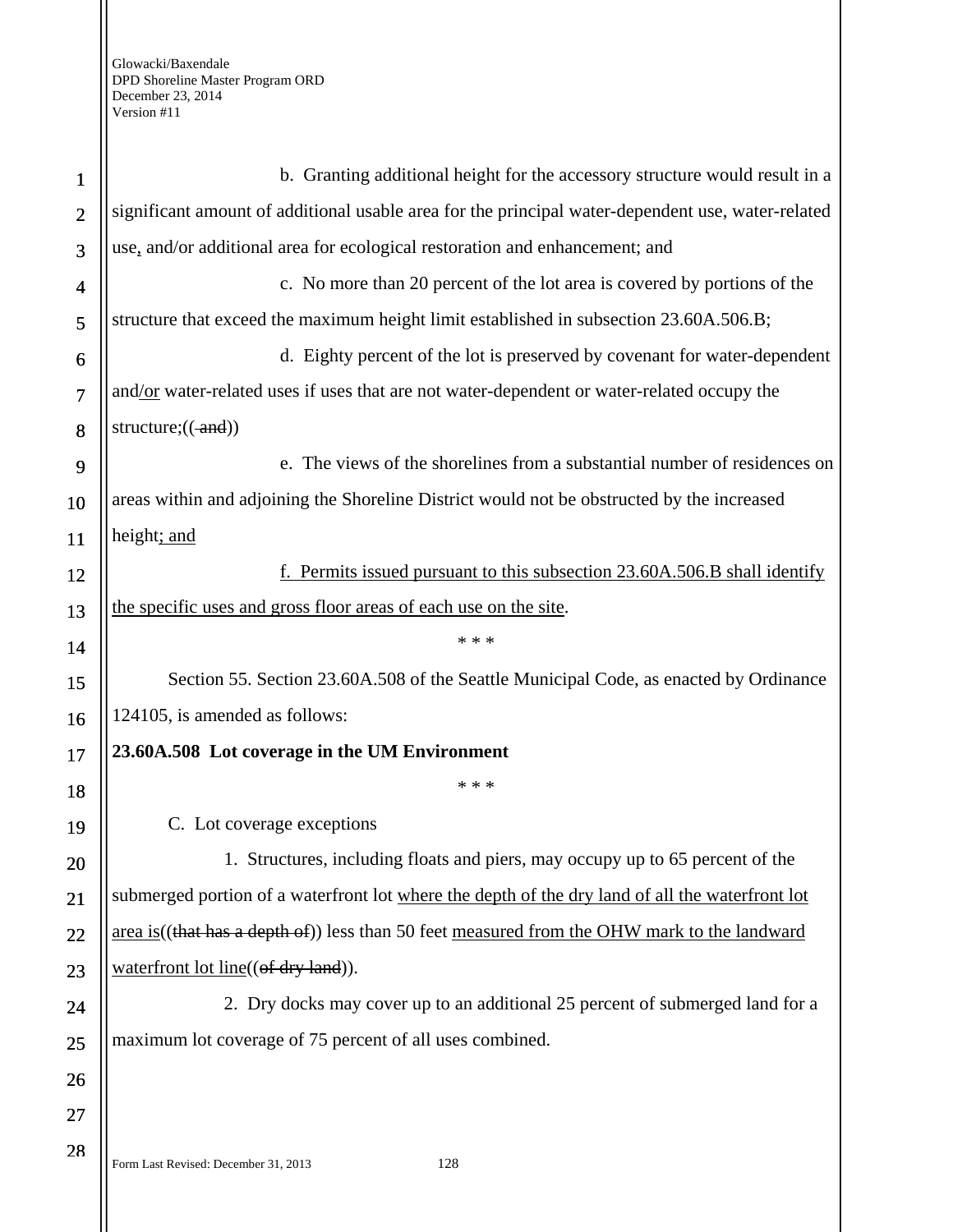| $\mathbf{1}$   | b. Granting additional height for the accessory structure would result in a                       |
|----------------|---------------------------------------------------------------------------------------------------|
| $\overline{2}$ | significant amount of additional usable area for the principal water-dependent use, water-related |
| 3              | use, and/or additional area for ecological restoration and enhancement; and                       |
| $\overline{4}$ | c. No more than 20 percent of the lot area is covered by portions of the                          |
| 5              | structure that exceed the maximum height limit established in subsection 23.60A.506.B;            |
| 6              | d. Eighty percent of the lot is preserved by covenant for water-dependent                         |
| $\overline{7}$ | and/or water-related uses if uses that are not water-dependent or water-related occupy the        |
| 8              | structure; $((-and))$                                                                             |
| 9              | e. The views of the shorelines from a substantial number of residences on                         |
| 10             | areas within and adjoining the Shoreline District would not be obstructed by the increased        |
| 11             | height; and                                                                                       |
| 12             | Permits issued pursuant to this subsection 23.60A.506.B shall identify                            |
| 13             | the specific uses and gross floor areas of each use on the site.                                  |
| 14             | * * *                                                                                             |
| 15             | Section 55. Section 23.60A.508 of the Seattle Municipal Code, as enacted by Ordinance             |
| 16             | 124105, is amended as follows:                                                                    |
| 17             | 23.60A.508 Lot coverage in the UM Environment                                                     |
| 18             | * * *                                                                                             |
| 19             | C. Lot coverage exceptions                                                                        |
| 20             | 1. Structures, including floats and piers, may occupy up to 65 percent of the                     |
| 21             | submerged portion of a waterfront lot where the depth of the dry land of all the waterfront lot   |
| 22             | area is((that has a depth of)) less than 50 feet measured from the OHW mark to the landward       |
| 23             | waterfront lot line((of dry land)).                                                               |
| 24             | 2. Dry docks may cover up to an additional 25 percent of submerged land for a                     |
| 25             | maximum lot coverage of 75 percent of all uses combined.                                          |
| 26             |                                                                                                   |
| 27             |                                                                                                   |
| 28             |                                                                                                   |

Form Last Revised: December 31, 2013 128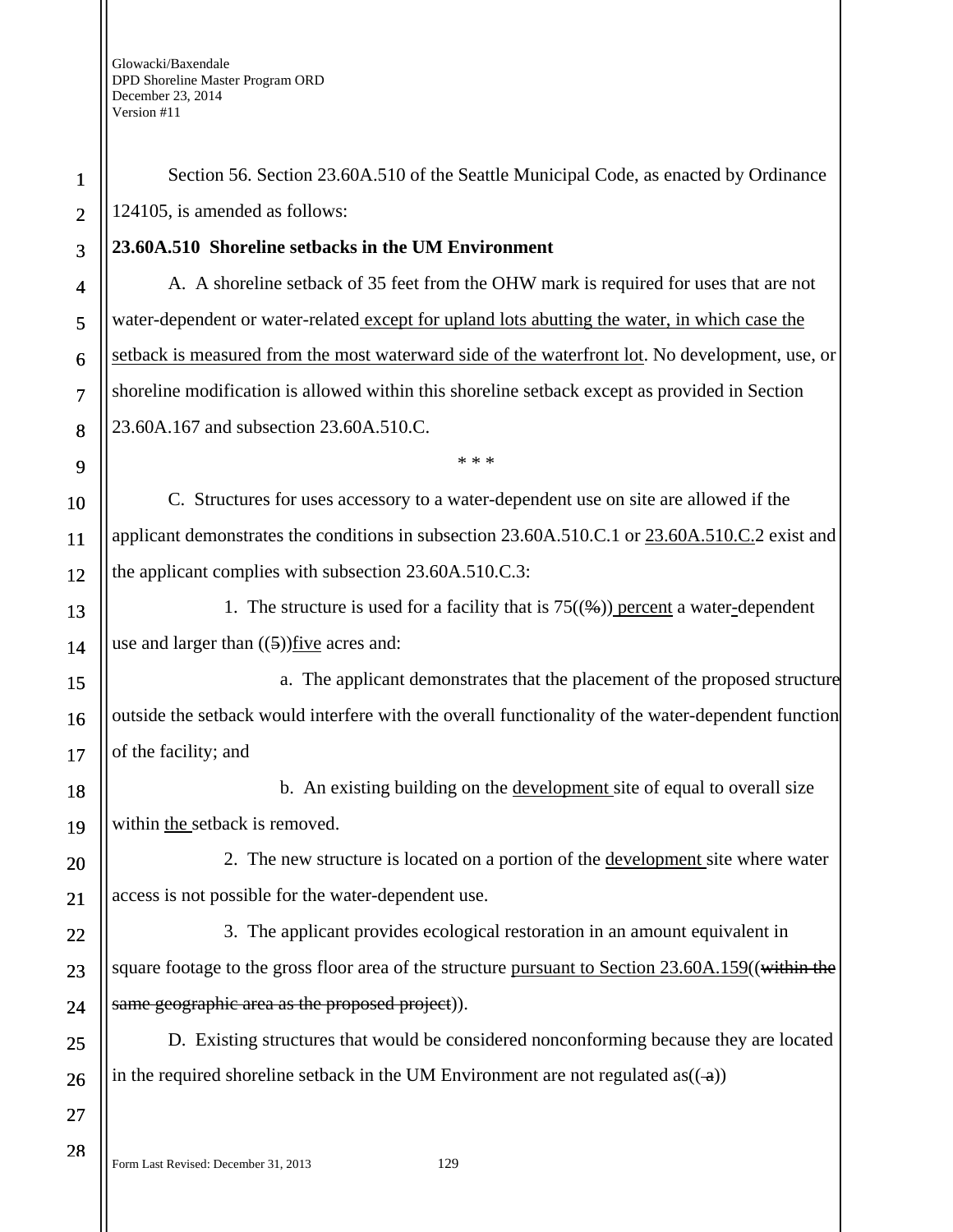| $\mathbf{1}$   | Section 56. Section 23.60A.510 of the Seattle Municipal Code, as enacted by Ordinance                      |
|----------------|------------------------------------------------------------------------------------------------------------|
| $\overline{2}$ | 124105, is amended as follows:                                                                             |
| 3              | 23.60A.510 Shoreline setbacks in the UM Environment                                                        |
| 4              | A. A shoreline setback of 35 feet from the OHW mark is required for uses that are not                      |
| 5              | water-dependent or water-related except for upland lots abutting the water, in which case the              |
| 6              | setback is measured from the most waterward side of the waterfront lot. No development, use, or            |
| 7              | shoreline modification is allowed within this shoreline setback except as provided in Section              |
| 8              | 23.60A.167 and subsection 23.60A.510.C.                                                                    |
| 9              | * * *                                                                                                      |
| 10             | C. Structures for uses accessory to a water-dependent use on site are allowed if the                       |
| 11             | applicant demonstrates the conditions in subsection 23.60A.510.C.1 or 23.60A.510.C.2 exist and             |
| 12             | the applicant complies with subsection 23.60A.510.C.3:                                                     |
| 13             | 1. The structure is used for a facility that is $75(\frac{4}{2})$ percent a water-dependent                |
| 14             | use and larger than $((5))$ five acres and:                                                                |
| 15             | a. The applicant demonstrates that the placement of the proposed structure                                 |
| 16             | outside the setback would interfere with the overall functionality of the water-dependent function         |
| 17             | of the facility; and                                                                                       |
| 18             | b. An existing building on the development site of equal to overall size                                   |
| 19             | within the setback is removed.                                                                             |
| 20             | 2. The new structure is located on a portion of the <u>development</u> site where water                    |
| 21             | access is not possible for the water-dependent use.                                                        |
| 22             | 3. The applicant provides ecological restoration in an amount equivalent in                                |
| 23             | square footage to the gross floor area of the structure pursuant to Section 23.60A.159((within the         |
| 24             | same geographic area as the proposed project)).                                                            |
| 25             | D. Existing structures that would be considered nonconforming because they are located                     |
| 26             | in the required shoreline setback in the UM Environment are not regulated as( $\left(\frac{a}{a}\right)$ ) |
| 27             |                                                                                                            |
| 28             |                                                                                                            |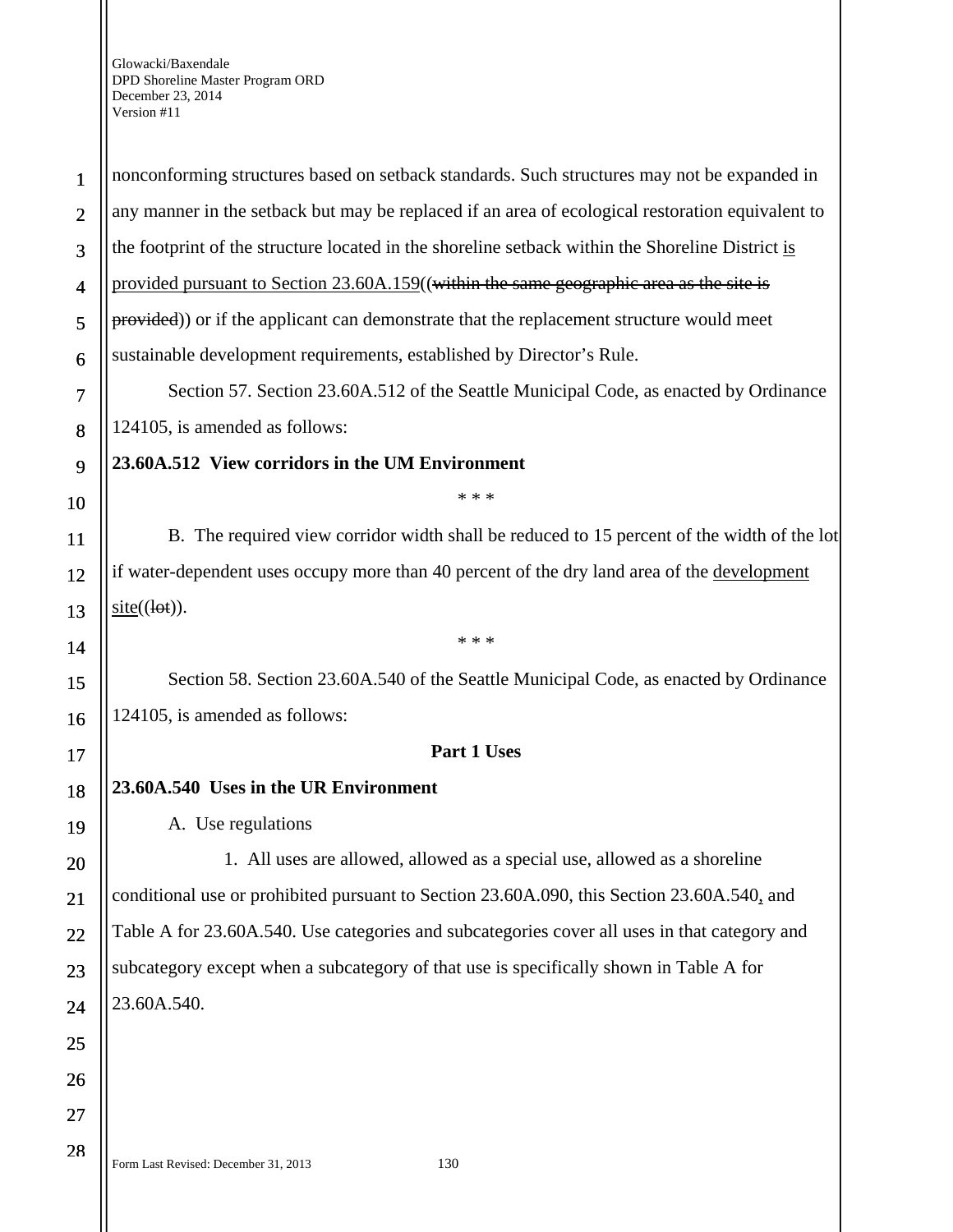nonconforming structures based on setback standards. Such structures may not be expanded in any manner in the setback but may be replaced if an area of ecological restoration equivalent to the footprint of the structure located in the shoreline setback within the Shoreline District is provided pursuant to Section 23.60A.159((within the same geographic area as the site is provided)) or if the applicant can demonstrate that the replacement structure would meet sustainable development requirements, established by Director's Rule. Section 57. Section 23.60A.512 of the Seattle Municipal Code, as enacted by Ordinance

124105, is amended as follows:

**23.60A.512 View corridors in the UM Environment** 

\* \* \*

B. The required view corridor width shall be reduced to 15 percent of the width of the lot if water-dependent uses occupy more than 40 percent of the dry land area of the development  $site((let)).$ 

\* \* \*

Section 58. Section 23.60A.540 of the Seattle Municipal Code, as enacted by Ordinance 124105, is amended as follows:

### **Part 1 Uses**

**23.60A.540 Uses in the UR Environment** 

A. Use regulations

1. All uses are allowed, allowed as a special use, allowed as a shoreline conditional use or prohibited pursuant to Section 23.60A.090, this Section 23.60A.540, and Table A for 23.60A.540. Use categories and subcategories cover all uses in that category and subcategory except when a subcategory of that use is specifically shown in Table A for 23.60A.540.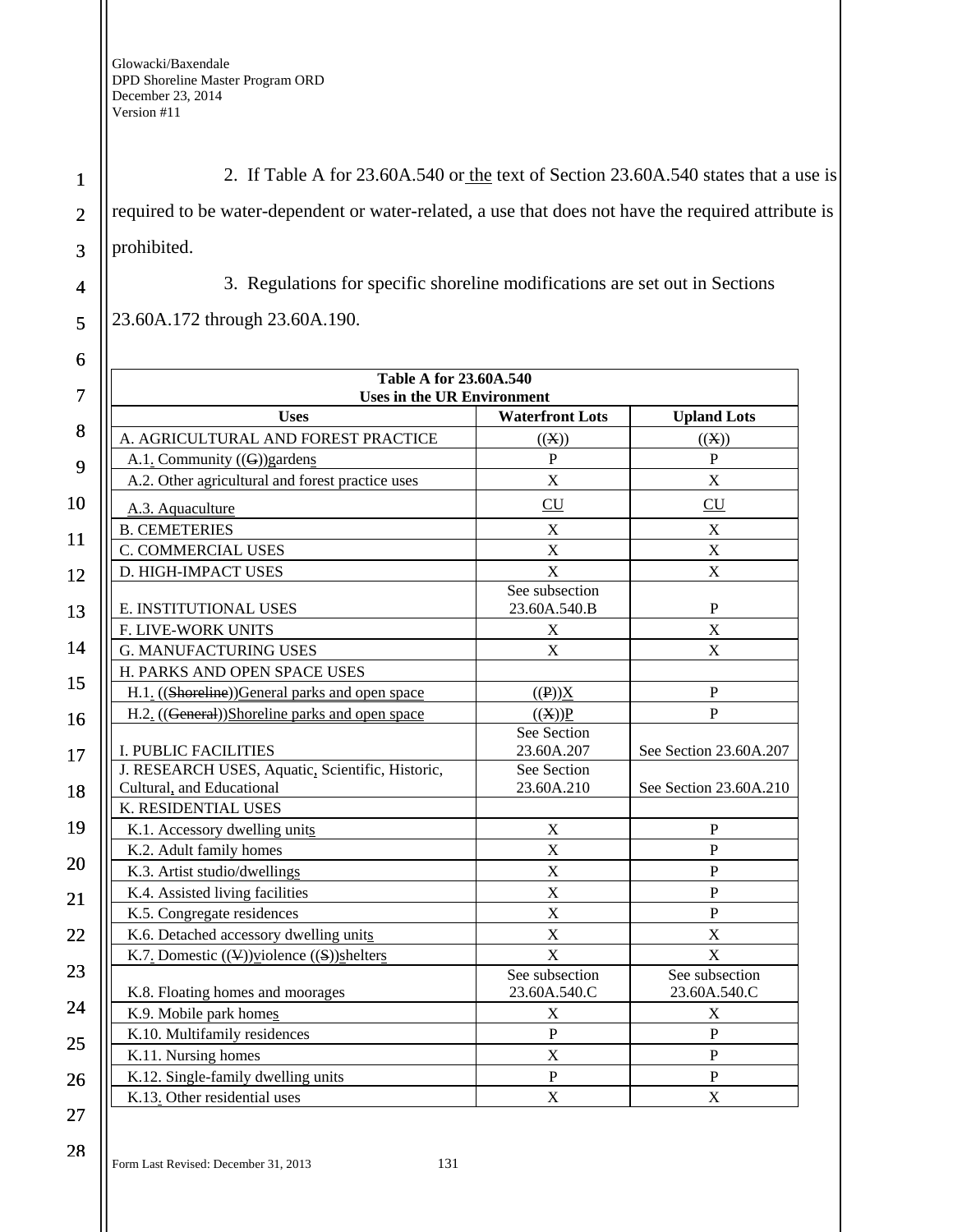1 2 3 2. If Table A for 23.60A.540 or the text of Section 23.60A.540 states that a use is required to be water-dependent or water-related, a use that does not have the required attribute is prohibited.

4 5 3. Regulations for specific shoreline modifications are set out in Sections

23.60A.172 through 23.60A.190.

| 6  |                                                                               |                                |                                |
|----|-------------------------------------------------------------------------------|--------------------------------|--------------------------------|
| 7  | <b>Table A for 23.60A.540</b><br><b>Uses in the UR Environment</b>            |                                |                                |
|    | <b>Uses</b>                                                                   | <b>Waterfront Lots</b>         | <b>Upland Lots</b>             |
| 8  | A. AGRICULTURAL AND FOREST PRACTICE                                           | ((X))                          | ((X))                          |
| 9  | A.1. Community $((G))$ gardens                                                | ${\bf P}$                      | $\mathbf P$                    |
|    | A.2. Other agricultural and forest practice uses                              | $\overline{X}$                 | X                              |
| 10 | A.3. Aquaculture                                                              | CU                             | CU                             |
|    | <b>B. CEMETERIES</b>                                                          | $\mathbf X$                    | $\mathbf X$                    |
| 11 | C. COMMERCIAL USES                                                            | X                              | X                              |
| 12 | D. HIGH-IMPACT USES                                                           | X                              | $\mathbf X$                    |
| 13 | E. INSTITUTIONAL USES                                                         | See subsection<br>23.60A.540.B | $\mathbf P$                    |
|    | F. LIVE-WORK UNITS                                                            | $\mathbf X$                    | X                              |
| 14 | <b>G. MANUFACTURING USES</b>                                                  | $\mathbf X$                    | X                              |
|    | H. PARKS AND OPEN SPACE USES                                                  |                                |                                |
| 15 | H.1. ((Shoreline))General parks and open space                                | $((P))\underline{X}$           | $\mathbf P$                    |
| 16 | H.2. ((General))Shoreline parks and open space                                | ((X))P                         | $\overline{P}$                 |
| 17 | <b>I. PUBLIC FACILITIES</b>                                                   | See Section<br>23.60A.207      | See Section 23.60A.207         |
| 18 | J. RESEARCH USES, Aquatic, Scientific, Historic,<br>Cultural, and Educational | See Section<br>23.60A.210      | See Section 23.60A.210         |
|    | K. RESIDENTIAL USES                                                           |                                |                                |
| 19 | K.1. Accessory dwelling units                                                 | $\mathbf X$                    | $\mathbf P$                    |
|    | K.2. Adult family homes                                                       | X                              | $\overline{P}$                 |
| 20 | K.3. Artist studio/dwellings                                                  | X                              | $\mathbf P$                    |
| 21 | K.4. Assisted living facilities                                               | X                              | $\overline{P}$                 |
|    | K.5. Congregate residences                                                    | X                              | $\overline{P}$                 |
| 22 | K.6. Detached accessory dwelling units                                        | X                              | X                              |
|    | K.7. Domestic $((\mathcal{Y})$ violence $((\mathcal{S}))$ shelters            | $\overline{X}$                 | $\overline{X}$                 |
| 23 | K.8. Floating homes and moorages                                              | See subsection<br>23.60A.540.C | See subsection<br>23.60A.540.C |
| 24 | K.9. Mobile park homes                                                        | $\boldsymbol{\mathrm{X}}$      | $\boldsymbol{\mathrm{X}}$      |
| 25 | K.10. Multifamily residences                                                  | $\, {\bf P}$                   | $\mathbf P$                    |
|    | K.11. Nursing homes                                                           | X                              | $\mathbf P$                    |
| 26 | K.12. Single-family dwelling units                                            | $\mathbf{P}$                   | $\mathbf P$                    |
|    | K.13. Other residential uses                                                  | X                              | X                              |
| 27 |                                                                               |                                |                                |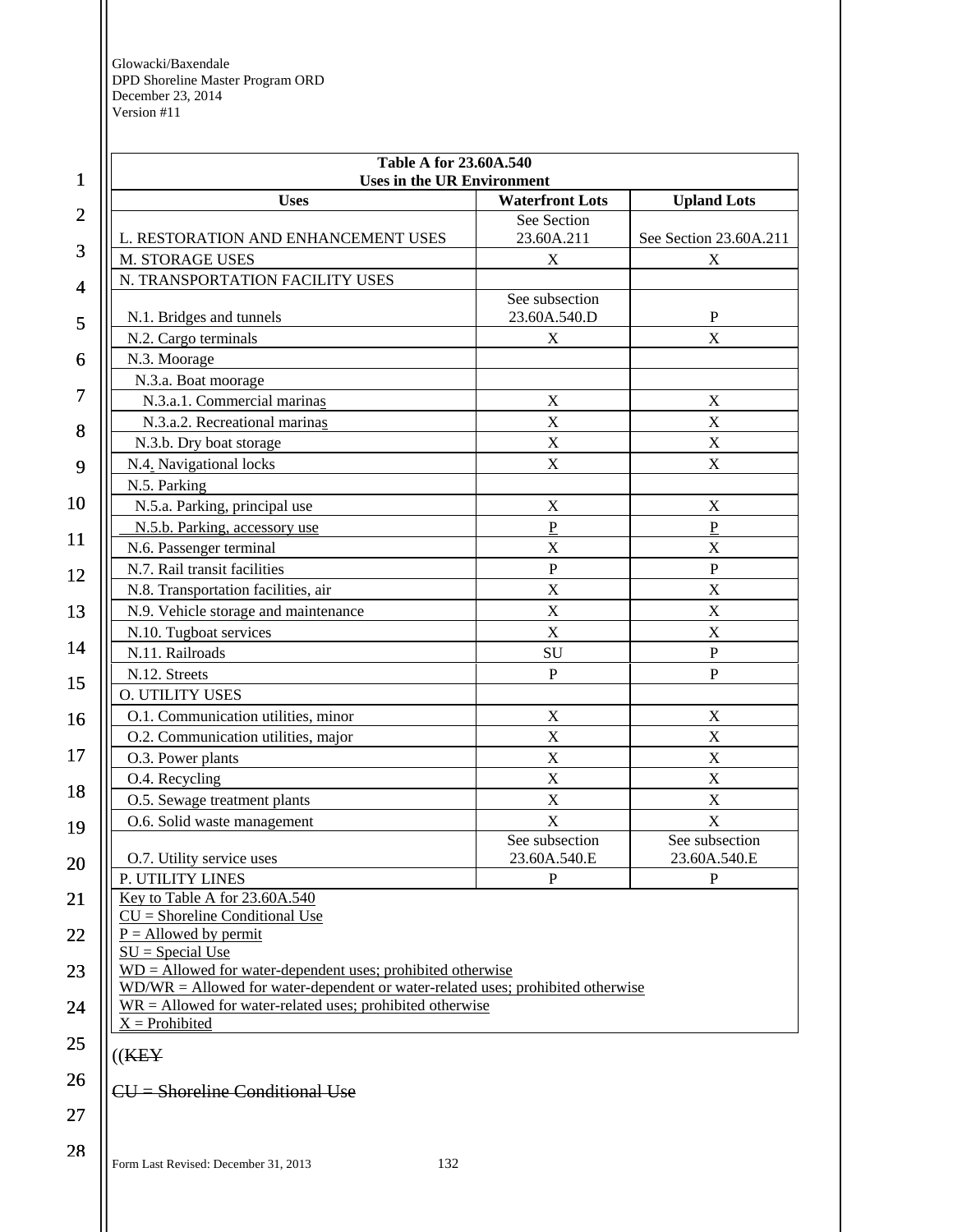| 1              | Table A for 23.60A.540<br><b>Uses in the UR Environment</b>                       |                                |                                |
|----------------|-----------------------------------------------------------------------------------|--------------------------------|--------------------------------|
|                | <b>Uses</b>                                                                       | <b>Waterfront Lots</b>         | <b>Upland Lots</b>             |
| $\overline{2}$ | L. RESTORATION AND ENHANCEMENT USES                                               | See Section<br>23.60A.211      | See Section 23.60A.211         |
| 3              | M. STORAGE USES                                                                   | X                              | X                              |
| 4              | N. TRANSPORTATION FACILITY USES                                                   |                                |                                |
|                |                                                                                   | See subsection                 |                                |
| 5              | N.1. Bridges and tunnels                                                          | 23.60A.540.D                   | $\mathbf{P}$                   |
|                | N.2. Cargo terminals                                                              | X                              | $\mathbf X$                    |
| 6              | N.3. Moorage                                                                      |                                |                                |
|                | N.3.a. Boat moorage                                                               |                                |                                |
| 7              | N.3.a.1. Commercial marinas                                                       | $\mathbf X$                    | $\mathbf X$                    |
| 8              | N.3.a.2. Recreational marinas                                                     | $\mathbf X$                    | $\mathbf X$                    |
|                | N.3.b. Dry boat storage                                                           | $\mathbf X$                    | X                              |
| 9              | N.4. Navigational locks                                                           | $\mathbf X$                    | X                              |
|                | N.5. Parking                                                                      |                                |                                |
| 10             | N.5.a. Parking, principal use                                                     | $\mathbf X$                    | $\mathbf X$                    |
| 11             | N.5.b. Parking, accessory use                                                     | $\overline{P}$                 | $\overline{P}$                 |
|                | N.6. Passenger terminal                                                           | $\mathbf X$                    | $\mathbf X$                    |
| 12             | N.7. Rail transit facilities                                                      | $\overline{P}$                 | $\mathbf P$                    |
|                | N.8. Transportation facilities, air                                               | $\mathbf X$                    | $\mathbf X$                    |
| 13             | N.9. Vehicle storage and maintenance                                              | $\mathbf X$                    | X                              |
| 14             | N.10. Tugboat services                                                            | $\mathbf X$                    | $\mathbf X$                    |
|                | N.11. Railroads                                                                   | SU                             | ${\bf P}$                      |
| 15             | N.12. Streets                                                                     | $\overline{P}$                 | $\mathbf P$                    |
|                | <b>O. UTILITY USES</b>                                                            |                                |                                |
| 16             | O.1. Communication utilities, minor                                               | $\mathbf X$                    | $\boldsymbol{\mathrm{X}}$      |
|                | O.2. Communication utilities, major                                               | X                              | $\boldsymbol{\mathrm{X}}$      |
| 17             | O.3. Power plants                                                                 | $\mathbf X$                    | $\mathbf X$                    |
| 18             | O.4. Recycling                                                                    | X                              | X                              |
|                | O.5. Sewage treatment plants                                                      | $\mathbf X$                    | X                              |
| 19             | O.6. Solid waste management                                                       | X                              | X                              |
| 20             | O.7. Utility service uses                                                         | See subsection<br>23.60A.540.E | See subsection<br>23.60A.540.E |
|                | P. UTILITY LINES                                                                  | $\mathbf{P}$                   | $\mathbf{P}$                   |
| 21             | Key to Table A for 23.60A.540                                                     |                                |                                |
|                | $CU =$ Shoreline Conditional Use<br>$P =$ Allowed by permit                       |                                |                                |
| 22             | $SU = Special Use$                                                                |                                |                                |
| 23             | $WD =$ Allowed for water-dependent uses; prohibited otherwise                     |                                |                                |
|                | $WD/WR =$ Allowed for water-dependent or water-related uses; prohibited otherwise |                                |                                |
| 24             | $WR =$ Allowed for water-related uses; prohibited otherwise                       |                                |                                |
|                | $X =$ Prohibited                                                                  |                                |                                |
| 25             | ((K E Y                                                                           |                                |                                |
| 26             |                                                                                   |                                |                                |
| 27             | CU = Shoreline Conditional Use                                                    |                                |                                |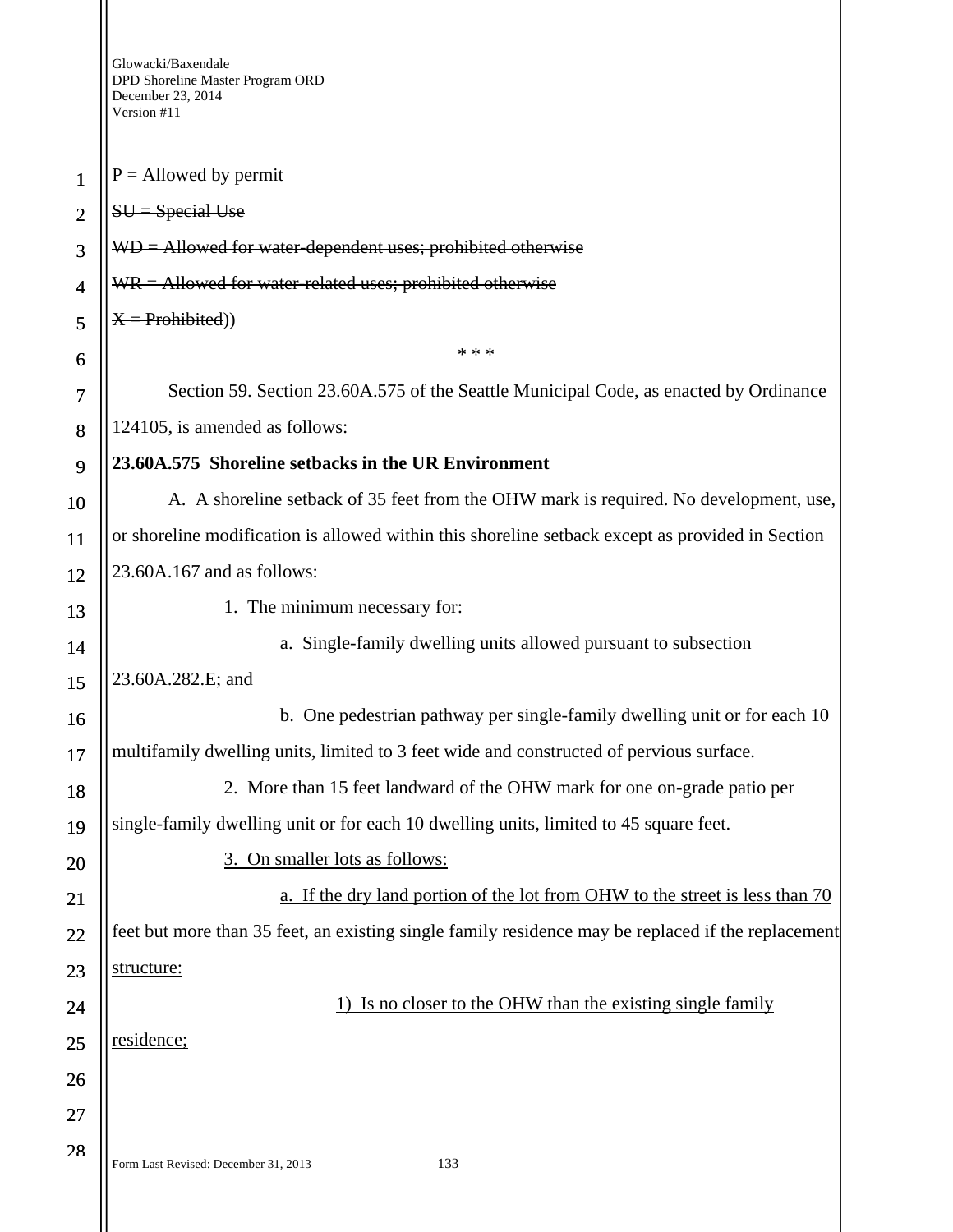1

2

3

4

5

6

7

8

9

10

11

12

13

14

15

16

17

18

19

20

21

22

23

24

25

26

27

28

 $P =$  Allowed by permit  $SU = Special Use$ WD = Allowed for water-dependent uses; prohibited otherwise  $WR =$  Allowed for water-related uses; prohibited otherwise  $X =$ Prohibited) \* \* \* Section 59. Section 23.60A.575 of the Seattle Municipal Code, as enacted by Ordinance 124105, is amended as follows: **23.60A.575 Shoreline setbacks in the UR Environment**  A. A shoreline setback of 35 feet from the OHW mark is required. No development, use, or shoreline modification is allowed within this shoreline setback except as provided in Section 23.60A.167 and as follows: 1. The minimum necessary for: a. Single-family dwelling units allowed pursuant to subsection 23.60A.282.E; and b. One pedestrian pathway per single-family dwelling unit or for each 10 multifamily dwelling units, limited to 3 feet wide and constructed of pervious surface. 2. More than 15 feet landward of the OHW mark for one on-grade patio per single-family dwelling unit or for each 10 dwelling units, limited to 45 square feet. 3. On smaller lots as follows: a. If the dry land portion of the lot from OHW to the street is less than 70 feet but more than 35 feet, an existing single family residence may be replaced if the replacement structure: 1) Is no closer to the OHW than the existing single family residence;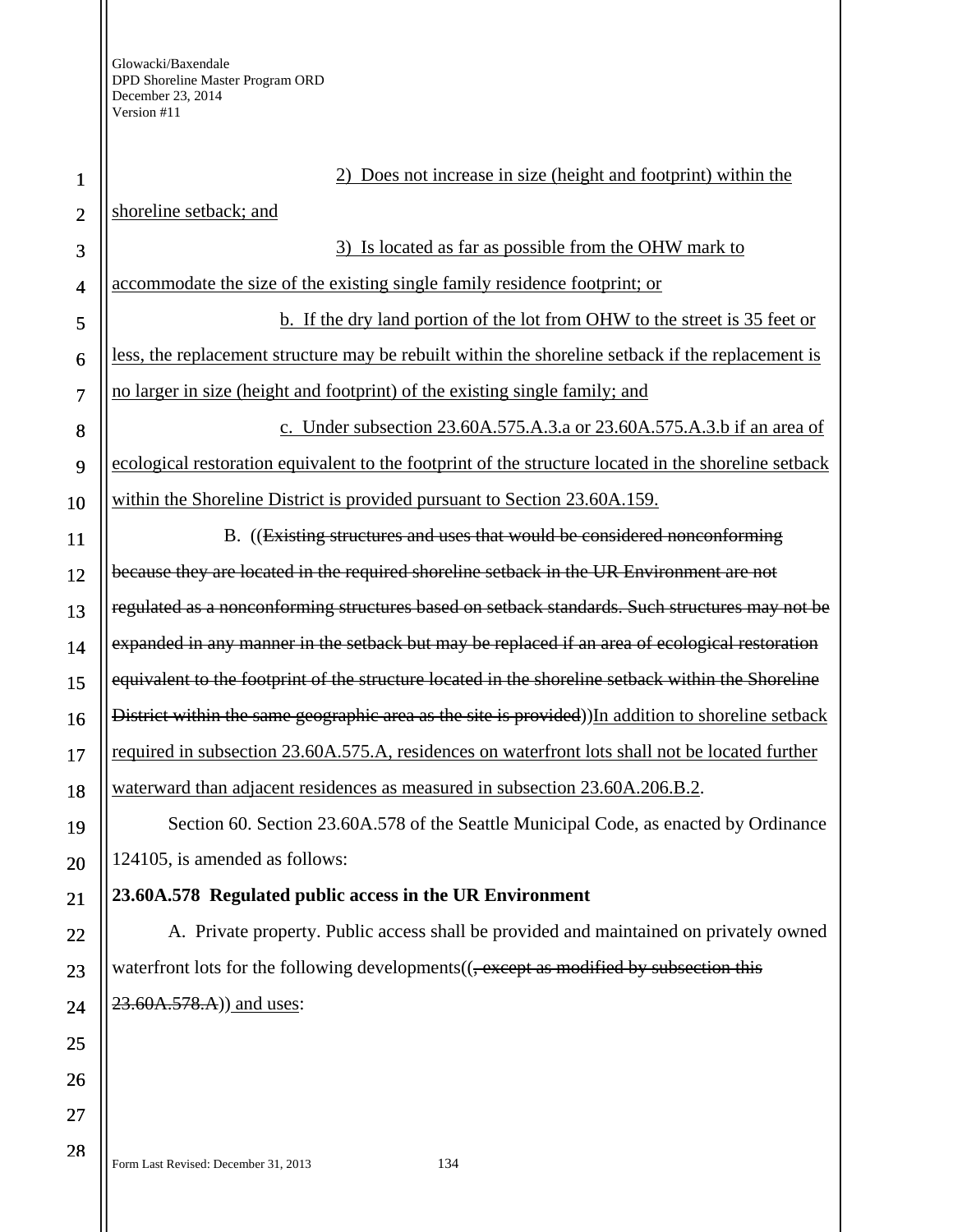2) Does not increase in size (height and footprint) within the

### shoreline setback; and

3) Is located as far as possible from the OHW mark to accommodate the size of the existing single family residence footprint; or b. If the dry land portion of the lot from OHW to the street is 35 feet or less, the replacement structure may be rebuilt within the shoreline setback if the replacement is no larger in size (height and footprint) of the existing single family; and c. Under subsection 23.60A.575.A.3.a or 23.60A.575.A.3.b if an area of ecological restoration equivalent to the footprint of the structure located in the shoreline setback within the Shoreline District is provided pursuant to Section 23.60A.159.

B. ((Existing structures and uses that would be considered nonconforming because they are located in the required shoreline setback in the UR Environment are not regulated as a nonconforming structures based on setback standards. Such structures may not be expanded in any manner in the setback but may be replaced if an area of ecological restoration equivalent to the footprint of the structure located in the shoreline setback within the Shoreline District within the same geographic area as the site is provided)) In addition to shoreline setback required in subsection 23.60A.575.A, residences on waterfront lots shall not be located further waterward than adjacent residences as measured in subsection 23.60A.206.B.2.

Section 60. Section 23.60A.578 of the Seattle Municipal Code, as enacted by Ordinance 124105, is amended as follows:

# **23.60A.578 Regulated public access in the UR Environment**

A. Private property. Public access shall be provided and maintained on privately owned waterfront lots for the following developments((<del>, except as modified by subsection this</del> 23.60A.578.A)) and uses: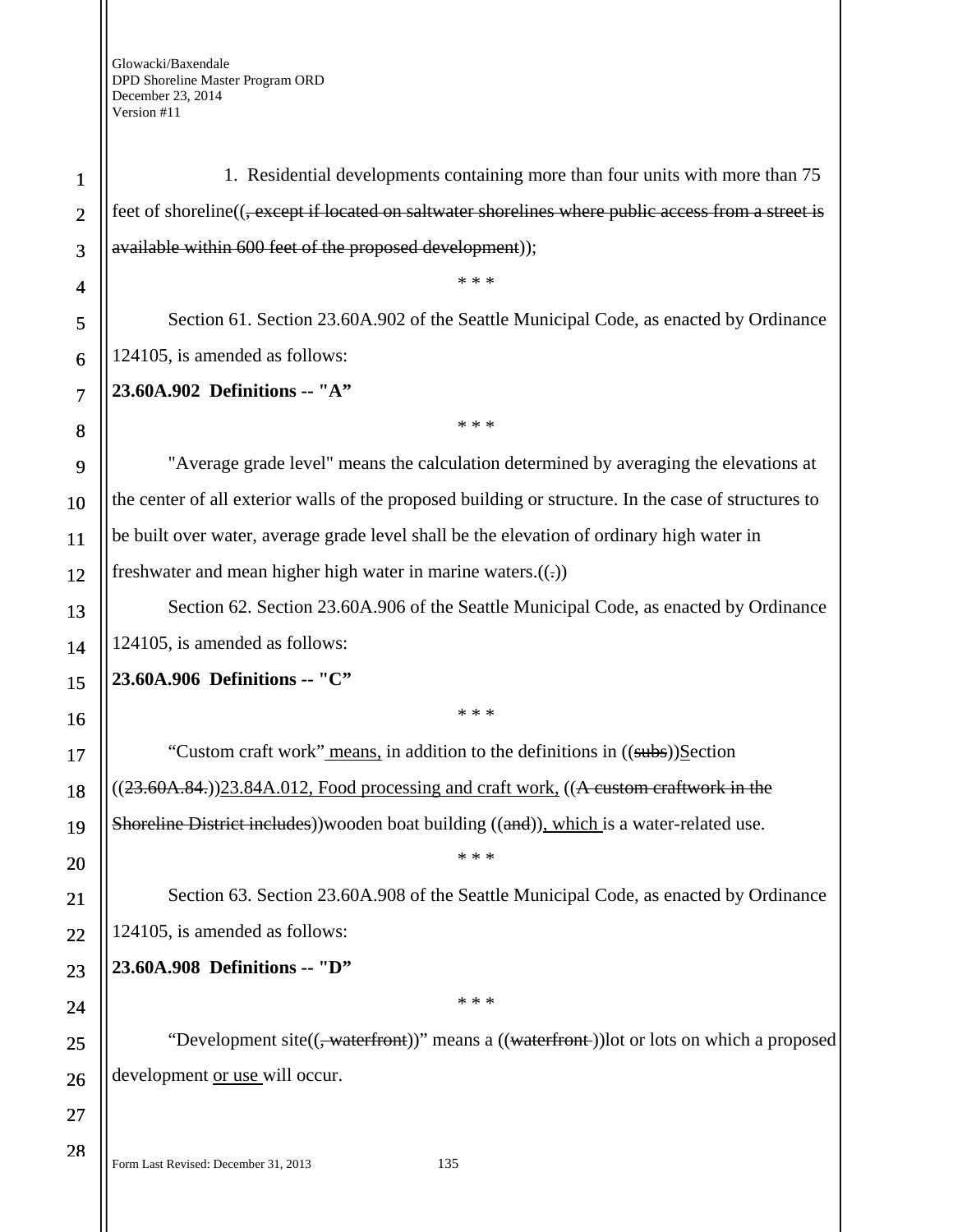1 2 3 4 5 6 7 8 9 10 11 12 13 14 15 16 17 18 19 20 21 22 23 24 25 26 27 28 1. Residential developments containing more than four units with more than 75 feet of shoreline((, except if located on saltwater shorelines where public access from a street is available within 600 feet of the proposed development)); \* \* \* Section 61. Section 23.60A.902 of the Seattle Municipal Code, as enacted by Ordinance 124105, is amended as follows: **23.60A.902 Definitions -- "A"**  \* \* \* "Average grade level" means the calculation determined by averaging the elevations at the center of all exterior walls of the proposed building or structure. In the case of structures to be built over water, average grade level shall be the elevation of ordinary high water in freshwater and mean higher high water in marine waters. $((.)$ Section 62. Section 23.60A.906 of the Seattle Municipal Code, as enacted by Ordinance 124105, is amended as follows: **23.60A.906 Definitions -- "C"**  \* \* \* "Custom craft work" means, in addition to the definitions in ((subs))Section  $((23.60A.84.))23.84A.012$ , Food processing and craft work,  $((A<sub>custom craftwork in the</sub>)$ Shoreline District includes))wooden boat building ((and)), which is a water-related use. \* \* \* Section 63. Section 23.60A.908 of the Seattle Municipal Code, as enacted by Ordinance 124105, is amended as follows: **23.60A.908 Definitions -- "D"**  \* \* \* "Development site((<del>, waterfront</del>))" means a ((waterfront))lot or lots on which a proposed development or use will occur.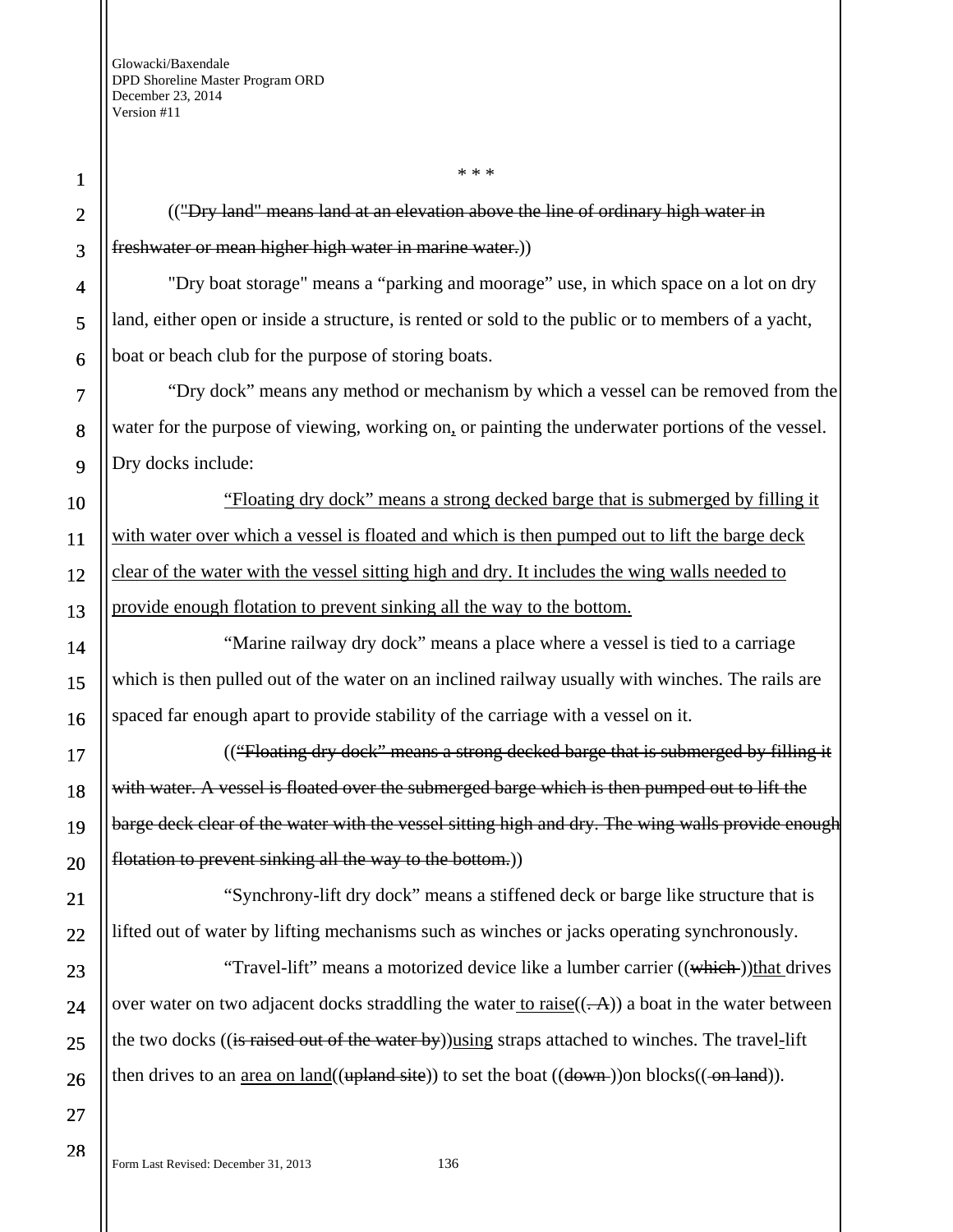9

10

11

12

13

14

15

16

17

18

19

20

21

22

23

24

25

26

27

28

(("Dry land" means land at an elevation above the line of ordinary high water in freshwater or mean higher high water in marine water.))

\* \* \*

"Dry boat storage" means a "parking and moorage" use, in which space on a lot on dry land, either open or inside a structure, is rented or sold to the public or to members of a yacht, boat or beach club for the purpose of storing boats.

"Dry dock" means any method or mechanism by which a vessel can be removed from the water for the purpose of viewing, working on, or painting the underwater portions of the vessel. Dry docks include:

"Floating dry dock" means a strong decked barge that is submerged by filling it with water over which a vessel is floated and which is then pumped out to lift the barge deck clear of the water with the vessel sitting high and dry. It includes the wing walls needed to provide enough flotation to prevent sinking all the way to the bottom.

"Marine railway dry dock" means a place where a vessel is tied to a carriage which is then pulled out of the water on an inclined railway usually with winches. The rails are spaced far enough apart to provide stability of the carriage with a vessel on it.

(("Floating dry dock" means a strong decked barge that is submerged by filling it with water. A vessel is floated over the submerged barge which is then pumped out to lift the barge deck clear of the water with the vessel sitting high and dry. The wing walls provide enough flotation to prevent sinking all the way to the bottom.)

"Synchrony-lift dry dock" means a stiffened deck or barge like structure that is lifted out of water by lifting mechanisms such as winches or jacks operating synchronously.

"Travel-lift" means a motorized device like a lumber carrier ((which))that drives over water on two adjacent docks straddling the water to raise( $(\overline{A})$ ) a boat in the water between the two docks ((is raised out of the water by)) using straps attached to winches. The travel-lift then drives to an area on land(( $upland site$ )) to set the boat ( $(down$ ))on blocks( $(-on land)$ ).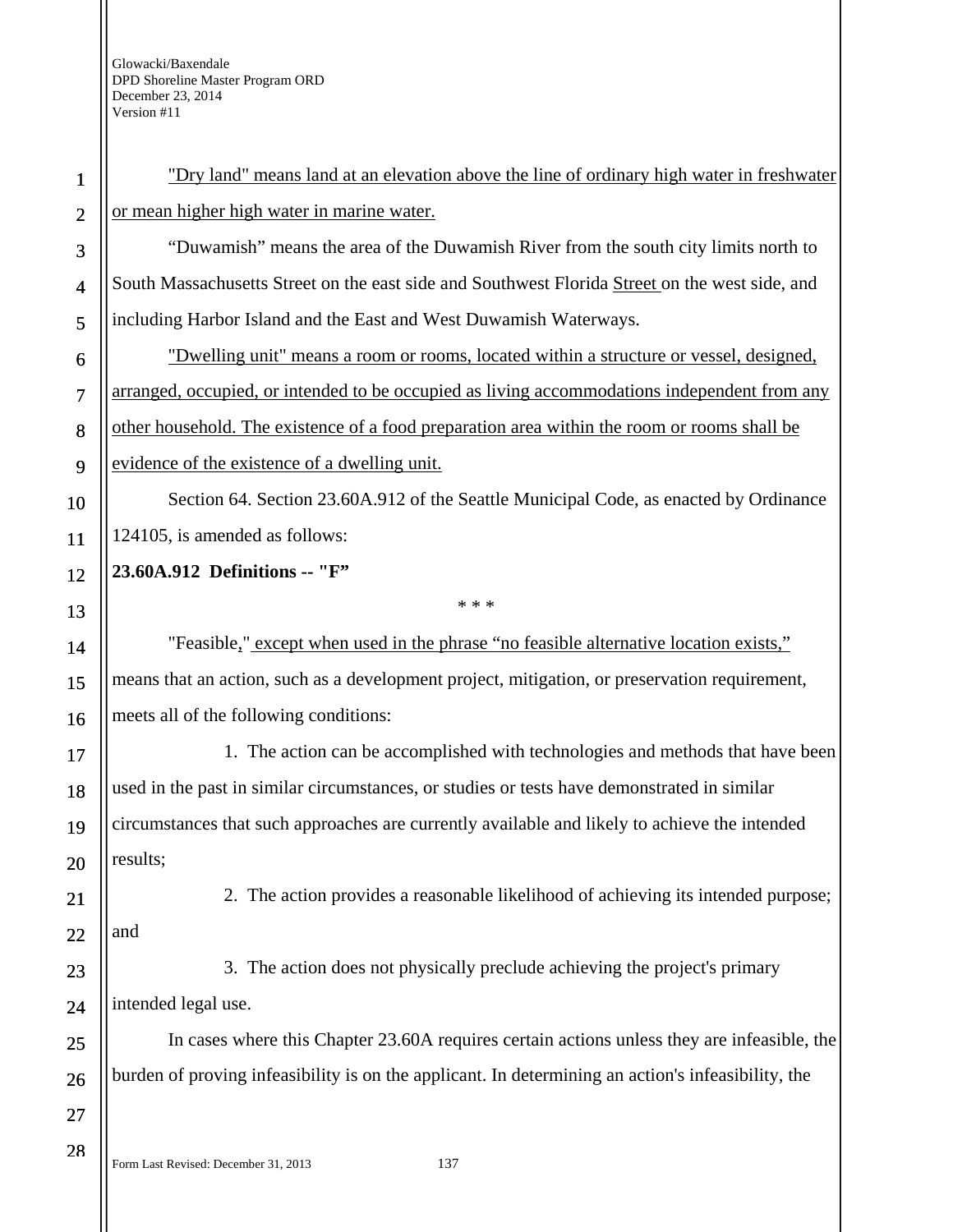| $\mathbf{1}$            | "Dry land" means land at an elevation above the line of ordinary high water in freshwater          |
|-------------------------|----------------------------------------------------------------------------------------------------|
| $\overline{2}$          | or mean higher high water in marine water.                                                         |
| 3                       | "Duwamish" means the area of the Duwamish River from the south city limits north to                |
| $\overline{\mathbf{4}}$ | South Massachusetts Street on the east side and Southwest Florida Street on the west side, and     |
| 5                       | including Harbor Island and the East and West Duwamish Waterways.                                  |
| 6                       | "Dwelling unit" means a room or rooms, located within a structure or vessel, designed,             |
| $\tau$                  | arranged, occupied, or intended to be occupied as living accommodations independent from any       |
| 8                       | other household. The existence of a food preparation area within the room or rooms shall be        |
| 9                       | evidence of the existence of a dwelling unit.                                                      |
| 10                      | Section 64. Section 23.60A.912 of the Seattle Municipal Code, as enacted by Ordinance              |
| 11                      | 124105, is amended as follows:                                                                     |
| 12                      | 23.60A.912 Definitions -- "F"                                                                      |
| 13                      | * * *                                                                                              |
| 14                      | "Feasible," except when used in the phrase "no feasible alternative location exists,"              |
| 15                      | means that an action, such as a development project, mitigation, or preservation requirement,      |
| 16                      | meets all of the following conditions:                                                             |
| 17                      | 1. The action can be accomplished with technologies and methods that have been                     |
| 18                      | used in the past in similar circumstances, or studies or tests have demonstrated in similar        |
| 19                      | circumstances that such approaches are currently available and likely to achieve the intended      |
| 20                      | results;                                                                                           |
| 21                      | 2. The action provides a reasonable likelihood of achieving its intended purpose;                  |
| 22                      | and                                                                                                |
| 23                      | 3. The action does not physically preclude achieving the project's primary                         |
| 24                      | intended legal use.                                                                                |
| 25                      | In cases where this Chapter 23.60A requires certain actions unless they are infeasible, the        |
| 26                      | burden of proving infeasibility is on the applicant. In determining an action's infeasibility, the |
| 27                      |                                                                                                    |
| 28                      | Form Last Revised: December 31, 2013<br>137                                                        |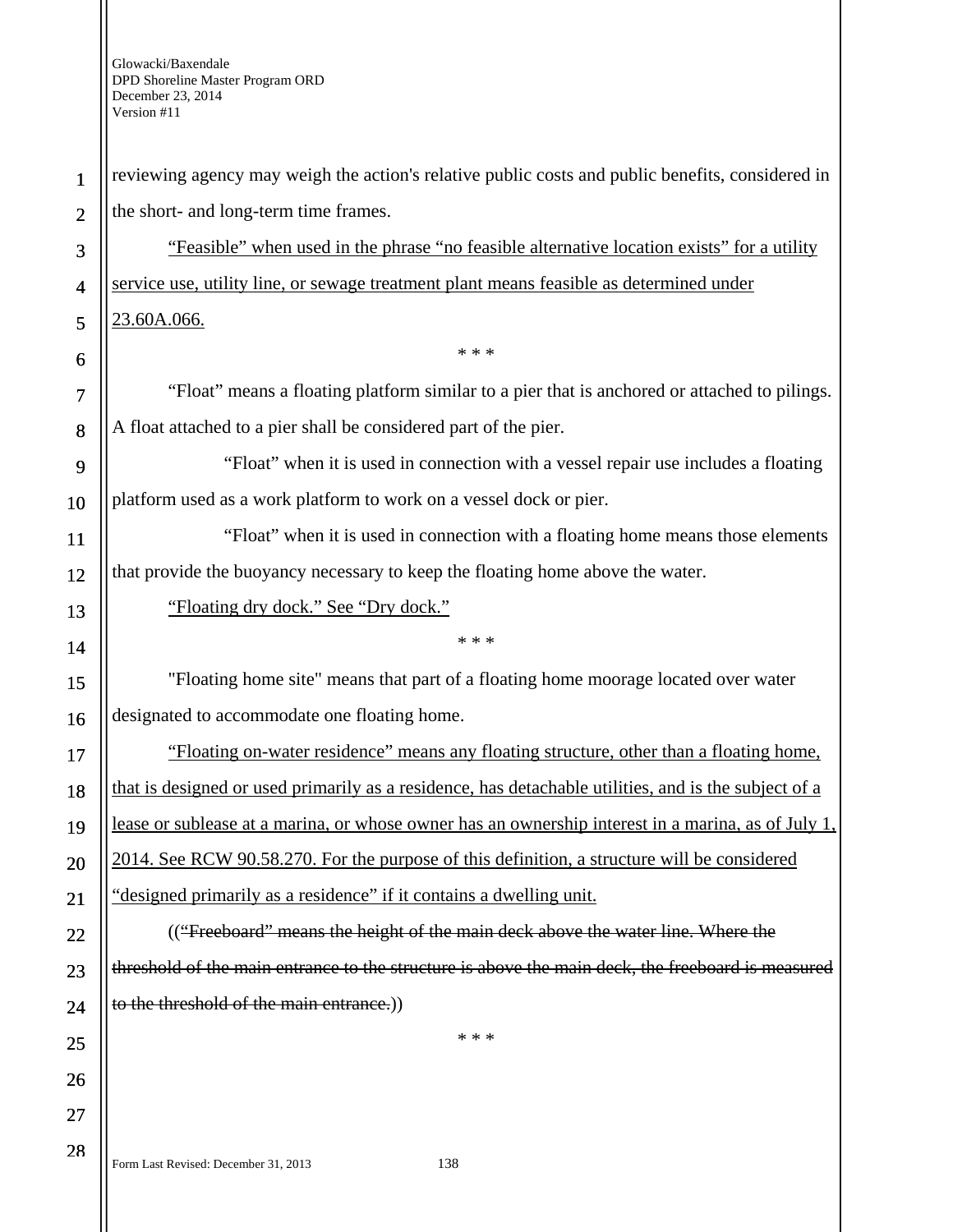| $\mathbf{1}$             | reviewing agency may weigh the action's relative public costs and public benefits, considered in          |
|--------------------------|-----------------------------------------------------------------------------------------------------------|
| $\overline{2}$           | the short- and long-term time frames.                                                                     |
| 3                        | "Feasible" when used in the phrase "no feasible alternative location exists" for a utility                |
| $\overline{\mathcal{A}}$ | service use, utility line, or sewage treatment plant means feasible as determined under                   |
| 5                        | 23.60A.066.                                                                                               |
| 6                        | * * *                                                                                                     |
| 7                        | "Float" means a floating platform similar to a pier that is anchored or attached to pilings.              |
| 8                        | A float attached to a pier shall be considered part of the pier.                                          |
| 9                        | "Float" when it is used in connection with a vessel repair use includes a floating                        |
| 10                       | platform used as a work platform to work on a vessel dock or pier.                                        |
| 11                       | "Float" when it is used in connection with a floating home means those elements                           |
| 12                       | that provide the buoyancy necessary to keep the floating home above the water.                            |
| 13                       | "Floating dry dock." See "Dry dock."                                                                      |
| 14                       | * * *                                                                                                     |
| 15                       | "Floating home site" means that part of a floating home moorage located over water                        |
| 16                       | designated to accommodate one floating home.                                                              |
| 17                       | "Floating on-water residence" means any floating structure, other than a floating home,                   |
| 18                       | that is designed or used primarily as a residence, has detachable utilities, and is the subject of a      |
| 19                       | <u>lease or sublease at a marina, or whose owner has an ownership interest in a marina, as of July 1,</u> |
| 20                       | 2014. See RCW 90.58.270. For the purpose of this definition, a structure will be considered               |
| 21                       | "designed primarily as a residence" if it contains a dwelling unit.                                       |
| 22                       | (("Freeboard" means the height of the main deck above the water line. Where the                           |
| 23                       | threshold of the main entrance to the structure is above the main deck, the freeboard is measured         |
| 24                       | to the threshold of the main entrance.))                                                                  |
| 25                       | * * *                                                                                                     |
| 26                       |                                                                                                           |
| 27                       |                                                                                                           |
| 28                       |                                                                                                           |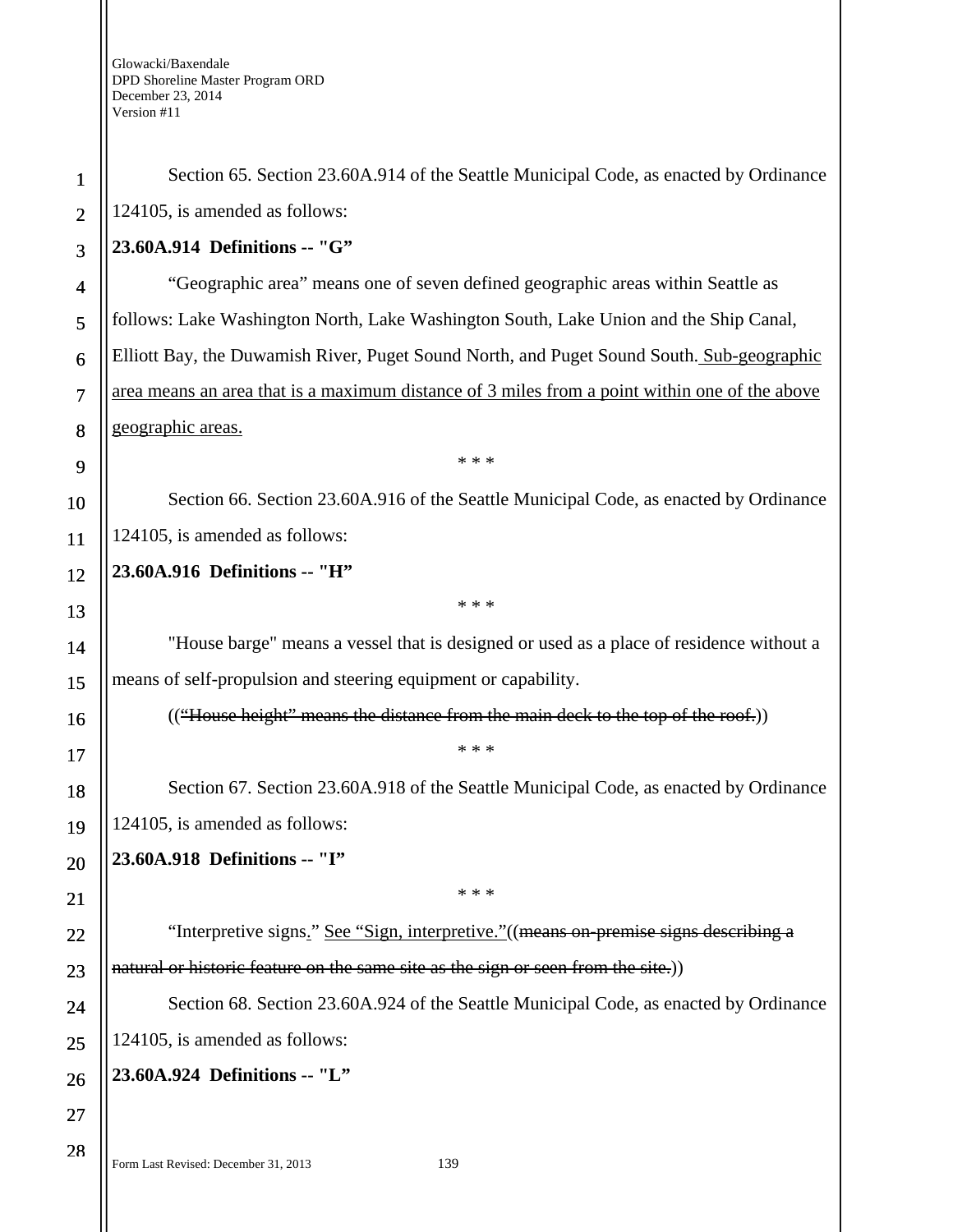| 1              | Section 65. Section 23.60A.914 of the Seattle Municipal Code, as enacted by Ordinance         |
|----------------|-----------------------------------------------------------------------------------------------|
| $\overline{2}$ | 124105, is amended as follows:                                                                |
| 3              | 23.60A.914 Definitions -- "G"                                                                 |
| $\overline{4}$ | "Geographic area" means one of seven defined geographic areas within Seattle as               |
| 5              | follows: Lake Washington North, Lake Washington South, Lake Union and the Ship Canal,         |
| 6              | Elliott Bay, the Duwamish River, Puget Sound North, and Puget Sound South. Sub-geographic     |
| $\overline{7}$ | area means an area that is a maximum distance of 3 miles from a point within one of the above |
| 8              | geographic areas.                                                                             |
| 9              | * * *                                                                                         |
| 10             | Section 66. Section 23.60A.916 of the Seattle Municipal Code, as enacted by Ordinance         |
| 11             | 124105, is amended as follows:                                                                |
| 12             | 23.60A.916 Definitions -- "H"                                                                 |
| 13             | * * *                                                                                         |
| 14             | "House barge" means a vessel that is designed or used as a place of residence without a       |
| 15             | means of self-propulsion and steering equipment or capability.                                |
| 16             | (("House height" means the distance from the main deck to the top of the roof.))              |
| 17             | * * *                                                                                         |
| 18             | Section 67. Section 23.60A.918 of the Seattle Municipal Code, as enacted by Ordinance         |
| 19             | 124105, is amended as follows:                                                                |
| 20             | 23.60A.918 Definitions -- "I"                                                                 |
| 21             | * * *                                                                                         |
| 22             | "Interpretive signs." See "Sign, interpretive." ((means on premise signs describing a         |
| 23             | natural or historic feature on the same site as the sign or seen from the site.)              |
| 24             | Section 68. Section 23.60A.924 of the Seattle Municipal Code, as enacted by Ordinance         |
| 25             | 124105, is amended as follows:                                                                |
| 26             | 23.60A.924 Definitions -- "L"                                                                 |
| 27             |                                                                                               |
| 28             |                                                                                               |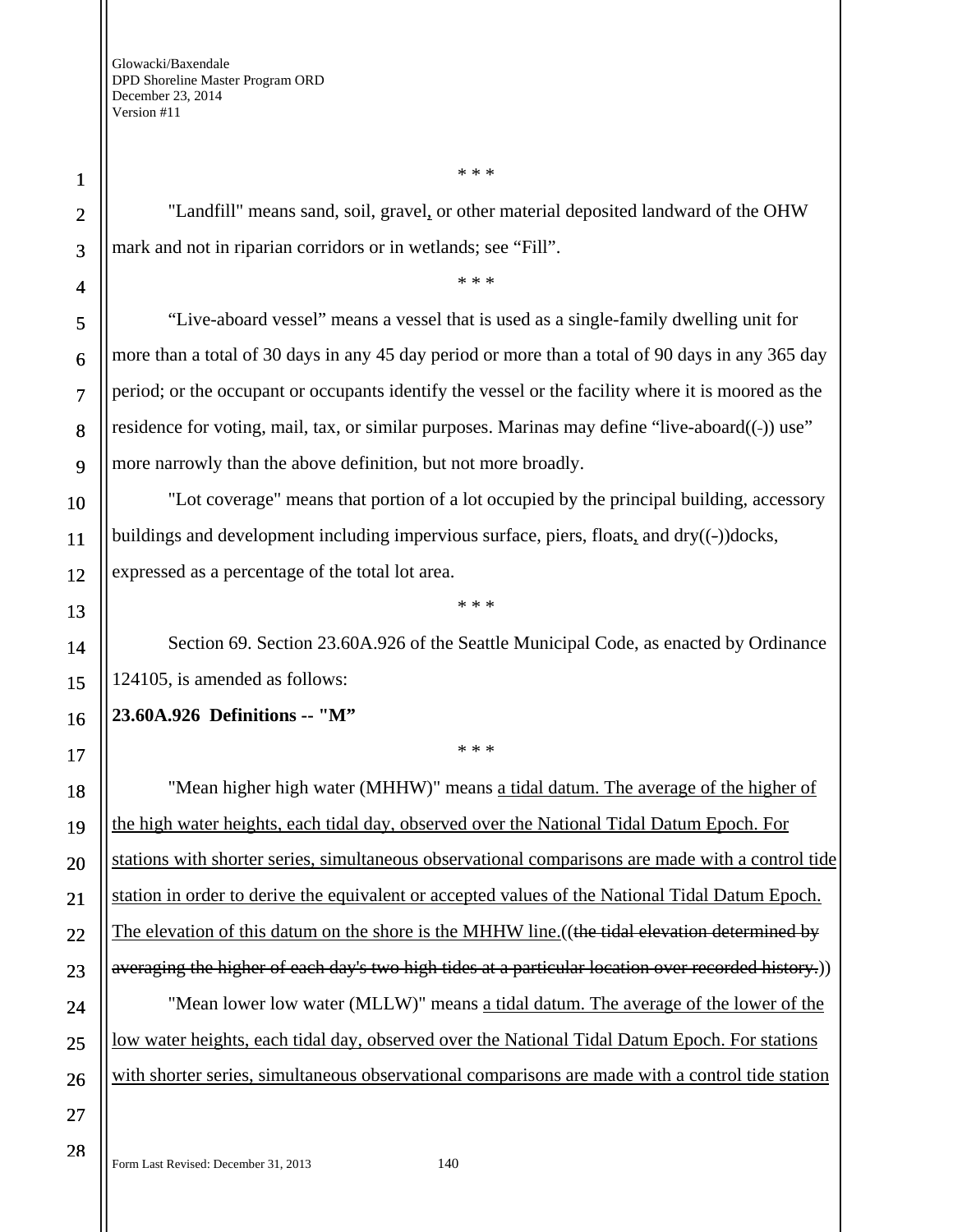1

2

"Landfill" means sand, soil, gravel, or other material deposited landward of the OHW mark and not in riparian corridors or in wetlands; see "Fill".

\* \* \*

\* \* \*

"Live-aboard vessel" means a vessel that is used as a single-family dwelling unit for more than a total of 30 days in any 45 day period or more than a total of 90 days in any 365 day period; or the occupant or occupants identify the vessel or the facility where it is moored as the residence for voting, mail, tax, or similar purposes. Marinas may define "live-aboard((-)) use" more narrowly than the above definition, but not more broadly.

"Lot coverage" means that portion of a lot occupied by the principal building, accessory buildings and development including impervious surface, piers, floats, and  $\frac{dy}{(-)}$  docks, expressed as a percentage of the total lot area.

Section 69. Section 23.60A.926 of the Seattle Municipal Code, as enacted by Ordinance 124105, is amended as follows:

\* \* \*

## **23.60A.926 Definitions -- "M"**

\* \* \*

"Mean higher high water (MHHW)" means a tidal datum. The average of the higher of the high water heights, each tidal day, observed over the National Tidal Datum Epoch. For stations with shorter series, simultaneous observational comparisons are made with a control tide station in order to derive the equivalent or accepted values of the National Tidal Datum Epoch. The elevation of this datum on the shore is the MHHW line. ((the tidal elevation determined by averaging the higher of each day's two high tides at a particular location over recorded history.) "Mean lower low water (MLLW)" means a tidal datum. The average of the lower of the low water heights, each tidal day, observed over the National Tidal Datum Epoch. For stations with shorter series, simultaneous observational comparisons are made with a control tide station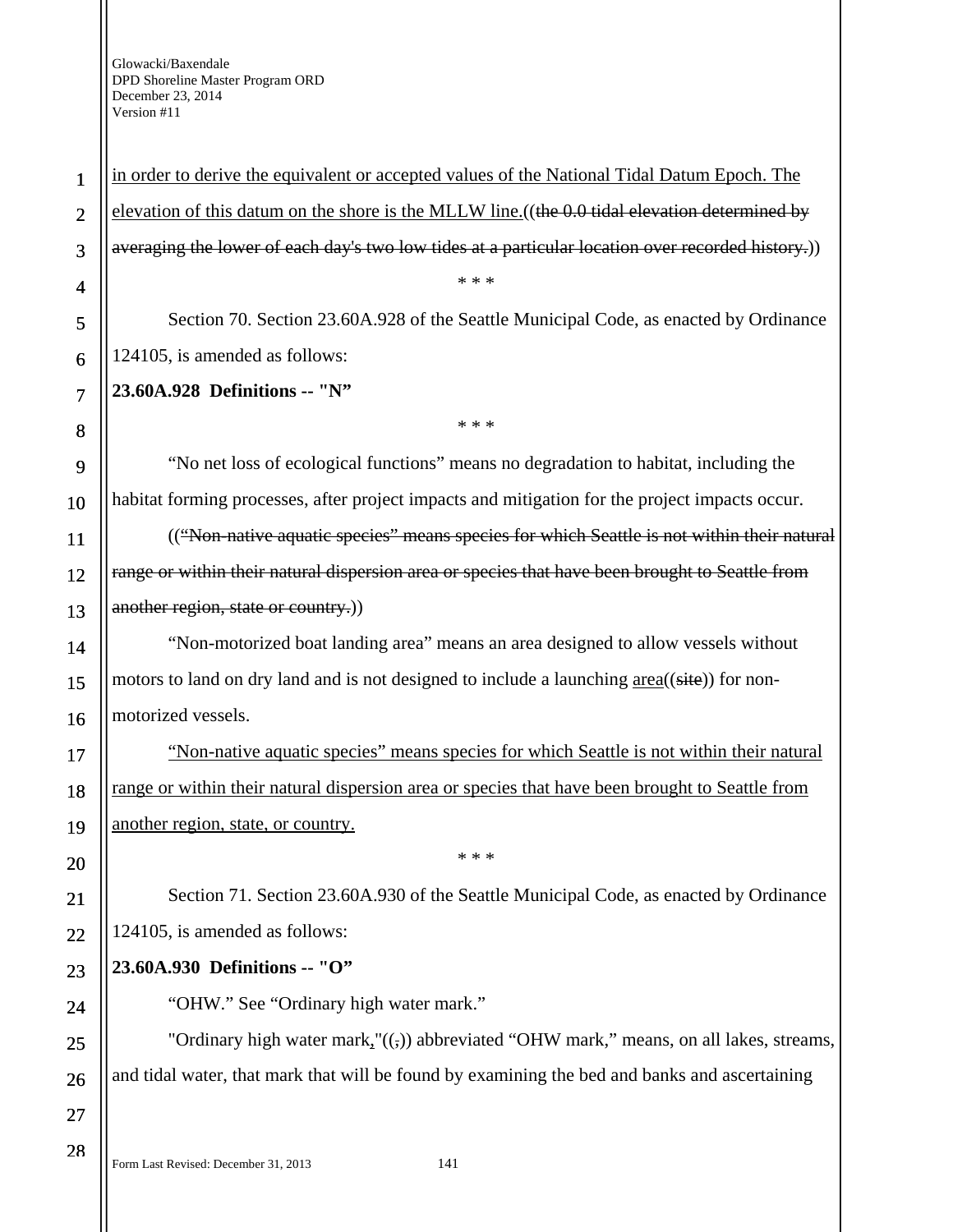1 2 3 4 5 6 7 8 9 10 11 12 13 14 15 16 17 18 19 20 21 22 23 24 25 26 27 28 in order to derive the equivalent or accepted values of the National Tidal Datum Epoch. The elevation of this datum on the shore is the MLLW line. ((the 0.0 tidal elevation determined by averaging the lower of each day's two low tides at a particular location over recorded history.)) \* \* \* Section 70. Section 23.60A.928 of the Seattle Municipal Code, as enacted by Ordinance 124105, is amended as follows: **23.60A.928 Definitions -- "N"**  \* \* \* "No net loss of ecological functions" means no degradation to habitat, including the habitat forming processes, after project impacts and mitigation for the project impacts occur. (("Non-native aquatic species" means species for which Seattle is not within their natural range or within their natural dispersion area or species that have been brought to Seattle from another region, state or country.) "Non-motorized boat landing area" means an area designed to allow vessels without motors to land on dry land and is not designed to include a launching  $area((\text{site}))$  for nonmotorized vessels. "Non-native aquatic species" means species for which Seattle is not within their natural range or within their natural dispersion area or species that have been brought to Seattle from another region, state, or country. \* \* \* Section 71. Section 23.60A.930 of the Seattle Municipal Code, as enacted by Ordinance 124105, is amended as follows: **23.60A.930 Definitions -- "O"**  "OHW." See "Ordinary high water mark." "Ordinary high water mark," $((,))$  abbreviated "OHW mark," means, on all lakes, streams, and tidal water, that mark that will be found by examining the bed and banks and ascertaining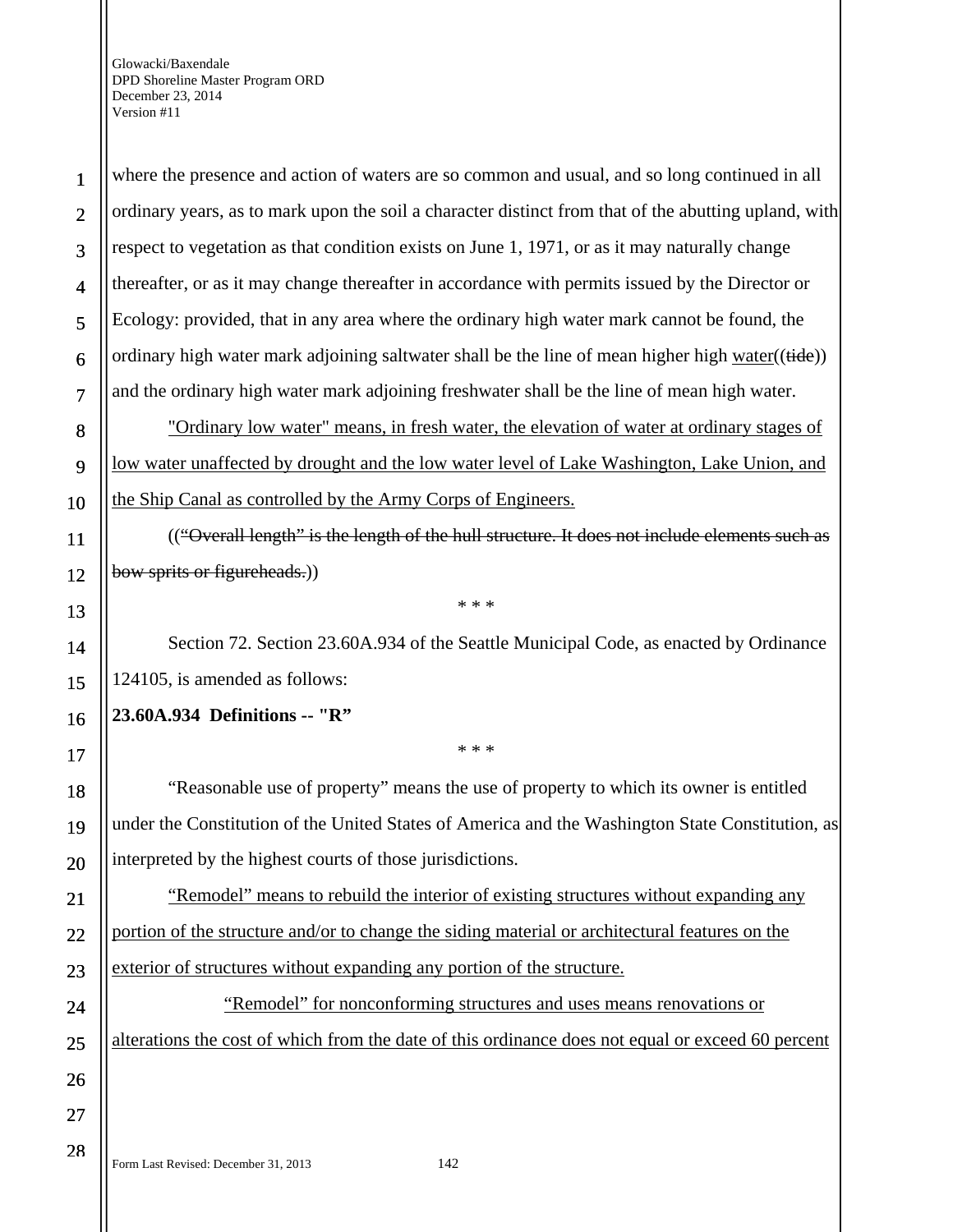28

where the presence and action of waters are so common and usual, and so long continued in all ordinary years, as to mark upon the soil a character distinct from that of the abutting upland, with respect to vegetation as that condition exists on June 1, 1971, or as it may naturally change thereafter, or as it may change thereafter in accordance with permits issued by the Director or Ecology: provided, that in any area where the ordinary high water mark cannot be found, the ordinary high water mark adjoining saltwater shall be the line of mean higher high water((tide)) and the ordinary high water mark adjoining freshwater shall be the line of mean high water.

"Ordinary low water" means, in fresh water, the elevation of water at ordinary stages of low water unaffected by drought and the low water level of Lake Washington, Lake Union, and the Ship Canal as controlled by the Army Corps of Engineers.

(("Overall length" is the length of the hull structure. It does not include elements such as bow sprits or figureheads.)

\* \* \*

Section 72. Section 23.60A.934 of the Seattle Municipal Code, as enacted by Ordinance 124105, is amended as follows:

\* \* \*

# **23.60A.934 Definitions -- "R"**

"Reasonable use of property" means the use of property to which its owner is entitled under the Constitution of the United States of America and the Washington State Constitution, as interpreted by the highest courts of those jurisdictions.

"Remodel" means to rebuild the interior of existing structures without expanding any portion of the structure and/or to change the siding material or architectural features on the exterior of structures without expanding any portion of the structure.

"Remodel" for nonconforming structures and uses means renovations or alterations the cost of which from the date of this ordinance does not equal or exceed 60 percent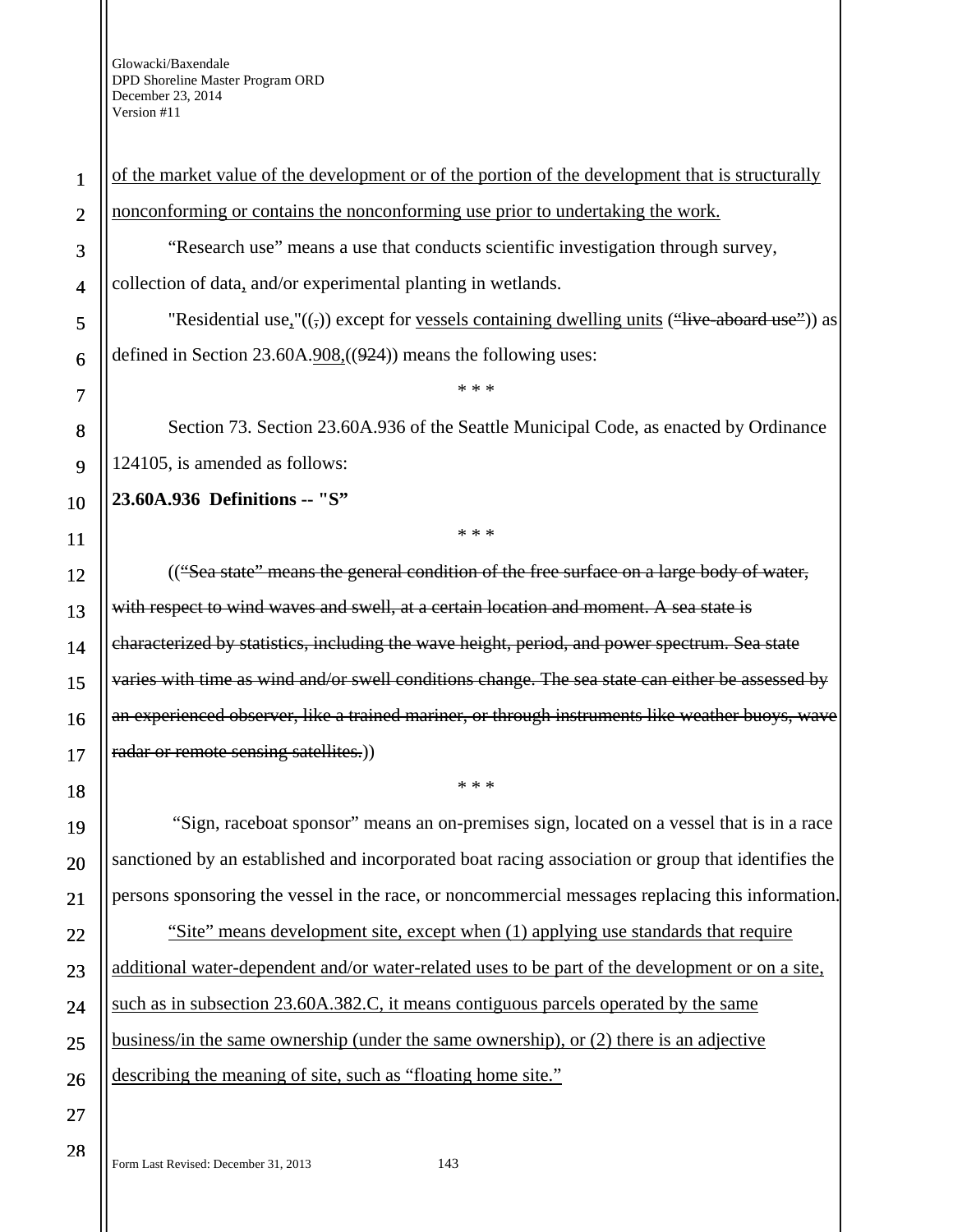4

5

6

7

8

9

10

11

12

13

14

15

16

17

18

19

20

21

22

23

24

25

26

27

28

1 2 3 of the market value of the development or of the portion of the development that is structurally nonconforming or contains the nonconforming use prior to undertaking the work. "Research use" means a use that conducts scientific investigation through survey,

collection of data, and/or experimental planting in wetlands.

"Residential use," $((,)$ ) except for vessels containing dwelling units  $(\text{``live-aboad use''})$ ) as defined in Section  $23.60A.908$ ,  $(924)$  means the following uses:

\* \* \*

Section 73. Section 23.60A.936 of the Seattle Municipal Code, as enacted by Ordinance 124105, is amended as follows:

\* \* \*

**23.60A.936 Definitions -- "S"** 

(("Sea state" means the general condition of the free surface on a large body of water, with respect to wind waves and swell, at a certain location and moment. A sea state is characterized by statistics, including the wave height, period, and power spectrum. Sea state varies with time as wind and/or swell conditions change. The sea state can either be assessed by an experienced observer, like a trained mariner, or through instruments like weather buoys, wave radar or remote sensing satellites.)

 "Sign, raceboat sponsor" means an on-premises sign, located on a vessel that is in a race sanctioned by an established and incorporated boat racing association or group that identifies the persons sponsoring the vessel in the race, or noncommercial messages replacing this information.

\* \* \*

"Site" means development site, except when (1) applying use standards that require additional water-dependent and/or water-related uses to be part of the development or on a site, such as in subsection 23.60A.382.C, it means contiguous parcels operated by the same business/in the same ownership (under the same ownership), or (2) there is an adjective describing the meaning of site, such as "floating home site."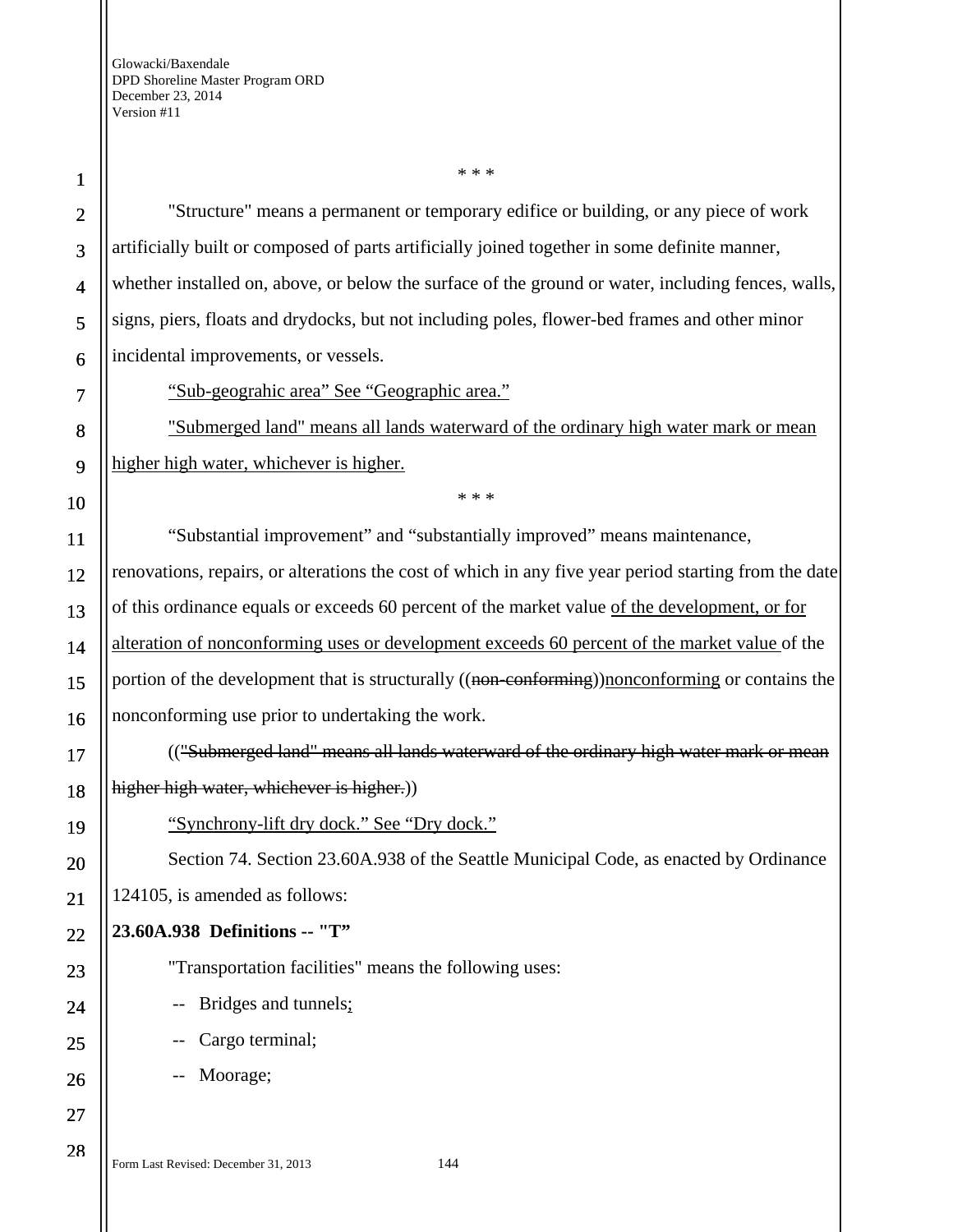28

"Structure" means a permanent or temporary edifice or building, or any piece of work artificially built or composed of parts artificially joined together in some definite manner, whether installed on, above, or below the surface of the ground or water, including fences, walls, signs, piers, floats and drydocks, but not including poles, flower-bed frames and other minor incidental improvements, or vessels.

\* \* \*

"Sub-geograhic area" See "Geographic area."

"Submerged land" means all lands waterward of the ordinary high water mark or mean higher high water, whichever is higher.

\* \* \*

"Substantial improvement" and "substantially improved" means maintenance, renovations, repairs, or alterations the cost of which in any five year period starting from the date of this ordinance equals or exceeds 60 percent of the market value of the development, or for alteration of nonconforming uses or development exceeds 60 percent of the market value of the portion of the development that is structurally ((non-conforming))nonconforming or contains the nonconforming use prior to undertaking the work.

(("Submerged land" means all lands waterward of the ordinary high water mark or mean higher high water, whichever is higher.)

"Synchrony-lift dry dock." See "Dry dock."

Section 74. Section 23.60A.938 of the Seattle Municipal Code, as enacted by Ordinance 124105, is amended as follows:

## **23.60A.938 Definitions -- "T"**

"Transportation facilities" means the following uses:

-- Bridges and tunnels;

-- Cargo terminal;

-- Moorage;

Form Last Revised: December 31, 2013 144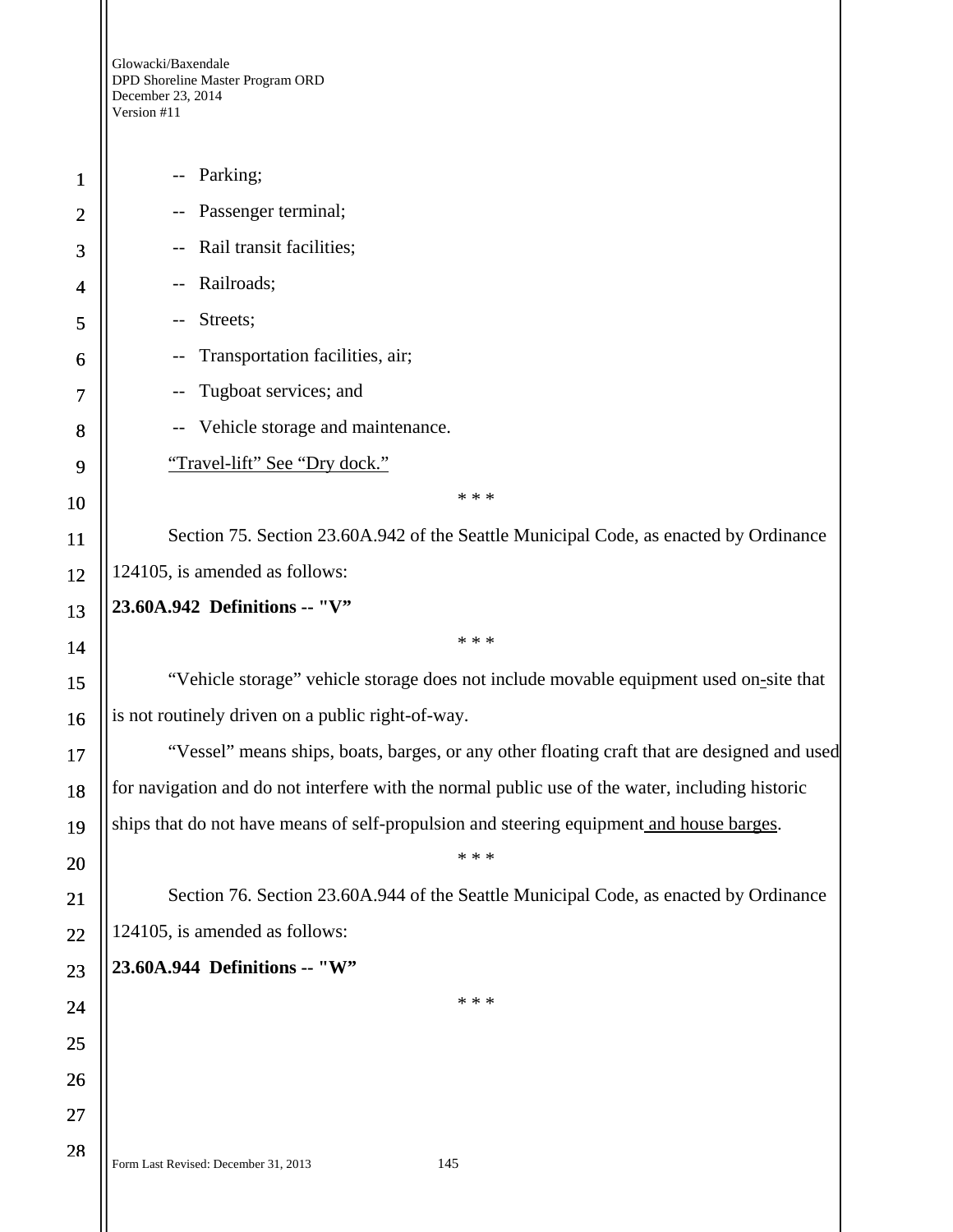Glowacki/Baxendale DPD Shoreline Master Program ORD December 23, 2014 Version #11

Form Last Revised: December 31, 2013 145 1 2 3 4 5 6 7 8 9 10 11 12 13 14 15 16 17 18 19 20 21 22 23 24 25 26 27 28 -- Parking; -- Passenger terminal; -- Rail transit facilities; -- Railroads; -- Streets; -- Transportation facilities, air; -- Tugboat services; and -- Vehicle storage and maintenance. "Travel-lift" See "Dry dock." \* \* \* Section 75. Section 23.60A.942 of the Seattle Municipal Code, as enacted by Ordinance 124105, is amended as follows: **23.60A.942 Definitions -- "V"**  \* \* \* "Vehicle storage" vehicle storage does not include movable equipment used on-site that is not routinely driven on a public right-of-way. "Vessel" means ships, boats, barges, or any other floating craft that are designed and used for navigation and do not interfere with the normal public use of the water, including historic ships that do not have means of self-propulsion and steering equipment and house barges. \* \* \* Section 76. Section 23.60A.944 of the Seattle Municipal Code, as enacted by Ordinance 124105, is amended as follows: **23.60A.944 Definitions -- "W"**  \* \* \*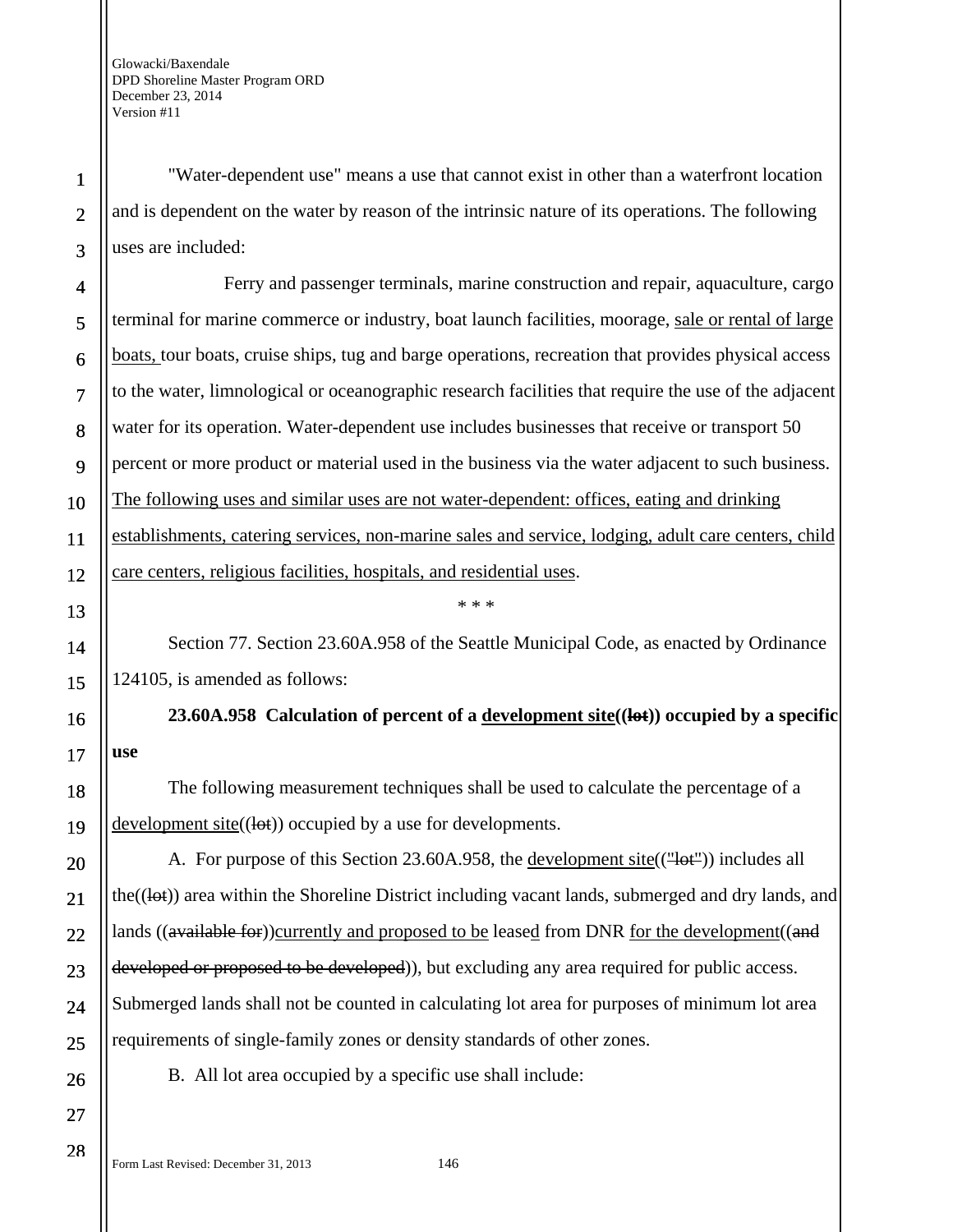1

2

3

4

5

6

7

8

9

10

11

12

13

14

15

16

17

18

19

20

21

22

23

24

25

26

27

28

"Water-dependent use" means a use that cannot exist in other than a waterfront location and is dependent on the water by reason of the intrinsic nature of its operations. The following uses are included:

Ferry and passenger terminals, marine construction and repair, aquaculture, cargo terminal for marine commerce or industry, boat launch facilities, moorage, sale or rental of large boats, tour boats, cruise ships, tug and barge operations, recreation that provides physical access to the water, limnological or oceanographic research facilities that require the use of the adjacent water for its operation. Water-dependent use includes businesses that receive or transport 50 percent or more product or material used in the business via the water adjacent to such business. The following uses and similar uses are not water-dependent: offices, eating and drinking establishments, catering services, non-marine sales and service, lodging, adult care centers, child care centers, religious facilities, hospitals, and residential uses.

Section 77. Section 23.60A.958 of the Seattle Municipal Code, as enacted by Ordinance 124105, is amended as follows:

\* \* \*

**23.60A.958 Calculation of percent of a development site((lot)) occupied by a specific use** 

The following measurement techniques shall be used to calculate the percentage of a development site $((let))$  occupied by a use for developments.

A. For purpose of this Section 23.60A.958, the development site(("lot")) includes all the( $(\{let\})$ ) area within the Shoreline District including vacant lands, submerged and dry lands, and lands ((available for))currently and proposed to be leased from DNR for the development ((and developed or proposed to be developed)), but excluding any area required for public access. Submerged lands shall not be counted in calculating lot area for purposes of minimum lot area requirements of single-family zones or density standards of other zones.

B. All lot area occupied by a specific use shall include: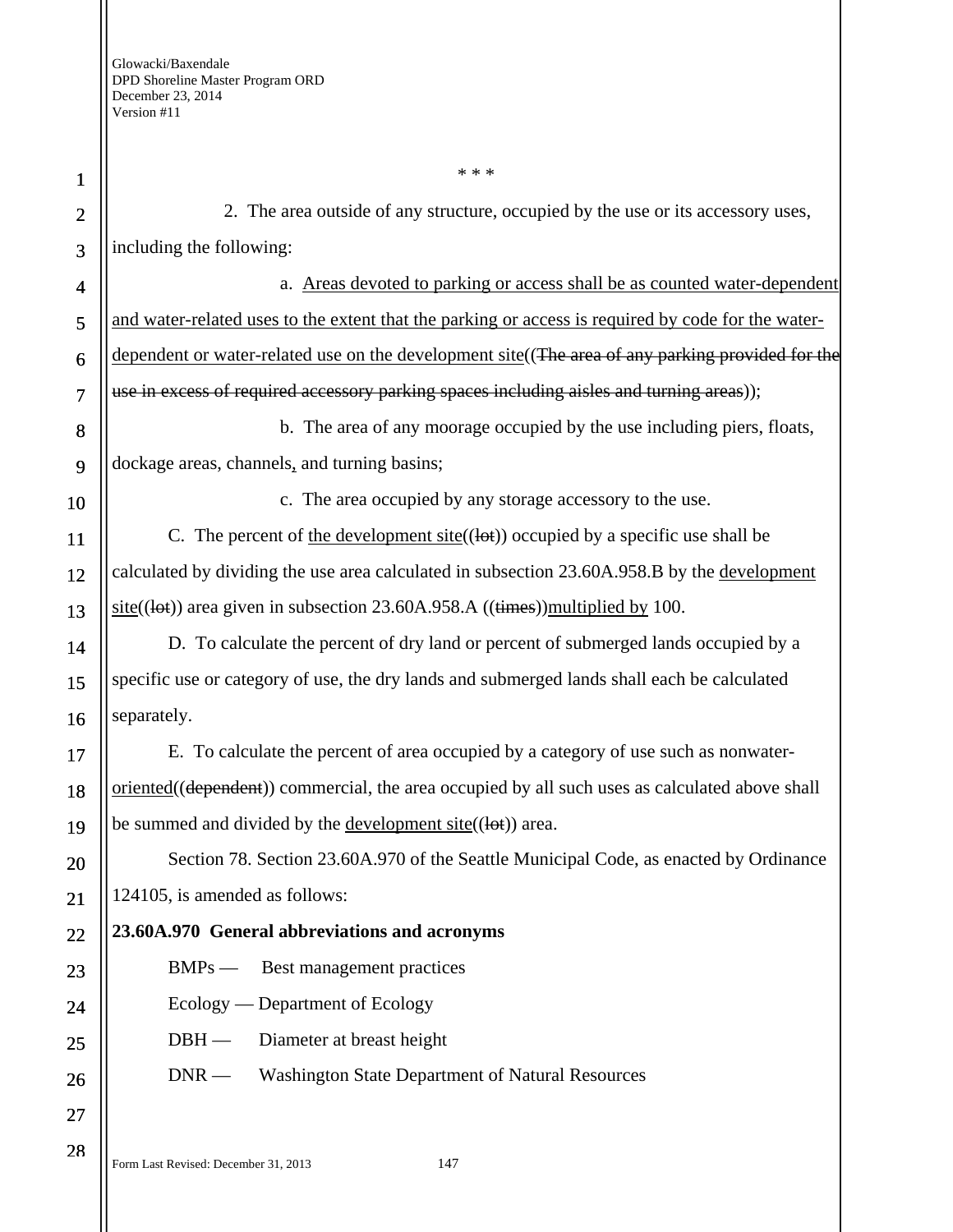1 2 3 4 5 6 7 8 9 10 11 12 13 14 15 16 17 18 19 20 21 22 23 24 25 26 27 \* \* \* 2. The area outside of any structure, occupied by the use or its accessory uses, including the following: a. Areas devoted to parking or access shall be as counted water-dependent and water-related uses to the extent that the parking or access is required by code for the waterdependent or water-related use on the development site ((The area of any parking provided for the use in excess of required accessory parking spaces including aisles and turning areas)); b. The area of any moorage occupied by the use including piers, floats, dockage areas, channels, and turning basins; c. The area occupied by any storage accessory to the use. C. The percent of <u>the development site</u>(( $\vert \theta$ )) occupied by a specific use shall be calculated by dividing the use area calculated in subsection 23.60A.958.B by the development  $site((let))$  area given in subsection 23.60A.958.A  $((times))$  multiplied by 100. D. To calculate the percent of dry land or percent of submerged lands occupied by a specific use or category of use, the dry lands and submerged lands shall each be calculated separately. E. To calculate the percent of area occupied by a category of use such as nonwateroriented((dependent)) commercial, the area occupied by all such uses as calculated above shall be summed and divided by the <u>development site</u> $((let))$  area. Section 78. Section 23.60A.970 of the Seattle Municipal Code, as enacted by Ordinance 124105, is amended as follows: **23.60A.970 General abbreviations and acronyms**  BMPs — Best management practices Ecology — Department of Ecology DBH — Diameter at breast height DNR — Washington State Department of Natural Resources

Form Last Revised: December 31, 2013 147

28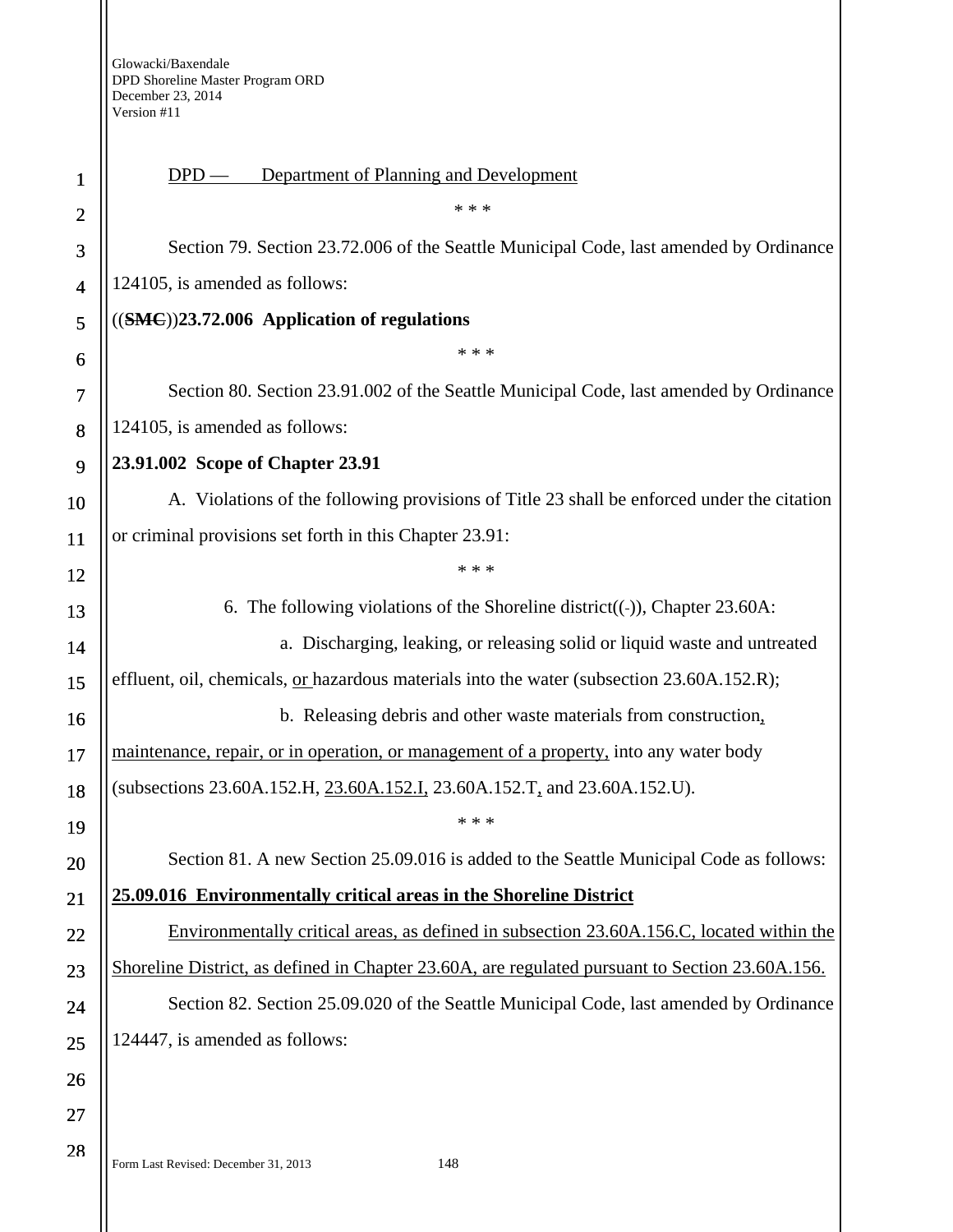## DPD — Department of Planning and Development

Section 79. Section 23.72.006 of the Seattle Municipal Code, last amended by Ordinance 124105, is amended as follows:

\* \* \*

### ((**SMC**))**23.72.006 Application of regulations**

Section 80. Section 23.91.002 of the Seattle Municipal Code, last amended by Ordinance 124105, is amended as follows:

\* \* \*

#### **23.91.002 Scope of Chapter 23.91**

A. Violations of the following provisions of Title 23 shall be enforced under the citation or criminal provisions set forth in this Chapter 23.91:

\* \* \*

6. The following violations of the Shoreline district( $(-)$ ), Chapter 23.60A: a. Discharging, leaking, or releasing solid or liquid waste and untreated effluent, oil, chemicals, or hazardous materials into the water (subsection 23.60A.152.R); b. Releasing debris and other waste materials from construction, maintenance, repair, or in operation, or management of a property, into any water body

(subsections 23.60A.152.H, 23.60A.152.I, 23.60A.152.T, and 23.60A.152.U).

Section 81. A new Section 25.09.016 is added to the Seattle Municipal Code as follows:

\* \* \*

# **25.09.016 Environmentally critical areas in the Shoreline District**

Environmentally critical areas, as defined in subsection 23.60A.156.C, located within the Shoreline District, as defined in Chapter 23.60A, are regulated pursuant to Section 23.60A.156. Section 82. Section 25.09.020 of the Seattle Municipal Code, last amended by Ordinance

124447, is amended as follows: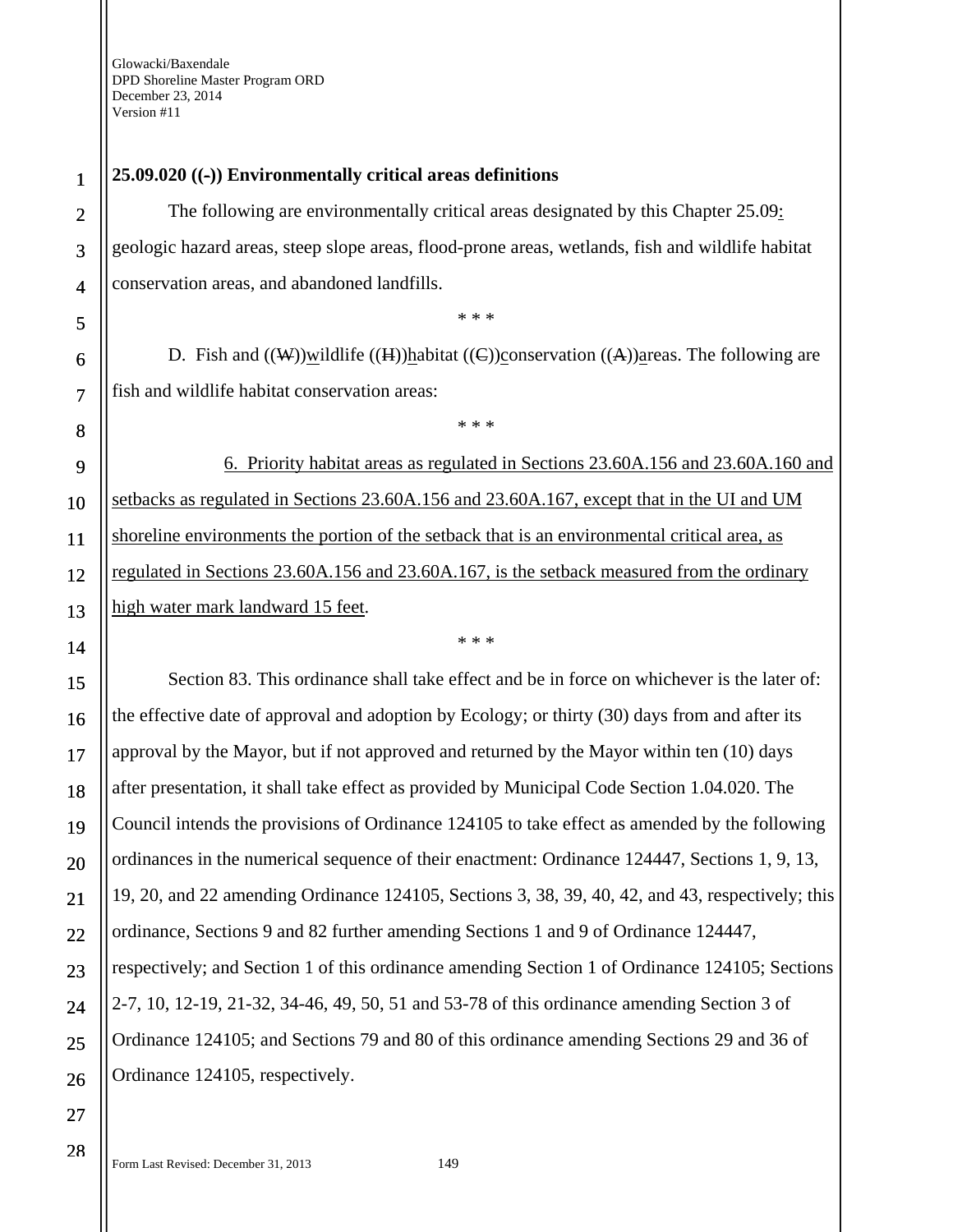## **25.09.020 ((-)) Environmentally critical areas definitions**

The following are environmentally critical areas designated by this Chapter 25.09: geologic hazard areas, steep slope areas, flood-prone areas, wetlands, fish and wildlife habitat conservation areas, and abandoned landfills.

D. Fish and  $((\mathbf{W}))$  wildlife  $((\mathbf{H}))$  habitat  $((\mathbf{C}))$  conservation  $((\mathbf{A}))$  areas. The following are fish and wildlife habitat conservation areas:

\* \* \*

\* \* \*

6. Priority habitat areas as regulated in Sections 23.60A.156 and 23.60A.160 and setbacks as regulated in Sections 23.60A.156 and 23.60A.167, except that in the UI and UM shoreline environments the portion of the setback that is an environmental critical area, as regulated in Sections 23.60A.156 and 23.60A.167, is the setback measured from the ordinary high water mark landward 15 feet.

\* \* \*

Section 83. This ordinance shall take effect and be in force on whichever is the later of: the effective date of approval and adoption by Ecology; or thirty (30) days from and after its approval by the Mayor, but if not approved and returned by the Mayor within ten (10) days after presentation, it shall take effect as provided by Municipal Code Section 1.04.020. The Council intends the provisions of Ordinance 124105 to take effect as amended by the following ordinances in the numerical sequence of their enactment: Ordinance 124447, Sections 1, 9, 13, 19, 20, and 22 amending Ordinance 124105, Sections 3, 38, 39, 40, 42, and 43, respectively; this ordinance, Sections 9 and 82 further amending Sections 1 and 9 of Ordinance 124447, respectively; and Section 1 of this ordinance amending Section 1 of Ordinance 124105; Sections 2-7, 10, 12-19, 21-32, 34-46, 49, 50, 51 and 53-78 of this ordinance amending Section 3 of Ordinance 124105; and Sections 79 and 80 of this ordinance amending Sections 29 and 36 of Ordinance 124105, respectively.